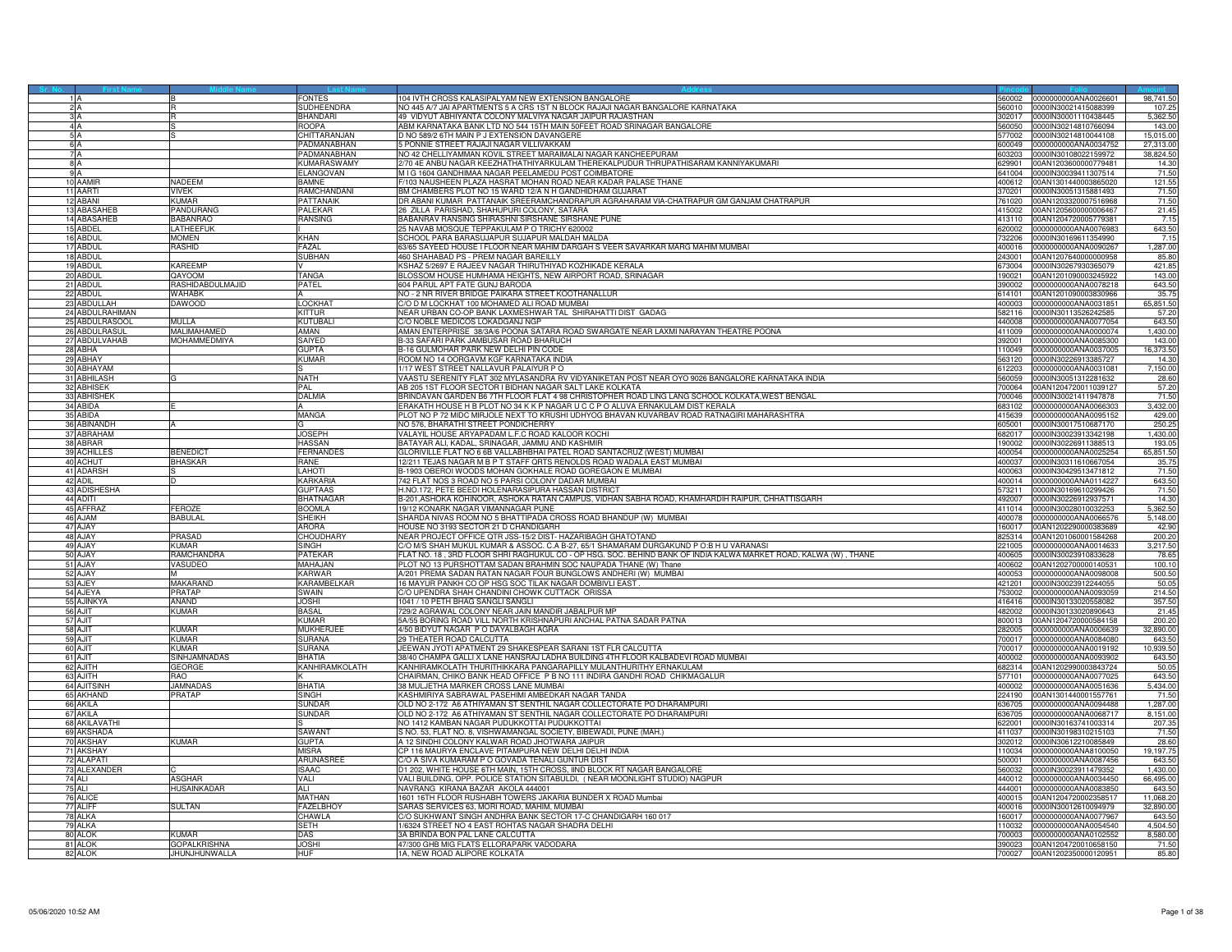|                         |                           | <b>FONTES</b>          | 104 IVTH CROSS KALASIPALYAM NEW EXTENSION BANGALORE                                                             |                  | 560002 0000000000ANA0026601 | 98,741.50 |
|-------------------------|---------------------------|------------------------|-----------------------------------------------------------------------------------------------------------------|------------------|-----------------------------|-----------|
| 2 A                     |                           | <b>SUDHEENDRA</b>      | NO 445 A/7 JAI APARTMENTS 5 A CRS 1ST N BLOCK RAJAJI NAGAR BANGALORE KARNATAKA                                  |                  | 560010 0000IN30021415088399 | 107.2     |
|                         |                           | <b>BHANDARI</b>        | 49 VIDYUT ABHIYANTA COLONY MALVIYA NAGAR JAIPUR RAJASTHAN                                                       |                  | 302017 0000IN30001110438445 | 5,362.50  |
|                         |                           | ROOPA                  | ABM KARNATAKA BANK LTD NO 544 15TH MAIN 50FEET ROAD SRINAGAR BANGALORE                                          | 60050            | 0000IN30214810766094        | 143.00    |
|                         |                           | <b>CHITTARANJAN</b>    | D NO 589/2 6TH MAIN P J EXTENSION DAVANGERE                                                                     | 7002             | 000IN30214810044108         | 15,015.00 |
|                         |                           | PADMANABHAN            | 5 PONNIE STREET RAJAJI NAGAR VILLIVAKKAM                                                                        | 600049           | 0000000000ANA0034752        | 27,313.00 |
| 7 A                     |                           | PADMANABHAN            | NO 42 CHELLIYAMMAN KOVIL STREET MARAIMALAI NAGAR KANCHEEPURAM                                                   | 603203           | 0000IN30108022159972        | 38,824.50 |
| 8 A                     |                           | <b>KUMARASWAMY</b>     | 2/70 4E ANBU NAGAR KEEZHATHATHIYARKULAM THEREKALPUDUR THRUPATHISARAM KANNIYAKUMARI                              | 629901           | 00AN1203600000779481        | 14.30     |
| 9 A                     |                           | <b>ELANGOVAN</b>       | M I G 1604 GANDHIMAA NAGAR PEELAMEDU POST COIMBATORE                                                            | 641004           | 0000IN30039411307514        | 71.50     |
| 10 AAMIR                | VADEEM                    | <b>BAMNE</b>           | F/103 NAUSHEEN PLAZA HASRAT MOHAN ROAD NEAR KADAR PALASE THANE                                                  | 400612           | 00AN1301440003865020        | 121.55    |
| 11 AARTI                | <b>VIVEK</b>              | RAMCHANDANI            | BM CHAMBERS PLOT NO 15 WARD 12/A N H GANDHIDHAM GUJARAT                                                         |                  | 370201 0000IN30051315881493 | 71.50     |
| 12 ABANI                | Kumar                     | PATTANAIK              | DR ABANI KUMAR PATTANAIK SREERAMCHANDRAPUR AGRAHARAM VIA-CHATRAPUR GM GANJAM CHATRAPUR                          |                  | 761020 00AN1203320007516968 | 71.50     |
| 13 ABASAHEB             | <b>ANDURANG</b>           | <b>PALEKAR</b>         | 26 ZILLA PARISHAD, SHAHUPURI COLONY, SATARA                                                                     |                  | 415002 00AN1205600000006467 | 21.45     |
| 14 ABASAHEB             | <b>BABANRAO</b>           | <b>RANSING</b>         | BABANRAV RANSING SHIRASHNI SIRSHANE SIRSHANE PUNE                                                               |                  | 413110 00AN1204720005779381 | 7.15      |
| 15 ABDEL                | ATHEEFUK                  |                        | 25 NAVAB MOSQUE TEPPAKULAM P O TRICHY 620002                                                                    | 20002            | 0000000000ANA0076983        | 643.50    |
| 16 ABDUI                | MOMEN                     | KHAN                   | SCHOOL PARA BARASUJAPUR SUJAPUR MALDAH MALDA                                                                    | 732206           | 0000IN30169611354990        | 7.15      |
| 17 ABDUL                | rashid                    | <b>FAZAI</b>           | 63/65 SAYEED HOUSE I FLOOR NEAR MAHIM DARGAH S VEER SAVARKAR MARG MAHIM MUMBAI                                  | 400016           | 0000000000ANA0090267        | 1,287.00  |
| 18 ABDUL                |                           | SUBHAN                 | 460 SHAHABAD PS - PREM NAGAR BAREILLY                                                                           | 243001           | 00AN1207640000000958        | 85.80     |
| 19 ABDUI                | KAREEMP                   |                        | KSHAZ 5/2697 E RAJEEV NAGAR THIRUTHIYAD KOZHIKADE KERALA                                                        | 673004           | 0000IN30267930365079        | 421.85    |
| 20 ABDUL<br>21 ABDUL    | QAYOOM                    | TANGA                  | BLOSSOM HOUSE HUMHAMA HEIGHTS, NEW AIRPORT ROAD, SRINAGAR                                                       | 190021           | 00AN1201090003245922        | 143.00    |
|                         | RASHIDABDULMAJID          | <b>PATEL</b>           | 604 PARUL APT FATE GUNJ BARODA                                                                                  | 390002           | 0000000000ANA0078218        | 643.50    |
| 22 ABDUL                | WAHABK                    |                        | NO - 2 NR RIVER BRIDGE PAIKARA STREET KOOTHANALLUR                                                              | 614101           | 00AN1201090003830966        | 35.75     |
| 23 ABDULLAH             | DAWOOD                    | LOCKHAT                | C/O D M LOCKHAT 100 MOHAMED ALI ROAD MUMBAI                                                                     | 400003           | 0000000000ANA0031851        | 65,851.50 |
| 24 ABDULRAHIMAN         |                           | KITTUR                 | NEAR URBAN CO-OP BANK LAXMESHWAR TAL SHIRAHATTI DIST GADAG                                                      | 582116           | 0000IN30113526242585        | 57.20     |
| 25 ABDULRASOOL          | MULLA                     | KUTUBALI               | C/O NOBLE MEDICOS LOKADGANJ NGP                                                                                 | 440008           | 0000000000ANA0077054        | 643.50    |
| 26 ABDULRASUL           | MALIMAHAMED               | AMAN                   | AMAN ENTERPRISE 38/3A/6 POONA SATARA ROAD SWARGATE NEAR LAXMI NARAYAN THEATRE POONA                             | 411009           | 0000000000ANA0000074        | 1,430.00  |
| 27 ABDULVAHAB           | MOHAMMEDMIYA              | SAIYED                 | B-33 SAFARI PARK JAMBUSAR ROAD BHARUCH                                                                          | 392001           | 0000000000ANA0085300        | 143.00    |
| 28 ABHA                 |                           | <b>GUPTA</b>           | B-16 GULMOHAR PARK NEW DELHI PIN CODE                                                                           |                  | 110049 0000000000ANA0037005 | 16,373.50 |
| 29 ABHAY                |                           | Kumar                  | ROOM NO 14 OORGAVM KGF KARNATAKA INDIA                                                                          | 63120            | 0000IN30226913385727        | 14.30     |
| 30 ABHAYAM              |                           |                        | 1/17 WEST STREET NALLAVUR PALAIYUR PO                                                                           | 612203           | 0000000000ANA0031081        | 7,150.00  |
| 31 ABHILASH             |                           | <b>NATH</b>            | VAASTU SERENITY FLAT 302 MYLASANDRA RV VIDYANIKETAN POST NEAR OYO 9026 BANGALORE KARNATAKA INDIA                |                  | 560059 0000IN30051312281632 | 28.60     |
| 32 ABHISEK              |                           | PAL                    | AB 205 1ST FLOOR SECTOR I BIDHAN NAGAR SALT LAKE KOLKATA                                                        | 00064            | 00AN1204720011039127        | 57.20     |
| 33 ABHISHEK             |                           | DALMIA                 | BRINDAVAN GARDEN B6 7TH FLOOR FLAT 4 98 CHRISTOPHER ROAD LING LANG SCHOOL KOLKATA, WEST BENGAL                  | 00046            | 0000IN30021411947878        | 71.50     |
| 34 ABIDA                |                           |                        | ERAKATH HOUSE H B PLOT NO 34 K K P NAGAR U C C P O ALUVA ERNAKULAM DIST KERALA                                  | 83102            | 0000000000ANA0066303        | 3,432.00  |
| 35 ABIDA                |                           | MANGA                  | PLOT NO P 72 MIDC MIRJOLE NEXT TO KRUSHI UDHYOG BHAVAN KUVARBAV ROAD RATNAGIRI MAHARASHTRA                      | 415639           | 0000000000ANA0095152        | 429.00    |
| 36 ABINANDH             |                           | G                      | NO 576, BHARATHI STREET PONDICHERRY                                                                             | 605001           | 0000IN30017510687170        | 250.2     |
| 37 ABRAHAM              |                           | <b>JOSEPH</b>          | VALAYIL HOUSE ARYAPADAM L.F.C ROAD KALOOR KOCHI                                                                 | 682017           | 0000IN30023913342198        | 1,430.00  |
| 38 ABRAR                |                           | <b>HASSAN</b>          | BATAYAR ALI, KADAL, SRINAGAR, JAMMU AND KASHMIR                                                                 | 190002           | 0000IN30226911388513        | 193.05    |
| 39 ACHILLES             | <b>BENEDICT</b>           | <b>FERNANDES</b>       | GLORIVILLE FLAT NO 6 6B VALLABHBHAI PATEL ROAD SANTACRUZ (WEST) MUMBAI                                          | 400054           | 0000000000ANA0025254        | 65,851.50 |
| 40 ACHUT                | <b>BHASKAR</b>            | RANE                   | 12/211 TEJAS NAGAR M B P T STAFF QRTS RENOLDS ROAD WADALA EAST MUMBAI                                           | 400037           | 0000IN30311610667054        | 35.75     |
| 41 ADARSH               |                           | LAHOTI                 | B-1903 OBEROI WOODS MOHAN GOKHALE ROAD GOREGAON E MUMBAI                                                        |                  | 400063 0000IN30429513471812 | 71.50     |
| 42 ADIL                 |                           | <b>KARKARIA</b>        | 742 FLAT NOS 3 ROAD NO 5 PARSI COLONY DADAR MUMBAI                                                              |                  | 400014 0000000000ANA0114227 | 643.50    |
| 43 ADISHESHA            |                           | <b>GUPTAAS</b>         | H.NO.172, PETE BEEDI HOLENARASIPURA HASSAN DISTRICT                                                             | 573211           | 0000IN30169610299426        | 71.50     |
| 44 ADITI                |                           | <b>BHATNAGAR</b>       | 3-201,ASHOKA KOHINOOR, ASHOKA RATAN CAMPUS, VIDHAN SABHA ROAD, KHAMHARDIH RAIPUR, CHHATTISGARH                  | 92007            | 0000IN30226912937571        | 14.30     |
| 45 AFFRAZ               | <b>FEROZE</b>             | <b>BOOMLA</b>          | 19/12 KONARK NAGAR VIMANNAGAR PUNE                                                                              | 411014           | 0000lN30028010032253        | 5,362.50  |
| 46 AJAM                 | <b>BABULAL</b>            | <b>SHEIKH</b>          | SHARDA NIVAS ROOM NO 5 BHATTIPADA CROSS ROAD BHANDUP (W) MUMBAI                                                 | 400078           | 0000000000ANA0066576        | 5.148.00  |
| 47 AJAY                 |                           | <b>ARORA</b>           | HOUSE NO 3193 SECTOR 21 D CHANDIGARH                                                                            |                  | 160017 00AN1202290000383689 | 42.90     |
| 48 AJAY                 | PRASAD                    | CHOUDHARY              | NEAR PROJECT OFFICE QTR JSS-15/2 DIST- HAZARIBAGH GHATOTAND                                                     | 825314           | 00AN1201060001584268        | 200.20    |
| 49 AJAY                 | KUMAR                     | SINGH                  | C/O M/S SHAH MUKUL KUMAR & ASSOC. C.A B-27, 65/1 SHAMARAM DURGAKUND P O:B H U VARANASI                          | 21005            | 0000000000ANA0014633        | 3,217.50  |
| 50 AJAY                 | RAMCHANDRA                | PATEKAR                | FLAT NO. 18, 3RD FLOOR SHRI RAGHUKUL CO - OP HSG. SOC. BEHIND BANK OF INDIA KALWA MARKET ROAD, KALWA (W), THANE | 400605           | 0000IN30023910833628        | 78.65     |
| 51 AJAY                 | VASUDEO                   | MAHAJAN                | PLOT NO 13 PURSHOTTAM SADAN BRAHMIN SOC NAUPADA THANE (W) Thane                                                 |                  | 400602 00AN1202700000140531 | 100.10    |
| 52 AJAY                 |                           | <b>KARWAR</b>          | A/201 PREMA SADAN RATAN NAGAR FOUR BUNGLOWS ANDHERI (W) MUMBAI                                                  | 400053           | 0000000000ANA0098008        | 500.50    |
| 53 AJEY                 | MAKARAND                  | KARAMBELKAR            | 16 MAYUR PANKH CO OP HSG SOC TILAK NAGAR DOMBIVLI EAST                                                          | 421201           | 0000IN30023912244055        | 50.05     |
| 54 AJEYA                | PRATAP                    | SWAIN                  | C/O UPENDRA SHAH CHANDINI CHOWK CUTTACK ORISSA                                                                  | 53002            | 0000000000ANA0093059        | 214.50    |
| 55 AJINKYA              | ANAND                     | <b>H2OL</b>            | 1041 / 10 PETH BHAG SANGLI SANGLI                                                                               | 416416           | 0000IN30133020558082        | 357.50    |
| 56 A.JIT                | <b>KUMAR</b>              | <b>BASAL</b>           | 729/2 AGRAWAL COLONY NEAR JAIN MANDIR JABALPUR MF                                                               | 482002           | 0000IN30133020890643        | 21.45     |
| 57 AJIT                 |                           | KUMAR                  | 5A/55 BORING ROAD VILL NORTH KRISHNAPURI ANCHAL PATNA SADAR PATNA                                               | 800013           | 00AN1204720000584158        | 200.20    |
| 58 AJIT                 | <b>KUMAR</b>              | <b>MUKHERJEE</b>       | 4/50 BIDYUT NAGAR P O DAYALBAGH AGRA                                                                            | 282005           | 0000000000ANA0006639        | 32,890.00 |
| 59 AJIT                 | KUMAR                     | <b>SURANA</b>          | 29 THEATER ROAD CALCUTTA                                                                                        | 00017            | 0000000000ANA0084080        | 643.50    |
| 60 AJIT                 | <b>KUMAR</b>              | <b>SURANA</b>          | JEEWAN JYOTI APATMENT 29 SHAKESPEAR SARANI 1ST FLR CALCUTTA                                                     | 700017           | 0000000000ANA0019192        | 10,939.50 |
| 61 AJIT                 | SINHJAMNADAS              | <b>BHATIA</b>          | 38/40 CHAMPA GALLI X LANE HANSRAJ LADHA BUILDING 4TH FLOOR KALBADEVI ROAD MUMBAI                                | 400002           | 0000000000ANA0093902        | 643.50    |
| 62 AJITH                | GEORGE                    | KANHIRAMKOLATH         | KANHIRAMKOLATH THURITHIKKARA PANGARAPILLY MULANTHURITHY ERNAKULAM                                               | 682314           | 00AN1202990003843724        | 50.05     |
| 63 AJITH                | <b>BAR</b>                |                        | CHAIRMAN, CHIKO BANK HEAD OFFICE P B NO 111 INDIRA GANDHI ROAD CHIKMAGALUR                                      | 77101            | 0000000000ANA0077025        | 643.50    |
| 64 AJITSINH             | <b>JAMNADAS</b><br>PRATAP | BHATIA<br>SINGH        | 38 MULJETHA MARKER CROSS LANE MUMBAI                                                                            | 400002<br>224190 | 0000000000ANA0051636        | 5,434.00  |
| 65 AKHAND               |                           |                        | KASHMIRIYA SABRAWAL PASEHIMI AMBEDKAR NAGAR TANDA                                                               |                  | 00AN1301440001557761        | 71.50     |
| 66 AKILA                |                           | SUNDAR                 | OLD NO 2-172 A6 ATHIYAMAN ST SENTHIL NAGAR COLLECTORATE PO DHARAMPURI                                           | 636705           | 0000000000ANA0094488        | 1,287.00  |
| 67 AKILA                |                           | SUNDAR                 | OLD NO 2-172 A6 ATHIYAMAN ST SENTHIL NAGAR COLLECTORATE PO DHARAMPURI                                           | 636705           | 0000000000ANA0068717        | 8,151.00  |
| 68 AKILAVATHI           |                           |                        | NO 1412 KAMBAN NAGAR PUDUKKOTTAI PUDUKKOTTAI                                                                    | 622001           | 0000lN30163741003314        | 207.35    |
| 69 AKSHADA<br>70 AKSHAY | <b>KUMAR</b>              | SAWANT<br><b>GUPTA</b> | S NO. 53, FLAT NO. 8, VISHWAMANGAL SOCIETY, BIBEWADI, PUNE (MAH.)                                               | 411037           | 0000IN30198310215103        | 71.50     |
|                         |                           |                        | A 12 SINDHI COLONY KALWAR ROAD JHOTWARA JAIPUR                                                                  | 302012           | 0000IN30612210085849        | 28.60     |
| 71 AKSHAY               |                           | <b>MISRA</b>           | CP 116 MAURYA ENCLAVE PITAMPURA NEW DELHI DELHI INDIA                                                           | 110034           | 0000000000ANA8100050        | 19,197.75 |
| 72 ALAPATI              |                           | <b>ARUNASREE</b>       | C/O A SIVA KUMARAM P O GOVADA TENALI GUNTUR DIST                                                                | 500001           | 0000000000ANA0087456        | 643.50    |
| 73 ALEXANDER            |                           | <b>ISAAC</b>           | D1 202, WHITE HOUSE 6TH MAIN, 15TH CROSS, IIND BLOCK RT NAGAR BANGALORE                                         | 560032           | 0000IN30023911479352        | 1,430.00  |
| 74 ALI                  | <b>ASGHAR</b>             | VALI                   | VALI BUILDING, OPP. POLICE STATION SITABULDI, (NEAR MOONLIGHT STUDIO) NAGPUR                                    | 440012           | 0000000000ANA0034450        | 66,495.00 |
| 75 ALI                  | <b>HUSAINKADAR</b>        | ALI.                   | NAVRANG KIRANA BAZAR AKOLA 444001                                                                               |                  | 444001 0000000000ANA0083850 | 643.50    |
| 76 ALICE                |                           | <b>MATHAN</b>          | 1601 16TH FLOOR RUSHABH TOWERS JAKARIA BUNDER X ROAD Mumbai                                                     | 400015           | 00AN1204720002358517        | 11,068.20 |
| 77 ALIFF                | SULTAN                    | <b>FAZELBHOY</b>       | SARAS SERVICES 63, MORI ROAD, MAHIM, MUMBAI                                                                     | 400016           | 0000IN30012610094979        | 32,890.00 |
| 78 ALKA                 |                           | CHAWLA                 | C/O SUKHWANT SINGH ANDHRA BANK SECTOR 17-C CHANDIGARH 160 017                                                   | 60017            | 0000000000ANA0077967        | 643.50    |
| 79 ALKA                 |                           | <b>SETH</b>            | 1/6324 STREET NO 4 EAST ROHTAS NAGAR SHADRA DELHI                                                               | 110032           | 0000000000ANA0054540        | 4,504.50  |
| 80 ALOK                 | <b>KUMAR</b>              | DAS                    | 3A BRINDA BON PAL LANE CALCUTTA                                                                                 |                  |                             | 8.580.00  |
| 81 ALOK                 | <b>GOPALKRISHNA</b>       | <b>JOSHI</b>           | 47/300 GHB MIG FLATS ELLORAPARK VADODARA                                                                        |                  | 390023 00AN1204720010658150 | 71.50     |
| 82 ALOK                 | JHUNJHUNWALLA             | <b>HUF</b>             | 1A, NEW ROAD ALIPORE KOLKATA                                                                                    |                  | 700027 00AN1202350000120951 | 85.80     |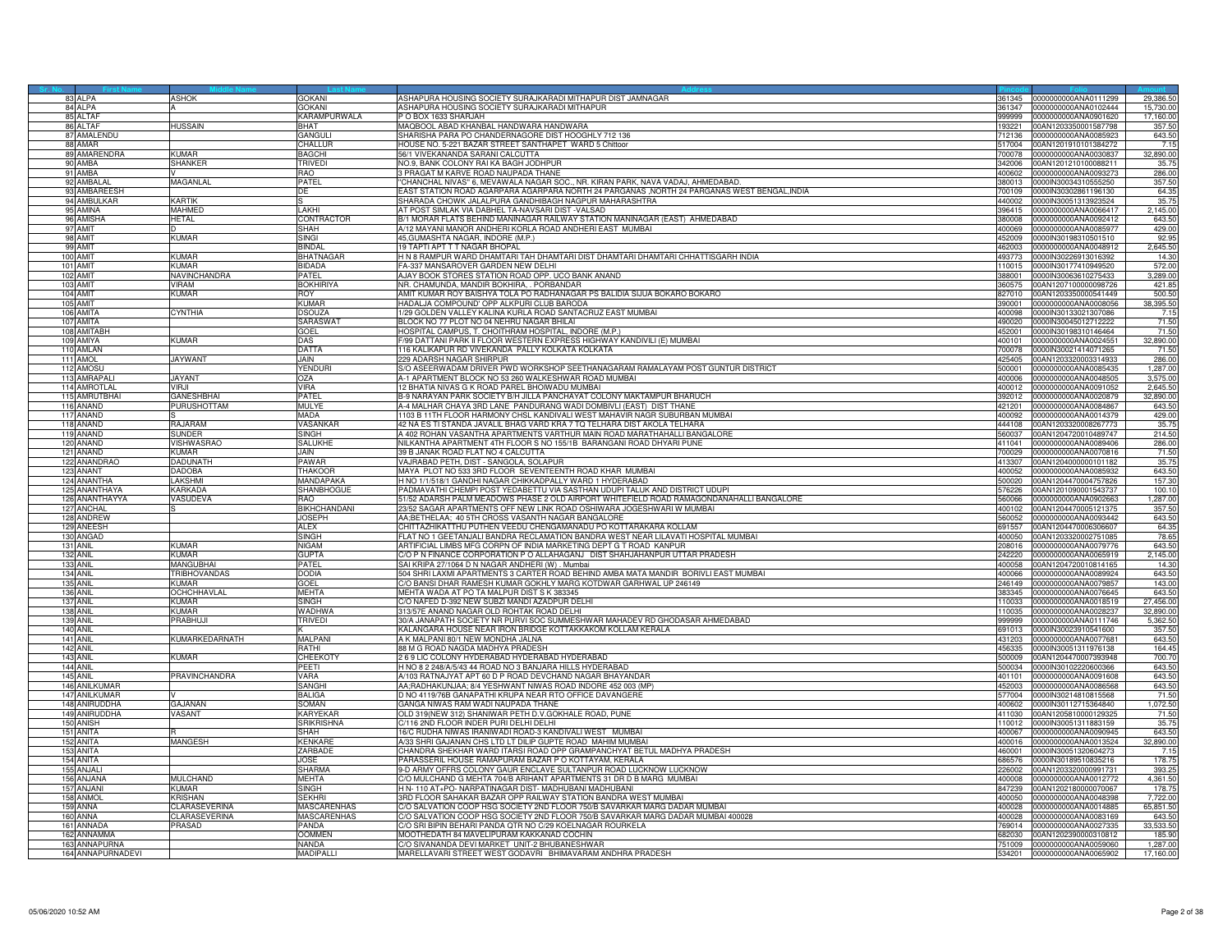|     | 83 ALPA                   | <b>ASHOK</b>         | <b>GOKANI</b>                 | ASHAPURA HOUSING SOCIETY SURAJKARADI MITHAPUR DIST JAMNAGAR                                                                      |                  | 361345 0000000000ANA0111299                         | 29,386.50         |
|-----|---------------------------|----------------------|-------------------------------|----------------------------------------------------------------------------------------------------------------------------------|------------------|-----------------------------------------------------|-------------------|
|     | 84 ALPA                   |                      | <b>GOKANI</b>                 | ASHAPURA HOUSING SOCIETY SURAJKARADI MITHAPUR                                                                                    |                  | 361347 0000000000ANA0102444                         | 15,730.00         |
|     | 85 ALTAF                  |                      | KARAMPURWALA                  | P O BOX 1633 SHARJAH                                                                                                             | 999999           | 0000000000ANA0901620                                | 17,160.00         |
|     | 86 ALTAF                  | IUSSAIN              | RHAT                          | MAQBOOL ABAD KHANBAL HANDWARA HANDWARA                                                                                           | 193221           | 00AN1203350001587798                                | 357.50            |
|     | 87 AMALENDU               |                      | GANGULI                       | SHARISHA PARA PO CHANDERNAGORE DIST HOOGHLY 712 136                                                                              | 12136            | 0000000000ANA0085923                                | 643.50            |
|     | 88 AMAR                   |                      | CHALLUR                       | HOUSE NO. 5-221 BAZAR STREET SANTHAPET WARD 5 Chittoor                                                                           | 517004           | 00AN1201910101384272                                | 7.15              |
|     | 89 AMARENDRA              | <b>KUMAR</b>         | <b>BAGCHI</b>                 | 56/1 VIVEKANANDA SARANI CALCUTTA                                                                                                 | 700078           | 0000000000ANA0030837                                | 32,890.00         |
|     | 90 AMBA                   | <b>SHANKER</b>       | <b>TRIVEDI</b>                | NO.9, BANK COLONY RAI KA BAGH JODHPUR                                                                                            | 342006           | 00AN1201210100088211                                | 35.75             |
|     | 91 AMBA                   |                      | <b>RAO</b>                    | 3 PRAGAT M KARVE ROAD NAUPADA THANE                                                                                              | 400602           | 0000000000ANA0093273                                | 286.00            |
|     | 92 AMBALAI                | MAGANLAL             | PATEL                         | 'CHANCHAL NIVAS'' 6, MEVAWALA NAGAR SOC., NR. KIRAN PARK, NAVA VADAJ, AHMEDABAD.                                                 | 380013           | 0000IN30034310555250                                | 357.50            |
|     | 93 AMBAREESH              |                      | DE                            | EAST STATION ROAD AGARPARA AGARPARA NORTH 24 PARGANAS ,NORTH 24 PARGANAS WEST BENGAL,INDIA                                       |                  | 700109 0000IN30302861196130                         | 64.35             |
|     | 94 AMBULKAR               | <b>KARTIK</b>        |                               | SHARADA CHOWK JALALPURA GANDHIBAGH NAGPUR MAHARASHTRA                                                                            |                  | 440002 0000IN30051313923524                         | 35.75             |
|     | 95 AMINA                  | MAHMED               | LAKHI                         | AT POST SIMLAK VIA DABHEL TA-NAVSARI DIST -VALSAD                                                                                |                  | 396415 0000000000ANA0066417                         | 2,145.00          |
|     | 96 AMISHA                 | <b>HETAL</b>         | CONTRACTOR                    | B/1 MORAR FLATS BEHIND MANINAGAR RAILWAY STATION MANINAGAR (EAST) AHMEDABAD                                                      | 380008           | 0000000000ANA0092412                                | 643.50            |
|     | 97 AMIT                   |                      | SHAH                          | 4/12 MAYANI MANOR ANDHERI KORLA ROAD ANDHERI EAST MUMBAI                                                                         | 00069            | 0000000000ANA008597                                 | 429.00            |
|     | 98 AMIT                   | <b>KUMAR</b>         | SINGI                         | 45, GUMASHTA NAGAR, INDORE (M.P.)                                                                                                | 452009           | 0000IN30198310501510                                | 92.95             |
|     | 99 AMIT                   |                      | <b>BINDAL</b>                 | 19 TAPTI APT T T NAGAR BHOPAL                                                                                                    |                  | 462003 0000000000ANA0048912                         | 2,645.50          |
|     | 100 AMIT                  | KUMAR                | <b>BHATNAGAR</b>              | H N 8 RAMPUR WARD DHAMTARI TAH DHAMTARI DIST DHAMTARI DHAMTARI CHHATTISGARH INDIA                                                |                  | 493773 0000IN30226913016392                         | 14.30             |
|     | 101 AMIT                  | <b>KUMAR</b>         | <b>BIDADA</b>                 | FA-337 MANSAROVER GARDEN NEW DELHI                                                                                               |                  | 110015 0000lN30177410949520                         | 572.00            |
|     | 102 AMIT                  | <b>IAVINCHANDRA</b>  | PATEL                         | AJAY BOOK STORES STATION ROAD OPP. UCO BANK ANAND                                                                                | 88001            | 0000lN30063610275433                                | 3,289.00          |
|     | 103 AMIT                  | <b>VIRAM</b>         |                               |                                                                                                                                  |                  |                                                     |                   |
|     |                           | <b>KUMAR</b>         | <b>BOKHIRIYA</b><br>ROY       | NR. CHAMUNDA, MANDIR BOKHIRA, . PORBANDAR<br>AMIT KUMAR ROY BAISHYA TOLA PO RADHANAGAR PS BALIDIA SIJUA BOKARO BOKARO            | 360575           | 00AN1207100000098726                                | 421.85<br>500.50  |
|     | 104 AMIT                  |                      |                               |                                                                                                                                  |                  | 827010 00AN1203350000541449                         |                   |
|     | 105 AMIT<br>106 AMITA     |                      | <b>KUMAR</b><br><b>DSOUZA</b> | HADALJA COMPOUND' OPP ALKPURI CLUB BARODA                                                                                        |                  | 390001 0000000000ANA0008056<br>0000IN30133021307086 | 38,395.50<br>7.15 |
|     |                           | <b>CYNTHIA</b>       |                               | 1/29 GOLDEN VALLEY KALINA KURLA ROAD SANTACRUZ EAST MUMBAI                                                                       | 400098           |                                                     |                   |
| 107 | <b>AMITA</b>              |                      | SARASWA <sup>-</sup>          | BLOCK NO 77 PLOT NO 04 NEHRU NAGAR BHILAI                                                                                        | 490020           | 0000lN30045012712222                                | 71.50             |
|     | 108 AMITABH<br>109 AMIYA  | KUMAR                | <b>GOEL</b>                   | HOSPITAL CAMPUS, T. CHOITHRAM HOSPITAL, INDORE (M.P.)<br>F/99 DATTANI PARK II FLOOR WESTERN EXPRESS HIGHWAY KANDIVILI (E) MUMBAI | 452001           | 0000IN30198310146464                                | 71.50             |
|     | 110 AMLAN                 |                      | DAS                           |                                                                                                                                  | 400101<br>700078 | 0000000000ANA0024551                                | 32,890.00         |
|     |                           |                      | <b>DATTA</b>                  | 116 KALIKAPUR RD VIVEKANDA PALLY KOLKATA KOLKATA                                                                                 |                  | 0000IN30021414071265                                | 71.50             |
|     | 111 AMOL                  | <b>JAYWANT</b>       | JAIN.                         | 229 ADARSH NAGAR SHIRPUR                                                                                                         |                  | 425405 00AN1203320003314933                         | 286.00            |
|     | 112 AMOSL<br>113 AMRAPALI |                      | YENDURI<br>OZA                | S/O ASEERWADAM DRIVER PWD WORKSHOP SEETHANAGARAM RAMALAYAM POST GUNTUR DISTRICT                                                  | 500001           | 0000000000ANA0085435                                | 1,287.00          |
|     |                           | JAYANT               |                               | A-1 APARTMENT BLOCK NO 53 260 WALKESHWAR ROAD MUMBAI                                                                             |                  | 400006 0000000000ANA0048505                         | 3,575.00          |
|     | 114 AMROTLAL              | VIRJI                | <b>VIRA</b>                   | 12 BHATIA NIVAS G K ROAD PAREL BHOIWADU MUMBAI                                                                                   |                  | 400012 0000000000ANA0091052                         | 2,645.50          |
|     | 115 AMRUTBHAI             | <b>GANESHBHAI</b>    | PATEL                         | B-9 NARAYAN PARK SOCIETY B/H JILLA PANCHAYAT COLONY MAKTAMPUR BHARUCH                                                            |                  | 392012 0000000000ANA0020879                         | 32,890.00         |
|     | 116 ANAND                 | PURUSHOTTAM          | <b>MULYE</b>                  | A-4 MALHAR CHAYA 3RD LANE PANDURANG WADI DOMBIVLI (EAST) DIST THANE                                                              | 421201           | 0000000000ANA0084867                                | 643.50            |
| 117 | ANAND                     |                      | <b>MADA</b>                   | 1103 B 11TH FLOOR HARMONY CHSL KANDIVALI WEST MAHAVIR NAGR SUBURBAN MUMBAI                                                       | 400092           | 0000000000ANA0014379                                | 429.00            |
|     | 118 ANAND                 | <b>A.IARAM</b>       | <b>VASANKAF</b>               | 42 NA ES TI STANDA JAVALIL BHAG VARD KRA 7 TQ TELHARA DIST AKOLA TELHARA                                                         | 444108           | 00AN1203320008267773                                | 35.75             |
|     | 119 ANAND                 | SUNDER               | <b>SINGH</b>                  | A 402 ROHAN VASANTHA APARTMENTS VARTHUR MAIN ROAD MARATHAHALLI BANGALORE                                                         | 560037           | 00AN1204720010489747                                | 214.50            |
|     | 120 ANAND                 | VISHWASRAO           | <b>SALUKHE</b>                | NILKANTHA APARTMENT 4TH FLOOR S NO 155/1B BARANGANI ROAD DHYARI PUNE                                                             | 411041           | 0000000000ANA0089406                                | 286.00            |
|     | 121 ANAND                 | KUMAR                | JAIN.                         | 39 B JANAK ROAD FLAT NO 4 CALCUTTA                                                                                               |                  | 700029 0000000000ANA0070816                         | 71.50             |
|     | 122 ANANDRAO              | <b>ADUNATH</b>       | PAWAR                         | VAJRABAD PETH, DIST - SANGOLA, SOLAPUR                                                                                           | 413307           | 00AN1204000000101182                                | 35.75             |
|     | 123 ANANT                 | DADOBA               | <b>THAKOOR</b>                | MAYA PLOT NO 533 3RD FLOOR SEVENTEENTH ROAD KHAR MUMBAI                                                                          |                  | 400052 0000000000ANA0085932                         | 643.50            |
|     | 124 ANANTHA               | <b>AKSHMI</b>        | MANDAPAKA                     | H NO 1/1/518/1 GANDHI NAGAR CHIKKADPALLY WARD 1 HYDERABAD                                                                        |                  | 500020 00AN1204470004757826                         | 157.30            |
|     | 125 ANANTHAY              | KARKADA              | SHANBHOGUE                    | PADMAVATHI CHEMPI POST YEDABETTU VIA SASTHAN UDUPI TALUK AND DISTRICT UDUPI                                                      |                  | 576226 00AN1201090001543737                         | 100.10            |
|     | 126 ANANTHAYYA            | VASUDEVA             | <b>RAO</b>                    | 51/52 ADARSH PALM MEADOWS PHASE 2 OLD AIRPORT WHITEFIELD ROAD RAMAGONDANAHALLI BANGALORE                                         |                  | 560066 0000000000ANA0902663                         | 1.287.00          |
|     | 127 ANCHAL                |                      | BIKHCHANDANI                  | 23/52 SAGAR APARTMENTS OFF NEW LINK ROAD OSHIWARA JOGESHWARI W MUMBAI                                                            | 100102           | 00AN1204470005121375                                | 357.50            |
|     | 128 ANDREW                |                      | <b>JOSEPH</b>                 | AA;BETHELAA; 40 5TH CROSS VASANTH NAGAR BANGALORE                                                                                | 560052           | 0000000000ANA0093442                                | 643.50            |
|     | 129 ANEESH                |                      | ALEX                          | CHITTAZHIKATTHU PUTHEN VEEDU CHENGAMANADU PO KOTTARAKARA KOLLAM                                                                  | 691557           | 00AN1204470006306607                                | 64.35             |
|     | 130 ANGAD                 |                      | SINGH                         | FLAT NO 1 GEETANJALI BANDRA RECLAMATION BANDRA WEST NEAR LILAVATI HOSPITAL MUMBAI                                                | 400050           | 00AN1203320002751085                                | 78.65             |
|     | <b>131 ANIL</b>           | KUMAR                | NIGAM                         | ARTIFICIAL LIMBS MFG CORPN OF INDIA MARKETING DEPT G T ROAD KANPUR                                                               | 208016           | 0000000000ANA0079776                                | 643.50            |
|     | <b>132 ANIL</b>           | <b>KUMAR</b>         | <b>GUPTA</b>                  | C/O P N FINANCE CORPORATION P O ALLAHAGANJ DIST SHAHJAHANPUR UTTAR PRADESH                                                       | 242220           | 0000000000ANA0065919                                | 2,145.00          |
|     | 133 ANIL                  | <b>MANGUBHAI</b>     | <b>PATFI</b>                  | SAI KRIPA 27/1064 D N NAGAR ANDHERI (W) . Mumbai                                                                                 | 400058           | 00AN1204720010814165                                | 14.30             |
|     | 134 ANIL                  | TRIBHOVANDAS         | DODIA                         | 504 SHRI LAXMI APARTMENTS 3 CARTER ROAD BEHIND AMBA MATA MANDIR BORIVLI EAST MUMBAI                                              | 400066           | 0000000000ANA0089924                                | 643.50            |
|     | <b>135 ANIL</b>           | KUMAR                | GOEL                          | C/O BANSI DHAR RAMESH KUMAR GOKHLY MARG KOTDWAR GARHWAL UP 246149                                                                |                  | 246149 0000000000ANA0079857                         | 143.00            |
|     | 136 ANIL                  | OCHCHHAVLAL          | <b>MEHTA</b>                  | MEHTA WADA AT PO TA MALPUR DIST S K 383345                                                                                       | 383345           | 0000000000ANA0076645                                | 643.50            |
|     | 137 ANIL                  | <b>KUMAR</b>         | <b>SINGH</b>                  | C/O NAFED D-392 NEW SUBZI MANDI AZADPUR DELHI                                                                                    | 110033           | 0000000000ANA0018519                                | 27,456.00         |
|     | 138 ANIL                  | KIIMAR               | <b>WADHWA</b>                 | 313/57E ANAND NAGAR OLD ROHTAK ROAD DELHI                                                                                        | 110035           | 0000000000ANA0028237                                | 32,890.00         |
|     | <b>139 ANIL</b>           | PRABHUJI             | trivedi                       | 30/A JANAPATH SOCIETY NR PURVI SOC SUMMESHWAR MAHADEV RD GHODASAR AHMEDABAD                                                      | 999999           | 0000000000ANA0111746                                | 5,362.50          |
|     | <b>140 ANIL</b>           |                      |                               | KALANGARA HOUSE NEAR IRON BRIDGE KOTTAKKAKOM KOLLAM KERALA                                                                       |                  | 691013 0000IN30023910541600                         | 357.50            |
|     | <b>141 ANIL</b>           | KUMARKEDARNATH       | <b>MALPANI</b>                | A K MALPANI 80/1 NEW MONDHA JALNA                                                                                                | 431203           | 0000000000ANA0077681                                | 643.50            |
|     | 142 ANIL                  |                      | RATHI                         | 88 M G ROAD NAGDA MADHYA PRADESH                                                                                                 | 456335           | 0000lN30051311976138                                | 164.45            |
|     | 143 ANIL                  | KUMAR                | CHEEKOTY                      | 2 6 9 LIC COLONY HYDERABAD HYDERABAD HYDERABAD                                                                                   |                  | 500009 00AN1204470007393948                         | 700.70            |
|     | <b>144 ANIL</b>           |                      | PEETI                         | H NO 8 2 248/A/5/43 44 ROAD NO 3 BANJARA HILLS HYDERABAD                                                                         |                  | 500034 0000IN30102220600366                         | 643.50            |
|     | 145 ANIL                  | <b>PRAVINCHANDRA</b> | <b>VARA</b>                   | A/103 RATNAJYAT APT 60 D P ROAD DEVCHAND NAGAR BHAYANDAR                                                                         |                  | 401101 0000000000ANA0091608                         | 643.50            |
|     | 146 ANILKUMAF             |                      | SANGHI                        | AA;RADHAKUNJAA; 8/4 YESHWANT NIWAS ROAD INDORE 452 003 (MP)                                                                      | 152003           | 0000000000ANA0086568                                | 643.50            |
|     | 147 ANILKUMAR             |                      | <b>BALIGA</b>                 | D NO 4119/76B GANAPATHI KRUPA NEAR RTO OFFICE DAVANGERE                                                                          | 577004           | 0000lN30214810815568                                | 71.50             |
|     | 148 ANIRUDDHA             | GAJANAN              | SOMAN                         | GANGA NIWAS RAM WADI NAUPADA THANE                                                                                               | 400602           | 0000lN30112715364840                                | 1,072.50          |
|     | 149 ANIRUDDHA             | VASANT               | KARYEKAR                      | OLD 319(NEW 312) SHANIWAR PETH D.V.GOKHALE ROAD, PUNE                                                                            | 411030           | 00AN1205810000129325                                | 71.50             |
|     | 150 ANISH                 |                      | <b>SRIKRISHNA</b>             | C/116 2ND FLOOR INDER PURI DELHI DELHI                                                                                           | 110012           | 0000IN30051311883159                                | 35.75             |
|     | 151 ANITA                 |                      | SHAH                          | 16/C RUDHA NIWAS IRANIWADI ROAD-3 KANDIVALI WEST MUMBAI                                                                          | 400067           | 0000000000ANA0090945                                | 643.50            |
|     | 152 ANITA                 | <b>MANGESH</b>       | <b>KENKARE</b>                | A/33 SHRI GAJANAN CHS LTD LT DILIP GUPTE ROAD MAHIM MUMBAI                                                                       | 400016           | 0000000000ANA0013524                                | 32,890.00         |
|     | 153 ANITA                 |                      | ZARBADE                       | CHANDRA SHEKHAR WARD ITARSI ROAD OPP GRAMPANCHYAT BETUL MADHYA PRADESH                                                           | 460001           | 0000lN30051320604273                                | 7.15              |
|     | 154 ANITA                 |                      | <b>JOSE</b>                   | PARASSERIL HOUSE RAMAPURAM BAZAR P O KOTTAYAM, KERALA                                                                            | 686576           | 0000lN30189510835216                                | 178.75            |
|     | 155 ANJALI                |                      | <b>SHARMA</b>                 | 9-D ARMY OFFRS COLONY GAUR ENCLAVE SULTANPUR ROAD LUCKNOW LUCKNOW                                                                | 226002           | 00AN1203320000991731                                | 393.25            |
|     | 156 ANJANA                | <b>MULCHAND</b>      | MEHTA                         | C/O MULCHAND G MEHTA 704/B ARIHANT APARTMENTS 31 DR D B MARG MUMBAI                                                              | 400008           | 0000000000ANA0012772                                | 4,361.50          |
|     | 157 ANJANI                | KUMAR                | SINGH                         | H N- 110 AT+PO- NARPATINAGAR DIST-MADHUBANI MADHUBANI                                                                            | 847239           | 00AN1202180000070067                                | 178.75            |
|     | 158 ANMOL                 | <b>KRISHAN</b>       | <b>SEKHRI</b>                 | 3RD FLOOR SAHAKAR BAZAR OPP RAILWAY STATION BANDRA WEST MUMBAI                                                                   |                  | 400050 0000000000ANA0048398                         | 7,722.00          |
|     | 159 ANNA                  | CLARASEVERINA        | <b>MASCARENHAS</b>            | C/O SALVATION COOP HSG SOCIETY 2ND FLOOR 750/B SAVARKAR MARG DADAR MUMBAI                                                        | 400028           | 0000000000ANA0014885                                | 65,851.50         |
|     | 160 ANNA                  | CLARASEVERINA        | <b>MASCARENHAS</b>            | C/O SALVATION COOP HSG SOCIETY 2ND FLOOR 750/B SAVARKAR MARG DADAR MUMBAI 400028                                                 | 400028           | 0000000000ANA0083169                                | 643.50            |
|     | 161 ANNADA                | RASAD                | PANDA                         | C/O SRI BIPIN BEHARI PANDA QTR NO C/29 KOELNAGAR ROURKELA                                                                        | 69014            | 0000000000ANA0027335                                | 33,533.50         |
|     | 162 ANNAMMA               |                      | <b>OOMMEN</b>                 | MOOTHEDATH 84 MAVELIPURAM KAKKANAD COCHIN                                                                                        | 682030           | 00AN1202390000310812                                | 185.90            |
|     | 163 ANNAPURNA             |                      | NANDA                         | C/O SIVANANDA DEVI MARKET UNIT-2 BHUBANESHWAR                                                                                    |                  | 751009 0000000000ANA0059060                         | 1.287.00          |
|     | 164 ANNAPURNADEVI         |                      | MADIPALL                      | MARELLAVARI STREET WEST GODAVRI BHIMAVARAM ANDHRA PRADESH                                                                        | 534201           | 0000000000ANA0065902                                | 17,160.00         |
|     |                           |                      |                               |                                                                                                                                  |                  |                                                     |                   |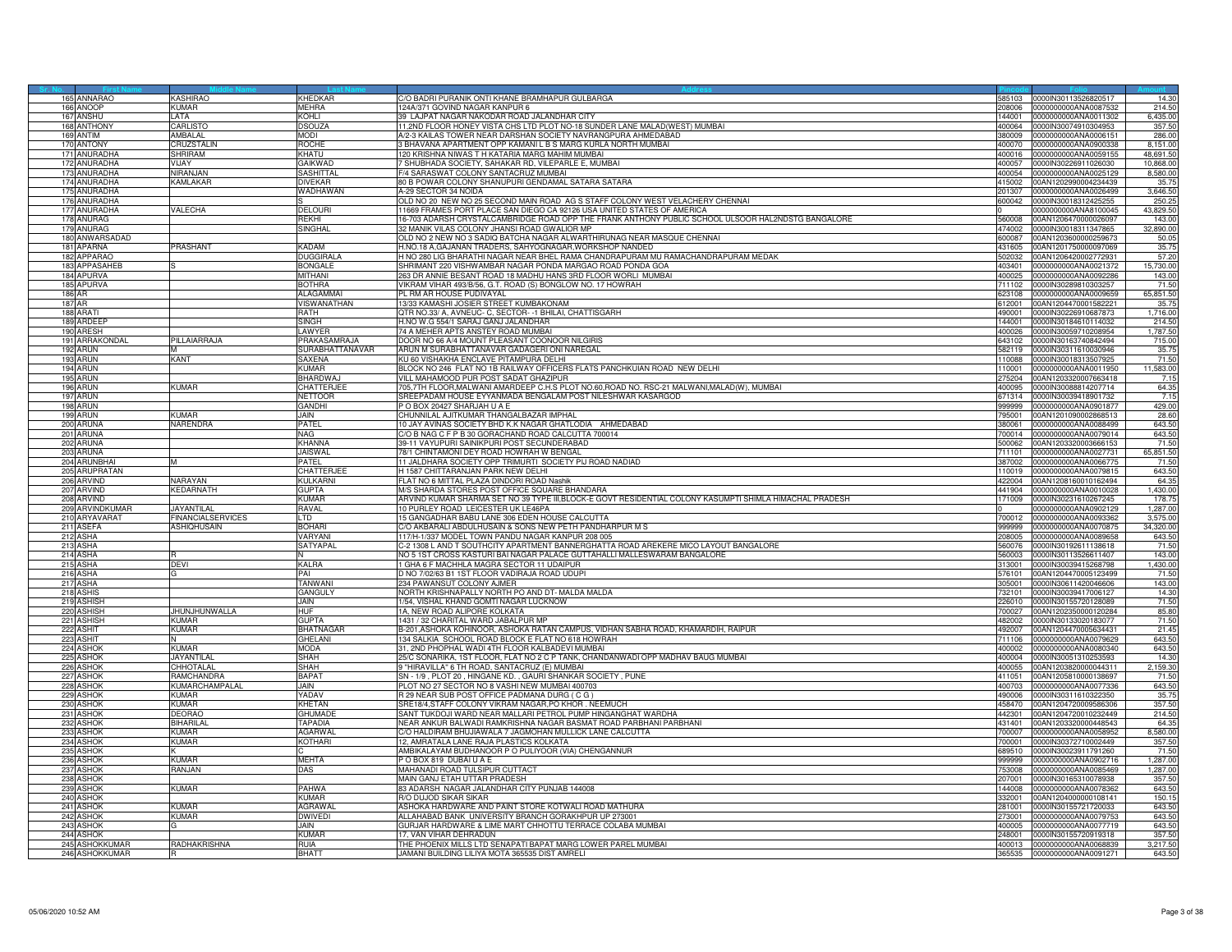| 165 ANNARAO                      | KASHIRAO                  | KHEDKAR                | C/O BADRI PURANIK ONTI KHANE BRAMHAPUR GULBARGA                                                                | 585103 | 0000IN30113526820517                                       | 14.30              |
|----------------------------------|---------------------------|------------------------|----------------------------------------------------------------------------------------------------------------|--------|------------------------------------------------------------|--------------------|
| 166 ANOOP                        | KUMAR                     | MEHRA                  | 124A/371 GOVIND NAGAR KANPUR 6                                                                                 | 208006 | 0000000000ANA0087532                                       | 214.50             |
| 167 ANSHU                        | I ATA                     | KOHI I                 | 39 LAJPAT NAGAR NAKODAR ROAD JALANDHAR CITY                                                                    | 144001 | 0000000000ANA0011302                                       | 6,435.00           |
|                                  |                           |                        |                                                                                                                |        |                                                            |                    |
| 168 ANTHONY                      | CARLISTO                  | <b>DSOUZA</b>          | 1,2ND FLOOR HONEY VISTA CHS LTD PLOT NO-18 SUNDER LANE MALAD(WEST) MUMBAI                                      | 00064  | 0000IN30074910304953                                       | 357.50             |
| 169 ANTIM                        | <b>AMBALAI</b>            | <b>NODI</b>            | V2-3 KAILAS TOWER NEAR DARSHAN SOCIETY NAVRANGPURA AHMEDABAD                                                   | 380009 | 0000000000ANA0006151                                       | 286.00             |
| 170 ANTONY                       | CRUZSTALIN                | ROCHE                  | BHAVANA APARTMENT OPP KAMANI L B S MARG KURLA NORTH MUMBAI                                                     | 400070 | 0000000000ANA0900338                                       | 8.151.00           |
| 171 ANURADHA                     | <b>SHRIRAM</b>            | KHATU                  | 120 KRISHNA NIWAS T H KATARIA MARG MAHIM MUMBAI                                                                |        | 400016 0000000000ANA0059155                                | 48,691.50          |
| 172 ANURADHA                     | <b>VLIAY</b>              | GAIKWAD                | 7 SHUBHADA SOCIETY, SAHAKAR RD, VILEPARLE E, MUMBAI                                                            | 400057 | 0000IN30226911026030                                       | 10,868.00          |
| 173 ANURADHA                     | <b>IIRANJAN</b>           | SASHITTAL              | -/4 SARASWAT COLONY SANTACRUZ MUMBAI                                                                           | 100054 | 0000000000ANA0025129                                       | 8,580.00           |
| 174 ANURADHA                     | <b>KAMLAKAR</b>           | <b>DIVEKAR</b>         | 80 B POWAR COLONY SHANUPURI GENDAMAL SATARA SATARA                                                             |        | 415002 00AN1202990004234439                                | 35.7               |
| 175 ANURADHA                     |                           | WADHAWAN               | A-29 SECTOR 34 NOIDA                                                                                           |        | 201307 0000000000ANA0026499                                | 3.646.50           |
|                                  |                           |                        |                                                                                                                |        |                                                            |                    |
| 176 ANURADHA                     |                           |                        | OLD NO 20 NEW NO 25 SECOND MAIN ROAD AG S STAFF COLONY WEST VELACHERY CHENNAI                                  |        | 600042 0000IN30018312425255                                | 250.25             |
| 177 ANURADHA                     | VALECHA                   | DELOURI                | 11669 FRAMES PORT PLACE SAN DIEGO CA 92126 USA UNITED STATES OF AMERICA                                        |        | 0000000000ANA8100045                                       | 43,829.50          |
| 178 ANURAG                       |                           | зекні                  | 6-703 ADARSH CRYSTALCAMBRIDGE ROAD OPP THE FRANK ANTHONY PUBLIC SCHOOL ULSOOR HAL2NDSTG BANGALORE              | 60008  | 00AN1206470000026097                                       | 143.00             |
| 179 ANURAG                       |                           | SINGHAL                | 32 MANIK VILAS COLONY JHANSI ROAD GWALIOR MP                                                                   |        | 474002 0000IN30018311347865                                | 32,890.00          |
| 180 ANWARSADAD                   |                           |                        | OLD NO 2 NEW NO 3 SADIQ BATCHA NAGAR ALWARTHIRUNAG NEAR MASQUE CHENNAI                                         | 600087 | 00AN1203600000259673                                       | 50.05              |
| 181 APARNA                       | PRASHANT                  | KADAM                  | H.NO.18 A,GAJANAN TRADERS, SAHYOGNAGAR,WORKSHOP NANDED                                                         | 431605 | 00AN1201750000097069                                       | 35.75              |
| 182 APPARAO                      |                           |                        | H NO 280 LIG BHARATHI NAGAR NEAR BHEL RAMA CHANDRAPURAM MU RAMACHANDRAPURAM MEDAK                              |        |                                                            |                    |
|                                  |                           | <b>DUGGIRALA</b>       |                                                                                                                | 502032 | 00AN1206420002772931                                       | 57.20              |
| 183 APPASAHEB                    |                           | <b>BONGALE</b>         | SHRIMANT 220 VISHWAMBAR NAGAR PONDA MARGAO ROAD PONDA GOA                                                      | 03401  | 0000000000ANA0021372                                       | 15,730.00          |
| 184 APURVA                       |                           | MITHANI                | 263 DR ANNIE BESANT ROAD 18 MADHU HANS 3RD FLOOR WORLI MUMBAI                                                  |        | 400025 0000000000ANA0092286                                | 143.00             |
| 185 APURVA                       |                           | BOTHRA                 | VIKRAM VIHAR 493/B/56, G.T. ROAD (S) BONGLOW NO. 17 HOWRAH                                                     |        | 711102 0000IN30289810303257                                | 71.50              |
| 186 AR                           |                           | ALAGAMMAI              | PL RM AR HOUSE PUDIVAYAL                                                                                       |        | 623108 0000000000ANA0009659                                | 65,851.50          |
| 187 AR                           |                           | VISWANATHAN            | 13/33 KAMASHI JOSIER STREET KUMBAKONAM                                                                         |        | 612001 00AN1204470001582221                                | 35.7               |
| 188 ARATI                        |                           | RATH                   | QTR NO.33/ A, AVNEUC- C, SECTOR- -1 BHILAI, CHATTISGARH                                                        | 90001  | 0000lN30226910687873                                       | 1,716.00           |
| 189 ARDEEF                       |                           | SINGH                  | I.NO W.G 554/1 SARAJ GANJ JALANDHAR                                                                            | 144001 |                                                            | 214.50             |
|                                  |                           |                        |                                                                                                                |        | 0000lN30184610114032                                       |                    |
| 190 ARESH                        |                           | LAWYER                 | 74 A MEHER APTS ANSTEY ROAD MUMBAI                                                                             |        | 400026 0000IN30059710208954                                | 1,787.50           |
| 191 ARRAKONDAL                   | PILLAIARRAJA              | PRAKASAMRAJA           | DOOR NO 66 A/4 MOUNT PLEASANT COONOOR NILGIRIS                                                                 |        | 643102 0000IN30163740842494                                | 715.00             |
| 192 ARUN                         | м                         | <b>SURABHATTANAVAR</b> | ARUN M SURABHATTANAVAR GADAGERI ONI NAREGAL                                                                    |        | 582119 0000IN30311610030946                                | 35.75              |
| 193<br>ARUN                      | KANT                      | SAXENA                 | KU 60 VISHAKHA ENCLAVE PITAMPURA DELHI                                                                         | 10088  | 0000lN30018313507925                                       | 71.50              |
| 194 ARUN                         |                           | KUMAR                  | BLOCK NO 246 FLAT NO 1B RAILWAY OFFICERS FLATS PANCHKUIAN ROAD NEW DELHI                                       |        | 110001 0000000000ANA0011950                                | 11,583.00          |
| 195 ARUN                         |                           | BHARDWA,               | VILL MAHAMOOD PUR POST SADAT GHAZIPUR                                                                          |        | 275204 00AN1203320007663418                                | 7.15               |
| 196 ARUN                         | <b>KUMAR</b>              | CHATTERJEE             | 705,7TH FLOOR,MALWANI AMARDEEP C.H.S PLOT NO.60,ROAD NO. RSC-21 MALWANI,MALAD(W), MUMBAI                       |        | 400095   0000IN30088814207714                              | 64.35              |
|                                  |                           | <b>NFTTOOR</b>         | REEPADAM HOUSE EYYANMADA BENGALAM POST NILESHWAR KASARGOD                                                      | 671314 | 0000IN30039418901732                                       | 7.15               |
| 197 ARUN                         |                           |                        |                                                                                                                |        |                                                            |                    |
| 198<br>ARUN                      |                           | <b>GANDHI</b>          | O BOX 20427 SHARJAH U A E                                                                                      | 99999  | 0000000000ANA0901877                                       | 429.00             |
| 199 ARUN                         | KIIMAR                    | MIAL.                  | CHUNNILAL AJITKUMAR THANGALBAZAR IMPHAL                                                                        | 795001 | 00AN1201090002868513                                       | 28.60              |
| 200 ARUNA                        | VARENDRA                  | PATEL                  | 10 JAY AVINAS SOCIETY BHD K.K NAGAR GHATLODIA AHMEDABAD                                                        | 380061 | 0000000000ANA0088499                                       | 643.50             |
| 201 ARUNA                        |                           | NAG                    | C/O B NAG C F P B 30 GORACHAND ROAD CALCUTTA 700014                                                            | 700014 | 0000000000ANA0079014                                       | 643.50             |
| 202 ARUNA                        |                           | KHANNA                 | 39-11 VAYUPURI SAINIKPURI POST SECUNDERABAD                                                                    | 500062 | 00AN1203320003666153                                       | 71.50              |
| 203 ARUNA                        |                           | <b>JAISWAL</b>         | 78/1 CHINTAMONI DEY ROAD HOWRAH W BENGAL                                                                       | 11101  | 0000000000ANA0027731                                       | 65,851.50          |
| 204 ARUNBHA                      |                           | <b>PATEL</b>           | 11 JALDHARA SOCIETY OPP TRIMURTI SOCIETY PIJ ROAD NADIAD                                                       |        | 387002 0000000000ANA0066775                                | 71.50              |
|                                  |                           |                        |                                                                                                                |        |                                                            |                    |
| 205 ARUPRATAI                    |                           | CHATTERJE              | H 1587 CHITTARANJAN PARK NEW DELHI                                                                             |        | 10019 0000000000ANA0079815                                 | 643.50             |
| 206 ARVIND                       | NARAYAN                   | KULKARNI               | FLAT NO 6 MITTAL PLAZA DINDORI ROAD Nashik                                                                     |        | 422004 00AN1208160010162494                                | 64.35              |
| 207 ARVIND                       | KEDARNATH                 | GUPTA                  | M/S SHARDA STORES POST OFFICE SQUARE BHANDARA                                                                  |        | 441904 0000000000ANA0010028                                | 1,430.00           |
| 208 ARVIND                       |                           | (UMAR                  | ARVIND KUMAR SHARMA SET NO 39 TYPE III,BLOCK-E GOVT RESIDENTIAL COLONY KASUMPTI SHIMLA HIMACHAL PRADESH        | 71009  | 0000lN30231610267245                                       | 178.7              |
| 209 ARVINDKUMAR                  | <b>JAYANTILAL</b>         | RAVAL                  | 10 PURLEY ROAD LEICESTER UK LE46PA                                                                             |        | 0000000000ANA0902129                                       | 1,287.00           |
| 210 ARYAVARAT                    | <b>FINANCIAL SERVICES</b> | LTD                    | 5 GANGADHAR BABU LANE 306 EDEN HOUSE CALCUTTA                                                                  | 700012 | 0000000000ANA0093362                                       | 3,575.00           |
| 211 ASEFA                        | <b>ASHIQHUSAIN</b>        | <b>BOHARI</b>          | C/O AKBARALI ABDULHUSAIN & SONS NEW PETH PANDHARPUR M S                                                        |        | 999999 0000000000ANA0070875                                | 34,320.00          |
|                                  |                           |                        |                                                                                                                |        |                                                            |                    |
| 212 ASHA                         |                           | VARYANI                | 117/H-1/337 MODEL TOWN PANDU NAGAR KANPUR 208 005                                                              | 208005 | 0000000000ANA0089658                                       | 643.50             |
| 213 ASHA                         |                           | SATYAPAL               | C-2 1308 L AND T SOUTHCITY APARTMENT BANNERGHATTA ROAD AREKERE MICO LAYOUT BANGALORE                           | 60076  | 0000lN30192611138618                                       | 71.50              |
| 214 ASHA                         |                           |                        | NO 5 1ST CROSS KASTURI BAI NAGAR PALACE GUTTAHALLI MALLESWARAM BANGALORE                                       |        | 560003  0000lN30113526611407                               | 143.00             |
| 215 ASHA                         | DEVI                      | KALRA                  | GHA 6 F MACHHLA MAGRA SECTOR 11 UDAIPUR                                                                        |        | 313001 0000lN30039415268798                                | 1,430.00           |
| 216 ASHA                         |                           | PAI                    | D NO 7/02/63 B1 1ST FLOOR VADIRAJA ROAD UDUPI                                                                  |        | 576101 00AN1204470005123499                                | 71.50              |
| 217 ASHA                         |                           | <b>TANWANI</b>         | 234 PAWANSUT COLONY AJMER                                                                                      |        | 305001 0000IN30611420046606                                | 143.00             |
| 218 ASHIS                        |                           | GANGULY                | VORTH KRISHNAPALLY NORTH PO AND DT-MALDA MALDA                                                                 | 32101  | 0000lN30039417006127                                       | 14.30              |
| 219 ASHISH                       |                           | <b>JAIN</b>            | 1/54, VISHAL KHAND GOMTI NAGAR LUCKNOW                                                                         | 226010 | 0000IN30155720128089                                       | 71.50              |
|                                  |                           |                        |                                                                                                                |        |                                                            |                    |
| 220 ASHISH                       | JHUNJHUNWALLA             | HUF                    | 1A, NEW ROAD ALIPORE KOLKATA                                                                                   | 700027 | 00AN1202350000120284                                       | 85.80              |
| 221 ASHISH                       | KUMAR                     | GUPTA                  | 1431 / 32 CHARITAL WARD JABALPUR MP                                                                            |        | 482002 0000lN30133020183077                                | 71.50              |
| 222 ASHIT                        | <b>KUMAR</b>              | BHATNAGAR              | B-201,ASHOKA KOHINOOR, ASHOKA RATAN CAMPUS, VIDHAN SABHA ROAD, KHAMARDIH, RAIPUR                               | 492007 | 00AN1204470005634431                                       | 21.45              |
| 223 ASHIT                        |                           | GHELANI                | 34 SALKIA SCHOOL ROAD BLOCK E FLAT NO 618 HOWRAH                                                               | 11106  | 0000000000ANA0079629                                       | 643.50             |
| 224 ASHOI                        | <b>KIMAR</b>              | MODA                   | 31, 2ND PHOPHAL WADI 4TH FLOOR KALBADEVI MUMBAI                                                                |        | 400002 0000000000ANA0080340                                | 643.50             |
| 225 ASHOK                        | JAYANTILAL                | SHAH                   | 25/C SONARIKA, 1ST FLOOR, FLAT NO 2 C P TANK, CHANDANWADI OPP MADHAV BAUG MUMBAI                               |        | 400004 0000IN30051310253593                                | 14.30              |
| 226 ASHOK                        | CHHOTALAL                 | SHAH                   | 9 "HIRAVILLA" 6 TH ROAD, SANTACRUZ (E) MUMBAI                                                                  | 400055 | 00AN1203820000044311                                       | 2,159.30           |
| 227 ASHOK                        | RAMCHANDRA                | <b>BAPAT</b>           | SN - 1/9 . PLOT 20 . HINGANE KD. . GAURI SHANKAR SOCIETY . PUNE                                                | 411051 | 00AN1205810000138697                                       | 71.50              |
| 228 ASHOK                        | KUMARCHAMPALAI            | JAIN                   | PLOT NO 27 SECTOR NO 8 VASHI NEW MUMBAI 400703                                                                 | 100703 | 0000000000ANA0077336                                       | 643.50             |
|                                  | KIIMAR                    | YADAV                  |                                                                                                                |        |                                                            | 35.75              |
| 229 ASHOK                        |                           |                        | R 29 NEAR SUB POST OFFICE PADMANA DURG (CG)                                                                    | 490006 | 0000IN30311610322350                                       |                    |
| 230 ASHOK                        | KUMAR                     | KHETAN                 | SRE18/4,STAFF COLONY VIKRAM NAGAR,PO KHOR . NEEMUCH                                                            | 458470 | 00AN1204720009586306                                       | 357.50             |
| 231 ASHOK                        | <b>DEORAO</b>             | <b>GHUMADI</b>         | SANT TUKDOJI WARD NEAR MALLARI PETROL PUMP HINGANGHAT WARDHA                                                   |        | 442301 00AN1204720010232449                                | 214.50             |
| 232 ASHOK                        | BIHARILAL                 | <b>TAPADIA</b>         | NEAR ANKUR BALWADI RAMKRISHNA NAGAR BASMAT ROAD PARBHANI PARBHANI                                              | 431401 | 00AN1203320000448543                                       | 64.35              |
| 233 ASHOK                        | KUMAR                     | <b>AGARWAL</b>         | C/O HALDIRAM BHUJIAWALA 7 JAGMOHAN MULLICK LANE CALCUTTA                                                       | 00007  | 0000000000ANA0058952                                       | 8,580.00           |
| 234 ASHOK                        | <b>KUMAR</b>              | KOTHARI                | 12, AMRATALA LANE RAJA PLASTICS KOLKATA                                                                        |        | 700001 0000lN30372710002449                                | 357.50             |
| 235 ASHOK                        |                           |                        | MBIKALAYAM BUDHANOOR P O PULIYOOR (VIA) CHENGANNUR                                                             |        | 689510 0000IN30023911791260                                | 71.50              |
|                                  |                           |                        |                                                                                                                |        | 999999 0000000000ANA0902716                                | 1,287.00           |
|                                  |                           |                        |                                                                                                                |        |                                                            |                    |
| 236 ASHOK                        | KIIMAR                    | MEHTA                  | O BOX 819 DUBAIU A E                                                                                           |        |                                                            |                    |
| 237 ASHOK                        | RANJAN                    | DAS                    | MAHANADI ROAD TULSIPUR CUTTACT                                                                                 | 53008  | 0000000000ANA0085469                                       | 1.287.00           |
| 238 ASHOK                        |                           |                        | <b>MAIN GANJ ETAH UTTAR PRADESH</b>                                                                            | 07001  | 0000IN30165310078938                                       | 357.50             |
| 239 ASHOK                        | KUMAR                     | PAHWA                  | 83 ADARSH NAGAR JALANDHAR CITY PUNJAB 144008                                                                   | 144008 | 0000000000ANA0078362                                       | 643.50             |
| 240 ASHOK                        |                           | KUMAR                  | <b>3/O DUJOD SIKAR SIKAR</b>                                                                                   | 32001  | 00AN1204000000108141                                       | 150.15             |
| 241 ASHOK                        | KUMAR                     | AGRAWAL                | ASHOKA HARDWARE AND PAINT STORE KOTWALI ROAD MATHURA                                                           | 281001 | 0000lN30155721720033                                       | 643.50             |
|                                  | <b>KUMAR</b>              | <b>DWIVEDI</b>         | ALLAHABAD BANK LINIVERSITY BRANCH GORAKHPUR UP 273001                                                          | 273001 | 0000000000ANA0079753                                       | 643.50             |
| 242 ASHOK                        |                           |                        |                                                                                                                |        |                                                            |                    |
| 243 ASHOK                        |                           | <b>JAIN</b>            | SURJAR HARDWARE & LIME MART CHHOTTU TERRACE COLABA MUMBAI                                                      | 100005 | 0000000000ANA0077719                                       | 643.50             |
| 244 ASHOK                        |                           | KI IMAR                | 17. VAN VIHAR DEHRADUN                                                                                         |        | 248001 0000lN30155720919318                                | 357.50             |
| 245 ASHOKKUMAF<br>246 ASHOKKUMAR | RADHAKRISHNA              | RUIA<br><b>BHAT</b>    | THE PHOENIX MILLS LTD SENAPATI BAPAT MARG LOWER PAREL MUMBAI<br>JAMANI BUILDING LILIYA MOTA 365535 DIST AMRELI |        | 400013 0000000000ANA0068839<br>365535 0000000000ANA0091271 | 3,217.50<br>643.50 |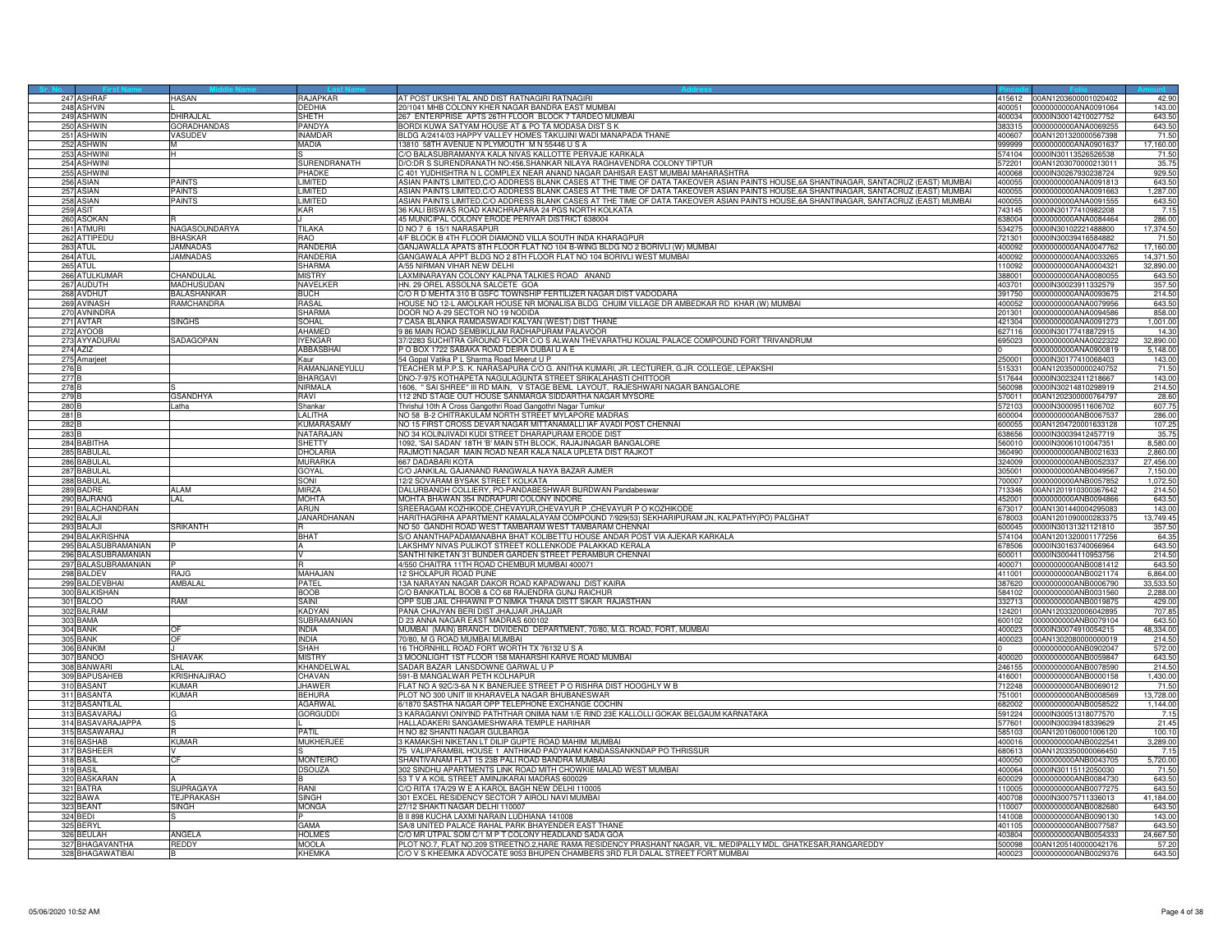|                 | 247 ASHRAF          | HASAN                       | RAJAPKAR          | AT POST UKSHI TAL AND DIST RATNAGIRI RATNAGIRI                                                                                         | 415612  | 00AN1203600001020402        | 42.90     |
|-----------------|---------------------|-----------------------------|-------------------|----------------------------------------------------------------------------------------------------------------------------------------|---------|-----------------------------|-----------|
|                 | 248 ASHVIN          |                             | <b>DEDHIA</b>     | 20/1041 MHB COLONY KHER NAGAR BANDRA EAST MUMBAI                                                                                       |         | 400051 0000000000ANA0091064 | 143.00    |
|                 | 249 ASHWIN          | <b>DHIRAJLAL</b>            | SHETH             | 267 ENTERPRISE APTS 26TH FLOOR BLOCK 7 TARDEO MUMBAI                                                                                   |         | 400034 0000IN30014210027752 | 643.50    |
|                 | 250 ASHWIN          | <b>GORADHANDAS</b>          | PANDYA            | BORDI KUWA SATYAM HOUSE AT & PO TA MODASA DIST S K                                                                                     | 383315  | 0000000000ANA0069255        | 643.50    |
| 251             | SHWIN               | <b>ASUDEV</b>               | <b>INAMDAF</b>    | BLDG A/2414/03 HAPPY VALLEY HOMES TAKUJINI WADI MANAPADA THANE                                                                         | 00607   | 0AN1201320000567398         | 71.50     |
|                 | 252 ASHWIN          |                             | MADIA             | 13810 58TH AVENUE N PLYMOUTH M N 55446 U S A                                                                                           | 999999  | 0000000000ANA0901637        | 17,160.00 |
|                 | 253 ASHWINI         |                             |                   | C/O BALASUBRAMANYA KALA NIVAS KALLOTTE PERVAJE KARKALA                                                                                 | 574104  | 0000IN30113526526538        | 71.50     |
|                 | 254 ASHWINI         |                             | SURENDRANATH      | D/O:DR S SURENDRANATH NO:456, SHANKAR NILAYA RAGHAVENDRA COLONY TIPTUR                                                                 | 572201  | 00AN1203070000213011        | 35.75     |
|                 | 255 ASHWINI         |                             | PHADKE            | C 401 YUDHISHTRA N L COMPLEX NEAR ANAND NAGAR DAHISAR EAST MUMBAI MAHARASHTRA                                                          | 400068  | 0000IN30267930238724        | 929.50    |
|                 | 256 ASIAN           | PAINTS                      | <b>IMITED</b>     | ASIAN PAINTS LIMITED,C/O ADDRESS BLANK CASES AT THE TIME OF DATA TAKEOVER ASIAN PAINTS HOUSE,6A SHANTINAGAR, SANTACRUZ (EAST) MUMBAI   | 400055  | 0000000000ANA0091813        | 643.50    |
|                 | 257 ASIAN           | PAINTS                      | <b>IMITED</b>     | ASIAN PAINTS LIMITED,C/O ADDRESS BLANK CASES AT THE TIME OF DATA TAKEOVER ASIAN PAINTS HOUSE,6A SHANTINAGAR, SANTACRUZ (EAST) MUMBAI   | 400055  | 0000000000ANA0091663        | 1,287.00  |
|                 | 258 ASIAN           | PAINTS                      | LIMITED           | ASIAN PAINTS LIMITED, C/O ADDRESS BLANK CASES AT THE TIME OF DATA TAKEOVER ASIAN PAINTS HOUSE, 6A SHANTINAGAR, SANTACRUZ (EAST) MUMBAI | 400055  | 0000000000ANA0091555        | 643.50    |
|                 | 259 ASIT            |                             | KAR               | 36 KALI BISWAS ROAD KANCHRAPARA 24 PGS NORTH KOLKATA                                                                                   | 743145  | 0000IN30177410982208        | 7.15      |
|                 | 260 ASOKAN          |                             |                   | 45 MUNICIPAL COLONY ERODE PERIYAR DISTRICT 638004                                                                                      | 638004  | 0000000000ANA0084464        | 286.00    |
|                 | 261 ATMURI          | NAGASOUNDARYA               | TILAKA            | NO 7 6 15/1 NARASAPUR                                                                                                                  | 34275   | 0000IN30102221488800        | 17,374.50 |
|                 | 262 ATTIPEDU        | BHASKAR                     | <b>RAO</b>        | 4/F BLOCK B 4TH FLOOR DIAMOND VILLA SOUTH INDA KHARAGPUR                                                                               | 721301  | 0000IN30039416584882        | 71.50     |
|                 | 263 ATUL            | <b>JAMNADAS</b>             | RANDERIA          | GANJAWALLA APATS 8TH FLOOR FLAT NO 104 B-WING BLDG NO 2 BORIVLI (W) MUMBAI                                                             | 400092  | 0000000000ANA0047762        | 17,160.00 |
|                 | 264 ATUL            | <b>JAMNADAS</b>             | <b>RANDERIA</b>   | GANGAWALA APPT BLDG NO 2 8TH FLOOR FLAT NO 104 BORIVLI WEST MUMBAI                                                                     | 400092  | 0000000000ANA0033265        | 14,371.50 |
|                 | 265 ATUL            |                             | <b>SHARMA</b>     | A/55 NIRMAN VIHAR NEW DELHI                                                                                                            | 110092  | 0000000000ANA0004321        | 32,890.00 |
|                 | 266 ATULKUMAR       | <b>HANDULAL</b>             | <b>MISTRY</b>     | LAXMINARAYAN COLONY KALPNA TALKIES ROAD ANAND                                                                                          | 88001   | 0000000000ANA0080055        | 643.5     |
|                 | 267 AUDUTH          | MADHUSUDAN                  | <b>NAVELKE</b>    | HN. 29 OREL ASSOLNA SALCETE GOA                                                                                                        | 403701  | 0000IN30023911332579        | 357.50    |
|                 | 268 AVDHUT          | <b>BALASHANKAR</b>          | <b>BUCH</b>       | C/O R D MEHTA 310 B GSFC TOWNSHIP FERTILIZER NAGAR DIST VADODARA                                                                       | 391750  | 0000000000ANA0093675        | 214.50    |
|                 | 269 AVINASH         | RAMCHANDRA                  | RASAL             | HOUSE NO 12-L AMOLKAR HOUSE NR MONALISA BLDG  CHUIM VILLAGE DR AMBEDKAR RD  KHAR (W) MUMBAI                                            | 400052  | 0000000000ANA0079956        | 643.50    |
|                 | 270 AVNINDRA        |                             | SHARMA            | DOOR NO A-29 SECTOR NO 19 NODIDA                                                                                                       | 201301  | 0000000000ANA0094586        | 858.00    |
|                 | 271 AVTAR           | <b>SINGHS</b>               | SOHAL             | 7 CASA BLANKA RAMDASWADI KALYAN (WEST) DIST THANE                                                                                      | 421304  | 0000000000ANA0091273        | 1,001.00  |
|                 | 272 AYOOB           |                             | AHAMED            | 986 MAIN ROAD SEMBIKULAM RADHAPURAM PALAVOOR                                                                                           | 627116  | 0000IN30177418872915        | 14.3      |
|                 | 273 AYYADURA        | SADAGOPAN                   | <b>IYENGAR</b>    | 37/2283 SUCHITRA GROUND FLOOR C/O S ALWAN THEVARATHU KOIJAL PALACE COMPOUND FORT TRIVANDRUM                                            | \$95023 | 0000000000ANA0022322        | 32,890.00 |
|                 | 274 AZIZ            |                             | <b>ABBASBHA</b>   | P O BOX 1722 SABAKA ROAD DEIRA DUBAI U A E                                                                                             |         | 0000000000ANA0900819        | 5,148.00  |
|                 | 275 Amarjeet        |                             | Kaur              | 54 Gopal Vatika P L Sharma Road Meerut U P                                                                                             | 250001  | 0000lN30177410068403        | 143.00    |
| 276             |                     |                             | RAMANJANEYULU     | TEACHER M.P.P.S. K. NARASAPURA C/O G. ANITHA KUMARI, JR. LECTURER, G.JR. COLLEGE, LEPAKSHI                                             | 515331  | 00AN1203500000240752        | 71.50     |
| 277 B           |                     |                             | <b>BHARGAVI</b>   | DNO-7-975 KOTHAPETA NAGULAGUNTA STREET SRIKALAHASTI CHITTOOR                                                                           |         | 517644 0000lN30232411218667 | 143.00    |
| 278             |                     |                             | NIRMALA           | 1606, "SAI SHREE" III RD MAIN, V STAGE BEML LAYOUT, RAJESHWARI NAGAR BANGALORE                                                         | 560098  | 0000lN30214810298919        | 214.50    |
| 279 E           |                     | <b>GSANDHYA</b>             | RAVI              | 112 2ND STAGE OUT HOUSE SANMARGA SIDDARTHA NAGAR MYSORE                                                                                | 570011  | 00AN1202300000764797        | 28.60     |
| 280             |                     | atha                        | Shankar           | Thrishul 10th A Cross Gangothri Road Gangothri Nagar Tumkur                                                                            | 72103   | 0000IN30009511606702        | 607.75    |
| 281             |                     |                             | LALITHA           | NO 58 B-2 CHITRAKULAM NORTH STREET MYLAPORE MADRAS                                                                                     | 600004  | 0000000000ANB0067537        | 286.00    |
| 282 B           |                     |                             | <b>KUMARASAMY</b> | NO 15 FIRST CROSS DEVAR NAGAR MITTANAMALLI IAF AVADI POST CHENNAI                                                                      |         | 600055 00AN1204720001633128 | 107.25    |
| 283             |                     |                             | NATARAJAN         | NO 34 KOLINJIVADI KUDI STREET DHARAPURAM ERODE DIST                                                                                    | 338656  | 0000IN30039412457719        | 35.75     |
|                 | 284 BABITHA         |                             | <b>SHETTY</b>     | 1092, 'SAI SADAN' 18TH 'B' MAIN 5TH BLOCK, RAJAJINAGAR BANGALORE                                                                       | 560010  | 0000lN30061010047351        | 8,580.00  |
| 285             | ABULAL              |                             | <b>DHOLARIA</b>   | RAJMOTI NAGAR MAIN ROAD NEAR KALA NALA UPLETA DIST RAJKOT                                                                              | 60490   | 0000000000ANB0021633        | 2,860.00  |
|                 | 286 BABULAL         |                             | <b>MURARKA</b>    | 667 DADABARI KOTA                                                                                                                      | 324009  | 0000000000ANB0052337        | 27,456.00 |
| 287             | <b>BABULAL</b>      |                             | GOYAL             | C/O JANKILAL GAJANAND RANGWALA NAYA BAZAR AJMER                                                                                        | 305001  | 0000000000ANB0049567        | 7.150.00  |
| 288             | <b>BABULAL</b>      |                             | SONI              | 12/2 SOVARAM BYSAK STREET KOLKATA                                                                                                      | 700007  | 0000000000ANB0057852        | 1,072.50  |
| 289             | <b>BADRE</b>        | AI AM                       | MIR7A             | ALURBANDH COLLIERY, PO-PANDABESHWAR BURDWAN Pandabeswar                                                                                | 713346  | 00AN1201910300367642        | 214.50    |
| 290             | <b>AJRANG</b>       | AL                          | MOHTA             | MOHTA BHAWAN 354 INDRAPURI COLONY INDORE                                                                                               | 52001   | 0000000000ANB0094866        | 643.50    |
| 291             | <b>BALACHANDRAN</b> |                             | <b>ARUN</b>       | SREERAGAM KOZHIKODE,CHEVAYUR,CHEVAYUR P ,CHEVAYUR P O KOZHIKODE                                                                        | 373017  | 00AN1301440004295083        | 143.00    |
|                 | 292 BALAJI          |                             | JANARDHANAN       | HARITHAGRIHA APARTMENT KAMALALAYAM COMPOUND 7/929(53) SEKHARIPURAM JN, KALPATHY(PO) PALGHAT                                            | 678003  | 00AN1201090000283375        | 13.749.45 |
|                 | 293 BALAJI          | SRIKANTH                    |                   | NO 50 GANDHI ROAD WEST TAMBARAM WEST TAMBARAM CHENNAI                                                                                  | 600045  | 0000lN30131321121810        | 357.50    |
|                 | 294 BALAKRISHNA     |                             | <b>BHAT</b>       | S/O ANANTHAPADAMANABHA BHAT KOLIBETTU HOUSE ANDAR POST VIA AJEKAR KARKALA                                                              | 574104  | 00AN1201320001177256        | 64.35     |
| 295             | ALASUBRAMANIAN      |                             |                   | AKSHMY NIVAS PULIKOT STREET KOLLENKODE PALAKKAD KERALA                                                                                 | 78506   | 0000lN30163740066964        | 643.50    |
|                 | 296 BALASUBRAMANIAN |                             |                   | SANTHI NIKETAN 31 BUNDER GARDEN STREET PERAMBUR CHENNAI                                                                                | 600011  | 0000lN30044110953756        | 214.50    |
|                 | 297 BALASUBRAMANIAN |                             |                   | 4/550 CHAITRA 11TH ROAD CHEMBUR MUMBAI 400071                                                                                          | 400071  | 0000000000ANB0081412        | 643.50    |
|                 | 298 BALDEV          | <b>RAJG</b>                 | MAHA.JAN          | 12 SHOLAPUR ROAD PUNE                                                                                                                  | 411001  | 0000000000ANB0021174        | 6,864.00  |
|                 | 299 BALDEVBHAI      | AMBALAL                     | <b>PATEL</b>      | 13A NARAYAN NAGAR DAKOR ROAD KAPADWANJ DIST KAIRA                                                                                      | 387620  | 0000000000ANB0006790        | 33,533.50 |
| 300             | ALKISHAN            |                             | <b>BOOB</b>       | O BANKATLAL BOOB & CO 68 RAJENDRA GUNJ RAICHUR                                                                                         | 84102   | 0000000000ANB0031560        | 2,288.00  |
|                 | 301 BALOO           | <b>AM</b>                   | SAINI             | OPP SUB JAIL CHHAWNI P O NIMKA THANA DISTT SIKAR RAJASTHAN                                                                             | 32713   | 0000000000ANB0019875        | 429.00    |
|                 | 302 BALRAM          |                             | <b>KADYAN</b>     | PANA CHAJYAN BERI DIST JHAJJAR JHAJJAR                                                                                                 | 124201  | 00AN1203320006042895        | 707.85    |
|                 | 303 BAMA            |                             | SUBRAMANIAN       | D 23 ANNA NAGAR EAST MADRAS 600102                                                                                                     | 600102  | 0000000000ANB0079104        | 643.50    |
|                 | 304 BANK            | DЕ                          | <b>INDIA</b>      | MUMBAI (MAIN) BRANCH. DIVIDEND DEPARTMENT, 70/80, M.G. ROAD, FORT, MUMBAI                                                              | 400023  | 0000IN30074910054215        | 48,334.00 |
| 30 <sub>5</sub> | ANK                 |                             | <b>INDIA</b>      | 70/80, M G ROAD MUMBAI MUMBAI                                                                                                          | 400023  | 00AN1302080000000019        | 214.50    |
| 30 <sub>F</sub> | <b>BANKIM</b>       |                             | SHAH              | 16 THORNHILL ROAD FORT WORTH TX 76132 U S A                                                                                            |         | 0000000000ANB0902047        | 572.0     |
| 30 <sub>7</sub> | <b>BANOO</b>        | SHIAVAK                     | <b>MISTRY</b>     | 3 MOONLIGHT 1ST FLOOR 158 MAHARSHI KARVE ROAD MUMBAI                                                                                   | 400020  | 0000000000ANB0059847        | 643.50    |
|                 | 308 BANWARI         | AI                          | KHANDELWAL        | SADAR BAZAR LANSDOWNE GARWAL U P                                                                                                       | 246155  | 0000000000ANB0078590        | 214.50    |
| 309             | <b>BAPUSAHEE</b>    | <b><i>(RISHNAJIRAO)</i></b> | CHAVAN            | 591-B MANGALWAR PETH KOLHAPUR                                                                                                          | 416001  | 0000000000ANB0000158        | 1,430.00  |
|                 | 310 BASANT          | (UMAR                       | <b>JHAWER</b>     | FLAT NO A 92C/3-6A N K BANERJEE STREET P O RISHRA DIST HOOGHLY W B                                                                     | 12248   | 0000000000ANB0069012        | 71.50     |
|                 | 311 BASANTA         | KI IMAR                     | REHI IRA          | PLOT NO 300 UNIT III KHARAVELA NAGAR BHUBANESWAR                                                                                       | 751001  | 0000000000ANB0008569        | 13,728.00 |
|                 | 312 BASANTILAI      |                             | <b>AGARWA</b>     | 6/1870 SASTHA NAGAR OPP TELEPHONE EXCHANGE COCHIN                                                                                      | 82002   | 0000000000ANB0058522        | 1,144.00  |
|                 | 313 BASAVARAJ       |                             | <b>GORGUDDI</b>   | 3 KARAGANVI ONIYIND PATHTHAR ONIMA NAM 1/E RIND 23E KALLOLLI GOKAK BELGAUM KARNATAKA                                                   | 591224  | 0000IN30051318077570        | 7.15      |
|                 | 314 BASAVARA JAPPA  |                             |                   | HALLADAKERI SANGAMESHWARA TEMPLE HARIHAR                                                                                               | 577601  | 0000IN30039418339629        | 21.45     |
|                 | 315 BASAWARAJ       |                             | PATIL             | H NO 82 SHANTI NAGAR GULBARGA                                                                                                          | 585103  | 00AN1201060001006120        | 100.10    |
|                 | 316 BASHAB          | KUMAR                       | <b>MUKHERJEE</b>  | 3 KAMAKSHI NIKETAN LT DILIP GUPTE ROAD MAHIM MUMBAI                                                                                    | 400016  | 0000000000ANB0022541        | 3,289.00  |
|                 | 317 BASHEER         |                             |                   | 5 VALIPARAMBIL HOUSE 1 ANTHIKAD PADYAIAM KANDASSANKNDAP PO THRISSUR                                                                    | 680613  | 00AN1203350000066450        | 7.15      |
|                 | 318 BASIL           | СF                          | <b>MONTEIRO</b>   | SHANTIVANAM FLAT 15 23B PALI ROAD BANDRA MUMBAI                                                                                        | 400050  | 0000000000ANB0043705        | 5,720.00  |
| 319             | ASIL                |                             | <b>DSOUZA</b>     | 02 SINDHU APARTMENTS LINK ROAD MITH CHOWKIE MALAD WEST MUMBAI                                                                          | 400064  | 0000lN30115112050030        | 71.50     |
|                 | 320 BASKARAN        |                             |                   | 53 T V A KOIL STREET AMINJIKARAI MADRAS 600029                                                                                         | 600029  | 0000000000ANB0084730        | 643.50    |
|                 | 321 BATRA           | SUPRAGAYA                   | RANI              | C/O RITA 17A/29 W E A KAROL BAGH NEW DELHI 110005                                                                                      | 110005  | 0000000000ANB0077275        | 643.50    |
|                 | 322 BAWA            | <b>EJPRAKASH</b>            | <b>SINGH</b>      | 301 EXCEL RESIDENCY SECTOR 7 AIROLI NAVI MUMBAI                                                                                        | 400708  | 0000IN30075711336013        | 41,184.00 |
| 323             | <b>BEANT</b>        | <b>SINGH</b>                | MONGA             | 27/12 SHAKTI NAGAR DELHI 110007                                                                                                        | 110007  | 0000000000ANB0082680        | 643.50    |
| 324             | ΙĒ                  |                             |                   | B II 898 KUCHA LAXMI NARAIN LUDHIANA 141008                                                                                            | 41008   | 0000000000ANB0090130        | 143.00    |
| 325             | BERYL               |                             | GAMA              | SA/8 UNITED PALACE RAHAL PARK BHAYENDER EAST THANE                                                                                     | 401105  | 0000000000ANB0077587        | 643.50    |
|                 | 326 BEULAH          | ANGELA                      | <b>HOLMES</b>     | C/O MR UTPAL SOM C/1 M P T COLONY HEADLAND SADA GOA                                                                                    |         | 403804 0000000000ANB0054333 | 24.667.50 |
|                 | 327 BHAGAVANTHA     | REDDY                       | <b>MOOLA</b>      | PLOT NO.7, FLAT NO.209 STREETNO.2,HARE RAMA RESIDENCY PRASHANT NAGAR, VIL. MEDIPALLY MDL. GHATKESAR,RANGAREDDY                         | 500098  | 00AN1205140000042176        | 57.20     |
|                 | 328 BHAGAWATIBAI    |                             | <b>KHFMKA</b>     | C/O V S KHEEMKA ADVOCATE 9053 BHUPEN CHAMBERS 3RD FLR DALAL STREET FORT MUMBAI                                                         |         | 400023 0000000000ANB0029376 | 643.50    |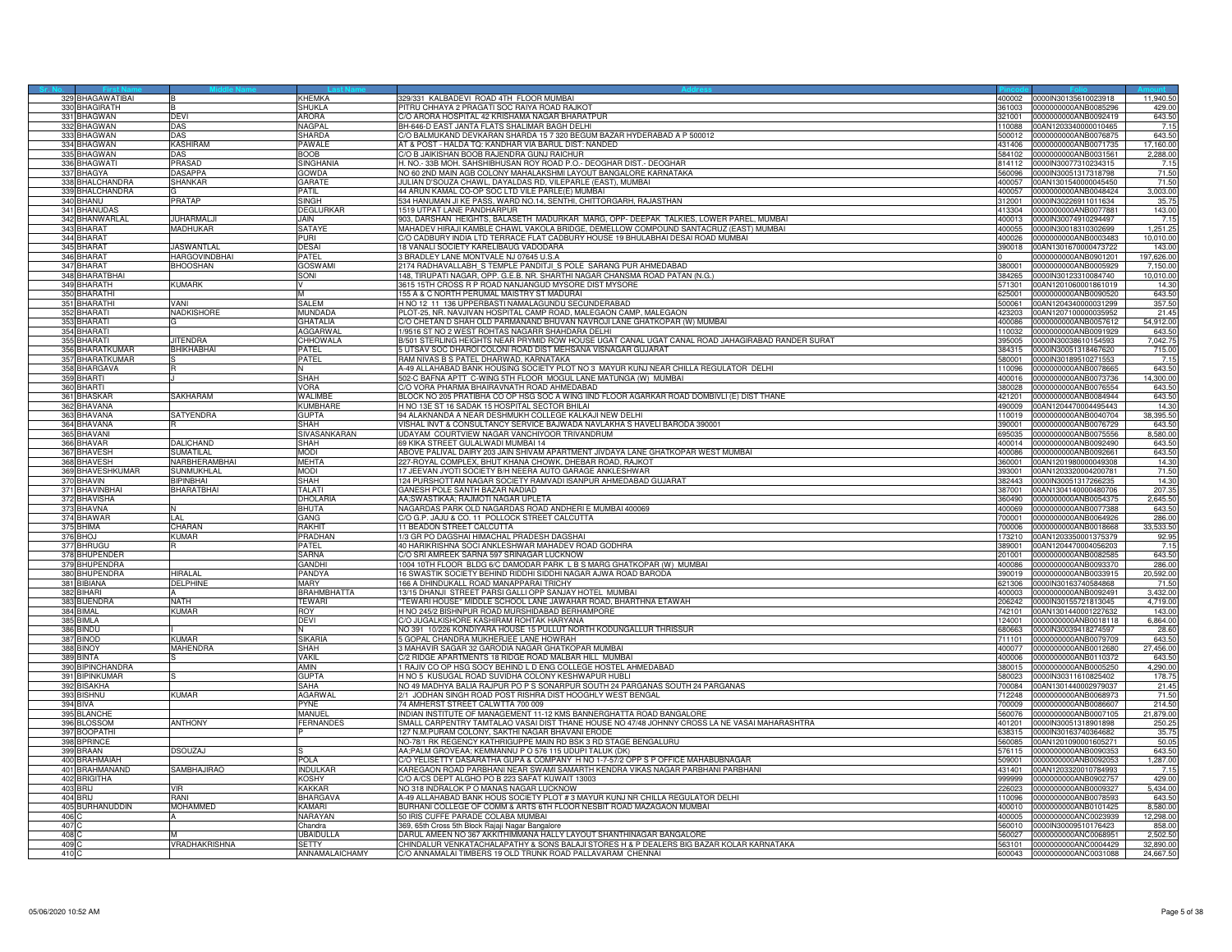|                  | 329 BHAGAWATIBAI |                      | KHEMKA             | 329/331 KALBADEVI ROAD 4TH FLOOR MUMBAI<br>400002                                                          | 0000IN30135610023918        | 11,940.50  |
|------------------|------------------|----------------------|--------------------|------------------------------------------------------------------------------------------------------------|-----------------------------|------------|
|                  | 330 BHAGIRATH    |                      | <b>SHUKLA</b>      | PITRU CHHAYA 2 PRAGATI SOC RAIYA ROAD RAJKOT<br>361003                                                     | 0000000000ANB0085296        | 429.00     |
|                  | 331 BHAGWAN      | <b>DEVI</b>          | <b>ARORA</b>       | C/O ARORA HOSPITAL 42 KRISHAMA NAGAR BHARATPUR<br>321001                                                   | 0000000000ANB0092419        | 643.50     |
|                  | 332 BHAGWAN      | DAS                  | NAGPAL             | BH-646-D EAST JANTA FLATS SHALIMAR BAGH DELHI<br>110088                                                    | 00AN1203340000010465        | 7.15       |
|                  | 333 BHAGWAN      | <b>DAS</b>           | SHARDA             | O BALMUKAND DEVKARAN SHARDA 15 7 320 BEGUM BAZAR HYDERABAD A P 500012<br>00012                             | 000000000ANB0076875         | 643.50     |
|                  | 334 BHAGWAN      | <b>KASHIRAM</b>      | PAWALE             | AT & POST - HALDA TQ: KANDHAR VIA BARUL DIST: NANDED<br>431406                                             | 0000000000ANB0071735        | 17,160.00  |
|                  | 335 BHAGWAN      | DAS                  | BOOB               | C/O B JAIKISHAN BOOB RAJENDRA GUNJ RAICHUR<br>584102                                                       | 0000000000ANB0031561        | 2,288.00   |
|                  |                  |                      |                    |                                                                                                            |                             |            |
|                  | 336 BHAGWATI     | <b>PRASAD</b>        | <b>SINGHANIA</b>   | H. NO.- 33B MOH. SAHSHIBHUSAN ROY ROAD P.O.- DEOGHAR DIST.- DEOGHAR<br>814112                              | 0000IN30077310234315        | 7.15       |
|                  | 337 BHAGYA       | <b>DASAPPA</b>       | gowda              | NO 60 2ND MAIN AGB COLONY MAHALAKSHMI LAYOUT BANGALORE KARNATAKA<br>560096                                 | 0000IN30051317318798        | 71.50      |
|                  | 338 BHALCHANDRA  | <b>SHANKAR</b>       | <b>GARATE</b>      | JULIAN D'SOUZA CHAWL, DAYALDAS RD, VILEPARLE (EAST), MUMBAI<br>100057                                      | 00AN1301540000045450        | 71.50      |
|                  | 339 BHALCHANDRA  |                      | PATIL              | 44 ARUN KAMAL CO-OP SOC LTD VILE PARLE(E) MUMBAI<br>400057                                                 | 0000000000ANB0048424        | 3,003.00   |
|                  | 340 BHANU        | PRATAP               | SINGH              | 534 HANUMAN JI KE PASS, WARD NO.14, SENTHI, CHITTORGARH, RAJASTHAN<br>312001                               | 0000IN30226911011634        | 35.75      |
|                  | 341 BHANUDAS     |                      | DEGLURKAR          | 1519 UTPAT LANE PANDHARPUR<br>413304                                                                       | 0000000000ANB0077881        | 143.00     |
|                  | 342 BHANWARLAI   | <b>JUHARMALJI</b>    | JAIN.              | 903, DARSHAN HEIGHTS, BALASETH MADURKAR MARG, OPP- DEEPAK TALKIES, LOWER PAREL, MUMBAI<br>400013           | 0000IN30074910294497        | 7.15       |
|                  | 343 BHARAT       | MADHUKAR             | SATAYE             | MAHADEV HIRAJI KAMBLE CHAWL VAKOLA BRIDGE, DEMELLOW COMPOUND SANTACRUZ (EAST) MUMBAI<br>400055             | 0000IN30018310302699        | 1,251.25   |
|                  | 344 BHARAT       |                      | PHRI               | C/O CADBURY INDIA LTD TERRACE FLAT CADBURY HOUSE 19 BHULABHAI DESAI ROAD MUMBAI<br>400026                  | 0000000000ANB0003483        | 10,010.00  |
|                  | 345 BHARAT       | <b>JASWANTLAL</b>    | DESAI              | 18 VANALI SOCIETY KARELIBAUG VADODARA<br>390018                                                            | 00AN1301670000473722        | 143.00     |
|                  | 346 BHARAT       | <b>HARGOVINDBHAI</b> | PATFI              | 3 BRADLEY LANE MONTVALE NJ 07645 U.S.A                                                                     | 0000000000ANB0901201        | 197,626.00 |
|                  |                  | <b>BHOOSHAN</b>      | GOSWAM             |                                                                                                            | 0000000000ANB0005929        |            |
|                  | 347 BHARAT       |                      |                    | 2174 RADHAVALLABH S TEMPLE PANDITJI S POLE SARANG PUR AHMEDABAD<br>380001                                  |                             | 7,150.00   |
|                  | 348 BHARATBHAI   |                      | SONI               | 148, TIRUPATI NAGAR, OPP. G.E.B. NR. SHARTHI NAGAR CHANSMA ROAD PATAN (N.G.)<br>84265                      | 0000IN30123310084740        | 10,010.00  |
|                  | 349 BHARATH      | <b>KUMARK</b>        |                    | 3615 15TH CROSS R P ROAD NANJANGUD MYSORE DIST MYSORE<br>571301                                            | 00AN1201060001861019        | 14.30      |
|                  | 350 BHARATH      |                      |                    | 155 A & C NORTH PERUMAL MAISTRY ST MADURAI<br>625001                                                       | 0000000000ANB0090520        | 643.50     |
|                  | 351 BHARATHI     | VANI                 | SAI FM             | H NO 12 11 136 UPPERBASTI NAMALAGUNDU SECUNDERABAD<br>500061                                               | 00AN1204340000031299        | 357.50     |
|                  | 352 BHARATI      | <b>NADKISHORE</b>    | <b>MUNDADA</b>     | PLOT-25, NR. NAVJIVAN HOSPITAL CAMP ROAD, MALEGAON CAMP, MALEGAON<br>423203                                | 00AN1207100000035952        | 21.45      |
| 353              | <b>BHARATI</b>   |                      | <b>GHATALIA</b>    | /O CHETAN D SHAH OLD PARMANAND BHUVAN NAVROJI LANE GHATKOPAR (W) MUMBAI<br>400086                          | 0000000000ANB0057612        | 54,912.00  |
|                  | 354 BHARATI      |                      | <b>AGGARWAL</b>    | 1/9516 ST NO 2 WEST ROHTAS NAGARR SHAHDARA DELHI<br>110032                                                 | 0000000000ANB0091929        | 643.50     |
|                  | 355 BHARATI      | <b>JITENDRA</b>      | CHHOWALA           | 3/501 STERLING HEIGHTS NEAR PRYMID ROW HOUSE UGAT CANAL UGAT CANAL ROAD JAHAGIRABAD RANDER SURAT<br>395005 | 0000IN30038610154593        | 7,042.7    |
|                  | 356 BHARATKUMAR  | <b>BHIKHABHAI</b>    | PATFI              | 5 UTSAV SOC DHAROI COLONI ROAD DIST MEHSANA VISNAGAR GUJARAT<br>384315                                     | 0000lN30051318467620        | 715.00     |
|                  | 357 BHARATKUMAR  |                      | PATEL              | RAM NIVAS B S PATEL DHARWAD. KARNATAKA<br>580001                                                           | 0000IN30189510271553        | 7.15       |
|                  |                  |                      |                    |                                                                                                            |                             |            |
|                  | 358 BHARGAVA     |                      |                    | 4-49 ALLAHABAD BANK HOUSING SOCIETY PLOT NO 3 MAYUR KUNJ NEAR CHILLA REGULATOR DELHI<br>10096              | 0000000000ANB0078665        | 643.50     |
|                  | 359 BHARTI       |                      | SHAH               | 502-C BAFNA APTT C-WING 5TH FLOOR MOGUL LANE MATUNGA (W) MUMBAI<br>400016                                  | 0000000000ANB0073736        | 14,300.00  |
|                  | 360 BHARTI       |                      | VORA               | C/O VORA PHARMA BHAIRAVNATH ROAD AHMEDABAD<br>380028                                                       | 0000000000ANB0076554        | 643.50     |
|                  | 361 BHASKAR      | SAKHARAM             | <b>WALIMBE</b>     | BLOCK NO 205 PRATIBHA CO OP HSG SOC A WING IIND FLOOR AGARKAR ROAD DOMBIVLI (E) DIST THANE<br>421201       | 0000000000ANB0084944        | 643.50     |
| 362              | <b>BHAVANA</b>   |                      | KUMBHARE           | H NO 13E ST 16 SADAK 15 HOSPITAL SECTOR BHILAI<br>190009                                                   | 00AN1204470004495443        | 14.30      |
|                  | 363 BHAVANA      | SATYENDRA            | <b>GUPTA</b>       | 94 ALAKNANDA A NEAR DESHMUKH COLLEGE KALKAJI NEW DELHI<br>110019                                           | 0000000000ANB0040704        | 38,395.50  |
|                  | 364 BHAVANA      |                      | SHAH               | VISHAL INVT & CONSULTANCY SERVICE BAJWADA NAVLAKHA S HAVELI BARODA 390001<br>390001                        | 0000000000ANB0076729        | 643.50     |
|                  | 365 BHAVANI      |                      | SIVASANKARAN       | UDAYAM COURTVIEW NAGAR VANCHIYOOR TRIVANDRUM<br>395035                                                     | 0000000000ANB0075556        | 8,580.00   |
|                  | 366 BHAVAR       | <b>DALICHAND</b>     | SHAH               | 69 KIKA STREET GULALWADI MUMBAI 14<br>400014                                                               | 0000000000ANB0092490        | 643.50     |
|                  | 367 BHAVESH      | SLIMATII AL          | Modi               | ABOVE PALIVAL DAIRY 203 JAIN SHIVAM APARTMENT JIVDAYA LANE GHATKOPAR WEST MUMBAI<br>400086                 | 0000000000ANB0092661        | 643.50     |
|                  |                  |                      |                    |                                                                                                            |                             |            |
|                  | 368 BHAVESH      | NARBHERAMBHAI        | <b>MEHTA</b>       | 227-ROYAL COMPLEX, BHUT KHANA CHOWK, DHEBAR ROAD, RAJKOT<br>360001                                         | 00AN1201980000049308        | 14.30      |
|                  | 369 BHAVESHKUMAR | SUNMUKHLAL           | <b>MODI</b>        | 17 JEEVAN JYOTI SOCIETY B/H NEERA AUTO GARAGE ANKLESHWAR<br>393001                                         | 00AN1203320004200781        | 71.50      |
|                  | 370 BHAVIN       | <b>BIPINBHAI</b>     | <b>SHAH</b>        | 124 PURSHOTTAM NAGAR SOCIETY RAMVADI ISANPUR AHMEDABAD GUJARAT<br>382443                                   | 0000IN30051317266235        | 14.30      |
|                  | 371 BHAVINBHA    | <b>BHARATBHAI</b>    | TALATI             | GANESH POLE SANTH BAZAR NADIAD<br>387001                                                                   | 00AN1304140000480706        | 207.35     |
|                  | 372 BHAVISHA     |                      | <b>HOLARIA</b>     | AA;SWASTIKAA; RAJMOTI NAGAR UPLETA<br>360490                                                               | 0000000000ANB0054375        | 2,645.50   |
|                  | 373 BHAVNA       |                      | BHUTA              | NAGARDAS PARK OLD NAGARDAS ROAD ANDHERI E MUMBAI 400069<br>400069                                          | 0000000000ANB0077388        | 643.50     |
|                  | 374 BHAWAR       | <b>IAL</b>           | GANG               | C/O G.P. JAJU & CO. 11 POLLOCK STREET CALCUTTA<br>700001                                                   | 0000000000ANB0064926        | 286.00     |
|                  | 375 BHIMA        | CHARAN               | rakhit             | 11 BEADON STREET CALCUTTA<br>700006                                                                        | 0000000000ANB0018668        | 33,533.50  |
|                  | 376 BHOJ         | <b>KUMAR</b>         | PRADHAN            | 1/3 GR PO DAGSHAI HIMACHAL PRADESH DAGSHAI<br>173210                                                       | 00AN1203350001375379        | 92.95      |
|                  | 377 BHRUGU       |                      | PATEL              | 40 HARIKRISHNA SOCI ANKLESHWAR MAHADEV ROAD GODHRA<br>389001                                               | 00AN1204470004056203        | 7.15       |
|                  |                  |                      |                    |                                                                                                            |                             |            |
|                  | 378 BHUPENDER    |                      | <b>SARNA</b>       | C/O SRI AMREEK SARNA 597 SRINAGAR LUCKNOW<br>201001                                                        | 0000000000ANB0082585        | 643.50     |
|                  | 379 BHUPENDRA    |                      | <b>GANDHI</b>      | 1004 10TH FLOOR BLDG 6/C DAMODAR PARK L B S MARG GHATKOPAR (W) MUMBAI                                      | 400086 0000000000ANB0093370 | 286.00     |
|                  | 380 BHUPENDRA    | <b>HIRALAL</b>       | PANDYA             | 16 SWASTIK SOCIETY BEHIND RIDDHI SIDDHI NAGAR AJWA ROAD BARODA<br>390019                                   | 0000000000ANB0033915        | 20,592.00  |
|                  | 381 BIBIANA      | DELPHINE             | MARY               | 166 A DHINDUKALL ROAD MANAPPARAI TRICHY<br>621306                                                          | 0000IN30163740584868        | 71.50      |
| 382              | <b>BIHARI</b>    |                      | <b>BRAHMBHATTA</b> | 3/15 DHANJI STREET PARSI GALLI OPP SANJAY HOTEL MUMBAI<br>00003                                            | 0000000000ANB0092491        | 3,432.00   |
|                  | 383 BIJENDRA     | <b>NATH</b>          | TEWARI             | TEWARI HOUSE" MIDDLE SCHOOL LANE JAWAHAR ROAD, BHARTHNA ETAWAH<br>206242                                   | 0000lN30155721813045        | 4,719.00   |
|                  | 384 BIMAL        | <b>KUMAR</b>         | <b>ROY</b>         | H NO 245/2 BISHNPUR ROAD MURSHIDABAD BERHAMPORE<br>742101                                                  | 00AN1301440001227632        | 143.00     |
|                  | 385 BIMLA        |                      | DEVI               | C/O JUGALKISHORE KASHIRAM ROHTAK HARYANA<br>124001                                                         | 0000000000ANB0018118        | 6,864.00   |
|                  | 386 BINDU        |                      |                    | NO 391 10/226 KONDIYARA HOUSE 15 PULLUT NORTH KODUNGALLUR THRISSUR<br>680663                               | 0000IN30039418274597        | 28.60      |
|                  | 387 BINOD        | KUMAR                | <b>SIKARIA</b>     | 5 GOPAL CHANDRA MUKHERJEE LANE HOWRAH<br>711101                                                            | 0000000000ANB0079709        | 643.50     |
|                  | 388 BINOY        | MAHENDRA             | SHAH               | 3 MAHAVIR SAGAR 32 GARODIA NAGAR GHATKOPAR MUMBAI<br>400077                                                | 0000000000ANB0012680        | 27,456.00  |
|                  | 389 BINTA        |                      | <b>VAKIL</b>       | C/2 RIDGE APARTMENTS 18 RIDGE ROAD MALBAR HILL MUMBAI<br>400006                                            | 0000000000ANB0110372        | 643.50     |
|                  | 390 BIPINCHANDRA |                      | AMIN               | 1 RAJIV CO OP HSG SOCY BEHIND L D ENG COLLEGE HOSTEL AHMEDABAD<br>380015                                   | 0000000000ANB0005250        | 4,290.00   |
|                  | 391 BIPINKUMAR   |                      | <b>GLIPTA</b>      | H NO 5 KUSUGAL ROAD SUVIDHA COLONY KESHWAPUR HUBLI<br>580023                                               |                             |            |
|                  |                  |                      |                    |                                                                                                            | 000IN30311610825402         | 178.75     |
| 392              | <b>ISAKHA</b>    |                      | SAHA               | IO 49 MADHYA BALIA RAJPUR PO P S SONARPUR SOUTH 24 PARGANAS SOUTH 24 PARGANAS<br>00084                     | 0AN1301440002979037         | 21.45      |
|                  | 393 BISHNU       | KUMAR                | <b>AGARWA</b>      | 2/1 JODHAN SINGH ROAD POST RISHRA DIST HOOGHLY WEST BENGAL<br>12248                                        | 0000000000ANB0068973        | 71.50      |
|                  | 394 BIVA         |                      | PYNE               | 74 AMHERST STREET CALWTTA 700 009<br>700009                                                                | 0000000000ANB0086607        | 214.50     |
|                  | 395 BLANCHE      |                      | MANUEL             | INDIAN INSTITUTE OF MANAGEMENT 11-12 KMS BANNERGHATTA ROAD BANGALORE<br>560076                             | 0000000000ANB0007105        | 21,879.00  |
|                  | 396 BLOSSOM      | <b>ANTHONY</b>       | FERNANDES          | SMALL CARPENTRY TAMTALAO VASAI DIST THANE HOUSE NO 47/48 JOHNNY CROSS LA NE VASAI MAHARASHTRA<br>401201    | 0000IN30051318901898        | 250.25     |
|                  | 397 BOOPATHI     |                      |                    | 127 N.M.PURAM COLONY, SAKTHI NAGAR BHAVANI ERODE<br>338315                                                 | 0000lN30163740364682        | 35.75      |
|                  | 398 BPRINCE      |                      |                    | NO-78/1 RK REGENCY KATHRIGUPPE MAIN RD BSK 3 RD STAGE BENGALURU<br>560085                                  | 00AN1201090001605271        | 50.05      |
|                  | 399 BRAAN        | <b>DSOUZAJ</b>       |                    | AA;PALM GROVEAA; KEMMANNU P O 576 115 UDUPI TALUK (DK)<br>576115                                           | 0000000000ANB0090353        | 643.50     |
|                  | 400 BRAHMAIAH    |                      | POLA               | C/O YELISETTY DASARATHA GUPA & COMPANY H NO 1-7-57/2 OPP S P OFFICE MAHABUBNAGAR<br>509001                 | 0000000000ANB0092053        | 1,287.00   |
|                  | 401 BRAHMANAND   | <b>SAMBHAJIRAO</b>   | <b>INDULKAR</b>    | KAREGAON ROAD PARBHANI NEAR SWAMI SAMARTH KENDRA VIKAS NAGAR PARBHANI PARBHANI<br>431401                   | 00AN1203320010784993        | 7.15       |
|                  |                  |                      | KOSHY              | 99999                                                                                                      |                             |            |
| 402 <sub>I</sub> | <b>BRIGITHA</b>  |                      | <b>KAKKAR</b>      | /O A/CS DEPT ALGHO PO B 223 SAFAT KUWAIT 13003                                                             | 0000000000ANB0902757        | 429.00     |
|                  | 403 BRIJ         | <b>VIR</b>           |                    | NO 318 INDRALOK P O MANAS NAGAR LUCKNOW<br>226023                                                          | 0000000000ANB0009327        | 5,434.00   |
|                  | 404 BRIJ         | <b>RAN</b>           | <b>BHARGAV</b>     | 4-49 ALLAHABAD BANK HOUS SOCIETY PLOT # 3 MAYUR KUNJ NR CHILLA REGULATOR DELHI<br>110096                   | 000000000ANB0078593         | 643.5      |
|                  | 405 BURHANUDDIN  | <b>MOHAMMED</b>      | KAMARI             | BURHANI COLLEGE OF COMM & ARTS 6TH FLOOR NESBIT ROAD MAZAGAON MUMBAI<br>400010                             | 0000000000ANB0101425        | 8,580.00   |
| 406              |                  |                      | NARAYAN            | 50 IRIS CUFFE PARADE COLABA MUMBAL<br>400005                                                               | 0000000000ANC0023939        | 12,298.00  |
| 407              |                  |                      | handra             | 369, 65th Cross 5th Block Rajaji Nagar Bangalore<br>560010                                                 | 0000lN30009510176423        | 858.0      |
| 408              |                  |                      | <b>JBAIDULLA</b>   | DARUL AMEEN NO 367 AKKITHIMMANA HALLY LAYOUT SHANTHINAGAR BANGALORE<br>560027                              | 0000000000ANC0068951        | 2,502.50   |
| 409              |                  | VRADHAKRISHNA        | SFTTY              | CHINDALUR VENKATACHALAPATHY & SONS BALAJI STORES H & P DEALERS BIG BAZAR KOLAR KARNATAKA<br>563101         | 0000000000ANC0004429        | 32,890.0   |
| 410              |                  |                      | ANNAMALAICHAMY     | C/O ANNAMALAI TIMBERS 19 OLD TRUNK ROAD PALLAVARAM CHENNAI                                                 | 600043 0000000000ANC0031088 | 24,667.50  |
|                  |                  |                      |                    |                                                                                                            |                             |            |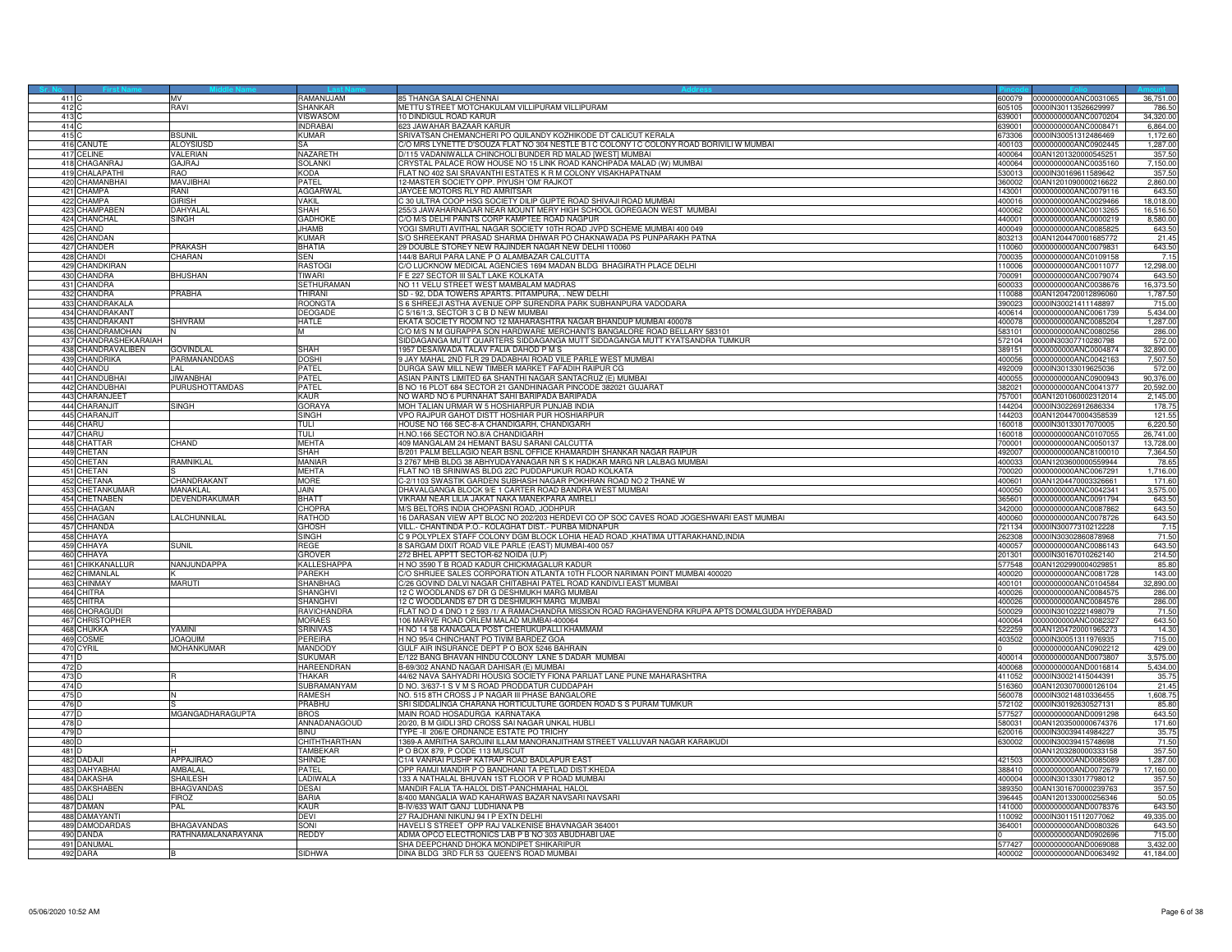| 411   |                             | MV                   | RAMANUJAM              | 85 THANGA SALAI CHENNAL                                                                           |                  | 600079 0000000000ANC0031065                  | 36,751.00         |
|-------|-----------------------------|----------------------|------------------------|---------------------------------------------------------------------------------------------------|------------------|----------------------------------------------|-------------------|
| 412   |                             | ravi                 | <b>SHANKAR</b>         | METTU STREET MOTCHAKULAM VILLIPURAM VILLIPURAM                                                    | 05105            | 0000IN30113526629997                         | 786.50            |
| 413   |                             |                      | VISWASOM               | 10 DINDIGUL ROAD KARUR                                                                            | 339001           | 0000000000ANC0070204                         | 34,320.00         |
| 414   |                             |                      | <b>INDRABAI</b>        | 623 JAWAHAR BAZAAR KARUR                                                                          | 39001            | 0000000000ANC0008471                         | 6,864.00          |
|       |                             |                      |                        |                                                                                                   |                  |                                              |                   |
| 415   |                             | <b>SUNIL</b>         | KUMAR                  | SRIVATSAN CHEMANCHERI PO QUILANDY KOZHIKODE DT CALICUT KERALA                                     | 73306            | 0000lN30051312486469                         | 1.172.60          |
|       | 416 CANLITE                 | <b>ALOYSIUSD</b>     | <b>SA</b>              | C/O MRS LYNETTE D'SOUZA FLAT NO 304 NESTLE B I C COLONY I C COLONY ROAD BORIVILI W MUMBAI         | 400103           | 0000000000ANC0902445                         | 1,287.00          |
| 417   | <b>ELINE</b>                | VALERIAN             | NAZARETH               | D/115 VADANIWALLA CHINCHOLI BUNDER RD MALAD [WEST] MUMBAI                                         | 400064           | 00AN1201320000545251                         | 357.50            |
| 418   | CHAGANRAJ                   | GAJRAJ               | <b>SOLANKI</b>         | CRYSTAL PALACE ROW HOUSE NO 15 LINK ROAD KANCHPADA MALAD (W) MUMBAI                               | 400064           | 0000000000ANC0035160                         | 7,150.00          |
| 419   | <b>HALAPATHI</b>            | <b>CAR</b>           | KODA                   | FLAT NO 402 SAI SRAVANTHI ESTATES K R M COLONY VISAKHAPATNAM                                      | 530013           | 0000IN30169611589642                         | 357.50            |
| 420   | <b>HAMANBHAI</b>            | <b>MAVJIBHAI</b>     | <b>PATEL</b>           | 12-MASTER SOCIETY OPP. PIYUSH 'OM' RAJKOT                                                         | 360002           | 00AN1201090000216622                         | 2,860.00          |
| 421   | <b>CHAMPA</b>               | RANI                 | <b>AGGARWAL</b>        | JAYCEE MOTORS RLY RD AMRITSAR                                                                     | 143001           | 0000000000ANC0079116                         | 643.50            |
| 422   | <b>HAMPA</b>                | <b>GIRISH</b>        | <b>VAKIL</b>           | 30 ULTRA COOP HSG SOCIETY DILIP GUPTE ROAD SHIVAJI ROAD MUMBAI                                    | 400016           | 0000000000ANC0029466                         | 18,018.00         |
|       |                             |                      |                        |                                                                                                   |                  |                                              |                   |
| 423   | <b>CHAMPABEN</b>            | DAHYALAI             | SHAH                   | 255/3 JAWAHARNAGAR NEAR MOUNT MERY HIGH SCHOOL GOREGAON WEST MUMBAI                               | 400062           | 0000000000ANC0013265                         | 16,516.50         |
| 424   | <b>HANCHAL</b>              | SINGH                | GADHOKE                | C/O M/S DELHI PAINTS CORP KAMPTEE ROAD NAGPUR                                                     | 440001           | 0000000000ANC0000219                         | 8,580.00          |
| 425   | CHAND                       |                      | <b>JHAMB</b>           | YOGI SMRUTI AVITHAL NAGAR SOCIETY 10TH ROAD JVPD SCHEME MUMBAI 400 049                            | 400049           | 0000000000ANC0085825                         | 643.50            |
| 426   | <b>CHANDAN</b>              |                      | <b>KUMAR</b>           | S/O SHREEKANT PRASAD SHARMA DHIWAR PO CHAKNAWADA PS PUNPARAKH PATNA                               | 803213           | 00AN1204470001685772                         | 21.45             |
| 427   | CHANDER                     | <b>PRAKASH</b>       | BHATIA                 | 29 DOUBLE STOREY NEW RAJINDER NAGAR NEW DELHI 110060                                              | 110060           | 0000000000ANC0079831                         | 643.50            |
| 428   | <b>CHANDI</b>               | CHARAN               | <b>SEN</b>             | 144/8 BARUI PARA LANE P O ALAMBAZAR CALCUTTA                                                      | 700035           | 000000000ANC0109158                          | 7.15              |
| 429   | HANDKIRAN                   |                      | RASTOGI                | /O LUCKNOW MEDICAL AGENCIES 1694 MADAN BLDG BHAGIRATH PLACE DELHI                                 | 110006           | 0000000000ANC0011077                         | 12,298.00         |
| 430   | <b>HANDRA</b>               | <b>HUSHAN</b>        | <b>TIWARI</b>          | E 227 SECTOR III SALT LAKE KOLKATA                                                                | 700091           | 0000000000ANC0079074                         | 643.50            |
|       | 431 CHANDRA                 |                      | <b>SETHURAMAN</b>      | NO 11 VELU STREET WEST MAMBALAM MADRAS                                                            | 600033           | 0000000000ANC0038676                         | 16,373.50         |
| 432   | CHANDRA                     | PRABHA               | THIRANI                | SD - 92, DDA TOWERS APARTS. PITAMPURA, . NEW DELHI                                                | 110088           | 00AN1204720012896060                         | 1,787.50          |
|       |                             |                      |                        |                                                                                                   |                  |                                              |                   |
| 433   | CHANDRAKALA                 |                      | ROONGTA                | S 6 SHREEJI ASTHA AVENUE OPP SURENDRA PARK SUBHANPURA VADODARA                                    | 390023           | 0000IN30021411148897                         | 715.00            |
| 434   | <b>HANDRAKANT</b>           |                      | <b>DEOGADE</b>         | C 5/16/1:3, SECTOR 3 C B D NEW MUMBAI                                                             | 400614           | 0000000000ANC0061739                         | 5,434.00          |
| 435   | CHANDRAKANT                 | <b>HIVRAM</b>        | HATLE                  | EKATA SOCIETY ROOM NO 12 MAHARASHTRA NAGAR BHANDUP MUMBAI 400078                                  | 400078           | 0000000000ANC0085204                         | 1,287.00          |
|       | 436 CHANDRAMOHAN            |                      | M                      | C/O M/S N M GURAPPA SON HARDWARE MERCHANTS BANGALORE ROAD BELLARY 583101                          | 583101           | 0000000000ANC0080256                         | 286.00            |
| 437   | CHANDRASHEKARAIAH           |                      |                        | SIDDAGANGA MUTT QUARTERS SIDDAGANGA MUTT SIDDAGANGA MUTT KYATSANDRA TUMKUR                        | 572104           | 0000IN30307710280798                         | 572.00            |
| 438   | <b>HANDRAVALIBEN</b>        | <b>GOVINDLAL</b>     | <b>SHAH</b>            | 1957 DESAIWADA TALAV FALIA DAHOD P M S                                                            | 389151           | 0000000000ANC0004874                         | 32,890.00         |
| 439   | <b>HANDRIKA</b>             | <b>PARMANANDDAS</b>  | DOSHI                  | 9 JAY MAHAL 2ND FLR 29 DADABHAI ROAD VILE PARLE WEST MUMBAI                                       | 100056           | 000000000ANC0042163                          | 7,507.50          |
| 440   | CHANDU                      |                      | PATEL                  | DURGA SAW MILL NEW TIMBER MARKET FAFADIH RAIPUR CG                                                | 492009           | 0000lN30133019625036                         | 572.00            |
|       | 441 CHANDUBHAI              | JIWANBHAI            | PATEL                  | ASIAN PAINTS LIMITED 6A SHANTHI NAGAR SANTACRUZ (E) MUMBAI                                        | 400055           | 0000000000ANC0900943                         | 90.376.00         |
|       |                             | PURUSHOTTAMDAS       | PATEL                  | B NO 16 PLOT 684 SECTOR 21 GANDHINAGAR PINCODE 382021 GUJARAT                                     |                  |                                              |                   |
| 443   | 442 CHANDUBHAI              |                      |                        |                                                                                                   | 382021           | 0000000000ANC0041377                         | 20,592.00         |
|       | <b>CHARANJEET</b>           |                      | KAUR                   | NO WARD NO 6 PURNAHAT SAHI BARIPADA BARIPADA                                                      | 57001            | 00AN1201060002312014                         | 2,145.00          |
| 444   | <b>HARANJIT</b>             | <b>SINGH</b>         | <b>GORAYA</b>          | IOH TALIAN URMAR W 5 HOSHIARPUR PUNJAB INDIA                                                      | 44204            | 0000IN30226912686334                         | 178.7             |
| 445   | CHARANJIT                   |                      | SINGH                  | VPO RAJPUR GAHOT DISTT HOSHIAR PUR HOSHIARPUF                                                     | 144203           | 00AN1204470004358539                         | 121.5             |
|       | 446 CHARU                   |                      | <b>TULI</b>            | HOUSE NO 166 SEC-8-A CHANDIGARH, CHANDIGARH                                                       | 160018           | 0000IN30133017070005                         | 6.220.50          |
|       | 447 CHARU                   |                      | TULI                   | H.NO.166 SECTOR NO.8/A CHANDIGARH                                                                 | 160018           | 0000000000ANC0107055                         | 26,741.00         |
|       | 448 CHATTAR                 | CHAND                | <b>MFHTA</b>           | 409 MANGALAM 24 HEMANT BASU SARANI CALCUTTA                                                       | 700001           | 0000000000ANC0050137                         | 13,728.00         |
| 449   | <b>HFTAN</b>                |                      | <b>SHAH</b>            | 3/201 PALM BELLAGIO NEAR BSNL OFFICE KHAMARDIH SHANKAR NAGAR RAIPUR                               | 492007           | 0000000000ANC8100010                         | 7,364.50          |
|       |                             |                      | Maniar                 |                                                                                                   |                  |                                              |                   |
| 450   | CHETAN<br>451 CHETAN        | <b>AMNIKLAL</b>      | <b>MEHTA</b>           | 3 2767 MHB BLDG 38 ABHYUDAYANAGAR NR S K HADKAR MARG NR LALBAG MUMBAI                             | 400033           | 00AN1203600000559944                         | 78.65<br>1.716.00 |
|       |                             |                      |                        | FLAT NO 1B SRINIWAS BLDG 22C PUDDAPUKUR ROAD KOLKATA                                              |                  | 700020 0000000000ANC0067291                  |                   |
|       | 452 CHETANA                 | CHANDRAKANT          | <b>MORE</b>            | C-2/1103 SWASTIK GARDEN SUBHASH NAGAR POKHRAN ROAD NO 2 THANE W                                   | 400601           | 00AN1204470003326661                         | 171.60            |
|       | 453 CHETANKUMAR             | <b>MANAKLAL</b>      | .IAIN                  | DHAVALGANGA BLOCK 9/E 1 CARTER ROAD BANDRA WEST MUMBAI                                            | 400050           | 0000000000ANC0042341                         | 3,575.00          |
| 454   | <b>IFTNABEN</b>             | <b>DEVENDRAKUMAR</b> | BHATT                  | IKRAM NEAR LILIA JAKAT NAKA MANEKPARA AMRELI                                                      | 65601            | 0000000000ANC0091794                         | 643.50            |
| 455   | CHHAGAN                     |                      | CHOPR/                 | M/S BELTORS INDIA CHOPASNI ROAD, JODHPUR                                                          | 342000           | 0000000000ANC0087862                         | 643.50            |
|       | 456 CHHAGAN                 | LALCHUNNILAL         | RATHOD                 | 16 DARASAN VIEW APT BLOC NO 202/203 HERDEVI CO OP SOC CAVES ROAD JOGESHWARI EAST MUMBAI           | 400060           | 0000000000ANC0078726                         | 643.50            |
|       | 457 CHHANDA                 |                      | <b>GHOSH</b>           | VILL.- CHANTINDA P.O.- KOLAGHAT DIST.- PURBA MIDNAPUR                                             | 721134           | 0000lN30077310212228                         | 7.15              |
| 458   | СННАҮА                      |                      | SINGH                  | C 9 POLYPLEX STAFF COLONY DGM BLOCK LOHIA HEAD ROAD , KHATIMA UTTARAKHAND, INDIA                  | 262308           | 0000IN30302860878968                         | 71.50             |
| 459   | <b>HHAYA</b>                | SUNIL                | REGE                   | SARGAM DIXIT ROAD VILE PARLE (EAST) MUMBAI-400 057                                                | .00057           | 000000000ANC0086143                          | 643.50            |
| 460   | <b>HHAYA</b>                |                      |                        |                                                                                                   |                  |                                              |                   |
|       |                             |                      | GROVER                 | 272 BHEL APPTT SECTOR-62 NOIDA (U.P)                                                              | 201301           | 0000lN30167010262140                         | 214.50<br>85.80   |
|       | 461 CHIKKANALI              | NANJUNDAPPA          | KALLESHAPI             | H NO 3590 T B ROAD KADUR CHICKMAGALUR KADUR                                                       | 577548           | 00AN1202990004029851                         |                   |
|       | 462 CHIMANLAI               |                      | <b>PAREKH</b>          | C/O SHRIJEE SALES CORPORATION ATLANTA 10TH FLOOR NARIMAN POINT MUMBAI 400020                      | 400020           | 0000000000ANC0081728                         | 143.00            |
| 463   | <b>HINMAY</b>               | <b>MARUTI</b>        | SHANBHAG               | 26 GOVIND DALVI NAGAR CHITABHAI PATEL ROAD KANDIVLI EAST MUMBAI                                   | 400101           | 1000000000ANC0104584                         | 32,890.00         |
| 464   | <b>HITRA</b>                |                      | SHANGHVI               | 2 C WOODLANDS 67 DR G DESHMUKH MARG MUMBAI                                                        | .00026           | 000000000ANC0084575                          | 286.00            |
| 465   | <b>HITRA</b>                |                      | <b>SHANGHVI</b>        | 12 C WOODLANDS 67 DR G DESHMUKH MARG MUMBAI                                                       | 400026           | 0000000000ANC0084576                         | 286.00            |
| 466   | <b>HORAGUD</b>              |                      | RAVICHANDR.            | FLAT NO D 4 DNO 1 2 593 /1/ A RAMACHANDRA MISSION ROAD RAGHAVENDRA KRUPA APTS DOMALGUDA HYDERABAD | 500029           | 0000IN30102221498079                         | 71.50             |
|       | 467 CHRISTOPHER             |                      | <b>MORAES</b>          | 106 MARVE ROAD ORLEM MALAD MUMBAI-400064                                                          | 400064           | 0000000000ANC0082327                         | 643.50            |
|       | 468 CHUKKA                  | <b>AMINI</b>         | SRINIVAS               | H NO 14 58 KANAGALA POST CHERUKUPALLI KHAMMAM                                                     | 522259           | 00AN1204720001965273                         | 14.30             |
| 469   | DSMF                        | <b>IOAQUIM</b>       | <b>PEREIRA</b>         | H NO 95/4 CHINCHANT PO TIVIM BARDEZ GOA                                                           | 403502           | 0000lN30051311976935                         | 715.00            |
| 470   | :YRII                       | MOHANKUMAR           | <b>MANDODY</b>         | GULF AIR INSURANCE DEPT P O BOX 5246 BAHRAIN                                                      |                  |                                              | 429.00            |
| 471   |                             |                      | <b>SUKUMAR</b>         | E/122 BANG BHAVAN HINDU COLONY LANE 5 DADAR MUMBAI                                                | 400014           | 0000000000ANC0902212                         | 3,575.00          |
|       |                             |                      |                        |                                                                                                   |                  | 0000000000AND0073807                         |                   |
| 472 D |                             |                      | HAREENDRAN             | B-69/302 ANAND NAGAR DAHISAR (E) MUMBAI                                                           | 400068           | 0000000000AND0016814                         | 5,434.00          |
| 473 D |                             |                      | <b>THAKAR</b>          | 44/62 NAVA SAHYADRI HOUSIG SOCIETY FIONA PARIJAT LANE PUNE MAHARASHTRA                            | 411052           | 0000lN30021415044391                         | 35.75             |
| 474   |                             |                      | SUBRAMANYAM            | INO. 3/637-1 S V M S ROAD PRODDATUR CUDDAPAH                                                      | 16360            | 0AN1203070000126104                          | 21.45             |
| 475   |                             |                      | RAMESH                 | NO. 515 8TH CROSS J P NAGAR III PHASE BANGALORE                                                   | 560078           | 0000IN30214810336455                         | 1,608.75          |
| 476   |                             |                      | PRABHU                 | SRI SIDDALINGA CHARANA HORTICULTURE GORDEN ROAD S S PURAM TUMKUR                                  | 572102           | 0000IN30192630527131                         | 85.80             |
| 477 T |                             | MGANGADHARAGUPTA     | <b>BROS</b>            | MAIN ROAD HOSADURGA KARNATAKA                                                                     | 577527           | 0000000000AND0091298                         | 643.50            |
| 478 D |                             |                      | ANNADANAGOUD           | 20/20, B M GIDLI 3RD CROSS SAI NAGAR UNKAL HUBLI                                                  | 580031           | 00AN1203500000674376                         | 171.60            |
| 479   |                             |                      | <b>BINU</b>            | TYPE -II 206/E ORDNANCE ESTATE PO TRICHY                                                          | 20016            | 0000lN30039414984227                         | 35.75             |
| 480   |                             |                      | CHITHTHARTHAN          | 1369-A AMRITHA SAROJINI ILLAM MANORANJITHAM STREET VALLUVAR NAGAR KARAIKUDI                       | 630002           | 0000lN30039415748698                         | 71.50             |
| 48111 |                             |                      | TAMBEKAR               | P O BOX 879, P CODE 113 MUSCUT                                                                    |                  | 00AN1203280000333158                         | 357.50            |
|       |                             | APPAJIRAO            |                        |                                                                                                   |                  |                                              |                   |
|       | 482 DADAJI<br>483 DAHYABHAI | AMBALAL              | SHINDE<br><b>PATFI</b> | C1/4 VANRAI PUSHP KATRAP ROAD BADLAPUR EAST<br>OPP RAMJI MANDIR P O BANDHANI TA PETLAD DIST:KHEDA | 421503<br>388410 | 0000000000AND0085089<br>0000000000AND0072679 | 1,287.00          |
|       |                             |                      |                        |                                                                                                   |                  |                                              | 17,160.00         |
| 484   | <b>AKASHA</b>               | <b>HAILESH</b>       | LADIWALA               | 133 A NATHALAL BHUVAN 1ST FLOOR V P ROAD MUMBAI                                                   | 400004           | 0000lN30133017798012                         | 357.50            |
| 485   | <b>DAKSHABEN</b>            | <b>BHAGVANDAS</b>    | <b>DESAL</b>           | MANDIR FALIA TA-HALOL DIST-PANCHMAHAL HALOL                                                       | 389350           | 00AN1301670000239763                         | 357.50            |
| 486   | ALI                         | <b>FIROZ</b>         | <b>BARIA</b>           | 8/400 MANGALIA WAD KAHARWAS BAZAR NAVSARI NAVSARI                                                 | 396445           | 0AN1201330000256346                          | 50.05             |
| 487   | DAMAN                       | PAL                  | KAUR                   | B-IV/633 WAIT GANJ LUDHIANA PB                                                                    | 141000           | 0000000000AND0078376                         | 643.50            |
| 488   | <b>DAMAYANTI</b>            |                      | <b>DEVI</b>            | 27 RAJDHANI NIKUNJ 94 I P FXTN DELHI                                                              | 110092           | 0000IN30115112077062                         | 49.335.00         |
| 48    | <b>AMODARDAS</b>            | <b>HAGAVANDAS</b>    | SONI                   | HAVELI S STREET OPP RAJ VALKENISE BHAVNAGAR 364001                                                | 64001            | 0000000000AND0080326                         | 643.50            |
|       | 490 DANDA                   | RATHNAMALANARAYANA   | REDDY                  | ADMA OPCO ELECTRONICS LAB P B NO 303 ABUDHABI UAE                                                 |                  | 000000000AND0902696                          | 715.00            |
|       | 491 DANUMA                  |                      |                        | SHA DEEPCHAND DHOKA MONDIPET SHIKARIPUF                                                           | 77427            | 0000000000AND0069088                         | 3,432.00          |
|       | 492 DARA                    |                      | SIDHWA                 | DINA BLDG 3RD FLR 53 QUEEN'S ROAD MUMBAI                                                          |                  | 400002 0000000000AND0063492                  | 41,184.00         |
|       |                             |                      |                        |                                                                                                   |                  |                                              |                   |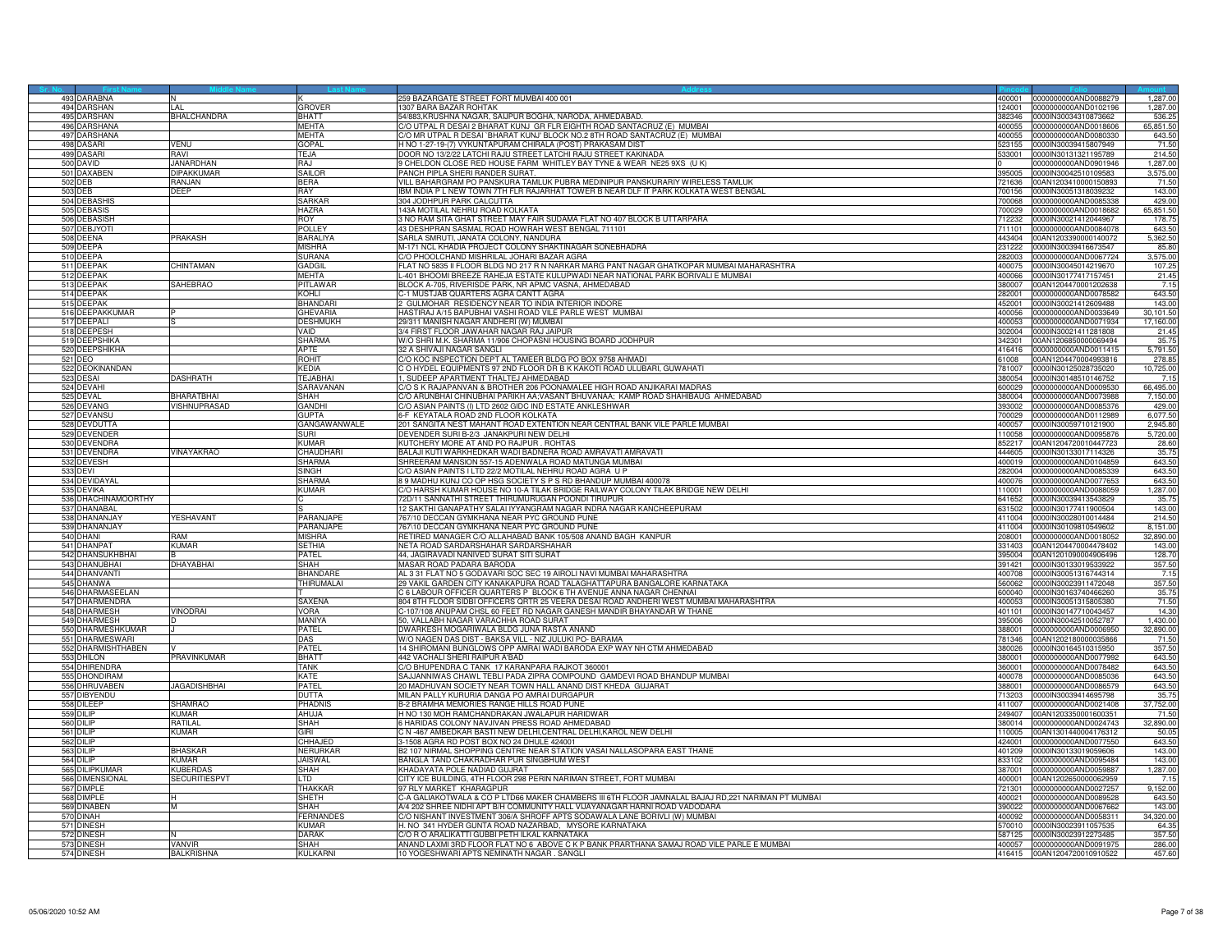| 493 DARABNA            |                      |                   | 259 BAZARGATE STREET FORT MUMBAI 400 001                                                                                      | 400001 0000000000AND0088279                         | 1,287.00         |
|------------------------|----------------------|-------------------|-------------------------------------------------------------------------------------------------------------------------------|-----------------------------------------------------|------------------|
| 494 DARSHAN            |                      | Grover            | 1307 BARA BAZAR ROHTAK<br>124001                                                                                              | 0000000000AND0102196                                | 1,287.00         |
| 495 DARSHAN            | BHALCHANDRA          | BHATT             | 54/883,KRUSHNA NAGAR, SAIJPUR BOGHA, NARODA, AHMEDABAD<br>382346                                                              | 0000IN30034310873662                                | 536.25           |
| 496 DARSHANA           |                      | <b>MFHTA</b>      | C/O UTPAL R DESAI 2 BHARAT KUNJ GR FLR EIGHTH ROAD SANTACRUZ (E) MUMBAI<br>400055                                             | 0000000000AND0018606                                | 65,851.50        |
| 497 DARSHANA           |                      | <b>MEHTA</b>      | %/O MR UTPAL R DESAI `BHARAT KUNJ' BLOCK NO.2 8TH ROAD SANTACRUZ (E) MUMBA<br>400055                                          | 0000000000AND0080330                                | 643.50           |
| 498 DASARI             | <b>VENII</b>         | GOPAL             | H NO 1-27-19-(7) VYKUNTAPURAM CHIRALA (POST) PRAKASAM DIST<br>523155                                                          | 0000IN30039415807949                                | 71.50            |
| 499 DASARI             | RAVI                 | TF.JA             | DOOR NO 13/2/22 LATCHI RAJU STREET LATCHI RAJU STREET KAKINADA<br>533001                                                      | 0000IN30131321195789                                | 214.50           |
| 500 DAVID              | <b>JANARDHAN</b>     | RAJ               | 9 CHELDON CLOSE RED HOUSE FARM WHITLEY BAY TYNE & WEAR NE25 9XS (U K)                                                         | 0000000000AND0901946                                | 1,287.00         |
| 501 DAXABEN            | <b>DIPAKKUMAR</b>    | SAILOF            | PANCH PIPLA SHERI RANDER SURAT<br>395005                                                                                      | 0000IN30042510109583                                | 3,575.00         |
| 502 DEB                | RANJAN               | <b>BERA</b>       | VILL BAHARGRAM PO PANSKURA TAMLUK PUBRA MEDINIPUR PANSKURARIY WIRELESS TAMLUK<br>21636                                        | 00AN1203410000150893                                | 71.50            |
| 503 DEB                | DEEP                 | RAY               | IBM INDIA P L NEW TOWN 7TH FLR RAJARHAT TOWER B NEAR DLF IT PARK KOLKATA WEST BENGAL<br>700156                                | 0000IN30051318039232                                | 143.00           |
| 504 DEBASHIS           |                      | SARKAR            | 304 JODHPUR PARK CALCUTTA<br>88000                                                                                            | 0000000000AND0085338                                | 429.00           |
|                        |                      |                   |                                                                                                                               |                                                     |                  |
| 505 DEBASIS            |                      | HAZRA             | 143A MOTILAL NEHRU ROAD KOLKATA<br>700029<br>3 NO RAM SITA GHAT STREET MAY FAIR SUDAMA FLAT NO 407 BLOCK B UTTARPARA<br>12232 | 000000000AND0018682                                 | 65,851.50        |
| 506 DEBASISH           |                      | ROY               |                                                                                                                               | 0000IN30021412044967                                | 178.75           |
| 507 DEBJYOTI           |                      | POLLEY            | 43 DESHPRAN SASMAL ROAD HOWRAH WEST BENGAL 711101<br>711101                                                                   | 0000000000AND0084078                                | 643.50           |
| 508 DEENA              | PRAKASH              | BARALIYA          | SARLA SMRUTI, JANATA COLONY, NANDURA<br>443404                                                                                | 00AN1203390000140072                                | 5,362.50         |
| 509 DEEPA              |                      | MISHRA            | M-171 NCL KHADIA PROJECT COLONY SHAKTINAGAR SONEBHADRA<br>231222                                                              | 0000IN30039416673547                                | 85.80            |
| 510 DEEPA              |                      | SURANA            | C/O PHOOLCHAND MISHRILAL JOHARI BAZAR AGRA<br>282003                                                                          | 0000000000AND0067724                                | 3,575.00         |
| 511 DEEPAK             | <b>HINTAMAN</b>      | GADGIL            | FLAT NO 5835 II FLOOR BLDG NO 217 R N NARKAR MARG PANT NAGAR GHATKOPAR MUMBAI MAHARASHTRA<br>400075                           | 0000IN30045014219670                                | 107.25           |
| 512 DEEPAK             |                      | MEHTA             | L-401 BHOOMI BREEZE RAHEJA ESTATE KULUPWADI NEAR NATIONAL PARK BORIVALI E MUMBAI<br>400066                                    | 0000IN30177417157451                                | 21.45            |
| 513 DEEPAK             | SAHEBRAO             | PITLAWAR          | BLOCK A-705, RIVERISDE PARK, NR APMC VASNA, AHMEDABAD<br>380007                                                               | 00AN1204470001202638                                | 7.15             |
| 514 DEEPAK             |                      | KOHLI             | C-1 MUSTJAB QUARTERS AGRA CANTT AGRA<br>82001                                                                                 | 0000000000AND0078582                                | 643.50           |
| 515 DEEPAK             |                      | <b>BHANDAR</b>    | 2 GULMOHAR RESIDENCY NEAR TO INDIA INTERIOR INDORE<br>452001                                                                  | 0000IN30021412609488                                | 143.00           |
| 516 DEEPAKKUMAR        |                      | <b>GHEVARIA</b>   | HASTIRAJ A/15 BAPUBHAI VASHI ROAD VILE PARLE WEST MUMBAI<br>400056                                                            | 0000000000AND0033649                                | 30,101.50        |
| 517 DEEPALI            |                      | <b>DESHMUKH</b>   | 29/311 MANISH NAGAR ANDHERI (W) MUMBAI<br>400053                                                                              | 0000000000AND0071934                                | 17,160.00        |
| 518 DEEPESH            |                      | VAID              | 3/4 FIRST FLOOR JAWAHAR NAGAR RAJ JAIPUR                                                                                      | 302004 00000N30021411281808                         | 21.45            |
| 519 DEEPSHIKA          |                      | SHARMA            | W/O SHRI M.K. SHARMA 11/906 CHOPASNI HOUSING BOARD JODHPUR<br>342301                                                          | 00AN1206850000069494                                | 35.75            |
| 520 DEEPSHIKHA         |                      | APTE              | 32 A SHIVAJI NAGAR SANGLI<br>416416                                                                                           | 0000000000AND0011415                                | 5,791.50         |
| 521 DEO                |                      | ROHIT             | C/O KOC INSPECTION DEPT AL TAMEER BLDG PO BOX 9758 AHMADI<br>61008                                                            | 00AN1204470004993816                                | 278.85           |
| 522 DEOKINANDAN        |                      | <b>KFDIA</b>      | C O HYDEL EQUIPMENTS 97 2ND FLOOR DR B K KAKOTI ROAD ULUBARI, GUWAHATI<br>781007                                              | 0000lN30125028735020                                | 10,725.00        |
| 523 DESAI              | DASHRATH             | TEJABHAI          | 1. SUDEEP APARTMENT THALTEJ AHMEDABAD<br>380054                                                                               | 0000IN30148510146752                                | 7.15             |
| 524 DEVAH              |                      | SARAVANAN         | C/O S K RAJAPANVAN & BROTHER 206 POONAMALEE HIGH ROAD ANJIKARAI MADRAS<br>600029                                              | 0000000000AND0009530                                | 66,495.00        |
| 525 DEVAL              | BHARATBHAI           | SHAH              | C/O ARUNBHAI CHINUBHAI PARIKH AA;VASANT BHUVANAA; KAMP ROAD SHAHIBAUG AHMEDABAD<br>380004                                     | 0000000000AND0073988                                | 7,150.00         |
| 526<br><b>DEVANG</b>   | <b>ISHNUPRASAD</b>   | GANDHI            | C/O ASIAN PAINTS (I) LTD 2602 GIDC IND ESTATE ANKLESHWAR<br>93002                                                             | 0000000000AND0085376                                | 429.00           |
| 527<br>DEVANSU         |                      | GUPTA             | 6-F KEYATALA ROAD 2ND FLOOR KOLKATA<br>700029                                                                                 | 0000000000AND0112989                                | 6,077.50         |
| 528 DEVDUTTA           |                      | GANGAWANWALE      | 201 SANGITA NEST MAHANT ROAD EXTENTION NEAR CENTRAL BANK VILE PARLE MUMBAL<br>400057                                          | 0000IN30059710121900                                | 2.945.8          |
| 529 DEVENDER           |                      | suri              | DEVENDER SURI B-2/3 JANAKPURI NEW DELHI<br>110058                                                                             | 0000000000AND0095876                                | 5,720.00         |
| 530 DEVENDRA           |                      | KIIMAR            | KUTCHERY MORE AT AND PO RAJPUR. ROHTAS<br>852217                                                                              | 00AN1204720010447723                                |                  |
| 531 DEVENDRA           | <b>INAYAKRAO</b>     | CHAUDHARI         | BALAJI KUTI WARKHEDKAR WADI BADNERA ROAD AMRAVATI AMRAVATI<br>144605                                                          | 0000lN30133017114326                                | 28.60<br>35.75   |
|                        |                      | SHARMA            |                                                                                                                               |                                                     |                  |
| 532 DEVESH<br>533 DEVI |                      | SINGH             | SHREERAM MANSION 557-15 ADENWALA ROAD MATUNGA MUMBAI<br>400019<br>C/O ASIAN PAINTS I LTD 22/2 MOTILAL NEHRU ROAD AGRA U P     | 0000000000AND0104859<br>282004 0000000000AND0085339 | 643.50<br>643.50 |
| 534 DEVIDAYAL          |                      | SHARMA            | 89 MADHU KUNJ CO OP HSG SOCIETY S P S RD BHANDUP MUMBAI 400078<br>400076                                                      | 0000000000AND0077653                                | 643.50           |
|                        |                      | KUMAR             | 110001                                                                                                                        | 0000000000AND0088059                                |                  |
| 535 DEVIKA<br>536      |                      |                   | C/O HARSH KUMAR HOUSE NO 10-A TILAK BRIDGE RAILWAY COLONY TILAK BRIDGE NEW DELHI                                              |                                                     | 1,287.00         |
| <b>HACHINAMOORTHY</b>  |                      |                   | 2D/11 SANNATHI STREET THIRUMURUGAN POONDI TIRUPUR<br>41652                                                                    | 0000IN30039413543829                                | 35.7             |
| 537 DHANABAL           |                      |                   | 12 SAKTHI GANAPATHY SALAI IYYANGRAM NAGAR INDRA NAGAR KANCHEEPURAM<br>631502                                                  | 0000lN30177411900504                                | 143.00           |
| 538 DHANANJAY          | YESHAVANT            | PARANJAPE         | 767/10 DECCAN GYMKHANA NEAR PYC GROUND PUNE<br>411004                                                                         | 0000IN30028010014484                                | 214.50           |
| 539 DHANANJAY          |                      | PARANJAPE         | 767\10 DECCAN GYMKHANA NEAR PYC GROUND PUNE<br>411004                                                                         | 0000lN30109810549602                                | 8,151.00         |
| 540 DHANI              | MAR                  | MISHRA            | RETIRED MANAGER C/O ALLAHABAD BANK 105/508 ANAND BAGH KANPUR<br>የበጸበበ1                                                        | 0000000000AND0018052                                | 32,890.00        |
| 541 DHANPAT            | <b>KUMAR</b>         | SETHIA            | NETA ROAD SARDARSHAHAR SARDARSHAHAR<br>31403                                                                                  | 00AN1204470004478402                                | 143.00           |
| 542 DHANSUKHBHAI       |                      | PATEL             | 44, JAGIRAVADI NANIVED SURAT SITI SURAT<br>395004                                                                             | 00AN1201090004906496                                | 128.7            |
| 543 DHANUBHAI          | DHAYABHAI            | SHAH              | MASAR ROAD PADARA BARODA<br>391421                                                                                            | 0000IN30133019533922                                | 357.50           |
| 544 DHANVANTI          |                      | BHANDARE          | AL 3 31 FLAT NO 5 GODAVARI SOC SEC 19 AIROLI NAVI MUMBAI MAHARASHTRA<br>400708                                                | 0000lN30051316744314                                | 7.15             |
| 545 DHANWA             |                      | <b>THIRUMALAI</b> | 29 VAKIL GARDEN CITY KANAKAPURA ROAD TALAGHATTAPURA BANGALORE KARNATAKA<br>560062                                             | 000IN30023911472048                                 | 357.50           |
| 546 DHARMASEELAN       |                      |                   | 6 LABOUR OFFICER QUARTERS P BLOCK 6 TH AVENUE ANNA NAGAR CHENNAI<br>00040                                                     | 0000IN30163740466260                                | 35.75            |
| 547 DHARMENDRA         |                      | SAXENA            | 804 8TH FLOOR SIDBI OFFICERS QRTR 25 VEERA DESAI ROAD ANDHERI WEST MUMBAI MAHARASHTRA<br>400053                               | 0000IN30051315805380                                | 71.50            |
| 548 DHARMESH           | VINODRAI             | VORA              | C-107/108 ANUPAM CHSL 60 FEET RD NAGAR GANESH MANDIR BHAYANDAR W THANE<br>401101                                              | 0000lN30147710043457                                | 14.30            |
| 549 DHARMESH           |                      | MANIYA            | 50, VALLABH NAGAR VARACHHA ROAD SURAT<br>395006                                                                               | 0000lN30042510052787                                | 1,430.00         |
| 550 DHARMESHKUMAR      |                      | <b>PATFI</b>      | DWARKESH MOGARIWALA BLDG JUNA RASTA ANAND<br>388001                                                                           | 0000000000AND0006950                                | 32,890.00        |
| 551 DHARMESWARI        |                      | DAS               | W/O NAGEN DAS DIST - BAKSA VILL - NIZ JULUKI PO- BARAMA<br>81346                                                              | 0AN1202180000035866                                 | 71.50            |
| 552 DHARMISHTHABEN     |                      | PATFI             | 14 SHIROMANI BUNGLOWS OPP AMRAI WADI BARODA EXP WAY NH CTM AHMEDABAD<br>380026                                                | 0000IN30164510315950                                | 357.50           |
| 553 DHILON             | PRAVINKUMAR          | <b>BHATT</b>      | 442 VACHALI SHERI RAIPUR A'BAD<br>380001                                                                                      | 0000000000AND0077992                                | 643.50           |
| 554 DHIRENDRA          |                      | TANK              | C/O BHUPENDRA C TANK 17 KARANPARA RAJKOT 360001<br>360001                                                                     | 0000000000AND0078482                                | 643.50           |
| 555 DHONDIRAM          |                      | KATF              | SAJJANNIWAS CHAWL TEBLI PADA ZIPRA COMPOUND GAMDEVI ROAD BHANDUP MUMBAI<br>400078                                             | 0000000000AND0085036                                | 643.50           |
| 556<br>DHRUVABEN       | JAGADISHBHAI         | PATFI             | 20 MADHUVAN SOCIETY NEAR TOWN HALL ANAND DIST KHEDA GUJARAT<br>38001                                                          | 000000000AND0086579                                 | 643.5            |
| 557 DIBYENDU           |                      | DUTTA             | MILAN PALLY KURURIA DANGA PO AMRAI DURGAPUR<br>713203                                                                         | 0000IN30039414695798                                | 35.75            |
| 558 DILEEP             | <b>SHAMRAO</b>       | PHADNIS           | B-2 BRAMHA MEMORIES RANGE HILLS ROAD PUNE<br>411007                                                                           | 0000000000AND0021408                                | 37,752.00        |
| 559 DILIP              | <b>KUMAR</b>         | AHUJA             | H NO 130 MOH RAMCHANDRAKAN JWALAPUR HARIDWAR<br>249407                                                                        | 00AN1203350001600351                                | 71.50            |
| 560 DILIP              | RATILAL              | SHAH              | 6 HARIDAS COLONY NAVJIVAN PRESS ROAD AHMEDABAD<br>380014                                                                      | 0000000000AND0024743                                | 32,890.00        |
| 561 DILIP              | Kumar                | GIRL              | C N -467 AMBEDKAR BASTI NEW DELHI,CENTRAL DELHI,KAROL NEW DELHI<br>10005                                                      | 00AN1301440004176312                                | 50.05            |
| 562 DIL IP             |                      | CHHAJED           | 3-1508 AGRA RD POST BOX NO 24 DHULE 424001<br>424001                                                                          | 0000000000AND0077550                                | 643.50           |
| 563 DILIP              | BHASKAR              | NERURKAF          | B2 107 NIRMAL SHOPPING CENTRE NEAR STATION VASAI NALLASOPARA EAST THANE<br>401209                                             | 0000lN30133019059606                                | 143.00           |
| 564 DILIP              | KUMAR                | <b>JAISWAL</b>    | BANGLA TAND CHAKRADHAR PUR SINGBHUM WEST<br>833102                                                                            | 0000000000AND0095484                                | 143.00           |
| 565 DILIPKUMAR         | KUBERDAS             | SHAH              | KHADAYATA POLE NADIAD GUJRAT<br>387001                                                                                        | 0000000000AND0059887                                | 1,287.00         |
| 566 DIMENSIONAL        | <b>SECURITIESPVT</b> | TD.               | CITY ICE BUILDING, 4TH FLOOR 298 PERIN NARIMAN STREET, FORT MUMBAI<br>100001                                                  | 00AN1202650000062959                                | 7.15             |
| 567 DIMPLE             |                      | THAKKAR           | 97 RI Y MARKET KHARAGPLIR<br>721301                                                                                           | 0000000000AND0027257                                | 9,152.00         |
| 568 DIMPLE             |                      | SHFTH             | C-A GALIAKOTWALA & CO P LTD66 MAKER CHAMBERS III 6TH FLOOR JAMNALAL BAJAJ RD,221 NARIMAN PT MUMBAI<br>400021                  | 000000000AND0089528                                 | 643.50           |
| 569 DINABEN            |                      | SHAH              | A/4 202 SHREE NIDHI APT B/H COMMUNITY HALL VIJAYANAGAR HARNI ROAD VADODARA<br>390022                                          | 0000000000AND0067662                                | 143.00           |
| 570 DINAH              |                      | FERNANDES         | C/O NISHANT INVESTMENT 306/A SHROFF APTS SODAWALA LANE BORIVLI (W) MUMBAI<br>400092                                           | 0000000000AND0058311                                | 34,320.00        |
| 571 DINESH             |                      | KUMAF             | 1. NO 341 HYDER GUNTA ROAD NAZARBAD, MYSORE KARNATAKA<br>70010                                                                | 0000IN30023911057535                                |                  |
| 572 DINESH             |                      | DARAK             | C/O R O ARALIKATTI GUBBI PETH ILKAL KARNATAKA<br>587125                                                                       | 0000IN30023912273485                                | 64.35<br>357.50  |
| 573 DINESH             | VANVIR               | SHAH              | ANAND LAXMI 3RD FLOOR FLAT NO 6 ABOVE C K P BANK PRARTHANA SAMAJ ROAD VILE PARLE E MUMBAI<br>400057                           | 0000000000AND0091975                                | 286.00           |
|                        |                      |                   |                                                                                                                               |                                                     |                  |
| 574 DINESH             | <b>BALKRISHNA</b>    | KULKARN           | 10 YOGESHWARI APTS NEMINATH NAGAR. SANGLI                                                                                     | 416415 00AN1204720010910522                         | 457.60           |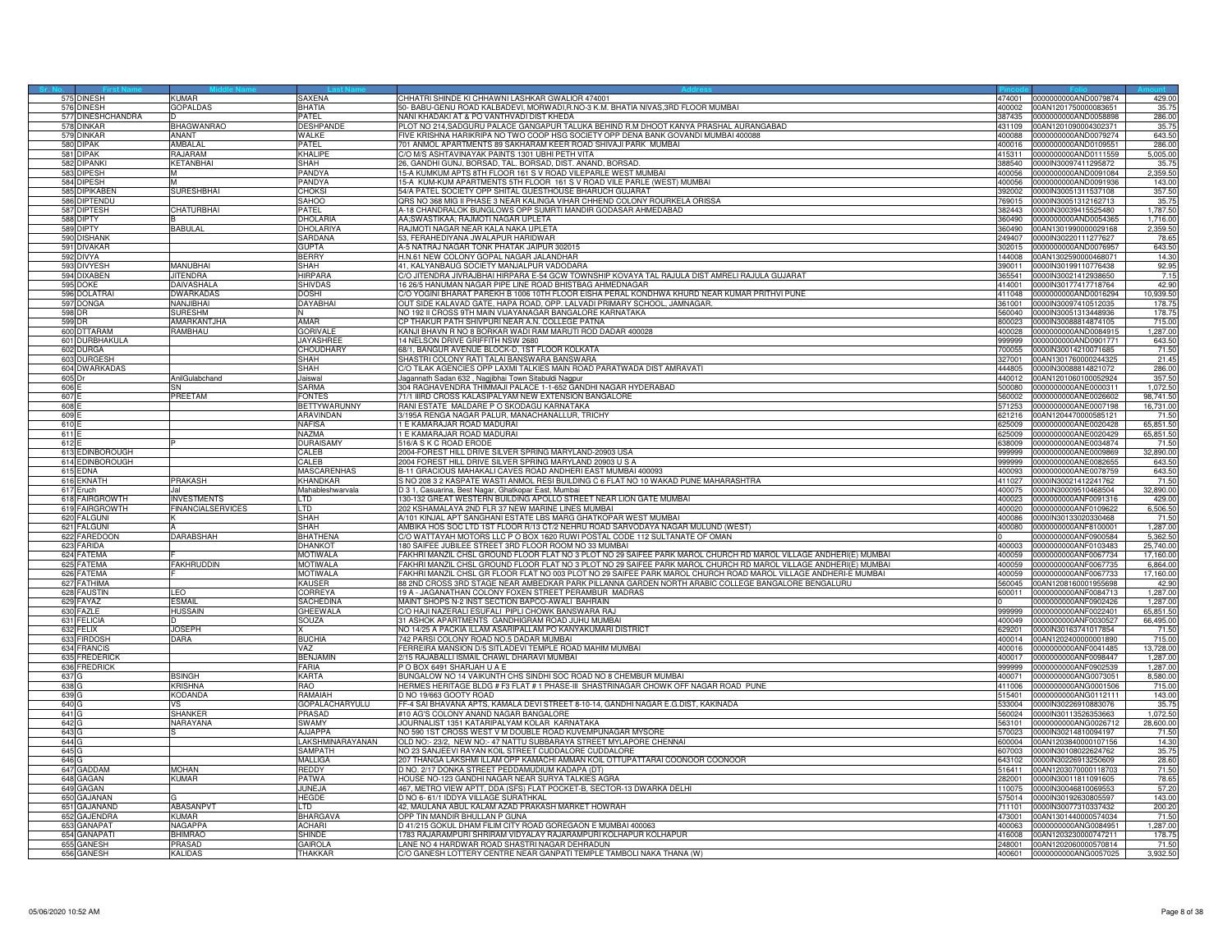|                  | 575 DINESH                    | KUMAR                           | SAXENA                           | CHHATRI SHINDE KI CHHAWNI LASHKAR GWALIOR 474001                                                                                | 474001           | 0000000000AND0079874                                | 429.00           |
|------------------|-------------------------------|---------------------------------|----------------------------------|---------------------------------------------------------------------------------------------------------------------------------|------------------|-----------------------------------------------------|------------------|
|                  | 576 DINESH                    | <b>GOPALDAS</b>                 | <b>BHATIA</b>                    | 50- BABU-GENU ROAD KALBADEVI, MORWADI,R,NO-3 K,M, BHATIA NIVAS,3RD FLOOR MUMBAI                                                 | 400002           | 00AN1201750000083651                                | 35.75            |
|                  | 577 DINESHCHANDRA             |                                 | <b>PATEL</b>                     | NANI KHADAKI AT & PO VANTHVADI DIST KHEDA                                                                                       | 387435           | 0000000000AND0058898                                | 286.00           |
| 578              | DINKAR                        | <b>BHAGWANRAO</b>               | <b>DESHPANDE</b>                 | PLOT NO 214,SADGURU PALACE GANGAPUR TALUKA BEHIND R.M DHOOT KANYA PRASHAL AURANGABAD                                            | 431109           | 00AN1201090004302371                                | 35.75            |
| 57               | <b>INKAR</b>                  | <b>NANT</b>                     | WAI KF                           | TIVE KRISHNA HARIKRIPA NO TWO COOP HSG SOCIETY OPP DENA BANK GOVANDI MUMBAI 400088                                              | 400088           | 0000000000AND0079274                                | 643.5            |
| 580              | <b>JIPAK</b>                  | AMRAI AI                        | PATFI.                           | 01 ANMOL APARTMENTS 89 SAKHARAM KEER ROAD SHIVAJI PARK MUMBAI                                                                   | 400016           | 0000000000AND0109551                                | 286.0            |
| 581              | dipak                         | <b>A.IARAM</b>                  | KHALIPE                          | C/O M/S ASHTAVINAYAK PAINTS 1301 UBHI PETH VITA                                                                                 | 415311           | 0000000000AND0111559                                | 5,005.00         |
| 582              | <b>DIPANKI</b>                | <b>KETANBHAI</b>                | <b>SHAH</b>                      | 26, GANDHI GUNJ, BORSAD, TAL. BORSAD, DIST. ANAND, BORSAD.                                                                      | 388540           | 0000IN30097411295872                                | 35.75            |
|                  | 583 DIPESH                    |                                 | PANDYA                           | 15-A KUMKUM APTS 8TH FLOOR 161 S V ROAD VILEPARLE WEST MUMBAI                                                                   | 400056           | 00000000000AND0091084                               | 2,359.50         |
| 584              | <b>IPFSH</b>                  |                                 | PANDYA                           | 15-A KUM-KUM APARTMENTS 5TH FLOOR 161 S V ROAD VILE PARLE (WEST) MUMBAI                                                         | 400056           | 0000000000AND0091936                                | 143.0            |
|                  | 585 DIPIKABEN                 | SURESHBHAI                      | <b>CHOKSI</b>                    | 54/A PATEL SOCIETY OPP SHITAL GUESTHOUSE BHARUCH GUJARAT                                                                        |                  | 392002 0000IN30051311537108                         | 357.5            |
| 586              | <b>IPTENDL</b>                |                                 | <b>SAHOO</b>                     | QRS NO 368 MIG II PHASE 3 NEAR KALINGA VIHAR CHHEND COLONY ROURKELA ORISSA                                                      | 769015           | 0000lN30051312162713                                | 35.7             |
|                  | 587 DIPTESH                   | CHATURBHAI                      | PATEL                            | A-18 CHANDRALOK BUNGLOWS OPP SUMRTI MANDIR GODASAR AHMEDABAD                                                                    |                  | 382443 0000IN30039415525480                         | 1,787.50         |
| 588              | <b>DIPTY</b>                  |                                 | <b>DHOLARIA</b>                  | AA;SWASTIKAA; RAJMOTI NAGAR UPLETA                                                                                              | 360490           | 0000000000AND0054365                                | 1.716.00         |
| 589              | <b>IPTY</b>                   | <b>ABULAL</b>                   | DHOLARIYA                        | RAJMOTI NAGAR NEAR KALA NAKA UPLETA                                                                                             | 60490            | 00AN1301990000029168                                | 2,359.5          |
| 590              | <b>DISHANK</b>                |                                 | <b>SARDANA</b>                   | 53. FERAHEDIYANA JWALAPUR HARIDWAR                                                                                              | 249407           | 0000lN30220111277627                                | 78.6             |
| 591              | <b>IVAKAR</b>                 |                                 | <b>GUPTA</b>                     | A-5 NATRAJ NAGAR TONK PHATAK JAIPUR 302015                                                                                      | 302015           | 0000000000AND0076957                                | 643.5            |
| 592              | <b>JIVYA</b>                  |                                 | <b>BERRY</b>                     | H.N.61 NEW COLONY GOPAL NAGAR JALANDHAR                                                                                         | 144008           | 00AN1302590000468071                                | 14.30            |
| 593              | <b>IVYESH</b>                 | <b>ANUBHAI</b>                  | SHAH                             | 41. KALYANBAUG SOCIETY MANJALPUR VADODARA                                                                                       | 390011           | 0000IN30199110776438                                | 92.95            |
| 594              | <b>JIXABEN</b>                | <b>JITENDRA</b>                 | <b>HIRPARA</b>                   | C/O JITENDRA JIVRAJBHAI HIRPARA E-54 GCW TOWNSHIP KOVAYA TAL RAJULA DIST AMRELI RAJULA GUJARAT                                  | 365541           | 0000IN30021412938650                                | 7.15             |
|                  | 595 DOKE                      | DAIVASHALA                      | SHIVDAS                          | 16 26/5 HANUMAN NAGAR PIPE LINE ROAD BHISTBAG AHMEDNAGAR                                                                        | 414001           | 0000lN30177417718764                                | 42.9             |
| 596              | DOLATRAI                      | <b>DWARKADAS</b>                | DOSHI                            | C/O YOGINI BHARAT PAREKH B 1006 10TH FLOOR EISHA PERAL KONDHWA KHURD NEAR KUMAR PRITHVI PUNE                                    | 411048           | 0000000000AND0016294                                | 10,939.5         |
|                  | 597 DONGA                     | JAN.JIBHAI                      | <b>DAYABHAI</b>                  | OUT SIDE KALAVAD GATE, HAPA ROAD, OPP. LALVADI PRIMARY SCHOOL, JAMNAGAR.                                                        | 361001           | 0000IN30097410512035                                | 178.7            |
| 598              |                               | <b>IIRESHM</b>                  |                                  | VO 192 II CROSS 9TH MAIN VIJAYANAGAR BANGALORE KARNATAKA                                                                        | 560040           | 0000lN30051313448936                                | 178.7            |
|                  | 599 DR                        | AMARKANTJHA                     | AMAR                             | CP THAKUR PATH SHIVPURI NEAR A.N. COLLEGE PATNA                                                                                 | 800023           | 0000IN30088814874105                                | 715.0            |
|                  | 600 DTTARAM                   | RAMBHAU                         | <b>GORIVALE</b>                  | KANJI BHAVN R NO 8 BORKAR WADI RAM MARUTI ROD DADAR 400028                                                                      | 400028           | 0000000000AND0084915                                | 1.287.00         |
| 601              | <b>DURBHAKULA</b>             |                                 | <b>JAYASHREE</b>                 | 14 NELSON DRIVE GRIFFITH NSW 2680                                                                                               | 999999           | 0000000000AND0901771                                | 643.5            |
|                  | 602 DURGA                     |                                 | <b>CHOUDHARY</b>                 | 68/1, BANGUR AVENUE BLOCK-D, 1ST FLOOR KOLKATA                                                                                  | 700055           | 0000IN30014210071685                                | 71.50            |
| 603              | <b>JRGESH</b>                 |                                 | SHAH                             | SHASTRI COLONY RATI TALAI BANSWARA BANSWARA                                                                                     | 327001           | 00AN1301760000244325                                | 21.4             |
| 604              | <b>DWARKADAS</b>              |                                 | SHAH                             | C/O TILAK AGENCIES OPP LAXMI TALKIES MAIN ROAD PARATWADA DIST AMRAVAT                                                           | 444805           | 0000lN30088814821072                                | 286.00           |
| 605 <sub>D</sub> |                               | AnilGulabchand                  | Jaiswal                          | Jagannath Sadan 632, Nagjibhai Town Sitabuldi Nagpur                                                                            |                  | 440012 00AN1201060100052924                         | 357.50           |
| 606              |                               |                                 | SARMA                            | 304 RAGHAVENDRA THIMMAJI PALACE 1-1-652 GANDHI NAGAR HYDERABAD                                                                  |                  |                                                     | 1,072.5          |
| 607              |                               | <b>PREETAM</b>                  | <b>FONTES</b>                    | 71/1 IIIRD CROSS KALASIPALYAM NEW EXTENSION BANGALORE                                                                           | 560002           | 0000000000ANE0026602                                | 98,741.5         |
| 608              |                               |                                 | <b>BETTYWARUNNY</b>              | RANI ESTATE MALDARE P O SKODAGU KARNATAKA                                                                                       | 71253            | 0000000000ANE0007198                                | 16,731.0         |
| 609              |                               |                                 | ARAVINDAN                        | 3/195A RENGA NAGAR PALUR, MANACHANALLUR, TRICHY                                                                                 | 621216           | 00AN1204470000585121                                | 71.5             |
| 610              |                               |                                 | <b>NAFISA</b>                    | 1 E KAMARAJAR ROAD MADURAI                                                                                                      | 625009           | 0000000000ANE0020428                                | 65,851.5         |
| 611              |                               |                                 | NAZMA                            | 1 E KAMARAJAR ROAD MADURAI                                                                                                      | 625009           | 0000000000ANE0020429                                | 65,851.5         |
| 612              |                               |                                 | <b>DURAISAMY</b>                 | 516/A S K C ROAD FRODE                                                                                                          | 638009           | 0000000000ANE0034874                                | 71.5             |
| 613              | <b>DINBOROUGH</b>             |                                 | CALE <sub>B</sub>                | 2004-FOREST HILL DRIVE SILVER SPRING MARYLAND-20903 USA                                                                         | 999999           | 0000000000ANE0009869                                | 32,890.0         |
|                  | 614 EDINBOROUGH               |                                 | CALE <sub>B</sub>                | 2004 FOREST HILL DRIVE SILVER SPRING MARYLAND 20903 U S A                                                                       |                  | 999999 0000000000ANE0082655                         | 643.5            |
|                  | 615 EDNA                      |                                 | <b>MASCARENHAS</b>               | B-11 GRACIOUS MAHAKALI CAVES ROAD ANDHERI EAST MUMBAI 40009                                                                     |                  | 400093 0000000000ANE0078759                         | 643.5            |
|                  | 616 EKNATH                    | <b>PRAKASH</b>                  | KHANDKAR                         | S NO 208 3 2 KASPATE WASTI ANMOL RESI BUILDING C 6 FLAT NO 10 WAKAD PUNE MAHARASHTRA                                            | 411027           | 0000lN30021412241762                                | 71.5             |
|                  | 617 Eruch                     | lal                             | Mahableshwarvala                 | D.3.1. Casuarina, Best Nagar, Ghatkopar East, Mumbai                                                                            | 400075           | 0000IN30009510468504                                | 32,890.00        |
| 618              | FAIRGROWTH                    | NVESTMENTS                      | LTD                              | 130-132 GREAT WESTERN BUILDING APOLLO STREET NEAR LION GATE MUMBAI                                                              | 400023           | 0000000000ANF0091316                                | 429.0            |
| 619              | <b>FAIRGROWTH</b>             | <b>FINANCIALSERVICES</b>        | ITN.                             | 202 KSHAMALAYA 2ND FLR 37 NEW MARINE LINES MUMBAI                                                                               |                  | 400020 0000000000ANF0109622                         | 6,506.5          |
| 620              | FALGUNI                       |                                 | <b>SHAH</b>                      | A/101 KINJAL APT SANGHANI ESTATE LBS MARG GHATKOPAR WEST MUMBAI                                                                 | 400086           | 0000lN30133020330468                                | 71.5             |
|                  | 621 FALGUNI                   |                                 | <b>SHAH</b>                      | AMBIKA HOS SOC LTD 1ST FLOOR R/13 CT/2 NEHRU ROAD SARVODAYA NAGAR MULUND (WEST)                                                 |                  | 400080 0000000000ANF8100001                         | 1,287.00         |
| 622              | <b>FAREDOON</b>               | <b>DARABSHAH</b>                | BHATHENA                         | C/O WATTAYAH MOTORS LLC P O BOX 1620 RUWI POSTAL CODE 112 SULTANATE OF OMAN                                                     |                  | 0000000000ANF0900584                                | 5,362.5          |
| 623              | <b>FARIDA</b>                 |                                 | DHANKO <sup>-</sup>              | 180 SAIFEE JUBILEE STREET 3RD FLOOR ROOM NO 33 MUMBAI                                                                           | 400003           | 0000000000ANF0103483                                | 25,740.0         |
|                  | 624 FATEMA                    |                                 | <b>MOTIWALA</b>                  | FAKHRI MANZIL CHSL GROUND FLOOR FLAT NO 3 PLOT NO 29 SAIFEE PARK MAROL CHURCH RD MAROL VILLAGE ANDHERI(E) MUMBAI                | 400059           | 0000000000ANF0067734                                | 17,160.0         |
|                  | 625 FATEMA                    | <b>FAKHRUDDIN</b>               | <b>MOTIWALA</b>                  | FAKHRI MANZIL CHSL GROUND FLOOR FLAT NO 3 PLOT NO 29 SAIFEE PARK MAROL CHURCH RD MAROL VILLAGE ANDHERI(E) MUMBAI                | 400059           | 0000000000ANF0067735                                | 6,864.0          |
|                  | 626 FATEMA                    |                                 | MOTIWALA                         | FAKHRI MANZIL CHSL GR FLOOR FLAT NO 003 PLOT NO 29 SAIFEE PARK MAROL CHURCH ROAD MAROL VILLAGE ANDHERI-E MUMBAI                 | 400059           | 0000000000ANF0067733                                | 17,160.0         |
| 627              | FATHIMA                       |                                 | KAUSER                           | 38 2ND CROSS 3RD STAGE NEAR AMBEDKAR PARK PILLANNA GARDEN NORTH ARABIC COLLEGE BANGALORE BENGALURU                              | 560045           | 00AN1208160001955698                                | 42.9             |
|                  | 628 FAUSTIN                   | LEO                             | <b>CORREYA</b>                   | 19 A - JAGANATHAN COLONY FOXEN STREET PERAMBUR MADRAS                                                                           | 600011           | 0000000000ANF0084713                                | 1,287.0          |
|                  | 629 FAYAZ                     | :SMAIL                          | <b>SACHEDINA</b>                 | MAINT SHOPS N-2 INST SECTION BAPCO-AWALI BAHRAIN                                                                                |                  | 0000000000ANF0902426                                | 1.287.0          |
| 630              | <b>FAZLE</b>                  | HUSSAIN                         | GHEEWALA                         | C/O HAJI NAZERALI ESUFALI PIPLI CHOWK BANSWARA RAJ                                                                              | 999999           | 0000000000ANF0022401                                | 65,851.5         |
|                  | 631 FELICIA                   |                                 | SOUZA                            | 31 ASHOK APARTMENTS GANDHIGRAM ROAD JUHU MUMBAI                                                                                 | 400049           | 0000000000ANF0030527                                | 66,495.0         |
| 632              | ELIX                          | <b>JOSEPH</b>                   |                                  | NO 14/25 A PACKIA ILLAM ASARIPALLAM PO KANYAKUMARI DISTRICT                                                                     | 629201           | 0000IN30163741017854                                | 71.50            |
| 633              | <b>IRDOSH</b>                 | <b>DARA</b>                     | <b>BUCHIA</b>                    | 742 PARSI COLONY ROAD NO.5 DADAR MUMBAI                                                                                         | 400014           | 00AN1202400000001890                                | 715.0            |
|                  | 634 FRANCIS                   |                                 | VAZ                              | FERREIRA MANSION D/5 SITLADEVI TEMPLE ROAD MAHIM MUMBAI                                                                         |                  | 400016 0000000000ANF0041485                         | 13,728.0         |
| 635              | <b>FREDERICK</b>              |                                 | <b>BENJAMIN</b>                  | 2/15 RAJABALLI ISMAIL CHAWL DHARAVI MUMBAI                                                                                      | 400017           | 0000000000ANF0098447                                | 1,287.0          |
| 636              | <b>FREDRICK</b>               |                                 | FARIA                            | O BOX 6491 SHARJAH U A E                                                                                                        | 999999           | 0000000000ANF0902539                                | 1,287.0          |
| 637              |                               | SINGH                           | KARTA                            | UNGALOW NO 14 VAIKUNTH CHS SINDHI SOC ROAD NO 8 CHEMBUR MUMBAI                                                                  | 400071           | 0000000000ANG0073051                                | 8,580.0          |
| 638<br>639 G     |                               | <b>RISHNA</b><br><b>KODANDA</b> | RAO<br>RAMAIAH                   | HERMES HERITAGE BLDG # F3 FLAT # 1 PHASE-III  SHASTRINAGAR CHOWK OFF NAGAR ROAD  PUNE<br>D NO 19/663 GOOTY ROAD                 | 411006<br>515401 | 0000000000ANG0001506<br>0000000000ANG0112111        | 715.0<br>143.0   |
|                  |                               |                                 |                                  |                                                                                                                                 |                  |                                                     |                  |
| 640 G            |                               | vs.<br><b>HANKER</b>            | GOPALACHARYULU<br>PRASAD         | FF-4 SAI BHAVANA APTS, KAMALA DEVI STREET 8-10-14, GANDHI NAGAR E.G.DIST, KAKINADA<br>#10 AG'S COLONY ANAND NAGAR BANGALORE     | 533004<br>560024 | 0000IN30226910883076<br>0000lN30113526353663        | 35.75<br>1,072.5 |
| 641 G<br>642     |                               | <b>JARAYANA</b>                 | SWAMY                            | JOURNALIST 1351 KATARIPALYAM KOLAR KARNATAKA                                                                                    | 63101            | 0000000000ANG0026712                                | 28,600.0         |
| 643              |                               |                                 | AJJAPPA                          |                                                                                                                                 | 570023           |                                                     |                  |
| 644 G            |                               |                                 | LAKSHMINARAYANAN                 | NO 590 1ST CROSS WEST V M DOUBLE ROAD KUVEMPUNAGAR MYSORE<br>OLD NO:- 23/2, NEW NO:- 47 NATTU SUBBARAYA STREET MYLAPORE CHENNAI |                  | 0000lN30214810094197<br>600004 00AN1203840000107156 | 71.5<br>14.3     |
| 645 G            |                               |                                 | <b>SAMPATH</b>                   | NO 23 SANJEEVI RAYAN KOIL STREET CUDDALORE CUDDALORE                                                                            | 607003           | 0000lN30108022624762                                |                  |
| 646 G            |                               |                                 | <b>MALLIGA</b>                   | 207 THANGA LAKSHMI ILLAM OPP KAMACHI AMMAN KOIL OTTUPATTARAI COONOOR COONOOR                                                    | 643102           | 0000IN30226913250609                                | 35.75<br>28.60   |
|                  |                               | <b>AOHAN</b>                    | REDDY                            | NO. 2/17 DONKA STREET PEDDAMUDIUM KADAPA (DT)                                                                                   | 16411            |                                                     | 71.5             |
| 647              | <b>ADDAM</b><br>648 GAGAN     | <b>KIIMAR</b>                   |                                  |                                                                                                                                 | 282001           | 00AN1203070000118703                                |                  |
| 649              |                               |                                 | <b>PATWA</b>                     | HOUSE NO-123 GANDHI NAGAR NEAR SURYA TALKIES AGRA<br>467, METRO VIEW APTT, DDA (SFS) FLAT POCKET-B, SECTOR-13 DWARKA DELHI      | 110075           | 0000IN30011811091605                                | 78.65<br>57.20   |
|                  | <b>GAN</b>                    |                                 | JUNEJA                           |                                                                                                                                 |                  | 0000lN30046810069553                                | 143.00           |
|                  | 650 GAJANAN<br>651 GAJANAND   | ABASANPVT                       | HEGDE<br>LTD.                    | D NO 6- 61/1 IDDYA VILLAGE SURATHKAL<br>42, MAULANA ABUL KALAM AZAD PRAKASH MARKET HOWRAH                                       | 575014<br>711101 | 0000lN30192630805597<br>0000IN30077310337432        | 200.20           |
|                  |                               |                                 |                                  |                                                                                                                                 |                  |                                                     |                  |
| 652              | <b>AJENDRA</b><br>653 GANAPAT | (UMAR<br><b>NAGAPPA</b>         | <b>BHARGAVA</b><br><b>ACHARI</b> | OPP TIN MANDIR BHULLAN P GUNA<br>D 41/215 GOKUL DHAM FILIM CITY ROAD GOREGAON E MUMBAI 400063                                   | 473001           | 00AN1301440000574034                                | 71.5             |
| 654              |                               | <b>HIMRAC</b>                   |                                  |                                                                                                                                 | 400063<br>416008 | 0000000000ANG0084951                                | 1,287.00         |
|                  | GANAPAT                       |                                 | SHINDE                           | 1783 RAJARAMPURI SHRIRAM VIDYALAY RAJARAMPURI KOLHAPUR KOLHAPUR                                                                 |                  | 00AN1203230000747211                                | 178.7            |
|                  | 655 GANESH                    | <b>PRASAD</b>                   | <b>GAIROLA</b>                   | LANE NO 4 HARDWAR ROAD SHASTRI NAGAR DEHRADUN                                                                                   |                  | 248001 00AN1202060000570814                         | 71.5             |
|                  | 656 GANESH                    | <b>KALIDAS</b>                  | THAKKAR                          | C/O GANESH LOTTERY CENTRE NEAR GANPATI TEMPLE TAMBOLI NAKA THANA (W)                                                            | 400601           | 0000000000ANG0057025                                | 3.932.50         |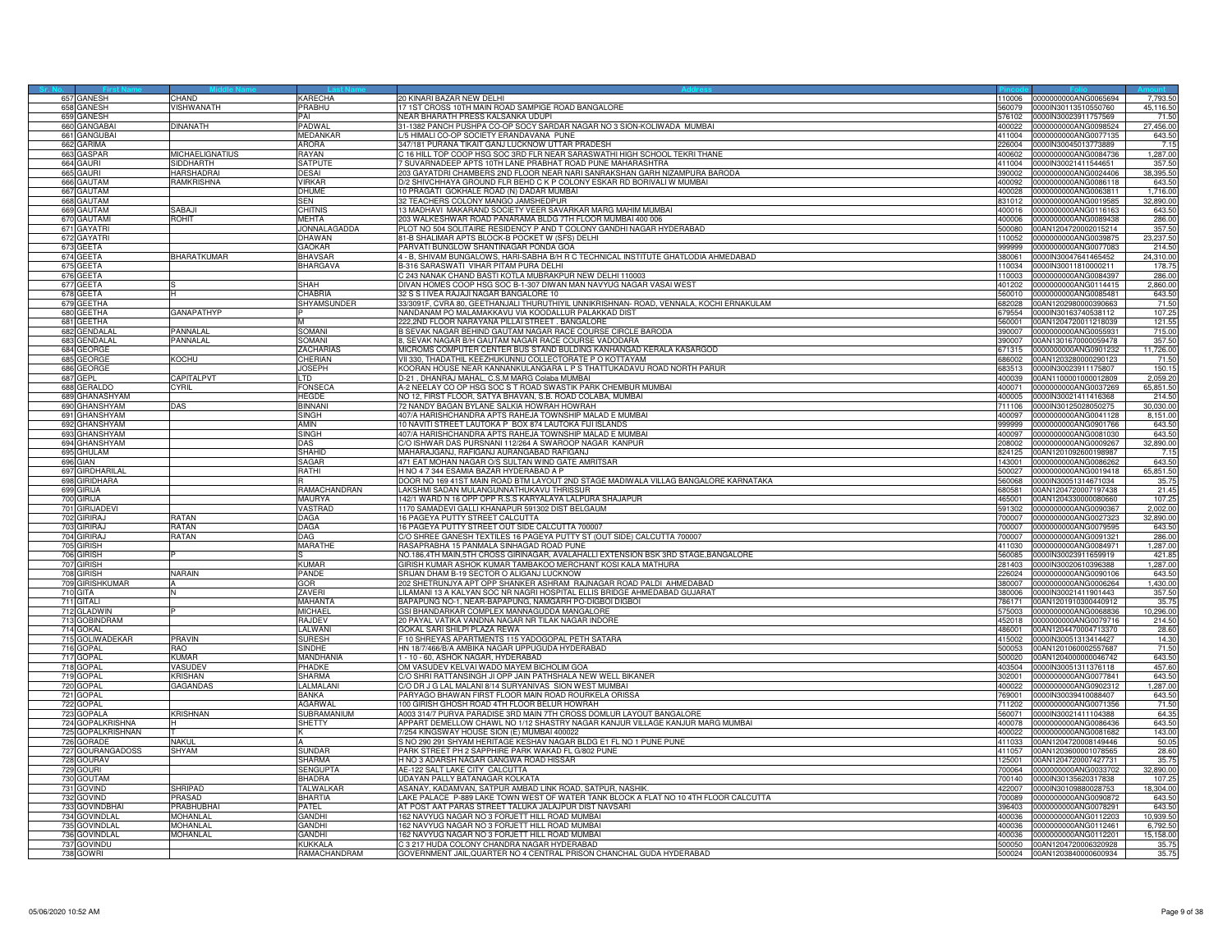|                  | 657 GANESH                     | CHAND                  | KARECHA                       | 20 KINARI BAZAR NEW DELHI                                                                                                       |                  | 110006 0000000000ANG0065694                  | 7,793.50       |
|------------------|--------------------------------|------------------------|-------------------------------|---------------------------------------------------------------------------------------------------------------------------------|------------------|----------------------------------------------|----------------|
|                  | 658 GANESH                     | VISHWANATH             | PRABHU                        | 17 1ST CROSS 10TH MAIN ROAD SAMPIGE ROAD BANGALORE                                                                              | 560079           | 0000IN30113510550760                         | 45,116.5       |
|                  | 659 GANESH                     |                        | PAI                           | NEAR BHARATH PRESS KALSANKA UDUPI                                                                                               |                  | 76102 0000IN30023911757569                   | 71.5           |
| 660              | <b>GANGABAI</b>                | <b>DINANATH</b>        | <b>PADWAL</b>                 | 31-1382 PANCH PUSHPA CO-OP SOCY SARDAR NAGAR NO 3 SION-KOLIWADA MUMBAI                                                          | 100022           | 0000000000ANG0098524                         | 27,456.00      |
| 661              | GANGUBAI                       |                        | <b>MEDANKAI</b>               | /5 HIMALI CO-OP SOCIETY ERANDAVANA PUNE                                                                                         | 411004           | 0000000000ANG0077135                         | 643.50         |
|                  | 662 GARIMA                     |                        | <b>ARORA</b>                  | 347/181 PURANA TIKAIT GANJ LUCKNOW UTTAR PRADESH                                                                                | 226004           | 0000IN30045013773889                         | 7.1            |
| 663              | <b>GASPAR</b>                  | <b>MICHAELIGNATIUS</b> | RAYAN                         | C 16 HILL TOP COOP HSG SOC 3RD FLR NEAR SARASWATHI HIGH SCHOOL TEKRI THANE                                                      | 400602           | 0000000000ANG0084736                         | 1,287.00       |
|                  | 664 GAURI                      | SIDDHARTH              | <b>SATPUTE</b>                | 7 SUVARNADEEP APTS 10TH LANE PRABHAT ROAD PUNE MAHARASHTRA                                                                      | 411004           | 0000IN30021411544651                         | 357.50         |
| 665              | gauri                          | HARSHADRA              | <b>DESAI</b>                  | 203 GAYATDRI CHAMBERS 2ND FLOOR NEAR NARI SANRAKSHAN GARH NIZAMPURA BARODA                                                      | 390002           | 0000000000ANG0024406                         | 38,395.5       |
|                  | 666 GAUTAM                     | <b>RAMKRISHNA</b>      | <b>VIRKAR</b>                 | D/2 SHIVCHHAYA GROUND FLR BEHD C K P COLONY ESKAR RD BORIVALI W MUMBAI                                                          | 400092           | 0000000000ANG0086118                         | 643.5          |
|                  | 667 GAUTAM                     |                        | <b>DHUME</b>                  | 10 PRAGATI GOKHALE ROAD (N) DADAR MUMBAI                                                                                        | 400028           | 0000000000ANG0063811                         | 1,716.0        |
|                  | 668 GAUTAM                     |                        | SEN                           | 32 TEACHERS COLONY MANGO JAMSHEDPUR                                                                                             | 331012           | 0000000000ANG0019585                         | 32,890.0       |
| 669              | <b>GAUTAM</b>                  | SABAJI                 | CHITNIS                       | 13 MADHAVI MAKARAND SOCIETY VEER SAVARKAR MARG MAHIM MUMBAI                                                                     | 400016           | 0000000000ANG0116163                         | 643.5          |
| 670              | <b>AUTAMI</b>                  | <b>ROHIT</b>           | MEHTA                         | 203 WALKESHWAR ROAD PANARAMA BLDG 7TH FLOOR MUMBAI 400 006                                                                      | 600004           | 0000000000ANG0089438                         | 286.0          |
| 671              | <b>GAYATRI</b>                 |                        | JONNALAGADDA                  | PLOT NO 504 SOLITAIRE RESIDENCY P AND T COLONY GANDHI NAGAR HYDERABAD                                                           | 500080           | 00AN1204720002015214                         | 357.5          |
|                  | 672 GAYATRI                    |                        | <b>DHAWAN</b>                 | 81-B SHALIMAR APTS BLOCK-B POCKET W (SFS) DELHI                                                                                 | 110052           | 0000000000ANG0039875                         | 23,237.50      |
|                  |                                |                        |                               |                                                                                                                                 |                  |                                              |                |
|                  | 673 GEETA                      |                        | GAOKAR<br>RHAVSAF             | PARVATI BUNGLOW SHANTINAGAR PONDA GOA                                                                                           | 999999           | 0000000000ANG0077083                         | 214.5          |
|                  | 674 GEETA                      | BHARATKUMAR            |                               | 4 - B, SHIVAM BUNGALOWS, HARI-SABHA B/H R C TECHNICAL INSTITUTE GHATLODIA AHMEDABAD                                             | 380061           | 0000IN30047641465452                         | 24,310.00      |
| 675              | <b>GEETA</b>                   |                        | <b>BHARGAVA</b>               | B-316 SARASWATI VIHAR PITAM PURA DELHI                                                                                          | 10034            | 0000lN30011810000211                         | 178.7          |
| 676              | GEETA                          |                        |                               | C 243 NANAK CHAND BASTI KOTLA MUBRAKPUR NEW DELHI 110003                                                                        | 110003           | 0000000000ANG0084397                         | 286.0          |
|                  | 677 GEETA                      |                        | SHAH                          | DIVAN HOMES COOP HSG SOC B-1-307 DIWAN MAN NAVYUG NAGAR VASAI WEST                                                              | 401202           | 0000000000ANG0114415                         | 2.860.0        |
|                  | 678 GEETA                      |                        | CHABRIA                       | 32 S S I IVEA RAJAJI NAGAR BANGALORE 10                                                                                         |                  | 560010 0000000000ANG0085481                  | 643.50         |
| 679              | ЭЕЕТНА                         |                        | SHYAMSUNDER                   | 33/3091F, CVRA 80, GEETHANJALI THURUTHIYIL UNNIKRISHNAN- ROAD, VENNALA, KOCHI ERNAKULAM                                         | 682028           | 00AN1202980000390663                         | 71.5           |
| 680              | EETHA                          | GANAPATHYP             |                               | IANDANAM PO MALAMAKKAVU VIA KOODALLUR PALAKKAD DIST                                                                             | 79554            | 0000lN30163740538112                         | 107.2          |
|                  | 681 GEETHA                     |                        |                               | 222,2ND FLOOR NARAYANA PILLAI STREET. BANGALORE                                                                                 | 560001           | 00AN1204720011218039                         | 121.5          |
| 682              | <b>GENDALA</b>                 | <b>PANNAI AI</b>       | SOMANI                        | B SEVAK NAGAR BEHIND GAUTAM NAGAR RACE COURSE CIRCLE BARODA                                                                     | 390007           | 0000000000ANG0055931                         | 715.00         |
|                  | 683 GENDALAL                   | <b>PANNAL AL</b>       | SOMANI                        | 8, SEVAK NAGAR B/H GAUTAM NAGAR RACE COURSE VADODARA                                                                            | 390007           | 00AN1301670000059478                         | 357.50         |
|                  | 684 GEORGE                     |                        | <b>ZACHARIAS</b>              | MICROMS COMPUTER CENTER BUS STAND BULDING KANHANGAD KERALA KASARGOD                                                             | 671315           | 0000000000ANG0901232                         | 11,726.00      |
| 685              | EORGE                          | KOCHU                  | <b>HERIAN</b>                 | VII 330, THADATHIL KEEZHUKUNNU COLLECTORATE P O KOTTAYAM                                                                        | 386002           | 00AN1203280000290123                         | 71.5           |
|                  | 686 GEORGE                     |                        | <b>JOSEPH</b>                 | KOORAN HOUSE NEAR KANNANKULANGARA L P S THATTUKADAVU ROAD NORTH PARUR                                                           |                  | 683513 0000IN30023911175807                  | 150.1          |
|                  | 687 GEPL                       | CAPITALPVT             | LTD                           | D-21 , DHANRAJ MAHAL, C.S.M MARG Colaba MUMBAI                                                                                  | 400039           | 00AN1100001000012809                         | 2,059.2        |
|                  | 688 GERALDO                    | <b>CYRIL</b>           | FONSECA                       | A-2 NEELAY CO OP HSG SOC S T ROAD SWASTIK PARK CHEMBUR MUMBAI                                                                   | 400071           | 0000000000ANG0037269                         | 65,851.5       |
|                  | 689 GHANASHYAM                 |                        | <b>HEGDE</b>                  | NO 12, FIRST FLOOR, SATYA BHAVAN, S.B. ROAD COLABA, MUMBAI                                                                      | 100005           | 0000IN30021411416368                         | 214.5          |
| 690              | <b>HANSHYAM</b>                | DAS                    | <b>BINNAN</b>                 | 2 NANDY BAGAN BYLANE SALKIA HOWRAH HOWRAH                                                                                       | 11106            | 0000lN30125028050275                         | 30,030.0       |
| 691              | <b>GHANSHYAM</b>               |                        | SINGH                         | 407/A HARISHCHANDRA APTS RAHEJA TOWNSHIP MALAD E MUMBAI                                                                         | 400097           | 0000000000ANG0041128                         | 8.151.0        |
| 692              | <b>GHANSHYAM</b>               |                        | AMIN                          | 10 NAVITI STREET LAUTOKA P BOX 874 LAUTOKA FIJI ISLANDS                                                                         | 399999           | 0000000000ANG0901766                         | 643.5          |
| 693              | <b>GHANSHYAM</b>               |                        | SINGH                         | 407/A HARISHCHANDRA APTS RAHEJA TOWNSHIP MALAD E MUMBAI                                                                         | 400097           | 0000000000ANG0081030                         | 643.50         |
| 694              | GHANSHYAM                      |                        | $\overline{\text{DAS}}$       | C/O ISHWAR DAS PURSNANI 112/264 A SWAROOP NAGAR KANPUR                                                                          | 208002           | 0000000000ANG0009267                         | 32,890.00      |
| 695              | <b>GHULAM</b>                  |                        | SHAHID                        | MAHARAJGANJ, RAFIGANJ AURANGABAD RAFIGANJ                                                                                       | 324125           | 00AN1201092600198987                         | 7.1            |
|                  | 696 GIAN                       |                        | SAGAR                         | 471 EAT MOHAN NAGAR O/S SULTAN WIND GATE AMRITSAR                                                                               |                  | 0000000000ANG0086262                         | 643.5          |
| 697              | <b>GIRDHARILAL</b>             |                        |                               | H NO 4 7 344 ESAMIA BAZAR HYDERABAD A P                                                                                         | 143001<br>500027 | 0000000000ANG0019418                         | 65,851.5       |
|                  |                                |                        | RATHI                         |                                                                                                                                 |                  |                                              |                |
| 699              | 698 GIRIDHARA<br><b>GIRIJA</b> |                        | RAMACHANDRAN                  | DOOR NO 169 41ST MAIN ROAD BTM LAYOUT 2ND STAGE MADIWALA VILLAG BANGALORE KARNATAKA<br>LAKSHMI SADAN MULANGUNNATHUKAVU THRISSUR | 560068<br>680581 | 0000lN30051314671034<br>00AN1204720007197438 | 35.7<br>21.45  |
|                  |                                |                        |                               |                                                                                                                                 |                  |                                              |                |
| 700              | <b>GIRIJA</b>                  |                        | <b>MAURYA</b>                 | 142/1 WARD N 16 OPP OPP R.S.S KARYALAYA LALPURA SHAJAPUR                                                                        | 465001           | 00AN1204330000080660                         | 107.2          |
|                  | 701 GIRIJADEVI                 |                        | VASTRAD                       | 1170 SAMADEVI GALLI KHANAPUR 591302 DIST BELGAUM                                                                                | 591302           | 0000000000ANG0090367                         | 2,002.0        |
| 702              | GIRIRAJ                        | RATAN                  | DAGA                          | 16 PAGEYA PUTTY STREET CALCUTTA                                                                                                 | 700007           | 0000000000ANG0027323                         | 32,890.0       |
|                  | 703 GIRIRAJ                    | <b>RATAN</b>           | <b>DAGA</b>                   | 16 PAGEYA PUTTY STREET OUT SIDE CALCUTTA 700007                                                                                 | 700007           | 0000000000ANG0079595                         | 643.5          |
| 704              | GIRIRAJ                        | RATAN                  | <b>DAG</b>                    | C/O SHREE GANESH TEXTILES 16 PAGEYA PUTTY ST (OUT SIDE) CALCUTTA 700007                                                         | '00007           | 0000000000ANG0091321                         | 286.00         |
| 705              | <b>GIRISH</b>                  |                        | <b>MARATHE</b>                | RASAPRABHA 15 PANMALA SINHAGAD ROAD PUNE                                                                                        | 111030           | 0000000000ANG0084971                         | 1,287.00       |
|                  | 706 GIRISH                     |                        |                               | NO.186,4TH MAIN,5TH CROSS GIRINAGAR, AVALAHALLI EXTENSION BSK 3RD STAGE,BANGALORE                                               |                  | 560085 0000IN30023911659919                  | 421.8          |
| 707              | <b>GIRISH</b>                  |                        | <b>KUMAR</b>                  | GIRISH KUMAR ASHOK KUMAR TAMBAKOO MERCHANT KOSI KALA MATHURA                                                                    | 281403           | 0000IN30020610396388                         | 1,287.0        |
|                  | 708 GIRISH                     | NARAIN                 | PANDE                         | SRIJAN DHAM B-19 SECTOR O ALIGANJ LUCKNOW                                                                                       |                  | 226024 0000000000ANG0090106                  | 643.50         |
| 709              | <b>GIRISHKUMAR</b>             |                        | GOR                           | 202 SHETRUNJYA APT OPP SHANKER ASHRAM RAJNAGAR ROAD PALDI AHMEDABAD                                                             | 80007            | 0000000000ANG0006264                         | 1,430.0        |
|                  | 710 GITA                       |                        | ZAVERI                        | LILAMANI 13 A KALYAN SOC NR NAGRI HOSPITAL ELLIS BRIDGE AHMEDABAD GUJARAT                                                       | 380006           | 0000lN30021411901443                         | 357.5          |
|                  | 711 GITALI                     |                        | <b>MAHANTA</b>                | BAPAPUNG NO-1, NEAR-BAPAPUNG, NAMGARH PO-DIGBOI DIGBOI                                                                          |                  | 786171 00AN1201910300440912                  | 35.75          |
|                  | 712 GLADWIN                    |                        | <b>MICHAEL</b>                | GSI BHANDARKAR COMPLEX MANNAGUDDA MANGALORE                                                                                     | 575003           | 0000000000ANG0068836                         | 10,296.00      |
|                  | 713 GOBINDRAM                  |                        | RAJDEV                        | 20 PAYAL VATIKA VANDNA NAGAR NR TILAK NAGAR INDORE                                                                              | 452018           | 0000000000ANG0079716                         | 214.5          |
| 714              | <b>GOKAL</b>                   |                        | <b>ALWAN</b>                  | GOKAL SARI SHILPI PLAZA REWA                                                                                                    | 186001           | 00AN1204470004713370                         | 28.6           |
| 715              | GOLIWADEKAR                    | <b>PRAVIN</b>          | SURESH                        | 10 SHREYAS APARTMENTS 115 YADOGOPAL PETH SATARA                                                                                 | 415002           | 0000lN30051313414427                         | 14.3           |
|                  | 716 GOPAL                      | RAO                    | <b>SINDHE</b>                 | HN 18/7/466/B/A AMBIKA NAGAR UPPUGUDA HYDERABAD                                                                                 | 500053           | 00AN1201060002557687                         | 71.5(          |
|                  | 717 GOPAL                      | <b>KUMAR</b>           | MANDHANIA                     | 1 - 10 - 60, ASHOK NAGAR, HYDERABAD                                                                                             | 500020           | 00AN1204000000046742                         | 643.50         |
|                  | 718 GOPAL                      | VASUDEV                | PHADKE                        | M VASUDEV KELVAI WADO MAYEM BICHOLIM GOA                                                                                        | 103504           | 0000IN30051311376118                         | 457.60         |
| 719              | <b>OPAL</b>                    | <b>KRISHAN</b>         | <b>SHARMA</b>                 | O SHRI RATTANSINGH JI OPP JAIN PATHSHALA NEW WELL BIKANER                                                                       | 02001            | 0000000000ANG0077841                         | 643.5          |
| 720              | <b>GOPAI</b>                   | GAGANDAS               | LALMALAN                      | CO DR J G LAL MALANI 8/14 SURYANIVAS SION WEST MUMBAI                                                                           | 400022           | 0000000000ANG0902312                         | 1,287.0        |
|                  |                                |                        | BANKA                         | PARYAGO BHAWAN FIRST FLOOR MAIN ROAD ROURKELA ORISSA                                                                            | 69001            | 0000IN30039410088407                         | 643.5          |
|                  |                                |                        |                               |                                                                                                                                 |                  |                                              | 71.50          |
| 723 <sub>L</sub> | 721 GOPAL                      |                        |                               |                                                                                                                                 |                  |                                              |                |
|                  | 722 GOPAL<br><b>GOPALA</b>     |                        | <b>AGARWAL</b><br>SUBRAMANIUM | 100 GIRISH GHOSH ROAD 4TH FLOOR BELUR HOWRAH                                                                                    | 711202<br>560071 | 0000000000ANG0071356<br>0000IN30021411104388 |                |
| 724              |                                | <b>KRISHNAN</b>        | <b>HETTY</b>                  | A003 314/7 PURVA PARADISE 3RD MAIN 7TH CROSS DOMLUR LAYOUT BANGALORE                                                            |                  |                                              | 64.35          |
|                  | <b>SOPALKRISHNA</b>            |                        |                               | APPART DEMELLOW CHAWL NO 1/12 SHASTRY NAGAR KANJUR VILLAGE KANJUR MARG MUMBAI                                                   | 400078           | 0000000000ANG0086436                         | 643.5          |
| 725 0            | <b>GOPALKRISHNAN</b>           |                        |                               | 7/254 KINGSWAY HOUSE SION (E) MUMBAI 400022                                                                                     |                  | 400022 0000000000ANG0081682                  | 143.00         |
|                  | 726 GORADE                     | NAKUL                  |                               | S NO 290 291 SHYAM HERITAGE KESHAV NAGAR BLDG E1 FL NO 1 PUNE PUNE                                                              | 411033           | 00AN1204720008149446                         | 50.0           |
|                  | 727 GOURANGADOSS               | <b>SHYAM</b>           | <b>SUNDAR</b>                 | PARK STREET PH 2 SAPPHIRE PARK WAKAD FL G/802 PUNE                                                                              | 411057           | 00AN1203600001078565                         | 28.60          |
|                  | 728 GOURAV                     |                        | SHARMA                        | H NO 3 ADARSH NAGAR GANGWA ROAD HISSAR                                                                                          | 25001            | 00AN1204720007427731                         | 35.75          |
| <b>729</b>       | <b>OURI</b>                    |                        | SENGUPTA                      | <b>AE-122 SALT LAKE CITY CALCUTTA</b>                                                                                           | 00064            | 0000000000ANG0033702                         | 32,890.0       |
|                  | 730 GOUTAM                     |                        | <b>BHADRA</b>                 | UDAYAN PALLY BATANAGAR KOLKATA                                                                                                  | 700140           | 0000lN30135620317838                         | 107.2          |
|                  | 731 GOVIND                     | <b>SHRIPAD</b>         | <b>TALWALKA</b>               | ASANAY, KADAMVAN, SATPUR AMBAD LINK ROAD, SATPUR, NASHIK.                                                                       | 422007           | 0000IN30109880028753                         | 18,304.0       |
|                  | 732 GOVIND                     | PRASAD                 | <b>BHARTIA</b>                | LAKE PALACE P-889 LAKE TOWN WEST OF WATER TANK BLOCK A FLAT NO 10 4TH FLOOR CALCUTTA                                            | 700089           | 0000000000ANG0090872                         | 643.50         |
|                  | 733 GOVINDBHAI                 | PRABHUBHAI             | <b>PATFI</b>                  | AT POST AAT PARAS STREET TALUKA JALAJPUR DIST NAVSARI                                                                           | 396403           | 0000000000ANG0078291                         | 643.50         |
| 734              | GOVINDLAL                      | <b>MOHANLAL</b>        | <b>GANDH</b>                  | 162 NAVYUG NAGAR NO 3 FORJETT HILL ROAD MUMBAI                                                                                  | 100036           | 0000000000ANG0112203                         | 10,939.5       |
| 735              | <b>GOVINDLAL</b>               | <b>MOHANLAL</b>        | GANDHI                        | 162 NAVYUG NAGAR NO 3 FORJETT HILL ROAD MUMBAI                                                                                  | 400036           | 0000000000ANG0112461                         | 6,792.5        |
| 7360             | <b>GOVINDLAI</b>               | <b>MOHANLAL</b>        | GANDHI                        | 162 NAVYUG NAGAR NO 3 FORJETT HILL ROAD MUMBAI                                                                                  | 400036           | 0000000000ANG0112201                         | 15,158.0       |
|                  | 737 GOVINDU<br>738 GOWRI       |                        | KUKKALA<br>RAMACHANDRAM       | C 3 217 HUDA COLONY CHANDRA NAGAR HYDERABAD<br>GOVERNMENT JAIL, QUARTER NO 4 CENTRAL PRISON CHANCHAL GUDA HYDERABAD             |                  | 500050 00AN1204720006320928                  | 35.75<br>35.75 |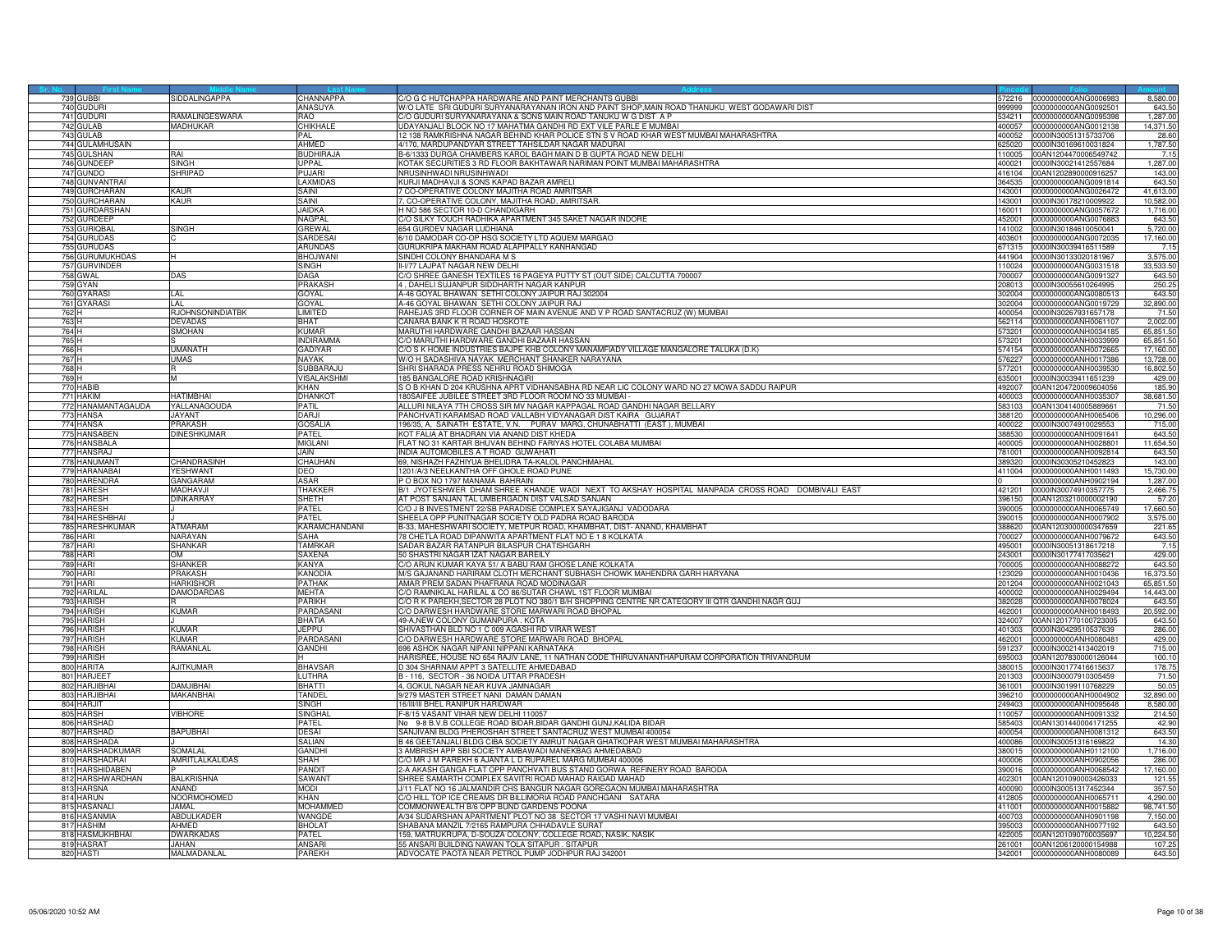| 643.50<br>740 GUDURI<br>ANASUYA<br>W/O LATE SRI GUDURI SURYANARAYANAN IRON AND PAINT SHOP.MAIN ROAD THANUKU WEST GODAWARI DIST<br>741 GUDURI<br>RAMALINGESWARA<br>C/O GUDURI SURYANARAYANA & SONS MAIN ROAD TANUKU W G DIST A P<br>0000000000ANG0095398<br>1,287.00<br>RAO<br>534211<br>UDAYANJALI BLOCK NO 17 MAHATMA GANDHI RD EXT VILE PARLE E MUMBAI<br>14,371.50<br>742 GULAB<br>MADHUKAR<br>CHIKHAI F<br>400057<br>000000000ANG0012138<br>12 138 RAMKRISHNA NAGAR BEHIND KHAR POLICE STN S V ROAD KHAR WEST MUMBAI MAHARASHTRA<br>743<br><b>GULAB</b><br>PAI<br>100052<br>0000IN30051315733706<br>28.60<br>1,787.50<br>744 GULAMHUSAIN<br>AHMED<br>4/170, MARDUPANDYAR STREET TAHSILDAR NAGAR MADURAI<br>625020<br>0000IN30169610031824<br>B-6/1333 DURGA CHAMBERS KAROL BAGH MAIN D B GUPTA ROAD NEW DELHI<br>745 GULSHAN<br>rai<br><b>BUDHIRAJ</b><br>110005<br>00AN1204470006549742<br>7.15<br>746 GUNDEEP<br><b>SINGH</b><br><b>UPPAL</b><br>KOTAK SECURITIES 3 RD FLOOR BAKHTAWAR NARIMAN POINT MUMBAI MAHARASHTRA<br>0000lN30021412557684<br>1,287.00<br>400021<br>SHRIPAD<br>PUJARI<br>143.00<br>747 GUNDO<br>NRUSINHWADI NRUSINHWADI<br>00AN1202890000916257<br>416104<br>748 GUNVANTRAI<br>LAXMIDAS<br>KURJI MADHAVJI & SONS KAPAD BAZAR AMRELI<br>643.50<br>364535<br>0000000000ANG0091814<br>7 CO-OPERATIVE COLONY MAJITHA ROAD AMRITSAR<br>749 GURCHARAN<br>KAUR<br>SAINI<br>143001<br>41,613.00<br>0000000000ANG0026472<br>750 GURCHARAN<br>KAUR<br>7, CO-OPERATIVE COLONY, MAJITHA ROAD, AMRITSAR<br>10,582.00<br>SAINI<br>143001<br>0000IN30178210009922<br>1,716.00<br>751 GURDARSHAN<br><b>JAIDKA</b><br>H NO 586 SECTOR 10-D CHANDIGARH<br>160011<br>0000000000ANG0057672<br>752 GURDEEP<br>NAGPAL<br>C/O SILKY TOUCH RADHIKA APARTMENT 345 SAKET NAGAR INDORE<br>643.50<br>0000000000ANG0076883<br>452001<br>753 GURIQBAL<br>GREWAL<br><b>654 GURDEV NAGAR LUDHIANA</b><br>5,720.00<br>SINGH<br>141002<br>0000IN30184610050041<br>6/10 DAMODAR CO-OP HSG SOCIETY LTD AQUEM MARGAO<br>754 GURUDAS<br>SARDESAI<br>403601<br>17,160.00<br>0000000000ANG0072035<br>755 GURUDAS<br>ARUNDAS<br>GURUKRIPA MAKHAM ROAD ALAPIPALLY KANHANGAD<br>671315<br>0000IN30039416511589<br>7.1<br>3,575.00<br>756 GURUMUKHDAS<br>BHOJWAN<br>SINDHI COLONY BHANDARA M S<br>441904<br>0000IN30133020181967<br>757 GURVINDER<br>II-V77 LAJPAT NAGAR NEW DELHI<br>0000000000ANG0031518<br>33.533.50<br>SINGH<br>110024<br>758 GWAL<br>DAGA<br>C/O SHREE GANESH TEXTILES 16 PAGEYA PUTTY ST (OUT SIDE) CALCUTTA 700007<br>0000000000ANG0091327<br>643.50<br>ЭAS<br>'00007<br>759 GYAN<br>PRAKASH<br>4, DAHELI SUJANPUR SIDDHARTH NAGAR KANPUR<br>250.2<br>0000IN30055610264995<br>208013<br>GOYAL<br>A-46 GOYAL BHAWAN SETHI COLONY JAIPUR RAJ 302004<br>643.50<br>760 GYARAS<br>IAI<br>302004<br>0000000000ANG0080513<br>761 GYARASI<br>A-46 GOYAL BHAWAN SETHI COLONY JAIPUR RAJ<br>32,890.00<br>LAL<br>GOYAL<br>302004<br>0000000000ANG0019729<br>762 H<br>RJOHNSONINDIATBK<br>LIMITED<br>RAHEJAS 3RD FLOOR CORNER OF MAIN AVENUE AND V P ROAD SANTACRUZ (W) MUMBAI<br>100054<br>0000IN30267931657178<br>71.50<br>763 H<br><b>DEVADAS</b><br><b>BHAT</b><br>CANARA BANK K R ROAD HOSKOTE<br>0000000000ANH0061107<br>2,002.00<br>562114<br>764 H<br>SMOHAN<br>KUMAR<br>MARUTHI HARDWARE GANDHI BAZAAR HASSAN<br>0000000000ANH0034185<br>65,851.50<br>573201<br>765 H<br><b>INDIRAMM</b><br>C/O MARUTHI HARDWARE GANDHI BAZAAR HASSAN<br>65,851.50<br>573201<br>0000000000ANH0033999<br>UMANATH<br>GADIYAR<br>C/O S K HOME INDUSTRIES BAJPE KHB COLONY MANAMFIADY VILLAGE MANGALORE TALUKA (D.K)<br>766 H<br>17,160.00<br>574154<br>000000000ANH0072665<br>767 H<br>JMAS<br>NAYAK<br>N/O H SADASHIVA NAYAK MERCHANT SHANKER NARAYANA<br>76227<br>000000000ANH0017386<br>13,728.00<br>768 H<br>SUBBARAJU<br>SHRI SHARADA PRESS NEHRU ROAD SHIMOGA<br>0000000000ANH0039530<br>16,802.50<br>577201<br>769 H<br><b>VISALAKSHM</b><br>185 BANGALORE ROAD KRISHNAGIRI<br>429.00<br>635001<br>0000IN30039411651239<br>м<br>770 HABIB<br>KHAN<br>S O B KHAN D 204 KRUSHNA APRT VIDHANSABHA RD NEAR LIC COLONY WARD NO 27 MOWA SADDU RAIPUR<br>492007<br>00AN1204720009604056<br>185.90<br>771 HAKIM<br>HATIMRHAI<br>DHANKOT<br>180SAIFEE JUBILEE STREET 3RD FLOOR ROOM NO 33 MUMBAI -<br>38,681.50<br>0000000000ANH0035307<br>400003<br>772 HANAMANTAGAUDA<br>ALLURI NILAYA 7TH CROSS SIR MV NAGAR KAPPAGAL ROAD GANDHI NAGAR BELLARY<br>YALLANAGOUDA<br>PATIL<br>83103<br>00AN1304140005889661<br>71.50<br>773 HANSA<br>JAYANT<br>DARJI<br>PANCHVATI KARAMSAD ROAD VALLABH VIDYANAGAR DIST KAIRA   GUJARAT<br>388120<br>0000000000ANH0065406<br>10,296.00<br>196/35, A. SAINATH ESTATE, V.N. PURAV MARG, CHUNABHATTI (EAST), MUMBAL<br>774 HANSA<br>PRAKASH<br><b>GOSALIA</b><br>0000IN30074910029553<br>715.00<br>400022<br>775 HANSABEN<br>DINESHKUMAR<br>PATFI<br>KOT FALIA AT BHADRAN VIA ANAND DIST KHEDA<br>388530<br>0000000000ANH0091641<br>643.50<br>FLAT NO 31 KARTAR BHUVAN BEHIND FARIYAS HOTEL COLABA MUMBAI<br>11,654.50<br>776 HANSBALA<br>MIGI ANI<br>0000000000ANH0028801<br>400005<br>777 HANSRAJ<br><b>JAIN</b><br>INDIA AUTOMOBILES A T ROAD GUWAHATI<br>81001<br>0000000000ANH0092814<br>643.50<br>69, NISHAZH FAZHIYUA BHELIDRA TA-KALOL PANCHMAHAL<br>778 HANUMANT<br>CHANDRASINH<br>CHAUHAN<br>143.00<br>389320<br>0000IN30305210452823<br>779 HARANABA<br>YESHWANT<br>DEO<br>1201/A/3 NEELKANTHA OFF GHOLE ROAD PUNE<br>411004<br>0000000000ANH0011493<br>15,730.00<br>780 HARENDRA<br>GANGARAM<br>ASAR<br>P O BOX NO 1797 MANAMA BAHRAIN<br>0000000000ANH0902194<br>1,287.00<br>781 HARESH<br>MADHAVJI<br>THAKKER<br>B/1 JYOTESHWER DHAM SHREE KHANDE WADI NEXT TO AKSHAY HOSPITAL MANPADA CROSS ROAD DOMBIVALI EAST<br>0000IN30074910357775<br>2,466.75<br>421201<br>782 HARESH<br><b>JINKARRAY</b><br>AT POST SANJAN TAL UMBERGAON DIST VALSAD SANJAN<br>SHETH<br>96150<br>00AN1203210000002190<br>57.20<br>C/O J B INVESTMENT 22/SB PARADISE COMPLEX SAYAJIGANJ VADODARA<br>783 HARESH<br>PATFI<br>17,660.50<br>0000000000ANH0065749<br>390005<br>784 HARESHBHAI<br>SHEELA OPP PUNITNAGAR SOCIETY OLD PADRA ROAD BARODA<br>3,575.00<br>PATFI<br>390015<br>000000000ANH0007902<br>KARAMCHANDANI<br>B-33, MAHESHWARI SOCIETY, METPUR ROAD, KHAMBHAT, DIST-ANAND, KHAMBHAT<br>785 HARESHKUMAR<br><b>ATMARAM</b><br>388620<br>00AN1203000000347659<br>221.65<br>786 HARI<br>NARAYAN<br>SAHA<br>78 CHETLA ROAD DIPANWITA APARTMENT FLAT NO E 1 8 KOLKATA<br>643.50<br>700027<br>0000000000ANH0079672<br><b>787 HARI</b><br><b>SHANKAR</b><br><b>TAMRKAR</b><br>SADAR BAZAR RATANPUR BILASPUR CHATISHGARH<br>0000lN30051318617218<br>7.15<br>495001<br>SAXENA<br>429.00<br>788 HARI<br><b>OM</b><br>50 SHASTRI NAGAR IZAT NAGAR BAREILY<br>243001<br>0000lN30177417035621<br>789 HARI<br>SHANKER<br>KANYA<br>C/O ARUN KUMAR KAYA 51/ A BABU RAM GHOSE LANE KOLKATA<br>700005<br>643.50<br>0000000000ANH0088272<br><b>PRAKASH</b><br>M/S GAJANAND HARIRAM CLOTH MERCHANT SUBHASH CHOWK MAHENDRA GARH HARYANA<br>790 HARI<br>KANODIA<br>123029<br>0000000000ANH0010436<br>16,373.50<br>791 HARI<br>HARKISHOF<br>PATHAK<br>AMAR PREM SADAN PHAFRANA ROAD MODINAGAR<br>65,851.50<br>201204<br>0000000000ANH0021043<br>792 HARILAL<br><b>DAMODARDAS</b><br>MEHTA<br>C/O RAMNIKLAL HARILAL & CO 86/SUTAR CHAWL 1ST FLOOR MUMBAI<br>0000000000ANH0029494<br>14,443.00<br>400002<br>793 HARISH<br>PARIKH<br>C/O R K PAREKH, SECTOR 28 PLOT NO 380/1 B/H SHOPPING CENTRE NR CATEGORY III QTR GANDHI NAGR GUJ<br>0000000000ANH0078024<br>643.50<br>382028<br>794 HARISH<br><b>KUMAR</b><br>PARDASAN<br>C/O DARWESH HARDWARE STORE MARWARI ROAD BHOPAL<br>0000000000ANH0018493<br>20,592.00<br>462001<br>795 HARISH<br>BHATIA<br>49-A, NEW COLONY GUMANPURA. KOTA<br>643.50<br>324007<br>00AN1201770100723005<br>796 HARISH<br>KUMAR<br><b>JEPPU</b><br>SHIVASTHAN BLD NO 1 C 009 AGASHI RD VIRAR WEST<br>286.00<br>401303<br>0000IN30429510537639<br>797 HARISH<br>KUMAR<br>PARDASAN<br>C/O DARWESH HARDWARE STORE MARWARI ROAD BHOPAL<br>0000000000ANH0080481<br>429.00<br>462001<br>798 HARISH<br>RAMANLAL<br><b>GANDHI</b><br>696 ASHOK NAGAR NIPANI NIPPANI KARNATAKA<br>715.00<br>591237 0000lN30021413402019<br>799 HARISH<br>HARISREE, HOUSE NO 654 RAJIV LANE, 11 NATHAN CODE THIRUVANANTHAPURAM CORPORATION TRIVANDRUM<br>00AN1207830000126044<br>95003<br>100.10<br>800 HARITA<br>AJITKUMAR<br>D 304 SHARNAM APPT 3 SATELLITE AHMEDABAD<br>178.75<br><b>BHAVSAR</b><br>0000lN30177416615637<br>380015<br>801 HARJEET<br>LUTHRA<br>B-116, SECTOR-36 NOIDA UTTAR PRADESH<br>01303<br>0000IN30007910305459<br>71.50<br>802 HARJIBHA<br><b>DAMJIBHAI</b><br>BHATTI<br>4, GOKUL NAGAR NEAR KUVA JAMNAGAR<br>361001<br>0000lN30199110768229<br>50.05<br>803 HARJIBHA<br>MAKANBHAI<br>TANDEL<br>9/279 MASTER STREET NANI DAMAN DAMAN<br>0000000000ANH0004902<br>32,890.00<br>396210<br>804 HARJIT<br>SINGH<br>16/III/III BHEL RANIPUR HARIDWAR<br>249403<br>0000000000ANH0095648<br>8,580.00<br>VIBHORE<br>805 HARSH<br>F-8/15 VASANT VIHAR NEW DELHI 110057<br>SINGHAI<br>110057<br>0000000000ANH0091332<br>214.50<br>806 HARSHAD<br>No 9-8 B.V.B COLLEGE ROAD BIDAR, BIDAR GANDHI GUNJ, KALIDA BIDAR<br>PATEL<br>585403<br>00AN1301440004171255<br>42.90<br><b>BAPUBHAI</b><br>DESAI<br>SANJIVANI BLDG PHEROSHAH STREET SANTACRUZ WEST MUMBAI 400054<br>643.50<br>807 HARSHAD<br>400054<br>0000000000ANH0081312<br>B 46 GEETANJALI BLDG CIBA SOCIETY AMRUT NAGAR GHATKOPAR WEST MUMBAI MAHARASHTRA<br>14.30<br>808 HARSHADA<br>SALIAN<br>400086<br>0000lN30051316169822<br>809 HARSHADKUMAR<br>SOMALAL<br>GANDHI<br>3 AMBRISH APP SBI SOCIETY AMBAWADI MANEKBAG AHMEDABAD<br>380015<br>0000000000ANH0112100<br>1,716.00<br>AMRITLALKALIDAS<br>C/O MR J M PAREKH 6 AJANTA L D RUPAREL MARG MUMBAI 400006<br>810 HARSHADRAI<br>SHAH<br>286.00<br>400006<br>0000000000ANH0902056<br>811 HARSHIDABEN<br><b>PANDIT</b><br>A AKASH GANGA FLAT OPP PANCHVATI BUS STAND GORWA REFINERY ROAD BARODA<br>90016<br>0000000000ANH0068542<br>17,160.00<br>812 HARSHWARDHAN<br><b>BALKRISHNA</b><br>SAWANT<br>SHREE SAMARTH COMPLEX SAVITRI ROAD MAHAD RAIGAD MAHAD<br>402301<br>121.55<br>00AN1201090003426033<br>813 HARSNA<br><b>MODI</b><br>J/11 FLAT NO 16 JALMANDIR CHS BANGUR NAGAR GOREGAON MUMBAI MAHARASHTRA<br>357.50<br><b>ANAND</b><br>400090<br>0000lN30051317452344<br>NOORMOHOMED<br>C/O HILL TOP ICE CREAMS DR BILLIMORIA ROAD PANCHGANI SATARA<br>814 HARUN<br>KHAN<br>412805<br>0000000000ANH0065711<br>4,290.00<br>MOHAMMED<br>COMMONWEALTH B/6 OPP BUND GARDENS POONA<br>98,741.50<br>815 HASANALI<br><b>JAMAL</b><br>0000000000ANH0015882<br>411001<br>816 HASANMIA<br>ABDULKADER<br>A/34 SUDARSHAN APARTMENT PLOT NO 38 SECTOR 17 VASHI NAVI MUMBAI<br>WANGDE<br>400703<br>0000000000ANH0901198<br>7,150.00<br>SHABANA MANZIL 7/2165 RAMPURA CHHADAVLE SURAT<br>817 HASHIM<br>AHMED<br>BHOLAT<br>643.50<br>395003<br>0000000000ANH0077192<br>818 HASMUKHBHAI<br>159, MATRUKRUPA, D-SOUZA COLONY, COLLEGE ROAD, NASIK. NASIK<br><b>DWARKADAS</b><br><b>PATFI</b><br>122005<br>00AN1201090700035697<br>10,224.50<br>819 HASRAT<br>JAHAN.<br>ANSARI<br>55 ANSARI BUILDING NAWAN TOLA SITAPUR . SITAPUR<br>261001<br>00AN1206120000154988<br>107.25<br>820 HASTI<br>MALMADANLAL<br>PAREKH<br>ADVOCATE PAOTA NEAR PETROL PUMP JODHPUR RAJ 342001<br>643.50<br>342001 0000000000ANH0080089 |           |               |           |                                                                |                      |          |
|------------------------------------------------------------------------------------------------------------------------------------------------------------------------------------------------------------------------------------------------------------------------------------------------------------------------------------------------------------------------------------------------------------------------------------------------------------------------------------------------------------------------------------------------------------------------------------------------------------------------------------------------------------------------------------------------------------------------------------------------------------------------------------------------------------------------------------------------------------------------------------------------------------------------------------------------------------------------------------------------------------------------------------------------------------------------------------------------------------------------------------------------------------------------------------------------------------------------------------------------------------------------------------------------------------------------------------------------------------------------------------------------------------------------------------------------------------------------------------------------------------------------------------------------------------------------------------------------------------------------------------------------------------------------------------------------------------------------------------------------------------------------------------------------------------------------------------------------------------------------------------------------------------------------------------------------------------------------------------------------------------------------------------------------------------------------------------------------------------------------------------------------------------------------------------------------------------------------------------------------------------------------------------------------------------------------------------------------------------------------------------------------------------------------------------------------------------------------------------------------------------------------------------------------------------------------------------------------------------------------------------------------------------------------------------------------------------------------------------------------------------------------------------------------------------------------------------------------------------------------------------------------------------------------------------------------------------------------------------------------------------------------------------------------------------------------------------------------------------------------------------------------------------------------------------------------------------------------------------------------------------------------------------------------------------------------------------------------------------------------------------------------------------------------------------------------------------------------------------------------------------------------------------------------------------------------------------------------------------------------------------------------------------------------------------------------------------------------------------------------------------------------------------------------------------------------------------------------------------------------------------------------------------------------------------------------------------------------------------------------------------------------------------------------------------------------------------------------------------------------------------------------------------------------------------------------------------------------------------------------------------------------------------------------------------------------------------------------------------------------------------------------------------------------------------------------------------------------------------------------------------------------------------------------------------------------------------------------------------------------------------------------------------------------------------------------------------------------------------------------------------------------------------------------------------------------------------------------------------------------------------------------------------------------------------------------------------------------------------------------------------------------------------------------------------------------------------------------------------------------------------------------------------------------------------------------------------------------------------------------------------------------------------------------------------------------------------------------------------------------------------------------------------------------------------------------------------------------------------------------------------------------------------------------------------------------------------------------------------------------------------------------------------------------------------------------------------------------------------------------------------------------------------------------------------------------------------------------------------------------------------------------------------------------------------------------------------------------------------------------------------------------------------------------------------------------------------------------------------------------------------------------------------------------------------------------------------------------------------------------------------------------------------------------------------------------------------------------------------------------------------------------------------------------------------------------------------------------------------------------------------------------------------------------------------------------------------------------------------------------------------------------------------------------------------------------------------------------------------------------------------------------------------------------------------------------------------------------------------------------------------------------------------------------------------------------------------------------------------------------------------------------------------------------------------------------------------------------------------------------------------------------------------------------------------------------------------------------------------------------------------------------------------------------------------------------------------------------------------------------------------------------------------------------------------------------------------------------------------------------------------------------------------------------------------------------------------------------------------------------------------------------------------------------------------------------------------------------------------------------------------------------------------------------------------------------------------------------------------------------------------------------------------------------------------------------------------------------------------------------------------------------------------------------------------------------------------------------------------------------------------------------------------------------------------------------------------------------------------------------------------------------------------------------------------------------------------------------------------------------------------------------------------------------------------------------------------------------------------------------------------------------------------------------------------------------------------------------------------------------------------------------------------------------------------------------------------------------------------------------------------------------------------------------------------------------------------------------------------------------------------------------------------------------------------------------------------------------------------------------------------------------------------------------------------------------------------------------------------------------------------------------------------------------------------------------------------------------------------------------------------------------------------------------------------------------------------------------------------------------------------------------------------------------------------------------------------------------------------------------------------------------------------------------------------------------------------------------------------------------------------------------------------------------------------------------------------------------------------------------------------------------------------------------------------------------------------------------------------------------------------------------------------------------------------------------------------------------------------------------------------------------------------------------------------------------------------------------------------------------------------------------------------------------------------------------------------------------------------------------------------------------------------------------------------------------------------------------------------------------------------------------------------------------------------------------------------------------------------------------------------------------------------------------------------------------------------------------------------------------------------------------------------------------------------------------------------------------------------------------------------------------------------------------------------------------------------------------------------------------------------------------------------------------------------------------------------------------------------------------------------------------------------------------------------------------------------------------------------------------------------------------------------------------------------------------------------------------------------------------------------------------------------------------------------------------------------------------------------------------------------------------------------|-----------|---------------|-----------|----------------------------------------------------------------|----------------------|----------|
|                                                                                                                                                                                                                                                                                                                                                                                                                                                                                                                                                                                                                                                                                                                                                                                                                                                                                                                                                                                                                                                                                                                                                                                                                                                                                                                                                                                                                                                                                                                                                                                                                                                                                                                                                                                                                                                                                                                                                                                                                                                                                                                                                                                                                                                                                                                                                                                                                                                                                                                                                                                                                                                                                                                                                                                                                                                                                                                                                                                                                                                                                                                                                                                                                                                                                                                                                                                                                                                                                                                                                                                                                                                                                                                                                                                                                                                                                                                                                                                                                                                                                                                                                                                                                                                                                                                                                                                                                                                                                                                                                                                                                                                                                                                                                                                                                                                                                                                                                                                                                                                                                                                                                                                                                                                                                                                                                                                                                                                                                                                                                                                                                                                                                                                                                                                                                                                                                                                                                                                                                                                                                                                                                                                                                                                                                                                                                                                                                                                                                                                                                                                                                                                                                                                                                                                                                                                                                                                                                                                                                                                                                                                                                                                                                                                                                                                                                                                                                                                                                                                                                                                                                                                                                                                                                                                                                                                                                                                                                                                                                                                                                                                                                                                                                                                                                                                                                                                                                                                                                                                                                                                                                                                                                                                                                                                                                                                                                                                                                                                                                                                                                                                                                                                                                                                                                                                                                                                                                                                                                                                                                                                                                                                                                                                                                                                                                                                                                                                                                                                                                                                                                                                                                                                                                                                                                                                                                                                                                                                                                                                                                                                                                                                                                                                                                                                                                                                                                                                                                                                                                                                                                                                                                                                                                                                                                                                                                                                                            | 739 GUBBI | SIDDALINGAPPA | CHANNAPPA | C/O G C HUTCHAPPA HARDWARE AND PAINT MERCHANTS GUBBI<br>572216 | 0000000000ANG0006983 | 8,580.00 |
|                                                                                                                                                                                                                                                                                                                                                                                                                                                                                                                                                                                                                                                                                                                                                                                                                                                                                                                                                                                                                                                                                                                                                                                                                                                                                                                                                                                                                                                                                                                                                                                                                                                                                                                                                                                                                                                                                                                                                                                                                                                                                                                                                                                                                                                                                                                                                                                                                                                                                                                                                                                                                                                                                                                                                                                                                                                                                                                                                                                                                                                                                                                                                                                                                                                                                                                                                                                                                                                                                                                                                                                                                                                                                                                                                                                                                                                                                                                                                                                                                                                                                                                                                                                                                                                                                                                                                                                                                                                                                                                                                                                                                                                                                                                                                                                                                                                                                                                                                                                                                                                                                                                                                                                                                                                                                                                                                                                                                                                                                                                                                                                                                                                                                                                                                                                                                                                                                                                                                                                                                                                                                                                                                                                                                                                                                                                                                                                                                                                                                                                                                                                                                                                                                                                                                                                                                                                                                                                                                                                                                                                                                                                                                                                                                                                                                                                                                                                                                                                                                                                                                                                                                                                                                                                                                                                                                                                                                                                                                                                                                                                                                                                                                                                                                                                                                                                                                                                                                                                                                                                                                                                                                                                                                                                                                                                                                                                                                                                                                                                                                                                                                                                                                                                                                                                                                                                                                                                                                                                                                                                                                                                                                                                                                                                                                                                                                                                                                                                                                                                                                                                                                                                                                                                                                                                                                                                                                                                                                                                                                                                                                                                                                                                                                                                                                                                                                                                                                                                                                                                                                                                                                                                                                                                                                                                                                                                                                                                                            |           |               |           |                                                                |                      |          |
|                                                                                                                                                                                                                                                                                                                                                                                                                                                                                                                                                                                                                                                                                                                                                                                                                                                                                                                                                                                                                                                                                                                                                                                                                                                                                                                                                                                                                                                                                                                                                                                                                                                                                                                                                                                                                                                                                                                                                                                                                                                                                                                                                                                                                                                                                                                                                                                                                                                                                                                                                                                                                                                                                                                                                                                                                                                                                                                                                                                                                                                                                                                                                                                                                                                                                                                                                                                                                                                                                                                                                                                                                                                                                                                                                                                                                                                                                                                                                                                                                                                                                                                                                                                                                                                                                                                                                                                                                                                                                                                                                                                                                                                                                                                                                                                                                                                                                                                                                                                                                                                                                                                                                                                                                                                                                                                                                                                                                                                                                                                                                                                                                                                                                                                                                                                                                                                                                                                                                                                                                                                                                                                                                                                                                                                                                                                                                                                                                                                                                                                                                                                                                                                                                                                                                                                                                                                                                                                                                                                                                                                                                                                                                                                                                                                                                                                                                                                                                                                                                                                                                                                                                                                                                                                                                                                                                                                                                                                                                                                                                                                                                                                                                                                                                                                                                                                                                                                                                                                                                                                                                                                                                                                                                                                                                                                                                                                                                                                                                                                                                                                                                                                                                                                                                                                                                                                                                                                                                                                                                                                                                                                                                                                                                                                                                                                                                                                                                                                                                                                                                                                                                                                                                                                                                                                                                                                                                                                                                                                                                                                                                                                                                                                                                                                                                                                                                                                                                                                                                                                                                                                                                                                                                                                                                                                                                                                                                                                                            |           |               |           |                                                                |                      |          |
|                                                                                                                                                                                                                                                                                                                                                                                                                                                                                                                                                                                                                                                                                                                                                                                                                                                                                                                                                                                                                                                                                                                                                                                                                                                                                                                                                                                                                                                                                                                                                                                                                                                                                                                                                                                                                                                                                                                                                                                                                                                                                                                                                                                                                                                                                                                                                                                                                                                                                                                                                                                                                                                                                                                                                                                                                                                                                                                                                                                                                                                                                                                                                                                                                                                                                                                                                                                                                                                                                                                                                                                                                                                                                                                                                                                                                                                                                                                                                                                                                                                                                                                                                                                                                                                                                                                                                                                                                                                                                                                                                                                                                                                                                                                                                                                                                                                                                                                                                                                                                                                                                                                                                                                                                                                                                                                                                                                                                                                                                                                                                                                                                                                                                                                                                                                                                                                                                                                                                                                                                                                                                                                                                                                                                                                                                                                                                                                                                                                                                                                                                                                                                                                                                                                                                                                                                                                                                                                                                                                                                                                                                                                                                                                                                                                                                                                                                                                                                                                                                                                                                                                                                                                                                                                                                                                                                                                                                                                                                                                                                                                                                                                                                                                                                                                                                                                                                                                                                                                                                                                                                                                                                                                                                                                                                                                                                                                                                                                                                                                                                                                                                                                                                                                                                                                                                                                                                                                                                                                                                                                                                                                                                                                                                                                                                                                                                                                                                                                                                                                                                                                                                                                                                                                                                                                                                                                                                                                                                                                                                                                                                                                                                                                                                                                                                                                                                                                                                                                                                                                                                                                                                                                                                                                                                                                                                                                                                                                                            |           |               |           |                                                                |                      |          |
|                                                                                                                                                                                                                                                                                                                                                                                                                                                                                                                                                                                                                                                                                                                                                                                                                                                                                                                                                                                                                                                                                                                                                                                                                                                                                                                                                                                                                                                                                                                                                                                                                                                                                                                                                                                                                                                                                                                                                                                                                                                                                                                                                                                                                                                                                                                                                                                                                                                                                                                                                                                                                                                                                                                                                                                                                                                                                                                                                                                                                                                                                                                                                                                                                                                                                                                                                                                                                                                                                                                                                                                                                                                                                                                                                                                                                                                                                                                                                                                                                                                                                                                                                                                                                                                                                                                                                                                                                                                                                                                                                                                                                                                                                                                                                                                                                                                                                                                                                                                                                                                                                                                                                                                                                                                                                                                                                                                                                                                                                                                                                                                                                                                                                                                                                                                                                                                                                                                                                                                                                                                                                                                                                                                                                                                                                                                                                                                                                                                                                                                                                                                                                                                                                                                                                                                                                                                                                                                                                                                                                                                                                                                                                                                                                                                                                                                                                                                                                                                                                                                                                                                                                                                                                                                                                                                                                                                                                                                                                                                                                                                                                                                                                                                                                                                                                                                                                                                                                                                                                                                                                                                                                                                                                                                                                                                                                                                                                                                                                                                                                                                                                                                                                                                                                                                                                                                                                                                                                                                                                                                                                                                                                                                                                                                                                                                                                                                                                                                                                                                                                                                                                                                                                                                                                                                                                                                                                                                                                                                                                                                                                                                                                                                                                                                                                                                                                                                                                                                                                                                                                                                                                                                                                                                                                                                                                                                                                                                                            |           |               |           |                                                                |                      |          |
|                                                                                                                                                                                                                                                                                                                                                                                                                                                                                                                                                                                                                                                                                                                                                                                                                                                                                                                                                                                                                                                                                                                                                                                                                                                                                                                                                                                                                                                                                                                                                                                                                                                                                                                                                                                                                                                                                                                                                                                                                                                                                                                                                                                                                                                                                                                                                                                                                                                                                                                                                                                                                                                                                                                                                                                                                                                                                                                                                                                                                                                                                                                                                                                                                                                                                                                                                                                                                                                                                                                                                                                                                                                                                                                                                                                                                                                                                                                                                                                                                                                                                                                                                                                                                                                                                                                                                                                                                                                                                                                                                                                                                                                                                                                                                                                                                                                                                                                                                                                                                                                                                                                                                                                                                                                                                                                                                                                                                                                                                                                                                                                                                                                                                                                                                                                                                                                                                                                                                                                                                                                                                                                                                                                                                                                                                                                                                                                                                                                                                                                                                                                                                                                                                                                                                                                                                                                                                                                                                                                                                                                                                                                                                                                                                                                                                                                                                                                                                                                                                                                                                                                                                                                                                                                                                                                                                                                                                                                                                                                                                                                                                                                                                                                                                                                                                                                                                                                                                                                                                                                                                                                                                                                                                                                                                                                                                                                                                                                                                                                                                                                                                                                                                                                                                                                                                                                                                                                                                                                                                                                                                                                                                                                                                                                                                                                                                                                                                                                                                                                                                                                                                                                                                                                                                                                                                                                                                                                                                                                                                                                                                                                                                                                                                                                                                                                                                                                                                                                                                                                                                                                                                                                                                                                                                                                                                                                                                                                                            |           |               |           |                                                                |                      |          |
|                                                                                                                                                                                                                                                                                                                                                                                                                                                                                                                                                                                                                                                                                                                                                                                                                                                                                                                                                                                                                                                                                                                                                                                                                                                                                                                                                                                                                                                                                                                                                                                                                                                                                                                                                                                                                                                                                                                                                                                                                                                                                                                                                                                                                                                                                                                                                                                                                                                                                                                                                                                                                                                                                                                                                                                                                                                                                                                                                                                                                                                                                                                                                                                                                                                                                                                                                                                                                                                                                                                                                                                                                                                                                                                                                                                                                                                                                                                                                                                                                                                                                                                                                                                                                                                                                                                                                                                                                                                                                                                                                                                                                                                                                                                                                                                                                                                                                                                                                                                                                                                                                                                                                                                                                                                                                                                                                                                                                                                                                                                                                                                                                                                                                                                                                                                                                                                                                                                                                                                                                                                                                                                                                                                                                                                                                                                                                                                                                                                                                                                                                                                                                                                                                                                                                                                                                                                                                                                                                                                                                                                                                                                                                                                                                                                                                                                                                                                                                                                                                                                                                                                                                                                                                                                                                                                                                                                                                                                                                                                                                                                                                                                                                                                                                                                                                                                                                                                                                                                                                                                                                                                                                                                                                                                                                                                                                                                                                                                                                                                                                                                                                                                                                                                                                                                                                                                                                                                                                                                                                                                                                                                                                                                                                                                                                                                                                                                                                                                                                                                                                                                                                                                                                                                                                                                                                                                                                                                                                                                                                                                                                                                                                                                                                                                                                                                                                                                                                                                                                                                                                                                                                                                                                                                                                                                                                                                                                                                                            |           |               |           |                                                                |                      |          |
|                                                                                                                                                                                                                                                                                                                                                                                                                                                                                                                                                                                                                                                                                                                                                                                                                                                                                                                                                                                                                                                                                                                                                                                                                                                                                                                                                                                                                                                                                                                                                                                                                                                                                                                                                                                                                                                                                                                                                                                                                                                                                                                                                                                                                                                                                                                                                                                                                                                                                                                                                                                                                                                                                                                                                                                                                                                                                                                                                                                                                                                                                                                                                                                                                                                                                                                                                                                                                                                                                                                                                                                                                                                                                                                                                                                                                                                                                                                                                                                                                                                                                                                                                                                                                                                                                                                                                                                                                                                                                                                                                                                                                                                                                                                                                                                                                                                                                                                                                                                                                                                                                                                                                                                                                                                                                                                                                                                                                                                                                                                                                                                                                                                                                                                                                                                                                                                                                                                                                                                                                                                                                                                                                                                                                                                                                                                                                                                                                                                                                                                                                                                                                                                                                                                                                                                                                                                                                                                                                                                                                                                                                                                                                                                                                                                                                                                                                                                                                                                                                                                                                                                                                                                                                                                                                                                                                                                                                                                                                                                                                                                                                                                                                                                                                                                                                                                                                                                                                                                                                                                                                                                                                                                                                                                                                                                                                                                                                                                                                                                                                                                                                                                                                                                                                                                                                                                                                                                                                                                                                                                                                                                                                                                                                                                                                                                                                                                                                                                                                                                                                                                                                                                                                                                                                                                                                                                                                                                                                                                                                                                                                                                                                                                                                                                                                                                                                                                                                                                                                                                                                                                                                                                                                                                                                                                                                                                                                                                                            |           |               |           |                                                                |                      |          |
|                                                                                                                                                                                                                                                                                                                                                                                                                                                                                                                                                                                                                                                                                                                                                                                                                                                                                                                                                                                                                                                                                                                                                                                                                                                                                                                                                                                                                                                                                                                                                                                                                                                                                                                                                                                                                                                                                                                                                                                                                                                                                                                                                                                                                                                                                                                                                                                                                                                                                                                                                                                                                                                                                                                                                                                                                                                                                                                                                                                                                                                                                                                                                                                                                                                                                                                                                                                                                                                                                                                                                                                                                                                                                                                                                                                                                                                                                                                                                                                                                                                                                                                                                                                                                                                                                                                                                                                                                                                                                                                                                                                                                                                                                                                                                                                                                                                                                                                                                                                                                                                                                                                                                                                                                                                                                                                                                                                                                                                                                                                                                                                                                                                                                                                                                                                                                                                                                                                                                                                                                                                                                                                                                                                                                                                                                                                                                                                                                                                                                                                                                                                                                                                                                                                                                                                                                                                                                                                                                                                                                                                                                                                                                                                                                                                                                                                                                                                                                                                                                                                                                                                                                                                                                                                                                                                                                                                                                                                                                                                                                                                                                                                                                                                                                                                                                                                                                                                                                                                                                                                                                                                                                                                                                                                                                                                                                                                                                                                                                                                                                                                                                                                                                                                                                                                                                                                                                                                                                                                                                                                                                                                                                                                                                                                                                                                                                                                                                                                                                                                                                                                                                                                                                                                                                                                                                                                                                                                                                                                                                                                                                                                                                                                                                                                                                                                                                                                                                                                                                                                                                                                                                                                                                                                                                                                                                                                                                                                                            |           |               |           |                                                                |                      |          |
|                                                                                                                                                                                                                                                                                                                                                                                                                                                                                                                                                                                                                                                                                                                                                                                                                                                                                                                                                                                                                                                                                                                                                                                                                                                                                                                                                                                                                                                                                                                                                                                                                                                                                                                                                                                                                                                                                                                                                                                                                                                                                                                                                                                                                                                                                                                                                                                                                                                                                                                                                                                                                                                                                                                                                                                                                                                                                                                                                                                                                                                                                                                                                                                                                                                                                                                                                                                                                                                                                                                                                                                                                                                                                                                                                                                                                                                                                                                                                                                                                                                                                                                                                                                                                                                                                                                                                                                                                                                                                                                                                                                                                                                                                                                                                                                                                                                                                                                                                                                                                                                                                                                                                                                                                                                                                                                                                                                                                                                                                                                                                                                                                                                                                                                                                                                                                                                                                                                                                                                                                                                                                                                                                                                                                                                                                                                                                                                                                                                                                                                                                                                                                                                                                                                                                                                                                                                                                                                                                                                                                                                                                                                                                                                                                                                                                                                                                                                                                                                                                                                                                                                                                                                                                                                                                                                                                                                                                                                                                                                                                                                                                                                                                                                                                                                                                                                                                                                                                                                                                                                                                                                                                                                                                                                                                                                                                                                                                                                                                                                                                                                                                                                                                                                                                                                                                                                                                                                                                                                                                                                                                                                                                                                                                                                                                                                                                                                                                                                                                                                                                                                                                                                                                                                                                                                                                                                                                                                                                                                                                                                                                                                                                                                                                                                                                                                                                                                                                                                                                                                                                                                                                                                                                                                                                                                                                                                                                                                                            |           |               |           |                                                                |                      |          |
|                                                                                                                                                                                                                                                                                                                                                                                                                                                                                                                                                                                                                                                                                                                                                                                                                                                                                                                                                                                                                                                                                                                                                                                                                                                                                                                                                                                                                                                                                                                                                                                                                                                                                                                                                                                                                                                                                                                                                                                                                                                                                                                                                                                                                                                                                                                                                                                                                                                                                                                                                                                                                                                                                                                                                                                                                                                                                                                                                                                                                                                                                                                                                                                                                                                                                                                                                                                                                                                                                                                                                                                                                                                                                                                                                                                                                                                                                                                                                                                                                                                                                                                                                                                                                                                                                                                                                                                                                                                                                                                                                                                                                                                                                                                                                                                                                                                                                                                                                                                                                                                                                                                                                                                                                                                                                                                                                                                                                                                                                                                                                                                                                                                                                                                                                                                                                                                                                                                                                                                                                                                                                                                                                                                                                                                                                                                                                                                                                                                                                                                                                                                                                                                                                                                                                                                                                                                                                                                                                                                                                                                                                                                                                                                                                                                                                                                                                                                                                                                                                                                                                                                                                                                                                                                                                                                                                                                                                                                                                                                                                                                                                                                                                                                                                                                                                                                                                                                                                                                                                                                                                                                                                                                                                                                                                                                                                                                                                                                                                                                                                                                                                                                                                                                                                                                                                                                                                                                                                                                                                                                                                                                                                                                                                                                                                                                                                                                                                                                                                                                                                                                                                                                                                                                                                                                                                                                                                                                                                                                                                                                                                                                                                                                                                                                                                                                                                                                                                                                                                                                                                                                                                                                                                                                                                                                                                                                                                                                                            |           |               |           |                                                                |                      |          |
|                                                                                                                                                                                                                                                                                                                                                                                                                                                                                                                                                                                                                                                                                                                                                                                                                                                                                                                                                                                                                                                                                                                                                                                                                                                                                                                                                                                                                                                                                                                                                                                                                                                                                                                                                                                                                                                                                                                                                                                                                                                                                                                                                                                                                                                                                                                                                                                                                                                                                                                                                                                                                                                                                                                                                                                                                                                                                                                                                                                                                                                                                                                                                                                                                                                                                                                                                                                                                                                                                                                                                                                                                                                                                                                                                                                                                                                                                                                                                                                                                                                                                                                                                                                                                                                                                                                                                                                                                                                                                                                                                                                                                                                                                                                                                                                                                                                                                                                                                                                                                                                                                                                                                                                                                                                                                                                                                                                                                                                                                                                                                                                                                                                                                                                                                                                                                                                                                                                                                                                                                                                                                                                                                                                                                                                                                                                                                                                                                                                                                                                                                                                                                                                                                                                                                                                                                                                                                                                                                                                                                                                                                                                                                                                                                                                                                                                                                                                                                                                                                                                                                                                                                                                                                                                                                                                                                                                                                                                                                                                                                                                                                                                                                                                                                                                                                                                                                                                                                                                                                                                                                                                                                                                                                                                                                                                                                                                                                                                                                                                                                                                                                                                                                                                                                                                                                                                                                                                                                                                                                                                                                                                                                                                                                                                                                                                                                                                                                                                                                                                                                                                                                                                                                                                                                                                                                                                                                                                                                                                                                                                                                                                                                                                                                                                                                                                                                                                                                                                                                                                                                                                                                                                                                                                                                                                                                                                                                                                                            |           |               |           |                                                                |                      |          |
|                                                                                                                                                                                                                                                                                                                                                                                                                                                                                                                                                                                                                                                                                                                                                                                                                                                                                                                                                                                                                                                                                                                                                                                                                                                                                                                                                                                                                                                                                                                                                                                                                                                                                                                                                                                                                                                                                                                                                                                                                                                                                                                                                                                                                                                                                                                                                                                                                                                                                                                                                                                                                                                                                                                                                                                                                                                                                                                                                                                                                                                                                                                                                                                                                                                                                                                                                                                                                                                                                                                                                                                                                                                                                                                                                                                                                                                                                                                                                                                                                                                                                                                                                                                                                                                                                                                                                                                                                                                                                                                                                                                                                                                                                                                                                                                                                                                                                                                                                                                                                                                                                                                                                                                                                                                                                                                                                                                                                                                                                                                                                                                                                                                                                                                                                                                                                                                                                                                                                                                                                                                                                                                                                                                                                                                                                                                                                                                                                                                                                                                                                                                                                                                                                                                                                                                                                                                                                                                                                                                                                                                                                                                                                                                                                                                                                                                                                                                                                                                                                                                                                                                                                                                                                                                                                                                                                                                                                                                                                                                                                                                                                                                                                                                                                                                                                                                                                                                                                                                                                                                                                                                                                                                                                                                                                                                                                                                                                                                                                                                                                                                                                                                                                                                                                                                                                                                                                                                                                                                                                                                                                                                                                                                                                                                                                                                                                                                                                                                                                                                                                                                                                                                                                                                                                                                                                                                                                                                                                                                                                                                                                                                                                                                                                                                                                                                                                                                                                                                                                                                                                                                                                                                                                                                                                                                                                                                                                                                                            |           |               |           |                                                                |                      |          |
|                                                                                                                                                                                                                                                                                                                                                                                                                                                                                                                                                                                                                                                                                                                                                                                                                                                                                                                                                                                                                                                                                                                                                                                                                                                                                                                                                                                                                                                                                                                                                                                                                                                                                                                                                                                                                                                                                                                                                                                                                                                                                                                                                                                                                                                                                                                                                                                                                                                                                                                                                                                                                                                                                                                                                                                                                                                                                                                                                                                                                                                                                                                                                                                                                                                                                                                                                                                                                                                                                                                                                                                                                                                                                                                                                                                                                                                                                                                                                                                                                                                                                                                                                                                                                                                                                                                                                                                                                                                                                                                                                                                                                                                                                                                                                                                                                                                                                                                                                                                                                                                                                                                                                                                                                                                                                                                                                                                                                                                                                                                                                                                                                                                                                                                                                                                                                                                                                                                                                                                                                                                                                                                                                                                                                                                                                                                                                                                                                                                                                                                                                                                                                                                                                                                                                                                                                                                                                                                                                                                                                                                                                                                                                                                                                                                                                                                                                                                                                                                                                                                                                                                                                                                                                                                                                                                                                                                                                                                                                                                                                                                                                                                                                                                                                                                                                                                                                                                                                                                                                                                                                                                                                                                                                                                                                                                                                                                                                                                                                                                                                                                                                                                                                                                                                                                                                                                                                                                                                                                                                                                                                                                                                                                                                                                                                                                                                                                                                                                                                                                                                                                                                                                                                                                                                                                                                                                                                                                                                                                                                                                                                                                                                                                                                                                                                                                                                                                                                                                                                                                                                                                                                                                                                                                                                                                                                                                                                                                                            |           |               |           |                                                                |                      |          |
|                                                                                                                                                                                                                                                                                                                                                                                                                                                                                                                                                                                                                                                                                                                                                                                                                                                                                                                                                                                                                                                                                                                                                                                                                                                                                                                                                                                                                                                                                                                                                                                                                                                                                                                                                                                                                                                                                                                                                                                                                                                                                                                                                                                                                                                                                                                                                                                                                                                                                                                                                                                                                                                                                                                                                                                                                                                                                                                                                                                                                                                                                                                                                                                                                                                                                                                                                                                                                                                                                                                                                                                                                                                                                                                                                                                                                                                                                                                                                                                                                                                                                                                                                                                                                                                                                                                                                                                                                                                                                                                                                                                                                                                                                                                                                                                                                                                                                                                                                                                                                                                                                                                                                                                                                                                                                                                                                                                                                                                                                                                                                                                                                                                                                                                                                                                                                                                                                                                                                                                                                                                                                                                                                                                                                                                                                                                                                                                                                                                                                                                                                                                                                                                                                                                                                                                                                                                                                                                                                                                                                                                                                                                                                                                                                                                                                                                                                                                                                                                                                                                                                                                                                                                                                                                                                                                                                                                                                                                                                                                                                                                                                                                                                                                                                                                                                                                                                                                                                                                                                                                                                                                                                                                                                                                                                                                                                                                                                                                                                                                                                                                                                                                                                                                                                                                                                                                                                                                                                                                                                                                                                                                                                                                                                                                                                                                                                                                                                                                                                                                                                                                                                                                                                                                                                                                                                                                                                                                                                                                                                                                                                                                                                                                                                                                                                                                                                                                                                                                                                                                                                                                                                                                                                                                                                                                                                                                                                                                                            |           |               |           |                                                                |                      |          |
|                                                                                                                                                                                                                                                                                                                                                                                                                                                                                                                                                                                                                                                                                                                                                                                                                                                                                                                                                                                                                                                                                                                                                                                                                                                                                                                                                                                                                                                                                                                                                                                                                                                                                                                                                                                                                                                                                                                                                                                                                                                                                                                                                                                                                                                                                                                                                                                                                                                                                                                                                                                                                                                                                                                                                                                                                                                                                                                                                                                                                                                                                                                                                                                                                                                                                                                                                                                                                                                                                                                                                                                                                                                                                                                                                                                                                                                                                                                                                                                                                                                                                                                                                                                                                                                                                                                                                                                                                                                                                                                                                                                                                                                                                                                                                                                                                                                                                                                                                                                                                                                                                                                                                                                                                                                                                                                                                                                                                                                                                                                                                                                                                                                                                                                                                                                                                                                                                                                                                                                                                                                                                                                                                                                                                                                                                                                                                                                                                                                                                                                                                                                                                                                                                                                                                                                                                                                                                                                                                                                                                                                                                                                                                                                                                                                                                                                                                                                                                                                                                                                                                                                                                                                                                                                                                                                                                                                                                                                                                                                                                                                                                                                                                                                                                                                                                                                                                                                                                                                                                                                                                                                                                                                                                                                                                                                                                                                                                                                                                                                                                                                                                                                                                                                                                                                                                                                                                                                                                                                                                                                                                                                                                                                                                                                                                                                                                                                                                                                                                                                                                                                                                                                                                                                                                                                                                                                                                                                                                                                                                                                                                                                                                                                                                                                                                                                                                                                                                                                                                                                                                                                                                                                                                                                                                                                                                                                                                                                                            |           |               |           |                                                                |                      |          |
|                                                                                                                                                                                                                                                                                                                                                                                                                                                                                                                                                                                                                                                                                                                                                                                                                                                                                                                                                                                                                                                                                                                                                                                                                                                                                                                                                                                                                                                                                                                                                                                                                                                                                                                                                                                                                                                                                                                                                                                                                                                                                                                                                                                                                                                                                                                                                                                                                                                                                                                                                                                                                                                                                                                                                                                                                                                                                                                                                                                                                                                                                                                                                                                                                                                                                                                                                                                                                                                                                                                                                                                                                                                                                                                                                                                                                                                                                                                                                                                                                                                                                                                                                                                                                                                                                                                                                                                                                                                                                                                                                                                                                                                                                                                                                                                                                                                                                                                                                                                                                                                                                                                                                                                                                                                                                                                                                                                                                                                                                                                                                                                                                                                                                                                                                                                                                                                                                                                                                                                                                                                                                                                                                                                                                                                                                                                                                                                                                                                                                                                                                                                                                                                                                                                                                                                                                                                                                                                                                                                                                                                                                                                                                                                                                                                                                                                                                                                                                                                                                                                                                                                                                                                                                                                                                                                                                                                                                                                                                                                                                                                                                                                                                                                                                                                                                                                                                                                                                                                                                                                                                                                                                                                                                                                                                                                                                                                                                                                                                                                                                                                                                                                                                                                                                                                                                                                                                                                                                                                                                                                                                                                                                                                                                                                                                                                                                                                                                                                                                                                                                                                                                                                                                                                                                                                                                                                                                                                                                                                                                                                                                                                                                                                                                                                                                                                                                                                                                                                                                                                                                                                                                                                                                                                                                                                                                                                                                                                                            |           |               |           |                                                                |                      |          |
|                                                                                                                                                                                                                                                                                                                                                                                                                                                                                                                                                                                                                                                                                                                                                                                                                                                                                                                                                                                                                                                                                                                                                                                                                                                                                                                                                                                                                                                                                                                                                                                                                                                                                                                                                                                                                                                                                                                                                                                                                                                                                                                                                                                                                                                                                                                                                                                                                                                                                                                                                                                                                                                                                                                                                                                                                                                                                                                                                                                                                                                                                                                                                                                                                                                                                                                                                                                                                                                                                                                                                                                                                                                                                                                                                                                                                                                                                                                                                                                                                                                                                                                                                                                                                                                                                                                                                                                                                                                                                                                                                                                                                                                                                                                                                                                                                                                                                                                                                                                                                                                                                                                                                                                                                                                                                                                                                                                                                                                                                                                                                                                                                                                                                                                                                                                                                                                                                                                                                                                                                                                                                                                                                                                                                                                                                                                                                                                                                                                                                                                                                                                                                                                                                                                                                                                                                                                                                                                                                                                                                                                                                                                                                                                                                                                                                                                                                                                                                                                                                                                                                                                                                                                                                                                                                                                                                                                                                                                                                                                                                                                                                                                                                                                                                                                                                                                                                                                                                                                                                                                                                                                                                                                                                                                                                                                                                                                                                                                                                                                                                                                                                                                                                                                                                                                                                                                                                                                                                                                                                                                                                                                                                                                                                                                                                                                                                                                                                                                                                                                                                                                                                                                                                                                                                                                                                                                                                                                                                                                                                                                                                                                                                                                                                                                                                                                                                                                                                                                                                                                                                                                                                                                                                                                                                                                                                                                                                                                                            |           |               |           |                                                                |                      |          |
|                                                                                                                                                                                                                                                                                                                                                                                                                                                                                                                                                                                                                                                                                                                                                                                                                                                                                                                                                                                                                                                                                                                                                                                                                                                                                                                                                                                                                                                                                                                                                                                                                                                                                                                                                                                                                                                                                                                                                                                                                                                                                                                                                                                                                                                                                                                                                                                                                                                                                                                                                                                                                                                                                                                                                                                                                                                                                                                                                                                                                                                                                                                                                                                                                                                                                                                                                                                                                                                                                                                                                                                                                                                                                                                                                                                                                                                                                                                                                                                                                                                                                                                                                                                                                                                                                                                                                                                                                                                                                                                                                                                                                                                                                                                                                                                                                                                                                                                                                                                                                                                                                                                                                                                                                                                                                                                                                                                                                                                                                                                                                                                                                                                                                                                                                                                                                                                                                                                                                                                                                                                                                                                                                                                                                                                                                                                                                                                                                                                                                                                                                                                                                                                                                                                                                                                                                                                                                                                                                                                                                                                                                                                                                                                                                                                                                                                                                                                                                                                                                                                                                                                                                                                                                                                                                                                                                                                                                                                                                                                                                                                                                                                                                                                                                                                                                                                                                                                                                                                                                                                                                                                                                                                                                                                                                                                                                                                                                                                                                                                                                                                                                                                                                                                                                                                                                                                                                                                                                                                                                                                                                                                                                                                                                                                                                                                                                                                                                                                                                                                                                                                                                                                                                                                                                                                                                                                                                                                                                                                                                                                                                                                                                                                                                                                                                                                                                                                                                                                                                                                                                                                                                                                                                                                                                                                                                                                                                                                                            |           |               |           |                                                                |                      |          |
|                                                                                                                                                                                                                                                                                                                                                                                                                                                                                                                                                                                                                                                                                                                                                                                                                                                                                                                                                                                                                                                                                                                                                                                                                                                                                                                                                                                                                                                                                                                                                                                                                                                                                                                                                                                                                                                                                                                                                                                                                                                                                                                                                                                                                                                                                                                                                                                                                                                                                                                                                                                                                                                                                                                                                                                                                                                                                                                                                                                                                                                                                                                                                                                                                                                                                                                                                                                                                                                                                                                                                                                                                                                                                                                                                                                                                                                                                                                                                                                                                                                                                                                                                                                                                                                                                                                                                                                                                                                                                                                                                                                                                                                                                                                                                                                                                                                                                                                                                                                                                                                                                                                                                                                                                                                                                                                                                                                                                                                                                                                                                                                                                                                                                                                                                                                                                                                                                                                                                                                                                                                                                                                                                                                                                                                                                                                                                                                                                                                                                                                                                                                                                                                                                                                                                                                                                                                                                                                                                                                                                                                                                                                                                                                                                                                                                                                                                                                                                                                                                                                                                                                                                                                                                                                                                                                                                                                                                                                                                                                                                                                                                                                                                                                                                                                                                                                                                                                                                                                                                                                                                                                                                                                                                                                                                                                                                                                                                                                                                                                                                                                                                                                                                                                                                                                                                                                                                                                                                                                                                                                                                                                                                                                                                                                                                                                                                                                                                                                                                                                                                                                                                                                                                                                                                                                                                                                                                                                                                                                                                                                                                                                                                                                                                                                                                                                                                                                                                                                                                                                                                                                                                                                                                                                                                                                                                                                                                                                                            |           |               |           |                                                                |                      |          |
|                                                                                                                                                                                                                                                                                                                                                                                                                                                                                                                                                                                                                                                                                                                                                                                                                                                                                                                                                                                                                                                                                                                                                                                                                                                                                                                                                                                                                                                                                                                                                                                                                                                                                                                                                                                                                                                                                                                                                                                                                                                                                                                                                                                                                                                                                                                                                                                                                                                                                                                                                                                                                                                                                                                                                                                                                                                                                                                                                                                                                                                                                                                                                                                                                                                                                                                                                                                                                                                                                                                                                                                                                                                                                                                                                                                                                                                                                                                                                                                                                                                                                                                                                                                                                                                                                                                                                                                                                                                                                                                                                                                                                                                                                                                                                                                                                                                                                                                                                                                                                                                                                                                                                                                                                                                                                                                                                                                                                                                                                                                                                                                                                                                                                                                                                                                                                                                                                                                                                                                                                                                                                                                                                                                                                                                                                                                                                                                                                                                                                                                                                                                                                                                                                                                                                                                                                                                                                                                                                                                                                                                                                                                                                                                                                                                                                                                                                                                                                                                                                                                                                                                                                                                                                                                                                                                                                                                                                                                                                                                                                                                                                                                                                                                                                                                                                                                                                                                                                                                                                                                                                                                                                                                                                                                                                                                                                                                                                                                                                                                                                                                                                                                                                                                                                                                                                                                                                                                                                                                                                                                                                                                                                                                                                                                                                                                                                                                                                                                                                                                                                                                                                                                                                                                                                                                                                                                                                                                                                                                                                                                                                                                                                                                                                                                                                                                                                                                                                                                                                                                                                                                                                                                                                                                                                                                                                                                                                                                                            |           |               |           |                                                                |                      |          |
|                                                                                                                                                                                                                                                                                                                                                                                                                                                                                                                                                                                                                                                                                                                                                                                                                                                                                                                                                                                                                                                                                                                                                                                                                                                                                                                                                                                                                                                                                                                                                                                                                                                                                                                                                                                                                                                                                                                                                                                                                                                                                                                                                                                                                                                                                                                                                                                                                                                                                                                                                                                                                                                                                                                                                                                                                                                                                                                                                                                                                                                                                                                                                                                                                                                                                                                                                                                                                                                                                                                                                                                                                                                                                                                                                                                                                                                                                                                                                                                                                                                                                                                                                                                                                                                                                                                                                                                                                                                                                                                                                                                                                                                                                                                                                                                                                                                                                                                                                                                                                                                                                                                                                                                                                                                                                                                                                                                                                                                                                                                                                                                                                                                                                                                                                                                                                                                                                                                                                                                                                                                                                                                                                                                                                                                                                                                                                                                                                                                                                                                                                                                                                                                                                                                                                                                                                                                                                                                                                                                                                                                                                                                                                                                                                                                                                                                                                                                                                                                                                                                                                                                                                                                                                                                                                                                                                                                                                                                                                                                                                                                                                                                                                                                                                                                                                                                                                                                                                                                                                                                                                                                                                                                                                                                                                                                                                                                                                                                                                                                                                                                                                                                                                                                                                                                                                                                                                                                                                                                                                                                                                                                                                                                                                                                                                                                                                                                                                                                                                                                                                                                                                                                                                                                                                                                                                                                                                                                                                                                                                                                                                                                                                                                                                                                                                                                                                                                                                                                                                                                                                                                                                                                                                                                                                                                                                                                                                                                                            |           |               |           |                                                                |                      |          |
|                                                                                                                                                                                                                                                                                                                                                                                                                                                                                                                                                                                                                                                                                                                                                                                                                                                                                                                                                                                                                                                                                                                                                                                                                                                                                                                                                                                                                                                                                                                                                                                                                                                                                                                                                                                                                                                                                                                                                                                                                                                                                                                                                                                                                                                                                                                                                                                                                                                                                                                                                                                                                                                                                                                                                                                                                                                                                                                                                                                                                                                                                                                                                                                                                                                                                                                                                                                                                                                                                                                                                                                                                                                                                                                                                                                                                                                                                                                                                                                                                                                                                                                                                                                                                                                                                                                                                                                                                                                                                                                                                                                                                                                                                                                                                                                                                                                                                                                                                                                                                                                                                                                                                                                                                                                                                                                                                                                                                                                                                                                                                                                                                                                                                                                                                                                                                                                                                                                                                                                                                                                                                                                                                                                                                                                                                                                                                                                                                                                                                                                                                                                                                                                                                                                                                                                                                                                                                                                                                                                                                                                                                                                                                                                                                                                                                                                                                                                                                                                                                                                                                                                                                                                                                                                                                                                                                                                                                                                                                                                                                                                                                                                                                                                                                                                                                                                                                                                                                                                                                                                                                                                                                                                                                                                                                                                                                                                                                                                                                                                                                                                                                                                                                                                                                                                                                                                                                                                                                                                                                                                                                                                                                                                                                                                                                                                                                                                                                                                                                                                                                                                                                                                                                                                                                                                                                                                                                                                                                                                                                                                                                                                                                                                                                                                                                                                                                                                                                                                                                                                                                                                                                                                                                                                                                                                                                                                                                                                                            |           |               |           |                                                                |                      |          |
|                                                                                                                                                                                                                                                                                                                                                                                                                                                                                                                                                                                                                                                                                                                                                                                                                                                                                                                                                                                                                                                                                                                                                                                                                                                                                                                                                                                                                                                                                                                                                                                                                                                                                                                                                                                                                                                                                                                                                                                                                                                                                                                                                                                                                                                                                                                                                                                                                                                                                                                                                                                                                                                                                                                                                                                                                                                                                                                                                                                                                                                                                                                                                                                                                                                                                                                                                                                                                                                                                                                                                                                                                                                                                                                                                                                                                                                                                                                                                                                                                                                                                                                                                                                                                                                                                                                                                                                                                                                                                                                                                                                                                                                                                                                                                                                                                                                                                                                                                                                                                                                                                                                                                                                                                                                                                                                                                                                                                                                                                                                                                                                                                                                                                                                                                                                                                                                                                                                                                                                                                                                                                                                                                                                                                                                                                                                                                                                                                                                                                                                                                                                                                                                                                                                                                                                                                                                                                                                                                                                                                                                                                                                                                                                                                                                                                                                                                                                                                                                                                                                                                                                                                                                                                                                                                                                                                                                                                                                                                                                                                                                                                                                                                                                                                                                                                                                                                                                                                                                                                                                                                                                                                                                                                                                                                                                                                                                                                                                                                                                                                                                                                                                                                                                                                                                                                                                                                                                                                                                                                                                                                                                                                                                                                                                                                                                                                                                                                                                                                                                                                                                                                                                                                                                                                                                                                                                                                                                                                                                                                                                                                                                                                                                                                                                                                                                                                                                                                                                                                                                                                                                                                                                                                                                                                                                                                                                                                                                                            |           |               |           |                                                                |                      |          |
|                                                                                                                                                                                                                                                                                                                                                                                                                                                                                                                                                                                                                                                                                                                                                                                                                                                                                                                                                                                                                                                                                                                                                                                                                                                                                                                                                                                                                                                                                                                                                                                                                                                                                                                                                                                                                                                                                                                                                                                                                                                                                                                                                                                                                                                                                                                                                                                                                                                                                                                                                                                                                                                                                                                                                                                                                                                                                                                                                                                                                                                                                                                                                                                                                                                                                                                                                                                                                                                                                                                                                                                                                                                                                                                                                                                                                                                                                                                                                                                                                                                                                                                                                                                                                                                                                                                                                                                                                                                                                                                                                                                                                                                                                                                                                                                                                                                                                                                                                                                                                                                                                                                                                                                                                                                                                                                                                                                                                                                                                                                                                                                                                                                                                                                                                                                                                                                                                                                                                                                                                                                                                                                                                                                                                                                                                                                                                                                                                                                                                                                                                                                                                                                                                                                                                                                                                                                                                                                                                                                                                                                                                                                                                                                                                                                                                                                                                                                                                                                                                                                                                                                                                                                                                                                                                                                                                                                                                                                                                                                                                                                                                                                                                                                                                                                                                                                                                                                                                                                                                                                                                                                                                                                                                                                                                                                                                                                                                                                                                                                                                                                                                                                                                                                                                                                                                                                                                                                                                                                                                                                                                                                                                                                                                                                                                                                                                                                                                                                                                                                                                                                                                                                                                                                                                                                                                                                                                                                                                                                                                                                                                                                                                                                                                                                                                                                                                                                                                                                                                                                                                                                                                                                                                                                                                                                                                                                                                                                                            |           |               |           |                                                                |                      |          |
|                                                                                                                                                                                                                                                                                                                                                                                                                                                                                                                                                                                                                                                                                                                                                                                                                                                                                                                                                                                                                                                                                                                                                                                                                                                                                                                                                                                                                                                                                                                                                                                                                                                                                                                                                                                                                                                                                                                                                                                                                                                                                                                                                                                                                                                                                                                                                                                                                                                                                                                                                                                                                                                                                                                                                                                                                                                                                                                                                                                                                                                                                                                                                                                                                                                                                                                                                                                                                                                                                                                                                                                                                                                                                                                                                                                                                                                                                                                                                                                                                                                                                                                                                                                                                                                                                                                                                                                                                                                                                                                                                                                                                                                                                                                                                                                                                                                                                                                                                                                                                                                                                                                                                                                                                                                                                                                                                                                                                                                                                                                                                                                                                                                                                                                                                                                                                                                                                                                                                                                                                                                                                                                                                                                                                                                                                                                                                                                                                                                                                                                                                                                                                                                                                                                                                                                                                                                                                                                                                                                                                                                                                                                                                                                                                                                                                                                                                                                                                                                                                                                                                                                                                                                                                                                                                                                                                                                                                                                                                                                                                                                                                                                                                                                                                                                                                                                                                                                                                                                                                                                                                                                                                                                                                                                                                                                                                                                                                                                                                                                                                                                                                                                                                                                                                                                                                                                                                                                                                                                                                                                                                                                                                                                                                                                                                                                                                                                                                                                                                                                                                                                                                                                                                                                                                                                                                                                                                                                                                                                                                                                                                                                                                                                                                                                                                                                                                                                                                                                                                                                                                                                                                                                                                                                                                                                                                                                                                                                                            |           |               |           |                                                                |                      |          |
|                                                                                                                                                                                                                                                                                                                                                                                                                                                                                                                                                                                                                                                                                                                                                                                                                                                                                                                                                                                                                                                                                                                                                                                                                                                                                                                                                                                                                                                                                                                                                                                                                                                                                                                                                                                                                                                                                                                                                                                                                                                                                                                                                                                                                                                                                                                                                                                                                                                                                                                                                                                                                                                                                                                                                                                                                                                                                                                                                                                                                                                                                                                                                                                                                                                                                                                                                                                                                                                                                                                                                                                                                                                                                                                                                                                                                                                                                                                                                                                                                                                                                                                                                                                                                                                                                                                                                                                                                                                                                                                                                                                                                                                                                                                                                                                                                                                                                                                                                                                                                                                                                                                                                                                                                                                                                                                                                                                                                                                                                                                                                                                                                                                                                                                                                                                                                                                                                                                                                                                                                                                                                                                                                                                                                                                                                                                                                                                                                                                                                                                                                                                                                                                                                                                                                                                                                                                                                                                                                                                                                                                                                                                                                                                                                                                                                                                                                                                                                                                                                                                                                                                                                                                                                                                                                                                                                                                                                                                                                                                                                                                                                                                                                                                                                                                                                                                                                                                                                                                                                                                                                                                                                                                                                                                                                                                                                                                                                                                                                                                                                                                                                                                                                                                                                                                                                                                                                                                                                                                                                                                                                                                                                                                                                                                                                                                                                                                                                                                                                                                                                                                                                                                                                                                                                                                                                                                                                                                                                                                                                                                                                                                                                                                                                                                                                                                                                                                                                                                                                                                                                                                                                                                                                                                                                                                                                                                                                                                                            |           |               |           |                                                                |                      |          |
|                                                                                                                                                                                                                                                                                                                                                                                                                                                                                                                                                                                                                                                                                                                                                                                                                                                                                                                                                                                                                                                                                                                                                                                                                                                                                                                                                                                                                                                                                                                                                                                                                                                                                                                                                                                                                                                                                                                                                                                                                                                                                                                                                                                                                                                                                                                                                                                                                                                                                                                                                                                                                                                                                                                                                                                                                                                                                                                                                                                                                                                                                                                                                                                                                                                                                                                                                                                                                                                                                                                                                                                                                                                                                                                                                                                                                                                                                                                                                                                                                                                                                                                                                                                                                                                                                                                                                                                                                                                                                                                                                                                                                                                                                                                                                                                                                                                                                                                                                                                                                                                                                                                                                                                                                                                                                                                                                                                                                                                                                                                                                                                                                                                                                                                                                                                                                                                                                                                                                                                                                                                                                                                                                                                                                                                                                                                                                                                                                                                                                                                                                                                                                                                                                                                                                                                                                                                                                                                                                                                                                                                                                                                                                                                                                                                                                                                                                                                                                                                                                                                                                                                                                                                                                                                                                                                                                                                                                                                                                                                                                                                                                                                                                                                                                                                                                                                                                                                                                                                                                                                                                                                                                                                                                                                                                                                                                                                                                                                                                                                                                                                                                                                                                                                                                                                                                                                                                                                                                                                                                                                                                                                                                                                                                                                                                                                                                                                                                                                                                                                                                                                                                                                                                                                                                                                                                                                                                                                                                                                                                                                                                                                                                                                                                                                                                                                                                                                                                                                                                                                                                                                                                                                                                                                                                                                                                                                                                                                                            |           |               |           |                                                                |                      |          |
|                                                                                                                                                                                                                                                                                                                                                                                                                                                                                                                                                                                                                                                                                                                                                                                                                                                                                                                                                                                                                                                                                                                                                                                                                                                                                                                                                                                                                                                                                                                                                                                                                                                                                                                                                                                                                                                                                                                                                                                                                                                                                                                                                                                                                                                                                                                                                                                                                                                                                                                                                                                                                                                                                                                                                                                                                                                                                                                                                                                                                                                                                                                                                                                                                                                                                                                                                                                                                                                                                                                                                                                                                                                                                                                                                                                                                                                                                                                                                                                                                                                                                                                                                                                                                                                                                                                                                                                                                                                                                                                                                                                                                                                                                                                                                                                                                                                                                                                                                                                                                                                                                                                                                                                                                                                                                                                                                                                                                                                                                                                                                                                                                                                                                                                                                                                                                                                                                                                                                                                                                                                                                                                                                                                                                                                                                                                                                                                                                                                                                                                                                                                                                                                                                                                                                                                                                                                                                                                                                                                                                                                                                                                                                                                                                                                                                                                                                                                                                                                                                                                                                                                                                                                                                                                                                                                                                                                                                                                                                                                                                                                                                                                                                                                                                                                                                                                                                                                                                                                                                                                                                                                                                                                                                                                                                                                                                                                                                                                                                                                                                                                                                                                                                                                                                                                                                                                                                                                                                                                                                                                                                                                                                                                                                                                                                                                                                                                                                                                                                                                                                                                                                                                                                                                                                                                                                                                                                                                                                                                                                                                                                                                                                                                                                                                                                                                                                                                                                                                                                                                                                                                                                                                                                                                                                                                                                                                                                                                                            |           |               |           |                                                                |                      |          |
|                                                                                                                                                                                                                                                                                                                                                                                                                                                                                                                                                                                                                                                                                                                                                                                                                                                                                                                                                                                                                                                                                                                                                                                                                                                                                                                                                                                                                                                                                                                                                                                                                                                                                                                                                                                                                                                                                                                                                                                                                                                                                                                                                                                                                                                                                                                                                                                                                                                                                                                                                                                                                                                                                                                                                                                                                                                                                                                                                                                                                                                                                                                                                                                                                                                                                                                                                                                                                                                                                                                                                                                                                                                                                                                                                                                                                                                                                                                                                                                                                                                                                                                                                                                                                                                                                                                                                                                                                                                                                                                                                                                                                                                                                                                                                                                                                                                                                                                                                                                                                                                                                                                                                                                                                                                                                                                                                                                                                                                                                                                                                                                                                                                                                                                                                                                                                                                                                                                                                                                                                                                                                                                                                                                                                                                                                                                                                                                                                                                                                                                                                                                                                                                                                                                                                                                                                                                                                                                                                                                                                                                                                                                                                                                                                                                                                                                                                                                                                                                                                                                                                                                                                                                                                                                                                                                                                                                                                                                                                                                                                                                                                                                                                                                                                                                                                                                                                                                                                                                                                                                                                                                                                                                                                                                                                                                                                                                                                                                                                                                                                                                                                                                                                                                                                                                                                                                                                                                                                                                                                                                                                                                                                                                                                                                                                                                                                                                                                                                                                                                                                                                                                                                                                                                                                                                                                                                                                                                                                                                                                                                                                                                                                                                                                                                                                                                                                                                                                                                                                                                                                                                                                                                                                                                                                                                                                                                                                                                                            |           |               |           |                                                                |                      |          |
|                                                                                                                                                                                                                                                                                                                                                                                                                                                                                                                                                                                                                                                                                                                                                                                                                                                                                                                                                                                                                                                                                                                                                                                                                                                                                                                                                                                                                                                                                                                                                                                                                                                                                                                                                                                                                                                                                                                                                                                                                                                                                                                                                                                                                                                                                                                                                                                                                                                                                                                                                                                                                                                                                                                                                                                                                                                                                                                                                                                                                                                                                                                                                                                                                                                                                                                                                                                                                                                                                                                                                                                                                                                                                                                                                                                                                                                                                                                                                                                                                                                                                                                                                                                                                                                                                                                                                                                                                                                                                                                                                                                                                                                                                                                                                                                                                                                                                                                                                                                                                                                                                                                                                                                                                                                                                                                                                                                                                                                                                                                                                                                                                                                                                                                                                                                                                                                                                                                                                                                                                                                                                                                                                                                                                                                                                                                                                                                                                                                                                                                                                                                                                                                                                                                                                                                                                                                                                                                                                                                                                                                                                                                                                                                                                                                                                                                                                                                                                                                                                                                                                                                                                                                                                                                                                                                                                                                                                                                                                                                                                                                                                                                                                                                                                                                                                                                                                                                                                                                                                                                                                                                                                                                                                                                                                                                                                                                                                                                                                                                                                                                                                                                                                                                                                                                                                                                                                                                                                                                                                                                                                                                                                                                                                                                                                                                                                                                                                                                                                                                                                                                                                                                                                                                                                                                                                                                                                                                                                                                                                                                                                                                                                                                                                                                                                                                                                                                                                                                                                                                                                                                                                                                                                                                                                                                                                                                                                                                                            |           |               |           |                                                                |                      |          |
|                                                                                                                                                                                                                                                                                                                                                                                                                                                                                                                                                                                                                                                                                                                                                                                                                                                                                                                                                                                                                                                                                                                                                                                                                                                                                                                                                                                                                                                                                                                                                                                                                                                                                                                                                                                                                                                                                                                                                                                                                                                                                                                                                                                                                                                                                                                                                                                                                                                                                                                                                                                                                                                                                                                                                                                                                                                                                                                                                                                                                                                                                                                                                                                                                                                                                                                                                                                                                                                                                                                                                                                                                                                                                                                                                                                                                                                                                                                                                                                                                                                                                                                                                                                                                                                                                                                                                                                                                                                                                                                                                                                                                                                                                                                                                                                                                                                                                                                                                                                                                                                                                                                                                                                                                                                                                                                                                                                                                                                                                                                                                                                                                                                                                                                                                                                                                                                                                                                                                                                                                                                                                                                                                                                                                                                                                                                                                                                                                                                                                                                                                                                                                                                                                                                                                                                                                                                                                                                                                                                                                                                                                                                                                                                                                                                                                                                                                                                                                                                                                                                                                                                                                                                                                                                                                                                                                                                                                                                                                                                                                                                                                                                                                                                                                                                                                                                                                                                                                                                                                                                                                                                                                                                                                                                                                                                                                                                                                                                                                                                                                                                                                                                                                                                                                                                                                                                                                                                                                                                                                                                                                                                                                                                                                                                                                                                                                                                                                                                                                                                                                                                                                                                                                                                                                                                                                                                                                                                                                                                                                                                                                                                                                                                                                                                                                                                                                                                                                                                                                                                                                                                                                                                                                                                                                                                                                                                                                                                                            |           |               |           |                                                                |                      |          |
|                                                                                                                                                                                                                                                                                                                                                                                                                                                                                                                                                                                                                                                                                                                                                                                                                                                                                                                                                                                                                                                                                                                                                                                                                                                                                                                                                                                                                                                                                                                                                                                                                                                                                                                                                                                                                                                                                                                                                                                                                                                                                                                                                                                                                                                                                                                                                                                                                                                                                                                                                                                                                                                                                                                                                                                                                                                                                                                                                                                                                                                                                                                                                                                                                                                                                                                                                                                                                                                                                                                                                                                                                                                                                                                                                                                                                                                                                                                                                                                                                                                                                                                                                                                                                                                                                                                                                                                                                                                                                                                                                                                                                                                                                                                                                                                                                                                                                                                                                                                                                                                                                                                                                                                                                                                                                                                                                                                                                                                                                                                                                                                                                                                                                                                                                                                                                                                                                                                                                                                                                                                                                                                                                                                                                                                                                                                                                                                                                                                                                                                                                                                                                                                                                                                                                                                                                                                                                                                                                                                                                                                                                                                                                                                                                                                                                                                                                                                                                                                                                                                                                                                                                                                                                                                                                                                                                                                                                                                                                                                                                                                                                                                                                                                                                                                                                                                                                                                                                                                                                                                                                                                                                                                                                                                                                                                                                                                                                                                                                                                                                                                                                                                                                                                                                                                                                                                                                                                                                                                                                                                                                                                                                                                                                                                                                                                                                                                                                                                                                                                                                                                                                                                                                                                                                                                                                                                                                                                                                                                                                                                                                                                                                                                                                                                                                                                                                                                                                                                                                                                                                                                                                                                                                                                                                                                                                                                                                                                                            |           |               |           |                                                                |                      |          |
|                                                                                                                                                                                                                                                                                                                                                                                                                                                                                                                                                                                                                                                                                                                                                                                                                                                                                                                                                                                                                                                                                                                                                                                                                                                                                                                                                                                                                                                                                                                                                                                                                                                                                                                                                                                                                                                                                                                                                                                                                                                                                                                                                                                                                                                                                                                                                                                                                                                                                                                                                                                                                                                                                                                                                                                                                                                                                                                                                                                                                                                                                                                                                                                                                                                                                                                                                                                                                                                                                                                                                                                                                                                                                                                                                                                                                                                                                                                                                                                                                                                                                                                                                                                                                                                                                                                                                                                                                                                                                                                                                                                                                                                                                                                                                                                                                                                                                                                                                                                                                                                                                                                                                                                                                                                                                                                                                                                                                                                                                                                                                                                                                                                                                                                                                                                                                                                                                                                                                                                                                                                                                                                                                                                                                                                                                                                                                                                                                                                                                                                                                                                                                                                                                                                                                                                                                                                                                                                                                                                                                                                                                                                                                                                                                                                                                                                                                                                                                                                                                                                                                                                                                                                                                                                                                                                                                                                                                                                                                                                                                                                                                                                                                                                                                                                                                                                                                                                                                                                                                                                                                                                                                                                                                                                                                                                                                                                                                                                                                                                                                                                                                                                                                                                                                                                                                                                                                                                                                                                                                                                                                                                                                                                                                                                                                                                                                                                                                                                                                                                                                                                                                                                                                                                                                                                                                                                                                                                                                                                                                                                                                                                                                                                                                                                                                                                                                                                                                                                                                                                                                                                                                                                                                                                                                                                                                                                                                                                                            |           |               |           |                                                                |                      |          |
|                                                                                                                                                                                                                                                                                                                                                                                                                                                                                                                                                                                                                                                                                                                                                                                                                                                                                                                                                                                                                                                                                                                                                                                                                                                                                                                                                                                                                                                                                                                                                                                                                                                                                                                                                                                                                                                                                                                                                                                                                                                                                                                                                                                                                                                                                                                                                                                                                                                                                                                                                                                                                                                                                                                                                                                                                                                                                                                                                                                                                                                                                                                                                                                                                                                                                                                                                                                                                                                                                                                                                                                                                                                                                                                                                                                                                                                                                                                                                                                                                                                                                                                                                                                                                                                                                                                                                                                                                                                                                                                                                                                                                                                                                                                                                                                                                                                                                                                                                                                                                                                                                                                                                                                                                                                                                                                                                                                                                                                                                                                                                                                                                                                                                                                                                                                                                                                                                                                                                                                                                                                                                                                                                                                                                                                                                                                                                                                                                                                                                                                                                                                                                                                                                                                                                                                                                                                                                                                                                                                                                                                                                                                                                                                                                                                                                                                                                                                                                                                                                                                                                                                                                                                                                                                                                                                                                                                                                                                                                                                                                                                                                                                                                                                                                                                                                                                                                                                                                                                                                                                                                                                                                                                                                                                                                                                                                                                                                                                                                                                                                                                                                                                                                                                                                                                                                                                                                                                                                                                                                                                                                                                                                                                                                                                                                                                                                                                                                                                                                                                                                                                                                                                                                                                                                                                                                                                                                                                                                                                                                                                                                                                                                                                                                                                                                                                                                                                                                                                                                                                                                                                                                                                                                                                                                                                                                                                                                                                                            |           |               |           |                                                                |                      |          |
|                                                                                                                                                                                                                                                                                                                                                                                                                                                                                                                                                                                                                                                                                                                                                                                                                                                                                                                                                                                                                                                                                                                                                                                                                                                                                                                                                                                                                                                                                                                                                                                                                                                                                                                                                                                                                                                                                                                                                                                                                                                                                                                                                                                                                                                                                                                                                                                                                                                                                                                                                                                                                                                                                                                                                                                                                                                                                                                                                                                                                                                                                                                                                                                                                                                                                                                                                                                                                                                                                                                                                                                                                                                                                                                                                                                                                                                                                                                                                                                                                                                                                                                                                                                                                                                                                                                                                                                                                                                                                                                                                                                                                                                                                                                                                                                                                                                                                                                                                                                                                                                                                                                                                                                                                                                                                                                                                                                                                                                                                                                                                                                                                                                                                                                                                                                                                                                                                                                                                                                                                                                                                                                                                                                                                                                                                                                                                                                                                                                                                                                                                                                                                                                                                                                                                                                                                                                                                                                                                                                                                                                                                                                                                                                                                                                                                                                                                                                                                                                                                                                                                                                                                                                                                                                                                                                                                                                                                                                                                                                                                                                                                                                                                                                                                                                                                                                                                                                                                                                                                                                                                                                                                                                                                                                                                                                                                                                                                                                                                                                                                                                                                                                                                                                                                                                                                                                                                                                                                                                                                                                                                                                                                                                                                                                                                                                                                                                                                                                                                                                                                                                                                                                                                                                                                                                                                                                                                                                                                                                                                                                                                                                                                                                                                                                                                                                                                                                                                                                                                                                                                                                                                                                                                                                                                                                                                                                                                                                                            |           |               |           |                                                                |                      |          |
|                                                                                                                                                                                                                                                                                                                                                                                                                                                                                                                                                                                                                                                                                                                                                                                                                                                                                                                                                                                                                                                                                                                                                                                                                                                                                                                                                                                                                                                                                                                                                                                                                                                                                                                                                                                                                                                                                                                                                                                                                                                                                                                                                                                                                                                                                                                                                                                                                                                                                                                                                                                                                                                                                                                                                                                                                                                                                                                                                                                                                                                                                                                                                                                                                                                                                                                                                                                                                                                                                                                                                                                                                                                                                                                                                                                                                                                                                                                                                                                                                                                                                                                                                                                                                                                                                                                                                                                                                                                                                                                                                                                                                                                                                                                                                                                                                                                                                                                                                                                                                                                                                                                                                                                                                                                                                                                                                                                                                                                                                                                                                                                                                                                                                                                                                                                                                                                                                                                                                                                                                                                                                                                                                                                                                                                                                                                                                                                                                                                                                                                                                                                                                                                                                                                                                                                                                                                                                                                                                                                                                                                                                                                                                                                                                                                                                                                                                                                                                                                                                                                                                                                                                                                                                                                                                                                                                                                                                                                                                                                                                                                                                                                                                                                                                                                                                                                                                                                                                                                                                                                                                                                                                                                                                                                                                                                                                                                                                                                                                                                                                                                                                                                                                                                                                                                                                                                                                                                                                                                                                                                                                                                                                                                                                                                                                                                                                                                                                                                                                                                                                                                                                                                                                                                                                                                                                                                                                                                                                                                                                                                                                                                                                                                                                                                                                                                                                                                                                                                                                                                                                                                                                                                                                                                                                                                                                                                                                                                                            |           |               |           |                                                                |                      |          |
|                                                                                                                                                                                                                                                                                                                                                                                                                                                                                                                                                                                                                                                                                                                                                                                                                                                                                                                                                                                                                                                                                                                                                                                                                                                                                                                                                                                                                                                                                                                                                                                                                                                                                                                                                                                                                                                                                                                                                                                                                                                                                                                                                                                                                                                                                                                                                                                                                                                                                                                                                                                                                                                                                                                                                                                                                                                                                                                                                                                                                                                                                                                                                                                                                                                                                                                                                                                                                                                                                                                                                                                                                                                                                                                                                                                                                                                                                                                                                                                                                                                                                                                                                                                                                                                                                                                                                                                                                                                                                                                                                                                                                                                                                                                                                                                                                                                                                                                                                                                                                                                                                                                                                                                                                                                                                                                                                                                                                                                                                                                                                                                                                                                                                                                                                                                                                                                                                                                                                                                                                                                                                                                                                                                                                                                                                                                                                                                                                                                                                                                                                                                                                                                                                                                                                                                                                                                                                                                                                                                                                                                                                                                                                                                                                                                                                                                                                                                                                                                                                                                                                                                                                                                                                                                                                                                                                                                                                                                                                                                                                                                                                                                                                                                                                                                                                                                                                                                                                                                                                                                                                                                                                                                                                                                                                                                                                                                                                                                                                                                                                                                                                                                                                                                                                                                                                                                                                                                                                                                                                                                                                                                                                                                                                                                                                                                                                                                                                                                                                                                                                                                                                                                                                                                                                                                                                                                                                                                                                                                                                                                                                                                                                                                                                                                                                                                                                                                                                                                                                                                                                                                                                                                                                                                                                                                                                                                                                                                                            |           |               |           |                                                                |                      |          |
|                                                                                                                                                                                                                                                                                                                                                                                                                                                                                                                                                                                                                                                                                                                                                                                                                                                                                                                                                                                                                                                                                                                                                                                                                                                                                                                                                                                                                                                                                                                                                                                                                                                                                                                                                                                                                                                                                                                                                                                                                                                                                                                                                                                                                                                                                                                                                                                                                                                                                                                                                                                                                                                                                                                                                                                                                                                                                                                                                                                                                                                                                                                                                                                                                                                                                                                                                                                                                                                                                                                                                                                                                                                                                                                                                                                                                                                                                                                                                                                                                                                                                                                                                                                                                                                                                                                                                                                                                                                                                                                                                                                                                                                                                                                                                                                                                                                                                                                                                                                                                                                                                                                                                                                                                                                                                                                                                                                                                                                                                                                                                                                                                                                                                                                                                                                                                                                                                                                                                                                                                                                                                                                                                                                                                                                                                                                                                                                                                                                                                                                                                                                                                                                                                                                                                                                                                                                                                                                                                                                                                                                                                                                                                                                                                                                                                                                                                                                                                                                                                                                                                                                                                                                                                                                                                                                                                                                                                                                                                                                                                                                                                                                                                                                                                                                                                                                                                                                                                                                                                                                                                                                                                                                                                                                                                                                                                                                                                                                                                                                                                                                                                                                                                                                                                                                                                                                                                                                                                                                                                                                                                                                                                                                                                                                                                                                                                                                                                                                                                                                                                                                                                                                                                                                                                                                                                                                                                                                                                                                                                                                                                                                                                                                                                                                                                                                                                                                                                                                                                                                                                                                                                                                                                                                                                                                                                                                                                                                                            |           |               |           |                                                                |                      |          |
|                                                                                                                                                                                                                                                                                                                                                                                                                                                                                                                                                                                                                                                                                                                                                                                                                                                                                                                                                                                                                                                                                                                                                                                                                                                                                                                                                                                                                                                                                                                                                                                                                                                                                                                                                                                                                                                                                                                                                                                                                                                                                                                                                                                                                                                                                                                                                                                                                                                                                                                                                                                                                                                                                                                                                                                                                                                                                                                                                                                                                                                                                                                                                                                                                                                                                                                                                                                                                                                                                                                                                                                                                                                                                                                                                                                                                                                                                                                                                                                                                                                                                                                                                                                                                                                                                                                                                                                                                                                                                                                                                                                                                                                                                                                                                                                                                                                                                                                                                                                                                                                                                                                                                                                                                                                                                                                                                                                                                                                                                                                                                                                                                                                                                                                                                                                                                                                                                                                                                                                                                                                                                                                                                                                                                                                                                                                                                                                                                                                                                                                                                                                                                                                                                                                                                                                                                                                                                                                                                                                                                                                                                                                                                                                                                                                                                                                                                                                                                                                                                                                                                                                                                                                                                                                                                                                                                                                                                                                                                                                                                                                                                                                                                                                                                                                                                                                                                                                                                                                                                                                                                                                                                                                                                                                                                                                                                                                                                                                                                                                                                                                                                                                                                                                                                                                                                                                                                                                                                                                                                                                                                                                                                                                                                                                                                                                                                                                                                                                                                                                                                                                                                                                                                                                                                                                                                                                                                                                                                                                                                                                                                                                                                                                                                                                                                                                                                                                                                                                                                                                                                                                                                                                                                                                                                                                                                                                                                                                                            |           |               |           |                                                                |                      |          |
|                                                                                                                                                                                                                                                                                                                                                                                                                                                                                                                                                                                                                                                                                                                                                                                                                                                                                                                                                                                                                                                                                                                                                                                                                                                                                                                                                                                                                                                                                                                                                                                                                                                                                                                                                                                                                                                                                                                                                                                                                                                                                                                                                                                                                                                                                                                                                                                                                                                                                                                                                                                                                                                                                                                                                                                                                                                                                                                                                                                                                                                                                                                                                                                                                                                                                                                                                                                                                                                                                                                                                                                                                                                                                                                                                                                                                                                                                                                                                                                                                                                                                                                                                                                                                                                                                                                                                                                                                                                                                                                                                                                                                                                                                                                                                                                                                                                                                                                                                                                                                                                                                                                                                                                                                                                                                                                                                                                                                                                                                                                                                                                                                                                                                                                                                                                                                                                                                                                                                                                                                                                                                                                                                                                                                                                                                                                                                                                                                                                                                                                                                                                                                                                                                                                                                                                                                                                                                                                                                                                                                                                                                                                                                                                                                                                                                                                                                                                                                                                                                                                                                                                                                                                                                                                                                                                                                                                                                                                                                                                                                                                                                                                                                                                                                                                                                                                                                                                                                                                                                                                                                                                                                                                                                                                                                                                                                                                                                                                                                                                                                                                                                                                                                                                                                                                                                                                                                                                                                                                                                                                                                                                                                                                                                                                                                                                                                                                                                                                                                                                                                                                                                                                                                                                                                                                                                                                                                                                                                                                                                                                                                                                                                                                                                                                                                                                                                                                                                                                                                                                                                                                                                                                                                                                                                                                                                                                                                                                                            |           |               |           |                                                                |                      |          |
|                                                                                                                                                                                                                                                                                                                                                                                                                                                                                                                                                                                                                                                                                                                                                                                                                                                                                                                                                                                                                                                                                                                                                                                                                                                                                                                                                                                                                                                                                                                                                                                                                                                                                                                                                                                                                                                                                                                                                                                                                                                                                                                                                                                                                                                                                                                                                                                                                                                                                                                                                                                                                                                                                                                                                                                                                                                                                                                                                                                                                                                                                                                                                                                                                                                                                                                                                                                                                                                                                                                                                                                                                                                                                                                                                                                                                                                                                                                                                                                                                                                                                                                                                                                                                                                                                                                                                                                                                                                                                                                                                                                                                                                                                                                                                                                                                                                                                                                                                                                                                                                                                                                                                                                                                                                                                                                                                                                                                                                                                                                                                                                                                                                                                                                                                                                                                                                                                                                                                                                                                                                                                                                                                                                                                                                                                                                                                                                                                                                                                                                                                                                                                                                                                                                                                                                                                                                                                                                                                                                                                                                                                                                                                                                                                                                                                                                                                                                                                                                                                                                                                                                                                                                                                                                                                                                                                                                                                                                                                                                                                                                                                                                                                                                                                                                                                                                                                                                                                                                                                                                                                                                                                                                                                                                                                                                                                                                                                                                                                                                                                                                                                                                                                                                                                                                                                                                                                                                                                                                                                                                                                                                                                                                                                                                                                                                                                                                                                                                                                                                                                                                                                                                                                                                                                                                                                                                                                                                                                                                                                                                                                                                                                                                                                                                                                                                                                                                                                                                                                                                                                                                                                                                                                                                                                                                                                                                                                                                                            |           |               |           |                                                                |                      |          |
|                                                                                                                                                                                                                                                                                                                                                                                                                                                                                                                                                                                                                                                                                                                                                                                                                                                                                                                                                                                                                                                                                                                                                                                                                                                                                                                                                                                                                                                                                                                                                                                                                                                                                                                                                                                                                                                                                                                                                                                                                                                                                                                                                                                                                                                                                                                                                                                                                                                                                                                                                                                                                                                                                                                                                                                                                                                                                                                                                                                                                                                                                                                                                                                                                                                                                                                                                                                                                                                                                                                                                                                                                                                                                                                                                                                                                                                                                                                                                                                                                                                                                                                                                                                                                                                                                                                                                                                                                                                                                                                                                                                                                                                                                                                                                                                                                                                                                                                                                                                                                                                                                                                                                                                                                                                                                                                                                                                                                                                                                                                                                                                                                                                                                                                                                                                                                                                                                                                                                                                                                                                                                                                                                                                                                                                                                                                                                                                                                                                                                                                                                                                                                                                                                                                                                                                                                                                                                                                                                                                                                                                                                                                                                                                                                                                                                                                                                                                                                                                                                                                                                                                                                                                                                                                                                                                                                                                                                                                                                                                                                                                                                                                                                                                                                                                                                                                                                                                                                                                                                                                                                                                                                                                                                                                                                                                                                                                                                                                                                                                                                                                                                                                                                                                                                                                                                                                                                                                                                                                                                                                                                                                                                                                                                                                                                                                                                                                                                                                                                                                                                                                                                                                                                                                                                                                                                                                                                                                                                                                                                                                                                                                                                                                                                                                                                                                                                                                                                                                                                                                                                                                                                                                                                                                                                                                                                                                                                                                                            |           |               |           |                                                                |                      |          |
|                                                                                                                                                                                                                                                                                                                                                                                                                                                                                                                                                                                                                                                                                                                                                                                                                                                                                                                                                                                                                                                                                                                                                                                                                                                                                                                                                                                                                                                                                                                                                                                                                                                                                                                                                                                                                                                                                                                                                                                                                                                                                                                                                                                                                                                                                                                                                                                                                                                                                                                                                                                                                                                                                                                                                                                                                                                                                                                                                                                                                                                                                                                                                                                                                                                                                                                                                                                                                                                                                                                                                                                                                                                                                                                                                                                                                                                                                                                                                                                                                                                                                                                                                                                                                                                                                                                                                                                                                                                                                                                                                                                                                                                                                                                                                                                                                                                                                                                                                                                                                                                                                                                                                                                                                                                                                                                                                                                                                                                                                                                                                                                                                                                                                                                                                                                                                                                                                                                                                                                                                                                                                                                                                                                                                                                                                                                                                                                                                                                                                                                                                                                                                                                                                                                                                                                                                                                                                                                                                                                                                                                                                                                                                                                                                                                                                                                                                                                                                                                                                                                                                                                                                                                                                                                                                                                                                                                                                                                                                                                                                                                                                                                                                                                                                                                                                                                                                                                                                                                                                                                                                                                                                                                                                                                                                                                                                                                                                                                                                                                                                                                                                                                                                                                                                                                                                                                                                                                                                                                                                                                                                                                                                                                                                                                                                                                                                                                                                                                                                                                                                                                                                                                                                                                                                                                                                                                                                                                                                                                                                                                                                                                                                                                                                                                                                                                                                                                                                                                                                                                                                                                                                                                                                                                                                                                                                                                                                                                                            |           |               |           |                                                                |                      |          |
|                                                                                                                                                                                                                                                                                                                                                                                                                                                                                                                                                                                                                                                                                                                                                                                                                                                                                                                                                                                                                                                                                                                                                                                                                                                                                                                                                                                                                                                                                                                                                                                                                                                                                                                                                                                                                                                                                                                                                                                                                                                                                                                                                                                                                                                                                                                                                                                                                                                                                                                                                                                                                                                                                                                                                                                                                                                                                                                                                                                                                                                                                                                                                                                                                                                                                                                                                                                                                                                                                                                                                                                                                                                                                                                                                                                                                                                                                                                                                                                                                                                                                                                                                                                                                                                                                                                                                                                                                                                                                                                                                                                                                                                                                                                                                                                                                                                                                                                                                                                                                                                                                                                                                                                                                                                                                                                                                                                                                                                                                                                                                                                                                                                                                                                                                                                                                                                                                                                                                                                                                                                                                                                                                                                                                                                                                                                                                                                                                                                                                                                                                                                                                                                                                                                                                                                                                                                                                                                                                                                                                                                                                                                                                                                                                                                                                                                                                                                                                                                                                                                                                                                                                                                                                                                                                                                                                                                                                                                                                                                                                                                                                                                                                                                                                                                                                                                                                                                                                                                                                                                                                                                                                                                                                                                                                                                                                                                                                                                                                                                                                                                                                                                                                                                                                                                                                                                                                                                                                                                                                                                                                                                                                                                                                                                                                                                                                                                                                                                                                                                                                                                                                                                                                                                                                                                                                                                                                                                                                                                                                                                                                                                                                                                                                                                                                                                                                                                                                                                                                                                                                                                                                                                                                                                                                                                                                                                                                                                                            |           |               |           |                                                                |                      |          |
|                                                                                                                                                                                                                                                                                                                                                                                                                                                                                                                                                                                                                                                                                                                                                                                                                                                                                                                                                                                                                                                                                                                                                                                                                                                                                                                                                                                                                                                                                                                                                                                                                                                                                                                                                                                                                                                                                                                                                                                                                                                                                                                                                                                                                                                                                                                                                                                                                                                                                                                                                                                                                                                                                                                                                                                                                                                                                                                                                                                                                                                                                                                                                                                                                                                                                                                                                                                                                                                                                                                                                                                                                                                                                                                                                                                                                                                                                                                                                                                                                                                                                                                                                                                                                                                                                                                                                                                                                                                                                                                                                                                                                                                                                                                                                                                                                                                                                                                                                                                                                                                                                                                                                                                                                                                                                                                                                                                                                                                                                                                                                                                                                                                                                                                                                                                                                                                                                                                                                                                                                                                                                                                                                                                                                                                                                                                                                                                                                                                                                                                                                                                                                                                                                                                                                                                                                                                                                                                                                                                                                                                                                                                                                                                                                                                                                                                                                                                                                                                                                                                                                                                                                                                                                                                                                                                                                                                                                                                                                                                                                                                                                                                                                                                                                                                                                                                                                                                                                                                                                                                                                                                                                                                                                                                                                                                                                                                                                                                                                                                                                                                                                                                                                                                                                                                                                                                                                                                                                                                                                                                                                                                                                                                                                                                                                                                                                                                                                                                                                                                                                                                                                                                                                                                                                                                                                                                                                                                                                                                                                                                                                                                                                                                                                                                                                                                                                                                                                                                                                                                                                                                                                                                                                                                                                                                                                                                                                                                                            |           |               |           |                                                                |                      |          |
|                                                                                                                                                                                                                                                                                                                                                                                                                                                                                                                                                                                                                                                                                                                                                                                                                                                                                                                                                                                                                                                                                                                                                                                                                                                                                                                                                                                                                                                                                                                                                                                                                                                                                                                                                                                                                                                                                                                                                                                                                                                                                                                                                                                                                                                                                                                                                                                                                                                                                                                                                                                                                                                                                                                                                                                                                                                                                                                                                                                                                                                                                                                                                                                                                                                                                                                                                                                                                                                                                                                                                                                                                                                                                                                                                                                                                                                                                                                                                                                                                                                                                                                                                                                                                                                                                                                                                                                                                                                                                                                                                                                                                                                                                                                                                                                                                                                                                                                                                                                                                                                                                                                                                                                                                                                                                                                                                                                                                                                                                                                                                                                                                                                                                                                                                                                                                                                                                                                                                                                                                                                                                                                                                                                                                                                                                                                                                                                                                                                                                                                                                                                                                                                                                                                                                                                                                                                                                                                                                                                                                                                                                                                                                                                                                                                                                                                                                                                                                                                                                                                                                                                                                                                                                                                                                                                                                                                                                                                                                                                                                                                                                                                                                                                                                                                                                                                                                                                                                                                                                                                                                                                                                                                                                                                                                                                                                                                                                                                                                                                                                                                                                                                                                                                                                                                                                                                                                                                                                                                                                                                                                                                                                                                                                                                                                                                                                                                                                                                                                                                                                                                                                                                                                                                                                                                                                                                                                                                                                                                                                                                                                                                                                                                                                                                                                                                                                                                                                                                                                                                                                                                                                                                                                                                                                                                                                                                                                                                                            |           |               |           |                                                                |                      |          |
|                                                                                                                                                                                                                                                                                                                                                                                                                                                                                                                                                                                                                                                                                                                                                                                                                                                                                                                                                                                                                                                                                                                                                                                                                                                                                                                                                                                                                                                                                                                                                                                                                                                                                                                                                                                                                                                                                                                                                                                                                                                                                                                                                                                                                                                                                                                                                                                                                                                                                                                                                                                                                                                                                                                                                                                                                                                                                                                                                                                                                                                                                                                                                                                                                                                                                                                                                                                                                                                                                                                                                                                                                                                                                                                                                                                                                                                                                                                                                                                                                                                                                                                                                                                                                                                                                                                                                                                                                                                                                                                                                                                                                                                                                                                                                                                                                                                                                                                                                                                                                                                                                                                                                                                                                                                                                                                                                                                                                                                                                                                                                                                                                                                                                                                                                                                                                                                                                                                                                                                                                                                                                                                                                                                                                                                                                                                                                                                                                                                                                                                                                                                                                                                                                                                                                                                                                                                                                                                                                                                                                                                                                                                                                                                                                                                                                                                                                                                                                                                                                                                                                                                                                                                                                                                                                                                                                                                                                                                                                                                                                                                                                                                                                                                                                                                                                                                                                                                                                                                                                                                                                                                                                                                                                                                                                                                                                                                                                                                                                                                                                                                                                                                                                                                                                                                                                                                                                                                                                                                                                                                                                                                                                                                                                                                                                                                                                                                                                                                                                                                                                                                                                                                                                                                                                                                                                                                                                                                                                                                                                                                                                                                                                                                                                                                                                                                                                                                                                                                                                                                                                                                                                                                                                                                                                                                                                                                                                                                                            |           |               |           |                                                                |                      |          |
|                                                                                                                                                                                                                                                                                                                                                                                                                                                                                                                                                                                                                                                                                                                                                                                                                                                                                                                                                                                                                                                                                                                                                                                                                                                                                                                                                                                                                                                                                                                                                                                                                                                                                                                                                                                                                                                                                                                                                                                                                                                                                                                                                                                                                                                                                                                                                                                                                                                                                                                                                                                                                                                                                                                                                                                                                                                                                                                                                                                                                                                                                                                                                                                                                                                                                                                                                                                                                                                                                                                                                                                                                                                                                                                                                                                                                                                                                                                                                                                                                                                                                                                                                                                                                                                                                                                                                                                                                                                                                                                                                                                                                                                                                                                                                                                                                                                                                                                                                                                                                                                                                                                                                                                                                                                                                                                                                                                                                                                                                                                                                                                                                                                                                                                                                                                                                                                                                                                                                                                                                                                                                                                                                                                                                                                                                                                                                                                                                                                                                                                                                                                                                                                                                                                                                                                                                                                                                                                                                                                                                                                                                                                                                                                                                                                                                                                                                                                                                                                                                                                                                                                                                                                                                                                                                                                                                                                                                                                                                                                                                                                                                                                                                                                                                                                                                                                                                                                                                                                                                                                                                                                                                                                                                                                                                                                                                                                                                                                                                                                                                                                                                                                                                                                                                                                                                                                                                                                                                                                                                                                                                                                                                                                                                                                                                                                                                                                                                                                                                                                                                                                                                                                                                                                                                                                                                                                                                                                                                                                                                                                                                                                                                                                                                                                                                                                                                                                                                                                                                                                                                                                                                                                                                                                                                                                                                                                                                                                                            |           |               |           |                                                                |                      |          |
|                                                                                                                                                                                                                                                                                                                                                                                                                                                                                                                                                                                                                                                                                                                                                                                                                                                                                                                                                                                                                                                                                                                                                                                                                                                                                                                                                                                                                                                                                                                                                                                                                                                                                                                                                                                                                                                                                                                                                                                                                                                                                                                                                                                                                                                                                                                                                                                                                                                                                                                                                                                                                                                                                                                                                                                                                                                                                                                                                                                                                                                                                                                                                                                                                                                                                                                                                                                                                                                                                                                                                                                                                                                                                                                                                                                                                                                                                                                                                                                                                                                                                                                                                                                                                                                                                                                                                                                                                                                                                                                                                                                                                                                                                                                                                                                                                                                                                                                                                                                                                                                                                                                                                                                                                                                                                                                                                                                                                                                                                                                                                                                                                                                                                                                                                                                                                                                                                                                                                                                                                                                                                                                                                                                                                                                                                                                                                                                                                                                                                                                                                                                                                                                                                                                                                                                                                                                                                                                                                                                                                                                                                                                                                                                                                                                                                                                                                                                                                                                                                                                                                                                                                                                                                                                                                                                                                                                                                                                                                                                                                                                                                                                                                                                                                                                                                                                                                                                                                                                                                                                                                                                                                                                                                                                                                                                                                                                                                                                                                                                                                                                                                                                                                                                                                                                                                                                                                                                                                                                                                                                                                                                                                                                                                                                                                                                                                                                                                                                                                                                                                                                                                                                                                                                                                                                                                                                                                                                                                                                                                                                                                                                                                                                                                                                                                                                                                                                                                                                                                                                                                                                                                                                                                                                                                                                                                                                                                                                                            |           |               |           |                                                                |                      |          |
|                                                                                                                                                                                                                                                                                                                                                                                                                                                                                                                                                                                                                                                                                                                                                                                                                                                                                                                                                                                                                                                                                                                                                                                                                                                                                                                                                                                                                                                                                                                                                                                                                                                                                                                                                                                                                                                                                                                                                                                                                                                                                                                                                                                                                                                                                                                                                                                                                                                                                                                                                                                                                                                                                                                                                                                                                                                                                                                                                                                                                                                                                                                                                                                                                                                                                                                                                                                                                                                                                                                                                                                                                                                                                                                                                                                                                                                                                                                                                                                                                                                                                                                                                                                                                                                                                                                                                                                                                                                                                                                                                                                                                                                                                                                                                                                                                                                                                                                                                                                                                                                                                                                                                                                                                                                                                                                                                                                                                                                                                                                                                                                                                                                                                                                                                                                                                                                                                                                                                                                                                                                                                                                                                                                                                                                                                                                                                                                                                                                                                                                                                                                                                                                                                                                                                                                                                                                                                                                                                                                                                                                                                                                                                                                                                                                                                                                                                                                                                                                                                                                                                                                                                                                                                                                                                                                                                                                                                                                                                                                                                                                                                                                                                                                                                                                                                                                                                                                                                                                                                                                                                                                                                                                                                                                                                                                                                                                                                                                                                                                                                                                                                                                                                                                                                                                                                                                                                                                                                                                                                                                                                                                                                                                                                                                                                                                                                                                                                                                                                                                                                                                                                                                                                                                                                                                                                                                                                                                                                                                                                                                                                                                                                                                                                                                                                                                                                                                                                                                                                                                                                                                                                                                                                                                                                                                                                                                                                                                                            |           |               |           |                                                                |                      |          |
|                                                                                                                                                                                                                                                                                                                                                                                                                                                                                                                                                                                                                                                                                                                                                                                                                                                                                                                                                                                                                                                                                                                                                                                                                                                                                                                                                                                                                                                                                                                                                                                                                                                                                                                                                                                                                                                                                                                                                                                                                                                                                                                                                                                                                                                                                                                                                                                                                                                                                                                                                                                                                                                                                                                                                                                                                                                                                                                                                                                                                                                                                                                                                                                                                                                                                                                                                                                                                                                                                                                                                                                                                                                                                                                                                                                                                                                                                                                                                                                                                                                                                                                                                                                                                                                                                                                                                                                                                                                                                                                                                                                                                                                                                                                                                                                                                                                                                                                                                                                                                                                                                                                                                                                                                                                                                                                                                                                                                                                                                                                                                                                                                                                                                                                                                                                                                                                                                                                                                                                                                                                                                                                                                                                                                                                                                                                                                                                                                                                                                                                                                                                                                                                                                                                                                                                                                                                                                                                                                                                                                                                                                                                                                                                                                                                                                                                                                                                                                                                                                                                                                                                                                                                                                                                                                                                                                                                                                                                                                                                                                                                                                                                                                                                                                                                                                                                                                                                                                                                                                                                                                                                                                                                                                                                                                                                                                                                                                                                                                                                                                                                                                                                                                                                                                                                                                                                                                                                                                                                                                                                                                                                                                                                                                                                                                                                                                                                                                                                                                                                                                                                                                                                                                                                                                                                                                                                                                                                                                                                                                                                                                                                                                                                                                                                                                                                                                                                                                                                                                                                                                                                                                                                                                                                                                                                                                                                                                                                                            |           |               |           |                                                                |                      |          |
|                                                                                                                                                                                                                                                                                                                                                                                                                                                                                                                                                                                                                                                                                                                                                                                                                                                                                                                                                                                                                                                                                                                                                                                                                                                                                                                                                                                                                                                                                                                                                                                                                                                                                                                                                                                                                                                                                                                                                                                                                                                                                                                                                                                                                                                                                                                                                                                                                                                                                                                                                                                                                                                                                                                                                                                                                                                                                                                                                                                                                                                                                                                                                                                                                                                                                                                                                                                                                                                                                                                                                                                                                                                                                                                                                                                                                                                                                                                                                                                                                                                                                                                                                                                                                                                                                                                                                                                                                                                                                                                                                                                                                                                                                                                                                                                                                                                                                                                                                                                                                                                                                                                                                                                                                                                                                                                                                                                                                                                                                                                                                                                                                                                                                                                                                                                                                                                                                                                                                                                                                                                                                                                                                                                                                                                                                                                                                                                                                                                                                                                                                                                                                                                                                                                                                                                                                                                                                                                                                                                                                                                                                                                                                                                                                                                                                                                                                                                                                                                                                                                                                                                                                                                                                                                                                                                                                                                                                                                                                                                                                                                                                                                                                                                                                                                                                                                                                                                                                                                                                                                                                                                                                                                                                                                                                                                                                                                                                                                                                                                                                                                                                                                                                                                                                                                                                                                                                                                                                                                                                                                                                                                                                                                                                                                                                                                                                                                                                                                                                                                                                                                                                                                                                                                                                                                                                                                                                                                                                                                                                                                                                                                                                                                                                                                                                                                                                                                                                                                                                                                                                                                                                                                                                                                                                                                                                                                                                                                                            |           |               |           |                                                                |                      |          |
|                                                                                                                                                                                                                                                                                                                                                                                                                                                                                                                                                                                                                                                                                                                                                                                                                                                                                                                                                                                                                                                                                                                                                                                                                                                                                                                                                                                                                                                                                                                                                                                                                                                                                                                                                                                                                                                                                                                                                                                                                                                                                                                                                                                                                                                                                                                                                                                                                                                                                                                                                                                                                                                                                                                                                                                                                                                                                                                                                                                                                                                                                                                                                                                                                                                                                                                                                                                                                                                                                                                                                                                                                                                                                                                                                                                                                                                                                                                                                                                                                                                                                                                                                                                                                                                                                                                                                                                                                                                                                                                                                                                                                                                                                                                                                                                                                                                                                                                                                                                                                                                                                                                                                                                                                                                                                                                                                                                                                                                                                                                                                                                                                                                                                                                                                                                                                                                                                                                                                                                                                                                                                                                                                                                                                                                                                                                                                                                                                                                                                                                                                                                                                                                                                                                                                                                                                                                                                                                                                                                                                                                                                                                                                                                                                                                                                                                                                                                                                                                                                                                                                                                                                                                                                                                                                                                                                                                                                                                                                                                                                                                                                                                                                                                                                                                                                                                                                                                                                                                                                                                                                                                                                                                                                                                                                                                                                                                                                                                                                                                                                                                                                                                                                                                                                                                                                                                                                                                                                                                                                                                                                                                                                                                                                                                                                                                                                                                                                                                                                                                                                                                                                                                                                                                                                                                                                                                                                                                                                                                                                                                                                                                                                                                                                                                                                                                                                                                                                                                                                                                                                                                                                                                                                                                                                                                                                                                                                                                                            |           |               |           |                                                                |                      |          |
|                                                                                                                                                                                                                                                                                                                                                                                                                                                                                                                                                                                                                                                                                                                                                                                                                                                                                                                                                                                                                                                                                                                                                                                                                                                                                                                                                                                                                                                                                                                                                                                                                                                                                                                                                                                                                                                                                                                                                                                                                                                                                                                                                                                                                                                                                                                                                                                                                                                                                                                                                                                                                                                                                                                                                                                                                                                                                                                                                                                                                                                                                                                                                                                                                                                                                                                                                                                                                                                                                                                                                                                                                                                                                                                                                                                                                                                                                                                                                                                                                                                                                                                                                                                                                                                                                                                                                                                                                                                                                                                                                                                                                                                                                                                                                                                                                                                                                                                                                                                                                                                                                                                                                                                                                                                                                                                                                                                                                                                                                                                                                                                                                                                                                                                                                                                                                                                                                                                                                                                                                                                                                                                                                                                                                                                                                                                                                                                                                                                                                                                                                                                                                                                                                                                                                                                                                                                                                                                                                                                                                                                                                                                                                                                                                                                                                                                                                                                                                                                                                                                                                                                                                                                                                                                                                                                                                                                                                                                                                                                                                                                                                                                                                                                                                                                                                                                                                                                                                                                                                                                                                                                                                                                                                                                                                                                                                                                                                                                                                                                                                                                                                                                                                                                                                                                                                                                                                                                                                                                                                                                                                                                                                                                                                                                                                                                                                                                                                                                                                                                                                                                                                                                                                                                                                                                                                                                                                                                                                                                                                                                                                                                                                                                                                                                                                                                                                                                                                                                                                                                                                                                                                                                                                                                                                                                                                                                                                                                                            |           |               |           |                                                                |                      |          |
|                                                                                                                                                                                                                                                                                                                                                                                                                                                                                                                                                                                                                                                                                                                                                                                                                                                                                                                                                                                                                                                                                                                                                                                                                                                                                                                                                                                                                                                                                                                                                                                                                                                                                                                                                                                                                                                                                                                                                                                                                                                                                                                                                                                                                                                                                                                                                                                                                                                                                                                                                                                                                                                                                                                                                                                                                                                                                                                                                                                                                                                                                                                                                                                                                                                                                                                                                                                                                                                                                                                                                                                                                                                                                                                                                                                                                                                                                                                                                                                                                                                                                                                                                                                                                                                                                                                                                                                                                                                                                                                                                                                                                                                                                                                                                                                                                                                                                                                                                                                                                                                                                                                                                                                                                                                                                                                                                                                                                                                                                                                                                                                                                                                                                                                                                                                                                                                                                                                                                                                                                                                                                                                                                                                                                                                                                                                                                                                                                                                                                                                                                                                                                                                                                                                                                                                                                                                                                                                                                                                                                                                                                                                                                                                                                                                                                                                                                                                                                                                                                                                                                                                                                                                                                                                                                                                                                                                                                                                                                                                                                                                                                                                                                                                                                                                                                                                                                                                                                                                                                                                                                                                                                                                                                                                                                                                                                                                                                                                                                                                                                                                                                                                                                                                                                                                                                                                                                                                                                                                                                                                                                                                                                                                                                                                                                                                                                                                                                                                                                                                                                                                                                                                                                                                                                                                                                                                                                                                                                                                                                                                                                                                                                                                                                                                                                                                                                                                                                                                                                                                                                                                                                                                                                                                                                                                                                                                                                                                                            |           |               |           |                                                                |                      |          |
|                                                                                                                                                                                                                                                                                                                                                                                                                                                                                                                                                                                                                                                                                                                                                                                                                                                                                                                                                                                                                                                                                                                                                                                                                                                                                                                                                                                                                                                                                                                                                                                                                                                                                                                                                                                                                                                                                                                                                                                                                                                                                                                                                                                                                                                                                                                                                                                                                                                                                                                                                                                                                                                                                                                                                                                                                                                                                                                                                                                                                                                                                                                                                                                                                                                                                                                                                                                                                                                                                                                                                                                                                                                                                                                                                                                                                                                                                                                                                                                                                                                                                                                                                                                                                                                                                                                                                                                                                                                                                                                                                                                                                                                                                                                                                                                                                                                                                                                                                                                                                                                                                                                                                                                                                                                                                                                                                                                                                                                                                                                                                                                                                                                                                                                                                                                                                                                                                                                                                                                                                                                                                                                                                                                                                                                                                                                                                                                                                                                                                                                                                                                                                                                                                                                                                                                                                                                                                                                                                                                                                                                                                                                                                                                                                                                                                                                                                                                                                                                                                                                                                                                                                                                                                                                                                                                                                                                                                                                                                                                                                                                                                                                                                                                                                                                                                                                                                                                                                                                                                                                                                                                                                                                                                                                                                                                                                                                                                                                                                                                                                                                                                                                                                                                                                                                                                                                                                                                                                                                                                                                                                                                                                                                                                                                                                                                                                                                                                                                                                                                                                                                                                                                                                                                                                                                                                                                                                                                                                                                                                                                                                                                                                                                                                                                                                                                                                                                                                                                                                                                                                                                                                                                                                                                                                                                                                                                                                                                                            |           |               |           |                                                                |                      |          |
|                                                                                                                                                                                                                                                                                                                                                                                                                                                                                                                                                                                                                                                                                                                                                                                                                                                                                                                                                                                                                                                                                                                                                                                                                                                                                                                                                                                                                                                                                                                                                                                                                                                                                                                                                                                                                                                                                                                                                                                                                                                                                                                                                                                                                                                                                                                                                                                                                                                                                                                                                                                                                                                                                                                                                                                                                                                                                                                                                                                                                                                                                                                                                                                                                                                                                                                                                                                                                                                                                                                                                                                                                                                                                                                                                                                                                                                                                                                                                                                                                                                                                                                                                                                                                                                                                                                                                                                                                                                                                                                                                                                                                                                                                                                                                                                                                                                                                                                                                                                                                                                                                                                                                                                                                                                                                                                                                                                                                                                                                                                                                                                                                                                                                                                                                                                                                                                                                                                                                                                                                                                                                                                                                                                                                                                                                                                                                                                                                                                                                                                                                                                                                                                                                                                                                                                                                                                                                                                                                                                                                                                                                                                                                                                                                                                                                                                                                                                                                                                                                                                                                                                                                                                                                                                                                                                                                                                                                                                                                                                                                                                                                                                                                                                                                                                                                                                                                                                                                                                                                                                                                                                                                                                                                                                                                                                                                                                                                                                                                                                                                                                                                                                                                                                                                                                                                                                                                                                                                                                                                                                                                                                                                                                                                                                                                                                                                                                                                                                                                                                                                                                                                                                                                                                                                                                                                                                                                                                                                                                                                                                                                                                                                                                                                                                                                                                                                                                                                                                                                                                                                                                                                                                                                                                                                                                                                                                                                                                                            |           |               |           |                                                                |                      |          |
|                                                                                                                                                                                                                                                                                                                                                                                                                                                                                                                                                                                                                                                                                                                                                                                                                                                                                                                                                                                                                                                                                                                                                                                                                                                                                                                                                                                                                                                                                                                                                                                                                                                                                                                                                                                                                                                                                                                                                                                                                                                                                                                                                                                                                                                                                                                                                                                                                                                                                                                                                                                                                                                                                                                                                                                                                                                                                                                                                                                                                                                                                                                                                                                                                                                                                                                                                                                                                                                                                                                                                                                                                                                                                                                                                                                                                                                                                                                                                                                                                                                                                                                                                                                                                                                                                                                                                                                                                                                                                                                                                                                                                                                                                                                                                                                                                                                                                                                                                                                                                                                                                                                                                                                                                                                                                                                                                                                                                                                                                                                                                                                                                                                                                                                                                                                                                                                                                                                                                                                                                                                                                                                                                                                                                                                                                                                                                                                                                                                                                                                                                                                                                                                                                                                                                                                                                                                                                                                                                                                                                                                                                                                                                                                                                                                                                                                                                                                                                                                                                                                                                                                                                                                                                                                                                                                                                                                                                                                                                                                                                                                                                                                                                                                                                                                                                                                                                                                                                                                                                                                                                                                                                                                                                                                                                                                                                                                                                                                                                                                                                                                                                                                                                                                                                                                                                                                                                                                                                                                                                                                                                                                                                                                                                                                                                                                                                                                                                                                                                                                                                                                                                                                                                                                                                                                                                                                                                                                                                                                                                                                                                                                                                                                                                                                                                                                                                                                                                                                                                                                                                                                                                                                                                                                                                                                                                                                                                                                                            |           |               |           |                                                                |                      |          |
|                                                                                                                                                                                                                                                                                                                                                                                                                                                                                                                                                                                                                                                                                                                                                                                                                                                                                                                                                                                                                                                                                                                                                                                                                                                                                                                                                                                                                                                                                                                                                                                                                                                                                                                                                                                                                                                                                                                                                                                                                                                                                                                                                                                                                                                                                                                                                                                                                                                                                                                                                                                                                                                                                                                                                                                                                                                                                                                                                                                                                                                                                                                                                                                                                                                                                                                                                                                                                                                                                                                                                                                                                                                                                                                                                                                                                                                                                                                                                                                                                                                                                                                                                                                                                                                                                                                                                                                                                                                                                                                                                                                                                                                                                                                                                                                                                                                                                                                                                                                                                                                                                                                                                                                                                                                                                                                                                                                                                                                                                                                                                                                                                                                                                                                                                                                                                                                                                                                                                                                                                                                                                                                                                                                                                                                                                                                                                                                                                                                                                                                                                                                                                                                                                                                                                                                                                                                                                                                                                                                                                                                                                                                                                                                                                                                                                                                                                                                                                                                                                                                                                                                                                                                                                                                                                                                                                                                                                                                                                                                                                                                                                                                                                                                                                                                                                                                                                                                                                                                                                                                                                                                                                                                                                                                                                                                                                                                                                                                                                                                                                                                                                                                                                                                                                                                                                                                                                                                                                                                                                                                                                                                                                                                                                                                                                                                                                                                                                                                                                                                                                                                                                                                                                                                                                                                                                                                                                                                                                                                                                                                                                                                                                                                                                                                                                                                                                                                                                                                                                                                                                                                                                                                                                                                                                                                                                                                                                                                                            |           |               |           |                                                                |                      |          |
|                                                                                                                                                                                                                                                                                                                                                                                                                                                                                                                                                                                                                                                                                                                                                                                                                                                                                                                                                                                                                                                                                                                                                                                                                                                                                                                                                                                                                                                                                                                                                                                                                                                                                                                                                                                                                                                                                                                                                                                                                                                                                                                                                                                                                                                                                                                                                                                                                                                                                                                                                                                                                                                                                                                                                                                                                                                                                                                                                                                                                                                                                                                                                                                                                                                                                                                                                                                                                                                                                                                                                                                                                                                                                                                                                                                                                                                                                                                                                                                                                                                                                                                                                                                                                                                                                                                                                                                                                                                                                                                                                                                                                                                                                                                                                                                                                                                                                                                                                                                                                                                                                                                                                                                                                                                                                                                                                                                                                                                                                                                                                                                                                                                                                                                                                                                                                                                                                                                                                                                                                                                                                                                                                                                                                                                                                                                                                                                                                                                                                                                                                                                                                                                                                                                                                                                                                                                                                                                                                                                                                                                                                                                                                                                                                                                                                                                                                                                                                                                                                                                                                                                                                                                                                                                                                                                                                                                                                                                                                                                                                                                                                                                                                                                                                                                                                                                                                                                                                                                                                                                                                                                                                                                                                                                                                                                                                                                                                                                                                                                                                                                                                                                                                                                                                                                                                                                                                                                                                                                                                                                                                                                                                                                                                                                                                                                                                                                                                                                                                                                                                                                                                                                                                                                                                                                                                                                                                                                                                                                                                                                                                                                                                                                                                                                                                                                                                                                                                                                                                                                                                                                                                                                                                                                                                                                                                                                                                                                                            |           |               |           |                                                                |                      |          |
|                                                                                                                                                                                                                                                                                                                                                                                                                                                                                                                                                                                                                                                                                                                                                                                                                                                                                                                                                                                                                                                                                                                                                                                                                                                                                                                                                                                                                                                                                                                                                                                                                                                                                                                                                                                                                                                                                                                                                                                                                                                                                                                                                                                                                                                                                                                                                                                                                                                                                                                                                                                                                                                                                                                                                                                                                                                                                                                                                                                                                                                                                                                                                                                                                                                                                                                                                                                                                                                                                                                                                                                                                                                                                                                                                                                                                                                                                                                                                                                                                                                                                                                                                                                                                                                                                                                                                                                                                                                                                                                                                                                                                                                                                                                                                                                                                                                                                                                                                                                                                                                                                                                                                                                                                                                                                                                                                                                                                                                                                                                                                                                                                                                                                                                                                                                                                                                                                                                                                                                                                                                                                                                                                                                                                                                                                                                                                                                                                                                                                                                                                                                                                                                                                                                                                                                                                                                                                                                                                                                                                                                                                                                                                                                                                                                                                                                                                                                                                                                                                                                                                                                                                                                                                                                                                                                                                                                                                                                                                                                                                                                                                                                                                                                                                                                                                                                                                                                                                                                                                                                                                                                                                                                                                                                                                                                                                                                                                                                                                                                                                                                                                                                                                                                                                                                                                                                                                                                                                                                                                                                                                                                                                                                                                                                                                                                                                                                                                                                                                                                                                                                                                                                                                                                                                                                                                                                                                                                                                                                                                                                                                                                                                                                                                                                                                                                                                                                                                                                                                                                                                                                                                                                                                                                                                                                                                                                                                                                                            |           |               |           |                                                                |                      |          |
|                                                                                                                                                                                                                                                                                                                                                                                                                                                                                                                                                                                                                                                                                                                                                                                                                                                                                                                                                                                                                                                                                                                                                                                                                                                                                                                                                                                                                                                                                                                                                                                                                                                                                                                                                                                                                                                                                                                                                                                                                                                                                                                                                                                                                                                                                                                                                                                                                                                                                                                                                                                                                                                                                                                                                                                                                                                                                                                                                                                                                                                                                                                                                                                                                                                                                                                                                                                                                                                                                                                                                                                                                                                                                                                                                                                                                                                                                                                                                                                                                                                                                                                                                                                                                                                                                                                                                                                                                                                                                                                                                                                                                                                                                                                                                                                                                                                                                                                                                                                                                                                                                                                                                                                                                                                                                                                                                                                                                                                                                                                                                                                                                                                                                                                                                                                                                                                                                                                                                                                                                                                                                                                                                                                                                                                                                                                                                                                                                                                                                                                                                                                                                                                                                                                                                                                                                                                                                                                                                                                                                                                                                                                                                                                                                                                                                                                                                                                                                                                                                                                                                                                                                                                                                                                                                                                                                                                                                                                                                                                                                                                                                                                                                                                                                                                                                                                                                                                                                                                                                                                                                                                                                                                                                                                                                                                                                                                                                                                                                                                                                                                                                                                                                                                                                                                                                                                                                                                                                                                                                                                                                                                                                                                                                                                                                                                                                                                                                                                                                                                                                                                                                                                                                                                                                                                                                                                                                                                                                                                                                                                                                                                                                                                                                                                                                                                                                                                                                                                                                                                                                                                                                                                                                                                                                                                                                                                                                                                                            |           |               |           |                                                                |                      |          |
|                                                                                                                                                                                                                                                                                                                                                                                                                                                                                                                                                                                                                                                                                                                                                                                                                                                                                                                                                                                                                                                                                                                                                                                                                                                                                                                                                                                                                                                                                                                                                                                                                                                                                                                                                                                                                                                                                                                                                                                                                                                                                                                                                                                                                                                                                                                                                                                                                                                                                                                                                                                                                                                                                                                                                                                                                                                                                                                                                                                                                                                                                                                                                                                                                                                                                                                                                                                                                                                                                                                                                                                                                                                                                                                                                                                                                                                                                                                                                                                                                                                                                                                                                                                                                                                                                                                                                                                                                                                                                                                                                                                                                                                                                                                                                                                                                                                                                                                                                                                                                                                                                                                                                                                                                                                                                                                                                                                                                                                                                                                                                                                                                                                                                                                                                                                                                                                                                                                                                                                                                                                                                                                                                                                                                                                                                                                                                                                                                                                                                                                                                                                                                                                                                                                                                                                                                                                                                                                                                                                                                                                                                                                                                                                                                                                                                                                                                                                                                                                                                                                                                                                                                                                                                                                                                                                                                                                                                                                                                                                                                                                                                                                                                                                                                                                                                                                                                                                                                                                                                                                                                                                                                                                                                                                                                                                                                                                                                                                                                                                                                                                                                                                                                                                                                                                                                                                                                                                                                                                                                                                                                                                                                                                                                                                                                                                                                                                                                                                                                                                                                                                                                                                                                                                                                                                                                                                                                                                                                                                                                                                                                                                                                                                                                                                                                                                                                                                                                                                                                                                                                                                                                                                                                                                                                                                                                                                                                                                                            |           |               |           |                                                                |                      |          |
|                                                                                                                                                                                                                                                                                                                                                                                                                                                                                                                                                                                                                                                                                                                                                                                                                                                                                                                                                                                                                                                                                                                                                                                                                                                                                                                                                                                                                                                                                                                                                                                                                                                                                                                                                                                                                                                                                                                                                                                                                                                                                                                                                                                                                                                                                                                                                                                                                                                                                                                                                                                                                                                                                                                                                                                                                                                                                                                                                                                                                                                                                                                                                                                                                                                                                                                                                                                                                                                                                                                                                                                                                                                                                                                                                                                                                                                                                                                                                                                                                                                                                                                                                                                                                                                                                                                                                                                                                                                                                                                                                                                                                                                                                                                                                                                                                                                                                                                                                                                                                                                                                                                                                                                                                                                                                                                                                                                                                                                                                                                                                                                                                                                                                                                                                                                                                                                                                                                                                                                                                                                                                                                                                                                                                                                                                                                                                                                                                                                                                                                                                                                                                                                                                                                                                                                                                                                                                                                                                                                                                                                                                                                                                                                                                                                                                                                                                                                                                                                                                                                                                                                                                                                                                                                                                                                                                                                                                                                                                                                                                                                                                                                                                                                                                                                                                                                                                                                                                                                                                                                                                                                                                                                                                                                                                                                                                                                                                                                                                                                                                                                                                                                                                                                                                                                                                                                                                                                                                                                                                                                                                                                                                                                                                                                                                                                                                                                                                                                                                                                                                                                                                                                                                                                                                                                                                                                                                                                                                                                                                                                                                                                                                                                                                                                                                                                                                                                                                                                                                                                                                                                                                                                                                                                                                                                                                                                                                                                                            |           |               |           |                                                                |                      |          |
|                                                                                                                                                                                                                                                                                                                                                                                                                                                                                                                                                                                                                                                                                                                                                                                                                                                                                                                                                                                                                                                                                                                                                                                                                                                                                                                                                                                                                                                                                                                                                                                                                                                                                                                                                                                                                                                                                                                                                                                                                                                                                                                                                                                                                                                                                                                                                                                                                                                                                                                                                                                                                                                                                                                                                                                                                                                                                                                                                                                                                                                                                                                                                                                                                                                                                                                                                                                                                                                                                                                                                                                                                                                                                                                                                                                                                                                                                                                                                                                                                                                                                                                                                                                                                                                                                                                                                                                                                                                                                                                                                                                                                                                                                                                                                                                                                                                                                                                                                                                                                                                                                                                                                                                                                                                                                                                                                                                                                                                                                                                                                                                                                                                                                                                                                                                                                                                                                                                                                                                                                                                                                                                                                                                                                                                                                                                                                                                                                                                                                                                                                                                                                                                                                                                                                                                                                                                                                                                                                                                                                                                                                                                                                                                                                                                                                                                                                                                                                                                                                                                                                                                                                                                                                                                                                                                                                                                                                                                                                                                                                                                                                                                                                                                                                                                                                                                                                                                                                                                                                                                                                                                                                                                                                                                                                                                                                                                                                                                                                                                                                                                                                                                                                                                                                                                                                                                                                                                                                                                                                                                                                                                                                                                                                                                                                                                                                                                                                                                                                                                                                                                                                                                                                                                                                                                                                                                                                                                                                                                                                                                                                                                                                                                                                                                                                                                                                                                                                                                                                                                                                                                                                                                                                                                                                                                                                                                                                                                                            |           |               |           |                                                                |                      |          |
|                                                                                                                                                                                                                                                                                                                                                                                                                                                                                                                                                                                                                                                                                                                                                                                                                                                                                                                                                                                                                                                                                                                                                                                                                                                                                                                                                                                                                                                                                                                                                                                                                                                                                                                                                                                                                                                                                                                                                                                                                                                                                                                                                                                                                                                                                                                                                                                                                                                                                                                                                                                                                                                                                                                                                                                                                                                                                                                                                                                                                                                                                                                                                                                                                                                                                                                                                                                                                                                                                                                                                                                                                                                                                                                                                                                                                                                                                                                                                                                                                                                                                                                                                                                                                                                                                                                                                                                                                                                                                                                                                                                                                                                                                                                                                                                                                                                                                                                                                                                                                                                                                                                                                                                                                                                                                                                                                                                                                                                                                                                                                                                                                                                                                                                                                                                                                                                                                                                                                                                                                                                                                                                                                                                                                                                                                                                                                                                                                                                                                                                                                                                                                                                                                                                                                                                                                                                                                                                                                                                                                                                                                                                                                                                                                                                                                                                                                                                                                                                                                                                                                                                                                                                                                                                                                                                                                                                                                                                                                                                                                                                                                                                                                                                                                                                                                                                                                                                                                                                                                                                                                                                                                                                                                                                                                                                                                                                                                                                                                                                                                                                                                                                                                                                                                                                                                                                                                                                                                                                                                                                                                                                                                                                                                                                                                                                                                                                                                                                                                                                                                                                                                                                                                                                                                                                                                                                                                                                                                                                                                                                                                                                                                                                                                                                                                                                                                                                                                                                                                                                                                                                                                                                                                                                                                                                                                                                                                                                                            |           |               |           |                                                                |                      |          |
|                                                                                                                                                                                                                                                                                                                                                                                                                                                                                                                                                                                                                                                                                                                                                                                                                                                                                                                                                                                                                                                                                                                                                                                                                                                                                                                                                                                                                                                                                                                                                                                                                                                                                                                                                                                                                                                                                                                                                                                                                                                                                                                                                                                                                                                                                                                                                                                                                                                                                                                                                                                                                                                                                                                                                                                                                                                                                                                                                                                                                                                                                                                                                                                                                                                                                                                                                                                                                                                                                                                                                                                                                                                                                                                                                                                                                                                                                                                                                                                                                                                                                                                                                                                                                                                                                                                                                                                                                                                                                                                                                                                                                                                                                                                                                                                                                                                                                                                                                                                                                                                                                                                                                                                                                                                                                                                                                                                                                                                                                                                                                                                                                                                                                                                                                                                                                                                                                                                                                                                                                                                                                                                                                                                                                                                                                                                                                                                                                                                                                                                                                                                                                                                                                                                                                                                                                                                                                                                                                                                                                                                                                                                                                                                                                                                                                                                                                                                                                                                                                                                                                                                                                                                                                                                                                                                                                                                                                                                                                                                                                                                                                                                                                                                                                                                                                                                                                                                                                                                                                                                                                                                                                                                                                                                                                                                                                                                                                                                                                                                                                                                                                                                                                                                                                                                                                                                                                                                                                                                                                                                                                                                                                                                                                                                                                                                                                                                                                                                                                                                                                                                                                                                                                                                                                                                                                                                                                                                                                                                                                                                                                                                                                                                                                                                                                                                                                                                                                                                                                                                                                                                                                                                                                                                                                                                                                                                                                                                                            |           |               |           |                                                                |                      |          |
|                                                                                                                                                                                                                                                                                                                                                                                                                                                                                                                                                                                                                                                                                                                                                                                                                                                                                                                                                                                                                                                                                                                                                                                                                                                                                                                                                                                                                                                                                                                                                                                                                                                                                                                                                                                                                                                                                                                                                                                                                                                                                                                                                                                                                                                                                                                                                                                                                                                                                                                                                                                                                                                                                                                                                                                                                                                                                                                                                                                                                                                                                                                                                                                                                                                                                                                                                                                                                                                                                                                                                                                                                                                                                                                                                                                                                                                                                                                                                                                                                                                                                                                                                                                                                                                                                                                                                                                                                                                                                                                                                                                                                                                                                                                                                                                                                                                                                                                                                                                                                                                                                                                                                                                                                                                                                                                                                                                                                                                                                                                                                                                                                                                                                                                                                                                                                                                                                                                                                                                                                                                                                                                                                                                                                                                                                                                                                                                                                                                                                                                                                                                                                                                                                                                                                                                                                                                                                                                                                                                                                                                                                                                                                                                                                                                                                                                                                                                                                                                                                                                                                                                                                                                                                                                                                                                                                                                                                                                                                                                                                                                                                                                                                                                                                                                                                                                                                                                                                                                                                                                                                                                                                                                                                                                                                                                                                                                                                                                                                                                                                                                                                                                                                                                                                                                                                                                                                                                                                                                                                                                                                                                                                                                                                                                                                                                                                                                                                                                                                                                                                                                                                                                                                                                                                                                                                                                                                                                                                                                                                                                                                                                                                                                                                                                                                                                                                                                                                                                                                                                                                                                                                                                                                                                                                                                                                                                                                                                                            |           |               |           |                                                                |                      |          |
|                                                                                                                                                                                                                                                                                                                                                                                                                                                                                                                                                                                                                                                                                                                                                                                                                                                                                                                                                                                                                                                                                                                                                                                                                                                                                                                                                                                                                                                                                                                                                                                                                                                                                                                                                                                                                                                                                                                                                                                                                                                                                                                                                                                                                                                                                                                                                                                                                                                                                                                                                                                                                                                                                                                                                                                                                                                                                                                                                                                                                                                                                                                                                                                                                                                                                                                                                                                                                                                                                                                                                                                                                                                                                                                                                                                                                                                                                                                                                                                                                                                                                                                                                                                                                                                                                                                                                                                                                                                                                                                                                                                                                                                                                                                                                                                                                                                                                                                                                                                                                                                                                                                                                                                                                                                                                                                                                                                                                                                                                                                                                                                                                                                                                                                                                                                                                                                                                                                                                                                                                                                                                                                                                                                                                                                                                                                                                                                                                                                                                                                                                                                                                                                                                                                                                                                                                                                                                                                                                                                                                                                                                                                                                                                                                                                                                                                                                                                                                                                                                                                                                                                                                                                                                                                                                                                                                                                                                                                                                                                                                                                                                                                                                                                                                                                                                                                                                                                                                                                                                                                                                                                                                                                                                                                                                                                                                                                                                                                                                                                                                                                                                                                                                                                                                                                                                                                                                                                                                                                                                                                                                                                                                                                                                                                                                                                                                                                                                                                                                                                                                                                                                                                                                                                                                                                                                                                                                                                                                                                                                                                                                                                                                                                                                                                                                                                                                                                                                                                                                                                                                                                                                                                                                                                                                                                                                                                                                                                                            |           |               |           |                                                                |                      |          |
|                                                                                                                                                                                                                                                                                                                                                                                                                                                                                                                                                                                                                                                                                                                                                                                                                                                                                                                                                                                                                                                                                                                                                                                                                                                                                                                                                                                                                                                                                                                                                                                                                                                                                                                                                                                                                                                                                                                                                                                                                                                                                                                                                                                                                                                                                                                                                                                                                                                                                                                                                                                                                                                                                                                                                                                                                                                                                                                                                                                                                                                                                                                                                                                                                                                                                                                                                                                                                                                                                                                                                                                                                                                                                                                                                                                                                                                                                                                                                                                                                                                                                                                                                                                                                                                                                                                                                                                                                                                                                                                                                                                                                                                                                                                                                                                                                                                                                                                                                                                                                                                                                                                                                                                                                                                                                                                                                                                                                                                                                                                                                                                                                                                                                                                                                                                                                                                                                                                                                                                                                                                                                                                                                                                                                                                                                                                                                                                                                                                                                                                                                                                                                                                                                                                                                                                                                                                                                                                                                                                                                                                                                                                                                                                                                                                                                                                                                                                                                                                                                                                                                                                                                                                                                                                                                                                                                                                                                                                                                                                                                                                                                                                                                                                                                                                                                                                                                                                                                                                                                                                                                                                                                                                                                                                                                                                                                                                                                                                                                                                                                                                                                                                                                                                                                                                                                                                                                                                                                                                                                                                                                                                                                                                                                                                                                                                                                                                                                                                                                                                                                                                                                                                                                                                                                                                                                                                                                                                                                                                                                                                                                                                                                                                                                                                                                                                                                                                                                                                                                                                                                                                                                                                                                                                                                                                                                                                                                                                                            |           |               |           |                                                                |                      |          |
|                                                                                                                                                                                                                                                                                                                                                                                                                                                                                                                                                                                                                                                                                                                                                                                                                                                                                                                                                                                                                                                                                                                                                                                                                                                                                                                                                                                                                                                                                                                                                                                                                                                                                                                                                                                                                                                                                                                                                                                                                                                                                                                                                                                                                                                                                                                                                                                                                                                                                                                                                                                                                                                                                                                                                                                                                                                                                                                                                                                                                                                                                                                                                                                                                                                                                                                                                                                                                                                                                                                                                                                                                                                                                                                                                                                                                                                                                                                                                                                                                                                                                                                                                                                                                                                                                                                                                                                                                                                                                                                                                                                                                                                                                                                                                                                                                                                                                                                                                                                                                                                                                                                                                                                                                                                                                                                                                                                                                                                                                                                                                                                                                                                                                                                                                                                                                                                                                                                                                                                                                                                                                                                                                                                                                                                                                                                                                                                                                                                                                                                                                                                                                                                                                                                                                                                                                                                                                                                                                                                                                                                                                                                                                                                                                                                                                                                                                                                                                                                                                                                                                                                                                                                                                                                                                                                                                                                                                                                                                                                                                                                                                                                                                                                                                                                                                                                                                                                                                                                                                                                                                                                                                                                                                                                                                                                                                                                                                                                                                                                                                                                                                                                                                                                                                                                                                                                                                                                                                                                                                                                                                                                                                                                                                                                                                                                                                                                                                                                                                                                                                                                                                                                                                                                                                                                                                                                                                                                                                                                                                                                                                                                                                                                                                                                                                                                                                                                                                                                                                                                                                                                                                                                                                                                                                                                                                                                                                                                                            |           |               |           |                                                                |                      |          |
|                                                                                                                                                                                                                                                                                                                                                                                                                                                                                                                                                                                                                                                                                                                                                                                                                                                                                                                                                                                                                                                                                                                                                                                                                                                                                                                                                                                                                                                                                                                                                                                                                                                                                                                                                                                                                                                                                                                                                                                                                                                                                                                                                                                                                                                                                                                                                                                                                                                                                                                                                                                                                                                                                                                                                                                                                                                                                                                                                                                                                                                                                                                                                                                                                                                                                                                                                                                                                                                                                                                                                                                                                                                                                                                                                                                                                                                                                                                                                                                                                                                                                                                                                                                                                                                                                                                                                                                                                                                                                                                                                                                                                                                                                                                                                                                                                                                                                                                                                                                                                                                                                                                                                                                                                                                                                                                                                                                                                                                                                                                                                                                                                                                                                                                                                                                                                                                                                                                                                                                                                                                                                                                                                                                                                                                                                                                                                                                                                                                                                                                                                                                                                                                                                                                                                                                                                                                                                                                                                                                                                                                                                                                                                                                                                                                                                                                                                                                                                                                                                                                                                                                                                                                                                                                                                                                                                                                                                                                                                                                                                                                                                                                                                                                                                                                                                                                                                                                                                                                                                                                                                                                                                                                                                                                                                                                                                                                                                                                                                                                                                                                                                                                                                                                                                                                                                                                                                                                                                                                                                                                                                                                                                                                                                                                                                                                                                                                                                                                                                                                                                                                                                                                                                                                                                                                                                                                                                                                                                                                                                                                                                                                                                                                                                                                                                                                                                                                                                                                                                                                                                                                                                                                                                                                                                                                                                                                                                                                                            |           |               |           |                                                                |                      |          |
|                                                                                                                                                                                                                                                                                                                                                                                                                                                                                                                                                                                                                                                                                                                                                                                                                                                                                                                                                                                                                                                                                                                                                                                                                                                                                                                                                                                                                                                                                                                                                                                                                                                                                                                                                                                                                                                                                                                                                                                                                                                                                                                                                                                                                                                                                                                                                                                                                                                                                                                                                                                                                                                                                                                                                                                                                                                                                                                                                                                                                                                                                                                                                                                                                                                                                                                                                                                                                                                                                                                                                                                                                                                                                                                                                                                                                                                                                                                                                                                                                                                                                                                                                                                                                                                                                                                                                                                                                                                                                                                                                                                                                                                                                                                                                                                                                                                                                                                                                                                                                                                                                                                                                                                                                                                                                                                                                                                                                                                                                                                                                                                                                                                                                                                                                                                                                                                                                                                                                                                                                                                                                                                                                                                                                                                                                                                                                                                                                                                                                                                                                                                                                                                                                                                                                                                                                                                                                                                                                                                                                                                                                                                                                                                                                                                                                                                                                                                                                                                                                                                                                                                                                                                                                                                                                                                                                                                                                                                                                                                                                                                                                                                                                                                                                                                                                                                                                                                                                                                                                                                                                                                                                                                                                                                                                                                                                                                                                                                                                                                                                                                                                                                                                                                                                                                                                                                                                                                                                                                                                                                                                                                                                                                                                                                                                                                                                                                                                                                                                                                                                                                                                                                                                                                                                                                                                                                                                                                                                                                                                                                                                                                                                                                                                                                                                                                                                                                                                                                                                                                                                                                                                                                                                                                                                                                                                                                                                                                                            |           |               |           |                                                                |                      |          |
|                                                                                                                                                                                                                                                                                                                                                                                                                                                                                                                                                                                                                                                                                                                                                                                                                                                                                                                                                                                                                                                                                                                                                                                                                                                                                                                                                                                                                                                                                                                                                                                                                                                                                                                                                                                                                                                                                                                                                                                                                                                                                                                                                                                                                                                                                                                                                                                                                                                                                                                                                                                                                                                                                                                                                                                                                                                                                                                                                                                                                                                                                                                                                                                                                                                                                                                                                                                                                                                                                                                                                                                                                                                                                                                                                                                                                                                                                                                                                                                                                                                                                                                                                                                                                                                                                                                                                                                                                                                                                                                                                                                                                                                                                                                                                                                                                                                                                                                                                                                                                                                                                                                                                                                                                                                                                                                                                                                                                                                                                                                                                                                                                                                                                                                                                                                                                                                                                                                                                                                                                                                                                                                                                                                                                                                                                                                                                                                                                                                                                                                                                                                                                                                                                                                                                                                                                                                                                                                                                                                                                                                                                                                                                                                                                                                                                                                                                                                                                                                                                                                                                                                                                                                                                                                                                                                                                                                                                                                                                                                                                                                                                                                                                                                                                                                                                                                                                                                                                                                                                                                                                                                                                                                                                                                                                                                                                                                                                                                                                                                                                                                                                                                                                                                                                                                                                                                                                                                                                                                                                                                                                                                                                                                                                                                                                                                                                                                                                                                                                                                                                                                                                                                                                                                                                                                                                                                                                                                                                                                                                                                                                                                                                                                                                                                                                                                                                                                                                                                                                                                                                                                                                                                                                                                                                                                                                                                                                                                                            |           |               |           |                                                                |                      |          |
|                                                                                                                                                                                                                                                                                                                                                                                                                                                                                                                                                                                                                                                                                                                                                                                                                                                                                                                                                                                                                                                                                                                                                                                                                                                                                                                                                                                                                                                                                                                                                                                                                                                                                                                                                                                                                                                                                                                                                                                                                                                                                                                                                                                                                                                                                                                                                                                                                                                                                                                                                                                                                                                                                                                                                                                                                                                                                                                                                                                                                                                                                                                                                                                                                                                                                                                                                                                                                                                                                                                                                                                                                                                                                                                                                                                                                                                                                                                                                                                                                                                                                                                                                                                                                                                                                                                                                                                                                                                                                                                                                                                                                                                                                                                                                                                                                                                                                                                                                                                                                                                                                                                                                                                                                                                                                                                                                                                                                                                                                                                                                                                                                                                                                                                                                                                                                                                                                                                                                                                                                                                                                                                                                                                                                                                                                                                                                                                                                                                                                                                                                                                                                                                                                                                                                                                                                                                                                                                                                                                                                                                                                                                                                                                                                                                                                                                                                                                                                                                                                                                                                                                                                                                                                                                                                                                                                                                                                                                                                                                                                                                                                                                                                                                                                                                                                                                                                                                                                                                                                                                                                                                                                                                                                                                                                                                                                                                                                                                                                                                                                                                                                                                                                                                                                                                                                                                                                                                                                                                                                                                                                                                                                                                                                                                                                                                                                                                                                                                                                                                                                                                                                                                                                                                                                                                                                                                                                                                                                                                                                                                                                                                                                                                                                                                                                                                                                                                                                                                                                                                                                                                                                                                                                                                                                                                                                                                                                                                                            |           |               |           |                                                                |                      |          |
|                                                                                                                                                                                                                                                                                                                                                                                                                                                                                                                                                                                                                                                                                                                                                                                                                                                                                                                                                                                                                                                                                                                                                                                                                                                                                                                                                                                                                                                                                                                                                                                                                                                                                                                                                                                                                                                                                                                                                                                                                                                                                                                                                                                                                                                                                                                                                                                                                                                                                                                                                                                                                                                                                                                                                                                                                                                                                                                                                                                                                                                                                                                                                                                                                                                                                                                                                                                                                                                                                                                                                                                                                                                                                                                                                                                                                                                                                                                                                                                                                                                                                                                                                                                                                                                                                                                                                                                                                                                                                                                                                                                                                                                                                                                                                                                                                                                                                                                                                                                                                                                                                                                                                                                                                                                                                                                                                                                                                                                                                                                                                                                                                                                                                                                                                                                                                                                                                                                                                                                                                                                                                                                                                                                                                                                                                                                                                                                                                                                                                                                                                                                                                                                                                                                                                                                                                                                                                                                                                                                                                                                                                                                                                                                                                                                                                                                                                                                                                                                                                                                                                                                                                                                                                                                                                                                                                                                                                                                                                                                                                                                                                                                                                                                                                                                                                                                                                                                                                                                                                                                                                                                                                                                                                                                                                                                                                                                                                                                                                                                                                                                                                                                                                                                                                                                                                                                                                                                                                                                                                                                                                                                                                                                                                                                                                                                                                                                                                                                                                                                                                                                                                                                                                                                                                                                                                                                                                                                                                                                                                                                                                                                                                                                                                                                                                                                                                                                                                                                                                                                                                                                                                                                                                                                                                                                                                                                                                                                                            |           |               |           |                                                                |                      |          |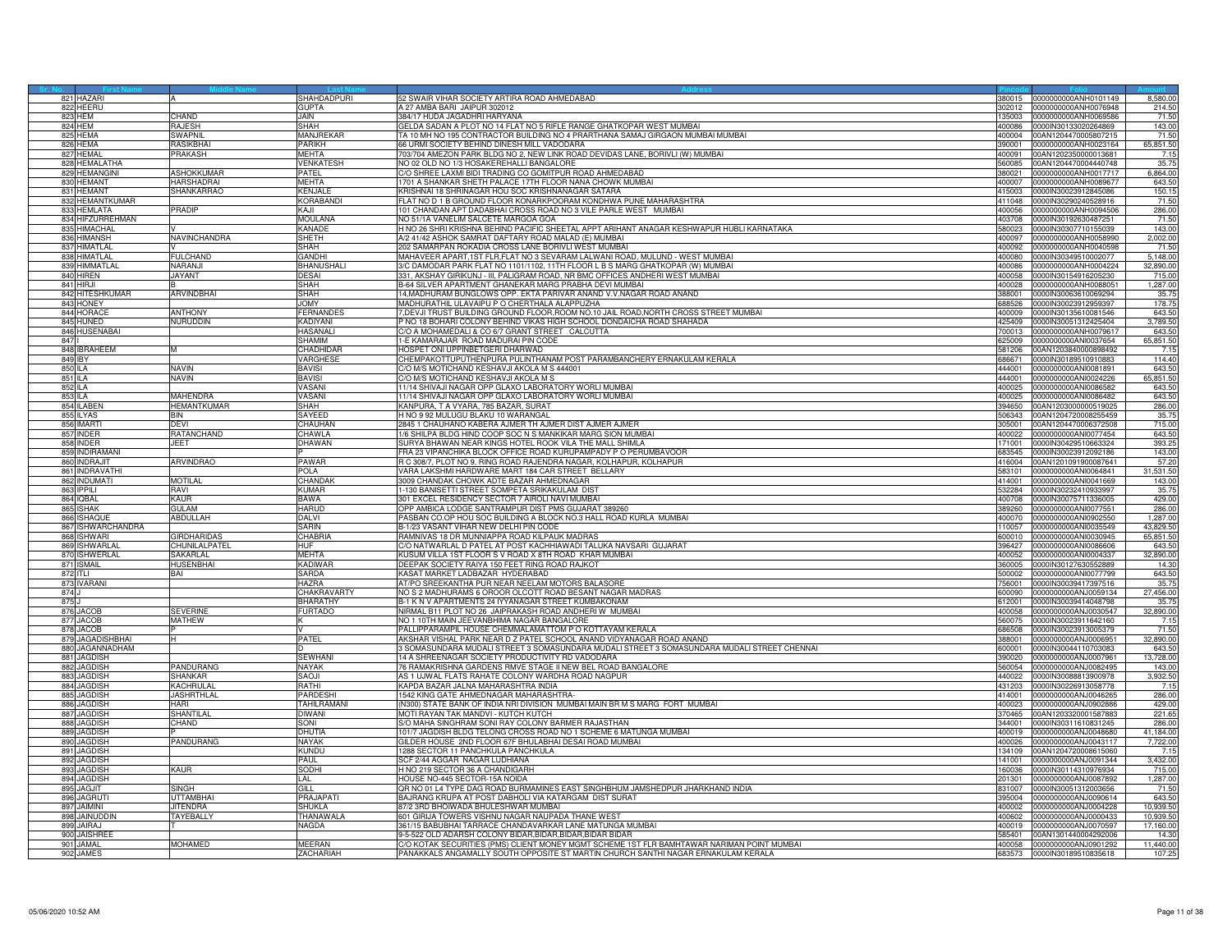| 821 HAZARI        |                      | SHAHDADPURI       | 52 SWAIR VIHAR SOCIETY ARTIRA ROAD AHMEDABAD                                                |        | 380015 0000000000ANH0101149 | 8,580.00  |
|-------------------|----------------------|-------------------|---------------------------------------------------------------------------------------------|--------|-----------------------------|-----------|
| 822 HEERU         |                      | <b>GUPTA</b>      | 327 AMBA BARI JAIPUR 302012                                                                 | 302012 | 0000000000ANH0076948        | 214.5     |
| 823 HEM           | CHAND                | <b>JAIN.</b>      | 384/17 HUDA JAGADHRI HARYANA                                                                |        | 35003 0000000000ANH0069586  | 71.50     |
| 824 HFM           | RAJESH               | SHAH              | GELDA SADAN A PLOT NO 14 FLAT NO 5 RIFLE RANGE GHATKOPAR WEST MUMBAL                        | 380004 | 0000IN30133020264869        | 143.00    |
|                   |                      |                   |                                                                                             |        |                             |           |
| 825 HEMA          | SWAPNIL              | MANJREKAR         | FA 10 MH NO 195 CONTRACTOR BUILDING NO 4 PRARTHANA SAMAJ GIRGAON MUMBAI MUMBAI              | 400004 | 00AN1204470005807215        | 71.50     |
| 826 HEMA          | RASIKRHA             | PARIKH            | 66 URMI SOCIETY BEHIND DINESH MILL VADODARA                                                 | 390001 | 0000000000ANH0023164        | 65,851.50 |
| 827 HEMAL         | PRAKASH              | MEHTA             | 703/704 AMEZON PARK BLDG NO 2, NEW LINK ROAD DEVIDAS LANE, BORIVLI (W) MUMBAI               | 400091 | 00AN1202350000013681        | 7.15      |
| 828 HEMALATHA     |                      | <b>VENKATESH</b>  | NO 02 OLD NO 1/3 HOSAKEREHALLI BANGALORE                                                    | 560085 | 00AN1204470004440748        | 35.75     |
| 829 HEMANGINI     | ASHOKKUMAR           | PATEL             | C/O SHREE LAXMI BIDI TRADING CO GOMITPUR ROAD AHMEDABAD                                     | 380021 | 0000000000ANH0017717        | 6.864.00  |
| 830 HEMANT        | HARSHADRAI           | <b>MEHTA</b>      |                                                                                             | 400007 | 0000000000ANH0089677        |           |
|                   |                      |                   | 1701 A SHANKAR SHETH PALACE 17TH FLOOR NANA CHOWK MUMBAI                                    |        |                             | 643.50    |
| 831 HEMANT        | SHANKARRAC           | KENJALE           | KRISHNAI 18 SHRINAGAR HOU SOC KRISHNANAGAR SATARA                                           | 415003 | 0000IN30023912845086        | 150.1     |
| 832 HEMANTKUMAR   |                      | KORABAND          | FLAT NO D 1 B GROUND FLOOR KONARKPOORAM KONDHWA PUNE MAHARASHTRA                            | 411048 | 0000IN30290240528916        | 71.5      |
| 833 HEMLATA       | PRADIP               | KAJI              | 101 CHANDAN APT DADABHAI CROSS ROAD NO 3 VILE PARLE WEST MUMBAI                             | 400056 | 0000000000ANH0094506        | 286.00    |
| 834 HIFZURREHMAN  |                      | MOULANA           | VO 51/1A VANELIM SALCETE MARGOA GOA                                                         | 403708 | 0000IN30192630487251        | 71.5(     |
| 835 HIMACHAL      |                      | KANADE            | H NO 26 SHRI KRISHNA BEHIND PACIFIC SHEETAL APPT ARIHANT ANAGAR KESHWAPUR HUBLI KARNATAKA   | 580023 | 0000IN30307710155039        | 143.00    |
| 836 HIMANSH       | <b>NAVINCHANDRA</b>  | SHETH             | A/2 41/42 ASHOK SAMRAT DAFTARY ROAD MALAD (E) MUMBAI                                        | 400097 | 0000000000ANH0058990        | 2,002.0   |
|                   |                      |                   |                                                                                             |        |                             |           |
| 837 HIMATLAL      |                      | SHAH              | 202 SAMARPAN ROKADIA CROSS LANE BORIVLI WEST MUMBAI                                         | 400092 | 0000000000ANH0040598        | 71.5      |
| 838 HIMATLAL      | <b>FULCHAND</b>      | GANDHI            | MAHAVEER APART,1ST FLR,FLAT NO 3 SEVARAM LALWANI ROAD, MULUND - WEST MUMBAI                 | 400080 | 0000IN30349510002077        | 5,148.00  |
| 839 HIMMATLAI     | NARANJI              | BHANUSHALI        | % DAMODAR PARK FLAT NO 1101/1102, 11TH FLOOR L B S MARG GHATKOPAR (W) MUMBAI                | 380004 | 0000000000ANH0004224        | 32,890.0  |
| 840 HIREN         | <b>JAYANT</b>        | DESAI             | 331, AKSHAY GIRIKUNJ - III, PALIGRAM ROAD, NR BMC OFFICES ANDHERI WEST MUMBAI               | 400058 | 0000IN30154916205230        | 715.0     |
| 841 HIRJI         |                      | SHAH              | B-64 SILVER APARTMENT GHANEKAR MARG PRABHA DEVI MUMBAI                                      | 400028 | 0000000000ANH0088051        | 1,287.0   |
| 842 HITESHKUMAR   |                      | SHAH              |                                                                                             | 388001 | 0000IN30063610069294        |           |
|                   | <b>ARVINDBHAI</b>    |                   | 4, MADHURAM BUNGLOWS OPP. EKTA PARIVAR ANAND V.V. NAGAR ROAD ANAND                          |        |                             | 35.7      |
| 843 HONEY         |                      | <b>YMOL</b>       | MADHURATHIL ULAVAIPU P O CHERTHALA ALAPPUZHA                                                | 688526 | 0000IN30023912959397        | 178.7     |
| 844 HORACE        | <b>ANTHONY</b>       | FERNANDES         | OEVJI TRUST BUILDING GROUND FLOOR, ROOM NO.10 JAIL ROAD, NORTH CROSS STREET MUMBAI          | 100009 | 0000IN30135610081546        | 643.5     |
| 845 HUNED         | NURUDDIN             | <b>KADIYANI</b>   | NO 18 BOHARI COLONY BEHIND VIKAS HIGH SCHOOL DONDAICHA ROAD SHAHADA                         | 425409 | 0000lN30051312425404        | 3,789.5   |
| 846 HUSENABAI     |                      | <b>HASANALI</b>   | C/O A MOHAMEDALI & CO 6/7 GRANT STREET CALCUTTA                                             | 700013 | 0000000000ANH0079617        | 643.5     |
| 847               |                      | SHAMIM            | -E KAMARAJAR ROAD MADURAI PIN CODE                                                          | 625009 | 0000000000ANI0037654        | 65,851.50 |
|                   |                      | CHADHIDAI         | HOSPET ONI UPPINBETGERI DHARWAD                                                             |        |                             |           |
| 848 IBRAHEEM      |                      |                   |                                                                                             | 581206 | 00AN1203840000898492        | 7.15      |
| 849 IBY           |                      | VARGHESE          | CHEMPAKOTTUPUTHENPURA PULINTHANAM POST PARAMBANCHERY ERNAKULAM KERALA                       | 686671 | 0000lN30189510910883        | 114.40    |
| 850 ILA           | NAVIN                | <b>BAVISI</b>     | C/O M/S MOTICHAND KESHAVJI AKOLA M S 444001                                                 | 444001 | 0000000000ANI0081891        | 643.5     |
| 851 ILA           | NAVIN                | BAVISI            | C/O M/S MOTICHAND KESHAVJI AKOLA M S                                                        | 444001 | 0000000000ANI0024226        | 65,851.5  |
| 852 ILA           |                      | VASANI            | 1/14 SHIVAJI NAGAR OPP GLAXO LABORATORY WORLI MUMBAI                                        | 400025 | 0000000000ANI0086582        | 643.5     |
|                   | MAHENDRA             | VASANI            | 11/14 SHIVAJI NAGAR OPP GLAXO LABORATORY WORLI MUMBAI                                       | 400025 | 0000000000ANI0086482        | 643.5     |
| 853 ILA           |                      |                   |                                                                                             | 394650 |                             |           |
| 854 ILABEN        | <b>IEMANTKUMAR</b>   | SHAH              | KANPURA, T A VYARA, 785 BAZAR, SURAT                                                        |        | 00AN1203000000519025        | 286.0     |
| 855 ILYAS         | ЗIИ                  | SAYEED            | H NO 9 92 MULUGU BLAKU 10 WARANGAL                                                          | 506343 | 00AN1204720008255459        | 35.7      |
| 856 IMARTI        | <b>DEVI</b>          | CHAUHAN           | 2845 1 CHAUHANO KABERA AJMER TH AJMER DIST AJMER AJMER                                      | 305001 | 00AN1204470006372508        | 715.00    |
| 857 INDER         | RATANCHAND           | CHAWLA            | 1/6 SHILPA BLDG HIND COOP SOC N S MANKIKAR MARG SION MUMBAI                                 | 400022 | 0000000000ANI0077454        | 643.50    |
| 858 INDER         | <b>JEFT</b>          | DHAWAN            | SURYA BHAWAN NEAR KINGS HOTEL ROOK VILA THE MALL SHIMLA                                     | 171001 | 0000lN30429510663324        | 393.2     |
| 859 INDIRAMANI    |                      |                   | FRA 23 VIPANCHIKA BLOCK OFFICE ROAD KURUPAMPADY P O PERUMBAVOOR                             | 683545 | 0000IN30023912092186        | 143.00    |
|                   |                      |                   |                                                                                             |        |                             |           |
| 860 INDRAJIT      | ARVINDRAO            | PAWAR             | R C 308/7, PLOT NO 9, RING ROAD RAJENDRA NAGAR, KOLHAPUR, KOLHAPUR                          | 416004 | 00AN1201091900087641        | 57.2      |
| 861 INDRAVATH     |                      | POLA              | VARA LAKSHMI HARDWARE MART 184 CAR STREET BELLARY                                           |        | 583101 0000000000ANI0064841 | 31.531.50 |
| 862 INDUMATI      | <b>MOTILAL</b>       | CHANDAI           | 3009 CHANDAK CHOWK ADTE BAZAR AHMEDNAGAR                                                    | 414001 | 0000000000ANI0041669        | 143.00    |
| 863 IPPILI        | RAVI                 | KUMAR             | 1-130 BANISETTI STREET SOMPETA SRIKAKULAM DIST                                              | 532284 | 0000IN30232410933997        | 35.7      |
| 864 IQBAL         | <b>AUR</b>           | <b>BAWA</b>       | <b>801 EXCEL RESIDENCY SECTOR 7 AIROLI NAVI MUMBAI</b>                                      | 100708 | 0000IN30075711336005        | 429.0     |
| 865 ISHAK         | GULAM                | HARUD             | OPP AMBICA LODGE SANTRAMPUR DIST PMS GUJARAT 389260                                         | 389260 | 0000000000ANI0077551        | 286.0     |
| 866 ISHAQUE       | ABDULLAH             | DALVI             | PASBAN CO.OP HOU SOC BUILDING A BLOCK NO.3 HALL ROAD KURLA_MUMBAI                           | 400070 | 0000000000ANI0902550        | 1.287.0   |
|                   |                      |                   |                                                                                             |        |                             |           |
| 867 ISHWARCHANDRA |                      | <b>SARIN</b>      | B-1/23 VASANT VIHAR NEW DELHI PIN CODE                                                      | 110057 | 0000000000ANI0035549        | 43,829.5  |
| 868 ISHWARI       | <b>HRDHARIDAS</b>    | CHABRIA           | RAMNIVAS 18 DR MUNNIAPPA ROAD KILPAUK MADRAS                                                | 600010 | 0000000000ANI0030945        | 65,851.5  |
| 869<br>SHWARLAI   | <b>CHUNILALPATEI</b> | HUF               | C/O NATWARLAL D PATEL AT POST KACHHIAWADI TALUKA NAVSARI GUJARAT                            | 396427 | 000000000ANI0086606         | 643.5     |
| 870<br>ISHWERLAL  | SAKARLAI             | <b>MEHTA</b>      | KUSUM VILLA 1ST FLOOR S V ROAD X 8TH ROAD KHAR MUMBAI                                       | 400052 | 0000000000ANI0004337        | 32,890.0  |
| 871 ISMAIL        | HUSENBHAI            | <b>KADIWAR</b>    | DEEPAK SOCIETY RAIYA 150 FEET RING ROAD RAJKOT                                              | 360005 | 0000lN30127630552889        | 14.3      |
| 872 ITLI          | BAI                  | <b>SARDA</b>      | KASAT MARKET LADBAZAR HYDERABAD                                                             | 500002 | 0000000000ANI0077799        |           |
|                   |                      | HA7RA             |                                                                                             |        |                             | 643.50    |
| 873 IVARANI       |                      |                   | AT/PO SREEKANTHA PUR NEAR NEELAM MOTORS BALASORE                                            | 56001  | 0000IN30039417397516        | 35.7      |
| 874               |                      | CHAKRAVARTY       | VO S 2 MADHURAMS 6 OROOR OLCOTT ROAD BESANT NAGAR MADRAS                                    | 600090 | 0000000000AN.J0059134       | 27,456.0  |
| 875               |                      | <b>BHARATHY</b>   | B-1 K N V APARTMENTS 24 IYYANAGAR STREET KUMBAKONAM                                         | 612001 | 0000lN30039414048798        | 35.7      |
| 876 JACOE         | SEVERINE             | <b>FURTADO</b>    | NIRMAL B11 PLOT NO 26 JAIPRAKASH ROAD ANDHERI W MUMBAI                                      | 400058 | 0000000000ANJ0030547        | 32,890.0  |
| 877 JACOB         | <b>MATHEW</b>        |                   | NO 1 10TH MAIN JEEVANBHIMA NAGAR BANGALORE                                                  | 560075 | 0000lN30023911642160        | 7.15      |
| 878 JACOB         |                      |                   | PALLIPPARAMPIL HOUSE CHEMMALAMATTOM P O KOTTAYAM KERALA                                     | 686508 | 0000lN30023913005379        | 71.50     |
| 879 JAGADISHBHAI  |                      | PATEL             | AKSHAR VISHAL PARK NEAR D Z PATEL SCHOOL ANAND VIDYANAGAR ROAD ANAND                        | 88001  | 0000000000ANJ0006951        | 32,890.0  |
|                   |                      |                   |                                                                                             |        |                             |           |
| 880 JAGANNADHAM   |                      |                   | 3 SOMASUNDARA MUDALI STREET 3 SOMASUNDARA MUDALI STREET 3 SOMASUNDARA MUDALI STREET CHENNAI | 600001 | 0000IN30044110703083        | 643.5     |
| 881 JAGDISH       |                      | <b>SEWHAN</b>     | 14 A SHREENAGAR SOCIETY PRODUCTIVITY RD VADODARA                                            | 390020 | 0000000000ANJ0007961        | 13,728.0  |
| 882 JAGDISH       | PANDURANG            | NAYAK             | 6 RAMAKRISHNA GARDENS RMVE STAGE II NEW BEL ROAD BANGALORE                                  | 560054 | 0000000000ANJ0082495        | 143.00    |
| 883 JAGDISH       | SHANKAR              | SAOJI             | AS 1 UJWAL FLATS RAHATE COLONY WARDHA ROAD NAGPUR                                           | 440022 | 0000IN30088813900978        | 3,932.5   |
| 884 JAGDISH       | <b>ACHRULAI</b>      | HTAR              | KAPDA BAZAR JALNA MAHARASHTRA INDIA                                                         | 131203 | 0000IN30226913058778        | 7.1       |
| 885 JAGDISH       | <b>JASHRTHLAL</b>    | PARDESH           | 542 KING GATE AHMEDNAGAR MAHARASHTRA                                                        | 414001 | 0000000000ANJ0046265        | 286.00    |
| 886 JAGDISH       | HARI                 | <b>TAHILRAMAN</b> | (N300) STATE BANK OF INDIA NRI DIVISION MUMBAI MAIN BR M S MARG FORT MUMBAI                 | 400023 | 0000000000ANJ0902886        | 429.00    |
|                   |                      |                   |                                                                                             |        |                             |           |
| 887 JAGDISH       | SHANTILAL            | DIWANI            | MOTI RAYAN TAK MANDVI - KUTCH KUTCH                                                         | 370465 | 00AN1203320001587883        | 221.6     |
| 888 JAGDISH       | CHAND                | SONI              | S/O MAHA SINGHRAM SONI RAY COLONY BARMER RAJASTHAN                                          | 344001 | 0000IN30311610831245        | 286.00    |
| 889 JAGDISH       |                      | <b>DHUTIA</b>     | 101/7 JAGDISH BLDG TELONG CROSS ROAD NO 1 SCHEME 6 MATUNGA MUMBAI                           | 400019 | 0000000000ANJ0048680        | 41,184.0  |
| 890 JAGDISH       | PANDURANG            | NAYAK             | SILDER HOUSE 2ND FLOOR 67F BHULABHAI DESAI ROAD MUMBAI                                      | 400026 | 0000000000ANJ0043117        | 7,722.0   |
| 891 JAGDISH       |                      | KUNDU             | <b>1288 SECTOR 11 PANCHKULA PANCHKULA</b>                                                   | 134109 | 00AN1204720008615060        | 7.1       |
|                   |                      | PAUL              |                                                                                             |        |                             |           |
| 892 JAGDISH       |                      |                   | SCF 2/44 AGGAR NAGAR LUDHIANA                                                               | 141001 | 0000000000ANJ0091344        | 3,432.0   |
| 893 JAGDISH       | KAUR                 | SODHI             | H NO 219 SECTOR 36 A CHANDIGARH                                                             | 60036  | 0000IN30114310976934        | 715.00    |
| 894 JAGDISH       |                      | LAL               | HOUSE NO-445 SECTOR-15A NOIDA                                                               | 201301 | 0000000000ANJ0087892        | 1,287.0   |
| 895 JAGJIT        | SINGH                | <b>GILL</b>       | OR NO 01 L4 TYPE DAG ROAD BURMAMINES EAST SINGHBHUM JAMSHEDPUR JHARKHAND INDIA              | 831007 | 0000IN30051312003656        | 71.5      |
| 896 JAGRUT        | UTTAMBHAI            | PRAJAPAT          | BAJRANG KRUPA AT POST DABHOLI VIA KATARGAM DIST SURAT                                       | 395004 | 0000000000ANJ0090614        | 643.5     |
| 897 JAIMINI       | <b>JITENDRA</b>      | SHUKLA            | 87/2 3RD BHOIWADA BHULESHWAR MUMBAI                                                         | 400002 | 0000000000ANJ0004228        | 10,939.5  |
| 898 JAINUDDIN     | <b>TAYFBALLY</b>     | THANAWALA         | 601 GIRIJA TOWERS VISHNU NAGAR NAUPADA THANE WEST                                           | 400602 | 0000000000AN.J0000433       | 10.939.5  |
|                   |                      |                   |                                                                                             |        |                             |           |
| 899 JAIRAJ        |                      | NAGDA             | 861/15 BABUBHAI TARRACE CHANDAVARKAR LANE MATUNGA MUMBAI                                    | 400019 | 0000000000ANJ0070597        | 17,160.0  |
| 900 JAISHREE      |                      |                   | 3-5-522 OLD ADARSH COLONY BIDAR.BIDAR.BIDAR.BIDAR BIDAR                                     |        | 585401 00AN1301440004292006 | 14.3      |
| 901 JAMAI         | MOHAMED              | MEERAN            | C/O KOTAK SECURITIES (PMS) CLIENT MONEY MGMT SCHEME 1ST FLR BAMHTAWAR NARIMAN POINT MUMBAI  | 400058 | 0000000000ANJ0901292        | 11,440.0  |
| 902 JAMES         |                      | ZACHARIAH         | PANAKKALS ANGAMALLY SOUTH OPPOSITE ST MARTIN CHURCH SANTHI NAGAR ERNAKULAM KERALA           |        | 683573 0000IN30189510835618 | 107.2     |
|                   |                      |                   |                                                                                             |        |                             |           |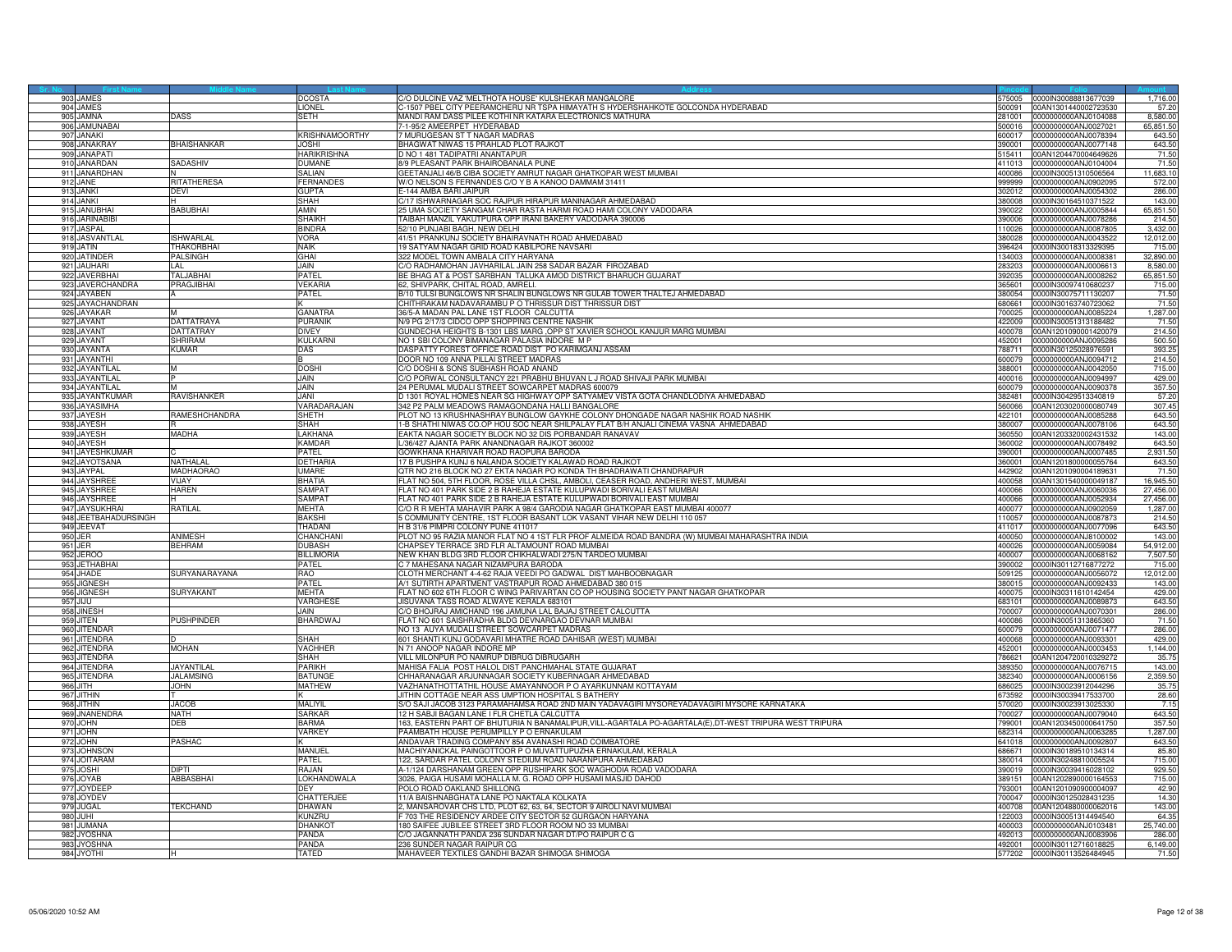|     | 903 JAMES                     |                     | DCOSTA                            | C/O DULCINE VAZ 'MELTHOTA HOUSE' KULSHEKAR MANGALORE                                                                                                                    | 575005           | 0000IN30088813677039                                | 1,716.00           |
|-----|-------------------------------|---------------------|-----------------------------------|-------------------------------------------------------------------------------------------------------------------------------------------------------------------------|------------------|-----------------------------------------------------|--------------------|
|     | 904 JAMES                     |                     | <b>LIONEL</b>                     | C-1507 PBEL CITY PEERAMCHERU NR TSPA HIMAYATH S HYDERSHAHKOTE GOLCONDA HYDERABAD                                                                                        |                  |                                                     | 57.20              |
|     | 905 JAMNA                     | DASS                | SETH                              | MANDI RAM DASS PILEE KOTHI NR KATARA ELECTRONICS MATHURA                                                                                                                | 281001           | 0000000000ANJ0104088                                | 8,580.00           |
|     | 906 JAMUNABAI                 |                     |                                   | 7-1-95/2 AMEERPET HYDERABAD                                                                                                                                             | 00016.           | 0000000000ANJ0027021                                | 65,851.50          |
| 907 | <b>JANAKI</b>                 |                     | <b>KRISHNAMOORTHY</b>             | 7 MURUGESAN ST T NAGAR MADRAS                                                                                                                                           | 00017            | 0000000000AN.J0078394                               | 643.50             |
|     | 908 JANAKRAY                  | <b>BHAISHANKAR</b>  | <b>JOSHI</b><br><b>HARIKRISHN</b> | BHAGWAT NIWAS 15 PRAHLAD PLOT RAJKOT<br>D NO 1 481 TADIPATRI ANANTAPUR                                                                                                  | 390001           | 0000000000ANJ0077148                                | 643.50<br>71.50    |
|     | 909 JANAPAT                   |                     |                                   |                                                                                                                                                                         | 515411           | 00AN1204470004649626                                |                    |
|     | 910 JANARDAN<br>911 JANARDHAN | SADASHIV            | <b>DUMANE</b><br><b>SALIAN</b>    | 8/9 PLEASANT PARK BHAIROBANALA PUNE<br>GEETANJALI 46/B CIBA SOCIETY AMRUT NAGAR GHATKOPAR WEST MUMBAL                                                                   | 411013<br>400086 | 0000000000ANJ0104004<br>0000IN30051310506564        | 71.50<br>11,683.10 |
|     | 912 JANE                      | RITATHERESA         | <b>FERNANDES</b>                  | W/O NELSON S FERNANDES C/O Y B A KANOO DAMMAM 31411                                                                                                                     | 99999            | 0000000000ANJ0902095                                | 572.00             |
|     | 913 JANKI                     | DEVI                | <b>GUPTA</b>                      | F-144 AMBA BARI JAIPUR                                                                                                                                                  |                  | 302012 0000000000ANJ0054302                         | 286.00             |
|     | 914 JANKI                     |                     | <b>SHAH</b>                       | C/17 ISHWARNAGAR SOC RAJPUR HIRAPUR MANINAGAR AHMEDABAD                                                                                                                 | 380008           | 0000IN30164510371522                                | 143.00             |
|     | 915 JANUBHAI                  | BABUBHAI            | AMIN                              | 25 UMA SOCIETY SANGAM CHAR RASTA HARMI ROAD HAMI COLONY VADODARA                                                                                                        | 390022           | 0000000000AN.J0005844                               | 65,851.50          |
|     | 916 JARINABIBI                |                     | <b>SHAIKH</b>                     | TAIBAH MANZIL YAKUTPURA OPP IRANI BAKERY VADODARA 390006                                                                                                                | 390006           | 0000000000AN.J0078286                               | 214.50             |
|     | 917 JASPAL                    |                     | <b>BINDRA</b>                     | 2/10 PUNJABI BAGH, NEW DELHI                                                                                                                                            | 10026            | 0000000000ANJ0087805                                | 3,432.00           |
|     | 918 JASVANTLAL                | SHWARLAL            | <b>VORA</b>                       | 41/51 PRANKUNJ SOCIETY BHAIRAVNATH ROAD AHMEDABAD                                                                                                                       | 380028           | 0000000000AN.J0043522                               | 12,012.00          |
|     | 919 JATIN                     | <b>THAKORBHAI</b>   | <b>NAIK</b>                       | 19 SATYAM NAGAR GRID ROAD KABILPORE NAVSARI                                                                                                                             | 396424           | 0000IN30018313329395                                | 715.00             |
|     | 920 JATINDER                  | <b>PALSINGH</b>     | GHAI                              | 322 MODEL TOWN AMBALA CITY HARYANA                                                                                                                                      | 134003           | 0000000000ANJ0008381                                | 32,890.00          |
|     | 921 JAUHARI                   | LAL.                | <b>JAIN</b>                       | C/O RADHAMOHAN JAVHARILAL JAIN 258 SADAR BAZAR FIROZABAD                                                                                                                | 283203           | 0000000000ANJ0006613                                | 8,580.00           |
|     | 922 JAVERBHAI                 | TALJABHAI           | PATEL                             | BE BHAG AT & POST SARBHAN TALUKA AMOD DISTRICT BHARUCH GUJARAT                                                                                                          | 392035           | 0000000000ANJ0008262                                | 65,851.50          |
|     | 923 JAVERCHANDRA              | PRAGJIBHAI          | <b>VEKARIA</b>                    | 62, SHIVPARK, CHITAL ROAD, AMRELI.                                                                                                                                      | 365601           | 0000IN30097410680237                                | 715.00             |
|     | 924 JAYABEN                   |                     | PATEL                             | B/10 TULSI BUNGLOWS NR SHALIN BUNGLOWS NR GULAB TOWER THALTEJ AHMEDABAD                                                                                                 | 880054           | 0000lN30075711130207                                | 71.50              |
|     | 925 JAYACHANDRAN              |                     |                                   | CHITHRAKAM NADAVARAMBU P O THRISSUR DIST THRISSUR DIST                                                                                                                  | 680661           | 0000IN30163740723062                                | 71.50              |
|     | 926 JAYAKAR                   |                     | GANATRA                           | 36/5-A MADAN PAL LANE 1ST FLOOR CALCUTTA                                                                                                                                | '00025           | 0000000000ANJ0085224                                | 1,287.00           |
|     | 927 JAYANT                    | DATTATRAYA          | <b>PURANIK</b>                    | N/9 PG 2/17/3 CIDCO OPP SHOPPING CENTRE NASHIK                                                                                                                          | 422009           | 0000lN30051313188482                                | 71.50              |
|     | 928 JAYANT                    | DATTATRAY           | <b>DIVEY</b>                      | GUNDECHA HEIGHTS B-1301 LBS MARG , OPP ST XAVIER SCHOOL KANJUR MARG MUMBAI                                                                                              | 400078           | 00AN1201090001420079                                | 214.50             |
|     | 929 JAYANT                    | <b>HRIRAM</b>       | <b>KULKARN</b>                    | NO 1 SBI COLONY BIMANAGAR PALASIA INDORE M P                                                                                                                            | 452001           | 0000000000ANJ0095286                                | 500.50             |
|     | 930 JAYANTA                   | (UMAR               | DAS                               | DASPATTY FOREST OFFICE ROAD DIST PO KARIMGANJ ASSAM                                                                                                                     | 788711           | 0000IN30125028976591                                | 393.25             |
|     | 931 JAYANTHI                  |                     |                                   | DOOR NO 109 ANNA PILLAI STREET MADRAS                                                                                                                                   | 600079           | 0000000000ANJ0094712                                | 214.50             |
|     | 932 JAYANTILAI                |                     | <b>DOSHI</b>                      | C/O DOSHI & SONS SUBHASH ROAD ANAND                                                                                                                                     | 388001           | 0000000000ANJ0042050                                | 715.00             |
|     | 933 JAYANTILAL                |                     | <b>JAIN</b>                       | C/O PORWAL CONSULTANCY 221 PRABHU BHUVAN L J ROAD SHIVAJI PARK MUMBAI                                                                                                   |                  | 400016 0000000000ANJ0094997                         | 429.00             |
|     | 934 JAYANTILAL                |                     | <b>JAIN</b>                       | 24 PERUMAL MUDALI STREET SOWCARPET MADRAS 600079                                                                                                                        | 600079           | 0000000000ANJ0090378                                | 357.50             |
|     | 935 JAYANTKUMAF               | RAVISHANKER         | <b>IANI</b>                       | D 1301 ROYAL HOMES NEAR SG HIGHWAY OPP SATYAMEV VISTA GOTA CHANDLODIYA AHMEDABAD                                                                                        | 382481           | 0000lN30429513340819                                | 57.20              |
| 936 | <b>AYASIMHA</b>               |                     | VARADARAJAN                       | 42 P2 PALM MEADOWS RAMAGONDANA HALLI BANGALORE                                                                                                                          | 60066            | 00AN1203020000080749                                | 307.45             |
|     | 937 JAYESH<br>938 JAYESH      | <b>AMESHCHANDRA</b> | SHETH<br>SHAH                     | PLOT NO 13 KRUSHNASHRAY BUNGLOW GAYKHE COLONY DHONGADE NAGAR NASHIK ROAD NASHIK<br>1-B SHATHI NIWAS CO.OP HOU SOC NEAR SHILPALAY FLAT B/H ANJALI CINEMA VASNA AHMEDABAD | 422101<br>380007 | 0000000000ANJ0085288<br>0000000000ANJ0078106        | 643.50<br>643.50   |
|     | 939 JAYESH                    | MADHA               | LAKHANA                           | EAKTA NAGAR SOCIETY BLOCK NO 32 DIS PORBANDAR RANAVAV                                                                                                                   | 360550           | 00AN1203320002431532                                | 143.00             |
|     | 940 JAYESH                    |                     | <b>KAMDAR</b>                     | L/36/427 AJANTA PARK ANANDNAGAR RAJKOT 360002                                                                                                                           | 360002           | 0000000000AN.J0078492                               | 643.50             |
|     | 941 JAYESHKUMAR               |                     | PATFI                             | GOWKHANA KHARIVAR ROAD RAOPURA BARODA                                                                                                                                   | 90001            | 0000000000ANJ0007485                                | 2,931.50           |
|     | 942 JAYOTSANA                 | NATHAI AI           | <b>DETHARIA</b>                   | 17 B PUSHPA KUNJ 6 NALANDA SOCIETY KALAWAD ROAD RAJKOT                                                                                                                  | 360001           | 00AN1201800000055764                                | 643.50             |
|     | 943 JAYPAL                    | MADHAORAC           | <b>UMARE</b>                      | QTR NO 216 BLOCK NO 27 EKTA NAGAR PO KONDA TH BHADRAWATI CHANDRAPUR                                                                                                     | 442902           | 00AN1201090004189631                                | 71.50              |
|     | 944 JAYSHREE                  | VI.IAY              | BHATIA                            | FLAT NO 504, 5TH FLOOR, ROSE VILLA CHSL, AMBOLI, CEASER ROAD, ANDHERI WEST, MUMBAI                                                                                      | 400058           | 00AN1301540000049187                                | 16,945.50          |
|     | 945 JAYSHREE                  | <b>HARFN</b>        | SAMPAT                            | FLAT NO 401 PARK SIDE 2 B RAHEJA ESTATE KULUPWADI BORIVALI EAST MUMBAI                                                                                                  | 400066           | 0000000000AN.J0060036                               | 27,456.00          |
|     | 946 JAYSHREE                  |                     | SAMPAT                            | LAT NO 401 PARK SIDE 2 B RAHEJA ESTATE KULUPWADI BORIVALI EAST MUMBAI                                                                                                   | 400066           | 0000000000ANJ0052934                                | 27,456.00          |
|     | 947 JAYSUKHRAI                | <b>RATILAL</b>      | <b>MEHTA</b>                      | C/O R R MEHTA MAHAVIR PARK A 98/4 GARODIA NAGAR GHATKOPAR EAST MUMBAI 400077                                                                                            | 400077           | 0000000000ANJ0902059                                | 1,287.00           |
|     | 948 JEETBAHADURSINGH          |                     | BAKSHI                            | 5 COMMUNITY CENTRE, 1ST FLOOR BASANT LOK VASANT VIHAR NEW DELHI 110 057                                                                                                 | 110057           | 0000000000ANJ0087873                                | 214.5              |
|     | 949 JEEVAT                    |                     | THADANI                           | H B 31/6 PIMPRI COLONY PUNE 411017                                                                                                                                      | 411017           | 0000000000ANJ0077096                                | 643.50             |
|     | 950 JER                       | ANIMESH             | CHANCHAN                          | PLOT NO 95 RAZIA MANOR FLAT NO 4 1ST FLR PROF ALMEIDA ROAD BANDRA (W) MUMBAI MAHARASHTRA INDIA                                                                          | 400050           | 0000000000AN.J8100002                               | 143.00             |
|     | 951 JER                       | EHRAM               | <b>DUBASH</b>                     | CHAPSEY TERRACE 3RD FLR ALTAMOUNT ROAD MUMBAI                                                                                                                           | 400026           | 0000000000ANJ0059084                                | 54,912.00          |
|     | 952 JEROO                     |                     | <b>BILLIMORIA</b>                 | NEW KHAN BLDG 3RD FLOOR CHIKHALWADI 275/N TARDEO MUMBAI                                                                                                                 | 400007           | 0000000000ANJ0068162                                | 7,507.50           |
|     | 953 JETHABHAI                 |                     | PATEL                             | C 7 MAHESANA NAGAR NIZAMPURA BARODA                                                                                                                                     | 390002           | 0000lN30112716877272                                | 715.00             |
|     | 954 JHADE                     | SURYANARAYANA       | RAO                               | CLOTH MERCHANT 4-4-62 RAJA VEEDI PO GADWAL DIST MAHBOOBNAGAR                                                                                                            | 509125           | 0000000000ANJ0056072                                | 12,012.00          |
|     | 955 JIGNESH                   |                     | PATEL                             | A/1 SUTIRTH APARTMENT VASTRAPUR ROAD AHMEDABAD 380 015                                                                                                                  | 380015           | 0000000000ANJ0092433                                | 143.00             |
|     | 956 JIGNESH                   | SURYAKANT           | <b>MEHTA</b>                      | FLAT NO 602 6TH FLOOR C WING PARIVARTAN CO OP HOUSING SOCIETY PANT NAGAR GHATKOPAR                                                                                      | 400075           | 0000lN30311610142454                                | 429.00             |
|     | 957 JJJJJJ                    |                     | <b>VARGHES</b>                    | JISUVANA TASS ROAD ALWAYE KERALA 683101                                                                                                                                 | 683101           | 0000000000ANJ0089873                                | 643.50             |
|     | 958 JINESH                    |                     | JAIN                              | C/O BHOJRAJ AMICHAND 196 JAMUNA LAL BAJAJ STREET CALCUTTA                                                                                                               | 700007           | 0000000000ANJ0070301                                | 286.00             |
|     | 959 JITEN                     | PUSHPINDER          | <b>BHARDWAJ</b>                   | FLAT NO 601 SAISHRADHA BLDG DEVNARGAO DEVNAR MUMBAI                                                                                                                     | 400086           | 0000IN30051313865360                                | 71.50              |
| 960 | <b>JITENDAR</b>               |                     |                                   | NO 13 AUYA MUDALI STREET SOWCARPET MADRAS                                                                                                                               | 600079           | 0000000000ANJ0071477                                | 286.00             |
|     | 961 JITENDRA<br>962 JITENDRA  | <b>MOHAN</b>        | SHAH<br><b>VACHHER</b>            | 601 SHANTI KUNJ GODAVARI MHATRE ROAD DAHISAR (WEST) MUMBAI<br>N 71 ANOOP NAGAR INDORE MP                                                                                | 400068           | 0000000000ANJ0093301<br>452001 0000000000ANJ0003453 | 429.00<br>1,144.00 |
|     | 963 JITENDRA                  |                     | SHAH                              | VILL MILONPUR PO NAMRUP DIBRUG DIBRUGARH                                                                                                                                | '86621           | 00AN1204720010329272                                | 35.75              |
|     | 964 JITENDRA                  | <b>JAYANTILAL</b>   | PARIKH                            | MAHISA FALIA POST HALOL DIST PANCHMAHAL STATE GUJARAT                                                                                                                   | 389350           | 0000000000ANJ0076715                                | 143.00             |
| 965 | <b>ITENDRA</b>                | <b>IALAMSING</b>    | <b>BATUNGE</b>                    | CHHARANAGAR ARJUNNAGAR SOCIETY KUBERNAGAR AHMEDABAD                                                                                                                     | 82340            | 0000000000ANJ0006156                                | 2,359.50           |
|     | 966 JITH                      | JOHN                | MATHEW                            | VAZHANATHOTTATHIL HOUSE AMAYANNOOR P O AYARKUNNAM KOTTAYAM                                                                                                              | 686025           | 0000lN30023912044296                                | 35.75              |
|     | 967 JITHIN                    |                     |                                   | JITHIN COTTAGE NEAR ASS UMPTION HOSPITAL S BATHERY                                                                                                                      | 673592           | 0000IN30039417533700                                | 28.60              |
|     | 968 JITHIN                    | <b>JACOB</b>        | <b>MALIYIL</b>                    | S/O SAJI JACOB 3123 PARAMAHAMSA ROAD 2ND MAIN YADAVAGIRI MYSOREYADAVAGIRI MYSORE KARNATAKA                                                                              | 570020           | 0000lN30023913025330                                | 7.15               |
|     | 969 JNANENDRA                 | NATH                | SARKAR                            | 12 H SABJI BAGAN LANE I FLR CHETLA CALCUTTA                                                                                                                             | 700027           | 0000000000ANJ0079040                                | 643.50             |
| 970 | OHN                           | DEB                 | <b>BARMA</b>                      | 163, EASTERN PART OF BHUTURIA N BANAMALIPUR, VILL-AGARTALA PO-AGARTALA (E), DT-WEST TRIPURA WEST TRIPURA                                                                | 99001            | 00AN1203450000641750                                | 357.50             |
|     | 971 JOHN                      |                     | VARKEY                            | PAAMBATH HOUSE PERUMPILLY P O ERNAKULAM                                                                                                                                 | 682314           | 0000000000ANJ0063285                                | 1,287.00           |
|     | 972 JOHN                      | <b>ASHAC</b>        |                                   | ANDAVAR TRADING COMPANY 854 AVANASHI ROAD COIMBATORE                                                                                                                    | 641018           | 0000000000ANJ0092807                                | 643.50             |
|     | 973 JOHNSON                   |                     | MANUEL                            | MACHIYANICKAL PAINGOTTOOR P O MUVATTUPUZHA ERNAKULAM, KERALA                                                                                                            | 686671           | 0000lN30189510134314                                | 85.80              |
|     | 974 JOITARAM                  |                     | <b>PATFL</b>                      | 122. SARDAR PATEL COLONY STEDIUM ROAD NARANPURA AHMEDABAD                                                                                                               | 380014           | 0000IN30248810005524                                | 715.00             |
| 975 | OSHI                          | <b>IPTI</b>         | RAJAN                             | A-1/124 DARSHANAM GREEN OPP RUSHIPARK SOC WAGHODIA ROAD VADODARA                                                                                                        | 90019            | 0000IN30039416028102                                | 929.50             |
|     | 976 JOYAB                     | ABBASBHAI           | <b>LOKHANDWALA</b>                | 3026, PAIGA HUSAMI MOHALLA M. G. ROAD OPP HUSAMI MASJID DAHOD                                                                                                           | 389151           | 00AN1202890000164553                                | 715.00             |
|     | 977 JOYDEEF                   |                     | <b>DEY</b>                        | POLO ROAD OAKLAND SHILLONG                                                                                                                                              | 793001           | 00AN1201090900004097                                | 42.90              |
|     | 978 JOYDEV                    |                     | CHATTERJEE                        | 11/A BAISHNABGHATA LANE PO NAKTALA KOLKATA                                                                                                                              | 700047           | 0000lN30125028431235                                | 14.30              |
|     | 979 JUGAL                     | TEKCHAND            | <b>DHAWAN</b>                     | 2, MANSAROVAR CHS LTD, PLOT 62, 63, 64, SECTOR 9 AIROLI NAVI MUMBAI                                                                                                     | 400708           | 00AN1204880000062016                                | 143.00             |
| 980 | UHI                           |                     | KUNZRL                            | F 703 THE RESIDENCY ARDEE CITY SECTOR 52 GURGAON HARYANA                                                                                                                | 22003            | 0000lN30051314494540                                | 64.35              |
|     | 981 JUMANA                    |                     | DHANKO <sup>-</sup>               | 180 SAIFEE JUBILEE STREET 3RD FLOOR ROOM NO 33 MUMBAI                                                                                                                   | 400003           | 0000000000ANJ0103481                                | 25,740.00          |
|     | 982 JYOSHNA                   |                     | PANDA                             | C/O JAGANNATH PANDA 236 SUNDAR NAGAR DT/PO RAIPUR C G                                                                                                                   | 492013           | 0000000000ANJ0083906                                | 286.00             |
|     | 983 JYOSHNA                   |                     | PANDA<br>TATED                    | 236 SUNDER NAGAR RAIPUR CG                                                                                                                                              |                  | 492001 0000IN30112716018825                         | 6,149.00           |
|     | 984 JYOTHI                    |                     |                                   | MAHAVEER TEXTILES GANDHI BAZAR SHIMOGA SHIMOGA                                                                                                                          |                  | 577202 0000lN30113526484945                         | 71.50              |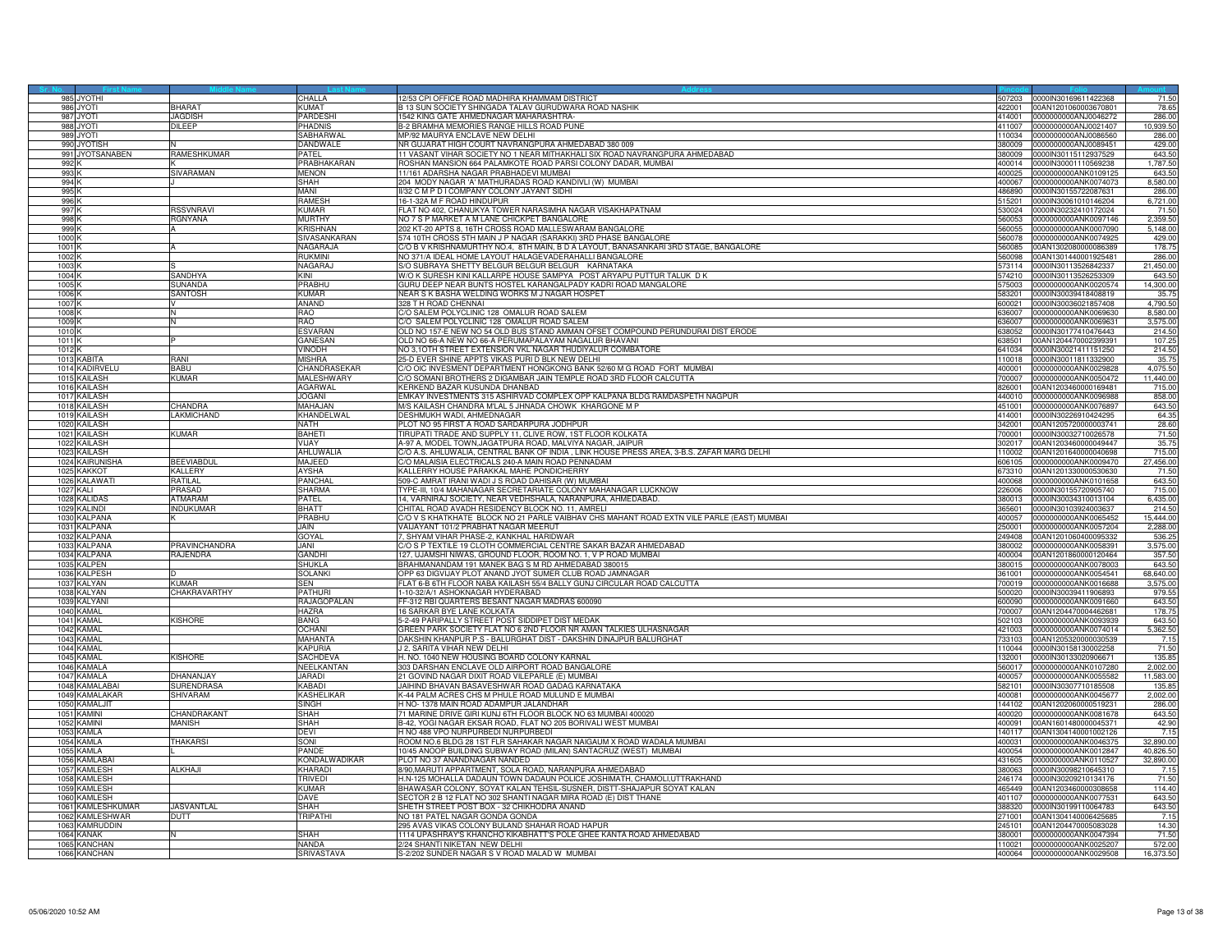| 985 JYOTHI                           |                      | <b>CHALLA</b>               | 12/53 CPI OFFICE ROAD MADHIRA KHAMMAM DISTRICT                                             |                  | 507203 0000IN30169611422368                  | 71.50            |
|--------------------------------------|----------------------|-----------------------------|--------------------------------------------------------------------------------------------|------------------|----------------------------------------------|------------------|
| 986 JYOTI                            | BHARAT               | KUMAT                       | 3 13 SUN SOCIETY SHINGADA TALAV GURUDWARA ROAD NASHIK                                      |                  | 422001 00AN1201060003670801                  | 78.65            |
| 987 JYOTI                            | JAGDISH              | <b>PARDESHI</b>             | 1542 KING GATE AHMEDNAGAR MAHARASHTRA-                                                     | 414001           | 0000000000ANJ0046272                         | 286,00           |
| 988 JYOTI                            | DILEEP               | PHADNIS                     | B-2 BRAMHA MEMORIES RANGE HILLS ROAD PUNE                                                  | 411007           | 0000000000ANJ0021407                         | 10,939.50        |
| 989<br><b>JYOT</b>                   |                      | SABHARWAI                   | MP/92 MAURYA ENCLAVE NEW DELHI                                                             | 10034            | 0000000000ANJ0086560                         | 286.0            |
| 990 JYOTISH                          |                      | DANDWALE                    | NR GUJARAT HIGH COURT NAVRANGPURA AHMEDABAD 380 009                                        | 380009           | 0000000000ANJ0089451                         | 429.00           |
| 991 JYOTSANABEN                      | RAMESHKUMAR          | PATFI                       | 11 VASANT VIHAR SOCIETY NO 1 NEAR MITHAKHALI SIX ROAD NAVRANGPURA AHMEDABAD                | 380009           | 0000IN30115112937529                         | 643.50           |
| 992 k                                |                      | PRABHAKARAN                 | ROSHAN MANSION 664 PALAMKOTE ROAD PARSI COLONY DADAR, MUMBAI                               | 400014           | 0000IN30001110569238                         | 1,787.50         |
| 993                                  | SIVARAMAN            | <b>MENON</b>                | 1/161 ADARSHA NAGAR PRABHADEVI MUMBAI                                                      | 400025           | 0000000000ANK0109125                         | 643.50           |
| 994                                  |                      | SHAH                        | 204 MODY NAGAR 'A' MATHURADAS ROAD KANDIVLI (W) MUMBAI                                     | 400067           | 0000000000ANK0074073                         | 8,580.00         |
| 995 <sup>k</sup>                     |                      | MANI                        | II/32 C M P D I COMPANY COLONY JAYANT SIDHI                                                | 486890           | 0000IN30155722087631                         | 286.0            |
| 996 K                                |                      | RAMESH                      | 16-1-32A M F ROAD HINDUPUR                                                                 | 515201           | 0000IN30061010146204                         | 6,721.00         |
|                                      | <b>RSSVNRAVI</b>     | KI IMAR                     |                                                                                            | 530024           | 0000IN30232410172024                         | 71.5             |
| 997 K                                |                      | <b>MURTHY</b>               | FLAT NO 402, CHANUKYA TOWER NARASIMHA NAGAR VISAKHAPATNAM                                  | 60053            | 0000000000ANK0097146                         |                  |
| 998                                  | <b>GNYANA</b>        |                             | NO 7 S P MARKET A M LANE CHICKPET BANGALORE                                                |                  |                                              | 2,359.50         |
| 999                                  |                      | KRISHNAN                    | 202 KT-20 APTS 8, 16TH CROSS ROAD MALLESWARAM BANGALORE                                    | 560055           | 0000000000ANK0007090                         | 5,148.00         |
| 1000 <sup>H</sup>                    |                      | SIVASANKARAN                | 574 10TH CROSS 5TH MAIN J P NAGAR (SARAKKI) 3RD PHASE BANGALORE                            | 560078           | 0000000000ANK0074925                         | 429.00           |
| 1001 <sub>k</sub>                    |                      | NAGARAJA                    | C/O B V KRISHNAMURTHY NO.4, 8TH MAIN, B D A LAYOUT, BANASANKARI 3RD STAGE, BANGALORE       | 560085           | 00AN1302080000086389                         | 178.75           |
| 1002 K                               |                      | ri ikmini                   | NO 371/A IDEAL HOME LAYOUT HALAGEVADERAHALLI BANGALORE                                     | 560098           | 00AN1301440001925481                         | 286.00           |
| 1003                                 |                      | <b>NAGARAJ</b>              | S/O SUBRAYA SHETTY BELGUR BELGUR BELGUR KARNATAKA                                          | 73114            | 0000lN30113526842337                         | 21,450.00        |
| 1004                                 | SANDHYA              | KINI                        | W/O K SURESH KINI KALLARPE HOUSE SAMPYA POST ARYAPU PUTTUR TALUK D K                       | 574210           | 0000IN30113526253309                         | 643.50           |
| 1005                                 | SUNANDA              | PRABHU                      | GURU DEEP NEAR BUNTS HOSTEL KARANGALPADY KADRI ROAD MANGALORE                              | 575003           | 0000000000ANK0020574                         | 14,300.00        |
| 1006                                 | <b>SANTOSH</b>       | KUMAR                       | NEAR S K BASHA WELDING WORKS M J NAGAR HOSPET                                              | 583201           | 0000IN30039418408819                         | 35.75            |
| 1007 K                               |                      | <b>ANAND</b>                | 328 T H ROAD CHENNAL                                                                       | 600021           | 0000IN30036021857408                         | 4,790.50         |
| 1008                                 |                      | <b>BAO</b>                  | /O SALEM POLYCLINIC 128 OMALUR ROAD SALEM                                                  | 36007            | 000000000ANK0069630                          | 8,580.00         |
| 1009                                 |                      | <b>RAO</b>                  | C/O SALEM POLYCLINIC 128 OMALUR ROAD SALEM                                                 | 636007           | 0000000000ANK0069631                         | 3,575.00         |
| 1010                                 |                      | <b>ESVARAN</b>              | OLD NO 157-E NEW NO 54 OLD BUS STAND AMMAN OFSET COMPOUND PERUNDURAI DIST ERODE            | 638052           | 0000IN30177410476443                         | 214.50           |
| 1011k                                |                      | <b>GANESAN</b>              | OLD NO 66-A NEW NO 66-A PERUMAPALAYAM NAGALUR BHAVANI                                      | 638501           | 00AN1204470002399391                         | 107.25           |
| 1012K                                |                      | <b>VINODH</b>               | NO 3.10TH STREET EXTENSION VKL NAGAR THUDIYALUR COIMBATORE                                 | 641034           | 0000IN30021411151250                         | 214.50           |
| 1013 KABITA                          | RANI                 | <b>MISHRA</b>               | 25-D EVER SHINE APPTS VIKAS PURI D BLK NEW DELHI                                           | 10018            | 0000IN30011811332900                         | 35.75            |
| 1014 KADIRVELU                       | <b>RARII</b>         | CHANDRASEKAR                | C/O OIC INVESMENT DEPARTMENT HONGKONG BANK 52/60 M G ROAD FORT MUMBAI                      | 400001           | 0000000000ANK0029828                         | 4,075.50         |
| 1015 KAILASH                         | KUMAR                | MALESHWARY                  | CO SOMANI BROTHERS 2 DIGAMBAR JAIN TEMPLE ROAD 3RD FLOOR CALCUTTA                          |                  | 700007 0000000000ANK0050472                  | 11,440.00        |
|                                      |                      |                             | KERKEND BAZAR KUSUNDA DHANBAD                                                              | 826001           | 00AN1203460000169481                         |                  |
| 1016 KAILASH<br>1017 KAILASH         |                      | AGARWAL<br><b>JOGANI</b>    | EMKAY INVESTMENTS 315 ASHIRVAD COMPLEX OPP KALPANA BLDG RAMDASPETH NAGPUR                  | 440010           | 0000000000ANK0096988                         | 715.00<br>858.00 |
|                                      |                      |                             |                                                                                            |                  |                                              |                  |
| <b>KAILASH</b><br>1018               | <b>HANDRA</b>        | MAHAJAN                     | M/S KAILASH CHANDRA M'LAL 5 JHNADA CHOWK KHARGONE M P                                      | 451001           | 0000000000ANK0076897                         | 643.50           |
| 1019 KAILASH                         | LAKMICHAND           | KHANDELWAL                  | DESHMUKH WADI, AHMEDNAGAR                                                                  | 414001           | 0000IN30226910424295                         | 64.35            |
| 1020 KAILASH                         |                      | NATH                        | PLOT NO 95 FIRST A ROAD SARDARPURA JODHPUR                                                 |                  | 342001 00AN1205720000003741                  | 28.60            |
| 1021 KAILASH                         | <b>KUMAR</b>         | BAHETI                      | TIRUPATI TRADE AND SUPPLY 11, CLIVE ROW, 1ST FLOOR KOLKATA                                 | 700001           | 0000IN30032710026578                         | 71.50            |
| 1022 KAILASH                         |                      | VIJAY                       | A-97 A, MODEL TOWN,JAGATPURA ROAD, MALVIYA NAGAR, JAIPUR                                   | 302017           | 00AN1203460000049447                         | 35.75            |
| 1023 KAILASH                         |                      | AHLUWALIA                   | C/O A.S. AHLUWALIA, CENTRAL BANK OF INDIA , LINK HOUSE PRESS AREA, 3-B.S. ZAFAR MARG DELHI | 10002            | 00AN1201640000040698                         | 715.00           |
| 1024 KAIRUNISHA                      | <b>BEEVIABDUL</b>    | MAJEED                      | C/O MALAISIA ELECTRICALS 240-A MAIN ROAD PENNADAM                                          |                  | 606105 0000000000ANK0009470                  | 27,456.00        |
| 1025 KAKKOT                          | KALLERY              | AYSHA                       | KALLERRY HOUSE PARAKKAL MAHE PONDICHERRY                                                   | 673310           | 00AN1201330000530630                         | 71.50            |
| 1026 KALAWAT                         | RATILAL              | PANCHAL                     | 509-C AMRAT IRANI WADI J S ROAD DAHISAR (W) MUMBAI                                         | 400068           | 0000000000ANK0101658                         | 643.50           |
| 1027<br>KALI                         | <b>RASAD</b>         | SHARMA                      | YPE-III, 10/4 MAHANAGAR SECRETARIATE COLONY MAHANAGAR LUCKNOW                              | 226006           | 0000IN30155720905740                         | 715.00           |
| 1028<br><b>KALIDAS</b>               | ATMARAM              | PATEL                       | 14, VARNIRAJ SOCIETY, NEAR VEDHSHALA, NARANPURA, AHMEDABAD.                                | 380013           | 0000lN30034310013104                         | 6,435.0          |
| 1029 KALINDI                         | <b>INDUKUMAR</b>     | <b>BHATT</b>                | CHITAL ROAD AVADH RESIDENCY BLOCK NO. 11, AMRELI                                           | 365601           | 0000IN30103924003637                         | 214.50           |
| 1030 KALPANA                         |                      | PRABHU                      | C/O V S KHATKHATE BLOCK NO 21 PARLE VAIBHAV CHS MAHANT ROAD EXTN VILE PARLE (EAST) MUMBAI  | 400057           | 0000000000ANK0065452                         | 15,444.00        |
| 1031 KALPANA                         |                      | JAIN.                       | VAIJAYANT 101/2 PRABHAT NAGAR MEERUT                                                       | 250001           | 0000000000ANK0057204                         | 2,288.00         |
| 1032<br><b>KALPANA</b>               |                      | GOYAL                       | 7, SHYAM VIHAR PHASE-2, KANKHAL HARIDWAR                                                   | 249408           | 00AN1201060400095332                         | 536.2            |
| 1033<br><b>KALPANA</b>               | <b>PRAVINCHANDRA</b> | JANI                        | C/O S P TEXTILE 19 CLOTH COMMERCIAL CENTRE SAKAR BAZAR AHMEDABAD                           | 380002           | 0000000000ANK0058391                         | 3,575.00         |
| 1034 KALPANA                         | RAJENDRA             | <b>GANDHI</b>               | 127. UJAMSHI NIWAS, GROUND FLOOR, ROOM NO, 1, V P ROAD MUMBAI                              |                  | 400004 00AN1201860000120464                  | 357.50           |
| 1035 KALPEN                          |                      | SHUKLA                      | BRAHMANANDAM 191 MANEK BAG S M RD AHMEDABAD 380015                                         |                  | 380015 0000000000ANK0078003                  | 643.50           |
| 1036 KALPESH                         |                      | <b>SOLANKI</b>              | OPP 63 DIGVIJAY PLOT ANAND JYOT SUMER CLUB ROAD JAMNAGAR                                   |                  | 0000000000ANK0054541                         | 68,640.00        |
|                                      | KUMAR                | SFN                         |                                                                                            | 361001<br>700019 |                                              |                  |
| 1037<br><b>KALYAN</b>                |                      |                             | FLAT 6-B 6TH FLOOR NABA KAILASH 55/4 BALLY GUNJ CIRCULAR ROAD CALCUTTA                     |                  | 0000000000ANK0016688                         | 3,575.00         |
| 1038 KALYAN                          | CHAKRAVARTHY         | PATHURI                     | 1-10-32/A/1 ASHOKNAGAR HYDERABAD                                                           | 500020           | 0000IN30039411906893                         | 979.55           |
| 1039 KALYANI                         |                      | RAJAGOPALAN                 | FF-312 RBI QUARTERS BESANT NAGAR MADRAS 600090                                             | 600090           | 0000000000ANK0091660                         | 643.50           |
| 1040 KAMAL                           |                      | HAZRA                       | 16 SARKAR BYE LANE KOLKATA                                                                 |                  | 700007 00AN1204470004462681                  | 178.75           |
| 1041 KAMAL                           | <b>KISHORE</b>       | <b>BANG</b>                 | 5-2-49 PARIPALLY STREET POST SIDDIPET DIST MEDAK                                           | 502103           | 0000000000ANK0093939                         | 643.50           |
| 1042 KAMAL                           |                      | <b>OCHANI</b>               | GREEN PARK SOCIETY FLAT NO 6 2ND FLOOR NR AMAN TALKIES ULHASNAGAR                          | 121003           | 0000000000ANK0074014                         | 5,362.50         |
| 1043 KAMAL                           |                      | <b>MAHANTA</b>              | DAKSHIN KHANPUR P.S - BALURGHAT DIST - DAKSHIN DINAJPUR BALURGHAT                          | 733103           | 00AN1205320000030539                         | 7.15             |
| 1044 KAMAL                           |                      | KAPURIA                     | J 2, SARITA VIHAR NEW DELHI                                                                | 110044           | 0000IN30158130002258                         | 71.50            |
| 1045 KAMAI                           | <b>KISHORE</b>       | SACHDEVA                    | H. NO. 1040 NEW HOUSING BOARD COLONY KARNAL                                                | 132001           | 0000IN30133020906671                         | 135.85           |
| 1046 KAMALA                          |                      | NEELKANTAN                  | 303 DARSHAN ENCLAVE OLD AIRPORT ROAD BANGALORE                                             | 560017           | 0000000000ANK0107280                         | 2.002.00         |
| <b>KAMALA</b><br>104                 | <b>DHANANJAY</b>     | <b>JARADI</b>               | 21 GOVIND NAGAR DIXIT ROAD VILEPARLE (E) MUMBAI                                            | 400057           | 0000000000ANK0055582                         | 11,583.00        |
| 1048 KAMALABA                        | <b>SURENDRASA</b>    | KARADI                      | JAIHIND BHAVAN BASAVESHWAR ROAD GADAG KARNATAKA                                            | 582101           | 0000IN30307710185508                         | 135.8            |
| 1049 KAMALAKAF                       | SHIVARAM             | <b>KASHELIKAR</b>           | K-44 PALM ACRES CHS M PHULE ROAD MULUND E MUMBAI                                           | 400081           | 0000000000ANK0045677                         | 2,002.00         |
| 1050 KAMALJIT                        |                      | SINGH                       | H NO-1378 MAIN ROAD ADAMPUR JALANDHAR                                                      | 144102           | 00AN1202060000519231                         | 286.00           |
| 1051 KAMINI                          | CHANDRAKANT          | <b>SHAH</b>                 | 71 MARINE DRIVE GIRI KUNJ 6TH FLOOR BLOCK NO 63 MUMBAI 400020                              | 400020           | 0000000000ANK0081678                         | 643.50           |
| 1052<br><b>KAMINI</b>                | <b>MANISH</b>        | <b>SHAH</b>                 | B-42, YOGI NAGAR EKSAR ROAD, FLAT NO 205 BORIVALI WEST MUMBAI                              | 400091           | 00AN1601480000045371                         | 42.90            |
| 1053 KAMLA                           |                      | DEVI                        | H NO 488 VPO NURPURBEDI NURPURBEDI                                                         |                  | 140117 00AN1304140001002126                  | 7.15             |
| 1054 KAMLA                           | <b>THAKARSI</b>      | SONI                        | ROOM NO.6 BLDG 28 1ST FLR SAHAKAR NAGAR NAIGAUM X ROAD WADALA MUMBAI                       | 400031           | 0000000000ANK0046375                         | 32,890.00        |
| 1055 KAMLA                           |                      | PANDE                       | 10/45 ANOOP BUILDING SUBWAY ROAD (MILAN) SANTACRUZ (WEST) MUMBAI                           | 400054           | 0000000000ANK0012847                         | 40,826.50        |
| 1056<br><b>KAMLABAI</b>              |                      | KONDALWADIKAR               | PLOT NO 37 ANANDNAGAR NANDED                                                               | 431605           | 0000000000ANK0110527                         | 32,890.00        |
| KAMLESH<br>1057                      | ALKHAJI              | KHARADI                     | 8/90,MARUTI APPARTMENT, SOLA ROAD, NARANPURA AHMEDABAD                                     | 380063           | 0000IN30098210645310                         | 7.1              |
| 1058 KAMLESH                         |                      | TRIVEDI                     | H.N-125 MOHALLA DADAUN TOWN DADAUN POLICE JOSHIMATH, CHAMOLI, UTTRAKHAND                   | 246174           | 0000IN30209210134176                         | 71.50            |
| 1059 KAMLESH                         |                      | <b>KUMAR</b>                | BHAWASAR COLONY, SOYAT KALAN TEHSIL-SUSNER, DISTT-SHAJAPUR SOYAT KALAN                     | 465449           | 00AN1203460000308658                         | 114.40           |
| 1060 KAMLESH                         |                      | DAVE                        | SECTOR 2 B 12 FLAT NO 302 SHANTI NAGAR MIRA ROAD (E) DIST THANE                            | 401107           | 0000000000ANK0077531                         | 643.50           |
| 1061<br><b>KAMLESHKUMAR</b>          | <b>ASVANTLAL</b>     | SHAH                        | SHETH STREET POST BOX - 32 CHIKHODRA ANAND                                                 | 388320           | 0000lN30199110064783                         | 643.50           |
|                                      |                      |                             |                                                                                            |                  |                                              |                  |
| 1062<br>KAMLESHWAR<br>1063 KAMRUDDIN | DUTT                 | TRIPATHI                    | NO 181 PATEL NAGAR GONDA GONDA<br>295 AVAS VIKAS COLONY BULAND SHAHAR ROAD HAPUR           | 271001<br>245101 | 00AN1304140006425685<br>00AN1204470005083028 | 7.15<br>14.30    |
|                                      |                      |                             |                                                                                            |                  |                                              |                  |
| 1064 KANAK                           |                      | <b>SHAH</b><br><b>NANDA</b> | 1114 UPASHRAY'S KHANCHO KIKABHATT'S POLE GHEE KANTA ROAD AHMEDABAD                         | 380001           | 0000000000ANK0047394                         | 71.50            |
| 1065 KANCHAN                         |                      |                             | 2/24 SHANTI NIKETAN NEW DELHI                                                              | 110021           | 0000000000ANK0025207                         | 572.00           |
| 1066 KANCHAN                         |                      | SRIVASTAVA                  | S-2/202 SUNDER NAGAR S V ROAD MALAD W MUMBAI                                               |                  | 400064 0000000000ANK0029508                  | 16,373.50        |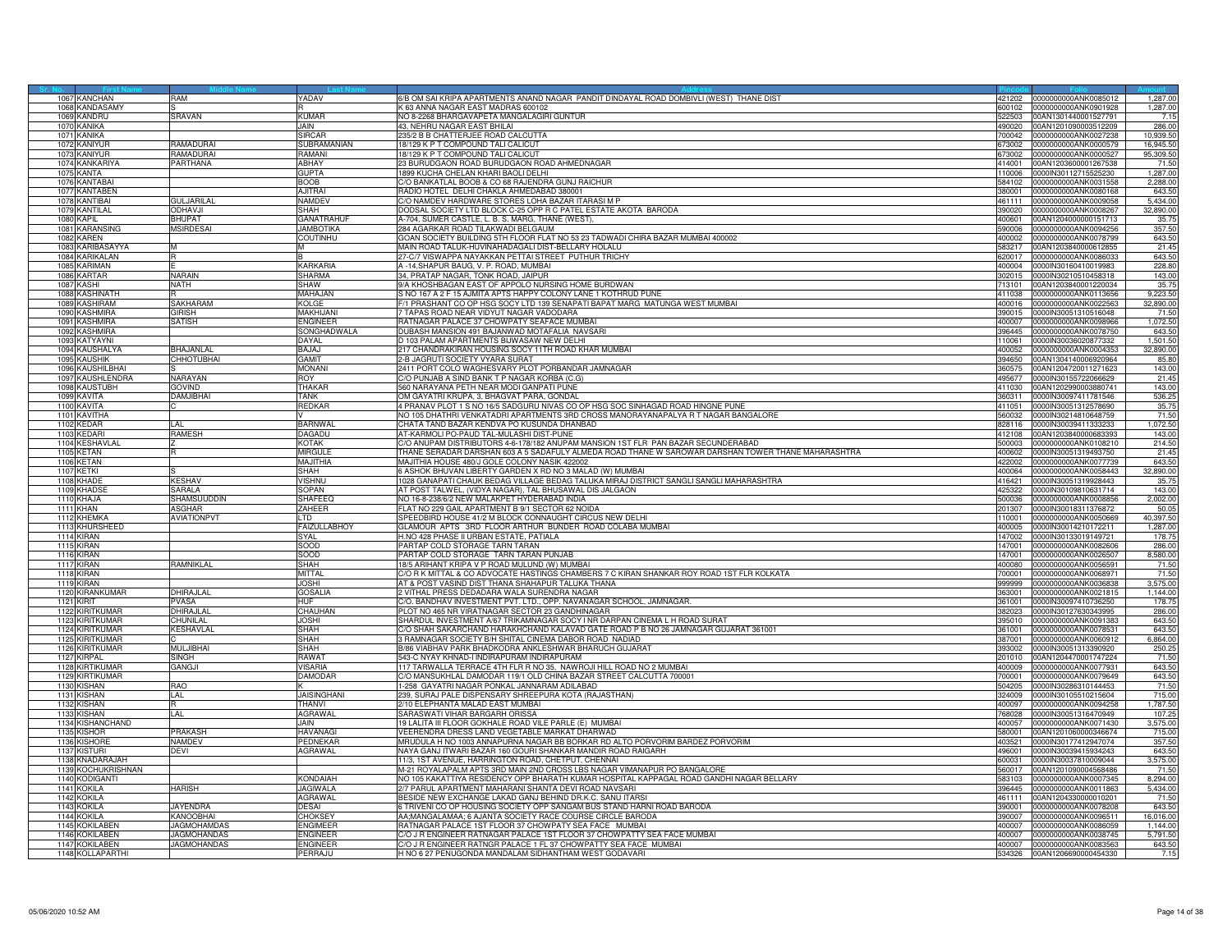|                  | 1067 KANCHAN                     | MAR                | YADAV                      | 6/B OM SAI KRIPA APARTMENTS ANAND NAGAR PANDIT DINDAYAL ROAD DOMBIVLI (WEST) THANE DIST                                                                               | 421202           | 0000000000ANK0085012                         | 1.287.00         |
|------------------|----------------------------------|--------------------|----------------------------|-----------------------------------------------------------------------------------------------------------------------------------------------------------------------|------------------|----------------------------------------------|------------------|
|                  | 1068 KANDASAMY                   |                    |                            | K 63 ANNA NAGAR EAST MADRAS 600102                                                                                                                                    | 600102           | 0000000000ANK0901928                         | 1,287.00         |
|                  | 1069 KANDRU                      | SRAVAN             | KUMAR                      | NO 8-2268 BHARGAVAPETA MANGALAGIRI GUNTUR                                                                                                                             | 22503            | 00AN1301440001527791                         | 7.15             |
| 107              | <b><i>CANIKA</i></b>             |                    | <b>JAIN</b>                | 43, NEHRU NAGAR EAST BHILAI                                                                                                                                           | 190020           | 0AN1201090003512209                          | 286.00           |
| 107              | KANIKA                           |                    | SIRCAR                     | 235/2 B B CHATTERJEE ROAD CALCUTTA                                                                                                                                    | 700042           | 0000000000ANK0027238                         | 10.939.50        |
| 1072             | <b>KANIYUF</b>                   | <b>AMADURAI</b>    | <b>SUBRAMANIAN</b>         | 18/129 K P T COMPOUND TALI CALICUT                                                                                                                                    | 673002           | 0000000000ANK0000579                         | 16,945.50        |
|                  | 1073 KANIYUR                     | <b>AMADURAI</b>    | RAMANI                     | 18/129 K P T COMPOUND TALI CALICUT                                                                                                                                    | 673002           | 0000000000ANK0000527                         | 95,309.50        |
|                  | 1074 KANKARIYA                   | PARTHANA           | <b>ABHAY</b>               | 23 BURUDGAON ROAD BURUDGAON ROAD AHMEDNAGAR                                                                                                                           | 414001           | 00AN1203600001267538                         | 71.50            |
| 1075             | <b>KANTA</b>                     |                    | <b>GUPTA</b>               | 1899 KUCHA CHELAN KHARI BAOLI DELHI                                                                                                                                   | 110006           | 0000IN30112715525230                         | 1,287.00         |
|                  | 1076 KANTABAI                    |                    | <b>BOOB</b>                | C/O BANKATLAL BOOB & CO 68 RAJENDRA GUNJ RAICHUR                                                                                                                      |                  | 584102 0000000000ANK0031558                  | 2,288.00         |
|                  | 1077 KANTABEN                    |                    | <b>AJITRAI</b>             | RADIO HOTEL DELHI CHAKLA AHMEDABAD 380001                                                                                                                             | 380001           | 0000000000ANK0080168                         | 643.50           |
|                  | 1078 KANTIBAI                    | <b>GULJARILAI</b>  | <b>NAMDEV</b>              | C/O NAMDEV HARDWARE STORES LOHA BAZAR ITARASI M P                                                                                                                     | 461111           | 0000000000ANK0009058                         | 5,434.00         |
|                  | 1079 KANTILAI                    | ODHAVJI            | <b>SHAH</b>                | DODSAL SOCIETY LTD BLOCK C-25 OPP R C PATEL ESTATE AKOTA BARODA                                                                                                       | 390020           | 0000000000ANK0008267                         | 32,890.00        |
| 1080             | KAPIL                            | HUPAT              | <b>GANATRAHUI</b>          | 4-704, SUMER CASTLE, L. B. S. MARG, THANE (WEST),                                                                                                                     | 00601            | 00AN1204000000151713                         | 35.7             |
| 108 <sup>1</sup> | <b>KARANSING</b>                 | <b>ISIRDESAI</b>   | <b>JAMBOTIKA</b>           | 284 AGARKAR ROAD TILAKWADI BELGAUM                                                                                                                                    | 590006           | 0000000000ANK0094256                         | 357.50           |
|                  | 1082 KAREN                       |                    | COUTINHU                   | GOAN SOCIETY BUILDING 5TH FLOOR FLAT NO 53 23 TADWADI CHIRA BAZAR MUMBAI 400002                                                                                       | 400002           | 0000000000ANK0078799                         | 643.50           |
|                  | 1083 KARIBASAYYA                 | M                  | M                          | MAIN ROAD TALUK-HUVINAHADAGALI DIST-BELLARY HOLALU                                                                                                                    | 583217           | 00AN1203840000612855                         | 21.45            |
|                  | 1084 KARIKALAN                   |                    |                            | 27-C/7 VISWAPPA NAYAKKAN PETTAI STREET PUTHUR TRICHY                                                                                                                  | 620017           | 0000000000ANK0086033                         | 643.50           |
| 1085             | KARIMAN                          |                    | <b>KARKARIA</b>            | A -14, SHAPUR BAUG, V. P. ROAD, MUMBAI                                                                                                                                | 400004           | 0000IN30160410019983                         | 228.80           |
|                  | 1086 KARTAR                      | NARAIN             | SHARMA                     | 34. PRATAP NAGAR, TONK ROAD, JAIPUR                                                                                                                                   | 302015           | 0000IN30210510458318                         | 143.00           |
| 1087             | KASHI                            | <b>NATH</b>        | SHAW                       | 9/A KHOSHBAGAN EAST OF APPOLO NURSING HOME BURDWAN                                                                                                                    | 713101           | 00AN1203840001220034                         | 35.7             |
|                  | 1088 KASHINATH                   |                    | MAHAJAN                    | S NO 167 A 2 F 15 AJMITA APTS HAPPY COLONY LANE 1 KOTHRUD PUNE                                                                                                        | 411038           | 0000000000ANK0113656                         | 9,223.50         |
|                  | 1089 KASHIRAM                    | SAKHARAM           | KOLGE                      | F/1 PRASHANT CO OP HSG SOCY LTD 139 SENAPATI BAPAT MARG MATUNGA WEST MUMBAL                                                                                           | 400016           | 0000000000ANK0022563                         | 32,890.00        |
| 1090             | <b>KASHMIRA</b>                  | <b>GIRISH</b>      | <b>MAKHIJAN</b>            | 7 TAPAS ROAD NEAR VIDYUT NAGAR VADODARA                                                                                                                               | 390015           | 0000IN30051310516048                         | 71.50            |
|                  | 1091 KASHMIRA                    | <b>SATISH</b>      | <b>ENGINEER</b>            | RATNAGAR PALACE 37 CHOWPATY SEAFACE MUMBAI                                                                                                                            | 400007           | 0000000000ANK0098966                         | 1,072.50         |
|                  | 1092 KASHMIRA                    |                    | SONGHADWALA                | DUBASH MANSION 491 BAJANWAD MOTAFALIA NAVSARI                                                                                                                         | 396445           | 0000000000ANK0078750                         | 643.50           |
|                  | 1093 KATYAYNI                    |                    | DAYAL                      | D 103 PALAM APARTMENTS BIJWASAW NEW DELHI                                                                                                                             | 110061           | 0000IN30036020877332                         | 1,501.50         |
|                  | 1094 KAUSHALYA                   | HAJANLAL           | BAJAJ                      | 217 CHANDRAKIRAN HOUSING SOCY 11TH ROAD KHAR MUMBAL                                                                                                                   | 400052           | 0000000000ANK0004353                         | 32,890.00        |
|                  |                                  |                    |                            |                                                                                                                                                                       |                  |                                              |                  |
|                  | 1095 KAUSHIK<br>1096 KAUSHILBHAI | <b>CHHOTUBHAI</b>  | GAMIT<br><b>MONANI</b>     | 2-B JAGRUTI SOCIETY VYARA SURAT<br>2411 PORT COLO WAGHESVARY PLOT PORBANDAR JAMNAGAR                                                                                  | 394650<br>360575 | 00AN1304140006920964<br>00AN1204720011271623 | 85.80<br>143.00  |
|                  | 1097 KAUSHLENDRA                 | VARAYAN            | ROY                        | C/O PUNJAB A SIND BANK T P NAGAR KORBA (C.G)                                                                                                                          | 495677           | 0000IN30155722066629                         | 21.45            |
|                  |                                  | GOVIND             | THAKAR                     | 560 NARAYANA PETH NEAR MODI GANPATI PUNE                                                                                                                              |                  | 411030 00AN1202990003880741                  |                  |
| 1099             | 1098 KAUSTUBH<br><b>KAVITA</b>   | AMJIBHAI           | TANK                       | OM GAYATRI KRUPA, 3, BHAGVAT PARA, GONDAL                                                                                                                             | 860311           | 0000IN30097411781546                         | 143.00<br>536.25 |
|                  |                                  |                    |                            |                                                                                                                                                                       |                  |                                              |                  |
| 1100             | <b>KAVITA</b><br>1101 KAVITHA    |                    | <b>REDKAR</b>              | 4 PRANAV PLOT 1 S NO 16/5 SADGURU NIVAS CO OP HSG SOC SINHAGAD ROAD HINGNE PUNE<br>NO 105 DHATHRI VENKATADRI APARTMENTS 3RD CROSS MANORAYANAPALYA R T NAGAR BANGALORE | 411051<br>560032 | 0000IN30051312578690<br>0000IN30214810648759 | 35.75<br>71.50   |
|                  |                                  |                    |                            |                                                                                                                                                                       |                  |                                              |                  |
|                  | 1102 KEDAR                       | AI                 | <b>BARNWA</b>              | CHATA TAND BAZAR KENDVA PO KUSUNDA DHANBAD                                                                                                                            | 828116           | 0000IN30039411333233                         | 1,072.50         |
|                  | 1103 KFDARI                      | RAMESH             | DAGADU                     | AT-KARMOLI PO-PAUD TAL-MULASHI DIST-PUNE                                                                                                                              | 412108           | 00AN1203840000683393                         | 143.00           |
|                  | 1104 KESHAVLAI                   |                    | KOTAK                      | C/O ANUPAM DISTRIBUTORS 4-6-178/182 ANUPAM MANSION 1ST FLR PAN BAZAR SECUNDERABAD                                                                                     | 500003           | 000000000ANK0108210                          | 214.50           |
|                  | 1105 KETAN                       |                    | <b>MIRGULE</b>             | THANE SERADAR DARSHAN 603 A 5 SADAFULY ALMEDA ROAD THANE W SAROWAR DARSHAN TOWER THANE MAHARASHTRA                                                                    | 400602           | 0000IN30051319493750                         | 21.45            |
|                  | 1106 KETAN                       |                    | <b>MAJITHIA</b>            | MAJITHIA HOUSE 480/J GOLE COLONY NASIK 422002                                                                                                                         |                  | 422002 0000000000ANK0077739                  | 643.50           |
|                  | 1107 KETKI                       |                    | <b>SHAH</b>                | 6 ASHOK BHUVAN LIBERTY GARDEN X RD NO 3 MALAD (W) MUMBAI                                                                                                              | 400064           | 0000000000ANK0058443                         | 32,890.00        |
|                  | 1108 KHADE                       | <b>KESHAV</b>      | <b>VISHNU</b>              | 1028 GANAPATI CHAUK BEDAG VILLAGE BEDAG TALUKA MIRAJ DISTRICT SANGLI SANGLI MAHARASHTRA                                                                               | 416421           | 0000IN30051319928443                         | 35.75            |
| 1109             | KHADSE                           | ARAI A             | SOPAN                      | AT POST TALWEL, (VIDYA NAGAR), TAL BHUSAWAL DIS JALGAON                                                                                                               | 25322            | 0000IN30109810631714                         | 143.00           |
| 1110             | <b>KHAJA</b>                     | SHAMSUUDDIN        | <b>SHAFEEC</b>             | NO 16-8-238/6/2 NEW MALAKPET HYDERABAD INDIA                                                                                                                          | 500036           | 0000000000ANK0008856                         | 2,002.00         |
|                  | <b>1111 KHAN</b>                 | ASGHAR             | ZAHEER                     | FLAT NO 229 GAIL APARTMENT B 9/1 SECTOR 62 NOIDA                                                                                                                      |                  | 201307 00000N30018311376872                  | 50.05            |
|                  | 1112 KHEMKA                      | <b>AVIATIONPV</b>  | LTD                        | SPEEDBIRD HOUSE 41/2 M BLOCK CONNAUGHT CIRCUS NEW DELHI                                                                                                               | 110001           | 0000000000ANK0050669                         | 40,397.50        |
|                  | 1113 KHURSHEED                   |                    | <b>FAIZULLABHOY</b>        | GLAMOUR APTS 3RD FLOOR ARTHUR BUNDER ROAD COLABA MUMBAI                                                                                                               | 400005           | 0000IN30014210172211                         | 1,287.00         |
|                  | 1114 KIRAN                       |                    | SYAL                       | H.NO 428 PHASE II URBAN ESTATE, PATIALA                                                                                                                               | 47002            | 0000IN30133019149721                         | 178.7            |
| 1115             | <b>KIRAN</b>                     |                    | SOOD                       | PARTAP COLD STORAGE TARN TARAN                                                                                                                                        | 147001           | 0000000000ANK0082606                         | 286.00           |
|                  | 1116 KIRAN                       |                    | SOOD                       | PARTAP COLD STORAGE TARN TARAN PUNJAB                                                                                                                                 | 147001           | 0000000000ANK0026507                         | 8.580.00         |
|                  | 1117 KIRAN                       | RAMNIKLAL          | SHAH                       | 18/5 ARIHANT KRIPA V P ROAD MULUND (W) MUMBAI                                                                                                                         | 400080           | 0000000000ANK0056591                         | 71.50            |
|                  | 1118 KIRAN                       |                    | <b>MITTAL</b>              | C/O R K MITTAL & CO ADVOCATE HASTINGS CHAMBERS 7 C KIRAN SHANKAR ROY ROAD 1ST FLR KOLKATA                                                                             | 00001.           | 0000000000ANK0068971                         | 71.50            |
| 1119             | <b>KIRAN</b>                     |                    | <b>IOSHI</b>               | AT & POST VASIND DIST THANA SHAHAPUR TALUKA THANA                                                                                                                     | 99999            | 000000000ANK0036838                          | 3,575.00         |
| 1120             | KIRANKUMAR                       | <b>HIRAJLAI</b>    | <b>GOSALIA</b>             | 2 VITHAL PRESS DEDADARA WALA SURENDRA NAGAR                                                                                                                           | 363001           | 0000000000ANK0021815                         | 1,144.00         |
|                  | <b>1121 KIRIT</b>                | <b>VASA</b>        | <b>HUF</b>                 | C/O, BANDHAV INVESTMENT PVT, LTD., OPP, NAVANAGAR SCHOOL, JAMNAGAR.                                                                                                   | 361001           | 0000IN30097410736250                         | 178.7            |
|                  | 1122 KIRITKUMAR                  | <b>DHIRAJLAL</b>   | CHAUHAN                    | PLOT NO 465 NR VIRATNAGAR SECTOR 23 GANDHINAGAR                                                                                                                       | 382023           | 0000IN30127630343995                         | 286.00           |
|                  | 1123 KIRITKUMAR                  | CHI INII AI        | <b>JOSHI</b>               | SHARDUL INVESTMENT A/67 TRIKAMNAGAR SOCY I NR DARPAN CINEMA L H ROAD SURAT                                                                                            | 395010           | 0000000000ANK0091383                         | 643.50           |
|                  | 1124 KIRITKUMAR                  | <b>ESHAVLAL</b>    | SHAH                       | C/O SHAH SAKARCHAND HARAKHCHAND KALAVAD GATE ROAD P B NO 26 JAMNAGAR GUJARAT 361001                                                                                   | 61001            | 000000000ANK0078531                          | 643.50           |
|                  | 1125 KIRITKUMAR                  |                    | <b>SHAH</b>                | 3 RAMNAGAR SOCIETY B/H SHITAL CINEMA DABOR ROAD NADIAD                                                                                                                | 387001           | 0000000000ANK0060912                         | 6,864.00         |
|                  | 1126 KIRITKUMAR                  | MULJIBHAI          | <b>SHAH</b>                | B/86 VIABHAV PARK BHADKODRA ANKLESHWAR BHARUCH GUJARAT                                                                                                                |                  | 393002 0000IN30051313390920                  | 250.25           |
|                  | 1127 KIRPAL                      | <b>SINGH</b>       | RAWAT                      | 543-C NYAY KHNAD-I INDIRAPURAM INDIRAPURAM                                                                                                                            |                  | 201010 00AN1204470001747224                  | 71.50            |
|                  | 1128 KIRTIKUMAR                  | GANGJI             | <b>VISARIA</b>             | 117 TARWALLA TERRACE 4TH FLR R NO 35, NAWROJI HILL ROAD NO 2 MUMBAI                                                                                                   | 400009           | 0000000000ANK0077931                         | 643.50           |
| 1129             | KIRTIKUMAR                       |                    | DAMODAR                    | C/O MANSUKHLAL DAMODAR 119/1 OLD CHINA BAZAR STREET CALCUTTA 700001                                                                                                   | 20001            | 0000000000ANK0079649                         | 643.50           |
|                  | 1130 KISHAN                      | <b>AO</b>          |                            | 1-258 GAYATRI NAGAR PONKAL JANNARAM ADILABAD                                                                                                                          | 504205           | 0000IN30286310144453                         | 71.50            |
|                  | 1131 KISHAN                      | LAL                | <b>JAISINGHAN</b>          | 239, SURAJ PALE DISPENSARY SHREEPURA KOTA (RAJASTHAN)                                                                                                                 | 324009           | 0000lN30105510215604                         | 715.00           |
|                  | 1132 KISHAN                      |                    | THANVI                     | 2/10 ELEPHANTA MALAD EAST MUMBAI                                                                                                                                      | 400097           | 0000000000ANK0094258                         | 1,787.50         |
|                  | 1133 KISHAN                      | LAL.               | AGRAWAL                    | SARASWATI VIHAR BARGARH ORISSA                                                                                                                                        | 768028           | 0000IN30051316470949                         | 107.25           |
| 1134             | KISHANCHAND                      |                    | <b>JAIN</b>                | 19 LALITA III FLOOR GOKHALE ROAD VILE PARLE (E) MUMBAI                                                                                                                | 400057           | 0000000000ANK0071430                         | 3,575.00         |
| 1135             | <b>KISHOR</b>                    | <b>PRAKASH</b>     | <b>HAVANAG</b>             | VEERENDRA DRESS LAND VEGETABLE MARKAT DHARWAD                                                                                                                         | 580001           | 00AN1201060000346674                         | 715.00           |
|                  | 1136 KISHORE                     | VAMDEV             | PEDNEKAF                   | MRUDULA H NO 1003 ANNAPURNA NAGAR BB BORKAR RD ALTO PORVORIM BARDEZ PORVORIM                                                                                          | 103521           | 0000lN30177412947074                         | 357.50           |
|                  | 1137 KISTURI                     | DEVI               | <b>AGRAWAL</b>             | NAYA GANJ ITWARI BAZAR 160 GOURI SHANKAR MANDIR ROAD RAIGARH                                                                                                          | 496001           | 0000IN30039415934243                         | 643.50           |
|                  | 1138 KNADARAJAH                  |                    |                            | 11/3, 1ST AVENUE, HARRINGTON ROAD, CHETPUT, CHENNAI                                                                                                                   | 600031           | 0000IN30037810009044                         | 3,575.00         |
| 1139             | <b>KOCHUKRISHNAN</b>             |                    |                            | M-21 ROYALAPALM APTS 3RD MAIN 2ND CROSS LBS NAGAR VIMANAPUR PO BANGALORE                                                                                              | 60017            | 00AN1201090004568486                         | 71.5             |
|                  | 1140 KODIGANTI                   |                    | <b>KONDAIAH</b>            | NO 105 KAKATTIYA RESIDENCY OPP BHARATH KUMAR HOSPITAL KAPPAGAL ROAD GANDHI NAGAR BELLARY                                                                              | 583103           | 0000000000ANK0007345                         | 8,294.00         |
|                  | 1141 KOKILA                      | <b>HARISH</b>      | <b>JAGIWALA</b>            | 2/7 PARUL APARTMENT MAHARANI SHANTA DEVI ROAD NAVSARI                                                                                                                 | 396445           | 0000000000ANK0011863                         | 5,434.00         |
|                  | 1142 KOKILA                      |                    | <b>AGRAWAL</b>             | BESIDE NEW EXCHANGE LAKAD GANJ BEHIND DR.K.C. SANU ITARSI                                                                                                             | 461111           | 00AN1204330000010201                         | 71.50            |
|                  | 1143 KOKILA                      | <b>JAYENDRA</b>    | DESAI                      | 6 TRIVENI CO OP HOUSING SOCIETY OPP SANGAM BUS STAND HARNI ROAD BARODA                                                                                                | 390001           | 0000000000ANK0078208                         | 643.50           |
|                  | 1144 KOKILA                      | KANOOBHAI          | <b>CHOKSEY</b><br>ENGIMEEF | AA;MANGALAMAA; 6 AJANTA SOCIETY RACE COURSE CIRCLE BARODA                                                                                                             | 190007<br>400007 | 0000000000ANK0096511                         | 16,016.00        |
|                  | 1145 KOKILABEN                   | <b>JAGMOHAMDAS</b> |                            | RATNAGAR PALACE 1ST FLOOR 37 CHOWPATY SEA FACE MUMBAI                                                                                                                 |                  | 0000000000ANK0086059                         | 1.144.00         |
| 1146             | KOKILABEN                        | JAGMOHANDAS        | <b>ENGINEEF</b>            | C/O J R ENGINEER RATNAGAR PALACE 1ST FLOOR 37 CHOWPATTY SEA FACE MUMBAI                                                                                               | 400007           | 0000000000ANK0038745                         | 5,791.50         |
|                  | 1147 KOKILABEN                   | <b>JAGMOHANDAS</b> | <b>ENGINEEF</b>            | C/O J R ENGINEER RATNGR PALACE 1 FL 37 CHOWPATTY SEA FACE MUMBAI                                                                                                      |                  | 400007 0000000000ANK0083563                  | 643.50           |
|                  | 1148 KOLLAPARTH                  |                    | PERRAJU                    | H NO 6 27 PENUGONDA MANDALAM SIDHANTHAM WEST GODAVARI                                                                                                                 |                  | 534326 00AN1206690000454330                  | 7.15             |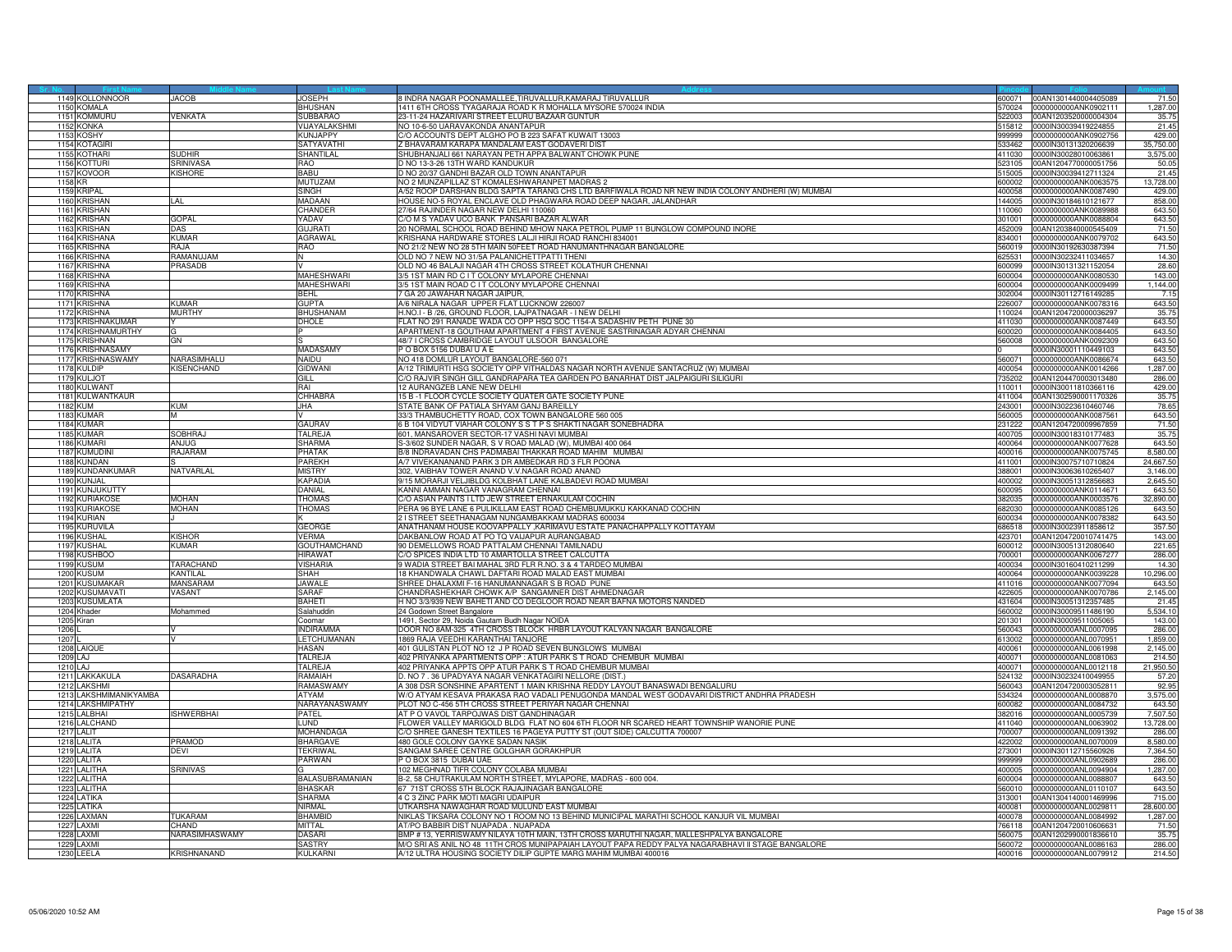|      | 1149 KOLLONNOOR     | JACOB                 | <b>JOSEPH</b>     | 8 INDRA NAGAR POONAMALLEE TIRUVALLUR KAMARAJ TIRUVALLUE                                            |        | 600071 00AN1301440004405089 | 71.50     |
|------|---------------------|-----------------------|-------------------|----------------------------------------------------------------------------------------------------|--------|-----------------------------|-----------|
|      | 1150 KOMALA         |                       | <b>BHUSHAN</b>    | 1411 6TH CROSS TYAGARAJA ROAD K R MOHALLA MYSORE 570024 INDIA                                      | 70024  | 0000000000ANK0902111        | 1,287.00  |
| 1151 | <b>KOMMURL</b>      | VENKATA               | SUBBARAC          | 23-11-24 HAZARIVARI STREET ELURU BAZAAR GUNTUR                                                     | 522003 | 00AN1203520000004304        | 35.75     |
| 1152 | <b>KONKA</b>        |                       | VIJAYALAKSHMI     | NO 10-6-50 UARAVAKONDA ANANTAPUR                                                                   | 515812 | 0000IN30039419224855        | 21.45     |
|      |                     |                       |                   |                                                                                                    |        |                             |           |
| 115  | OSHY                |                       | KUNJAPPY          | O ACCOUNTS DEPT ALGHO PO B 223 SAFAT KUWAIT 13003                                                  | 99999  | 0000000000ANK0902756        | 429.00    |
|      | 1154 KOTAGIRI       |                       | <b>SATYAVATHI</b> | Z BHAVARAM KARAPA MANDALAM EAST GODAVERI DIST                                                      | 33462  | 0000IN30131320206639        | 35,750.00 |
| 1155 | <b>COTHARI</b>      | <b>SUDHIR</b>         | <b>SHANTILAI</b>  | SHUBHANJALI 661 NARAYAN PETH APPA BALWANT CHOWK PUNE                                               | 411030 | 0000IN30028010063861        | 3,575.00  |
|      | 1156 KOTTURI        | <b>SRINIVASA</b>      | RAO               | D NO 13-3-26 13TH WARD KANDUKUR                                                                    | 523105 | 00AN1204770000051756        | 50.05     |
| 1157 | <b>KOVOOR</b>       | <b>(ISHORE</b>        | BABU              | D NO 20/37 GANDHI BAZAR OLD TOWN ANANTAPUR                                                         | 515005 | 0000IN30039412711324        | 21.45     |
|      | 1158 KR             |                       | <b>MUTUZAM</b>    | NO 2 MUNZAPILLAZ ST KOMALESHWARANPET MADRAS 2                                                      | 600002 | 0000000000ANK0063575        | 13,728.00 |
|      | 1159 KRIPAL         |                       | SINGH             | A/52 ROOP DARSHAN BLDG SAPTA TARANG CHS LTD BARFIWALA ROAD NR NEW INDIA COLONY ANDHERI (W) MUMBAI  | 400058 | 0000000000ANK0087490        | 429.00    |
| 1160 |                     | l Al                  | MADAAN            |                                                                                                    | 144005 |                             |           |
|      | <b>KRISHAN</b>      |                       |                   | HOUSE NO-5 ROYAL ENCLAVE OLD PHAGWARA ROAD DEEP NAGAR, JALANDHAR                                   |        | 0000IN30184610121677        | 858.00    |
|      | 1161 KRISHAN        |                       | CHANDER           | 27/64 RAJINDER NAGAR NEW DELHI 110060                                                              | 110060 | 0000000000ANK0089988        | 643.50    |
| 1162 | <b>RISHAN</b>       | <b>GOPAL</b>          | YADAV             | /O M S YADAV UCO BANK PANSARI BAZAR ALWAR                                                          | 01001  | 0000000000ANK0088804        | 643.50    |
| 1163 | KRISHAN             | DAS                   | <b>GUJRATI</b>    | 20 NORMAL SCHOOL ROAD BEHIND MHOW NAKA PETROL PUMP 11 BUNGLOW COMPOUND INORE                       | 452009 | 00AN1203840000545409        | 71.50     |
|      | 1164 KRISHANA       | KUMAR                 | <b>AGRAWA</b>     | KRISHANA HARDWARE STORES LALJI HIRJI ROAD RANCHI 834001                                            | 834001 | 0000000000ANK0079702        | 643.50    |
|      | 1165 KRISHNA        | Alar                  | <b>RAO</b>        | NO 21/2 NEW NO 28 5TH MAIN 50FEET ROAD HANUMANTHNAGAR BANGALORE                                    | 560019 | 0000IN30192630387394        | 71.50     |
|      | 1166 KRISHNA        | MAIJUMAR              | N                 | OLD NO 7 NEW NO 31/5A PALANICHETTPATTI THENI                                                       | 625531 | 0000IN30232411034657        | 14.30     |
| 1167 | <b>KRISHNA</b>      | <b>RASADB</b>         |                   | OLD NO 46 BALAJI NAGAR 4TH CROSS STREET KOLATHUR CHENNAI                                           | 600099 | 0000lN30131321152054        | 28.60     |
| 1168 | <b>KRISHNA</b>      |                       | MAHESHWARI        | 3/5 1ST MAIN RD C I T COLONY MYLAPORE CHENNAI                                                      | 600004 | 0000000000ANK0080530        | 143.00    |
|      |                     |                       |                   |                                                                                                    |        |                             |           |
|      | 1169 KRISHNA        |                       | <b>MAHESHWARI</b> | 3/5 1ST MAIN ROAD C I T COLONY MYLAPORE CHENNAI                                                    |        | 600004 0000000000ANK0009499 | 1,144.00  |
| 1170 | <b>KRISHNA</b>      |                       | <b>BEHL</b>       | 7 GA 20 JAWAHAR NAGAR JAIPUR.                                                                      | 302004 | 0000IN30112716149285        | 7.15      |
|      | 1171 KRISHNA        | <b>KIIMAR</b>         | <b>GUPTA</b>      | A/6 NIRALA NAGAR UPPER FLAT LUCKNOW 226007                                                         | 226007 | 0000000000ANK0078316        | 643.50    |
| 1172 | RISHNA              | <b>IURTHY</b>         | <b>BHUSHANAM</b>  | H.NO.I - B /26, GROUND FLOOR, LAJPATNAGAR - I NEW DELHI                                            | 110024 | 00AN1204720000036297        | 35.75     |
| 117  | <b>KRISHNAKUMAF</b> |                       | DHOLE             | FLAT NO 291 RANADE WADA CO OPP HSQ SOC 1154-A SADASHIV PETH PUNE 30                                | 411030 | 0000000000ANK0087449        | 643.50    |
|      | 1174 KRISHNAMURTHY  |                       |                   | APARTMENT-18 GOUTHAM APARTMENT 4 FIRST AVENUE SASTRINAGAR ADYAR CHENNAI                            |        | 600020 0000000000ANK0084405 | 643.50    |
|      | 1175 KRISHNAN       | ЭN                    |                   | 48/7 I CROSS CAMBRIDGE LAYOUT ULSOOR BANGALORE                                                     | 560008 | 0000000000ANK0092309        | 643.50    |
|      | 1176 KRISHNASAM     |                       | MADASAMY          | P O BOX 5156 DUBAI U A E                                                                           |        | 0000IN30001110449103        | 643.50    |
| 1177 | <b>RISHNASWAMY</b>  | VARASIMHALU           | NAIDU             | NO 418 DOMLUR LAYOUT BANGALORE-560 071                                                             | 560071 | 0000000000ANK0086674        | 643.50    |
|      |                     |                       |                   |                                                                                                    |        |                             |           |
| 1178 | <b>KULDIP</b>       | <b>(ISENCHAND</b>     | <b>GIDWANI</b>    | A/12 TRIMURTI HSG SOCIETY OPP VITHALDAS NAGAR NORTH AVENUE SANTACRUZ (W) MUMBAI                    | 400054 | 0000000000ANK0014266        | 1,287.00  |
|      | 1179 KULJOT         |                       | GILL              | C/O RAJVIR SINGH GILL GANDRAPARA TEA GARDEN PO BANARHAT DIST JALPAIGURI SILIGURI                   | 735202 | 00AN1204470003013480        | 286.00    |
|      | 1180 KULWANT        |                       | rai               | 12 AURANGZEB LANE NEW DELHI                                                                        | 110011 | 0000IN30011810366116        | 429.00    |
|      | 1181 KULWANTKAUR    |                       | CHHABRA           | 15 B -1 FLOOR CYCLE SOCIETY QUATER GATE SOCIETY PUNE                                               | 411004 | 00AN1302590001170326        | 35.75     |
| 1182 | :UM                 | <b>KUM</b>            | JHA               | TATE BANK OF PATIALA SHYAM GANJ BAREILLY                                                           | 43001  | 0000IN30223610460746        | 78.65     |
| 1183 | KUMAF               |                       |                   | 33/3 THAMBUCHETTY ROAD, COX TOWN BANGALORE 560 005                                                 | 560005 | 0000000000ANK0087561        | 643.50    |
|      | 1184 KUMAR          |                       | <b>GAURAV</b>     | 6 B 104 VIDYUT VIAHAR COLONY S S T P S SHAKTI NAGAR SONEBHADRA                                     | 231222 | 00AN1204720009967859        | 71.50     |
|      | 1185 KUMAR          | SOBHRAJ               | TALREJA           | 601, MANSAROVER SECTOR-17 VASHI NAVI MUMBAI                                                        | 400705 | 0000IN30018310177483        | 35.75     |
|      | 1186 KIIMARI        | AN.JUG                | <b>SHARMA</b>     | S-3/602 SUNDER NAGAR, S.V. BOAD MALAD (W), MUMBAL400 064                                           | 400064 | 0000000000ANK0077628        | 643.50    |
| 1187 | <b>UMUDINI</b>      | <b>AJARAM</b>         | PHATAK            | B/8 INDRAVADAN CHS PADMABAI THAKKAR ROAD MAHIM MUMBAI                                              | 400016 | 0000000000ANK0075745        | 8,580.00  |
|      |                     |                       |                   |                                                                                                    |        |                             |           |
| 1188 | KUNDAN              |                       | PAREKH            | A/7 VIVEKANANAND PARK 3 DR AMBEDKAR RD 3 FLR POONA                                                 | 411001 | 0000IN30075710710824        | 24,667.50 |
|      | 1189 KUNDANKUMAR    | NATVARLAL             | <b>MISTRY</b>     | 302. VAIBHAV TOWER ANAND V.V.NAGAR ROAD ANAND                                                      |        | 388001 0000IN30063610265407 | 3.146.00  |
|      | 1190 KUNJAL         |                       | <b>KAPADIA</b>    | 9/15 MORARJI VELJIBLDG KOLBHAT LANE KALBADEVI ROAD MUMBAI                                          | 400002 | 0000lN30051312856683        | 2,645.50  |
|      | 1191 KUNJUKUTTY     |                       | DANIAL            | KANNI AMMAN NAGAR VANAGRAM CHENNAI                                                                 | 600095 | 0000000000ANK0114671        | 643.50    |
| 1192 | <b>URIAKOSE</b>     | <b>MOHAN</b>          | <b>HOMAS</b>      | O ASIAN PAINTS I LTD JEW STREET ERNAKULAM COCHIN                                                   | 82035  | 000000000ANK0003576         | 32,890.00 |
| 1193 | <b>KURIAKOSE</b>    | <b>MAHON</b>          | <b>THOMAS</b>     | PERA 96 BYE LANE 6 PULIKILLAM EAST ROAD CHEMBUMUKKU KAKKANAD COCHIN                                | 682030 | 0000000000ANK0085126        | 643.50    |
|      | 1194 KURIAN         |                       |                   | 2 I STREET SEETHANAGAM NUNGAMBAKKAM MADRAS 600034                                                  | 600034 | 0000000000ANK0078382        | 643.50    |
|      | 1195 KURUVILA       |                       | <b>GEORGE</b>     | ANATHANAM HOUSE KOOVAPPALLY , KARIMAVU ESTATE PANACHAPPALLY KOTTAYAM                               | 686518 | 0000IN30023911858612        | 357.50    |
|      | 1196 KIISHAI        | <b><i>CISHOR</i></b>  | VERMA             | DAKBANLOW ROAD AT PO TQ VAIJAPUR AURANGABAD                                                        | 423701 | 00AN1204720010741475        | 143.00    |
| 1197 | <b>USHAL</b>        | <b>UMAR</b>           | GOUTHAMCHAND      | 90 DEMELLOWS ROAD PATTALAM CHENNAI TAMILNADU                                                       | 00012  | 0000IN30051312080640        | 221.65    |
|      | 1198 KUSHBOC        |                       | HIRAWA1           | C/O SPICES INDIA LTD 10 AMARTOLLA STREET CALCUTTA                                                  | 700001 | 0000000000ANK0067277        | 286.00    |
|      | 1199 KUSUM          | TARACHAND             | VISHARIA          | 9 WADIA STREET BAI MAHAL 3RD FLR R.NO. 3 & 4 TARDEO MUMBAI                                         | 400034 | 0000IN30160410211299        | 14.30     |
|      |                     |                       |                   |                                                                                                    |        |                             |           |
|      | 1200 KUSUM          | <b>KANTILAL</b>       | <b>SHAH</b>       | 18 KHANDWALA CHAWL DAFTARI ROAD MALAD EAST MUMBAI                                                  | 400064 | 0000000000ANK0039228        | 10,296.00 |
|      | 1201 KUSUMAKAR      | <b>AANSARAM</b>       | IAWAI F           | SHREE DHALAXMI F-16 HANUMANNAGAR S B ROAD PUNE                                                     | 411016 | 0000000000ANK0077094        | 643.50    |
| 1202 | <b>USUMAVATI</b>    | <b>ASANT</b>          | SARAF             | HANDRASHEKHAR CHOWK A/P SANGAMNER DIST AHMEDNAGAR                                                  | 22605  | 0000000000ANK0070786        | 2,145.00  |
|      | 1203 KUSUMLATA      |                       | BAHETI            | H NO 3/3/939 NEW BAHETI AND CO DEGLOOR ROAD NEAR BAFNA MOTORS NANDED                               | 431604 | 0000IN30051312357485        | 21.45     |
|      | 1204 Khader         | Aohammed              | Salahuddir        | 24 Godown Street Bangalore                                                                         | 560002 | 0000IN30009511486190        | 5,534.10  |
|      | 1205 Kiran          |                       | Coomar            | 1491, Sector 29, Noida Gautam Budh Nagar NOIDA                                                     | 201301 | 0000IN30009511005065        | 143.00    |
| 1206 |                     |                       | <b>INDIRAMMA</b>  | DOOR NO 8AM-325 4TH CROSS I BLOCK HRBR LAYOUT KALYAN NAGAR BANGALORE                               | 560043 | 0000000000ANL0007095        | 286.00    |
| 1207 |                     |                       | LETCHUMANAN       | 1869 RAJA VEEDHI KARANTHAI TANJORE                                                                 | 13002  | 0000000000ANL0070951        | 1,859.00  |
|      | 1208 LAIQUE         |                       | <b>HASAN</b>      | 401 GULISTAN PLOT NO 12 J P ROAD SEVEN BUNGLOWS MUMBAI                                             | 400061 | 0000000000ANL0061998        | 2,145.00  |
|      | 1209 LAJ            |                       | TALREJA           | 402 PRIYANKA APARTMENTS OPP : ATUR PARK S T ROAD CHEMBUR MUMBAI                                    | 400071 | 0000000000ANL0081063        | 214.50    |
|      |                     |                       |                   |                                                                                                    |        |                             |           |
|      | 1210 LAJ            |                       | TALREJA           | 402 PRIYANKA APPTS OPP ATUR PARK S T ROAD CHEMBUR MUMBAI                                           | 400071 | 0000000000ANL0012118        | 21,950.50 |
|      | 1211 LAKKAKULA      | DASARADHA             | RAMAIAH           | D. NO 7 . 36 UPADYAYA NAGAR VENKATAGIRI NELLORE (DIST.)                                            | 524132 | 0000IN30232410049955        | 57.20     |
| 121  | <b>AKSHMI</b>       |                       | RAMASWAN          | 1 308 DSR SONSHINE APARTENT 1 MAIN KRISHNA REDDY LAYOUT BANASWADI BENGALURU                        | 60043  | 00AN1204720003052811        | 92.9      |
| 121  | LAKSHMIMANIKYAMBA   |                       | ATYAM             | W/O ATYAM KESAVA PRAKASA RAO VADALI PENUGONDA MANDAL WEST GODAVARI DISTRICT ANDHRA PRADESH         | 534324 | 0000000000ANL0008870        | 3,575.00  |
| 1214 | LAKSHMIPATHY        |                       | NARAYANASWAMY     | PLOT NO C-456 5TH CROSS STREET PERIYAR NAGAR CHENNAI                                               | 600082 | 0000000000ANL0084732        | 643.50    |
|      | 1215 LALBHAI        | SHWERBHAI             | <b>PATEL</b>      | AT P O VAVOL TARPOJWAS DIST GANDHINAGAR                                                            | 382016 | 0000000000ANL0005739        | 7,507.50  |
|      | 1216 LALCHAND       |                       | <b>LUND</b>       | FLOWER VALLEY MARIGOLD BLDG FLAT NO 604 6TH FLOOR NR SCARED HEART TOWNSHIP WANORIE PUNE            | 411040 | 0000000000ANL0063902        | 13,728.00 |
| 1217 | <b>LALIT</b>        |                       | MOHANDAGA         | CO SHREE GANESH TEXTILES 16 PAGEYA PUTTY ST (OUT SIDE) CALCUTTA 700007                             | 00007  | 0000000000ANL0091392        | 286.00    |
| 1218 | <b>LALITA</b>       | <b>PRAMOD</b>         | <b>BHARGAVE</b>   | 480 GOLE COLONY GAYKE SADAN NASIK                                                                  | 422002 | 0000000000ANL0070009        | 8,580.00  |
| 1219 | LALITA              | DEVI                  | <b>TEKRIWAL</b>   | SANGAM SAREE CENTRE GOLGHAR GORAKHPUR                                                              | 273001 | 0000IN30112715560926        | 7,364.50  |
|      | 1220 LALITA         |                       | PARWAN            | P O BOX 3815 DUBAI UAE                                                                             | 999999 | 0000000000ANL0902689        | 286.00    |
|      | 1221   ALITHA       | SRINIVAS              |                   | 102 MEGHNAD TIFR COLONY COLABA MUMBAI                                                              | 400005 | 0000000000ANL0094904        | 1.287.00  |
|      |                     |                       | G                 |                                                                                                    |        |                             |           |
| 122  | ALITHA              |                       | BALASUBRAMANIAN   | B-2, 58 CHUTRAKULAM NORTH STREET, MYLAPORE, MADRAS - 600 004                                       | 00004  | 0000000000ANL0088807        | 643.50    |
| 1223 | <b>LALITHA</b>      |                       | <b>RHASKAR</b>    | 67 71ST CROSS 5TH BLOCK RAJAJINAGAR BANGALORE                                                      | 560010 | 0000000000ANL0110107        | 643.50    |
| 1224 | LATIKA              |                       | SHARMA            | 4 C 3 ZINC PARK MOTI MAGRI UDAIPUR                                                                 | 313001 | 0AN1304140001469996         | 715.00    |
|      | 1225 LATIKA         |                       | NIRMAL            | UTKARSHA NAWAGHAR ROAD MULUND EAST MUMBAI                                                          | 400081 | 0000000000ANL0029811        | 28,600.00 |
|      | 1226 LAXMAN         | TUKARAM               | <b>BHAMBID</b>    | NIKLAS TIKSARA COLONY NO 1 ROOM NO 13 BEHIND MUNICIPAL MARATHI SCHOOL KANJUR VIL MUMBAI            | 400078 | 0000000000ANL0084992        | 1.287.00  |
| 122  | <b>AXMI</b>         | <b>HAND</b>           | MITTAL            | AT/PO BABBIR DIST NUAPADA . NUAPADA                                                                | '66118 | 00AN1204720010606631        | 71.50     |
|      | 1228 LAXMI          | <b>NARASIMHASWAMY</b> | <b>DASAR</b>      | BMP # 13, YERRISWAMY NILAYA 10TH MAIN, 13TH CROSS MARUTHI NAGAR, MALLESHPALYA BANGALORE            | 560075 | 00AN1202990001836610        | 35.75     |
| 1229 | AXM                 |                       | <b>SASTRY</b>     | M/O SRI AS ANIL NO 48 11TH CROS MUNIPAPAIAH LAYOUT PAPA REDDY PALYA NAGARABHAVI II STAGE BANGALORE | 560072 | 0000000000ANL0086163        | 286.00    |
|      | 1230 LEELA          | KRISHNANAND           | KULKARN           | A/12 ULTRA HOUSING SOCIETY DILIP GUPTE MARG MAHIM MUMBAI 400016                                    |        | 400016 0000000000ANL0079912 | 214.50    |
|      |                     |                       |                   |                                                                                                    |        |                             |           |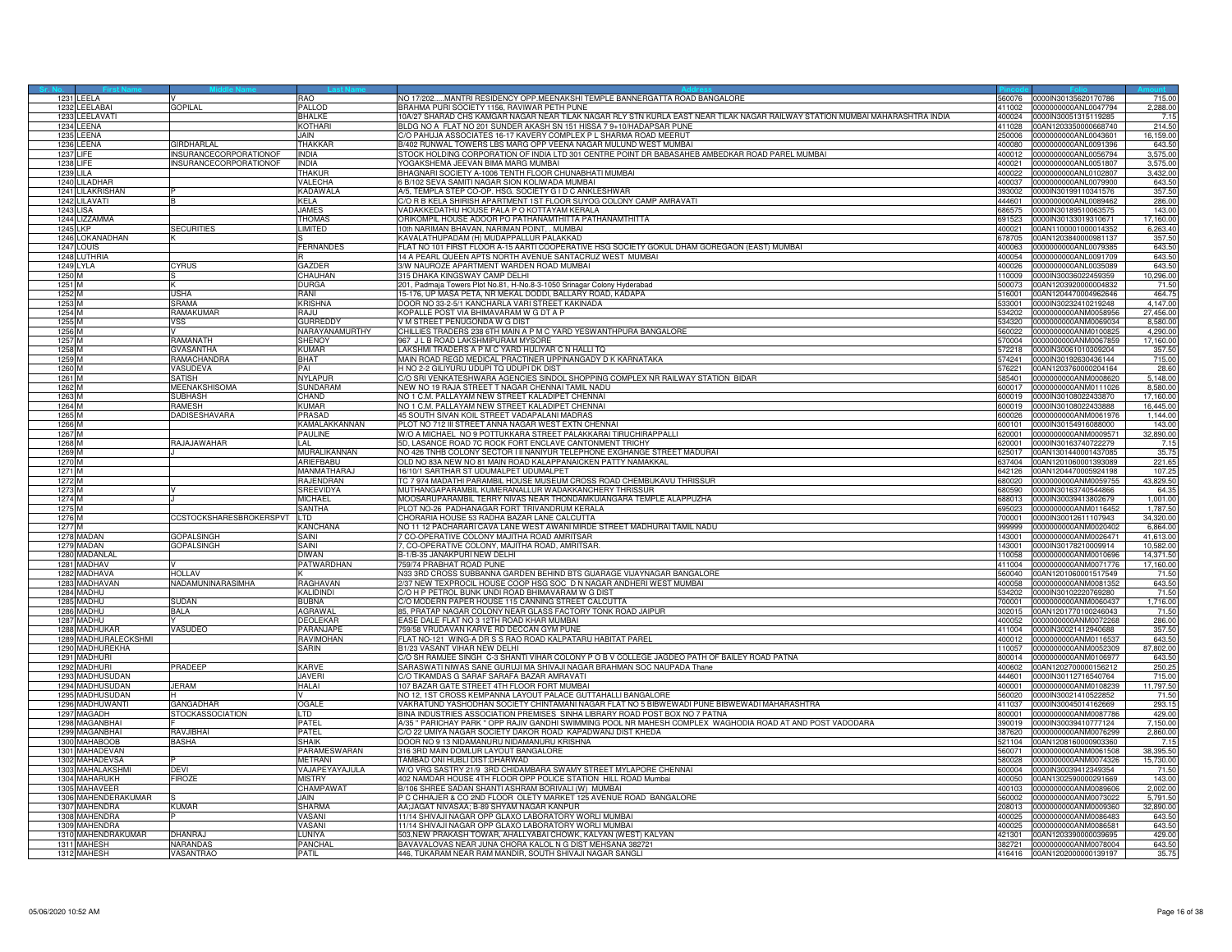|                   | 1231 LEELA           |                          | RAO              | NO 17/202MANTRI RESIDENCY OPP.MEENAKSHI TEMPLE BANNERGATTA ROAD BANGALORE                                                    | 560076 | 0000IN30135620170786          | 715.00    |
|-------------------|----------------------|--------------------------|------------------|------------------------------------------------------------------------------------------------------------------------------|--------|-------------------------------|-----------|
|                   | 1232 LEELABAI        | <b>GOPILAL</b>           | PALLOD           | BRAHMA PURI SOCIETY 1156, RAVIWAR PETH PUNE                                                                                  | 411002 | 0000000000ANL0047794          | 2,288.00  |
| 1233              | LEELAVATI            |                          | <b>RHAI KF</b>   | 10A/27 SHARAD CHS KAMGAR NAGAR NEAR TILAK NAGAR RLY STN KURLA EAST NEAR TILAK NAGAR RAILWAY STATION MUMBAI MAHARASHTRA INDIA | 400024 | 0000IN30051315119285          | 7.15      |
| 1234              | <b>EENA</b>          |                          | <b>KOTHARI</b>   | BLDG NO A FLAT NO 201 SUNDER AKASH SN 151 HISSA 7 9+10/HADAPSAR PUNE                                                         | 111028 | 0AN1203350000668740           | 214.50    |
|                   | 1235 LEENA           |                          | JAIN.            | C/O PAHUJA ASSOCIATES 16-17 KAVERY COMPLEX P L SHARMA ROAD MEERUT                                                            | 250006 | 0000000000ANL0043601          | 16,159.00 |
|                   | 1236 LEENA           | GIRDHARI AI              | <b>THAKKAF</b>   | B/402 RUNWAL TOWERS LBS MARG OPP VEENA NAGAR MULUND WEST MUMBAL                                                              | 400080 | 0000000000ANL0091396          | 643.50    |
| <b>1237 LIFE</b>  |                      | INSURANCECORPORATIONOF   | <b>INDIA</b>     | STOCK HOLDING CORPORATION OF INDIA LTD 301 CENTRE POINT DR BABASAHEB AMBEDKAR ROAD PAREL MUMBAI                              | 400012 | 0000000000ANL0056794          | 3,575.00  |
|                   |                      |                          |                  |                                                                                                                              |        |                               |           |
| 1238 LIFE         |                      | INSURANCECORPORATIONOF   | <b>INDIA</b>     | YOGAKSHEMA JEEVAN BIMA MARG MUMBAI                                                                                           | 400021 | 0000000000ANL0051807          | 3,575.00  |
| <b>1239 LILA</b>  |                      |                          | <b>THAKUR</b>    | BHAGNARI SOCIETY A-1006 TENTH FLOOR CHUNABHATI MUMBAI                                                                        | 400022 | 000000000ANL0102807           | 3,432.00  |
|                   | 1240 LILADHAR        |                          | <b>VALECHA</b>   | 6 B/102 SEVA SAMITI NAGAR SION KOLIWADA MUMBAI                                                                               |        | 400037 0000000000ANL0079900   | 643.50    |
|                   | 1241 LILAKRISHAN     |                          | <b>KADAWALA</b>  | A/5. TEMPLA STEP CO-OP. HSG. SOCIETY G I D C ANKLESHWAR                                                                      | 393002 | 0000IN30199110341576          | 357.50    |
|                   | 1242 LILAVATI        |                          | KELA             | C/O R B KELA SHIRISH APARTMENT 1ST FLOOR SUYOG COLONY CAMP AMRAVATI                                                          |        | 444601 0000000000ANL0089462   | 286.00    |
|                   | <b>1243 LISA</b>     |                          | JAMES            | VADAKKEDATHU HOUSE PALA P O KOTTAYAM KERALA                                                                                  | 686575 | 0000IN30189510063575          | 143.00    |
| 1244              | LIZZAMMA             |                          | <b>THOMAS</b>    | ORIKOMPIL HOUSE ADOOR PO PATHANAMTHITTA PATHANAMTHITTA                                                                       | 91523  | 000IN30133019310671           | 17,160.00 |
| 1245 LKP          |                      | <b>SECURITIES</b>        | <b>LIMITED</b>   | 10th NARIMAN BHAVAN, NARIMAN POINT, MUMBAI                                                                                   | 400021 | 00AN1100001000014352          | 6,263.40  |
|                   |                      |                          |                  | KAVALATHUPADAM (H) MUDAPPALLUR PALAKKAD                                                                                      |        |                               |           |
|                   | 1246 LOKANADHAN      |                          |                  |                                                                                                                              | 678705 | 00AN1203840000981137          | 357.50    |
|                   | 1247 LOUIS           |                          | <b>FERNANDES</b> | FLAT NO 101 FIRST FLOOR A-15 AARTI COOPERATIVE HSG SOCIETY GOKUL DHAM GOREGAON (EAST) MUMBAI                                 | 400063 | 0000000000ANL0079385          | 643.50    |
|                   | 1248 LUTHRIA         |                          |                  | 14 A PEARL QUEEN APTS NORTH AVENUE SANTACRUZ WEST MUMBAI                                                                     | 400054 | 0000000000ANL0091709          | 643.50    |
|                   | <b>1249 LYLA</b>     | <b>YRUS</b>              | GAZDER           | 3/W NAUROZE APARTMENT WARDEN ROAD MUMBAI                                                                                     | 400026 | 0000000000ANL0035089          | 643.50    |
| 1250 M            |                      |                          | CHAUHAN          | 315 DHAKA KINGSWAY CAMP DELHI                                                                                                | 110009 | 0000IN30036022459359          | 10,296.00 |
| 1251 M            |                      |                          | DURGA            | 201, Padmaja Towers Plot No.81, H-No.8-3-1050 Srinagar Colony Hyderabad                                                      |        | 500073 00AN1203920000004832   | 71.50     |
| 1252 M            |                      | USHA                     | RANI             | 15-176, UP MASA PETA, NR MEKAL DODDI, BALLARY ROAD, KADAPA                                                                   | 516001 | 00AN1204470004962646          | 464.75    |
| 1253 M            |                      | SRAMA                    | <b>KRISHNA</b>   | DOOR NO 33-2-5/1 KANCHARLA VARI STREET KAKINADA                                                                              | 33001  | 0000IN30232410219248          | 4.147.00  |
|                   |                      | <b>AMAKUMAR</b>          |                  | KOPALLE POST VIA BHIMAVARAM W G DT A P                                                                                       | 34202  | 0000000000ANM0058956          | 27,456.00 |
| 1254 N            |                      |                          | RAJU             |                                                                                                                              |        |                               |           |
| 1255 M            |                      | VSS                      | GURREDDY         | V M STREET PENUGONDA W G DIST                                                                                                | 534320 | 0000000000ANM0069034          | 8,580.00  |
| 1256 M            |                      |                          | NARAYANAMURTHY   | CHILLIES TRADERS 238 6TH MAIN A P M C YARD YESWANTHPURA BANGALORE                                                            | 560022 | 0000000000ANM0100825          | 4,290.00  |
| 1257 M            |                      | RAMANATH                 | <b>SHENOY</b>    | 967 J L B ROAD LAKSHMIPURAM MYSORE                                                                                           | 570004 | 0000000000ANM0067859          | 17,160.00 |
| 1258 M            |                      | <b>GVASANTHA</b>         | <b>KUMAR</b>     | LAKSHMI TRADERS A P M C YARD HULIYAR C N HALLI TO                                                                            | 572218 | 0000IN30061010309204          | 357.50    |
| 1259 M            |                      | <b>AMACHANDRA</b>        | <b>BHAT</b>      | MAIN ROAD REGD MEDICAL PRACTINER UPPINANGADY D K KARNATAKA                                                                   | 74241  | 0000IN30192630436144          | 715.00    |
| 1260 M            |                      | VASUDEVA                 | PAI              | H NO 2-2 GILIYURU UDUPI TQ UDUPI DK DIST                                                                                     | 576221 | 00AN1203760000204164          | 28.60     |
| 1261 M            |                      | SATISH                   | <b>NYLAPUR</b>   | C/O SRI VENKATESHWARA AGENCIES SINDOL SHOPPING COMPLEX NR RAILWAY STATION BIDAR                                              |        | 585401   0000000000ANM0008620 | 5,148.00  |
| 1262 M            |                      | MEENAKSHISOMA            | SUNDARAM         | NEW NO 19 RAJA STREET T NAGAR CHENNAI TAMIL NADU                                                                             |        | 600017 0000000000ANM0111026   | 8,580.00  |
| 1263 M            |                      | SUBHASH                  | CHAND            |                                                                                                                              | 600019 |                               |           |
|                   |                      |                          |                  | NO 1 C.M. PALLAYAM NEW STREET KALADIPET CHENNAI                                                                              |        | 0000IN30108022433870          | 17,160.00 |
| 1264 M            |                      | <b>AMESH</b>             | KUMAR            | NO 1 C.M. PALLAYAM NEW STREET KALADIPET CHENNAI                                                                              | 00019  | 0000IN30108022433888          | 16,445.00 |
| 1265 M            |                      | <b>ADISESHAVARA</b>      | PRASAD           | 45 SOUTH SIVAN KOIL STREET VADAPALANI MADRAS                                                                                 | 600026 | 0000000000ANM0061976          | 1,144.00  |
| 1266 M            |                      |                          | KAMALAKKANNAN    | PLOT NO 712 III STREET ANNA NAGAR WEST EXTN CHENNAI                                                                          | 600101 | 0000IN30154916088000          | 143.00    |
| 1267 M            |                      |                          | <b>PAULINE</b>   | W/O A MICHAEL NO 9 POTTUKKARA STREET PALAKKARAI TIRUCHIRAPPALLI                                                              | 620001 | 0000000000ANM0009571          | 32,890.00 |
| 1268 M            |                      | RAJAJAWAHAR              | LAL.             | 5D, LASANCE ROAD 7C ROCK FORT ENCLAVE CANTONMENT TRICHY                                                                      | 620001 | 0000IN30163740722279          | 7.15      |
| 1269 <sub>N</sub> |                      |                          | MURALIKANNAN     | NO 426 TNHB COLONY SECTOR I II NANIYUR TELEPHONE EXGHANGE STREET MADURAI                                                     | 25017  | 00AN1301440001437085          | 35.75     |
| 1270 M            |                      |                          | <b>ARIEFBABU</b> | OLD NO 83A NEW NO 81 MAIN ROAD KALAPPANAICKEN PATTY NAMAKKAL                                                                 | 637404 | 00AN1201060001393089          | 221.65    |
| 1271 M            |                      |                          | MANMATHARA,      | 16/10/1 SARTHAR ST UDUMALPET UDUMALPET                                                                                       | 642126 | 00AN1204470005924198          | 107.25    |
|                   |                      |                          |                  |                                                                                                                              | 680020 | 0000000000ANM0059755          |           |
| 1272 M            |                      |                          | RAJENDRAN        | TC 7 974 MADATHI PARAMBIL HOUSE MUSEUM CROSS ROAD CHEMBUKAVU THRISSUR                                                        |        |                               | 43,829.50 |
| 1273 M            |                      |                          | <b>SREEVIDYA</b> | MUTHANGAPARAMBIL KUMERANALLUR WADAKKANCHERY THRISSUR                                                                         | 680590 | 0000IN30163740544866          | 64.35     |
| 1274 M            |                      |                          | <b>MICHAEL</b>   | MOOSARUPARAMBIL TERRY NIVAS NEAR THONDAMKUIANGARA TEMPLE ALAPPUZHA                                                           | 88013  | 000IN30039413802679           | 1,001.00  |
| 1275 M            |                      |                          | <b>SANTHA</b>    | PLOT NO-26 PADHANAGAR FORT TRIVANDRUM KERALA                                                                                 | 695023 | 0000000000ANM0116452          | 1,787.50  |
| 1276 M            |                      | CCSTOCKSHARESBROKERSPVT  | LTD              | CHORARIA HOUSE 53 RADHA BAZAR LANE CALCUTTA                                                                                  | 700001 | 0000lN30012611107943          | 34,320.00 |
| 1277 M            |                      |                          | <b>KANCHANA</b>  | NO 11 12 PACHARARI CAVA LANE WEST AWANI MIRDE STREET MADHURAI TAMIL NADU                                                     | 999999 | 0000000000ANM0020402          | 6,864.00  |
|                   | 1278 MADAN           | <b>GOPALSINGH</b>        | SAINI            | 7 CO-OPERATIVE COLONY MAJITHA ROAD AMRITSAR                                                                                  | 143001 | 0000000000ANM0026471          | 41,613.00 |
|                   | 1279 MADAN           | <b>SOPALSINGH</b>        | SAINI            | 7, CO-OPERATIVE COLONY, MAJITHA ROAD, AMRITSAR                                                                               | 43001  | 0000lN30178210009914          | 10,582.00 |
|                   | 1280 MADANLAL        |                          | DIWAN            | B-1/B-35 JANAKPURI NEW DELHI                                                                                                 | 110058 | 0000000000ANM0010696          | 14,371.50 |
|                   | 1281 MADHAV          |                          |                  |                                                                                                                              |        |                               |           |
|                   |                      |                          | PATWARDHAN       | 759/74 PRABHAT ROAD PUNE                                                                                                     | 411004 | 0000000000ANM0071776          | 17,160.00 |
|                   | 1282 MADHAVA         | VALIOH                   |                  | N33 3RD CROSS SUBBANNA GARDEN BEHIND BTS GUARAGE VIJAYNAGAR BANGALORE                                                        |        | 560040 00AN1201060001517549   | 71.50     |
|                   | 1283 MADHAVAN        | <b>JADAMUNINARASIMHA</b> | RAGHAVAN         | 2/37 NEW TEXPROCIL HOUSE COOP HSG SOC D N NAGAR ANDHERI WEST MUMBAI                                                          | 400058 | 0000000000ANM0081352          | 643.50    |
| 1284              | MADHU                |                          | KALIDINDI        | C/O H P PETROL BUNK UNDI ROAD BHIMAVARAM W G DIST                                                                            | 34202  | 0000IN30102220769280          | 71.50     |
| 1285              | MADHU                | <b>SLIDAN</b>            | <b>BUBNA</b>     | C/O MODERN PAPER HOUSE 115 CANNING STREET CALCUTTA                                                                           | 700001 | 0000000000ANM0060437          | 1,716.00  |
| 1286              | MADHU                | <b>BALA</b>              | AGRAWA           | 85, PRATAP NAGAR COLONY NEAR GLASS FACTORY TONK ROAD JAIPUR                                                                  | 302015 | 00AN1201770100246043          | 71.50     |
|                   | 1287 MADHU           |                          | DEOLEKAR         | EASE DALE FLAT NO 3 12TH ROAD KHAR MUMBAI                                                                                    | 400052 | 0000000000ANM0072268          | 286.00    |
|                   | 1288 MADHUKAR        | VASUDEO                  | PARANJAPE        | 759/58 VRUDAVAN KARVE RD DECCAN GYM PUNE                                                                                     | 411004 | 0000IN30021412940688          | 357.50    |
|                   | 1289 MADHURALECKSHMI |                          | RAVIMOHAN        | FLAT NO-121 WING-A DR S S RAO ROAD KALPATARU HABITAT PAREL                                                                   | 400012 | 0000000000ANM0116537          | 643.50    |
|                   | 1290 MADHUREKHA      |                          | SARIN            | B1/23 VASANT VIHAR NEW DELHI                                                                                                 |        | 110057 0000000000ANM0052309   | 87,802.00 |
|                   |                      |                          |                  |                                                                                                                              |        |                               |           |
|                   | 1291 MADHURI         |                          |                  | C/O SH RAMJEE SINGH C-3 SHANTI VIHAR COLONY P O B V COLLEGE JAGDEO PATH OF BAILEY ROAD PATNA                                 | 800014 | 0000000000ANM0106977          | 643.50    |
|                   | 1292 MADHURI         | PRADEEP                  | <b>KARVF</b>     | SARASWATI NIWAS SANE GURUJI MA SHIVAJI NAGAR BRAHMAN SOC NAUPADA Thane                                                       | 400602 | 00AN1202700000156212          | 250.25    |
|                   | 1293 MADHUSUDAN      |                          | <b>JAVERI</b>    | C/O TIKAMDAS G SARAF SARAFA BAZAR AMRAVATI                                                                                   | 444601 | 0000IN30112716540764          | 715.00    |
| 1294              | MADHUSUDAN           | ERAM                     | <b>HALAI</b>     | 107 BAZAR GATE STREET 4TH FLOOR FORT MUMBAI                                                                                  | 00001  | 0000000000ANM0108239          | 11,797.50 |
|                   | 1295 MADHUSUDAN      |                          |                  | NO 12. 1ST CROSS KEMPANNA LAYOUT PALACE GUTTAHALLI BANGALORE                                                                 | 560020 | 0000IN30021410522852          | 71.50     |
|                   | 1296 MADHUWANT       | <b>GANGADHAR</b>         | <b>OGALE</b>     | VAKRATUND YASHODHAN SOCIETY CHINTAMANI NAGAR FLAT NO 5 BIBWEWADI PUNE BIBWEWADI MAHARASHTRA                                  | 411037 | 0000IN30045014162669          | 293.1     |
|                   | 1297 MAGADH          | STOCKASSOCIATION         | LTD              | BINA INDUSTRIES ASSOCIATION PREMISES SINHA LIBRARY ROAD POST BOX NO 7 PATNA                                                  | 800001 | 0000000000ANM0087786          | 429.00    |
|                   | 1298 MAGANBHA        |                          | PATEL            | A/35" PARICHAY PARK " OPP RAJIV GANDHI SWIMMING POOL NR MAHESH COMPLEX WAGHODIA ROAD AT AND POST VADODARA                    | 390019 | 0000IN30039410777124          | 7.150.00  |
|                   |                      |                          |                  |                                                                                                                              |        |                               |           |
|                   | 1299 MAGANBHAI       | <b>AVJIBHAI</b>          | PATEL            | C/O 22 UMIYA NAGAR SOCIETY DAKOR ROAD KAPADWANJ DIST KHEDA                                                                   | 87620  | 0000000000ANM0076299          | 2,860.00  |
|                   | 1300 MAHABOOB        | <b>BASHA</b>             | <b>SHAIK</b>     | DOOR NO 9 13 NIDAMANURU NIDAMANURU KRISHNA                                                                                   | 521104 | 00AN1208160000903360          | 7.15      |
|                   | 1301 MAHADEVAN       |                          | PARAMESWARAN     | 316 3RD MAIN DOMLUR LAYOUT BANGALORE                                                                                         | 560071 | 0000000000ANM0061508          | 38,395.50 |
|                   | 1302 MAHADEVSA       |                          | <b>METRANI</b>   | TAMBAD ONI HUBLI DIST:DHARWAD                                                                                                | 580028 | 0000000000ANM0074326          | 15,730.00 |
|                   | 1303 MAHALAKSHMI     | <b>DEVI</b>              | VAJAPEYAYAJULA   | W/O VRG SASTRY 21/9 3RD CHIDAMBARA SWAMY STREET MYLAPORE CHENNAL                                                             | 600004 | 0000IN30039412349354          | 71.50     |
| 1304              | <b>MAHARUKH</b>      | <b>IROZE</b>             | MISTRY           | 402 NAMDAR HOUSE 4TH FLOOR OPP POLICE STATION HILL ROAD Mumbai                                                               | 400050 | 00AN1302590000291669          | 143.00    |
|                   | 1305 MAHAVEER        |                          | <b>CHAMPAWAT</b> | B/106 SHREE SADAN SHANTI ASHRAM BORIVALI (W) MUMBAI                                                                          | 400103 | 0000000000ANM0089606          | 2.002.00  |
| 1306              | MAHENDERAKUMAR       |                          | JAIN             | P C CHHAJER & CO 2ND FLOOR OLETY MARKET 125 AVENUE ROAD BANGALORE                                                            | 560002 | 000000000ANM0073022           | 5,791.50  |
|                   |                      | KUMAR                    |                  |                                                                                                                              |        |                               |           |
|                   | 1307 MAHENDRA        |                          | <b>SHARMA</b>    | AA; JAGAT NIVASAA; B-89 SHYAM NAGAR KANPUR                                                                                   | 208013 | 0000000000ANM0009360          | 32,890.00 |
|                   | 1308 MAHENDRA        |                          | VASANI           | 11/14 SHIVAJI NAGAR OPP GLAXO LABORATORY WORLI MUMBAI                                                                        | 400025 | 0000000000ANM0086483          | 643.50    |
|                   | 1309 MAHENDRA        |                          | VASANI           | 11/14 SHIVAJI NAGAR OPP GLAXO LABORATORY WORLI MUMBAI                                                                        | 400025 | 0000000000ANM0086581          | 643.50    |
|                   | 1310 MAHENDRAKUMAR   | <b>DHANRAJ</b>           | LUNIYA           | 503, NEW PRAKASH TOWAR, AHALLYABAI CHOWK, KALYAN (WEST) KALYAN                                                               |        | 421301 00AN1203390000039695   | 429.00    |
|                   | 1311 MAHESH          | VARANDAS                 | PANCHA           | BAVAVALOVAS NEAR JUNA CHORA KALOL N G DIST MEHSANA 382721                                                                    |        | 382721 0000000000ANM0078004   | 643.50    |
|                   | 1312 MAHESH          | <b>VASANTRAO</b>         | PATIL            | 446, TUKARAM NEAR RAM MANDIR, SOUTH SHIVAJI NAGAR SANGLI                                                                     |        | 416416 00AN1202000000139197   | 35.75     |
|                   |                      |                          |                  |                                                                                                                              |        |                               |           |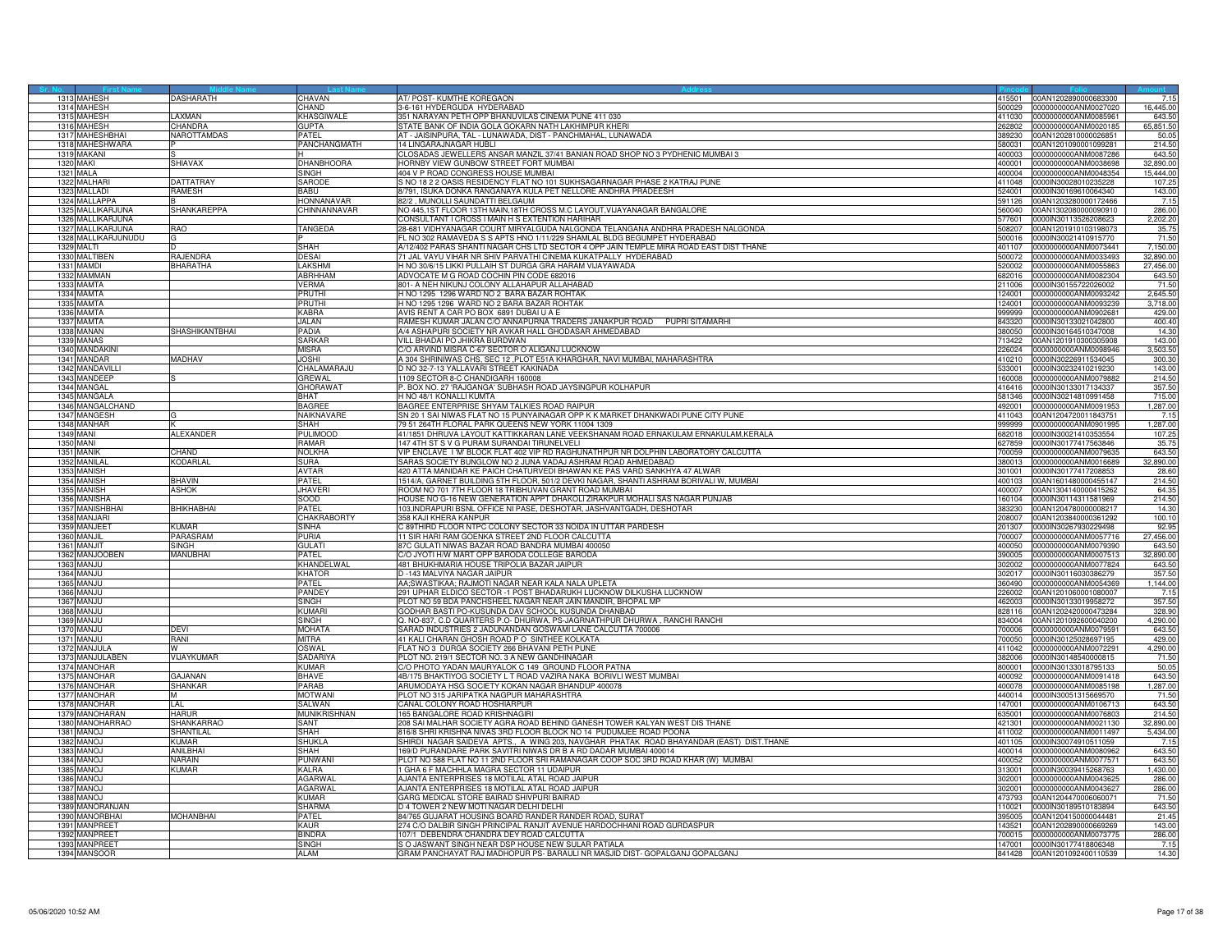| 1313 MAHESH              | DASHARATH        | CHAVAN          | AT/ POST- KUMTHE KOREGAON<br>415501                                                               | 00AN1202890000683300        |           |
|--------------------------|------------------|-----------------|---------------------------------------------------------------------------------------------------|-----------------------------|-----------|
| 1314 MAHESH              |                  | CHAND           | 3-6-161 HYDERGUDA HYDERABAD<br>500029                                                             | 0000000000ANM0027020        | 16,445.00 |
| 1315 MAHESH              | AXMAN            |                 | 351 NARAYAN PETH OPP BHANUVILAS CINEMA PUNE 411 030<br>411030                                     | 1000000000ANM0085961        | 643.50    |
|                          |                  | KHASGIWALE      |                                                                                                   |                             |           |
| 1316<br><b>MAHESH</b>    | <b>HANDRA</b>    | <b>GUPTA</b>    | TATE BANK OF INDIA GOLA GOKARN NATH LAKHIMPUR KHERI<br>32802                                      | 000000000ANM0020185         | 65,851.50 |
| MAHESHBHA<br>1317        | NAROTTAMDAS      | PATFI           | AT - JAISINPURA, TAL - LUNAWADA, DIST - PANCHMAHAL, LUNAWADA<br>389230                            | 00AN1202810000026851        | 50.05     |
| 1318 MAHESHWARA          |                  | PANCHANGMATH    | 14 I INGARA INAGAR HI IRI<br>580031                                                               | 00AN1201090001099281        | 214.50    |
| 1319 MAKANI              |                  |                 | CLOSADAS JEWELLERS ANSAR MANZIL 37/41 BANIAN ROAD SHOP NO 3 PYDHENIC MUMBAI 3<br>400003           | 0000000000ANM0087286        | 643.50    |
|                          |                  |                 |                                                                                                   |                             |           |
| 1320 MAKI                | SHIAVAX          | DHANBHOORA      | HORNBY VIEW GUNBOW STREET FORT MUMBAI<br>400001                                                   | 888800MMAA00000000          | 32,890.00 |
| 1321 MALA                |                  | SINGH           | 404 V P ROAD CONGRESS HOUSE MUMBAI<br>400004                                                      | 0000000000ANM0048354        | 15,444.00 |
| 1322 MALHARI             | <b>DATTATRAY</b> | SARODE          | S NO 18 2 2 OASIS RESIDENCY FLAT NO 101 SUKHSAGARNAGAR PHASE 2 KATRAJ PUNE<br>411048              | 0000IN30028010235228        | 107.2     |
| 1323 MALLADI             | RAMESH           | BABU            | 8/791, ISUKA DONKA RANGANAYA KULA PET NELLORE ANDHRA PRADEESH                                     | 524001 0000IN30169610064340 | 143.00    |
|                          |                  |                 |                                                                                                   |                             |           |
| 1324 MALLAPPA            |                  | HONNANAVAR      | 82/2, MUNOLLI SAUNDATTI BELGAUM<br>591126                                                         | 00AN1203280000172466        | 7.15      |
| 1325 MALLIKARJUNA        | SHANKAREPPA      | CHINNANNAVAR    | NO 445,1ST FLOOR 13TH MAIN,18TH CROSS M.C LAYOUT, VIJAYANAGAR BANGALORE<br>560040                 | 00AN1302080000090910        | 286.00    |
| 1326 MALLIKARJUNA        |                  |                 | CONSULTANT I CROSS I MAIN H S EXTENTION HARIHAR<br>77601                                          | 0000IN30113526208623        | 2,202.20  |
|                          |                  |                 |                                                                                                   |                             |           |
| 1327 MALLIKARJUNA        | RAO              | TANGEDA         | 28-681 VIDHYANAGAR COURT MIRYALGUDA NALGONDA TELANGANA ANDHRA PRADESH NALGONDA<br>508207          | 00AN1201910103198073        | 35.75     |
| 1328 MALLIKARJUNUDU      |                  |                 | FL NO 302 RAMAVEDA S S APTS HNO 1/11/229 SHAMLAL BLDG BEGUMPET HYDERABAD<br>500016                | 0000IN30021410915770        | 71.50     |
| 1329 MALTI               |                  | SHAH            | A/12/402 PARAS SHANTI NAGAR CHS LTD SECTOR 4 OPP JAIN TEMPLE MIRA ROAD EAST DIST THANE<br>401107  | 0000000000ANM0073441        | 7,150.00  |
|                          | RAJENDRA         | DESAI           | 71 JAL VAYU VIHAR NR SHIV PARVATHI CINEMA KUKATPALLY HYDERABAD<br>500072                          | 0000000000ANM0033493        | 32,890.00 |
| 1330 MALTIBEN            |                  |                 |                                                                                                   |                             |           |
| 1331 MAMDI               | <b>BHARATHA</b>  | LAKSHMI         | H NO 30/6/15 LIKKI PULLAIH ST DURGA GRA HARAM VIJAYAWADA<br>20002                                 | 000000000ANM0055863         | 27,456.00 |
| 1332 MAMMAN              |                  | ABRHHAN         | ADVOCATE M G ROAD COCHIN PIN CODE 682016<br>682016                                                | 0000000000ANM0082304        | 643.50    |
| 1333 MAMTA               |                  | Verma           | 801- A NEH NIKUNJ COLONY ALLAHAPUR ALLAHABAD<br>211006                                            | 0000IN30155722026002        | 71.50     |
|                          |                  |                 |                                                                                                   |                             |           |
| 1334 MAMTA               |                  | PRUTHI          | H NO 1295 1296 WARD NO 2 BARA BAZAR ROHTAK<br>124001                                              | 0000000000ANM0093242        | 2,645.50  |
| 1335 MAMTA               |                  | PRUTHI          | H NO 1295 1296 WARD NO 2 BARA BAZAR ROHTAK<br>124001                                              | 0000000000ANM0093239        | 3,718.00  |
| MAMTA<br>1336            |                  | <b>KABRA</b>    | AVIS RENT A CAR PO BOX 6891 DUBAI U A E<br>99999                                                  | 0000000000ANM090268         | 429.00    |
| <b>MAMTA</b>             |                  | JAI AN          |                                                                                                   |                             |           |
| 1337                     |                  |                 | RAMESH KUMAR JALAN C/O ANNAPURNA TRADERS JANAKPUR ROAD PUPRI SITAMARHI<br>843320                  | 0000IN30133021042800        | 400.40    |
| 1338 MANAN               | SHASHIKANTBHAI   | PADIA           | A/4 ASHAPURI SOCIETY NR AVKAR HALL GHODASAR AHMEDABAD<br>380050                                   | 0000IN30164510347008        | 14.30     |
| 1339 MANAS               |                  | SARKAR          | VILL BHADAI PO JHIKRA BURDWAN<br>713422                                                           | 00AN1201910300305908        | 143.00    |
| 1340 MANDAKINI           |                  | MISRA           | C/O ARVIND MISRA C-67 SECTOR O ALIGANJ LUCKNOW<br>226024                                          | 0000000000ANM0098946        | 3,503.50  |
|                          |                  |                 |                                                                                                   |                             |           |
| 1341 MANDAR              | MADHAV           | <b>JOSHI</b>    | A 304 SHRINIWAS CHS, SEC 12, PLOT E51A KHARGHAR, NAVI MUMBAI, MAHARASHTRA<br>410210               | 0000IN30226911534045        | 300.30    |
| 1342 MANDAVILLI          |                  | CHALAMARAJU     | 533001<br>D NO 32-7-13 YALLAVARI STREET KAKINADA                                                  | 0000IN30232410219230        | 143.00    |
| 1343 MANDEEP             |                  | GREWAL          | 1109 SECTOR 8-C CHANDIGARH 160008<br>160008                                                       | 0000000000ANM0079882        | 214.50    |
|                          |                  |                 |                                                                                                   | 0000IN30133017134337        |           |
| 1344 MANGAL              |                  | <b>GHORAWAT</b> | P. BOX NO. 27 'RAJGANGA' SUBHASH ROAD JAYSINGPUR KOLHAPUR<br>416416                               |                             | 357.50    |
| 1345 MANGALA             |                  | BHAT            | H NO 48/1 KONALLI KUMTA<br>581346                                                                 | 0000IN30214810991458        | 715.00    |
| 1346 MANGALCHAND         |                  | BAGREE          | BAGREE ENTERPRISE SHYAM TALKIES ROAD RAIPUR<br>92001                                              | 0000000000ANM0091953        | 1,287.00  |
| 1347 MANGESH             |                  | NAIKNAVARF      | SN 201 SAI NIWAS FLAT NO 15 PUNYAINAGAR OPP K K MARKET DHANKWADI PUNE CITY PUNE<br>411043         | 00AN1204720011843751        | 7.15      |
|                          |                  |                 |                                                                                                   |                             |           |
| 1348 MANHAR              |                  | SHAH            | 79 51 264TH FLORAL PARK QUEENS NEW YORK 11004 1309<br>999999                                      | 0000000000ANM0901995        | 1,287.00  |
| 1349 MANI                | ALEXANDER        | PULIMOOE        | 41/1851 DHRUVA LAYOUT KATTIKKARAN LANE VEEKSHANAM ROAD ERNAKULAM ERNAKULAM,KERALA<br>682018       | 0000IN30021410353554        | 107.25    |
| 1350 MANI                |                  | RAMAR           | 147 4TH ST S V G PURAM SURANDAI TIRUNELVELI<br>627859                                             | 0000IN30177417563846        | 35.75     |
|                          |                  |                 |                                                                                                   |                             |           |
| 1351 MANIK               | <b>HAND</b>      | NOLKHA          | VIP ENCLAVE I 'M' BLOCK FLAT 402 VIP RD RAGHUNATHPUR NR DOLPHIN LABORATORY CALCUTTA<br>00059      | 0000000000ANM0079635        | 643.50    |
| 1352 MANILAL             | KODARLAL         | SURA            | SARAS SOCIETY BUNGLOW NO 2 JUNA VADAJ ASHRAM ROAD AHMEDABAD<br>380013                             | 0000000000ANM0016689        | 32,890.00 |
| 1353 MANISH              |                  | AVTAR           | 420 ATTA MANIDAR KE PAICH CHATURVEDI BHAWAN KE PAS VARD SANKHYA 47 ALWAR<br>301001                | 0000IN30177417208853        | 28.60     |
| 1354 MANISH              | BHAVIN           | PATFI           | 1514/A, GARNET BUILDING 5TH FLOOR, 501/2 DEVKI NAGAR, SHANTI ASHRAM BORIVALI W, MUMBAI<br>400103  | 00AN1601480000455147        | 214.50    |
|                          |                  |                 |                                                                                                   |                             |           |
| 1355 MANISH              | ASHOK            | <b>JHAVERI</b>  | ROOM NO 701 7TH FLOOR 18 TRIBHUVAN GRANT ROAD MUMBAI<br>400007                                    | 00AN1304140000415262        | 64.35     |
| 1356<br><b>MANISHA</b>   |                  | SOOD            | HOUSE NO G-16 NEW GENERATION APPT DHAKOLI ZIRAKPUR MOHALI SAS NAGAR PUNJAB<br>160104              | 0000lN30114311581969        | 214.50    |
| 1357<br><b>MANISHBHA</b> | BHIKHABHAI       | PATFI           | 103, INDRAPURI BSNL OFFICE NI PASE, DESHOTAR, JASHVANTGADH, DESHOTAR<br>383230                    | 00AN1204780000008217        | 14.30     |
|                          |                  |                 |                                                                                                   |                             |           |
| 1358 MANJARI             |                  | CHAKRABORTY     | 358 KAJI KHERA KANPUR<br>208007                                                                   | 00AN1203840000361292        | 100.10    |
| 1359 MANJEET             | KUMAR            | <b>SINHA</b>    | C 89THIRD FLOOR NTPC COLONY SECTOR 33 NOIDA IN UTTAR PARDESH<br>201307                            | 0000IN30267930229498        | 92.95     |
| 1360 MANJIL              | PARASRAM         | PURIA           | 11 SIR HARI RAM GOENKA STREET 2ND ELOOR CALCUTTA<br>700007                                        | 0000000000ANM0057716        | 27,456.00 |
|                          |                  |                 |                                                                                                   |                             |           |
| 1361 MANJIT              | <b>SINGH</b>     | <b>GULATI</b>   | 87C GULATI NIWAS BAZAR ROAD BANDRA MUMBAI 400050<br>400050                                        | 0000000000ANM0079390        | 643.50    |
| 1362 MANJOOBEN           | MANUBHAI         | <b>PATFI</b>    | C/O JYOTI H/W MART OPP BARODA COLLEGE BARODA<br>390005                                            | 0000000000ANM0007513        | 32,890.00 |
| 1363 MANJU               |                  | KHANDELW.       | 481 BHUKHMARIA HOUSE TRIPOLIA BAZAR JAIPUR<br>302002                                              | 0000000000ANM0077824        | 643.50    |
| 1364 MANJU               |                  | <b>KHATOR</b>   | D -143 MALVIYA NAGAR JAIPUR<br>302017                                                             | 0000IN30116030386279        | 357.50    |
|                          |                  |                 |                                                                                                   |                             |           |
| 1365 MANJU               |                  | PATFI           | AA;SWASTIKAA; RAJMOTI NAGAR NEAR KALA NALA UPLETA<br>360490                                       | 0000000000ANM0054369        | 1,144.00  |
| 1366<br>MAN.IL           |                  | PANDEY          | 291 UPHAR ELDICO SECTOR -1 POST BHADARUKH LUCKNOW DILKUSHA LUCKNOW<br>26002                       | 00AN1201060001080007        | 7.15      |
| 1367<br><b>MANJU</b>     |                  | SINGH           | PLOT NO 59 BDA PANCHSHEEL NAGAR NEAR JAIN MANDIR, BHOPAL MP<br>462003                             | 0000IN30133019958272        | 357.50    |
| 1368 MANJU               |                  | KUMAR           | GODHAR BASTI PO-KUSUNDA DAV SCHOOL KUSUNDA DHANBAD<br>828116                                      | 00AN1202420000473284        | 328.90    |
|                          |                  |                 |                                                                                                   |                             |           |
| 1369 MAN.IU              |                  | SINGH           | Q. NO-837, C.D QUARTERS P.O- DHURWA, PS-JAGRNATHPUR DHURWA, RANCHI RANCHI<br>834004               | 00AN1201092600040200        | 4,290.00  |
| 1370 MANJU               | DEVI             | <b>MOHATA</b>   | SARAD INDUSTRIES 2 JADUNANDAN GOSWAMI LANE CALCUTTA 700006<br>700006                              | 0000000000ANM0079591        | 643.50    |
| 1371 MANJU               | <b>RANI</b>      | MITRA           | 41 KALI CHARAN GHOSH ROAD P O SINTHEE KOLKATA<br>'00050                                           | 0000IN30125028697195        | 429.00    |
| 1372 MANJULA             |                  | OSWAL           | FLAT NO 3 DURGA SOCIETY 266 BHAVANI PETH PUNE<br>411042                                           | 0000000000ANM0072291        | 4,290.00  |
|                          |                  |                 |                                                                                                   |                             |           |
| 1373 MANJULABE           | VIJAYKUMAR       | SADARIY/        | PLOT NO. 219/1 SECTOR NO. 3 A NEW GANDHINAGAR<br>382006                                           | 0000IN30148540000815        | 71.50     |
| 1374 MANOHAR             |                  | KUMAR           | C/O PHOTO YADAN MAURYALOK C 149 GROUND FLOOR PATNA<br>800001                                      | 0000IN30133018795133        | 50.05     |
| 1375 MANOHAR             | GAJANAN          | BHAVE           | 4B/175 BHAKTIYOG SOCIETY L T ROAD VAZIRA NAKA BORIVLI WEST MUMBAI<br>400092                       | 0000000000ANM0091418        | 643.50    |
| 1376 MANOHAR             | <b>HANKAR</b>    | PARAB           | ARUMODAYA HSG SOCIETY KOKAN NAGAR BHANDUP 400078<br>00078                                         |                             |           |
|                          |                  |                 |                                                                                                   | 0000000000ANM0085198        | 1,287.00  |
| 137<br><b>MANOHAR</b>    |                  | MOTWAN          | PLOT NO 315 JARIPATKA NAGPUR MAHARASHTRA<br>440014                                                | 0000IN30051315669570        | 71.50     |
| 1378 MANOHAR             | LAL              | SALWAN          | CANAL COLONY ROAD HOSHIARPUR<br>147001                                                            | 000000000ANM0106713         | 643.50    |
| 1379 MANOHARAN           | <b>HARUR</b>     | MUNIKRISHNAN    | 165 BANGALORE ROAD KRISHNAGIR<br>635001                                                           | 0000000000ANM0076803        | 214.50    |
| 1380 MANOHARRAC          | SHANKARRAO       | SANT            | 208 SAI MALHAR SOCIETY AGRA ROAD BEHIND GANESH TOWER KALYAN WEST DIS THANE<br>421301              | 0000000000ANM0021130        | 32,890.00 |
|                          |                  |                 |                                                                                                   |                             |           |
| 1381 MANOJ               | SHANTILAL        | SHAH            | 816/8 SHRI KRISHNA NIVAS 3RD FLOOR BLOCK NO 14 PUDUMJEE ROAD POONA<br>411002                      | 0000000000ANM0011497        | 5,434.00  |
| 1382 MANOJ               | KI IMAR          | SHUKLA          | SHIRDI NAGAR SAIDEVA APTS., A WING 203, NAVGHAR PHATAK ROAD BHAYANDAR (EAST) DIST.THANE<br>401105 | 0000IN30074910511059        | 7.15      |
| 1383 MANOJ               | ANILBHAI         | SHAH            | 169/D PURANDARE PARK SAVITRI NIWAS DR B A RD DADAR MUMBAI 400014<br>400014                        | 0000000000ANM0080962        | 643.50    |
|                          |                  |                 |                                                                                                   |                             |           |
| 1384 MANOJ               | NARAIN           | PUNWANI         | PLOT NO 588 FLAT NO 11 2ND FLOOR SRI RAMANAGAR COOP SOC 3RD ROAD KHAR (W) MUMBAI<br>400052        | 0000000000ANM0077571        | 643.50    |
| 1385 MANOJ               | KUMAR            | KALRA           | GHA 6 F MACHHLA MAGRA SECTOR 11 UDAIPUR<br>313001                                                 | 0000IN30039415268763        | 1,430.00  |
| 1386<br><b>MANOJ</b>     |                  | AGARWAL         | AJANTA ENTERPRISES 18 MOTILAL ATAL ROAD JAIPUR<br>02001                                           | 0000000000ANM0043625        | 286.00    |
| 1387<br>MANOJ            |                  | <b>AGARWAI</b>  | AJANTA ENTERPRISES 18 MOTILAL ATAL ROAD JAIPUR<br>302001                                          | 0000000000ANM0043627        |           |
|                          |                  |                 |                                                                                                   |                             | 286.00    |
| 1388 MANOJ               |                  | KUMAR           | GARG MEDICAL STORE BAIRAD SHIVPURI BAIRAD<br>473793                                               | 00AN1204470006060071        | 71.50     |
| 1389 MANORANJAN          |                  | <b>SHARMA</b>   | D 4 TOWER 2 NEW MOTI NAGAR DELHI DELHI<br>110021                                                  | 0000IN30189510183894        | 643.50    |
| 1390 MANORBHAI           | MOHANBHAI        | PATFI           | 84/765 GUJARAT HOUSING BOARD RANDER RANDER ROAD, SURAT<br>395005                                  | 00AN1204150000044481        | 21.45     |
|                          |                  |                 |                                                                                                   |                             |           |
| 1391 MANPREET            |                  | <b>KAUR</b>     | 274 C/O DALBIR SINGH PRINCIPAL RANJIT AVENUE HARDOCHHANI ROAD GURDASPUR<br>43521                  | 00AN1202890000669269        | 143.00    |
| 1392 MANPREET            |                  | RINDRA          | 107/1 DEBENDRA CHANDRA DEY ROAD CALCUTTA<br>700015                                                | 0000000000ANM0073775        | 286.00    |
| 1393 MANPREET            |                  | SINGH           | S O JASWANT SINGH NEAR DSP HOUSE NEW SULAR PATIALA                                                | 147001 0000IN30177418806348 | 7.15      |
|                          |                  | AI AM           | GRAM PANCHAYAT RAJ MADHOPUR PS- BARAULI NR MASJID DIST- GOPALGANJ GOPALGANJ                       |                             | 14.30     |
| 1394 MANSOOR             |                  |                 |                                                                                                   | 841428 00AN1201092400110539 |           |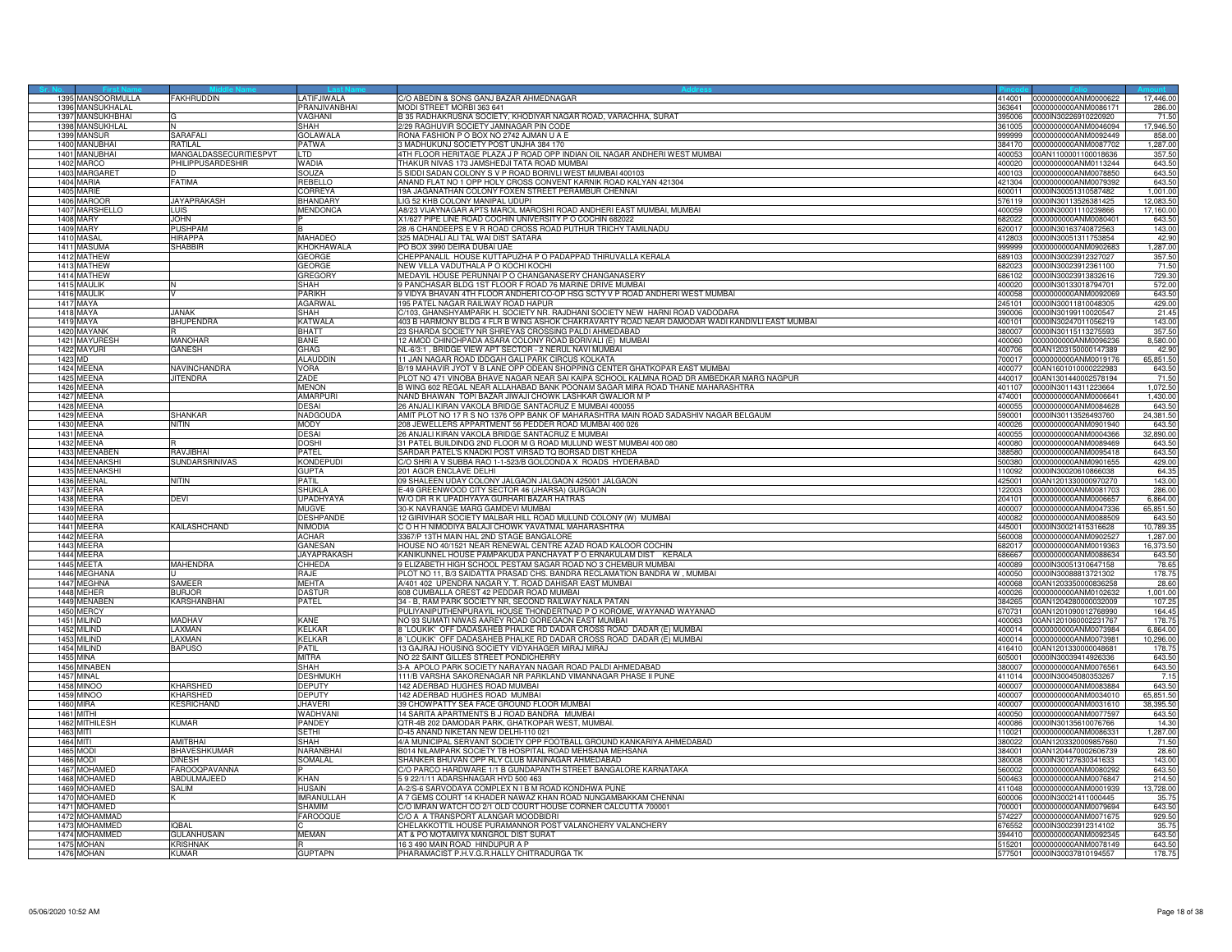|                  | 1395 MANSOORMULLA        | <b>FAKHRUDDIN</b>        | LATIFJIWALA        | C/O ABEDIN & SONS GANJ BAZAR AHMEDNAGAR<br>414001                                                                        | 0000000000ANM0000622                         | 17,446.00        |
|------------------|--------------------------|--------------------------|--------------------|--------------------------------------------------------------------------------------------------------------------------|----------------------------------------------|------------------|
|                  | 1396 MANSUKHALAL         |                          | PRANJIVANBHAI      | <b>MODI STREET MORBI 363 641</b><br>363641                                                                               | 0000000000ANM0086171                         | 286.00           |
|                  | 1397 MANSUKHBHAI         |                          | VAGHANI            | 3 35 RADHAKRUSNA SOCIETY, KHODIYAR NAGAR ROAD, VARACHHA, SURAT<br>395006                                                 | 0000IN30226910220920                         | 71.50            |
|                  | 1398 MANSUKHLAL          |                          | SHAH               | 2/29 RAGHUVIR SOCIETY JAMNAGAR PIN CODE<br>361005                                                                        | 0000000000ANM0046094                         | 17,946.50        |
| 1399             | <b>MANSUR</b>            | SARAFALI                 | <b>GOLAWALA</b>    | RONA FASHION P O BOX NO 2742 AJMAN U A E<br>999999                                                                       | 0000000000ANM0092449                         | 858.00           |
|                  | 1400 MANUBHAI            | <b>RATILAL</b>           | <b>PATWA</b>       | 3 MADHUKUNJ SOCIETY POST UNJHA 384 170<br>384170                                                                         | 0000000000ANM0087702                         | 1,287.00         |
| 1401             | MANUBHAI                 | MANGALDASSECURITIESPVT   | I TD               | 1TH FLOOR HERITAGE PLAZA J P ROAD OPP INDIAN OIL NAGAR ANDHERI WEST MUMBAI<br>400053                                     | 00AN1100001100018636                         | 357.50           |
|                  | 1402 MARCO               | PHILIPPUSARDESHIR        | WADIA              | THAKUR NIVAS 173 JAMSHEDJI TATA ROAD MUMBAI<br>400020                                                                    | 0000000000ANM0113244                         | 643.50           |
|                  | 1403 MARGARE             |                          | SOUZA              | SIDDI SADAN COLONY S V P ROAD BORIVLI WEST MUMBAI 400103<br>400103                                                       | 0000000000ANM0078850                         | 643.50           |
|                  | 1404 MARIA               | FATIMA                   | REBELLO            | ANAND FLAT NO 1 OPP HOLY CROSS CONVENT KARNIK ROAD KALYAN 421304<br>421304                                               | 0000000000ANM0079392                         | 643.50           |
|                  | 1405 MARIE               |                          | CORREYA            | 19A JAGANATHAN COLONY FOXEN STREET PERAMBUR CHENNAI<br>600011                                                            | 0000IN30051310587482                         | 1,001.00         |
|                  | 1406 MAROOF              | JAYAPRAKASH              | <b>BHANDARY</b>    | LIG 52 KHB COLONY MANIPAL UDUPI<br>576119                                                                                | 0000IN30113526381425                         | 12,083.50        |
|                  | 1407 MARSHELLO           | LUIS.                    | MENDONCA           | 48/23 VIJAYNAGAR APTS MAROL MAROSHI ROAD ANDHERI EAST MUMBAI, MUMBAI<br>400059                                           | 0000IN30001110239866                         | 17,160.00        |
|                  | <b>1408 MARY</b>         | <b>JOHN</b>              |                    | (1/627 PIPE LINE ROAD COCHIN UNIVERSITY P O COCHIN 682022<br>382022                                                      | 0000000000ANM0080401                         | 643.50           |
|                  | 1409 MARY                | PUSHPAM                  |                    | 28 /6 CHANDEEPS E V R ROAD CROSS ROAD PUTHUR TRICHY TAMILNADU                                                            | 0000lN30163740872563                         | 143.00           |
|                  | 1410 MASAL               | <b>HIRAPPA</b>           | MAHADEO            | 620017<br>325 MADHALI ALI TAL WAI DIST SATARA<br>412803                                                                  | 0000IN30051311753854                         | 42.90            |
|                  | 1411 MASUMA              | <b>SHABBIR</b>           | KHOKHAWALA         | PO BOX 3990 DEIRA DUBAI UAE<br>999999                                                                                    | 000000000ANM0902683                          |                  |
|                  |                          |                          | GEORGE             | CHEPPANALIL HOUSE KUTTAPUZHA P O PADAPPAD THIRUVALLA KERALA<br>689103                                                    |                                              | 1,287.00         |
|                  | 1412 MATHEW              |                          | GEORGE             | 82023                                                                                                                    | 0000IN30023912327027                         | 357.50<br>71.50  |
|                  | 1413 MATHEW              |                          |                    | VEW VILLA VADUTHALA P O KOCHI KOCHI                                                                                      | 0000IN30023912361100                         |                  |
|                  | 1414 MATHEW              |                          | <b>GREGORY</b>     | MEDAYIL HOUSE PERUNNAI P O CHANGANASERY CHANGANASERY<br>686102<br>FANCHASAR BLDG 1ST FLOOR F ROAD 76 MARINE DRIVE MUMBAI | 0000IN30023913832616                         | 729.30<br>572.00 |
|                  | 1415 MAULIK              |                          | <b>SHAH</b>        | 400020                                                                                                                   | 0000IN30133018794701                         |                  |
|                  | 1416 MAULIK              |                          | PARIKH             | 9 VIDYA BHAVAN 4TH FLOOR ANDHERI CO-OP HSG SCTY V P ROAD ANDHERI WEST MUMBAI<br>400058                                   | 0000000000ANM0092069                         | 643.50           |
|                  | <b>1417 MAYA</b>         |                          | <b>AGARWAL</b>     | 95 PATEL NAGAR RAILWAY ROAD HAPLIR<br>245101                                                                             | 0000IN30011810048305                         | 429.00           |
| 1418             | MAYA                     | ANAK                     | SHAH               | /103, GHANSHYAMPARK H. SOCIETY NR. RAJDHANI SOCIETY NEW HARNI ROAD VADODARA<br>90006                                     | 000IN30199110020547                          | 21.45            |
| 1419             | MAYA                     | <b>BHUPENDRA</b>         | KATWALA            | 403 B HARMONY BLDG 4 FLR B WING ASHOK CHAKRAVARTY ROAD NEAR DAMODAR WADI KANDIVLI EAST MUMBAI<br>400101                  | 0000IN30247011056219                         | 143.00           |
|                  | 1420 MAYANK              |                          | BHATT              | 23 SHARDA SOCIETY NR SHREYAS CROSSING PALDI AHMEDABAD<br>380007                                                          | 0000IN30115113275593                         | 357.50           |
|                  | 1421 MAYURESH            | <b>MANOHAR</b>           | BANE               | 12 AMOD CHINCHPADA ASARA COLONY ROAD BORIVALI (E) MUMBAI<br>400060                                                       | 0000000000ANM0096236                         | 8,580.00         |
|                  | 1422 MAYURI              | GANESH                   | GHAG               | NL-6/3:1, BRIDGE VIEW APT SECTOR - 2 NERUL NAVI MUMBAI<br>400706                                                         | 00AN1203150000147389                         | 42.90            |
| 1423 MD          |                          |                          | ALAUDDIN           | 11 JAN NAGAR ROAD IDDGAH GALI PARK CIRCUS KOLKATA<br>700017                                                              | 0000000000ANM0019176                         | 65,851.50        |
|                  | 1424 MEENA               | <b>JAVINCHANDRA</b>      | <b>VORA</b>        | B/19 MAHAVIR JYOT V B LANE OPP ODEAN SHOPPING CENTER GHATKOPAR EAST MUMBAI<br>400077                                     | 00AN1601010000222983                         | 643.50           |
|                  | 1425 MEENA               | <b>JITENDRA</b>          | ZADE               | PLOT NO 471 VINOBA BHAVE NAGAR NEAR SAI KAIPA SCHOOL KALMNA ROAD DR AMBEDKAR MARG NAGPUR<br>440017                       | 00AN1301440002578194                         | 71.50            |
|                  | 1426 MEENA               |                          | <b>MENON</b>       | 3 WING 602 REGAL NEAR ALLAHABAD BANK POONAM SAGAR MIRA ROAD THANE MAHARASHTRA<br>401107                                  | 0000lN30114311223664                         | 1,072.50         |
| 1427             | MEENA                    |                          | <b>AMARPURI</b>    | NAND BHAWAN TOPI BAZAR JIWAJI CHOWK LASHKAR GWALIOR M P<br>474001                                                        | 0000000000ANM0006641                         | 1,430.00         |
| 1428             | MEENA                    |                          | DESAI              | 26 ANJALI KIRAN VAKOLA BRIDGE SANTACRUZ E MUMBAI 400055<br>100055                                                        | 0000000000ANM0084628                         | 643.5            |
| 1429             | MEENA                    | SHANKAR                  | NADGOUDA           | AMIT PLOT NO 17 R S NO 1376 OPP BANK OF MAHARASHTRA MAIN ROAD SADASHIV NAGAR BELGAUM<br>590001                           | 0000IN30113526493760                         | 24,381.50        |
|                  | 1430 MEENA               | <b>AITIN</b>             | MODY               | 208 JEWELLERS APPARTMENT 56 PEDDER ROAD MUMBAI 400 026<br>400026                                                         | 0000000000ANM0901940                         | 643.50           |
| 1431             | <b>MEENA</b>             |                          | DESAI              | 26 ANJALI KIRAN VAKOLA BRIDGE SANTACRUZ E MUMBAI<br>400055                                                               | 0000000000ANM0004366                         | 32,890.00        |
| 1432             | MEENA                    |                          | DOSHI              | 31 PATEL BUILDINDG 2ND FLOOR M G ROAD MULUND WEST MUMBAI 400 080<br>400080                                               | 0000000000ANM0089469                         | 643.50           |
| 1433             | MEENABEN                 | RAVJIBHAI                | PATEL              | SARDAR PATEL'S KNADKI POST VIRSAD TQ BORSAD DIST KHEDA<br>88580                                                          | 0000000000ANM0095418                         | 643.50           |
|                  | 1434 MEENAKSHI           | SUNDARSRINIVAS           | KONDEPUDI          | /O SHRI A V SUBBA RAO 1-1-523/B GOLCONDA X ROADS HYDERABAD<br>500380                                                     | 0000000000ANM0901655                         | 429.00           |
|                  | 1435 MEENAKSH            |                          | <b>GUPTA</b>       | 201 AGCR ENCLAVE DELHI<br>110092                                                                                         | 0000IN30020610866038                         | 64.35            |
|                  | 1436 MEENAL              | NITIN                    | PATIL              | 99 SHALEEN UDAY COLONY JALGAON JALGAON 425001 JALGAON<br>425001                                                          | 00AN1201330000970270                         | 143.00           |
| 1437             | MEERA                    |                          | SHUKLA             | -49 GREENWOOD CITY SECTOR 46 (JHARSA) GURGAON<br>122003                                                                  | 0000000000ANM0081703                         | 286.00           |
|                  | 1438 MEERA               | DEVI                     | <b>UPADHYAYA</b>   | W/O DR R K UPADHYAYA GURHARI BAZAR HATRAS<br>204101                                                                      | 0000000000ANM0006657                         | 6,864.00         |
|                  | 1439 MEERA               |                          | <b>MUGVE</b>       | 30-K NAVRANGE MARG GAMDEVI MUMBAI<br>400007                                                                              | 0000000000ANM0047336                         | 65,851.50        |
|                  | 1440 MEERA               |                          | DESHPAND           | 12 GIRIVIHAR SOCIETY MALBAR HILL ROAD MULUND COLONY (W) MUMBAI<br>400082                                                 | 0000000000ANM0088509                         | 643.50           |
|                  | 1441 MFFRA               | KAILASHCHAND             | <b>NIMODIA</b>     | C O H H NIMODIYA BALAJI CHOWK YAVATMAL MAHARASHTRA<br>445001                                                             | 0000IN30021415316628                         | 10,789.35        |
|                  | 1442 MEERA               |                          | ACHAR              | 3367/P 13TH MAIN HAL 2ND STAGE BANGALORE<br>560008                                                                       | 0000000000ANM0902527                         | 1,287.00         |
| 1443             | MEERA                    |                          | GANESAN            | HOUSE NO 40/1521 NEAR RENEWAL CENTRE AZAD ROAD KALOOR COCHIN<br>382017                                                   | 0000000000ANM0019363                         | 16,373.50        |
|                  | 1444 MEERA               |                          | <b>JAYAPRAKASH</b> | KANIKUNNEL HOUSE PAMPAKUDA PANCHAYAT P O ERNAKULAM DIST KERALA<br>686667                                                 | 0000000000ANM0088634                         | 643.50           |
|                  | 1445 MEETA               | MAHENDRA                 | CHHEDA             | <b>BELIZABETH HIGH SCHOOL PESTAM SAGAR ROAD NO 3 CHEMBUR MUMBAI</b><br>400089                                            | 0000IN30051310647158                         | 78.6             |
|                  | 1446 MFGHANA             |                          | RAJE               | PLOT NO 11, B/3 SAIDATTA PRASAD CHS. BANDRA RECLAMATION BANDRA W , MUMBAI<br>400050                                      | 0000IN30088813721302                         | 178.75           |
| 1447             | MEGHNA                   | SAMFFR                   | MEHTA              | V401 402 UPENDRA NAGAR Y. T. ROAD DAHISAR EAST MUMBAI<br>400068                                                          | 00AN1203350000836258                         | 28.60            |
| 1448             | MEHER                    | <b>BURJOF</b>            | DASTUF             | 508 CUMBALLA CREST 42 PEDDAR ROAD MUMBAI<br>400026                                                                       | 0000000000ANM0102632                         | 1,001.00         |
|                  | 1449 MENABEN             | KARSHANBHAI              | PATEL              | 34 - B, RAM PARK SOCIETY NR, SECOND RAILWAY NALA PATAN<br>384265                                                         | 00AN1204280000032009                         | 107.25           |
|                  | 1450 MERCY               |                          |                    | PULIYANIPUTHENPURAYIL HOUSE THONDERTNAD P O KOROME, WAYANAD WAYANAD<br>670731                                            | 00AN1201090012768990                         | 164.45           |
| 1451             | <b>MILIND</b>            | <b>MADHAV</b>            | KANE               | NO 93 SUMATI NIWAS AAREY ROAD GOREGAON EAST MUMBAI<br>400063                                                             | 00AN1201060002231767                         | 178.75           |
| 1452             | <b>MILIND</b>            | AXMAN                    | <b>KELKAR</b>      | I `LOUKIK' OFF DADASAHEB PHALKE RD DADAR CROSS ROAD DADAR (E) MUMBAI<br>400014                                           | 0000000000ANM0073984                         | 6,864.00         |
| 1453             | MILIND                   | LAXMAN                   | KELKAR             | 3 `LOUKIK' OFF DADASAHEB PHALKE RD DADAR CROSS ROAD DADAR (E) MUMBAI<br>400014                                           | 0000000000ANM0073981                         | 10,296.00        |
|                  | 1454 MILIND              | <b>BAPUSO</b>            | PATIL              | 13 GAJRAJ HOUSING SOCIETY VIDYAHAGER MIRAJ MIRAJ<br>416410                                                               | 00AN1201330000048681                         | 178.7            |
|                  | <b>1455 MINA</b>         |                          | MITRA              | NO 22 SAINT GILLES STREET PONDICHERRY<br>605001                                                                          | 0000IN30039414926336                         | 643.5            |
| 1456             | MINABEN                  |                          | SHAH               | -A APOLO PARK SOCIETY NARAYAN NAGAR ROAD PALDI AHMEDABAD<br>380007                                                       | 000000000ANM0076561                          | 643.50           |
| 1457             | <b>AINAL</b>             |                          | DESHMUKH           | 11/B VARSHA SAKORENAGAR NR PARKLAND VIMANNAGAR PHASE II PUNE<br>111014                                                   | 000IN30045080353267                          | 7.15             |
| 1458             | MINOC                    | KHARSHED                 | DEPUTY             | 142 ADERBAD HUGHES ROAD MUMBAI<br>400007                                                                                 | 0000000000ANM0083884                         | 643.50           |
|                  | <b>1459 MINOO</b>        | KHARSHED                 | DEPUTY             | 142 ADERBAD HUGHES ROAD MUMBAI<br>400007                                                                                 | 0000000000ANM0034010                         | 65,851.50        |
|                  | 1460 MIRA                | <b>KESRICHAND</b>        | <b>JHAVERI</b>     | 39 CHOWPATTY SEA FACE GROUND FLOOR MUMBAI<br>400007                                                                      | 0000000000ANM0031610                         | 38,395.50        |
|                  | <b>1461 MITHI</b>        |                          | WADHVAN            | 14 SARITA APARTMENTS B J ROAD BANDRA MUMBAI<br>400050                                                                    | 0000000000ANM0077597                         | 643.50           |
|                  | 1462 MITHILESH           | (umar                    | <b>PANDEY</b>      | QTR-4B 202 DAMODAR PARK, GHATKOPAR WEST, MUMBAI.<br>400086                                                               | 0000IN30135610076766                         | 14.30            |
| 1463 MITI        |                          |                          | <b>SFTHI</b>       | D-45 ANAND NIKETAN NEW DELHI-110 021<br>110021                                                                           | 0000000000ANM0086331                         | 1,287.00         |
| <b>1464 MITI</b> |                          | <b>AMITRHAI</b>          | SHAH               | 4/A MUNICIPAL SERVANT SOCIETY OPP FOOTBALL GROUND KANKARIYA AHMEDABAD<br>380022                                          | 00AN1203320009857660                         | 71.50            |
|                  | 1465 MODI                | BHAVESHKUMAR             | NARANBHAI          | B014 NILAMPARK SOCIETY TB HOSPITAL ROAD MEHSANA MEHSANA<br>384001                                                        | 00AN1204470002606739                         | 28.60            |
|                  | 1466 MODI                | <b>DINESH</b>            | SOMALAL            | SHANKER BHUVAN OPP RLY CLUB MANINAGAR AHMEDABAD<br>380008                                                                | 0000IN30127630341633                         | 143.00           |
| 1467             | <b>MOHAMED</b>           | FAROOQPAVANNA            |                    | O PARCO HARDWARE 1/1 B GUNDAPANTH STREET BANGALORE KARNATAKA<br>60002                                                    | 0000000000ANM0080292                         | 643.50           |
|                  | 1468 MOHAMED             | <b>ABDULMAJEED</b>       | KHAN               | 59 22/1/11 ADARSHNAGAR HYD 500 463<br>500463                                                                             | 0000000000ANM0076847                         | 214.50           |
| 1469             | <b>MOHAMED</b>           | SALIM                    | HUSAIN             | 4-2/S-6 SARVODAYA COMPLEX N I B M ROAD KONDHWA PUNE<br>411048                                                            | 0000000000ANM0001939                         | 13,728.00        |
| 1470             | <b>MOHAMED</b>           |                          | IMRANULLAH         | A 7 GEMS COURT 14 KHADER NAWAZ KHAN ROAD NUNGAMBAKKAM CHENNAI<br>600006                                                  | 0000IN30021411000445                         | 35.75            |
| 1471             | <b>MOHAMED</b>           |                          | SHAMIM             | C/O IMRAN WATCH CO 2/1 OLD COURT HOUSE CORNER CALCUTTA 700001<br>700001                                                  | 0000000000ANM0079694                         | 643.50           |
|                  | 1472 MOHAMMAD            |                          | <b>FAROOQUI</b>    | O A A TRANSPORT ALANGAR MOODBIDRI<br>74227                                                                               |                                              |                  |
| 1473             | <b>MOHAMMED</b>          | <b>IORAL</b>             |                    | CHELAKKOTTIL HOUSE PURAMANNOR POST VALANCHERY VALANCHERY<br>676552                                                       | 0000000000ANM0071675                         | 929.5<br>35.75   |
|                  | 1474 MOHAMMED            | <b>GULANHUSAIN</b>       | <b>MFMAN</b>       | AT & PO MOTAMIYA MANGROL DIST SURAT<br>394410                                                                            | 0000IN30023912314102<br>0000000000ANM0092345 | 643.50           |
|                  |                          |                          |                    |                                                                                                                          |                                              |                  |
|                  | 1475 MOHAN<br>1476 MOHAN | KRISHNAK<br><b>KUMAR</b> | GUPTAPN            | 16 3 490 MAIN ROAD HINDUPUR A P<br>515201<br>PHARAMACIST P.H.V.G.R.HALLY CHITRADURGA TK                                  | 0000000000ANM0078149<br>0000IN30037810194557 | 643.50<br>178.75 |
|                  |                          |                          |                    | 577501                                                                                                                   |                                              |                  |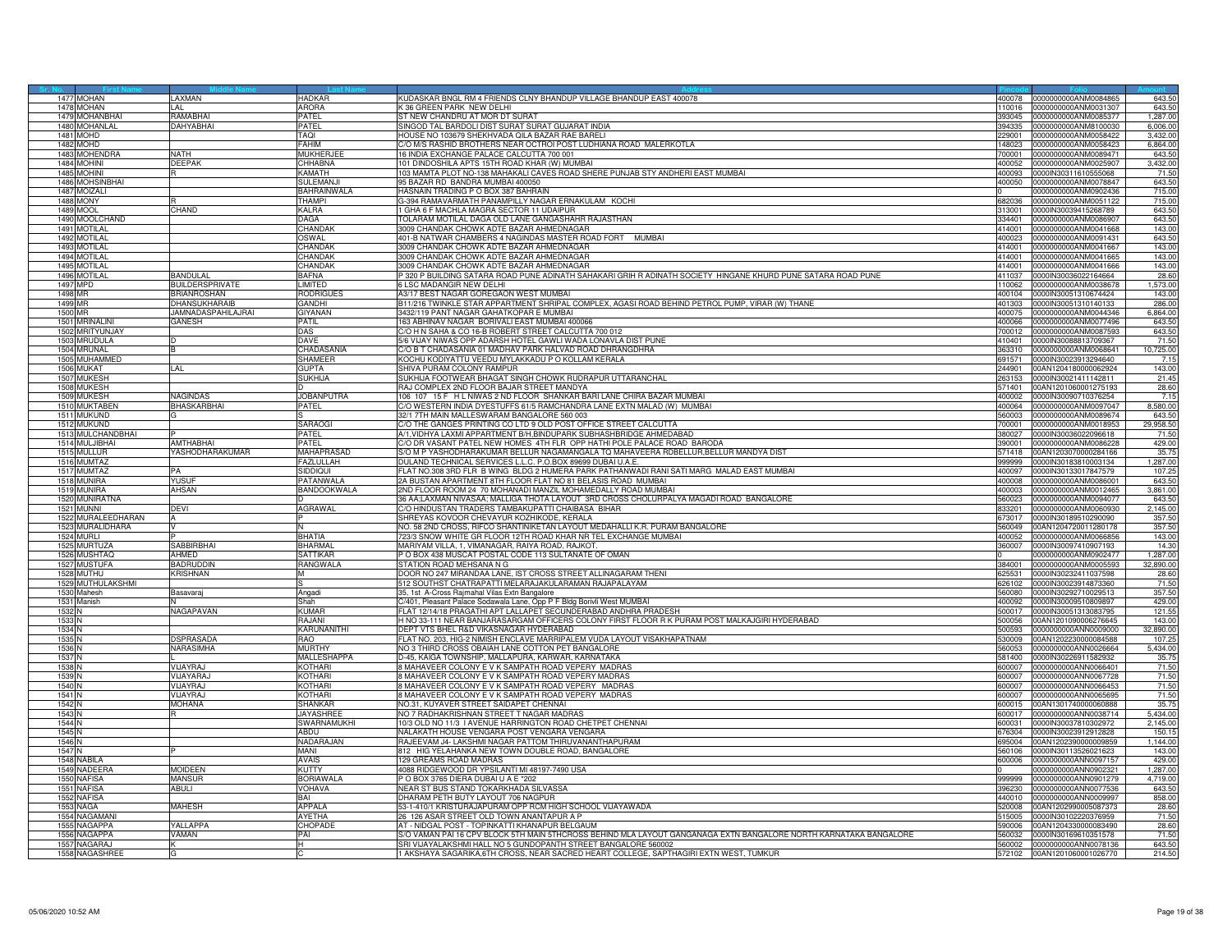|                             | 1477 MOHAN                       | LAXMAN                    | <b>HADKAR</b>                  | KUDASKAR BNGL RM 4 FRIENDS CLNY BHANDUP VILLAGE BHANDUP EAST 400078                                                             |                  | 400078  0000000000ANM0084865                        | 643.50             |
|-----------------------------|----------------------------------|---------------------------|--------------------------------|---------------------------------------------------------------------------------------------------------------------------------|------------------|-----------------------------------------------------|--------------------|
|                             | 1478 MOHAN                       | LAL                       | <b>ARORA</b>                   | K 36 GREEN PARK NEW DELHI                                                                                                       |                  | 110016 0000000000ANM0031307                         | 643.50             |
|                             | 1479 MOHANBHAI                   | RAMABHAI                  | <b>PATEL</b>                   | ST NEW CHANDRU AT MOR DT SURAT                                                                                                  | 393045           | 0000000000ANM0085377                                | 1,287.00           |
|                             | 1480 MOHANLAL                    | <b>AHYABHAI</b>           | PATEL                          | SINGOD TAL BARDOLI DIST SURAT SURAT GUJARAT INDIA                                                                               | 394335           |                                                     | 6,006.00           |
| 1481                        | MOHD                             |                           | TAQI                           | HOUSE NO 103679 SHEKHVADA QILA BAZAR RAE BARELI                                                                                 | 29001            | 0000000000ANM0058422                                | 3,432.00           |
|                             | 1482 MOHD<br>1483 MOHENDRA       | <b>NATH</b>               | FAHIM<br><b>MUKHERJEI</b>      | C/O M/S RASHID BROTHERS NEAR OCTROI POST LUDHIANA ROAD MALERKOTLA<br>16 INDIA EXCHANGE PALACE CALCUTTA 700 001                  | 148023<br>700001 | 0000000000ANM0058423<br>0000000000ANM0089471        | 6,864.00<br>643.50 |
|                             |                                  |                           |                                |                                                                                                                                 |                  |                                                     |                    |
|                             | 1484 MOHINI<br>1485 MOHINI       | DEEPAK                    | CHHABNA<br>KAMATH              | 101 DINDOSHILA APTS 15TH ROAD KHAR (W) MUMBAI<br>103 MAMTA PLOT NO-138 MAHAKALI CAVES ROAD SHERE PUNJAB STY ANDHERI EAST MUMBAI | 400052<br>400093 | 0000000000ANM0025907<br>0000IN30311610555068        | 3,432.00           |
|                             | 1486 MOHSINBHAI                  |                           | SULEMANJ                       | 95 BAZAR RD BANDRA MUMBAI 400050                                                                                                | 400050           | 000000000ANM0078847                                 | 71.50<br>643.50    |
|                             | 1487 MOIZALI                     |                           | <b>BAHRAINWALA</b>             | HASNAIN TRADING P O BOX 387 BAHRAIN                                                                                             |                  | 0000000000ANM0902436                                | 715.00             |
|                             | <b>1488 MONY</b>                 |                           | <b>THAMPI</b>                  | G-394 RAMAVARMATH PANAMPILLY NAGAR ERNAKULAM KOCHI                                                                              |                  | 682036 0000000000ANM0051122                         | 715.00             |
|                             | 1489 MOOL                        | CHAND                     | <b>KALRA</b>                   | 1 GHA 6 F MACHLA MAGRA SECTOR 11 UDAIPUR                                                                                        |                  | 313001 0000IN30039415268789                         | 643.50             |
|                             | 1490 MOOLCHAND                   |                           | DAGA                           | TOLARAM MOTILAL DAGA OLD LANE GANGASHAHR RAJASTHAN                                                                              | 334401           | 0000000000ANM0086907                                | 643.50             |
| 1491                        | <b>MOTILAL</b>                   |                           | CHANDAK                        | 3009 CHANDAK CHOWK ADTE BAZAR AHMEDNAGAR                                                                                        | 14001            | 000000000ANM0041668                                 | 143.00             |
|                             | 1492 MOTILAL                     |                           | <b>OSWAL</b>                   | 401-B NATWAR CHAMBERS 4 NAGINDAS MASTER ROAD FORT MUMBAI                                                                        | 400023           | 0000000000ANM0091431                                | 643.50             |
|                             | 1493 MOTILAL                     |                           | CHANDAK                        | 3009 CHANDAK CHOWK ADTE BAZAR AHMEDNAGAF                                                                                        | 414001           | 0000000000ANM0041667                                | 143.00             |
|                             | 1494 MOTILAL                     |                           | CHANDAK                        | 3009 CHANDAK CHOWK ADTE BAZAR AHMEDNAGAR                                                                                        | 414001           | 0000000000ANM0041665                                | 143.00             |
|                             | 1495 MOTILAL                     |                           | CHANDAK                        | 3009 CHANDAK CHOWK ADTE BAZAR AHMEDNAGAR                                                                                        | 414001           | 0000000000ANM0041666                                | 143.00             |
|                             | 1496 MOTILAL                     | ANDULAI                   | BAFNA                          | P 320 P BUILDING SATARA ROAD PUNE ADINATH SAHAKARI GRIH R ADINATH SOCIETY HINGANE KHURD PUNE SATARA ROAD PUNE                   | 411037           | 0000lN30036022164664                                | 28.60              |
|                             | 1497 MPD                         | BUILDERSPRIVATE           | <b>LIMITED</b>                 | 6 LSC MADANGIR NEW DELHI                                                                                                        | 110062           | 0000000000ANM0038678                                | 1,573.00           |
| 1498 MR                     |                                  | RIANROSHAN                | <b>RODRIGUES</b>               | A3/17 BEST NAGAR GOREGAON WEST MUMBAI                                                                                           |                  | 400104 0000IN30051310674424                         | 143.00             |
| 1499 MR                     |                                  | <b>DHANSUKHARAIB</b>      | GANDHI                         | B11/216 TWINKLE STAR APPARTMENT SHRIPAL COMPLEX, AGASI ROAD BEHIND PETROL PUMP, VIRAR (W) THANE                                 |                  | 401303 0000IN30051310140133                         | 286.00             |
| 1500 MR                     |                                  | <b>JAMNADASPAHILAJRAI</b> | <b>GIYANAN</b>                 | 3432/119 PANT NAGAR GAHATKOPAR E MUMBAI                                                                                         | 400075           | 0000000000ANM0044346                                | 6.864.00           |
|                             | 1501 MRINALINI                   | GANESH                    | PATIL                          | 163 ABHINAV NAGAR BORIVALI EAST MUMBAI 400066                                                                                   | 400066           | 0000000000ANM0077496                                | 643.50             |
|                             | 1502 MRITYUNJAY                  |                           | <b>DAS</b>                     | C/O H N SAHA & CO 16-B ROBERT STREET CALCUTTA 700 012                                                                           | 700012           | 0000000000ANM0087593                                | 643.50             |
|                             | 1503 MRUDULA                     |                           | DAVE                           | 5/6 VIJAY NIWAS OPP ADARSH HOTEL GAWLI WADA LONAVLA DIST PUNE                                                                   | 410401           | 0000IN30088813709367                                | 71.50              |
|                             | 1504 MRUNAL<br>1505 MUHAMMED     |                           | CHADASANIA<br><b>SHAMEER</b>   | C/O B T CHADASANIA 01 MADHAV PARK HALVAD ROAD DHRANGDHRA<br>KOCHU KODIYATTU VEEDU MYLAKKADU P O KOLLAM KERALA                   | 363310<br>691571 | 0000000000ANM0068641<br>0000IN30023913294640        | 10,725.00<br>7.15  |
|                             | 1506 MUKAT                       |                           | GUPTA                          | SHIVA PURAM COLONY RAMPUR                                                                                                       | 44901            | 00AN1204180000062924                                | 143.00             |
|                             | 1507 MUKESH                      |                           | SLIKHLIA                       | SUKHIJA FOOTWEAR BHAGAT SINGH CHOWK RUDRAPUR UTTARANCHAL                                                                        | 263153           | 0000lN30021411142811                                | 21.45              |
|                             | 1508 MUKESH                      |                           |                                | RAJ COMPLEX 2ND FLOOR BAJAR STREET MANDYA                                                                                       | 71401            | 00AN1201060001275193                                | 28.60              |
|                             | 1509 MUKESH                      | VAGINDAS                  | <b>JOBANPUTRA</b>              | 106 107 15 F H L NIWAS 2 ND FLOOR SHANKAR BARI LANE CHIRA BAZAR MUMBAI                                                          |                  | 400002 0000IN30090710376254                         | 7.15               |
|                             | 1510 MUKTABEN                    | <b>HASKARBHAI</b>         | PATEL                          | C/O WESTERN INDIA DYESTUFFS 61/5 RAMCHANDRA LANE EXTN MALAD (W) MUMBAI                                                          | 400064           | 0000000000ANM0097047                                | 8.580.00           |
|                             | 1511 MUKUND                      |                           |                                | 32/1 7TH MAIN MALLESWARAM BANGALORE 560 003                                                                                     | 560003           | 0000000000ANM0089674                                | 643.50             |
|                             | 1512 MUKUND                      |                           | SARAOG                         | C/O THE GANGES PRINTING CO LTD 9 OLD POST OFFICE STREET CALCUTTA                                                                | 700001           | 0000000000ANM0018953                                | 29,958.50          |
|                             | 1513 MULCHANDBHAI                |                           | PATEL                          | A/1, VIDHYA LAXMI APPARTMENT B/H, BINDUPARK SUBHASHBRIDGE AHMEDABAD                                                             | 380027           | 0000IN30036022096618                                | 71.50              |
|                             | 1514 MULJIBHAI                   | <b>AMTHABHAI</b>          | PATEL                          | C/O DR VASANT PATEL NEW HOMES 4TH FLR OPP HATHI POLE PALACE ROAD BARODA                                                         | 390001           | 0000000000ANM0086228                                | 429.00             |
|                             | 1515 MULLUR                      | YASHODHARAKUMAR           | MAHAPRASAD                     | S/O M P YASHODHARAKUMAR BELLUR NAGAMANGALA TQ MAHAVEERA RDBELLUR,BELLUR MANDYA DIST                                             | 71418            | 00AN1203070000284166                                | 35.75              |
|                             | 1516 MUMTAZ                      |                           | FAZLULLAH                      | DULAND TECHNICAL SERVICES L.L.C. P.O.BOX 89699 DUBAI U.A.E.                                                                     | 999999           | 0000lN30183810003134                                | 1,287.00           |
|                             | 1517 MUMTAZ                      | <b>PA</b>                 | SIDDIOUI                       | FLAT NO.308 3RD FLR B WING BLDG 2 HUMERA PARK PATHANWADI RANI SATI MARG MALAD EAST MUMBAI                                       | 400097           | 0000IN30133017847579                                | 107.25             |
|                             | 1518 MUNIRA                      | <b>YUSUF</b>              | <b>PATANWAL</b>                | 2A BUSTAN APARTMENT 8TH FLOOR FLAT NO 81 BELASIS ROAD MUMBAI                                                                    | 400008           | 0000000000ANM0086001                                | 643.50             |
|                             | 1519 MUNIRA                      | AHSAN                     | BANDOOKWALA                    | 2ND FLOOR ROOM 24 70 MOHANADI MANZIL MOHAMEDALLY ROAD MUMBAI                                                                    | 400003           | 0000000000ANM0012465                                | 3,861.00           |
|                             | 1520 MUNIRATNA                   |                           |                                | 86 AA;LAXMAN NIVASAA; MALLIGA THOTA LAYOUT 3RD CROSS CHOLURPALYA MAGADI ROAD BANGALORE                                          | 60023            | 0000000000ANM0094077                                | 643.5              |
|                             | 1521 MUNNI<br>1522 MURALEEDHARAN | <b>DEVI</b>               | AGRAWAL                        | C/O HINDUSTAN TRADERS TAMBAKUPATTI CHAIBASA BIHAR<br>SHREYAS KOVOOR CHEVAYUR KOZHIKODE, KERALA                                  | 333201           | 0000000000ANM0060930<br>673017 0000IN30189510290090 | 2,145.00<br>357.50 |
|                             | 1523 MURALIDHARA                 |                           |                                | NO. 58 2ND CROSS, RIFCO SHANTINIKETAN LAYOUT MEDAHALLI K.R. PURAM BANGALORE                                                     | 560049           | 00AN1204720011280178                                | 357.50             |
|                             | 1524 MURLI                       |                           | <b>BHATIA</b>                  | 723/3 SNOW WHITE GR FLOOR 12TH ROAD KHAR NR TEL EXCHANGE MUMBAI                                                                 | 400052           | 0000000000ANM0066856                                | 143.00             |
|                             | 1525 MURTUZA                     | SABBIRBHAI                | <b>BHARMAI</b>                 | MARIYAM VILLA, 1, VIMANAGAR, RAIYA ROAD, RAJKOT.                                                                                | 360007           | 0000IN30097410907193                                | 14.30              |
|                             | 1526 MUSHTAQ                     | AHMED                     | SATTIKAR                       | P O BOX 438 MUSCAT POSTAL CODE 113 SULTANATE OF OMAN                                                                            |                  | 0000000000ANM0902477                                | 1,287.00           |
|                             | 1527 MUSTUFA                     | <b>BADRUDDIN</b>          | RANGWALA                       | STATION ROAD MEHSANA N G                                                                                                        |                  | 384001  0000000000ANM0005593                        | 32.890.00          |
|                             | 1528 MUTHU                       | <b>KRISHNAN</b>           |                                | DOOR NO 247 MIRANDAA LANE, IST CROSS STREET ALLINAGARAM THENI                                                                   | 325531           | 0000IN30232411037598                                | 28.60              |
|                             | 1529 MUTHULAKSHMI                |                           |                                | 512 SOUTHST CHATRAPATTI MELARAJAKULARAMAN RAJAPALAYAM                                                                           | 626102           | 0000IN30023914873360                                | 71.50              |
|                             | 1530 Mahesh                      | lasavaraj                 | Angadi                         | 35, 1st A-Cross Rajmahal Vilas Extn Bangalore                                                                                   | 60080            | 0000IN30292710029513                                | 357.50             |
|                             | 1531 Manish                      |                           | Shah                           | C/401, Pleasant Palace Sodawala Lane, Opp P F Bldg Borivli West MUMBAI                                                          | 400092           | 0000IN30009510809897                                | 429.00             |
| 1532 <sub>N</sub>           |                                  | NAGAPAVAN                 | <b>KUMAF</b>                   | FLAT 12/14/18 PRAGATHI APT LALLAPET SECUNDERABAD ANDHRA PRADESH                                                                 | 500017           | 0000IN30051313083795                                | 121.55             |
| 1533 N                      |                                  |                           | RAJANI                         | H NO 33-111 NEAR BANJARASARGAM OFFICERS COLONY FIRST FLOOR R K PURAM POST MALKAJGIRI HYDERABAD                                  | 500056           | 00AN1201090006276645                                | 143.00             |
| 1534 N                      |                                  |                           | KARUNANITHI                    | DEPT VTS BHEL R&D VIKASNAGAR HYDERABAD                                                                                          | 500593           | 0000000000ANN0009000                                | 32,890.00          |
| 1535                        |                                  | <b>SPRASADA</b>           | RAO                            | ELAT NO. 203, HIG-2 NIMISH ENCLAVE MARRIPALEM VUDA LAYOUT VISAKHAPATNAM                                                         | 30009            | 00AN1202230000084588                                | 107.25             |
| 1536 <sup>N</sup><br>1537 N |                                  | NARASIMHA                 | <b>MURTHY</b><br>MALLESHAPPA   | NO 3 THIRD CROSS OBAIAH LANE COTTON PET BANGALORE<br>D-45, KAIGA TOWNSHIP, MALLAPURA, KARWAR, KARNATAKA                         | 560053           | 0000000000ANN0026664<br>581400 0000IN30226911582932 | 5,434.00<br>35.75  |
| 1538 <sub>N</sub>           |                                  | VIJAYRAJ                  | <b>KOTHARI</b>                 | 8 MAHAVEER COLONY E V K SAMPATH ROAD VEPERY MADRAS                                                                              |                  | 600007 0000000000ANN0066401                         | 71.50              |
| 1539 <sub>N</sub>           |                                  | VLIAYARA.                 | <b>KOTHARI</b>                 | 8 MAHAVEER COLONY E V K SAMPATH ROAD VEPERY MADRAS                                                                              | 600007           | 0000000000ANN0067728                                | 71.50              |
| 1540 N                      |                                  | <b>IJAYRAJ</b>            | KOTHARI                        | <b>MAHAVEER COLONY E V K SAMPATH ROAD VEPERY MADRAS</b>                                                                         | 00007            | 000000000ANN0066453                                 | 71.5(              |
| 1541                        |                                  | VIJAYRAJ                  | <b>KOTHARI</b>                 | 8 MAHAVEER COLONY E V K SAMPATH ROAD VEPERY MADRAS                                                                              | 600007           | 0000000000ANN0065695                                | 71.50              |
| 1542 N                      |                                  | MOHANA                    | <b>SHANKAR</b>                 | NO.31, KUYAVER STREET SAIDAPET CHENNAI                                                                                          | 600015           | 00AN1301740000060888                                | 35.75              |
| 1543 N                      |                                  |                           | <b>JAYASHRE</b>                | NO 7 RADHAKRISHNAN STREET T NAGAR MADRAS                                                                                        |                  | 600017 0000000000ANN0038714                         | 5,434.00           |
| 1544 N                      |                                  |                           | SWARNAMUKHI                    | 10/3 OLD NO 11/3 I AVENUE HARRINGTON ROAD CHETPET CHENNAI                                                                       | 600031           | 0000IN30037810302972                                | 2,145.00           |
| 1545 <sup>N</sup>           |                                  |                           | ABDU                           | NALAKATH HOUSE VENGARA POST VENGARA VENGARA                                                                                     | 76304            | 0000IN30023912912828                                | 150.1              |
| 1546 <sup>N</sup>           |                                  |                           | NADARAJAN                      | RAJEEVAM J4- LAKSHMI NAGAR PATTOM THIRUVANANTHAPURAM                                                                            | 695004           | 00AN1202390000009859                                | 1,144.00           |
| 1547 N                      |                                  |                           | MANI                           | 812 HIG YELAHANKA NEW TOWN DOUBLE ROAD, BANGALORE                                                                               |                  | 560106 0000IN30113526021623                         | 143.00             |
|                             | 1548 NABILA                      |                           | <b>AVAIS</b>                   | 129 GREAMS ROAD MADRAS                                                                                                          | 600006           | 0000000000ANN0097157                                | 429.00             |
|                             | 1549 NADEERA                     | <b>MOIDEEN</b>            | <b>KUTTY</b>                   | 4088 RIDGEWOOD DR YPSILANTI MI 48197-7490 USA                                                                                   |                  | 0000000000ANN0902321                                | 1,287.00           |
| 1550                        | <b>NAFISA</b>                    | MANSUR                    | BORIAWALA                      | P O BOX 3765 DIERA DUBAI U A E *202                                                                                             | 999999           | 0000000000ANN0901279                                | 4,719.00           |
|                             | 1551 NAFISA                      | <b>ABULI</b>              | <b>VOHAVA</b>                  | NEAR ST BUS STAND TOKARKHADA SILVASSA                                                                                           | 396230           | 0000000000ANN0077536                                | 643.50             |
|                             | 1552 NAFISA                      |                           | BAI                            | DHARAM PETH BUTY LAYOUT 706 NAGPUR                                                                                              | 440010           | 0000000000ANN0009997                                | 858.00             |
|                             | 1553 NAGA<br>1554 NAGAMANI       | <b>MAHESH</b>             | <b>APPALA</b><br><b>AYFTHA</b> | 53-1-410/1 KRISTURAJAPURAM OPP RCM HIGH SCHOOL VIJAYAWADA<br>26 126 ASAR STREET OLD TOWN ANANTAPUR A P                          | 520008<br>515005 | 00AN1202990005087373<br>0000IN30102220376959        | 28.60<br>71.50     |
| 1555                        | <b>NAGAPPA</b>                   | YALLAPPA                  | <b>CHOPADE</b>                 | AT - NIDGAL POST - TOPINKATTI KHANAPUR BELGAUM                                                                                  |                  |                                                     | 28.60              |
|                             | 1556 NAGAPPA                     | VAMAN                     | PAI                            | S/O VAMAN PAI 16 CPV BLOCK 5TH MAIN 5THCROSS BEHIND MLA LAYOUT GANGANAGA EXTN BANGALORE NORTH KARNATAKA BANGALORE               | 90006            | 00AN1204330000083490<br>560032 0000IN30169610351578 | 71.50              |
|                             | 1557 NAGARAJ                     |                           |                                | SRI VIJAYALAKSHMI HALL NO 5 GUNDOPANTH STREET BANGALORE 560002                                                                  |                  | 560002 0000000000ANN0078136                         | 643.50             |
|                             | 1558 NAGASHREI                   |                           |                                | 1 AKSHAYA SAGARIKA,6TH CROSS, NEAR SACRED HEART COLLEGE, SAPTHAGIRI EXTN WEST, TUMKUR                                           |                  | 572102 00AN1201060001026770                         | 214.50             |
|                             |                                  |                           |                                |                                                                                                                                 |                  |                                                     |                    |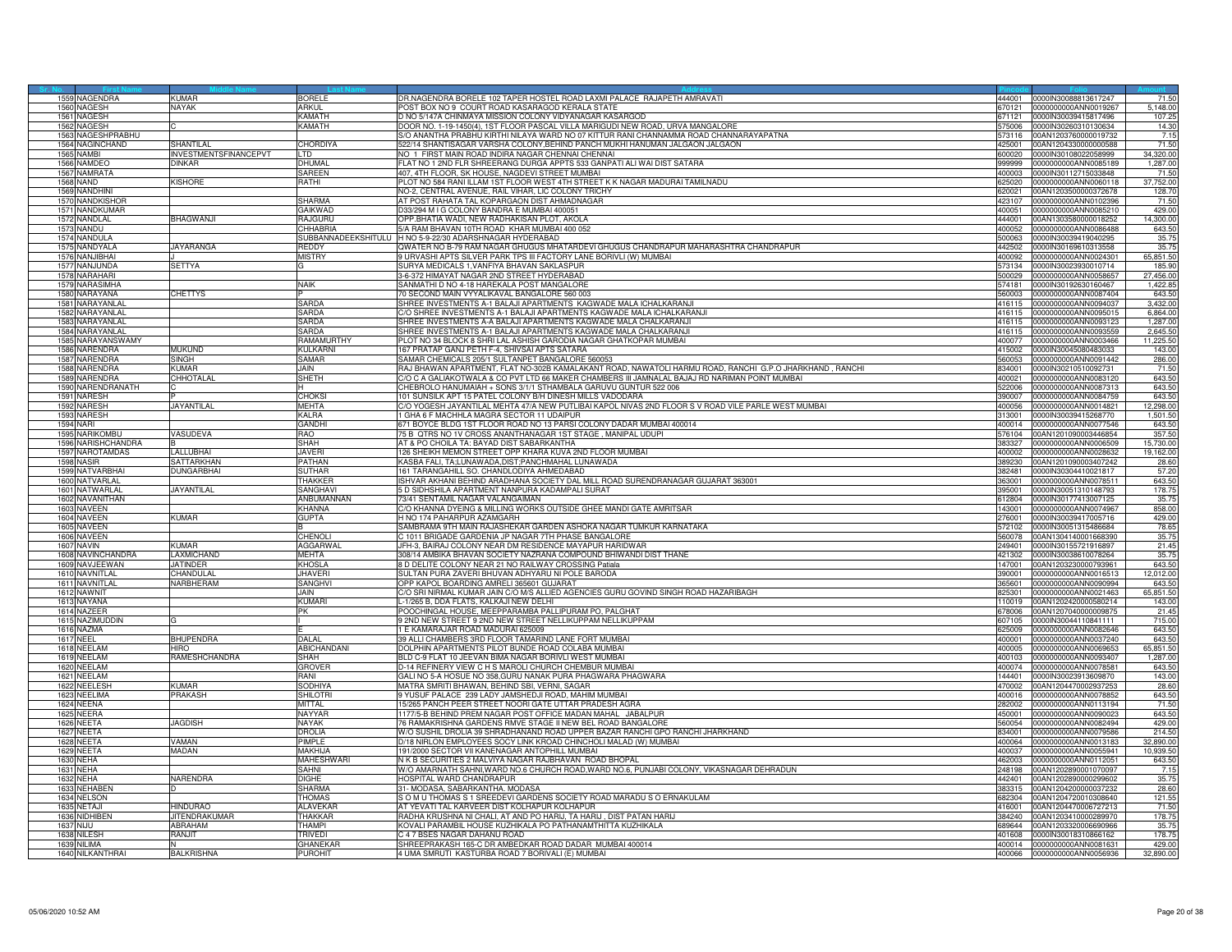|      | 1559 NAGENDRA             | KIIMAR                       | <b>BORELE</b>      | DR.NAGENDRA BORELE 102 TAPER HOSTEL ROAD LAXMI PALACE RAJAPETH AMRAVATI                                  |        | 444001 0000IN30088813617247  | 71.50     |
|------|---------------------------|------------------------------|--------------------|----------------------------------------------------------------------------------------------------------|--------|------------------------------|-----------|
|      | 1560 NAGESH               | <b>NAYAK</b>                 | ARKUL              | POST BOX NO 9 COURT ROAD KASARAGOD KERALA STATE                                                          | 370121 | 0000000000ANN0019267         | 5,148.00  |
|      |                           |                              |                    |                                                                                                          |        |                              |           |
|      | 1561 NAGESH               |                              | KAMATH             | D NO 5/147A CHINMAYA MISSION COLONY VIDYANAGAR KASARGOD                                                  | 671121 | 0000IN30039415817496         | 107.25    |
|      | 1562 NAGESH               |                              | KAMATH             | 000R NO. 1-19-1450(4), 1ST FLOOR PASCAL VILLA MARIGUDI NEW ROAD, URVA MANGALORE                          | 575006 | 0000IN30260310130634         | 14.30     |
| 1563 | NAGESHPRABHU              |                              |                    | S/O ANANTHA PRABHU KIRTHI NILAYA WARD NO 07 KITTUR RANI CHANNAMMA ROAD CHANNARAYAPATNA                   | 73116  | 00AN1203760000019732         | 7.15      |
|      | 1564 NAGINCHAND           | SHANTII AI                   | <b>CHORDIYA</b>    | 522/14 SHANTISAGAR VARSHA COLONY, BEHIND PANCH MUKHI HANUMAN JALGAON JALGAON                             | 425001 | 00AN1204330000000588         | 71.50     |
|      | 1565 NAMBI                | <b>INVESTMENTSFINANCEPVT</b> | TD                 | NO 1 FIRST MAIN ROAD INDIRA NAGAR CHENNAI CHENNAI                                                        | 600020 | 0000IN30108022058999         | 34,320.00 |
|      | 1566 NAMDEO               | DINKAR                       | <b>DHUMAL</b>      | FLAT NO 1 2ND FLR SHREERANG DURGA APPTS 533 GANPATI ALI WAI DIST SATARA                                  | 999999 | 0000000000ANN0085189         | 1,287.00  |
|      | 1567 NAMRATA              |                              | SAREEN             | 407, 4TH FLOOR, SK HOUSE, NAGDEVI STREET MUMBAI                                                          | 100003 | 0000IN30112715033848         | 71.50     |
|      |                           |                              |                    |                                                                                                          |        |                              |           |
|      | <b>1568 NAND</b>          | <b>KISHORE</b>               | RATHI              | PLOT NO 584 RANI ILLAM 1ST FLOOR WEST 4TH STREET K K NAGAR MADURAI TAMILNADU                             | 325020 | 0000000000ANN0060118         | 37,752.00 |
|      | 1569 NANDHINI             |                              |                    | NO-2, CENTRAL AVENUE, RAIL VIHAR, LIC COLONY TRICHY                                                      | 620021 | 00AN1203500000372678         | 128.70    |
|      | 1570 NANDKISHOF           |                              | SHARMA             | AT POST RAHATA TAL KOPARGAON DIST AHMADNAGAR                                                             | 423107 | 0000000000ANN0102396         | 71.50     |
|      | 1571 NANDKUMAR            |                              | GAIKWAD            | D33/294 M I G COLONY BANDRA E MUMBAI 400051                                                              | 400051 | 0000000000ANN0085210         | 429.00    |
| 1572 | NANDLAL                   | <b>BHAGWANJI</b>             | RAJGURU            | PP.BHATIA WADI, NEW RADHAKISAN PLOT, AKOLA                                                               | 44001  | 00AN1303580000018252         | 14,300.00 |
|      |                           |                              |                    |                                                                                                          |        |                              |           |
| 1573 | NANDU                     |                              | <b>CHHABRIA</b>    | 5/A RAM BHAVAN 10TH ROAD KHAR MUMBAI 400 052                                                             | 400052 | 0000000000ANN0086488         | 643.50    |
|      | 1574 NANDULA              |                              |                    | SUBBANNADEEKSHITULU H NO 5-9-22/30 ADARSHNAGAR HYDERABAD                                                 | 500063 | 0000IN30039419040295         | 35.75     |
|      | 1575 NANDYALA             | <b>JAYARANGA</b>             | REDDY              | QWATER NO B-79 RAM NAGAR GHUGUS MHATARDEVI GHUGUS CHANDRAPUR MAHARASHTRA CHANDRAPUR                      | 442502 | 0000IN30169610313558         | 35.75     |
|      | 1576 NANJIBHAI            |                              | MISTRY             | 9 URVASHI APTS SILVER PARK TPS III FACTORY LANE BORIVLI (W) MUMBAI                                       | 400092 | 0000000000ANN0024301         | 65,851.50 |
|      | 1577 NANJUNDA             | <b>SETTYA</b>                |                    | SURYA MEDICALS 1, VANFIYA BHAVAN SAKLASPUR                                                               | 573134 | 0000IN30023930010714         | 185.90    |
|      | 1578 NARAHARI             |                              |                    | 3-6-372 HIMAYAT NAGAR 2ND STREET HYDERABAD                                                               | 500029 | 0000000000ANN0058657         | 27,456.00 |
|      | 1579 NARASIMHA            |                              | <b>NAIK</b>        |                                                                                                          |        |                              |           |
|      |                           |                              |                    | SANMATHI D NO 4-18 HAREKALA POST MANGALORE                                                               |        | 574181 0000IN30192630160467  | 1,422.85  |
|      | 1580 NARAYANA             | <b>CHETTYS</b>               |                    | 70 SECOND MAIN VYYALIKAVAL BANGALORE 560 003                                                             | 560003 | 0000000000ANN0087404         | 643.50    |
|      | 1581 NARAYANLAL           |                              | SARDA              | SHREE INVESTMENTS A-1 BALAJI APARTMENTS KAGWADE MALA ICHALKARANJI                                        | 416115 | 0000000000ANN0094037         | 3,432.00  |
| 1582 | VARAYANLAL                |                              | SARDA              | /O SHREE INVESTMENTS A-1 BALAJI APARTMENTS KAGWADE MALA ICHALKARANJI                                     | 416115 | 0000000000ANN0095015         | 6,864.00  |
|      | 1583 NARAYANLAL           |                              | SARDA              | SHREE INVESTMENTS A-A BALAJI APARTMENTS KAGWADE MALA CHALKARANJI                                         | 416115 | 0000000000ANN0093123         | 1,287.00  |
|      | 1584 NARAYANLAL           |                              | SARDA              | SHREE INVESTMENTS A-1 BALAJI APARTMENTS KAGWADE MALA CHALKARANJI                                         | 416115 | 0000000000ANN0093559         | 2.645.50  |
|      |                           |                              |                    |                                                                                                          |        |                              |           |
|      | 1585 NARAYANSWAMY         |                              | RAMAMURTHY         | PLOT NO 34 BLOCK 8 SHRI LAL ASHISH GARODIA NAGAR GHATKOPAR MUMBAI                                        | 400077 | 0000000000ANN0003466         | 11,225.50 |
|      | 1586 NARENDRA             | MUKUND                       | KI II KARNI        | 167 PRATAP GANJ PETH F-4, SHIVSAI APTS SATARA                                                            | 415002 | 0000IN30045080483033         | 143.00    |
| 1587 | NARENDRA                  | <b>SINGH</b>                 | SAMAR              | SAMAR CHEMICALS 205/1 SULTANPET BANGALORE 560053                                                         | 560053 | 0000000000ANN0091442         | 286.00    |
|      | 1588 NARENDRA             | KUMAF                        | JAIN               | RAJ BHAWAN APARTMENT, FLAT NO-302B KAMALAKANT ROAD, NAWATOLI HARMU ROAD, RANCHI G.P.O JHARKHAND , RANCHI | 834001 | 0000lN30210510092731         | 71.50     |
|      | 1589 NARENDRA             | CHHOTALAL                    | SHETH              | C/O C A GALIAKOTWALA & CO PVT LTD 66 MAKER CHAMBERS III JAMNALAL BAJAJ RD NARIMAN POINT MUMBAI           | 400021 | 0000000000ANN0083120         | 643.50    |
|      | 1590 NARENDRANATH         |                              |                    | CHEBROLO HANUMAIAH + SONS 3/1/1 STHAMBALA GARUVU GUNTUR 522 006                                          | 522006 | 0000000000ANN0087313         | 643.50    |
|      | 1591 NARESH               |                              |                    |                                                                                                          |        | 1000000000ANN0084759         |           |
|      |                           |                              | CHOKSI             | 101 SUNSILK APT 15 PATEL COLONY B/H DINESH MILLS VADODARA                                                | 390007 |                              | 643.50    |
| 1592 | VARESH                    | JAYANTILAL                   | MEHTA              | O YOGESH JAYANTILAL MEHTA 47/A NEW PUTLIBAI KAPOL NIVAS 2ND FLOOR S V ROAD VILE PARLE WEST MUMBAI        | 00056  | 000000000ANN0014821          | 12,298.00 |
|      | 1593 NARESH               |                              | KALRA              | 1 GHA 6 F MACHHLA MAGRA SECTOR 11 UDAIPUR                                                                | 313001 | 0000IN30039415268770         | 1,501.50  |
|      | <b>1594 NARI</b>          |                              | <b>GANDHI</b>      | 671 BOYCE BLDG 1ST FLOOR ROAD NO 13 PARSI COLONY DADAR MUMBAI 400014                                     | 400014 | 0000000000ANN0077546         | 643.50    |
|      | 1595 NARIKOMBU            | VASUDEVA                     | RAO                | 75 B QTRS NO 1V CROSS ANANTHANAGAR 1ST STAGE, MANIPAL UDUPI                                              | 576104 | 00AN1201090003446854         | 357.50    |
|      | <b>1596 NARISHCHANDRA</b> |                              | <b>SHAH</b>        |                                                                                                          |        | 0000000000ANN0006509         | 15,730.00 |
|      |                           |                              |                    | AT & PO CHOILA TA: BAYAD DIST SABARKANTHA                                                                | 383327 |                              |           |
|      | 1597 NAROTAMDAS           | ALLUBHAI                     | <b>JAVFRI</b>      | 26 SHEIKH MEMON STREET OPP KHARA KUVA 2ND FLOOR MUMBAI                                                   | 100002 | 0000000000ANN0028632         | 19,162.00 |
|      | <b>1598 NASIR</b>         | SATTARKHAN                   | PATHAN             | KASBA FALI, TA;LUNAWADA,DIST;PANCHMAHAL LUNAWADA                                                         | 389230 | 00AN1201090003407242         | 28.60     |
|      | 1599 NATVARBHAI           | DUNGARBHAI                   | <b>SUTHAR</b>      | 161 TARANGAHILL SO. CHANDLODIYA AHMEDABAD                                                                | 382481 | 0000IN30304410021817         | 57.20     |
|      | 1600 NATVARLAL            |                              | THAKKER            | ISHVAR AKHANI BEHIND ARADHANA SOCIETY DAL MILL ROAD SURENDRANAGAR GUJARAT 363001                         | 363001 | 0000000000ANN0078511         | 643.50    |
|      | 1601 NATWARLAL            | JAYANTILAL                   | SANGHAVI           | 5 D SIDHSHILA APARTMENT NANPURA KADAMPALI SURAT                                                          | 395001 | 0000IN30051310148793         | 178.75    |
| 1602 |                           |                              | ANBUMANNAN         |                                                                                                          |        |                              |           |
|      | NAVANITHAN                |                              |                    | 3/41 SENTAMIL NAGAR VALANGAIMAN                                                                          | 12804  | 0000IN30177413007125         | 35.75     |
|      | 1603 NAVEEN               |                              | KHANNA             | C/O KHANNA DYEING & MILLING WORKS OUTSIDE GHEE MANDI GATE AMRITSAR                                       | 143001 | 0000000000ANN0074967         | 858.00    |
|      | 1604 NAVEEN               | <b>KUMAR</b>                 | <b>GUPTA</b>       | <b>HNO 174 PAHARPUR AZAMGARH</b>                                                                         | 276001 | 0000IN30039417005716         | 429.00    |
|      | 1605 NAVEEN               |                              |                    | SAMBRAMA 9TH MAIN RAJASHEKAR GARDEN ASHOKA NAGAR TUMKUR KARNATAKA                                        | 572102 | 0000lN30051315486684         | 78.65     |
|      | 1606 NAVEEN               |                              | <b>CHENOLI</b>     | . 1011 BRIGADE GARDENIA JP NAGAR 7TH PHASE BANGALORE                                                     | 560078 | 00AN1304140001668390         | 35.75     |
|      | <b>1607 NAVIN</b>         | KUMAR                        | <b>AGGARWAI</b>    | JFH-3, BAIRAJ COLONY NEAR DM RESIDENCE MAYAPUR HARIDWAR                                                  | 249401 | 0000lN30155721916897         | 21.45     |
|      |                           | <b>LAXMICHAND</b>            |                    | 308/14 AMBIKA BHAVAN SOCIETY NAZRANA COMPOUND BHIWANDI DIST THANE                                        | 421302 |                              | 35.75     |
|      | 1608 NAVINCHANDRA         |                              | <b>MEHTA</b>       |                                                                                                          |        | 0000IN30038610078264         |           |
|      | 1609 NAVJEEWAN            | <b>JATINDER</b>              | KHOSLA             | 8 D DELITE COLONY NEAR 21 NO RAILWAY CROSSING Patiala                                                    | 147001 | 00AN1203230000793961         | 643.50    |
|      | 1610 NAVNITLAL            | CHANDULAL                    | <b>JHAVERI</b>     | SULTAN PURA ZAVERI BHUVAN ADHYARU NI POLE BARODA                                                         | 390001 | 0000000000ANN0016513         | 12,012.00 |
|      | 1611 NAVNITLAL            | NARBHERAM                    | <b>SANGHVI</b>     | OPP KAPOL BOARDING AMRELI 365601 GUJARAT                                                                 | 365601 | 0000000000ANN0090994         | 643.50    |
| 1612 | NAWNIT                    |                              | JAIN               | O SRI NIRMAL KUMAR JAIN C/O M/S ALLIED AGENCIES GURU GOVIND SINGH ROAD HAZARIBAGH/                       | 25301  | 0000000000ANN0021463         | 65,851.50 |
| 1613 | <b>NAYANA</b>             |                              | KIIMARI            | -1/265 B, DDA FLATS, KALKAJI NEW DELHI                                                                   | 110019 | 00AN1202420000580214         | 143.00    |
|      |                           |                              | PK                 |                                                                                                          |        |                              |           |
|      | 1614 NAZEER               |                              |                    | POOCHINGAL HOUSE, MEEPPARAMBA PALLIPURAM PO, PALGHAT                                                     | 378006 | 00AN1207040000009875         | 21.45     |
|      | 1615 NAZIMUDDIN           |                              |                    | 9 2ND NEW STREET 9 2ND NEW STREET NELLIKUPPAM NELLIKUPPAM                                                | 607105 | 0000IN30044110841111         | 715.00    |
|      | 1616 NAZMA                |                              |                    | 1 E KAMARAJAR ROAD MADURAI 625009                                                                        | 625009 | 0000000000ANN0082646         | 643.50    |
|      | <b>1617 NEEL</b>          | <b>BHUPENDRA</b>             | DALAL              | 39 ALLI CHAMBERS 3RD FLOOR TAMARIND LANE FORT MUMBAI                                                     | 400001 | 0000000000ANN0037240         | 643.50    |
|      | 1618 NEELAM               | <b>HIRO</b>                  | <b>ABICHANDANI</b> | DOLPHIN APARTMENTS PILOT BUNDE ROAD COLABA MUMBAI                                                        | 400005 | 0000000000ANN0069653         | 65,851.50 |
|      | 1619 NEELAM               | RAMESHCHANDRA                | <b>SHAH</b>        | BLD C-9 FLAT 10 JEEVAN BIMA NAGAR BORIVLI WEST MUMBAI                                                    | 400103 | 0000000000ANN0093407         | 1,287.00  |
|      | 1620 NEELAM               |                              | GROVER             | D-14 REFINERY VIEW C H S MAROLI CHURCH CHEMBUR MUMBAI                                                    | 400074 | 0000000000ANN0078581         | 643.50    |
|      |                           |                              | RANI               |                                                                                                          | 44401  |                              |           |
| 1621 | VEELAM                    |                              |                    | SALI NO 5-A HOSUE NO 358,GURU NANAK PURA PHAGWARA PHAGWARA                                               |        | 0000IN30023913609870         | 143.00    |
| 1622 | VEELESH                   | KUMAR                        | SODHIYA            | MATRA SMRITI BHAWAN, BEHIND SBI, VERNI, SAGAR                                                            | 470002 | 00AN1204470002937253         | 28.60     |
|      | 1623 NFFL IMA             | PRAKASH                      | SHILOTRI           | 9 YUSUF PALACE 239 LADY JAMSHEDJI ROAD, MAHIM MUMBA                                                      | 400016 | 0000000000ANN0078852         | 643.50    |
|      | 1624 NEENA                |                              | MITTAL             | 15/265 PANCH PEER STREET NOORI GATE UTTAR PRADESH AGRA                                                   | 282002 | 0000000000ANN0113194         | 71.50     |
|      | 1625 NEERA                |                              | <b>NAYYAR</b>      | 1177/5-B BEHIND PREM NAGAR POST OFFICE MADAN MAHAL JABALPUR                                              | 450001 | 0000000000ANN0090023         | 643.50    |
|      | 1626 NEETA                | JAGDISH                      | NAYAK              | 6 RAMAKRISHNA GARDENS RMVE STAGE II NEW BEL ROAD BANGALORE                                               | 560054 | 1000000000ANN0082494         | 429.00    |
|      |                           |                              |                    |                                                                                                          |        |                              |           |
| 1627 | NEETA                     |                              | DROLIA             | W/O SUSHIL DROLIA 39 SHRADHANAND ROAD UPPER BAZAR RANCHI GPO RANCHI JHARKHAND                            | 834001 | 0000000000ANN0079586         | 214.50    |
|      | 1628 NEETA                | VAMAN                        | <b>PIMPLE</b>      | D/18 NIRLON EMPLOYEES SOCY LINK KROAD CHINCHOLI MALAD (W) MUMBAI                                         |        | 400064 0000000000ANN0013183  | 32,890.00 |
|      | 1629 NEETA                | MADAN                        | MAKHIJA            | 91/2000 SECTOR VII KANENAGAR ANTOPHILL MUMBAI                                                            | 400037 | 0000000000ANN0055941         | 10,939.50 |
|      | 1630 NEHA                 |                              | MAHESHWARI         | N K B SECURITIES 2 MALVIYA NAGAR RAJBHAVAN ROAD BHOPAL                                                   | 462003 | 0000000000ANN0112051         | 643.50    |
| 1631 | VEHA                      |                              | SAHNI              | W/O AMARNATH SAHNI,WARD NO.6 CHURCH ROAD,WARD NO.6, PUNJABI COLONY, VIKASNAGAR DEHRADUN                  | 48198  | 0AN1202890001070097          | 7.15      |
| 1632 | VEHA                      | NARENDRA                     | DIGHF              | HOSPITAL WARD CHANDRAPUR                                                                                 | 442401 | 00AN1202890000299602         | 35.75     |
|      | 1633 NEHABEN              | D                            | <b>SHARMA</b>      | 31- MODASA, SABARKANTHA, MODASA                                                                          | 383315 |                              | 28.60     |
|      |                           |                              |                    |                                                                                                          |        | 00AN1204200000037232         |           |
|      | 1634 NELSON               |                              | THOMAS             | S O M U THOMAS S 1 SREEDEVI GARDENS SOCIETY ROAD MARADU S O ERNAKULAM                                    | 682304 | 00AN1204720010308640         | 121.55    |
|      | 1635 NETA.II              | HINDURAO                     | <b>ALAVEKAF</b>    | AT YEVATI TAL KARVEER DIST KOLHAPUR KOLHAPUR                                                             | 416001 | 00AN1204470006727213         | 71.50     |
|      | 1636 NIDHIBEN             | <b>JITENDRAKUMAR</b>         | <b>HAKKAR</b>      | RADHA KRUSHNA NI CHALI, AT AND PO HARIJ, TA HARIJ , DIST PATAN HARIJ                                     | 84240  | 0AN1203410000289970          | 178.75    |
| 1637 | NIJU                      | ABRAHAM                      | <b>THAMPI</b>      | KOVALI PARAMBIL HOUSE KUZHIKALA PO PATHANAMTHITTA KUZHIKALA                                              | 689644 | 00AN1203320006690966         | 35.75     |
|      | 1638 NILESH               | RANJIT                       | TRIVEDI            | C 4 7 BSES NAGAR DAHANU ROAD                                                                             |        | 401608 0000IN30018310866162  | 178.75    |
|      |                           |                              |                    |                                                                                                          |        |                              |           |
|      | 1639 NILIMA               |                              | <b>GHANEKAF</b>    | SHREEPRAKASH 165-C DR AMBEDKAR ROAD DADAR MUMBAI 400014                                                  |        | 400014 0000000000ANN0081631  | 429.00    |
|      | 1640 NILKANTHRAI          | <b>BALKRISHNA</b>            | <b>PUROHIT</b>     | 4 UMA SMRUTI KASTURBA ROAD 7 BORIVALI (E) MUMBAI                                                         |        | 400066  0000000000ANN0056936 | 32,890.00 |
|      |                           |                              |                    |                                                                                                          |        |                              |           |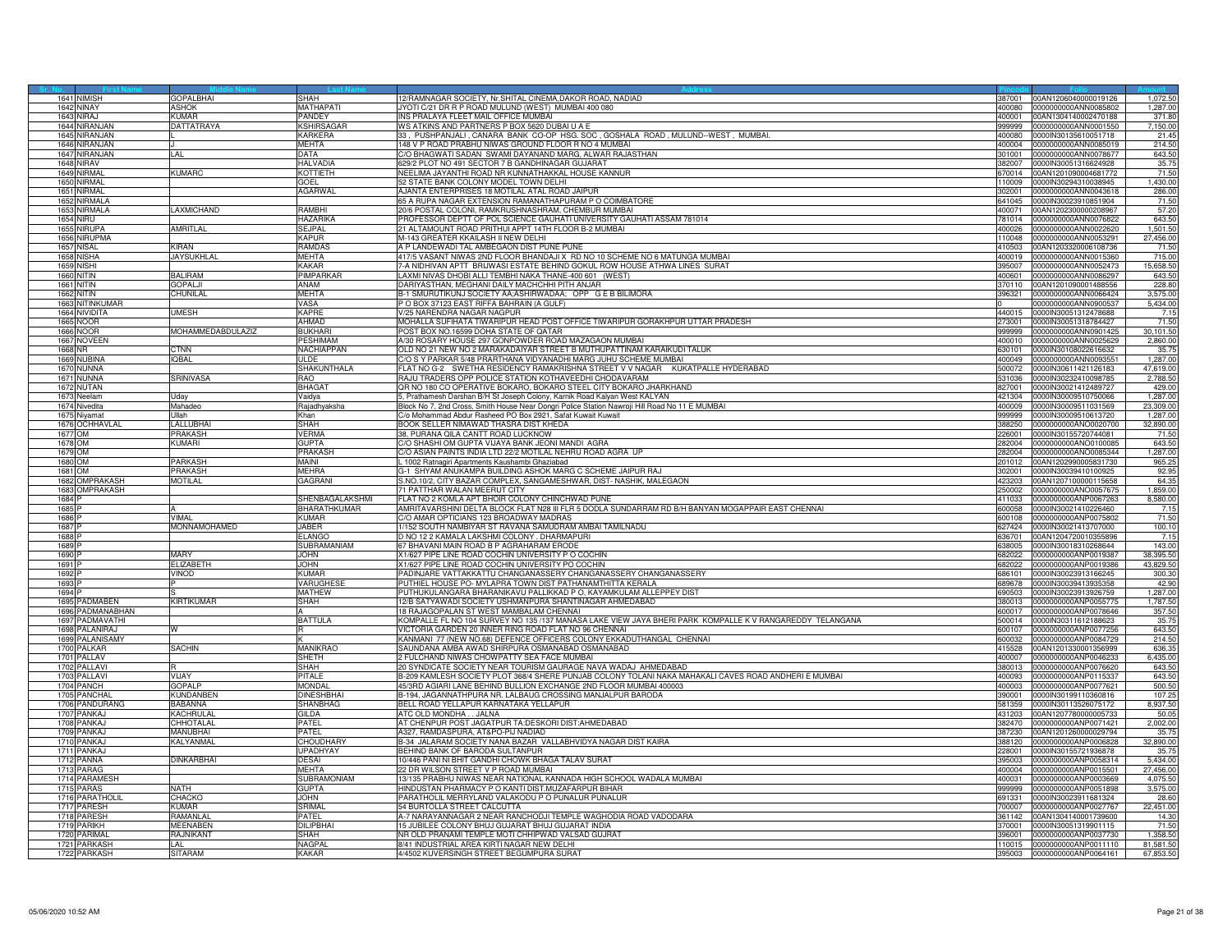|              | 1641 NIMISH       | <b>GOPALBHAI</b>         | SHAH               | 12/RAMNAGAR SOCIETY, Nr.SHITAL CINEMA, DAKOR ROAD, NADIAD                                                |        | 387001 00AN1206040000019126 | 1,072.50  |
|--------------|-------------------|--------------------------|--------------------|----------------------------------------------------------------------------------------------------------|--------|-----------------------------|-----------|
|              | 1642 NINAY        | ASHOK                    | <b>MATHAPATI</b>   | JYOTI C/21 DR R P ROAD MULUND (WEST) MUMBAI 400 080                                                      | 400080 | 0000000000ANN0085802        | 1,287.00  |
|              | 1643 NIRAJ        | <b>KIJMAR</b>            | PANDEY             | INS PRALAYA FLEET MAIL OFFICE MUMBAI                                                                     | 400001 | 00AN1304140002470188        | 371.80    |
| 1644         | <b>IIRANJAN</b>   | <b>DATTATRAYA</b>        | KSHIRSAGAR         | WS ATKINS AND PARTNERS P BOX 5620 DUBAI U A E                                                            | 999999 | 2000000000ANN0001550        | 7,150.00  |
|              |                   |                          |                    |                                                                                                          |        |                             |           |
| 1645         | NIRANJAN          |                          | KARKERA            | 33, PUSHPANJALI, CANARA BANK CO-OP HSG. SOC, GOSHALA ROAD, MULUND-WEST, MUMBAI                           | 400080 | 0000IN30135610051718        | 21.45     |
| 1646         | NIRANJAN          |                          | <b>MEHTA</b>       | 148 V P ROAD PRABHU NIWAS GROUND FLOOR R NO 4 MUMBAL                                                     |        | 400004 0000000000ANN0085019 | 214.50    |
| 1647         | NIRANJAN          | AI                       | DATA               | C/O BHAGWATI SADAN SWAMI DAYANAND MARG. ALWAR RAJASTHAN                                                  | 301001 | 0000000000ANN0078677        | 643.50    |
| 1648         | <b>NIRAV</b>      |                          | <b>HALVADIA</b>    | 629/2 PLOT NO 491 SECTOR 7 B GANDHINAGAR GUJARAT                                                         | 382007 | 0000IN30051316624928        | 35.75     |
| 1649         | <b>IRMAL</b>      | <b>UMARC</b>             | KOTTIETH           | NEELIMA JAYANTHI ROAD NR KUNNATHAKKAL HOUSE KANNUR                                                       | 370014 | 00AN1201090004681772        | 71.50     |
| 1650         | NIRMAL            |                          | GOEL               | 52 STATE BANK COLONY MODEL TOWN DELHI                                                                    | 110009 | 0000IN30294310038945        | 1,430.00  |
|              |                   |                          |                    |                                                                                                          |        |                             | 286.00    |
| 1651         | <b>NIRMAL</b>     |                          | <b>AGARWAL</b>     | AJANTA ENTERPRISES 18 MOTILAL ATAL ROAD JAIPUR                                                           | 302001 | 0000000000ANN0043618        |           |
| 1652         | NIRMALA           |                          |                    | 65 A RUPA NAGAR EXTENSION RAMANATHAPURAM P O COIMBATORE                                                  | 641045 | 0000IN30023910851904        | 71.50     |
| 1653         | NIRMALA           | AXMICHAND                | RAMRHI             | 20/6 POSTAL COLONI, RAMKRUSHNASHRAM, CHEMBUR MUMBAI                                                      | 400071 | 00AN1202300000208967        | 57.20     |
| 165          | iru               |                          | HAZARIKA           | PROFESSOR DEPTT OF POL SCIENCE GAUHATI UNIVERSITY GAUHATI ASSAM 781014                                   | 81014  | 0000000000ANN0076822        | 643.50    |
| 1655         | <b>NIRUPA</b>     | AMRITLAL                 | SEJPAL             | 21 ALTAMOUNT ROAD PRITHUI APPT 14TH FLOOR B-2 MUMBAI                                                     | 400026 | 0000000000ANN0022620        | 1,501.50  |
|              | 1656 NIRUPMA      |                          | <b>KAPUR</b>       | M-143 GREATER KKAILASH II NEW DELHI                                                                      | 110048 | 0000000000ANN0053291        | 27,456.00 |
|              | 1657 NISAL        | Kiran                    | <b>RAMDAS</b>      | A P LANDEWADI TAL AMBEGAON DIST PUNE PUNE                                                                | 410503 | 00AN1203320006108736        | 71.50     |
|              |                   |                          | <b>MEHTA</b>       |                                                                                                          |        |                             |           |
|              | 1658 NISHA        | JAYSUKHLAL               |                    | 417/5 VASANT NIWAS 2ND FLOOR BHANDAJI X RD NO 10 SCHEME NO 6 MATUNGA MUMBAI                              | 400019 | 0000000000ANN0015360        | 715.00    |
| 1659         | iishi             |                          | KAKAR              | 7-A NIDHIVAN APTT BRIJWASI ESTATE BEHIND GOKUL ROW HOUSE ATHWA LINES SURAT                               | 95007  | 0000000000ANN0052473        | 15,658.50 |
|              | <b>1660 NITIN</b> | <b>BALIRAM</b>           | PIMPARKAF          | LAXMI NIVAS DHOBI ALLI TEMBHI NAKA THANE-400 601 (WEST)                                                  | 400601 | 0000000000ANN0086297        | 643.50    |
|              | 1661 NITIN        | GOPALJI                  | ANAM               | DARIYASTHAN, MEGHANI DAILY MACHCHHI PITH ANJAR                                                           | 370110 | 00AN1201090001488556        | 228.80    |
|              | <b>1662 NITIN</b> | CHUNILAL                 | <b>MEHTA</b>       | B-1 SMURUTIKUNJ SOCIETY AA;ASHIRWADAA; OPP G E B BILIMORA                                                | 396321 | 0000000000ANN0066424        | 3,575.00  |
|              | 1663 NITINKUMAR   |                          | VASA               | P O BOX 37123 EAST RIFFA BAHRAIN (A GULF)                                                                |        | 0000000000ANN0900537        | 5,434.00  |
|              |                   |                          |                    |                                                                                                          |        |                             |           |
| 1664         | IIVIDITA          | <b>IMESH</b>             | KAPRE              | //25 NARENDRA NAGAR NAGPUR                                                                               | 440015 | 0000IN30051312478688        | 7.15      |
| 1665         | NOOR              |                          | AHMAN              | MOHALLA SUFIHATA TIWARIPUR HEAD POST OFFICE TIWARIPUR GORAKHPUR UTTAR PRADESH                            | 273001 | 0000IN30051318784427        | 71.50     |
| 1666         | VOOR              | <b>MOHAMMEDABDULAZIZ</b> | <b>BUKHAR</b>      | POST BOX NO.16599 DOHA STATE OF QATAR                                                                    | 999999 | 000000000ANN0901425         | 30,101.50 |
|              | 1667 NOVEEN       |                          | PESHIMAM           | A/30 ROSARY HOUSE 297 GONPOWDER ROAD MAZAGAON MUMBAI                                                     | 400010 | 0000000000ANN0025629        | 2,860.00  |
|              | 1668 NR           | <b>CTNN</b>              | <b>NACHIAPPAN</b>  | OLD NO 21 NEW NO 2 MARAKADAIYAR STREET B MUTHUPATTINAM KARAIKUDI TALUK                                   | 630101 | 0000IN30108022616632        | 35.75     |
| 1669         | NUBINA            | QBAL                     | ULDE               | C/O S Y PARKAR 5/48 PRARTHANA VIDYANADHI MARG JUHU SCHEME MUMBAI                                         | 400049 | 0000000000ANN0093551        | 1,287.00  |
|              |                   |                          |                    |                                                                                                          |        |                             |           |
|              | 1670 NUNNA        |                          | <b>SHAKUNTHALA</b> | FLAT NO G-2 SWETHA RESIDENCY RAMAKRISHNA STREET V V NAGAR KUKATPALLE HYDERABAD                           | 500072 | 0000IN30611421126183        | 47,619.00 |
| 1671         | <b>NUNNA</b>      | SRINIVASA                | RAO                | RAJU TRADERS OPP POLICE STATION KOTHAVEEDHI CHODAVARAM                                                   | 531036 | 0000IN30232410098785        | 2,788.50  |
|              | 1672 NUTAN        |                          | BHAGAT             | QR NO 180 CO OPERATIVE BOKARO, BOKARO STEEL CITY BOKARO JHARKHAND                                        | 827001 | 0000IN30021412489727        | 429.00    |
| 1673         | leelam            | l Idav                   | Vaidva             | 5, Prathamesh Darshan B/H St Joseph Colony, Karnik Road Kalyan West KALYAN                               | 421304 | 0000IN30009510750066        | 1.287.00  |
|              | 1674 Nivedita     | Mahadeo                  | Rajadhyaksha       | Block No 7, 2nd Cross, Smith House Near Dongri Police Station Nawroji Hill Road No 11 E MUMBAI           | 400009 | 0000lN30009511031569        | 23,309.00 |
|              | 1675 Niyamat      | Illah                    | Khan               | C/o Mohammad Abdur Rasheed PO Box 2921, Safat Kuwait Kuwait                                              | 999999 | 0000IN30009510613720        | 1,287.00  |
|              | 1676 OCHHAVLAL    | ALLUBHAI                 | <b>SHAH</b>        | BOOK SELLER NIMAWAD THASRA DIST KHEDA                                                                    | 388250 | 0000000000ANO0020700        | 32,890.00 |
|              |                   |                          |                    |                                                                                                          |        |                             |           |
|              | 1677 OM           | <b>PRAKASH</b>           | VERMA              | 38, PURANA QILA CANTT ROAD LUCKNOW                                                                       | 226001 | 0000IN30155720744081        | 71.50     |
|              | 1678 OM           | (UMARI                   | <b>GUPTA</b>       | C/O SHASHI OM GUPTA VIJAYA BANK JEONI MANDI AGRA                                                         | 82004  | 0000000000ANO0100085        | 643.50    |
|              | 1679 OM           |                          | <b>PRAKASH</b>     | C/O ASIAN PAINTS INDIA LTD 22/2 MOTILAL NEHRU ROAD AGRA UP                                               | 282004 | 0000000000ANO0085344        | 1,287.00  |
|              | 1680 OM           | PARKASH                  | <b>MAINI</b>       | L 1002 Ratnagiri Apartments Kaushambi Ghaziabad                                                          |        | 201012 00AN1202990005831730 | 965.25    |
|              | 1681 OM           | PRAKASH                  | MEHRA              | 3-1 SHYAM ANUKAMPA BUILDING ASHOK MARG C SCHEME JAIPUR RAJ                                               | 302001 | 0000lN30039410100925        | 92.95     |
|              | 1682 OMPRAKASH    | <b>AOTILAL</b>           | GAGRANI            | S.NO.10/2, CITY BAZAR COMPLEX, SANGAMESHWAR, DIST-NASHIK, MALEGAON                                       | 123203 | 00AN1207100000115658        | 64.35     |
|              |                   |                          |                    |                                                                                                          |        |                             |           |
| 1683         | <b>MPRAKASH</b>   |                          |                    | 71 PATTHAR WALAN MEERUT CITY                                                                             | 50002  | 0000000000ANO0057675        | 1,859.00  |
| 1684         |                   |                          | SHENBAGALAKSHMI    | FLAT NO 2 KOMLA APT BHOIR COLONY CHINCHWAD PUNE                                                          | 411033 | 0000000000ANP0067263        | 8,580.00  |
| 1685         |                   |                          | BHARATHKUMAR       | AMRITAVARSHINI DELTA BLOCK FLAT N28 III FLR 5 DODLA SUNDARRAM RD B/H BANYAN MOGAPPAIR EAST CHENNAI       | 600058 | 0000IN30021410226460        | 7.15      |
| 1686         |                   | VIMAL                    | <b>KUMAR</b>       | C/O AMAR OPTICIANS 123 BROADWAY MADRAS                                                                   | 600108 | 0000000000ANP0075802        | 71.50     |
| 1687         |                   | <b>MONNAMOHAMED</b>      | <b>JARER</b>       | 1/152 SOUTH NAMBIYAR ST RAVANA SAMUDRAM AMBAI TAMILNADU                                                  | 627424 | 0000IN30021413707000        | 100.10    |
|              |                   |                          |                    |                                                                                                          |        |                             |           |
|              |                   |                          |                    |                                                                                                          |        |                             |           |
| 1688         |                   |                          | <b>ELANGO</b>      | D NO 12 2 KAMALA LAKSHMI COLONY . DHARMAPURI                                                             | 36701  | 00AN1204720010355896        | 7.15      |
| 1689         |                   |                          | SUBRAMANIAM        | 67 BHAVANI MAIN ROAD B P AGRAHARAM ERODE                                                                 | 338005 | 0000IN30018310268644        | 143.00    |
| 1690         |                   | MARY                     | <b>JOHN</b>        | X1/627 PIPE LINE ROAD COCHIN UNIVERSITY P O COCHIN                                                       |        | 682022 0000000000ANP0019387 | 38,395.50 |
| 1691         |                   | ELIZABETH                | <b>JOHN</b>        | X1/627 PIPE LINE ROAD COCHIN UNIVERSITY PO COCHIN                                                        | 382022 | 0000000000ANP0019386        | 43,829.50 |
| 1692         |                   |                          | <b>KUMAR</b>       | PADINJARE VATTAKKATTU CHANGANASSERY CHANGANASSERY CHANGANASSERY                                          | 686101 | 0000IN30023913166245        |           |
|              |                   | VINOD                    |                    |                                                                                                          |        |                             | 300.30    |
| 1693<br>1694 |                   |                          | VARUGHESI          | PUTHIEL HOUSE PO- MYLAPRA TOWN DIST PATHANAMTHITTA KERALA                                                | 89678  | 000IN30039413935358         | 42.9      |
|              |                   |                          | <b>MATHEW</b>      | PUTHUKULANGARA BHARANIKAVU PALLIKKAD P O, KAYAMKULAM ALLEPPEY DIST                                       | 690503 | 0000IN30023913926759        | 1,287.00  |
| 1695         | PADMABEN          | KIRTIKUMAR               | <b>SHAH</b>        | 12/B SATYAWADI SOCIETY USHMANPURA SHANTINAGAR AHMEDABAD                                                  | 380013 | 0000000000ANP0055775        | 1,787.50  |
|              | 1696 PADMANABHAN  |                          |                    | 18 RAJAGOPALAN ST WEST MAMBALAM CHENNAI                                                                  | 600017 | 0000000000ANP0078646        | 357.50    |
| 1697         | PADMAVATHI        |                          | <b>BATTULA</b>     | KOMPALLE FL NO 104 SURVEY NO 135 /137 MANASA LAKE VIEW JAYA BHERI PARK KOMPALLE K V RANGAREDDY TELANGANA | 500014 | 0000IN30311612188623        | 35.75     |
| 1698         | ALANIRAJ          |                          |                    | VICTORIA GARDEN 20 INNER RING ROAD FLAT NO 96 CHENNAI                                                    | 00107  | 0000000000ANP0077256        | 643.50    |
| 169          | PALANISAMY        |                          |                    | KANMANI 77 (NEW NO.68) DEFENCE OFFICERS COLONY EKKADUTHANGAL CHENNAI                                     | 600032 | 000000000ANP0084729         | 214.50    |
| 170          | <b>ALKAR</b>      | SACHIN                   | <b>MANIKRAO</b>    | SAUNDANA AMBA AWAD SHIRPURA OSMANABAD OSMANABAD                                                          | 115528 | 00AN1201330001356999        | 636.35    |
| 1701         |                   |                          |                    |                                                                                                          | 400007 |                             |           |
| 1702         | PALLAV            |                          | SHETH<br>SHAH      | 2 FULCHAND NIWAS CHOWPATTY SEA FACE MUMBAI                                                               | 380013 | 0000000000ANP0046233        | 6,435.00  |
|              | PALLAVI           |                          |                    | 20 SYNDICATE SOCIETY NEAR TOURISM GAURAGE NAVA WADAJ AHMEDABAD                                           |        | 0000000000ANP0076620        | 643.50    |
| 170          | ALLAVI            | VIJAY                    | <b>PITALE</b>      | B-209 KAMLESH SOCIETY PLOT 368/4 SHERE PUNJAB COLONY TOLANI NAKA MAHAKALI CAVES ROAD ANDHERI E MUMBAI    | 400093 | 0000000000ANP0115337        | 643.50    |
| 1704         | <b>PANCH</b>      | <b>GOPALP</b>            | <b>MONDAL</b>      | 45/3RD AGIARI LANE BEHIND BULLION EXCHANGE 2ND FLOOR MUMBAI 400003                                       | 400003 | 0000000000ANP0077621        | 500.50    |
| 170          | PANCHAL           | KUNDANBEN                | <b>DINESHBHA</b>   | B-194, JAGANNATHPURA NR. LALBAUG CROSSING MANJALPUR BARODA                                               | 390001 | 0000IN30199110360816        | 107.25    |
| 1706         | PANDURANG         | <b>BABANNA</b>           | <b>SHANBHAG</b>    | BELL ROAD YELLAPUR KARNATAKA YELLAPUR                                                                    | 581359 | 0000IN30113526075172        | 8,937.50  |
| 1707         | ANKA.I            | <b>KACHRULAL</b>         | <b>GILDA</b>       | ATC OLD MONDHA JALNA                                                                                     | 431203 | 00AN1207780000005733        | 50.05     |
| 170          | <b>ANKAJ</b>      | CHHOTALAL                | PATEL              |                                                                                                          | 382470 | 0000000000ANP0071421        | 2,002.00  |
|              |                   | MANUBHAI                 |                    | AT CHENPUR POST JAGATPUR TA:DESKORI DIST:AHMEDABAD                                                       |        |                             |           |
| 1709         | PANKAJ            |                          | PATEL              | A327, RAMDASPURA, AT&PO-PIJ NADIAD                                                                       |        | 387230 00AN1201260000029794 | 35.75     |
| 171          | <b>PANKAJ</b>     | <b><i>KALYANMAL</i></b>  | CHOUDHAR'          | B-34 JALARAM SOCIETY NANA BAZAR VALLABHVIDYA NAGAR DIST KAIRA                                            | 388120 | 0000000000ANP0006828        | 32,890.00 |
| 171          | PANKAJ            |                          | UPADHYAY           | BEHIND BANK OF BARODA SULTANPUR                                                                          | 228001 | 0000IN30155721936878        | 35.75     |
| 171          | <b>ANNA</b>       | DINKARBHAI               | DESAI              | 0/446 PANI NI BHIT GANDHI CHOWK BHAGA TALAV SURAT                                                        | 95003  | 0000000000ANP0058314        | 5,434.00  |
| 171          | PARAG             |                          | <b>MEHTA</b>       | 22 DR WILSON STREET V P ROAD MUMBAI                                                                      | 400004 | 0000000000ANP0015501        | 27,456.00 |
| 1714         | PARAMESH          |                          | <b>SUBRAMONIAM</b> | 13/135 PRABHU NIWAS NEAR NATIONAL KANNADA HIGH SCHOOL WADALA MUMBAI                                      | 400031 | 0000000000ANP0003669        | 4.075.50  |
| 171          | PARAS             | NATH                     | <b>GUPTA</b>       | HINDUSTAN PHARMACY P O KANTI DIST.MUZAFARPUR BIHAR                                                       | 999999 | 0000000000ANP0051898        | 3,575.00  |
| 1716         | PARATHOLIL        | CHACKO                   | <b>JOHN</b>        |                                                                                                          | 691331 | 0000IN30023911681324        |           |
|              |                   |                          |                    | PARATHOLIL MERRYLAND VALAKODU P O PUNALUR PUNALUR                                                        |        |                             | 28.60     |
| 171          | ARESH             | <b>UMAR</b>              | SRIMAL             | 54 BURTOLLA STREET CALCUTTA                                                                              | 00007  | 000000000ANP0027767         | 22,451.00 |
| 171          | <b>ARESH</b>      | RAMANLAI                 | PATEL              | A-7 NARAYANNAGAR 2 NEAR RANCHODJI TEMPLE WAGHODIA ROAD VADODARA                                          | 361142 | 00AN1304140001739600        | 14.30     |
| 1719         | <b>ARIKH</b>      | MEENABEN                 | <b>DILIPBHA</b>    | 15 JUBILEE COLONY BHUJ GUJARAT BHUJ GUJARAT INDIA                                                        | 370001 | 0000IN30051319901115        | 71.50     |
| 1720         | PARIMAL           | RAJNIKANT                | <b>SHAH</b>        | NR OLD PRANAMI TEMPLE MOTI CHHIPWAD VALSAD GUJRAT                                                        | 396001 | 0000000000ANP0037730        | 1,358.50  |
|              | 1721 PARKASH      | _AL_                     | <b>NAGPAI</b>      | 8/41 INDUSTRIAL AREA KIRTI NAGAR NEW DELHI                                                               | 110015 | 0000000000ANP0011110        | 81,581.50 |
|              | 1722 PARKASH      | <b>SITARAM</b>           | <b>KAKAR</b>       | 4/4502 KUVERSINGH STREET BEGUMPURA SURAT                                                                 | 395003 | 0000000000ANP0064161        | 67,853.50 |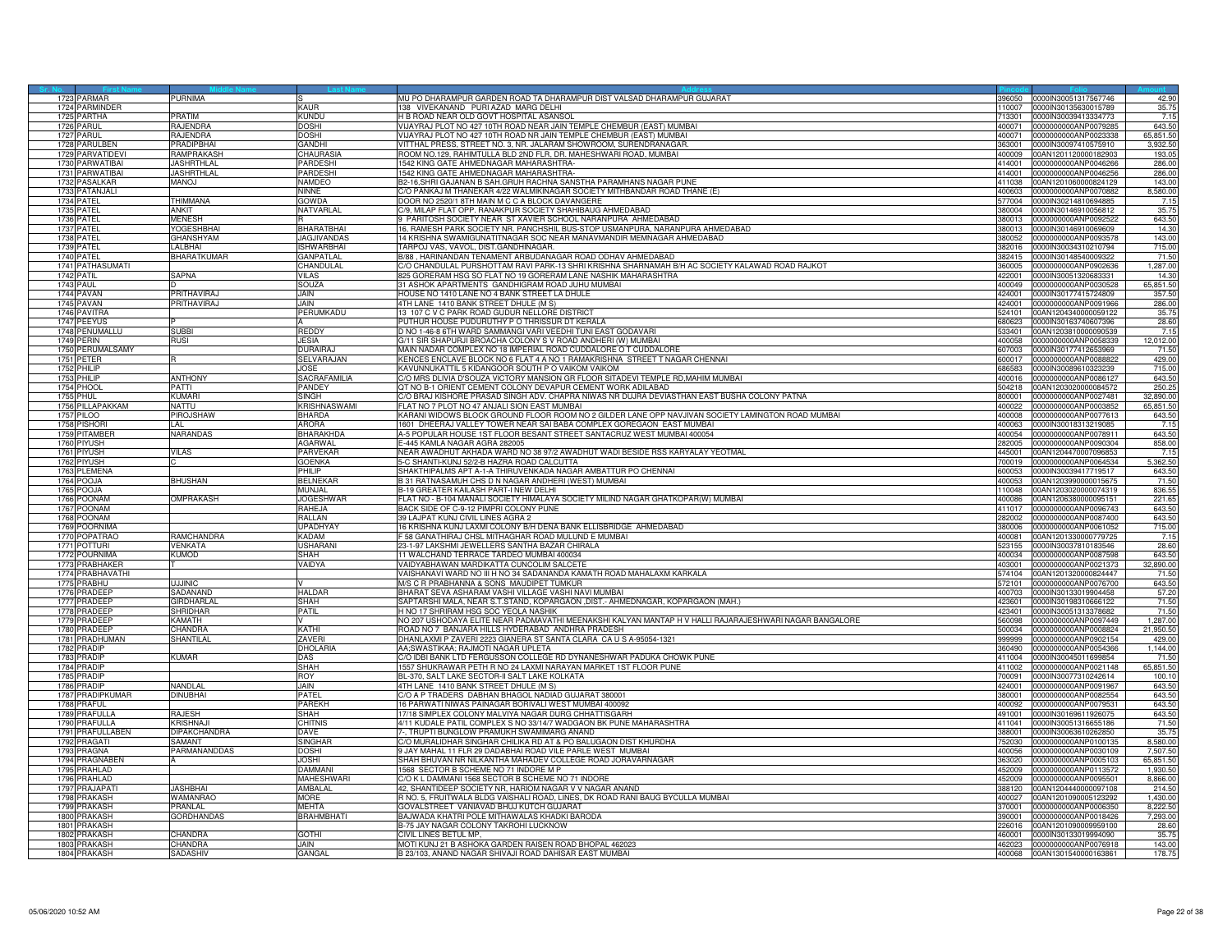| 1723 PARMAR                    | PURNIMA                |                                  | MU PO DHARAMPUR GARDEN ROAD TA DHARAMPUR DIST VALSAD DHARAMPUR GUJARAT                                                        | 396050           | 0000IN30051317567746                                | 42.90                |
|--------------------------------|------------------------|----------------------------------|-------------------------------------------------------------------------------------------------------------------------------|------------------|-----------------------------------------------------|----------------------|
| 1724 PARMINDER                 |                        | <b>KAUR</b>                      | 138 VIVEKANAND PURI AZAD MARG DELHI                                                                                           |                  | 110007 0000IN30135630015789                         | 35.75                |
| 1725 PARTHA<br>1726 PARUL      | PRATIM<br>RAJENDRA     | KUNDU<br>DOSHI                   | H B ROAD NEAR OLD GOVT HOSPITAL ASANSOL<br>VIJAYRAJ PLOT NO 427 10TH ROAD NEAR JAIN TEMPLE CHEMBUR (EAST) MUMBAI              | 713301<br>400071 | 0000IN30039413334773<br>0000000000ANP0079285        | 7.15                 |
| 1727<br>PARUL                  | <b>AJENDRA</b>         | <b>DOSHI</b>                     | /IJAYRAJ PLOT NO 427 10TH ROAD NR JAIN TEMPLE CHEMBUR (EAST) MUMBAI                                                           | 00071            | 000000000ANP0023338                                 | 643.50<br>65,851.50  |
| 1728 PARULBEN                  | PRADIPBHAI             | <b>GANDHI</b>                    | VITTHAL PRESS, STREET NO. 3, NR. JALARAM SHOWROOM, SURENDRANAGAR                                                              | 363001           | 0000IN30097410575910                                | 3,932.50             |
| 1729 PARVATIDEVI               | RAMPRAKASH             | <b>CHAURASI</b>                  | ROOM NO.129, RAHIMTULLA BLD 2ND FLR, DR, MAHESHWARI ROAD, MUMBAI                                                              | 400009           | 00AN1201120000182903                                | 193.05               |
| 1730 PARWATIBAI                | <b>JASHRTHLAL</b>      | PARDESHI                         | 1542 KING GATE AHMEDNAGAR MAHARASHTRA-                                                                                        | 414001           | 0000000000ANP0046266                                | 286.00               |
| 1731 PARWATIBAI                | <b>JASHRTHLAI</b>      | PARDESHI                         | 1542 KING GATE AHMEDNAGAR MAHARASHTRA-                                                                                        | 414001           | 0000000000ANP0046256                                | 286.00               |
| 1732 PASALKAR                  | <b>UONAM</b>           | <b>NAMDEO</b>                    | B2-16, SHRI GAJANAN B SAH. GRUH RACHNA SANSTHA PARAMHANS NAGAR PUNE                                                           | 411038           | 00AN1201060000824129                                | 143.00               |
| 1733 PATANJALI                 |                        | NINNE                            | C/O PANKAJ M THANEKAR 4/22 WALMIKINAGAR SOCIETY MITHBANDAR ROAD THANE (E)                                                     | 400603           | 0000000000ANP0070882                                | 8,580.00             |
| 1734 PATEL                     | THIMMANA               | <b>GOWDA</b>                     | DOOR NO 2520/1 8TH MAIN M C C A BLOCK DAVANGERE                                                                               | 577004           | 0000IN30214810694885                                | 7.15                 |
| 1735 PATEL                     | <b>ANKIT</b>           | NATVARLAL                        | C/9, MILAP FLAT OPP. RANAKPUR SOCIETY SHAHIBAUG AHMEDABAD                                                                     | 380004           | 0000lN30146910056812                                | 35.75                |
| 1736 PATFL                     | <b>MENESH</b>          |                                  | 9 PARITOSH SOCIETY NEAR ST XAVIER SCHOOL NARANPURA AHMEDABAD                                                                  | 380013           | 0000000000ANP0092522                                | 643.50               |
| 1737<br>PATEL<br>1738 PATEL    | YOGESHBHAI             | BHARATBHAI                       | 6, RAMESH PARK SOCIETY NR. PANCHSHIL BUS-STOP USMANPURA, NARANPURA AHMEDABAD                                                  | 30013<br>380052  | 000IN30146910069609                                 | 14.30                |
| 1739 PATEL                     | GHANSHYAM<br>LALBHAI   | JAGJIVANDAS<br><b>ISHWARBHAI</b> | 14 KRISHNA SWAMIGUNATITNAGAR SOC NEAR MANAVMANDIR MEMNAGAR AHMEDABAD<br>TARPOJ VAS, VAVOL, DIST.GANDHINAGAR.                  | 382016           | 0000000000ANP0093578<br>0000IN30034310210794        | 143.00<br>715.00     |
| 1740 PATEL                     | <b>BHARATKUMAR</b>     | <b>GANPATLAL</b>                 | B/88, HARINANDAN TENAMENT ARBUDANAGAR ROAD ODHAV AHMEDABAD                                                                    | 382415           | 0000IN30148540009322                                | 71.50                |
| 1741 PATHASUMATI               |                        | CHANDULAL                        | C/O CHANDULAL PURSHOTTAM RAVI PARK-13 SHRI KRISHNA SHARNAMAH B/H AC SOCIETY KALAWAD ROAD RAJKOT                               | 360005           | 0000000000ANP0902636                                | 1,287.00             |
| 1742 PATIL                     | SAPNA                  | <b>VILAS</b>                     | 825 GORERAM HSG SO FLAT NO 19 GORERAM LANE NASHIK MAHARASHTRA                                                                 | 22001            | 0000IN30051320683331                                | 14.30                |
| <b>1743 PAUL</b>               |                        | <b>SOUZA</b>                     | 31 ASHOK APARTMENTS GANDHIGRAM ROAD JUHU MUMBAI                                                                               | 400049           | 0000000000ANP0030528                                | 65,851.50            |
| 1744 PAVAN                     | PRITHAVIRAJ            | JAIN                             | HOUSE NO 1410 LANE NO 4 BANK STREET LA DHULE                                                                                  | 424001           | 0000IN30177415724809                                | 357.50               |
| 1745 PAVAN                     | PRITHAVIRAJ            | <b>JAIN</b>                      | 4TH LANE 1410 BANK STREET DHULE (M S)                                                                                         | 424001           | 0000000000ANP0091966                                | 286.00               |
| 1746 PAVITRA                   |                        | PERUMKADU                        | 13 107 C V C PARK ROAD GUDUR NELLORE DISTRICT                                                                                 | 24101            | 00AN1204340000059122                                | 35.75                |
| 1747<br><b>PEEYUS</b>          |                        |                                  | PUTHUR HOUSE PUDURUTHY P O THRISSUR DT KERALA                                                                                 | 80623            | 000IN30163740607396                                 | 28.60                |
| 1748 PENUMALLU<br>1749 PERIN   | SUBBI                  | REDDY<br><b>JESIA</b>            | D NO 1-46-8 6TH WARD SAMMANGI VARI VEEDHI TUNI EAST GODAVARI<br>G/11 SIR SHAPURJI BROACHA COLONY S V ROAD ANDHERI (W) MUMBAI  | 533401           | 00AN1203810000090539                                | 7.15                 |
| 1750 PERUMALSAMY               | <b>RUSI</b>            | <b>DURAIRAJ</b>                  | MAIN NADAR COMPLEX NO 18 IMPERIAL ROAD CUDDALORE O T CUDDALORE                                                                | 400058<br>607003 | 0000000000ANP0058339<br>0000lN30177412653969        | 12,012.00<br>71.50   |
| 1751 PETER                     |                        | SELVARAJAN                       | KENCES ENCLAVE BLOCK NO 6 FLAT 4 A NO 1 RAMAKRISHNA STREET T NAGAR CHENNAI                                                    | 600017           | 0000000000ANP0088822                                | 429.00               |
| 1752 PHILIP                    |                        | <b>JOSE</b>                      | KAVUNNUKATTIL 5 KIDANGOOR SOUTH P O VAIKOM VAIKOM                                                                             | 86583            | 0000IN30089610323239                                | 715.00               |
| 1753 PHILIP                    | <b>ANTHONY</b>         | SACRAFAMILIA                     | C/O MRS DLIVIA D'SOUZA VICTORY MANSION GR FLOOR SITADEVI TEMPLE RD, MAHIM MUMBAI                                              | 400016           | 0000000000ANP0086127                                | 643.50               |
| 1754 PHOOL                     | PATTI                  | PANDEY                           | QT NO B-1 ORIENT CEMENT COLONY DEVAPUR CEMENT WORK ADILABAD                                                                   | 504218           | 00AN1203020000084572                                | 250.2                |
| <b>1755 PHUL</b>               | KUMARI                 | <b>SINGH</b>                     | C/O BRAJ KISHORE PRASAD SINGH ADV. CHAPRA NIWAS NR DUJRA DEVIASTHAN EAST BUSHA COLONY PATNA                                   | 800001           | 0000000000ANP0027481                                | 32,890.00            |
| 1756 PILLAPAKKAM               | NATTU                  | <b>KRISHNASWAMI</b>              | FLAT NO 7 PLOT NO 47 ANJALI SION FAST MUMBAL                                                                                  | 400022           | 0000000000ANP0003852                                | 65,851.50            |
| 1757<br>PILOO                  | <b>IROJSHAW</b>        | BHARDA                           | KARANI WIDOWS BLOCK GROUND FLOOR ROOM NO 2 GILDER LANE OPP NAVJIVAN SOCIETY LAMINGTON ROAD MUMBAI                             | 400008           | 0000000000ANP0077613                                | 643.50               |
| 1758 PISHORI                   | IAI                    | <b>ARORA</b>                     | 1601 DHEERAJ VALLEY TOWER NEAR SAI BABA COMPLEX GOREGAON EAST MUMBAI                                                          | 400063           | 0000IN30018313219085                                | 7.15                 |
| 1759 PITAMBER                  | <b>NARANDAS</b>        | BHARAKHD.                        | A-5 POPULAR HOUSE 1ST FLOOR BESANT STREET SANTACRUZ WEST MUMBAI 400054                                                        | 400054           | 0000000000ANP0078911                                | 643.50               |
| 1760 PIYUSH<br>1761 PIYUSH     |                        | <b>AGARWAL</b><br>PARVEKAR       | E-445 KAMLA NAGAR AGRA 282005<br>NEAR AWADHUT AKHADA WARD NO 38 97/2 AWADHUT WADI BESIDE RSS KARYALAY YEOTMAL                 | 282005<br>445001 | 0000000000ANP0090304                                | 858.00               |
| 1762 PIYUSH                    | VILAS                  | GOENKA                           | 5-C SHANTI-KUNJ 52/2-B HAZRA ROAD CALCUTTA                                                                                    | 00019            | 00AN1204470007096853<br>0000000000ANP0064534        | 7.15                 |
| <b>JPLEMENA</b><br>176         |                        | PHILIP                           | SHAKTHIPALMS APT A-1-A THIRUVENKADA NAGAR AMBATTUR PO CHENNAI                                                                 | 600053           | 0000lN30039417719517                                | 5,362.50<br>643.50   |
| 1764 POOJA                     | <b>BHUSHAN</b>         | BELNEKAR                         | 3 31 RATNASAMUH CHS D N NAGAR ANDHERI (WEST) MUMBAI                                                                           | 400053           | 00AN1203990000015675                                | 71.50                |
| 1765 POOJA                     |                        | MUNJAI                           | B-19 GREATER KAILASH PART-I NEW DELHI                                                                                         | 110048           | 00AN1203020000074319                                | 836.55               |
| <b>POONAM</b><br>1766          | <b>MPRAKASH</b>        | <b>JOGESHWAR</b>                 | FLAT NO - B-104 MANALI SOCIETY HIMALAYA SOCIETY MILIND NAGAR GHATKOPAR(W) MUMBAI                                              | 400086           | 00AN1206380000095151                                | 221.65               |
| POONAM<br>1767                 |                        | RAHEJA                           | BACK SIDE OF C-9-12 PIMPRI COLONY PUNE                                                                                        | 411017           | 0000000000ANP0096743                                | 643.50               |
| 1768 POONAM                    |                        | RALLAN                           | 39 LAJPAT KUNJ CIVIL LINES AGRA 2                                                                                             | 282002           | 000000000ANP0087400                                 | 643.50               |
| 1769 POORNIMA                  |                        | UPADHYA'                         | 6 KRISHNA KUNJ LAXMI COLONY B/H DENA BANK ELLISBRIDGE AHMEDABAD                                                               | 380006           | 000000000ANP0061052                                 | 715.00               |
| 1770 POPATRAO                  | RAMCHANDRA             | KADAM                            | F 58 GANATHIRAJ CHSL MITHAGHAR ROAD MULUND E MUMBAI                                                                           | 400081           | 00AN1201330000779725                                | 7.15                 |
| 1771 POTTURI<br>1772 POURNIMA  | VENKATA<br>Kumod       | USHARANI<br>SHAH                 | 23-1-97 LAKSHMI JEWELLERS SANTHA BAZAR CHIRALA                                                                                | 523155<br>400034 | 0000IN30037810183546                                | 28.60                |
| 1773 PRABHAKEF                 |                        | VAIDYA                           | 11 WALCHAND TERRACE TARDEO MUMBAI 400034<br>VAIDYABHAWAN MARDIKATTA CUNCOLIM SALCETE                                          |                  | 0000000000ANP0087598<br>403001 0000000000ANP0021373 | 643.50<br>32,890.00  |
| 1774 PRABHAVATI                |                        |                                  | VAISHANAVI WARD NO III H NO 34 SADANANDA KAMATH ROAD MAHALAXM KARKALA                                                         | 574104           | 00AN1201320000824447                                | 71.50                |
| 1775 PRABHU                    | UJJINIC                |                                  | M/S C R PRABHANNA & SONS MAUDIPET TUMKUR                                                                                      | 572101           | 0000000000ANP0076700                                | 643.50               |
| 1776 PRADEEP                   | SADANAND               | <b>HALDAR</b>                    | BHARAT SEVA ASHARAM VASHI VILLAGE VASHI NAVI MUMBAL                                                                           | 400703           | 0000IN30133019904458                                | 57.20                |
| <b>PRADEEP</b><br>1777         | <b>GIRDHARLAL</b>      | SHAH                             | SAPTARSHI MALA, NEAR S.T.STAND, KOPARGAON ,DIST.- AHMEDNAGAR, KOPARGAON (MAH.)                                                | 423601           | 0000IN30198310666122                                | 71.50                |
| 1778 PRADEEP                   | <b>SHRIDHAR</b>        | PATIL                            | H NO 17 SHRIRAM HSG SOC YEOLA NASHIK                                                                                          | 423401           | 0000IN30051313378682                                | 71.50                |
| 1779 PRADEEP                   | KAMATH                 |                                  | NO 207 USHODAYA ELITE NEAR PADMAVATHI MEENAKSHI KALYAN MANTAP H V HALLI RAJARAJESHWARI NAGAR BANGALORE                        | 560098           | 0000000000ANP0097449                                | 1,287.00             |
| 1780 PRADEEP                   | CHANDRA                | KATHI                            | ROAD NO 7 BANJARA HILLS HYDERABAD ANDHRA PRADESH                                                                              | 500034           | 0000000000ANP0008824                                | 21,950.50            |
| 1781 PRADHUMAN                 | SHANTILAL              | ZAVERI                           | DHANLAXMI P ZAVERI 2223 GIANERA ST SANTA CLARA CA U S A-95054-1321                                                            | 999999           | 0000000000ANP0902154                                | 429.00               |
| 1782 PRADIP<br>1783 PRADIP     | KUMAR                  | DHOLARIA<br><b>DAS</b>           | AA;SWASTIKAA; RAJMOTI NAGAR UPLETA<br>C/O IDBI BANK LTD FERGUSSON COLLEGE RD DYNANESHWAR PADUKA CHOWK PUNE                    | 360490           | 0000000000ANP0054366<br>411004 0000lN30045011699854 | 1,144.00<br>71.5     |
| 1784 PRADIP                    |                        | <b>SHAH</b>                      | 557 SHUKRAWAR PETH R NO 24 LAXMI NARAYAN MARKET 1ST FLOOR PUNE                                                                | 411002           | 0000000000ANP0021148                                | 65,851.50            |
| 1785 PRADIP                    |                        | YOF                              | BL-370, SALT LAKE SECTOR-II SALT LAKE KOLKATA                                                                                 | 700091           | 0000IN30077310242614                                | 100.10               |
| 1786 PRADIP                    | VANDLAL                | JAIN                             | 4TH LANE 1410 BANK STREET DHULE (M S)                                                                                         | 124001           | 0000000000ANP0091967                                | 643.50               |
| PRADIPKUMAR<br>1787            | DINUBHAI               | PATEL                            | C/O A P TRADERS DABHAN BHAGOL NADIAD GUJARAT 380001                                                                           | 380001           | 0000000000ANP0082554                                | 643.50               |
| 1788 PRAFUL                    |                        | <b>PAREKH</b>                    | 16 PARWATI NIWAS PAINAGAR BORIVALI WEST MUMBAI 400092                                                                         | 400092           | 0000000000ANP0079531                                | 643.50               |
| 1789 PRAFULLA                  | RAJESH                 | <b>SHAH</b>                      | 17/18 SIMPLEX COLONY MALVIYA NAGAR DURG CHHATTISGARH                                                                          | 491001           | 0000IN30169611926075                                | 643.50               |
| 1790 PRAFULLA                  | <b>KRISHNAJI</b>       | CHITNIS                          | 4/11 KUDALE PATIL COMPLEX S NO 33/14/7 WADGAON BK PUNE MAHARASHTRA                                                            | 411041           | 0000IN30051316655186                                | 71.50                |
| 1791 PRAFULLABEN               | DIPAKCHANDRA           | <b>DAVE</b>                      | . TRUPTI BUNGLOW PRAMUKH SWAMIMARG ANAND                                                                                      | 388001           | 0000IN30063610262850                                | 35.75                |
| 1792<br>PRAGATI<br>1793 PRAGNA | SAMANT<br>PARMANANDDAS | SINGHAR<br><b>DOSHI</b>          | C/O MURALIDHAR SINGHAR CHILIKA RD AT & PO BALUGAON DIST KHURDHA<br>9 JAY MAHAL 11 FLR 29 DADABHAI ROAD VILE PARLE WEST MUMBAI | 752030           | 0000000000ANP0100135<br>400056 0000000000ANP0030109 | 8,580.00<br>7,507.50 |
| 1794 PRAGNABEI                 |                        | JOSHI                            | SHAH BHUVAN NR NILKANTHA MAHADEV COLLEGE ROAD JORAVARNAGAR                                                                    | 363020           | 0000000000ANP0005103                                | 65,851.50            |
| 1795 PRAHLAD                   |                        | <b>DAMMANI</b>                   | 1568 SECTOR B SCHEME NO 71 INDORE M P                                                                                         | 452009           | 000000000ANP0113572                                 | 1,930.50             |
| 1796<br><b>PRAHLAD</b>         |                        | MAHESHWARI                       | C/O K L DAMMANI 1568 SECTOR B SCHEME NO 71 INDORE                                                                             | 152009           | 0000000000ANP0095501                                | 8,866.00             |
| PRAJAPATI<br>1797              | <b>JASHBHAI</b>        | AMBALAL                          | 42, SHANTIDEEP SOCIETY NR, HARIOM NAGAR V V NAGAR ANAND                                                                       | 388120           | 00AN1204440000097108                                | 214.50               |
| 1798 PRAKASH                   | <b>WAMANRAO</b>        | <b>MORE</b>                      | R NO. 5, FRUITWALA BLDG VAISHALI ROAD, LINES, DK ROAD RANI BAUG BYCULLA MUMBAI                                                |                  | 400027 00AN1201090005123292                         | 1.430.00             |
| 1799 PRAKASH                   | PRANLAL                | <b>MEHTA</b>                     | GOVALSTREET VANIAVAD BHUJ KUTCH GUJARAT                                                                                       | 370001           | 0000000000ANP0006350                                | 8,222.50             |
| 1800 PRAKASH                   | <b>GORDHANDAS</b>      | <b>BRAHMBHATI</b>                | BAJWADA KHATRI POLE MITHAWALAS KHADKI BARODA                                                                                  | 390001           | 000000000ANP0018426                                 | 7,293.00             |
| 1801<br>PRAKASH                |                        |                                  | 3-75 JAY NAGAR COLONY TAKROHI LUCKNOW                                                                                         | 26016            | 00AN1201090009959100                                | 28.60                |
| 1802<br>PRAKASH                | <b>HANDRA</b>          | GOTHI                            | CIVIL LINES BETUL MP                                                                                                          | 460001           | 0000lN30133019994090                                | 35.75                |
| 1803 PRAKASH                   | CHANDRA                | JAIN                             | MOTI KUNJ 21 B ASHOKA GARDEN RAISEN ROAD BHOPAL 462023                                                                        |                  | 462023 0000000000ANP0076918                         | 143.00               |
| 1804 PRAKASH                   | SADASHIV               | GANGAI                           | B 23/103, ANAND NAGAR SHIVAJI ROAD DAHISAR EAST MUMBAI                                                                        |                  | 400068 00AN1301540000163861                         | 178.75               |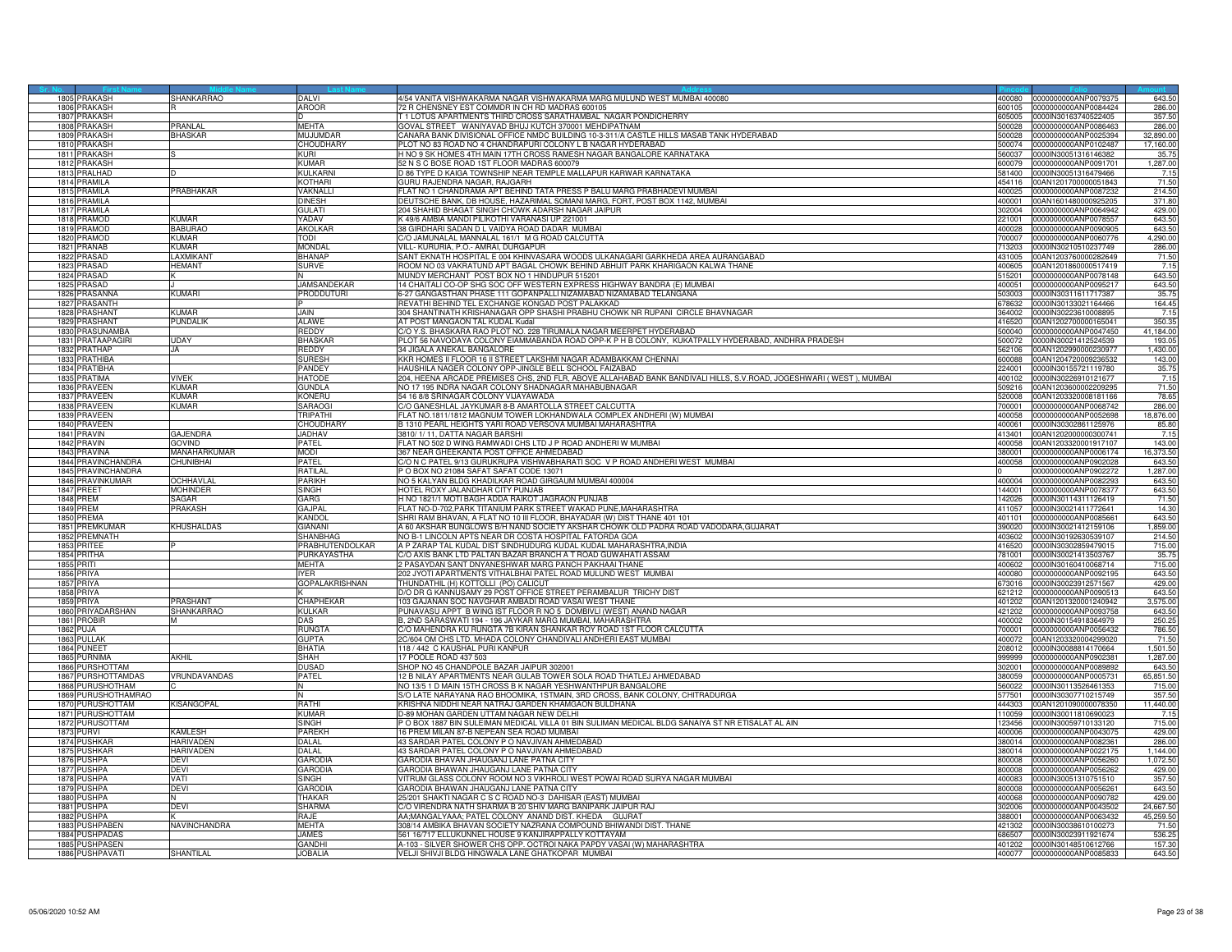| 1805 PRAKASH           | SHANKARRAO       | <b>DAI VI</b>         | 4/54 VANITA VISHWAKARMA NAGAR VISHWAKARMA MARG MULUND WEST MUMBAI 400080                                                     | 400080 0000000000ANP0079375 | 643.50    |
|------------------------|------------------|-----------------------|------------------------------------------------------------------------------------------------------------------------------|-----------------------------|-----------|
| 1806 PRAKASH           |                  | AROOR                 | 72 R CHENSNEY EST COMMDR IN CH RD MADRAS 600105<br>600105                                                                    | 0000000000ANP0084424        | 286.00    |
| 1807 PRAKASH           |                  |                       | [ 1 LOTUS APARTMENTS THIRD CROSS SARATHAMBAL NAGAR PONDICHERRY<br>605005                                                     | 0000IN30163740522405        | 357.50    |
| PRAKASH<br>1808        | PRANI AL         | <b>MEHTA</b>          | GOVAL STREET WANIYAVAD BHUJ KUTCH 370001 MEHDIPATNAM<br>500028                                                               | 0000000000ANP0086463        | 286.00    |
| 1809<br><b>PRAKASH</b> | <b>BHASKAR</b>   | MUJUMDAF              | CANARA BANK DIVISIONAL OFFICE NMDC BUILDING 10-3-311/A CASTLE HILLS MASAB TANK HYDERABAD<br>500028                           | 0000000000ANP0025394        | 32,890.00 |
| 1810 PRAKASH           |                  | CHOUDHARY             | PLOT NO 83 ROAD NO 4 CHANDRAPURI COLONY L B NAGAR HYDERABAD<br>500074                                                        | 0000000000ANP0102487        | 17,160.00 |
| 1811 PRAKASH           |                  | KURI                  | 560037                                                                                                                       |                             |           |
|                        |                  |                       | H NO 9 SK HOMES 4TH MAIN 17TH CROSS RAMESH NAGAR BANGALORE KARNATAKA                                                         | 0000IN30051316146382        | 35.75     |
| 1812 PRAKASH           |                  | KUMAR                 | 52 N S C BOSE ROAD 1ST FLOOR MADRAS 600079<br>600079                                                                         | 0000000000ANP0091701        | 1,287.00  |
| PRALHAD<br>1813        |                  | KULKARNI              | D 86 TYPE D KAIGA TOWNSHIP NEAR TEMPLE MALLAPUR KARWAR KARNATAKA<br>581400                                                   | 0000IN30051316479466        | 7.15      |
| 1814 PRAMILA           |                  | KOTHARI               | GURU RAJENDRA NAGAR, RAJGARH<br>454116                                                                                       | 00AN1201700000051843        | 71.50     |
| 1815 PRAMILA           | PRABHAKAR        | VAKNALLI              | FLAT NO 1 CHANDRAMA APT BEHIND TATA PRESS P BALU MARG PRABHADEVI MUMBAI<br>400025                                            | 0000000000ANP0087232        | 214.50    |
| 1816 PRAMILA           |                  | DINESH                | DEUTSCHE BANK, DB HOUSE, HAZARIMAL SOMANI MARG, FORT, POST BOX 1142, MUMBAI<br>400001                                        | 00AN1601480000925205        | 371.80    |
| 1817<br><b>PRAMILA</b> |                  | GULATI                | 204 SHAHID BHAGAT SINGH CHOWK ADARSH NAGAR JAIPUR<br>302004                                                                  | 0000000000ANP0064942        | 429.00    |
| 1818<br><b>RAMOD</b>   | <b>KUMAR</b>     | YADAV                 | <49/6 AMBIA MANDI PILIKOTHI VARANASI UP 221001<br>221001                                                                     | 0000000000ANP0078557        | 643.50    |
| 1819 PRAMOD            | <b>BABURAC</b>   | <b>AKOLKAR</b>        | 38 GIRDHARI SADAN D L VAIDYA ROAD DADAR MUMBAI<br>400028                                                                     | 0000000000ANP0090905        | 643.50    |
|                        |                  |                       |                                                                                                                              |                             |           |
| 1820 PRAMOD            | KUMAR            | TODI                  | C/O JAMUNALAL MANNALAL 161/1 M G ROAD CALCUTTA<br>700007                                                                     | 0000000000ANP0060776        | 4,290.00  |
| 1821 PRANAB            | KIIMAR           | Mondai                | VILL- KURURIA, P.O.- AMRAI, DURGAPUR<br>713203                                                                               | 0000IN30210510237749        | 286.00    |
| 1822 PRASAD            | <b>AXMKANT</b>   | BHANAP                | SANT EKNATH HOSPITAL E 004 KHINVASARA WOODS ULKANAGARI GARKHEDA AREA AURANGABAD<br>431005                                    | 00AN1203760000282649        | 71.50     |
| 1823<br><b>PRASAD</b>  | <b>IEMANT</b>    | <b>SURVE</b>          | ROOM NO 03 VAKRATUND APT BAGAL CHOWK BEHIND ABHIJIT PARK KHARIGAON KALWA THANE<br>400605                                     | 00AN1201860000517419        | 7.15      |
| 1824 PRASAD            |                  |                       | MUNDY MERCHANT POST BOX NO 1 HINDUPUR 515201<br>515201                                                                       | 0000000000ANP0078148        | 643.50    |
| 1825 PRASAD            |                  | JAMSANDEKAR           | 14 CHAITALI CO-OP SHG SOC OFF WESTERN EXPRESS HIGHWAY BANDRA (E) MUMBAI                                                      | 400051 0000000000ANP0095217 | 643.50    |
| 1826 PRASANNA          | <b>KUMARI</b>    | PRODDUTURI            | 6-27 GANGASTHAN PHASE 111 GOPANPALLI NIZAMABAD NIZAMABAD TELANGANA<br>503003                                                 | 0000lN30311611717387        | 35.75     |
| 1827 PRASANTH          |                  |                       | REVATHI BEHIND TEL EXCHANGE KONGAD POST PALAKKAD<br>678632                                                                   | 0000IN30133021164466        | 164.45    |
|                        |                  | <b>JAIN</b>           | 04 SHANTINATH KRISHANAGAR OPP SHASHI PRABHU CHOWK NR RUPANI CIRCLE BHAVNAGAR<br>64002                                        |                             |           |
| 1828<br>PRASHANT       | <b>UMAR</b>      |                       |                                                                                                                              | 0000IN30223610008895        | 7.15      |
| 1829 PRASHANT          | PUNDALIK         | ALAWE                 | AT POST MANGAON TAL KUDAL Kudal<br>416520                                                                                    | 00AN1202700000165041        | 350.35    |
| 1830 PRASUNAMBA        |                  | <b>REDDY</b>          | C/O Y.S. BHASKARA RAO PLOT NO. 228 TIRUMALA NAGAR MEERPET HYDERABAD                                                          | 500040 0000000000ANP0047450 | 41,184.00 |
| 1831 PRATAAPAGIR       | UDAY             | <b>BHASKAF</b>        | PLOT 56 NAVODAYA COLONY EIAMMABANDA ROAD OPP-K P H B COLONY, KUKATPALLY HYDERABAD, ANDHRA PRADESH<br>500072                  | 0000IN30021412524539        | 193.05    |
| 1832 PRATHAP           | JA               | REDDY                 | 34 JIGALA ANEKAL BANGALORE<br>562106                                                                                         | 00AN1202990000230977        | 1,430.00  |
| 1833 PRATHIBA          |                  | <b>SURESH</b>         | KKR HOMES II FLOOR 16 II STREET LAKSHMI NAGAR ADAMBAKKAM CHENNAI<br>00088                                                    | 00AN1204720009236532        | 143.00    |
| 1834 PRATIBHA          |                  | PANDEY                | HAUSHILA NAGER COLONY OPP-JINGLE BELL SCHOOL FAIZABAD<br>224001                                                              | 0000IN30155721119780        | 35.75     |
| 1835 PRATIMA           | VIVEK            | HATODE                | 204, HEENA ARCADE PREMISES CHS, 2ND FLR, ABOVE ALLAHABAD BANK BANDIVALI HILLS, S.V.ROAD, JOGESHWARI (WEST), MUMBAI<br>400102 | 0000IN30226910121677        | 7.15      |
| 1836 PRAVEEN           | KUMAR            | <b>GUNDLA</b>         | NO 17 195 INDRA NAGAR COLONY SHADNAGAR MAHABUBNAGAR<br>509216                                                                | 00AN1203600002209295        | 71.50     |
|                        | KUMAR            |                       |                                                                                                                              |                             |           |
| 1837 PRAVEEN           |                  | Koneru                | 54 16 8/8 SRINAGAR COLONY VIJAYAWADA<br>520008                                                                               | 00AN1203320008181166        | 78.65     |
| 1838<br><b>PRAVEEN</b> | <b>UMAR</b>      | SARAOGI               | CO GANESHLAL JAYKUMAR 8-B AMARTOLLA STREET CALCUTTA<br>00001                                                                 | 0000000000ANP0068742        | 286.00    |
| 1839<br><b>PRAVEEN</b> |                  | <b>TRIPATHI</b>       | FLAT NO.1811/1812 MAGNUM TOWER LOKHANDWALA COMPLEX ANDHERI (W) MUMBAI<br>400058                                              | 0000000000ANP0052698        | 18,876.00 |
| 1840 PRAVEEN           |                  | CHOUDHAI              | B 1310 PEARL HEIGHTS YARI ROAD VERSOVA MUMBAI MAHARASHTRA<br>400061                                                          | 0000IN30302861125976        | 85.80     |
| 1841 PRAVIN            | <b>GAJENDRA</b>  | <b>JADHAV</b>         | 3810/1/11, DATTA NAGAR BARSHI<br>413401                                                                                      | 00AN1202000000300741        | 7.15      |
| 1842 PRAVIN            | <b>GOVIND</b>    | PATFI                 | FLAT NO 502 D WING RAMWADI CHS LTD J P ROAD ANDHERI W MUMBAI<br>400058                                                       | 00AN1203320001917107        | 143.00    |
| 1843 PRAVINA           | MANAHARKUMAR     | NODI                  | <b>867 NEAR GHEEKANTA POST OFFICE AHMEDABAD</b><br>80001                                                                     | 0000000000ANP0006174        | 16,373.50 |
| 1844 PRAVINCHANDRA     | <b>CHUNIBHAI</b> | PATEL                 | C/O N C PATEL 9/13 GURUKRUPA VISHWABHARATI SOC V P ROAD ANDHERI WEST MUMBAI<br>400058                                        | 0000000000ANP0902028        | 643.50    |
| 1845 PRAVINCHANDRA     |                  | RATILAL               | POBOX NO 21084 SAFAT SAFAT CODE 13071                                                                                        | 0000000000ANP0902272        | 1,287.00  |
|                        |                  | PARIKH                |                                                                                                                              |                             |           |
| 1846 PRAVINKUMAR       | OCHHAVLAL        |                       | NO 5 KALYAN BLDG KHADILKAR ROAD GIRGAUM MUMBAI 400004<br>400004                                                              | 0000000000ANP0082293        | 643.50    |
| 1847 PREET             | <b>MOHINDER</b>  | SINGH                 | HOTEL ROXY JALANDHAR CITY PUNJAB<br>144001                                                                                   | 0000000000ANP0078377        | 643.50    |
| <b>1848 PREM</b>       | SAGAR            | GARG                  | H NO 1821/1 MOTI BAGH ADDA RAIKOT JAGRAON PUNJAB<br>42026                                                                    | 0000lN30114311126419        | 71.50     |
| 1849 PREM              | PRAKASH          | <b>GAJPAL</b>         | FLAT NO-D-702, PARK TITANIUM PARK STREET WAKAD PUNE, MAHARASHTRA<br>411057                                                   | 0000IN30021411772641        | 14.30     |
| 1850 PREMA             |                  | Kandol                | SHRI RAM BHAVAN, A FLAT NO 10 III FLOOR, BHAYADAR (W) DIST THANE 401 101<br>401101                                           | 0000000000ANP0085661        | 643.50    |
| 1851 PREMKUMAR         | KHUSHALDAS       | GIANAN                | A 60 AKSHAR BUNGLOWS B/H NAND SOCIETY AKSHAR CHOWK OLD PADRA ROAD VADODARA,GUJARAT<br>390020                                 | 0000IN30021412159106        | 1,859.00  |
| 1852 PREMNATH          |                  | SHANBHAG              | NO B-1 LINCOLN APTS NEAR DR COSTA HOSPITAL FATORDA GOA<br>403602                                                             | 0000IN30192630539107        | 214.50    |
| 1853 PRITEE            |                  | PRABHUTENDOLKAR       | A P ZARAP TAL KUDAL DIST SINDHUDURG KUDAL KUDAL MAHARASHTRA, INDIA<br>116520                                                 | 0000IN30302859479015        | 715.00    |
| 1854 PRITHA            |                  | PURKAYASTHA           | C/O AXIS BANK LTD PALTAN BAZAR BRANCH A T ROAD GUWAHATI ASSAM<br>781001                                                      | 0000IN30021413503767        | 35.75     |
|                        |                  |                       | 2 PASAYDAN SANT DNYANESHWAR MARG PANCH PAKHAAI THANE                                                                         |                             | 715.00    |
| <b>1855 PRITI</b>      |                  | MEHTA                 | 400602                                                                                                                       | 0000IN30160410068714        |           |
| 1856 PRIYA             |                  | IYFR.                 | 202 JYOTI APARTMENTS VITHALBHAI PATEL ROAD MULUND WEST MUMBAI<br>400080                                                      | 0000000000ANP0092195        | 643.50    |
| 1857<br>PRIYA          |                  | <b>GOPALAKRISHNAN</b> | FHUNDATHIL (H) KOTTOLLI (PO) CALICUT<br>673016                                                                               | 0000IN30023912571567        | 429.00    |
| 1858<br>PRIYA          |                  |                       | D/O DR G KANNUSAMY 29 POST OFFICE STREET PERAMBALUR TRICHY DIST<br>21212                                                     | 0000000000ANP0090513        | 643.5     |
| 1859 PRIYA             | PRASHANT         | CHAPHEKAR             | 103 GAJANAN SOC NAVGHAR AMBADI ROAD VASAI WEST THANE<br>401202                                                               | 00AN1201320001240942        | 3,575.00  |
| 1860 PRIYADARSHAN      | SHANKARRAO       | KULKAR                | PUNAVASU APPT B WING IST FLOOR R NO 5 DOMBIVLI (WEST) ANAND NAGAR<br>421202                                                  | 0000000000ANP0093758        | 643.50    |
| 1861 PROBIR            |                  | DAS                   | B, 2ND SARASWATI 194 - 196 JAYKAR MARG MUMBAI, MAHARASHTRA<br>400002                                                         | 0000IN30154918364979        | 250.25    |
| 1862 PUJA              |                  | RUNGTA                | C/O MAHENDRA KU RUNGTA 7B KIRAN SHANKAR ROY ROAD 1ST FLOOR CALCUTTA<br>700001                                                | 0000000000ANP0056432        | 786.50    |
| 1863 PULLAK            |                  | <b>GUPTA</b>          | 2C/604 OM CHS LTD. MHADA COLONY CHANDIVALI ANDHERI EAST MUMBAI<br>400072                                                     | 00AN1203320004299020        | 71.50     |
| 1864 PUNEET            |                  | RHATIA                | 118 / 442 C KAUSHAL PURI KANPUR<br>208012                                                                                    |                             | 1,501.50  |
|                        |                  |                       |                                                                                                                              | 0000IN30088814170664        |           |
| 1865 PURNIMA           | <b>AKHIL</b>     | SHAH                  | 17 POOLE ROAD 437 503<br>399999                                                                                              | 0000000000ANP0902381        | 1,287.00  |
| 1866 PURSHOTTAM        |                  | DUSAD                 | SHOP NO 45 CHANDPOLE BAZAR JAIPUR 302001<br>302001                                                                           | 0000000000ANP0089892        | 643.50    |
| 1867 PURSHOTTAMDAS     | VRUNDAVANDAS     | PATFI                 | 12 B NILAY APARTMENTS NEAR GULAB TOWER SOLA ROAD THATLEJ AHMEDABAD<br>380059                                                 | 0000000000ANP0005731        | 65,851.50 |
| 1868 PURUSHOTHAM       |                  |                       | NO 13/5 1 D MAIN 15TH CROSS B K NAGAR YESHWANTHPUR BANGALORE<br>560022                                                       | 0000lN30113526461353        | 715.00    |
| 1869 PURUSHOTHAMRAO    |                  | N                     | S/O LATE NARAYANA RAO BHOOMIKA, 1STMAIN, 3RD CROSS, BANK COLONY, CHITRADURGA<br>577501                                       | 0000IN30307710215749        | 357.50    |
| 1870 PURUSHOTTAM       | KISANGOPAL       | RATHI                 | KRISHNA NIDDHI NEAR NATRAJ GARDEN KHAMGAON BULDHANA<br>444303                                                                | 00AN1201090000078350        | 11,440.00 |
| 1871 PURUSHOTTAM       |                  | KUMAR                 | D-89 MOHAN GARDEN UTTAM NAGAR NEW DELHI<br>110059                                                                            | 0000IN30011810690023        | 7.15      |
| 1872 PURUSOTTAM        |                  | SINGH                 | P O BOX 1887 BIN SULEIMAN MEDICAL VILLA 01 BIN SULIMAN MEDICAL BLDG SANAIYA ST NR ETISALAT AL AIN<br>123456                  | 0000IN30059710133120        | 715.00    |
|                        |                  |                       |                                                                                                                              |                             |           |
| 1873 PURVI             | KAMLESH          | PAREKH                | 16 PREM MILAN 87-B NEPEAN SEA ROAD MUMBAI<br>400006                                                                          | 0000000000ANP0043075        | 429.00    |
| 1874 PUSHKAR           | <b>HARIVADEN</b> | DALAL                 | 43 SARDAR PATEL COLONY P O NAVJIVAN AHMEDABAD                                                                                | 380014 0000000000ANP0082361 | 286.00    |
| 1875 PUSHKAR           | HARIVADEN        | DALAL                 | 43 SARDAR PATEL COLONY P O NAVJIVAN AHMEDABAD<br>380014                                                                      | 0000000000ANP0022175        | 1,144.00  |
| 1876 PUSHPA            | DEVI             | <b>GARODIA</b>        | GARODIA BHAVAN JHAUGANJ LANE PATNA CITY<br>800008                                                                            | 0000000000ANP0056260        | 1,072.50  |
| 1877<br><b>PUSHPA</b>  | DEVI             | <b>GARODIA</b>        | GARODIA BHAWAN JHAUGANJ LANE PATNA CITY<br>800008                                                                            | 0000000000ANP0056262        | 429.00    |
| 1878 PUSHPA            | VATI             | SINGH                 | VITRUM GLASS COLONY ROOM NO 3 VIKHROLI WEST POWAI ROAD SURYA NAGAR MUMBAI<br>400083                                          | 0000IN30051310751510        | 357.50    |
| 1879 PUSHPA            | <b>DEVI</b>      | <b>GARODIA</b>        | GARODIA BHAWAN JHAUGANJ LANE PATNA CITY<br>800008                                                                            | 0000000000ANP0056261        | 643.50    |
| 1880 PUSHPA            |                  | THAKAR                | 25/201 SHAKTI NAGAR C S C ROAD NO-3 DAHISAR (EAST) MUMBAI<br>400068                                                          | 0000000000ANP0090782        | 429.00    |
| 1881 PUSHPA            | DFVI             | SHARMA                | C/O VIRENDRA NATH SHARMA B 20 SHIV MARG BANIPARK JAIPUR RAJ<br>302006                                                        | 0000000000ANP0043502        | 24,667.50 |
|                        |                  |                       |                                                                                                                              |                             |           |
| 1882<br>PUSHPA         |                  | RAJE                  | AA;MANGALYAAA; PATEL COLONY ANAND DIST. KHEDA GUJRAT<br>88001                                                                | 0000000000ANP0063432        | 45,259.50 |
| 1883 PUSHPABEN         | NAVINCHANDRA     | MEHTA                 | 308/14 AMBIKA BHAVAN SOCIETY NAZRANA COMPOUND BHIWANDI DIST. THANE<br>421302                                                 | 0000IN30038610100273        | 71.50     |
| 1884 PUSHPADAS         |                  | <b>JAMES</b>          | 561 16/717 ELLUKUNNEL HOUSE 9 KANJIRAPPALLY KOTTAYAM<br>686507                                                               | 0000IN30023911921674        | 536.25    |
| 1885 PUSHPASEN         |                  | GANDHI                | A-103 - SILVER SHOWER CHS OPP. OCTROI NAKA PAPDY VASAI (W) MAHARASHTRA<br>401202                                             | 0000IN30148510612766        | 157.30    |
| 1886 PUSHPAVATI        | SHANTILAL        | <b>JOBALIA</b>        | VELJI SHIVJI BLDG HINGWALA LANE GHATKOPAR MUMBAI                                                                             | 400077 0000000000ANP0085833 | 643.50    |
|                        |                  |                       |                                                                                                                              |                             |           |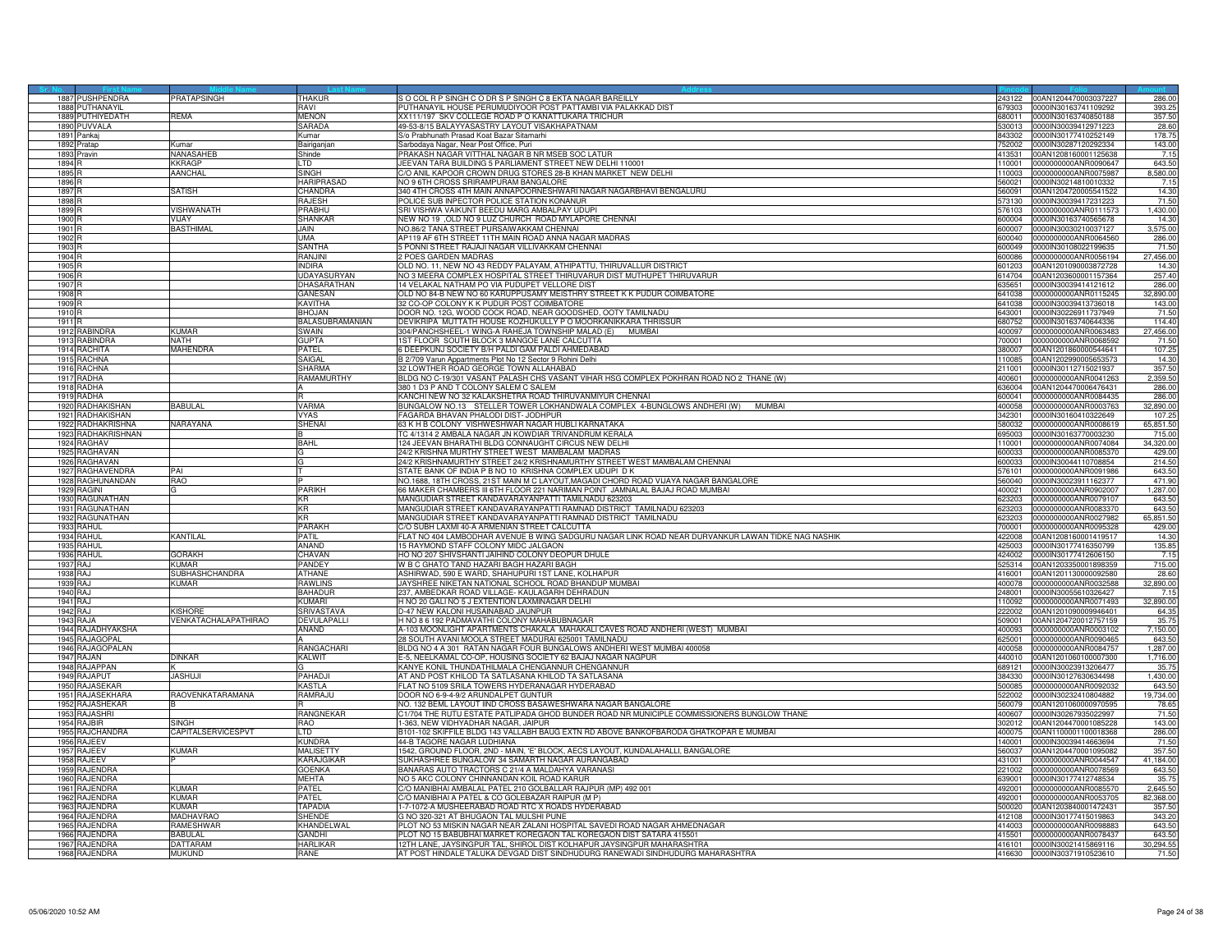|                   | 1887 PUSHPENDRA            | PRATAPSINGH              | THAKUR                 | S O COL R P SINGH C O DR S P SINGH C 8 EKTA NAGAR BAREILLY                                        | 243122 | 00AN1204470003037227                         | 286.00    |
|-------------------|----------------------------|--------------------------|------------------------|---------------------------------------------------------------------------------------------------|--------|----------------------------------------------|-----------|
| 1888              | PUTHANAYIL                 |                          | RAVI                   | PUTHANAYIL HOUSE PERUMUDIYOOR POST PATTAMBI VIA PALAKKAD DIST                                     |        | 679303 0000IN30163741109292                  | 393.25    |
| 1889              | PUTHIYEDATH                | REMA                     | <b>MENON</b>           | XX111/197 SKV COLLEGE ROAD P O KANATTUKARA TRICHUR                                                | 680011 | 0000IN30163740850188                         | 357.50    |
| 1890              | PUVVALA                    |                          | SARADA                 | 49-53-8/15 BALAYYASASTRY LAYOUT VISAKHAPATNAM                                                     | 30013  | 0000IN30039412971223                         | 28.60     |
| 1891              | ankaj                      |                          | <b>Kumar</b>           | % Prabhunath Prasad Koat Bazar Sitamarhi                                                          | 43302  | 000IN30177410252149                          | 178.7     |
| 1892              | ratap                      | Kumai                    | Bairiganjar            | Sarbodaya Nagar, Near Post Office, Puri                                                           | 752002 | 0000IN30287120292334                         | 143.00    |
| 1893              | ravin                      | NANASAHEE                | Shinde                 | PRAKASH NAGAR VITTHAL NAGAR B NR MSEB SOC LATUR                                                   | 413531 | 00AN1208160001125638                         | 7.15      |
| 1894              |                            | <b>KKRAGP</b>            | <b>LTD</b>             | JEEVAN TARA BUILDING 5 PARLIAMENT STREET NEW DELHI 110001                                         | 110001 | 0000000000ANR0090647                         | 643.50    |
| 1895 <sup>F</sup> |                            | AANCHAL                  | <b>SINGH</b>           | C/O ANIL KAPOOR CROWN DRUG STORES 28-B KHAN MARKET NEW DELHI                                      | 110003 | 000000000ANR0075987                          | 8,580.00  |
| 1896              |                            |                          | HARIPRASAD             | <b>VO 9 6TH CROSS SRIRAMPURAM BANGALORE</b>                                                       | 60021  | 0000lN30214810010332                         | 7.15      |
| 1897              |                            | <b>ATISH</b>             | CHANDRA                | 340 4TH CROSS 4TH MAIN ANNAPOORNESHWARI NAGAR NAGARBHAVI BENGALURU                                | 560091 | 00AN1204720005541522                         | 14.30     |
| 1898              |                            |                          | RAJESH                 | POLICE SUB INPECTOR POLICE STATION KONANUR                                                        |        | 573130 0000IN30039417231223                  | 71.50     |
| 1899              |                            | VISHWANATH               | PRABHU                 | SRI VISHWA VAIKUNT BEEDU MARG AMBALPAY UDUPI                                                      |        | 576103 0000000000ANR0111573                  | 1,430.00  |
| 1900 F            |                            | VIJAY                    | <b>SHANKAR</b>         | NEW NO 19 ,OLD NO 9 LUZ CHURCH ROAD MYLAPORE CHENNAI                                              | 600004 | 0000IN30163740565678                         | 14.30     |
| 1901              |                            | <b>ASTHIMAL</b>          | <b>JAIN</b>            | <b>IO.86/2 TANA STREET PURSAIWAKKAM CHENNAI</b>                                                   | 00007  | 0000IN30030210037127                         | 3,575.00  |
| 1902              |                            |                          | <b>IIMA</b>            | AP119 AF 6TH STREET 11TH MAIN ROAD ANNA NAGAR MADRAS                                              | 600040 | 0000000000ANR0064560                         | 286.00    |
| 1903              |                            |                          | SANTHA                 | 5 PONNI STREET RAJAJI NAGAR VILLIVAKKAM CHENNAI                                                   | 600049 | 0000IN30108022199635                         | 71.50     |
| 1904              |                            |                          | RANJINI                | 2 POES GARDEN MADRAS                                                                              | 600086 | 0000000000ANR0056194                         | 27,456.00 |
| 1905 F            |                            |                          | <b>INDIRA</b>          | OLD NO. 11, NEW NO 43 REDDY PALAYAM, ATHIPATTU, THIRUVALLUR DISTRICT                              | 601203 | 00AN1201090003872728                         | 14.30     |
| 1906              |                            |                          | <b>UDAYASURYAN</b>     | NO 3 MEERA COMPLEX HOSPITAL STREET THIRUVARUR DIST MUTHUPET THIRUVARUR                            | 14704  | 00AN1203600001157364                         | 257.40    |
| 1907              |                            |                          | DHASARATHAN            | 14 VELAKAL NATHAM PO VIA PUDUPET VELLORE DIST                                                     | 335651 | 0000IN30039414121612                         | 286.00    |
| 1908              |                            |                          | GANESAN                | OLD NO 84-B NEW NO 60 KARUPPUSAMY MEISTHRY STREET K K PUDUR COIMBATORE                            | 641038 | 0000000000ANR0115245                         | 32,890.00 |
| 1909              |                            |                          | KAVITHA                | 32 CO-OP COLONY K K PUDUR POST COIMBATORE                                                         | 641038 | 0000IN30039413736018                         | 143.00    |
| 1910              |                            |                          | BHOJAN                 | DOOR NO. 12G, WOOD COCK ROAD, NEAR GOODSHED, OOTY TAMILNADU                                       | 643001 | 0000IN30226911737949                         | 71.50     |
| 191               |                            |                          | <b>BALASUBRAMANIAN</b> | DEVIKRIPA MUTTATH HOUSE KOZHUKULLY P O MOORKANIKKARA THRISSL                                      | 80752  |                                              | 114.40    |
| 1912              | <b>RABINDRA</b>            | ∕IIMAR                   | SWAIN                  | 304/PANCHSHEEL-1 WING-A RAHEJA TOWNSHIP MALAD (E) MUMBAI                                          | 400097 | 0000IN30163740644336<br>0000000000ANR0063483 | 27,456.00 |
| 191               | RABINDRA                   | <b>NATH</b>              | <b>GUPTA</b>           | 1ST FLOOR SOUTH BLOCK 3 MANGOE LANE CALCUTTA                                                      |        |                                              | 71.50     |
|                   |                            |                          |                        |                                                                                                   | 700001 | 0000000000ANR0068592                         |           |
|                   | 1914 RACHITA               | MAHENDRA                 | PATEL                  | 6 DEEPKUNJ SOCIETY B/H PALDI GAM PALDI AHMEDABAD                                                  | 380007 | 00AN1201860000544641                         | 107.25    |
| 1915              | <b>RACHNA</b>              |                          | SAIGAL                 | B 2/709 Varun Appartments Plot No 12 Sector 9 Rohini Delhi                                        | 110085 | 00AN1202990005653573                         | 14.30     |
| 191               | RACHNA                     |                          | <b>SHARMA</b>          | 32 LOWTHER ROAD GEORGE TOWN ALLAHABAD                                                             | 11001  | 0000lN30112715021937                         | 357.50    |
| 191               | RADHA                      |                          | RAMAMURTHY             | BLDG NO C-19/301 VASANT PALASH CHS VASANT VIHAR HSG COMPLEX POKHRAN ROAD NO 2 THANE (W)           | 400601 | 0000000000ANR0041263                         | 2,359.50  |
| 191               | <b>ADHA</b>                |                          |                        | 380 1 D3 P AND T COLONY SALEM C SALEM                                                             | 36004  | 00AN1204470006476431                         | 286.00    |
| 1919              | RADHA                      |                          |                        | KANCHI NEW NO 32 KALAKSHETRA ROAD THIRUVANMIYUR CHENNAI                                           | 600041 | 0000000000ANR0084435                         | 286.00    |
| 192               | <b>ADHAKISHAN</b>          | <b>BABULAL</b>           | VARMA                  | BUNGALOW NO.13 STELLER TOWER LOKHANDWALA COMPLEX 4-BUNGLOWS ANDHERI (W) MUMBAI                    | 100058 | 0000000000ANR0003763                         | 32,890.00 |
| 192               | RADHAKISHAN                |                          | <b>VYAS</b>            | FAGARDA BHAVAN PHALODI DIST- JODHPUR                                                              | 342301 | 0000lN30160410322649                         | 107.25    |
| 192               | RADHAKRISHNA               | VARAYANA                 | SHENAI                 | 63 K H B COLONY VISHWESHWAR NAGAR HUBLI KARNATAKA                                                 | 580032 | 0000000000ANR0008619                         | 65,851.50 |
| 192               | RADHAKRISHNAN              |                          |                        | TC 4/1314 2 AMBALA NAGAR JN KOWDIAR TRIVANDRUM KERALA                                             | 395003 | 0000IN30163770003230                         | 715.00    |
| 1924              | RAGHAV                     |                          | BAHL                   | 124 JEEVAN BHARATHI BLDG CONNAUGHT CIRCUS NEW DELHI                                               | 110001 | 0000000000ANR0074084                         | 34,320.00 |
| 1925              | <b>AGHAVAN</b>             |                          |                        | 24/2 KRISHNA MURTHY STREET WEST MAMBALAM MADRAS                                                   | 600033 | 0000000000ANR0085370                         | 429.00    |
| 1926              | RAGHAVAN                   |                          |                        | 24/2 KRISHNAMURTHY STREET 24/2 KRISHNAMURTHY STREET WEST MAMBALAM CHENNAI                         | 600033 | 0000IN30044110708854                         | 214.50    |
| 192               | RAGHAVENDR/                | PAI                      |                        | STATE BANK OF INDIA P B NO 10 KRISHNA COMPLEX UDUPI D K                                           | 576101 | 0000000000ANR0091986                         | 643.50    |
| 192               | RAGHUNANDAN                | RAO                      |                        | NO.1688, 18TH CROSS, 21ST MAIN M C LAYOUT,MAGADI CHORD ROAD VIJAYA NAGAR BANGALORE                | 560040 | 0000IN30023911162377                         | 471.90    |
| 1929              | RAGINI                     |                          | <b>PARIKH</b>          | 66 MAKER CHAMBERS III 6TH FLOOR 221 NARIMAN POINT JAMNALAL BAJAJ ROAD MUMBAI                      | 400021 | 0000000000ANR0902007                         | 1,287.00  |
| 1930              | <b>AGUNATHAN</b>           |                          | KR                     | AANGUDIAR STREET KANDAVARAYANPATTI TAMILNADU 623203                                               | :23203 | 0000000000ANR0079107                         | 643.50    |
| 1931              | RAGUNATHAN                 |                          | KR                     | MANGUDIAR STREET KANDAVARAYANPATTI RAMNAD DISTRICT TAMILNADU 623203                               | 323203 | 0000000000ANR0083370                         | 643.50    |
| 1932              | RAGUNATHAN                 |                          | KR                     | MANGUDIAR STREET KANDAVARAYANPATTI RAMNAD DISTRICT TAMILNADU                                      | 623203 | 0000000000ANR0027982                         | 65,851.50 |
| 193               | RAHUL                      |                          | PARAKH                 | C/O SUBH LAXMI 40-A ARMENIAN STREET CALCUTTA                                                      | '00001 | 0000000000ANR0095328                         | 429.00    |
|                   | 1934 RAHUL                 | <b>KANTILAL</b>          | PATIL                  | FLAT NO 404 LAMBODHAR AVENUE B WING SADGURU NAGAR LINK ROAD NEAR DURVANKUR LAWAN TIDKE NAG NASHIK | 422008 | 00AN1208160001419517                         | 14.30     |
| 193               | <b>AHUL</b>                |                          | ANAND                  | 15 RAYMOND STAFF COLONY MIDC JALGAON                                                              | 425003 | 0000IN30177416350799                         | 135.85    |
| 1936              | RAHUL                      | <b>GORAKH</b>            | CHAVAN                 | HO NO 207 SHIVSHANTI JAIHIND COLONY DEOPUR DHULE                                                  | 424002 | 0000lN30177412606150                         | 7.15      |
|                   | 1937 RAJ                   | KUMAR                    | PANDEY                 | W B C GHATO TAND HAZARI BAGH HAZARI BAGH                                                          |        | 525314 00AN1203350001898359                  | 715.00    |
| 1938              | RAJ                        | <b>JUBHASHCHANDRA</b>    | <b>ATHANE</b>          | ASHIRWAD, 590 E WARD, SHAHUPURI 1ST LANE, KOLHAPUR                                                | 416001 | 00AN1201130000092580                         | 28.60     |
| 1939              | ۱A۱                        | (UMAR                    | RAWLINS                | JAYSHREE NIKETAN NATIONAL SCHOOL ROAD BHANDUP MUMBAI                                              | 400078 | 0000000000ANR0032588                         | 32,890.00 |
| 1940              | :AJ                        |                          | BAHADUR                | 237, AMBEDKAR ROAD VILLAGE- KAULAGARH DEHRADUN                                                    | 48001  | 0000IN30055610326427                         | 7.15      |
| 1941              | RAJ                        |                          | <b>KUMARI</b>          | H NO 20 GALI NO 5 J EXTENTION LAXMINAGAR DELHI                                                    | 110092 | 0000000000ANR0071493                         | 32,890.00 |
|                   | 1942 RAJ                   | <b>KISHORE</b>           | <b>SRIVASTAVA</b>      | D-47 NEW KALONI HUSAINABAD JAUNPUR                                                                | 222002 | 00AN1201090009946401                         | 64.35     |
|                   | 1943 RAJA                  | VENKATACHALAPATHIRAO     | DEVULAPALLI            | H NO 8 6 192 PADMAVATHI COLONY MAHABUBNAGAR                                                       | 509001 | 00AN1204720012757159                         | 35.75     |
|                   | 1944 RAJADHYAKSHA          |                          | <b>ANAND</b>           | A-103 MOONLIGHT APARTMENTS CHAKALA MAHAKALI CAVES ROAD ANDHERI (WEST) MUMBAL                      | 400093 | 0000000000ANR0003102                         | 7,150.00  |
| 1945              | <b>AJAGOPAL</b>            |                          |                        | 28 SOUTH AVANI MOOLA STREET MADURAI 625001 TAMILNADU                                              | 25001  | 0000000000ANR0090465                         | 643.50    |
| 1946              | RAJAGOPALAN                |                          | RANGACHARI             | BLDG NO 4 A 301 RATAN NAGAR FOUR BUNGALOWS ANDHERI WEST MUMBAI 400058                             | 400058 | 0000000000ANR0084757                         | 1,287.00  |
| 1947              | RAJAN                      | Dinkar                   | <b>KALWIT</b>          | E-5. NEELKAMAL CO-OP. HOUSING SOCIETY 62 BAJAJ NAGAR NAGPUR                                       |        | 440010 00AN1201060100007300                  | 1.716.00  |
|                   | 1948 RAJAPPAN              |                          |                        | KANYE KONIL THUNDATHILMALA CHENGANNUR CHENGANNUR                                                  | 689121 | 0000IN30023913206477                         | 35.75     |
| 1949              | RAJAPUT                    | JASHUJI                  | PAHAD.II               | AT AND POST KHILOD TA SATLASANA KHILOD TA SATLASANA                                               | 384330 | 0000IN30127630634498                         | 1,430.00  |
| 195               | <b>AJASEKAR</b>            |                          | KASTLA                 | LAT NO 5109 SRILA TOWERS HYDERANAGAR HYDERABAD                                                    | 00085  | 0000000000ANR0092032                         | 643.5     |
| 1951              | RAJASEKHAR/                | RAOVENKATARAMANA         | RAMRAJU                | DOOR NO 6-9-4-9/2 ARUNDALPET GUNTUR                                                               | 522002 | 0000IN30232410804882                         | 19,734.00 |
| 1952              | RAJASHEKAR                 |                          |                        | NO. 132 BEML LAYOUT IIND CROSS BASAWESHWARA NAGAR BANGALORE                                       | 560079 | 00AN1201060000970595                         | 78.65     |
| 1953              | RAJASHRI                   |                          | <b>RANGNEKAR</b>       | C1/704 THE RUTU ESTATE PATLIPADA GHOD BUNDER ROAD NR MUNICIPLE COMMISSIONERS BUNGLOW THANE        | 400607 | 0000IN30267935022997                         | 71.50     |
|                   | 1954 RAJBIR                | <b>SINGH</b>             | <b>RAO</b>             | 1-363, NEW VIDHYADHAR NAGAR, JAIPUR                                                               | 302012 | 00AN1204470001085228                         | 143.00    |
| 195               | <b>AJCHANDRA</b>           | <b>APITALSERVICESPVT</b> | <b>LTD</b>             | B101-102 SKIFFILE BLDG 143 VALLABH BAUG EXTN RD ABOVE BANKOFBARODA GHATKOPAR E MUMBAI             | .00075 | 00AN1100001100018368                         | 286.00    |
| 1956              | RAJEEV                     |                          | <b>KUNDRA</b>          | 44-B TAGORE NAGAR LUDHIANA                                                                        | 140001 | 0000IN30039414663694                         | 71.50     |
| 1957              | RAJEEV                     | (UMAR                    | MALISETTY              | 1542, GROUND FLOOR, 2ND - MAIN, 'E' BLOCK, AECS LAYOUT, KUNDALAHALLI, BANGALORE                   | 560037 | 00AN1204470001095082                         | 357.50    |
| 1958              | RAJEEV                     |                          | <b>KARAJGIKAF</b>      | SUKHASHREE BUNGALOW 34 SAMARTH NAGAR AURANGABAD                                                   | 431001 | 0000000000ANR0044547                         | 41,184.00 |
| 1959              | <b>AJENDRA</b>             |                          | GOENKA                 | 3ANARAS AUTO TRACTORS C 21/4 A MALDAHYA VARANASI                                                  | 221002 | 0000000000ANR0078569                         | 643.50    |
| 196               |                            |                          | <b>MEHTA</b>           |                                                                                                   | 39001  |                                              |           |
|                   | AJENDRA<br><b>RAJENDRA</b> | <b>KIMAR</b>             | PATEL                  | NO 5 AKC COLONY CHINNANDAN KOIL ROAD KARUR                                                        |        | 0000IN30177412748534                         | 35.7      |
| 1961              |                            |                          |                        | C/O MANIBHAI AMBALAL PATEL 210 GOLBALLAR RAJPUR (MP) 492 001                                      | 492001 | 0000000000ANR0085570                         | 2,645.50  |
| 1962              | <b>AJENDRA</b>             | <b>KUMAR</b>             | PATEL                  | C/O MANIBHAI A PATEL & CO GOLEBAZAR RAIPUR (M P)                                                  | 492001 | 0000000000ANR0053705                         | 82,368.00 |
| 1963              | RAJENDRA                   | <b>KUMAR</b>             | <b>TAPADIA</b>         | 1-7-1072-A MUSHEERABAD ROAD RTC X ROADS HYDERABAD                                                 | 500020 | 00AN1203840001472431                         | 357.50    |
|                   | 1964 RAJENDRA              | <b>MADHAVRAO</b>         | <b>SHENDE</b>          | G NO 320-321 AT BHUGAON TAL MULSHI PUNE                                                           | 412108 | 0000IN30177415019863                         | 343.20    |
| 196               | <b>AJENDRA</b>             | RAMESHWAF                | KHANDELWAI             | PLOT NO 53 MISKIN NAGAR NEAR ZALANI HOSPITAL SAVEDI ROAD NAGAR AHMEDNAGAR                         | 414003 | 0000000000ANR009888                          | 643.50    |
| 196               | RAJENDRA                   | RARI II AL               | <b>GANDHI</b>          | PLOT NO 15 BABUBHAI MARKET KOREGAON TAL KOREGAON DIST SATARA 415501                               |        | 415501 0000000000ANR0078437                  | 643.50    |
| 1967              | <b>AJENDRA</b>             | DATTARAM                 | <b>HARLIKAR</b>        | 12TH LANE, JAYSINGPUR TAL, SHIROL DIST KOLHAPUR JAYSINGPUR MAHARASHTRA                            | 416101 | 0000IN30021415869116                         | 30,294.55 |
|                   | 1968 RAJENDRA              | MUKUND                   | RANE                   | AT POST HINDALE TALUKA DEVGAD DIST SINDHUDURG RANEWADI SINDHUDURG MAHARASHTRA                     |        | 416630 0000IN30371910523610                  | 71.50     |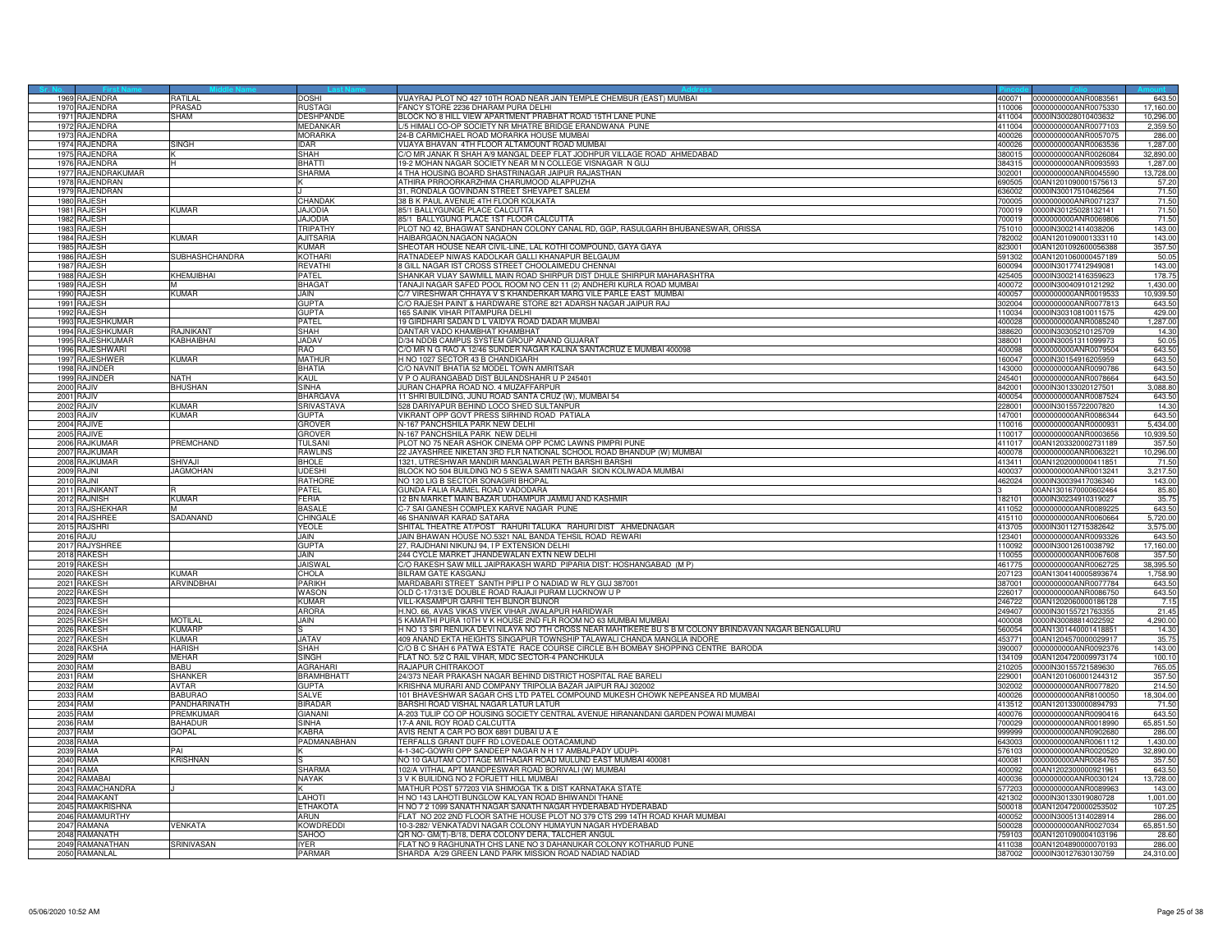| 1969 RAJENDRA<br>1970 RAJENDRA<br><b>PRASAD</b><br>FANCY STORE 2236 DHARAM PURA DELHI<br>17,160.00<br><b>RUSTAGI</b><br>110006<br>0000000000ANR0075330<br>BLOCK NO 8 HILL VIEW APARTMENT PRABHAT ROAD 15TH LANE PUNE<br>1971 RAJENDRA<br><b>HAM</b><br><b>DESHPANDE</b><br>10,296.00<br>411004<br>0000IN30028010403632<br>/5 HIMALI CO-OP SOCIETY NR MHATRE BRIDGE ERANDWANA PUNE<br>1972<br>RAJENDRA<br>MEDANKAR<br>111004<br>000000000ANR0077103<br>2,359.50<br>RAJENDRA<br><b>MORARKA</b><br>24-B CARMICHAEL ROAD MORARKA HOUSE MUMBAI<br>197<br>400026<br>0000000000ANR0057075<br>286.00<br>VIJAYA BHAVAN 4TH FLOOR ALTAMOUNT ROAD MUMBA<br>1,287.00<br>1974<br>RAJENDRA<br>SINGH<br><b>IDAR</b><br>400026<br>0000000000ANR0063536<br>1975 RAJENDRA<br><b>SHAH</b><br>C/O MR JANAK R SHAH A/9 MANGAL DEEP FLAT JODHPUR VILLAGE ROAD AHMEDABAD<br>0000000000ANR0026084<br>32,890.00<br>380015<br><b>BHATTI</b><br>1976 RAJENDRA<br>19-2 MOHAN NAGAR SOCIETY NEAR M N COLLEGE VISNAGAR N GUJ<br>384315<br>0000000000ANR0093593<br>1.287.00<br>н<br>1977 RAJENDRAKUMAR<br>SHARMA<br>4 THA HOUSING BOARD SHASTRINAGAR JAIPUR RAJASTHAN<br>02001<br>0000000000ANR0045590<br>13,728.00<br>57.20<br>1978 RAJENDRAN<br>ATHIRA PRROORKARZHMA CHARUMOOD ALAPPUZHA<br>690505<br>00AN1201090001575613<br>71.50<br>1979 RAJENDRAN<br>31, RONDALA GOVINDAN STREET SHEVAPET SALEM<br>636002 0000IN30017510462564<br>71.50<br>1980 RAJESH<br>CHANDAK<br>38 B K PAUL AVENUE 4TH FLOOR KOLKATA<br>700005<br>0000000000ANR0071237<br>1981 RAJESH<br><b>KUMAR</b><br><b>JAJODIA</b><br>85/1 BALLYGUNGE PLACE CALCUTTA<br>71.50<br>700019 00000030125028132141<br>RAJESH<br><b>JAJODIA</b><br>71.50<br>1982<br>35/1 BALLYGUNG PLACE 1ST FLOOR CALCUTTA<br>00019<br>0000000000ANR006980<br>143.00<br><b>TRIPATHY</b><br>PLOT NO 42, BHAGWAT SANDHAN COLONY CANAL RD, GGP, RASULGARH BHUBANESWAR, ORISSA<br>1983<br><b>RAJESH</b><br>51010<br>0000IN30021414038206<br><b>KUMAR</b><br>1984 RAJESH<br><b>AJITSARIA</b><br>HAIBARGAON, NAGAON NAGAON<br>'82002<br>00AN1201090001333110<br>143.00<br>1985 RAJESH<br>KUMAR<br>SHEOTAR HOUSE NEAR CIVIL-LINE, LAL KOTHI COMPOUND, GAYA GAYA<br>823001<br>00AN1201092600056388<br>357.50<br>1986 RAJESH<br><b>SUBHASHCHANDRA</b><br><b>KOTHARI</b><br>RATNADEEP NIWAS KADOLKAR GALLI KHANAPUR BELGAUM<br>50.05<br>591302<br>00AN1201060000457189<br>RAJESH<br>8 GILL NAGAR IST CROSS STREET CHOOLAIMEDU CHENNAI<br>143.00<br>1987<br><b>REVATHI</b><br>600094<br>0000lN30177412949081<br>SHANKAR VIJAY SAWMILL MAIN ROAD SHIRPUR DIST DHULE SHIRPUR MAHARASHTRA<br>1988 RAJESH<br>KHEMJIBHAI<br><b>PATEL</b><br>425405<br>178.7<br>0000IN30021416359623<br>1989 RAJESH<br><b>BHAGAT</b><br>TANAJI NAGAR SAFED POOL ROOM NO CEN 11 (2) ANDHERI KURLA ROAD MUMBAI<br>1,430.00<br>400072<br>0000lN30040910121292<br>1990 RAJESH<br>KUMAR<br>JAIN<br>C/7 VIRESHWAR CHHAYA V S KHANDERKAR MARG VILE PARLE EAST MUMBAI<br>400057<br>0000000000ANR0019533<br>10,939.50<br>1991 RAJESH<br><b>GUPTA</b><br>C/O RAJESH PAINT & HARDWARE STORE 821 ADARSH NAGAR JAIPUR RAJ<br>643.50<br>0000000000ANR0077813<br>302004<br>1992 RAJESH<br><b>GUPTA</b><br>165 SAINIK VIHAR PITAMPURA DELHI<br>429.00<br>110034<br>0000IN30310810011575<br>1993 RAJESHKUMAR<br>19 GIRDHARI SADAN D L VAIDYA ROAD DADAR MUMBAI<br><b>PATFI</b><br>0000000000ANR0085240<br>1,287.00<br>400028<br>1994 RAJESHKUMAR<br><b>SHAH</b><br>DANTAR VADO KHAMBHAT KHAMBHAT<br>14.30<br><b>A.INIKAN</b><br>388620<br>0000IN30305210125709<br>KABHAIBHAI<br><b>JADAV</b><br>D/34 NDDB CAMPUS SYSTEM GROUP ANAND GUJARAT<br>50.05<br>1995 RAJESHKUMAR<br>388001<br>0000IN30051311099973<br>1996 RAJESHWARI<br>RAO<br>C/O MR N G RAO A 12/46 SUNDER NAGAR KALINA SANTACRUZ E MUMBAI 400098<br>643.50<br>400098<br>0000000000ANR0079504<br>1997 RAJESHWER<br>KUMAR<br><b>MATHUR</b><br>H NO 1027 SECTOR 43 B CHANDIGARH<br>643.50<br>160047<br>0000IN30154916205959<br>1998 RAJINDER<br><b>BHATIA</b><br>C/O NAVNIT BHATIA 52 MODEL TOWN AMRITSAR<br>643.50<br>0000000000ANR0090786<br>143000<br>1999 RAJINDER<br>KAUL<br>V P O AURANGABAD DIST BULANDSHAHR U P 245401<br><b>JATH</b><br>245401<br>0000000000ANR0078664<br>643.50<br>2000 RAJIV<br>SINHA<br>JURAN CHAPRA ROAD NO. 4 MUZAFFARPUR<br>3,088.80<br><b>BHUSHAN</b><br>842001 0000IN30133020127501<br>2001<br>RAJIV<br><b>BHARGAVA</b><br>11 SHRI BUILDING, JUNU ROAD SANTA CRUZ (W), MUMBAI 54<br>643.50<br>400054<br>0000000000ANR0087524<br>RAJIV<br><b>KUMAR</b><br><b>SRIVASTAVA</b><br>528 DARIYAPUR BEHIND LOCO SHED SULTANPUR<br>14.30<br>2002<br>228001<br>0000IN30155722007820<br>2003 RAJIV<br><b>KUMAR</b><br><b>GUPTA</b><br>VIKRANT OPP GOVT PRESS SIRHIND ROAD PATIALA<br>643.5<br>0000000000ANR0086344<br>147001<br>2004 RAJIVE<br>GROVER<br>N-167 PANCHSHILA PARK NEW DELHI<br>5,434.00<br>110016<br>0000000000ANR0000931<br><b>GROVER</b><br>N-167 PANCHSHILA PARK NEW DELHI<br>2005 RAJIVE<br>110017<br>0000000000ANR0003656<br>10,939.50<br><b>PREMCHAND</b><br>2006 RAJKUMAR<br>TULSANI<br>PLOT NO 75 NEAR ASHOK CINEMA OPP PCMC LAWNS PIMPRI PUNE<br>00AN1203320002731189<br>357.50<br>411017<br>2007 RAJKUMAR<br><b>RAWLINS</b><br>22 JAYASHREE NIKETAN 3RD FLR NATIONAL SCHOOL ROAD BHANDUP (W) MUMBAI<br>400078<br>0000000000ANR0063221<br>10,296.00<br>2008 RAJKUMAR<br><b>BHOLE</b><br>1321, UTRESHWAR MANDIR MANGALWAR PETH BARSHI BARSHI<br>71.50<br>SHIVA.II<br>413411 00AN1202000000411851<br>2009 RAJNI<br><b>JAGMOHAN</b><br>UDESHI<br>BLOCK NO 504 BUILDING NO 5 SEWA SAMITI NAGAR SION KOLIWADA MUMBAI<br>400037<br>0000000000ANR0013241<br>3,217.50<br>2010 RAJNI<br><b>RATHORE</b><br>NO 120 LIG B SECTOR SONAGIRI BHOPAL<br>0000IN30039417036340<br>143.00<br>462024<br>2011 RAJNIKANT<br>PATEL<br>GUNDA FALIA RAJMEL ROAD VADODARA<br>00AN1301670000602464<br>85.80<br>2012 RAJNISH<br>KUMAR<br>FERIA<br>12 BN MARKET MAIN BAZAR UDHAMPUR JAMMU AND KASHMIR<br>0000lN30234910319027<br>35.75<br>182101<br><b>BASALE</b><br>C-7 SAI GANESH COMPLEX KARVE NAGAR PUNE<br>643.50<br>2013 RAJSHEKHAF<br>411052 0000000000ANR0089225<br>M<br>2014 RAJSHREE<br>SADANAND<br>CHINGALI<br>46 SHANIWAR KARAD SATARA<br>415110 0000000000ANR0060664<br>5,720.00<br><b>YEOLE</b><br>SHITAL THEATRE AT/POST RAHURI TALUKA RAHURI DIST AHMEDNAGAR<br>3,575.00<br>2015 RAJSHRI<br>413705<br>0000IN30112715382642<br><b>2016 RAJU</b><br>JAIN<br>JAIN BHAWAN HOUSE NO.5321 NAL BANDA TEHSIL ROAD REWARI<br>23401<br>0000000000ANR0093326<br>643.50<br><b>GUPTA</b><br>2017 RAJYSHREE<br>27, RAJDHANI NIKUNJ 94, I P EXTENSION DELHI<br>110092<br>0000IN30012610038792<br>17,160.00<br>357.50<br>2018 RAKESH<br>JAIN<br>244 CYCLE MARKET JHANDEWALAN EXTN NEW DELHI<br>110055 0000000000ANR0067608<br>2019 RAKESH<br><b>JAISWAL</b><br>C/O RAKESH SAW MILL JAIPRAKASH WARD PIPARIA DIST: HOSHANGABAD (M P)<br>38,395.50<br>461775<br>0000000000ANR0062725<br>RAKESH<br>KIIMAR<br>CHOLA<br>BILRAM GATE KASGANJ<br>2020<br>207123<br>00AN1304140005893674<br>1,758.90<br>PARIKH<br>MARDABARI STREET SANTH PIPLI P O NADIAD W RLY GUJ 387001<br>2021<br>RAKESH<br>RVINDBHAI<br>37001<br>000000000ANR0077784<br>643.50<br><b>WASON</b><br>2022<br>RAKESH<br>OLD C-17/313/E DOUBLE ROAD RAJAJI PURAM LUCKNOW U P<br>226017<br>0000000000ANR0086750<br>643.50<br>7.15<br>2023 RAKESH<br><b>KUMAR</b><br>VILL-KASAMPUR GARHI TEH BIJNOR BIJNOR<br>246722<br>00AN1202060000186128<br>2024 RAKESH<br><b>ARORA</b><br>H.NO. 66, AVAS VIKAS VIVEK VIHAR JWALAPUR HARIDWAR<br>249407<br>21.45<br>0000IN30155721763355<br>2025 RAKESH<br><b>MOTILAL</b><br>JAIN<br>5 KAMATHI PURA 10TH V K HOUSE 2ND FLR ROOM NO 63 MUMBAI MUMBAI<br>4,290.00<br>400008<br>0000IN30088814022592<br><b>RAKESH</b><br><b>KUMARP</b><br>H NO 13 SRI RENUKA DEVI NILAYA NO 7TH CROSS NEAR MAHTIKERE BU S B M COLONY BRINDAVAN NAGAR BENGALURU<br>2026<br>560054<br>00AN1301440001418851<br>14.30<br><b>KUMAR</b><br><b>JATAV</b><br>409 ANAND EKTA HEIGHTS SINGAPUR TOWNSHIP TALAWALI CHANDA MANGLIA INDORE<br>2027<br><b>RAKESH</b><br>453771<br>00AN1204570000029917<br>35.75<br><b>SHAH</b><br>2028 RAKSHA<br><b>HARISH</b><br>C/O B C SHAH 6 PATWA ESTATE RACE COURSE CIRCLE B/H BOMBAY SHOPPING CENTRE BARODA<br>143.00<br>390007<br>0000000000ANR0092376<br>2029 RAM<br>MEHAR<br>SINGH<br>FLAT NO. 5/2 C RAIL VIHAR, MDC SECTOR-4 PANCHKULA<br>134109 00AN1204720009973174<br>100.10<br><b>AGRAHARI</b><br>765.05<br>2030 RAM<br>BABU<br>RAJAPUR CHITRAKOOT<br>210205<br>0000IN30155721589630<br>RAM<br><b>BRAMHBHAT</b><br>24/373 NEAR PRAKASH NAGAR BEHIND DISTRICT HOSPITAL RAE BARELI<br>2031<br>SHANKER<br>29001<br>00AN1201060001244312<br>357.50<br>KRISHNA MURARI AND COMPANY TRIPOLIA BAZAR JAIPUR RAJ 302002<br>2032 RAM<br><b>AVTAR</b><br><b>GUPTA</b><br>214.50<br>302002<br>0000000000ANR0077820<br>101 BHAVESHWAR SAGAR CHS LTD PATEL COMPOUND MUKESH CHOWK NEPEANSEA RD MUMBAI<br>2033 RAM<br><b>BABURAO</b><br><b>SALVE</b><br>400026<br>0000000000ANR8100050<br>18,304.00<br>2034 RAM<br>PANDHARINATH<br><b>BIRADAR</b><br>BARSHI ROAD VISHAL NAGAR LATUR LATUR<br>413512<br>00AN1201330000894793<br>71.50<br>2035 RAM<br><b>REMKUMAR</b><br><b>GIANANI</b><br>A-203 TULIP CO OP HOUSING SOCIETY CENTRAL AVENUE HIRANANDANI GARDEN POWAI MUMBAI<br>643.50<br>400076<br>0000000000ANR0090416<br>2036 RAM<br>AHADUR<br>65,851.50<br>SINHA<br>17-A ANIL ROY ROAD CALCUTTA<br>00029<br>0000000000ANR0018990<br>2037 RAM<br>GOPAL<br>AVIS RENT A CAR PO BOX 6891 DUBAI U A E<br><b>KABRA</b><br>286.00<br>999999<br>0000000000ANR0902680<br>2038 RAMA<br>PADMANABHAN<br>TERFALLS GRANT DUFF RD LOVEDALE OOTACAMUND<br>1,430.00<br>643003<br>0000000000ANR0061112<br>2039 RAMA<br>4-1-34C-GOWRI OPP SANDEEP NAGAR N H 17 AMBALPADY UDUPI<br>576103<br>0000000000ANR0020520<br>32,890.00<br>PAI<br>2040 RAMA<br><b>KRISHNAN</b><br>NO 10 GAUTAM COTTAGE MITHAGAR ROAD MULUND EAST MUMBAI 400081<br>357.50<br>0000000000ANR0084765<br>400081<br>RAMA<br><b>SHARMA</b><br>102/A VITHAL APT MANDPESWAR ROAD BORIVALI (W) MUMBAI<br>643.50<br>2041<br>400092<br>00AN1202300000921961<br>2042 RAMABAI<br>3 V K BUILIDNG NO 2 FORJETT HILL MUMBAI<br><b>NAYAK</b><br>400036<br>13,728.00<br>0000000000ANR0030124<br>RAMACHANDRA<br>MATHUR POST 577203 VIA SHIMOGA TK & DIST KARNATAKA STATE<br>143.00<br>2043<br>77203<br>0000000000ANR0089963<br>2044 RAMAKANT<br>LAHOTI<br>H NO 143 LAHOTI BUNGLOW KALYAN ROAD BHIWANDI THANE<br>421302<br>0000IN30133019080728<br>1,001.00<br>2045 RAMAKRISHNA<br>H NO 7 2 1099 SANATH NAGAR SANATH NAGAR HYDERABAD HYDERABAD<br><b>ETHAKOTA</b><br>00AN1204720000253502<br>107.25<br>500018<br>2046 RAMAMURTHY<br>FLAT NO 202 2ND FLOOR SATHE HOUSE PLOT NO 379 CTS 299 14TH ROAD KHAR MUMBAI<br>ARUN<br>400052<br>0000IN30051314028914<br>286.00<br>RAMANA<br><b>KOWDREDDI</b><br>10-3-282/ VENKATADVI NAGAR COLONY HUMAYUN NAGAR HYDERABAD<br>65,851.50<br>2047<br>VENKATA<br>0000000000ANR0027034<br>500028<br>2048 RAMANATH<br>QR NO- GM(T)-B/18, DERA COLONY DERA, TALCHER ANGUL<br>28.60<br>SAHOO<br>759103 00AN1201090004103196<br>SRINIVASAN<br>FLAT NO 9 RAGHUNATH CHS LANE NO 3 DAHANUKAR COLONY KOTHARUD PUNE<br>2049 RAMANATHAM<br>IYER.<br>411038 00AN1204890000070193<br>286.00<br>2050 RAMANLAL<br><b>PARMAR</b><br>SHARDA A/29 GREEN LAND PARK MISSION ROAD NADIAD NADIAD<br>387002 0000IN30127630130759<br>24,310.00 |  |          |             |                                                                       |        |                      |        |
|--------------------------------------------------------------------------------------------------------------------------------------------------------------------------------------------------------------------------------------------------------------------------------------------------------------------------------------------------------------------------------------------------------------------------------------------------------------------------------------------------------------------------------------------------------------------------------------------------------------------------------------------------------------------------------------------------------------------------------------------------------------------------------------------------------------------------------------------------------------------------------------------------------------------------------------------------------------------------------------------------------------------------------------------------------------------------------------------------------------------------------------------------------------------------------------------------------------------------------------------------------------------------------------------------------------------------------------------------------------------------------------------------------------------------------------------------------------------------------------------------------------------------------------------------------------------------------------------------------------------------------------------------------------------------------------------------------------------------------------------------------------------------------------------------------------------------------------------------------------------------------------------------------------------------------------------------------------------------------------------------------------------------------------------------------------------------------------------------------------------------------------------------------------------------------------------------------------------------------------------------------------------------------------------------------------------------------------------------------------------------------------------------------------------------------------------------------------------------------------------------------------------------------------------------------------------------------------------------------------------------------------------------------------------------------------------------------------------------------------------------------------------------------------------------------------------------------------------------------------------------------------------------------------------------------------------------------------------------------------------------------------------------------------------------------------------------------------------------------------------------------------------------------------------------------------------------------------------------------------------------------------------------------------------------------------------------------------------------------------------------------------------------------------------------------------------------------------------------------------------------------------------------------------------------------------------------------------------------------------------------------------------------------------------------------------------------------------------------------------------------------------------------------------------------------------------------------------------------------------------------------------------------------------------------------------------------------------------------------------------------------------------------------------------------------------------------------------------------------------------------------------------------------------------------------------------------------------------------------------------------------------------------------------------------------------------------------------------------------------------------------------------------------------------------------------------------------------------------------------------------------------------------------------------------------------------------------------------------------------------------------------------------------------------------------------------------------------------------------------------------------------------------------------------------------------------------------------------------------------------------------------------------------------------------------------------------------------------------------------------------------------------------------------------------------------------------------------------------------------------------------------------------------------------------------------------------------------------------------------------------------------------------------------------------------------------------------------------------------------------------------------------------------------------------------------------------------------------------------------------------------------------------------------------------------------------------------------------------------------------------------------------------------------------------------------------------------------------------------------------------------------------------------------------------------------------------------------------------------------------------------------------------------------------------------------------------------------------------------------------------------------------------------------------------------------------------------------------------------------------------------------------------------------------------------------------------------------------------------------------------------------------------------------------------------------------------------------------------------------------------------------------------------------------------------------------------------------------------------------------------------------------------------------------------------------------------------------------------------------------------------------------------------------------------------------------------------------------------------------------------------------------------------------------------------------------------------------------------------------------------------------------------------------------------------------------------------------------------------------------------------------------------------------------------------------------------------------------------------------------------------------------------------------------------------------------------------------------------------------------------------------------------------------------------------------------------------------------------------------------------------------------------------------------------------------------------------------------------------------------------------------------------------------------------------------------------------------------------------------------------------------------------------------------------------------------------------------------------------------------------------------------------------------------------------------------------------------------------------------------------------------------------------------------------------------------------------------------------------------------------------------------------------------------------------------------------------------------------------------------------------------------------------------------------------------------------------------------------------------------------------------------------------------------------------------------------------------------------------------------------------------------------------------------------------------------------------------------------------------------------------------------------------------------------------------------------------------------------------------------------------------------------------------------------------------------------------------------------------------------------------------------------------------------------------------------------------------------------------------------------------------------------------------------------------------------------------------------------------------------------------------------------------------------------------------------------------------------------------------------------------------------------------------------------------------------------------------------------------------------------------------------------------------------------------------------------------------------------------------------------------------------------------------------------------------------------------------------------------------------------------------------------------------------------------------------------------------------------------------------------------------------------------------------------------------------------------------------------------------------------------------------------------------------------------------------------------------------------------------------------------------------------------------------------------------------------------------------------------------------------------------------------------------------------------------------------------------------------------------------------------------------------------------------------------------------------------------------------------------------------------------------------------------------------------------------------------------------------------------------------------------------------------------------------------------------------------------------------------------------------------------------------------------------------------------------------------------------------------------------------------------------------------------------------------------------------------------------------------------------------------------------------------------------------------------------------------------------------------------------------------------------------------------------------------------------------------------------------------------------------------------------------------------------------------------------------------------------------------------------------------------------------------------------------------------------------------------------------------------------------------------------------------------------------------------------------------------------------------------------------------------------------------------|--|----------|-------------|-----------------------------------------------------------------------|--------|----------------------|--------|
|                                                                                                                                                                                                                                                                                                                                                                                                                                                                                                                                                                                                                                                                                                                                                                                                                                                                                                                                                                                                                                                                                                                                                                                                                                                                                                                                                                                                                                                                                                                                                                                                                                                                                                                                                                                                                                                                                                                                                                                                                                                                                                                                                                                                                                                                                                                                                                                                                                                                                                                                                                                                                                                                                                                                                                                                                                                                                                                                                                                                                                                                                                                                                                                                                                                                                                                                                                                                                                                                                                                                                                                                                                                                                                                                                                                                                                                                                                                                                                                                                                                                                                                                                                                                                                                                                                                                                                                                                                                                                                                                                                                                                                                                                                                                                                                                                                                                                                                                                                                                                                                                                                                                                                                                                                                                                                                                                                                                                                                                                                                                                                                                                                                                                                                                                                                                                                                                                                                                                                                                                                                                                                                                                                                                                                                                                                                                                                                                                                                                                                                                                                                                                                                                                                                                                                                                                                                                                                                                                                                                                                                                                                                                                                                                                                                                                                                                                                                                                                                                                                                                                                                                                                                                                                                                                                                                                                                                                                                                                                                                                                                                                                                                                                                                                                                                                                                                                                                                                                                                                                                                                                                                                                                                                                                                                                                                                                                                                                                                                                                                                                                                                                                                                                                                                                                                                                                                                                                                                                                                                                                                                                                                                                                                                                                                                                                                                                                                                                                                                                                                                                                                                                                                                                                                                                                                                                                                                                                                                                                                                                                                                                                                                                                                                                                                                                                                                                                                                                                                                                                                                                                                                                                                                                                                                                                                                                                                                                                                              |  | RATII AI | <b>COCH</b> | VIJAYRAJ PLOT NO 427 10TH ROAD NEAR JAIN TEMPLE CHEMBUR (EAST) MUMBAI | 400071 | 0000000000ANR0083561 | 643.50 |
|                                                                                                                                                                                                                                                                                                                                                                                                                                                                                                                                                                                                                                                                                                                                                                                                                                                                                                                                                                                                                                                                                                                                                                                                                                                                                                                                                                                                                                                                                                                                                                                                                                                                                                                                                                                                                                                                                                                                                                                                                                                                                                                                                                                                                                                                                                                                                                                                                                                                                                                                                                                                                                                                                                                                                                                                                                                                                                                                                                                                                                                                                                                                                                                                                                                                                                                                                                                                                                                                                                                                                                                                                                                                                                                                                                                                                                                                                                                                                                                                                                                                                                                                                                                                                                                                                                                                                                                                                                                                                                                                                                                                                                                                                                                                                                                                                                                                                                                                                                                                                                                                                                                                                                                                                                                                                                                                                                                                                                                                                                                                                                                                                                                                                                                                                                                                                                                                                                                                                                                                                                                                                                                                                                                                                                                                                                                                                                                                                                                                                                                                                                                                                                                                                                                                                                                                                                                                                                                                                                                                                                                                                                                                                                                                                                                                                                                                                                                                                                                                                                                                                                                                                                                                                                                                                                                                                                                                                                                                                                                                                                                                                                                                                                                                                                                                                                                                                                                                                                                                                                                                                                                                                                                                                                                                                                                                                                                                                                                                                                                                                                                                                                                                                                                                                                                                                                                                                                                                                                                                                                                                                                                                                                                                                                                                                                                                                                                                                                                                                                                                                                                                                                                                                                                                                                                                                                                                                                                                                                                                                                                                                                                                                                                                                                                                                                                                                                                                                                                                                                                                                                                                                                                                                                                                                                                                                                                                                                                                              |  |          |             |                                                                       |        |                      |        |
|                                                                                                                                                                                                                                                                                                                                                                                                                                                                                                                                                                                                                                                                                                                                                                                                                                                                                                                                                                                                                                                                                                                                                                                                                                                                                                                                                                                                                                                                                                                                                                                                                                                                                                                                                                                                                                                                                                                                                                                                                                                                                                                                                                                                                                                                                                                                                                                                                                                                                                                                                                                                                                                                                                                                                                                                                                                                                                                                                                                                                                                                                                                                                                                                                                                                                                                                                                                                                                                                                                                                                                                                                                                                                                                                                                                                                                                                                                                                                                                                                                                                                                                                                                                                                                                                                                                                                                                                                                                                                                                                                                                                                                                                                                                                                                                                                                                                                                                                                                                                                                                                                                                                                                                                                                                                                                                                                                                                                                                                                                                                                                                                                                                                                                                                                                                                                                                                                                                                                                                                                                                                                                                                                                                                                                                                                                                                                                                                                                                                                                                                                                                                                                                                                                                                                                                                                                                                                                                                                                                                                                                                                                                                                                                                                                                                                                                                                                                                                                                                                                                                                                                                                                                                                                                                                                                                                                                                                                                                                                                                                                                                                                                                                                                                                                                                                                                                                                                                                                                                                                                                                                                                                                                                                                                                                                                                                                                                                                                                                                                                                                                                                                                                                                                                                                                                                                                                                                                                                                                                                                                                                                                                                                                                                                                                                                                                                                                                                                                                                                                                                                                                                                                                                                                                                                                                                                                                                                                                                                                                                                                                                                                                                                                                                                                                                                                                                                                                                                                                                                                                                                                                                                                                                                                                                                                                                                                                                                                                              |  |          |             |                                                                       |        |                      |        |
|                                                                                                                                                                                                                                                                                                                                                                                                                                                                                                                                                                                                                                                                                                                                                                                                                                                                                                                                                                                                                                                                                                                                                                                                                                                                                                                                                                                                                                                                                                                                                                                                                                                                                                                                                                                                                                                                                                                                                                                                                                                                                                                                                                                                                                                                                                                                                                                                                                                                                                                                                                                                                                                                                                                                                                                                                                                                                                                                                                                                                                                                                                                                                                                                                                                                                                                                                                                                                                                                                                                                                                                                                                                                                                                                                                                                                                                                                                                                                                                                                                                                                                                                                                                                                                                                                                                                                                                                                                                                                                                                                                                                                                                                                                                                                                                                                                                                                                                                                                                                                                                                                                                                                                                                                                                                                                                                                                                                                                                                                                                                                                                                                                                                                                                                                                                                                                                                                                                                                                                                                                                                                                                                                                                                                                                                                                                                                                                                                                                                                                                                                                                                                                                                                                                                                                                                                                                                                                                                                                                                                                                                                                                                                                                                                                                                                                                                                                                                                                                                                                                                                                                                                                                                                                                                                                                                                                                                                                                                                                                                                                                                                                                                                                                                                                                                                                                                                                                                                                                                                                                                                                                                                                                                                                                                                                                                                                                                                                                                                                                                                                                                                                                                                                                                                                                                                                                                                                                                                                                                                                                                                                                                                                                                                                                                                                                                                                                                                                                                                                                                                                                                                                                                                                                                                                                                                                                                                                                                                                                                                                                                                                                                                                                                                                                                                                                                                                                                                                                                                                                                                                                                                                                                                                                                                                                                                                                                                                                                              |  |          |             |                                                                       |        |                      |        |
|                                                                                                                                                                                                                                                                                                                                                                                                                                                                                                                                                                                                                                                                                                                                                                                                                                                                                                                                                                                                                                                                                                                                                                                                                                                                                                                                                                                                                                                                                                                                                                                                                                                                                                                                                                                                                                                                                                                                                                                                                                                                                                                                                                                                                                                                                                                                                                                                                                                                                                                                                                                                                                                                                                                                                                                                                                                                                                                                                                                                                                                                                                                                                                                                                                                                                                                                                                                                                                                                                                                                                                                                                                                                                                                                                                                                                                                                                                                                                                                                                                                                                                                                                                                                                                                                                                                                                                                                                                                                                                                                                                                                                                                                                                                                                                                                                                                                                                                                                                                                                                                                                                                                                                                                                                                                                                                                                                                                                                                                                                                                                                                                                                                                                                                                                                                                                                                                                                                                                                                                                                                                                                                                                                                                                                                                                                                                                                                                                                                                                                                                                                                                                                                                                                                                                                                                                                                                                                                                                                                                                                                                                                                                                                                                                                                                                                                                                                                                                                                                                                                                                                                                                                                                                                                                                                                                                                                                                                                                                                                                                                                                                                                                                                                                                                                                                                                                                                                                                                                                                                                                                                                                                                                                                                                                                                                                                                                                                                                                                                                                                                                                                                                                                                                                                                                                                                                                                                                                                                                                                                                                                                                                                                                                                                                                                                                                                                                                                                                                                                                                                                                                                                                                                                                                                                                                                                                                                                                                                                                                                                                                                                                                                                                                                                                                                                                                                                                                                                                                                                                                                                                                                                                                                                                                                                                                                                                                                                                                              |  |          |             |                                                                       |        |                      |        |
|                                                                                                                                                                                                                                                                                                                                                                                                                                                                                                                                                                                                                                                                                                                                                                                                                                                                                                                                                                                                                                                                                                                                                                                                                                                                                                                                                                                                                                                                                                                                                                                                                                                                                                                                                                                                                                                                                                                                                                                                                                                                                                                                                                                                                                                                                                                                                                                                                                                                                                                                                                                                                                                                                                                                                                                                                                                                                                                                                                                                                                                                                                                                                                                                                                                                                                                                                                                                                                                                                                                                                                                                                                                                                                                                                                                                                                                                                                                                                                                                                                                                                                                                                                                                                                                                                                                                                                                                                                                                                                                                                                                                                                                                                                                                                                                                                                                                                                                                                                                                                                                                                                                                                                                                                                                                                                                                                                                                                                                                                                                                                                                                                                                                                                                                                                                                                                                                                                                                                                                                                                                                                                                                                                                                                                                                                                                                                                                                                                                                                                                                                                                                                                                                                                                                                                                                                                                                                                                                                                                                                                                                                                                                                                                                                                                                                                                                                                                                                                                                                                                                                                                                                                                                                                                                                                                                                                                                                                                                                                                                                                                                                                                                                                                                                                                                                                                                                                                                                                                                                                                                                                                                                                                                                                                                                                                                                                                                                                                                                                                                                                                                                                                                                                                                                                                                                                                                                                                                                                                                                                                                                                                                                                                                                                                                                                                                                                                                                                                                                                                                                                                                                                                                                                                                                                                                                                                                                                                                                                                                                                                                                                                                                                                                                                                                                                                                                                                                                                                                                                                                                                                                                                                                                                                                                                                                                                                                                                                                              |  |          |             |                                                                       |        |                      |        |
|                                                                                                                                                                                                                                                                                                                                                                                                                                                                                                                                                                                                                                                                                                                                                                                                                                                                                                                                                                                                                                                                                                                                                                                                                                                                                                                                                                                                                                                                                                                                                                                                                                                                                                                                                                                                                                                                                                                                                                                                                                                                                                                                                                                                                                                                                                                                                                                                                                                                                                                                                                                                                                                                                                                                                                                                                                                                                                                                                                                                                                                                                                                                                                                                                                                                                                                                                                                                                                                                                                                                                                                                                                                                                                                                                                                                                                                                                                                                                                                                                                                                                                                                                                                                                                                                                                                                                                                                                                                                                                                                                                                                                                                                                                                                                                                                                                                                                                                                                                                                                                                                                                                                                                                                                                                                                                                                                                                                                                                                                                                                                                                                                                                                                                                                                                                                                                                                                                                                                                                                                                                                                                                                                                                                                                                                                                                                                                                                                                                                                                                                                                                                                                                                                                                                                                                                                                                                                                                                                                                                                                                                                                                                                                                                                                                                                                                                                                                                                                                                                                                                                                                                                                                                                                                                                                                                                                                                                                                                                                                                                                                                                                                                                                                                                                                                                                                                                                                                                                                                                                                                                                                                                                                                                                                                                                                                                                                                                                                                                                                                                                                                                                                                                                                                                                                                                                                                                                                                                                                                                                                                                                                                                                                                                                                                                                                                                                                                                                                                                                                                                                                                                                                                                                                                                                                                                                                                                                                                                                                                                                                                                                                                                                                                                                                                                                                                                                                                                                                                                                                                                                                                                                                                                                                                                                                                                                                                                                                                              |  |          |             |                                                                       |        |                      |        |
|                                                                                                                                                                                                                                                                                                                                                                                                                                                                                                                                                                                                                                                                                                                                                                                                                                                                                                                                                                                                                                                                                                                                                                                                                                                                                                                                                                                                                                                                                                                                                                                                                                                                                                                                                                                                                                                                                                                                                                                                                                                                                                                                                                                                                                                                                                                                                                                                                                                                                                                                                                                                                                                                                                                                                                                                                                                                                                                                                                                                                                                                                                                                                                                                                                                                                                                                                                                                                                                                                                                                                                                                                                                                                                                                                                                                                                                                                                                                                                                                                                                                                                                                                                                                                                                                                                                                                                                                                                                                                                                                                                                                                                                                                                                                                                                                                                                                                                                                                                                                                                                                                                                                                                                                                                                                                                                                                                                                                                                                                                                                                                                                                                                                                                                                                                                                                                                                                                                                                                                                                                                                                                                                                                                                                                                                                                                                                                                                                                                                                                                                                                                                                                                                                                                                                                                                                                                                                                                                                                                                                                                                                                                                                                                                                                                                                                                                                                                                                                                                                                                                                                                                                                                                                                                                                                                                                                                                                                                                                                                                                                                                                                                                                                                                                                                                                                                                                                                                                                                                                                                                                                                                                                                                                                                                                                                                                                                                                                                                                                                                                                                                                                                                                                                                                                                                                                                                                                                                                                                                                                                                                                                                                                                                                                                                                                                                                                                                                                                                                                                                                                                                                                                                                                                                                                                                                                                                                                                                                                                                                                                                                                                                                                                                                                                                                                                                                                                                                                                                                                                                                                                                                                                                                                                                                                                                                                                                                                                                              |  |          |             |                                                                       |        |                      |        |
|                                                                                                                                                                                                                                                                                                                                                                                                                                                                                                                                                                                                                                                                                                                                                                                                                                                                                                                                                                                                                                                                                                                                                                                                                                                                                                                                                                                                                                                                                                                                                                                                                                                                                                                                                                                                                                                                                                                                                                                                                                                                                                                                                                                                                                                                                                                                                                                                                                                                                                                                                                                                                                                                                                                                                                                                                                                                                                                                                                                                                                                                                                                                                                                                                                                                                                                                                                                                                                                                                                                                                                                                                                                                                                                                                                                                                                                                                                                                                                                                                                                                                                                                                                                                                                                                                                                                                                                                                                                                                                                                                                                                                                                                                                                                                                                                                                                                                                                                                                                                                                                                                                                                                                                                                                                                                                                                                                                                                                                                                                                                                                                                                                                                                                                                                                                                                                                                                                                                                                                                                                                                                                                                                                                                                                                                                                                                                                                                                                                                                                                                                                                                                                                                                                                                                                                                                                                                                                                                                                                                                                                                                                                                                                                                                                                                                                                                                                                                                                                                                                                                                                                                                                                                                                                                                                                                                                                                                                                                                                                                                                                                                                                                                                                                                                                                                                                                                                                                                                                                                                                                                                                                                                                                                                                                                                                                                                                                                                                                                                                                                                                                                                                                                                                                                                                                                                                                                                                                                                                                                                                                                                                                                                                                                                                                                                                                                                                                                                                                                                                                                                                                                                                                                                                                                                                                                                                                                                                                                                                                                                                                                                                                                                                                                                                                                                                                                                                                                                                                                                                                                                                                                                                                                                                                                                                                                                                                                                                                              |  |          |             |                                                                       |        |                      |        |
|                                                                                                                                                                                                                                                                                                                                                                                                                                                                                                                                                                                                                                                                                                                                                                                                                                                                                                                                                                                                                                                                                                                                                                                                                                                                                                                                                                                                                                                                                                                                                                                                                                                                                                                                                                                                                                                                                                                                                                                                                                                                                                                                                                                                                                                                                                                                                                                                                                                                                                                                                                                                                                                                                                                                                                                                                                                                                                                                                                                                                                                                                                                                                                                                                                                                                                                                                                                                                                                                                                                                                                                                                                                                                                                                                                                                                                                                                                                                                                                                                                                                                                                                                                                                                                                                                                                                                                                                                                                                                                                                                                                                                                                                                                                                                                                                                                                                                                                                                                                                                                                                                                                                                                                                                                                                                                                                                                                                                                                                                                                                                                                                                                                                                                                                                                                                                                                                                                                                                                                                                                                                                                                                                                                                                                                                                                                                                                                                                                                                                                                                                                                                                                                                                                                                                                                                                                                                                                                                                                                                                                                                                                                                                                                                                                                                                                                                                                                                                                                                                                                                                                                                                                                                                                                                                                                                                                                                                                                                                                                                                                                                                                                                                                                                                                                                                                                                                                                                                                                                                                                                                                                                                                                                                                                                                                                                                                                                                                                                                                                                                                                                                                                                                                                                                                                                                                                                                                                                                                                                                                                                                                                                                                                                                                                                                                                                                                                                                                                                                                                                                                                                                                                                                                                                                                                                                                                                                                                                                                                                                                                                                                                                                                                                                                                                                                                                                                                                                                                                                                                                                                                                                                                                                                                                                                                                                                                                                                                                              |  |          |             |                                                                       |        |                      |        |
|                                                                                                                                                                                                                                                                                                                                                                                                                                                                                                                                                                                                                                                                                                                                                                                                                                                                                                                                                                                                                                                                                                                                                                                                                                                                                                                                                                                                                                                                                                                                                                                                                                                                                                                                                                                                                                                                                                                                                                                                                                                                                                                                                                                                                                                                                                                                                                                                                                                                                                                                                                                                                                                                                                                                                                                                                                                                                                                                                                                                                                                                                                                                                                                                                                                                                                                                                                                                                                                                                                                                                                                                                                                                                                                                                                                                                                                                                                                                                                                                                                                                                                                                                                                                                                                                                                                                                                                                                                                                                                                                                                                                                                                                                                                                                                                                                                                                                                                                                                                                                                                                                                                                                                                                                                                                                                                                                                                                                                                                                                                                                                                                                                                                                                                                                                                                                                                                                                                                                                                                                                                                                                                                                                                                                                                                                                                                                                                                                                                                                                                                                                                                                                                                                                                                                                                                                                                                                                                                                                                                                                                                                                                                                                                                                                                                                                                                                                                                                                                                                                                                                                                                                                                                                                                                                                                                                                                                                                                                                                                                                                                                                                                                                                                                                                                                                                                                                                                                                                                                                                                                                                                                                                                                                                                                                                                                                                                                                                                                                                                                                                                                                                                                                                                                                                                                                                                                                                                                                                                                                                                                                                                                                                                                                                                                                                                                                                                                                                                                                                                                                                                                                                                                                                                                                                                                                                                                                                                                                                                                                                                                                                                                                                                                                                                                                                                                                                                                                                                                                                                                                                                                                                                                                                                                                                                                                                                                                                                                              |  |          |             |                                                                       |        |                      |        |
|                                                                                                                                                                                                                                                                                                                                                                                                                                                                                                                                                                                                                                                                                                                                                                                                                                                                                                                                                                                                                                                                                                                                                                                                                                                                                                                                                                                                                                                                                                                                                                                                                                                                                                                                                                                                                                                                                                                                                                                                                                                                                                                                                                                                                                                                                                                                                                                                                                                                                                                                                                                                                                                                                                                                                                                                                                                                                                                                                                                                                                                                                                                                                                                                                                                                                                                                                                                                                                                                                                                                                                                                                                                                                                                                                                                                                                                                                                                                                                                                                                                                                                                                                                                                                                                                                                                                                                                                                                                                                                                                                                                                                                                                                                                                                                                                                                                                                                                                                                                                                                                                                                                                                                                                                                                                                                                                                                                                                                                                                                                                                                                                                                                                                                                                                                                                                                                                                                                                                                                                                                                                                                                                                                                                                                                                                                                                                                                                                                                                                                                                                                                                                                                                                                                                                                                                                                                                                                                                                                                                                                                                                                                                                                                                                                                                                                                                                                                                                                                                                                                                                                                                                                                                                                                                                                                                                                                                                                                                                                                                                                                                                                                                                                                                                                                                                                                                                                                                                                                                                                                                                                                                                                                                                                                                                                                                                                                                                                                                                                                                                                                                                                                                                                                                                                                                                                                                                                                                                                                                                                                                                                                                                                                                                                                                                                                                                                                                                                                                                                                                                                                                                                                                                                                                                                                                                                                                                                                                                                                                                                                                                                                                                                                                                                                                                                                                                                                                                                                                                                                                                                                                                                                                                                                                                                                                                                                                                                                                              |  |          |             |                                                                       |        |                      |        |
|                                                                                                                                                                                                                                                                                                                                                                                                                                                                                                                                                                                                                                                                                                                                                                                                                                                                                                                                                                                                                                                                                                                                                                                                                                                                                                                                                                                                                                                                                                                                                                                                                                                                                                                                                                                                                                                                                                                                                                                                                                                                                                                                                                                                                                                                                                                                                                                                                                                                                                                                                                                                                                                                                                                                                                                                                                                                                                                                                                                                                                                                                                                                                                                                                                                                                                                                                                                                                                                                                                                                                                                                                                                                                                                                                                                                                                                                                                                                                                                                                                                                                                                                                                                                                                                                                                                                                                                                                                                                                                                                                                                                                                                                                                                                                                                                                                                                                                                                                                                                                                                                                                                                                                                                                                                                                                                                                                                                                                                                                                                                                                                                                                                                                                                                                                                                                                                                                                                                                                                                                                                                                                                                                                                                                                                                                                                                                                                                                                                                                                                                                                                                                                                                                                                                                                                                                                                                                                                                                                                                                                                                                                                                                                                                                                                                                                                                                                                                                                                                                                                                                                                                                                                                                                                                                                                                                                                                                                                                                                                                                                                                                                                                                                                                                                                                                                                                                                                                                                                                                                                                                                                                                                                                                                                                                                                                                                                                                                                                                                                                                                                                                                                                                                                                                                                                                                                                                                                                                                                                                                                                                                                                                                                                                                                                                                                                                                                                                                                                                                                                                                                                                                                                                                                                                                                                                                                                                                                                                                                                                                                                                                                                                                                                                                                                                                                                                                                                                                                                                                                                                                                                                                                                                                                                                                                                                                                                                                                                              |  |          |             |                                                                       |        |                      |        |
|                                                                                                                                                                                                                                                                                                                                                                                                                                                                                                                                                                                                                                                                                                                                                                                                                                                                                                                                                                                                                                                                                                                                                                                                                                                                                                                                                                                                                                                                                                                                                                                                                                                                                                                                                                                                                                                                                                                                                                                                                                                                                                                                                                                                                                                                                                                                                                                                                                                                                                                                                                                                                                                                                                                                                                                                                                                                                                                                                                                                                                                                                                                                                                                                                                                                                                                                                                                                                                                                                                                                                                                                                                                                                                                                                                                                                                                                                                                                                                                                                                                                                                                                                                                                                                                                                                                                                                                                                                                                                                                                                                                                                                                                                                                                                                                                                                                                                                                                                                                                                                                                                                                                                                                                                                                                                                                                                                                                                                                                                                                                                                                                                                                                                                                                                                                                                                                                                                                                                                                                                                                                                                                                                                                                                                                                                                                                                                                                                                                                                                                                                                                                                                                                                                                                                                                                                                                                                                                                                                                                                                                                                                                                                                                                                                                                                                                                                                                                                                                                                                                                                                                                                                                                                                                                                                                                                                                                                                                                                                                                                                                                                                                                                                                                                                                                                                                                                                                                                                                                                                                                                                                                                                                                                                                                                                                                                                                                                                                                                                                                                                                                                                                                                                                                                                                                                                                                                                                                                                                                                                                                                                                                                                                                                                                                                                                                                                                                                                                                                                                                                                                                                                                                                                                                                                                                                                                                                                                                                                                                                                                                                                                                                                                                                                                                                                                                                                                                                                                                                                                                                                                                                                                                                                                                                                                                                                                                                                                                              |  |          |             |                                                                       |        |                      |        |
|                                                                                                                                                                                                                                                                                                                                                                                                                                                                                                                                                                                                                                                                                                                                                                                                                                                                                                                                                                                                                                                                                                                                                                                                                                                                                                                                                                                                                                                                                                                                                                                                                                                                                                                                                                                                                                                                                                                                                                                                                                                                                                                                                                                                                                                                                                                                                                                                                                                                                                                                                                                                                                                                                                                                                                                                                                                                                                                                                                                                                                                                                                                                                                                                                                                                                                                                                                                                                                                                                                                                                                                                                                                                                                                                                                                                                                                                                                                                                                                                                                                                                                                                                                                                                                                                                                                                                                                                                                                                                                                                                                                                                                                                                                                                                                                                                                                                                                                                                                                                                                                                                                                                                                                                                                                                                                                                                                                                                                                                                                                                                                                                                                                                                                                                                                                                                                                                                                                                                                                                                                                                                                                                                                                                                                                                                                                                                                                                                                                                                                                                                                                                                                                                                                                                                                                                                                                                                                                                                                                                                                                                                                                                                                                                                                                                                                                                                                                                                                                                                                                                                                                                                                                                                                                                                                                                                                                                                                                                                                                                                                                                                                                                                                                                                                                                                                                                                                                                                                                                                                                                                                                                                                                                                                                                                                                                                                                                                                                                                                                                                                                                                                                                                                                                                                                                                                                                                                                                                                                                                                                                                                                                                                                                                                                                                                                                                                                                                                                                                                                                                                                                                                                                                                                                                                                                                                                                                                                                                                                                                                                                                                                                                                                                                                                                                                                                                                                                                                                                                                                                                                                                                                                                                                                                                                                                                                                                                                                                              |  |          |             |                                                                       |        |                      |        |
|                                                                                                                                                                                                                                                                                                                                                                                                                                                                                                                                                                                                                                                                                                                                                                                                                                                                                                                                                                                                                                                                                                                                                                                                                                                                                                                                                                                                                                                                                                                                                                                                                                                                                                                                                                                                                                                                                                                                                                                                                                                                                                                                                                                                                                                                                                                                                                                                                                                                                                                                                                                                                                                                                                                                                                                                                                                                                                                                                                                                                                                                                                                                                                                                                                                                                                                                                                                                                                                                                                                                                                                                                                                                                                                                                                                                                                                                                                                                                                                                                                                                                                                                                                                                                                                                                                                                                                                                                                                                                                                                                                                                                                                                                                                                                                                                                                                                                                                                                                                                                                                                                                                                                                                                                                                                                                                                                                                                                                                                                                                                                                                                                                                                                                                                                                                                                                                                                                                                                                                                                                                                                                                                                                                                                                                                                                                                                                                                                                                                                                                                                                                                                                                                                                                                                                                                                                                                                                                                                                                                                                                                                                                                                                                                                                                                                                                                                                                                                                                                                                                                                                                                                                                                                                                                                                                                                                                                                                                                                                                                                                                                                                                                                                                                                                                                                                                                                                                                                                                                                                                                                                                                                                                                                                                                                                                                                                                                                                                                                                                                                                                                                                                                                                                                                                                                                                                                                                                                                                                                                                                                                                                                                                                                                                                                                                                                                                                                                                                                                                                                                                                                                                                                                                                                                                                                                                                                                                                                                                                                                                                                                                                                                                                                                                                                                                                                                                                                                                                                                                                                                                                                                                                                                                                                                                                                                                                                                                                                              |  |          |             |                                                                       |        |                      |        |
|                                                                                                                                                                                                                                                                                                                                                                                                                                                                                                                                                                                                                                                                                                                                                                                                                                                                                                                                                                                                                                                                                                                                                                                                                                                                                                                                                                                                                                                                                                                                                                                                                                                                                                                                                                                                                                                                                                                                                                                                                                                                                                                                                                                                                                                                                                                                                                                                                                                                                                                                                                                                                                                                                                                                                                                                                                                                                                                                                                                                                                                                                                                                                                                                                                                                                                                                                                                                                                                                                                                                                                                                                                                                                                                                                                                                                                                                                                                                                                                                                                                                                                                                                                                                                                                                                                                                                                                                                                                                                                                                                                                                                                                                                                                                                                                                                                                                                                                                                                                                                                                                                                                                                                                                                                                                                                                                                                                                                                                                                                                                                                                                                                                                                                                                                                                                                                                                                                                                                                                                                                                                                                                                                                                                                                                                                                                                                                                                                                                                                                                                                                                                                                                                                                                                                                                                                                                                                                                                                                                                                                                                                                                                                                                                                                                                                                                                                                                                                                                                                                                                                                                                                                                                                                                                                                                                                                                                                                                                                                                                                                                                                                                                                                                                                                                                                                                                                                                                                                                                                                                                                                                                                                                                                                                                                                                                                                                                                                                                                                                                                                                                                                                                                                                                                                                                                                                                                                                                                                                                                                                                                                                                                                                                                                                                                                                                                                                                                                                                                                                                                                                                                                                                                                                                                                                                                                                                                                                                                                                                                                                                                                                                                                                                                                                                                                                                                                                                                                                                                                                                                                                                                                                                                                                                                                                                                                                                                                                                              |  |          |             |                                                                       |        |                      |        |
|                                                                                                                                                                                                                                                                                                                                                                                                                                                                                                                                                                                                                                                                                                                                                                                                                                                                                                                                                                                                                                                                                                                                                                                                                                                                                                                                                                                                                                                                                                                                                                                                                                                                                                                                                                                                                                                                                                                                                                                                                                                                                                                                                                                                                                                                                                                                                                                                                                                                                                                                                                                                                                                                                                                                                                                                                                                                                                                                                                                                                                                                                                                                                                                                                                                                                                                                                                                                                                                                                                                                                                                                                                                                                                                                                                                                                                                                                                                                                                                                                                                                                                                                                                                                                                                                                                                                                                                                                                                                                                                                                                                                                                                                                                                                                                                                                                                                                                                                                                                                                                                                                                                                                                                                                                                                                                                                                                                                                                                                                                                                                                                                                                                                                                                                                                                                                                                                                                                                                                                                                                                                                                                                                                                                                                                                                                                                                                                                                                                                                                                                                                                                                                                                                                                                                                                                                                                                                                                                                                                                                                                                                                                                                                                                                                                                                                                                                                                                                                                                                                                                                                                                                                                                                                                                                                                                                                                                                                                                                                                                                                                                                                                                                                                                                                                                                                                                                                                                                                                                                                                                                                                                                                                                                                                                                                                                                                                                                                                                                                                                                                                                                                                                                                                                                                                                                                                                                                                                                                                                                                                                                                                                                                                                                                                                                                                                                                                                                                                                                                                                                                                                                                                                                                                                                                                                                                                                                                                                                                                                                                                                                                                                                                                                                                                                                                                                                                                                                                                                                                                                                                                                                                                                                                                                                                                                                                                                                                                                              |  |          |             |                                                                       |        |                      |        |
|                                                                                                                                                                                                                                                                                                                                                                                                                                                                                                                                                                                                                                                                                                                                                                                                                                                                                                                                                                                                                                                                                                                                                                                                                                                                                                                                                                                                                                                                                                                                                                                                                                                                                                                                                                                                                                                                                                                                                                                                                                                                                                                                                                                                                                                                                                                                                                                                                                                                                                                                                                                                                                                                                                                                                                                                                                                                                                                                                                                                                                                                                                                                                                                                                                                                                                                                                                                                                                                                                                                                                                                                                                                                                                                                                                                                                                                                                                                                                                                                                                                                                                                                                                                                                                                                                                                                                                                                                                                                                                                                                                                                                                                                                                                                                                                                                                                                                                                                                                                                                                                                                                                                                                                                                                                                                                                                                                                                                                                                                                                                                                                                                                                                                                                                                                                                                                                                                                                                                                                                                                                                                                                                                                                                                                                                                                                                                                                                                                                                                                                                                                                                                                                                                                                                                                                                                                                                                                                                                                                                                                                                                                                                                                                                                                                                                                                                                                                                                                                                                                                                                                                                                                                                                                                                                                                                                                                                                                                                                                                                                                                                                                                                                                                                                                                                                                                                                                                                                                                                                                                                                                                                                                                                                                                                                                                                                                                                                                                                                                                                                                                                                                                                                                                                                                                                                                                                                                                                                                                                                                                                                                                                                                                                                                                                                                                                                                                                                                                                                                                                                                                                                                                                                                                                                                                                                                                                                                                                                                                                                                                                                                                                                                                                                                                                                                                                                                                                                                                                                                                                                                                                                                                                                                                                                                                                                                                                                                                                              |  |          |             |                                                                       |        |                      |        |
|                                                                                                                                                                                                                                                                                                                                                                                                                                                                                                                                                                                                                                                                                                                                                                                                                                                                                                                                                                                                                                                                                                                                                                                                                                                                                                                                                                                                                                                                                                                                                                                                                                                                                                                                                                                                                                                                                                                                                                                                                                                                                                                                                                                                                                                                                                                                                                                                                                                                                                                                                                                                                                                                                                                                                                                                                                                                                                                                                                                                                                                                                                                                                                                                                                                                                                                                                                                                                                                                                                                                                                                                                                                                                                                                                                                                                                                                                                                                                                                                                                                                                                                                                                                                                                                                                                                                                                                                                                                                                                                                                                                                                                                                                                                                                                                                                                                                                                                                                                                                                                                                                                                                                                                                                                                                                                                                                                                                                                                                                                                                                                                                                                                                                                                                                                                                                                                                                                                                                                                                                                                                                                                                                                                                                                                                                                                                                                                                                                                                                                                                                                                                                                                                                                                                                                                                                                                                                                                                                                                                                                                                                                                                                                                                                                                                                                                                                                                                                                                                                                                                                                                                                                                                                                                                                                                                                                                                                                                                                                                                                                                                                                                                                                                                                                                                                                                                                                                                                                                                                                                                                                                                                                                                                                                                                                                                                                                                                                                                                                                                                                                                                                                                                                                                                                                                                                                                                                                                                                                                                                                                                                                                                                                                                                                                                                                                                                                                                                                                                                                                                                                                                                                                                                                                                                                                                                                                                                                                                                                                                                                                                                                                                                                                                                                                                                                                                                                                                                                                                                                                                                                                                                                                                                                                                                                                                                                                                                                                              |  |          |             |                                                                       |        |                      |        |
|                                                                                                                                                                                                                                                                                                                                                                                                                                                                                                                                                                                                                                                                                                                                                                                                                                                                                                                                                                                                                                                                                                                                                                                                                                                                                                                                                                                                                                                                                                                                                                                                                                                                                                                                                                                                                                                                                                                                                                                                                                                                                                                                                                                                                                                                                                                                                                                                                                                                                                                                                                                                                                                                                                                                                                                                                                                                                                                                                                                                                                                                                                                                                                                                                                                                                                                                                                                                                                                                                                                                                                                                                                                                                                                                                                                                                                                                                                                                                                                                                                                                                                                                                                                                                                                                                                                                                                                                                                                                                                                                                                                                                                                                                                                                                                                                                                                                                                                                                                                                                                                                                                                                                                                                                                                                                                                                                                                                                                                                                                                                                                                                                                                                                                                                                                                                                                                                                                                                                                                                                                                                                                                                                                                                                                                                                                                                                                                                                                                                                                                                                                                                                                                                                                                                                                                                                                                                                                                                                                                                                                                                                                                                                                                                                                                                                                                                                                                                                                                                                                                                                                                                                                                                                                                                                                                                                                                                                                                                                                                                                                                                                                                                                                                                                                                                                                                                                                                                                                                                                                                                                                                                                                                                                                                                                                                                                                                                                                                                                                                                                                                                                                                                                                                                                                                                                                                                                                                                                                                                                                                                                                                                                                                                                                                                                                                                                                                                                                                                                                                                                                                                                                                                                                                                                                                                                                                                                                                                                                                                                                                                                                                                                                                                                                                                                                                                                                                                                                                                                                                                                                                                                                                                                                                                                                                                                                                                                                                                              |  |          |             |                                                                       |        |                      |        |
|                                                                                                                                                                                                                                                                                                                                                                                                                                                                                                                                                                                                                                                                                                                                                                                                                                                                                                                                                                                                                                                                                                                                                                                                                                                                                                                                                                                                                                                                                                                                                                                                                                                                                                                                                                                                                                                                                                                                                                                                                                                                                                                                                                                                                                                                                                                                                                                                                                                                                                                                                                                                                                                                                                                                                                                                                                                                                                                                                                                                                                                                                                                                                                                                                                                                                                                                                                                                                                                                                                                                                                                                                                                                                                                                                                                                                                                                                                                                                                                                                                                                                                                                                                                                                                                                                                                                                                                                                                                                                                                                                                                                                                                                                                                                                                                                                                                                                                                                                                                                                                                                                                                                                                                                                                                                                                                                                                                                                                                                                                                                                                                                                                                                                                                                                                                                                                                                                                                                                                                                                                                                                                                                                                                                                                                                                                                                                                                                                                                                                                                                                                                                                                                                                                                                                                                                                                                                                                                                                                                                                                                                                                                                                                                                                                                                                                                                                                                                                                                                                                                                                                                                                                                                                                                                                                                                                                                                                                                                                                                                                                                                                                                                                                                                                                                                                                                                                                                                                                                                                                                                                                                                                                                                                                                                                                                                                                                                                                                                                                                                                                                                                                                                                                                                                                                                                                                                                                                                                                                                                                                                                                                                                                                                                                                                                                                                                                                                                                                                                                                                                                                                                                                                                                                                                                                                                                                                                                                                                                                                                                                                                                                                                                                                                                                                                                                                                                                                                                                                                                                                                                                                                                                                                                                                                                                                                                                                                                                                              |  |          |             |                                                                       |        |                      |        |
|                                                                                                                                                                                                                                                                                                                                                                                                                                                                                                                                                                                                                                                                                                                                                                                                                                                                                                                                                                                                                                                                                                                                                                                                                                                                                                                                                                                                                                                                                                                                                                                                                                                                                                                                                                                                                                                                                                                                                                                                                                                                                                                                                                                                                                                                                                                                                                                                                                                                                                                                                                                                                                                                                                                                                                                                                                                                                                                                                                                                                                                                                                                                                                                                                                                                                                                                                                                                                                                                                                                                                                                                                                                                                                                                                                                                                                                                                                                                                                                                                                                                                                                                                                                                                                                                                                                                                                                                                                                                                                                                                                                                                                                                                                                                                                                                                                                                                                                                                                                                                                                                                                                                                                                                                                                                                                                                                                                                                                                                                                                                                                                                                                                                                                                                                                                                                                                                                                                                                                                                                                                                                                                                                                                                                                                                                                                                                                                                                                                                                                                                                                                                                                                                                                                                                                                                                                                                                                                                                                                                                                                                                                                                                                                                                                                                                                                                                                                                                                                                                                                                                                                                                                                                                                                                                                                                                                                                                                                                                                                                                                                                                                                                                                                                                                                                                                                                                                                                                                                                                                                                                                                                                                                                                                                                                                                                                                                                                                                                                                                                                                                                                                                                                                                                                                                                                                                                                                                                                                                                                                                                                                                                                                                                                                                                                                                                                                                                                                                                                                                                                                                                                                                                                                                                                                                                                                                                                                                                                                                                                                                                                                                                                                                                                                                                                                                                                                                                                                                                                                                                                                                                                                                                                                                                                                                                                                                                                                                                              |  |          |             |                                                                       |        |                      |        |
|                                                                                                                                                                                                                                                                                                                                                                                                                                                                                                                                                                                                                                                                                                                                                                                                                                                                                                                                                                                                                                                                                                                                                                                                                                                                                                                                                                                                                                                                                                                                                                                                                                                                                                                                                                                                                                                                                                                                                                                                                                                                                                                                                                                                                                                                                                                                                                                                                                                                                                                                                                                                                                                                                                                                                                                                                                                                                                                                                                                                                                                                                                                                                                                                                                                                                                                                                                                                                                                                                                                                                                                                                                                                                                                                                                                                                                                                                                                                                                                                                                                                                                                                                                                                                                                                                                                                                                                                                                                                                                                                                                                                                                                                                                                                                                                                                                                                                                                                                                                                                                                                                                                                                                                                                                                                                                                                                                                                                                                                                                                                                                                                                                                                                                                                                                                                                                                                                                                                                                                                                                                                                                                                                                                                                                                                                                                                                                                                                                                                                                                                                                                                                                                                                                                                                                                                                                                                                                                                                                                                                                                                                                                                                                                                                                                                                                                                                                                                                                                                                                                                                                                                                                                                                                                                                                                                                                                                                                                                                                                                                                                                                                                                                                                                                                                                                                                                                                                                                                                                                                                                                                                                                                                                                                                                                                                                                                                                                                                                                                                                                                                                                                                                                                                                                                                                                                                                                                                                                                                                                                                                                                                                                                                                                                                                                                                                                                                                                                                                                                                                                                                                                                                                                                                                                                                                                                                                                                                                                                                                                                                                                                                                                                                                                                                                                                                                                                                                                                                                                                                                                                                                                                                                                                                                                                                                                                                                                                                                              |  |          |             |                                                                       |        |                      |        |
|                                                                                                                                                                                                                                                                                                                                                                                                                                                                                                                                                                                                                                                                                                                                                                                                                                                                                                                                                                                                                                                                                                                                                                                                                                                                                                                                                                                                                                                                                                                                                                                                                                                                                                                                                                                                                                                                                                                                                                                                                                                                                                                                                                                                                                                                                                                                                                                                                                                                                                                                                                                                                                                                                                                                                                                                                                                                                                                                                                                                                                                                                                                                                                                                                                                                                                                                                                                                                                                                                                                                                                                                                                                                                                                                                                                                                                                                                                                                                                                                                                                                                                                                                                                                                                                                                                                                                                                                                                                                                                                                                                                                                                                                                                                                                                                                                                                                                                                                                                                                                                                                                                                                                                                                                                                                                                                                                                                                                                                                                                                                                                                                                                                                                                                                                                                                                                                                                                                                                                                                                                                                                                                                                                                                                                                                                                                                                                                                                                                                                                                                                                                                                                                                                                                                                                                                                                                                                                                                                                                                                                                                                                                                                                                                                                                                                                                                                                                                                                                                                                                                                                                                                                                                                                                                                                                                                                                                                                                                                                                                                                                                                                                                                                                                                                                                                                                                                                                                                                                                                                                                                                                                                                                                                                                                                                                                                                                                                                                                                                                                                                                                                                                                                                                                                                                                                                                                                                                                                                                                                                                                                                                                                                                                                                                                                                                                                                                                                                                                                                                                                                                                                                                                                                                                                                                                                                                                                                                                                                                                                                                                                                                                                                                                                                                                                                                                                                                                                                                                                                                                                                                                                                                                                                                                                                                                                                                                                                                                              |  |          |             |                                                                       |        |                      |        |
|                                                                                                                                                                                                                                                                                                                                                                                                                                                                                                                                                                                                                                                                                                                                                                                                                                                                                                                                                                                                                                                                                                                                                                                                                                                                                                                                                                                                                                                                                                                                                                                                                                                                                                                                                                                                                                                                                                                                                                                                                                                                                                                                                                                                                                                                                                                                                                                                                                                                                                                                                                                                                                                                                                                                                                                                                                                                                                                                                                                                                                                                                                                                                                                                                                                                                                                                                                                                                                                                                                                                                                                                                                                                                                                                                                                                                                                                                                                                                                                                                                                                                                                                                                                                                                                                                                                                                                                                                                                                                                                                                                                                                                                                                                                                                                                                                                                                                                                                                                                                                                                                                                                                                                                                                                                                                                                                                                                                                                                                                                                                                                                                                                                                                                                                                                                                                                                                                                                                                                                                                                                                                                                                                                                                                                                                                                                                                                                                                                                                                                                                                                                                                                                                                                                                                                                                                                                                                                                                                                                                                                                                                                                                                                                                                                                                                                                                                                                                                                                                                                                                                                                                                                                                                                                                                                                                                                                                                                                                                                                                                                                                                                                                                                                                                                                                                                                                                                                                                                                                                                                                                                                                                                                                                                                                                                                                                                                                                                                                                                                                                                                                                                                                                                                                                                                                                                                                                                                                                                                                                                                                                                                                                                                                                                                                                                                                                                                                                                                                                                                                                                                                                                                                                                                                                                                                                                                                                                                                                                                                                                                                                                                                                                                                                                                                                                                                                                                                                                                                                                                                                                                                                                                                                                                                                                                                                                                                                                                                              |  |          |             |                                                                       |        |                      |        |
|                                                                                                                                                                                                                                                                                                                                                                                                                                                                                                                                                                                                                                                                                                                                                                                                                                                                                                                                                                                                                                                                                                                                                                                                                                                                                                                                                                                                                                                                                                                                                                                                                                                                                                                                                                                                                                                                                                                                                                                                                                                                                                                                                                                                                                                                                                                                                                                                                                                                                                                                                                                                                                                                                                                                                                                                                                                                                                                                                                                                                                                                                                                                                                                                                                                                                                                                                                                                                                                                                                                                                                                                                                                                                                                                                                                                                                                                                                                                                                                                                                                                                                                                                                                                                                                                                                                                                                                                                                                                                                                                                                                                                                                                                                                                                                                                                                                                                                                                                                                                                                                                                                                                                                                                                                                                                                                                                                                                                                                                                                                                                                                                                                                                                                                                                                                                                                                                                                                                                                                                                                                                                                                                                                                                                                                                                                                                                                                                                                                                                                                                                                                                                                                                                                                                                                                                                                                                                                                                                                                                                                                                                                                                                                                                                                                                                                                                                                                                                                                                                                                                                                                                                                                                                                                                                                                                                                                                                                                                                                                                                                                                                                                                                                                                                                                                                                                                                                                                                                                                                                                                                                                                                                                                                                                                                                                                                                                                                                                                                                                                                                                                                                                                                                                                                                                                                                                                                                                                                                                                                                                                                                                                                                                                                                                                                                                                                                                                                                                                                                                                                                                                                                                                                                                                                                                                                                                                                                                                                                                                                                                                                                                                                                                                                                                                                                                                                                                                                                                                                                                                                                                                                                                                                                                                                                                                                                                                                                                                              |  |          |             |                                                                       |        |                      |        |
|                                                                                                                                                                                                                                                                                                                                                                                                                                                                                                                                                                                                                                                                                                                                                                                                                                                                                                                                                                                                                                                                                                                                                                                                                                                                                                                                                                                                                                                                                                                                                                                                                                                                                                                                                                                                                                                                                                                                                                                                                                                                                                                                                                                                                                                                                                                                                                                                                                                                                                                                                                                                                                                                                                                                                                                                                                                                                                                                                                                                                                                                                                                                                                                                                                                                                                                                                                                                                                                                                                                                                                                                                                                                                                                                                                                                                                                                                                                                                                                                                                                                                                                                                                                                                                                                                                                                                                                                                                                                                                                                                                                                                                                                                                                                                                                                                                                                                                                                                                                                                                                                                                                                                                                                                                                                                                                                                                                                                                                                                                                                                                                                                                                                                                                                                                                                                                                                                                                                                                                                                                                                                                                                                                                                                                                                                                                                                                                                                                                                                                                                                                                                                                                                                                                                                                                                                                                                                                                                                                                                                                                                                                                                                                                                                                                                                                                                                                                                                                                                                                                                                                                                                                                                                                                                                                                                                                                                                                                                                                                                                                                                                                                                                                                                                                                                                                                                                                                                                                                                                                                                                                                                                                                                                                                                                                                                                                                                                                                                                                                                                                                                                                                                                                                                                                                                                                                                                                                                                                                                                                                                                                                                                                                                                                                                                                                                                                                                                                                                                                                                                                                                                                                                                                                                                                                                                                                                                                                                                                                                                                                                                                                                                                                                                                                                                                                                                                                                                                                                                                                                                                                                                                                                                                                                                                                                                                                                                                                                              |  |          |             |                                                                       |        |                      |        |
|                                                                                                                                                                                                                                                                                                                                                                                                                                                                                                                                                                                                                                                                                                                                                                                                                                                                                                                                                                                                                                                                                                                                                                                                                                                                                                                                                                                                                                                                                                                                                                                                                                                                                                                                                                                                                                                                                                                                                                                                                                                                                                                                                                                                                                                                                                                                                                                                                                                                                                                                                                                                                                                                                                                                                                                                                                                                                                                                                                                                                                                                                                                                                                                                                                                                                                                                                                                                                                                                                                                                                                                                                                                                                                                                                                                                                                                                                                                                                                                                                                                                                                                                                                                                                                                                                                                                                                                                                                                                                                                                                                                                                                                                                                                                                                                                                                                                                                                                                                                                                                                                                                                                                                                                                                                                                                                                                                                                                                                                                                                                                                                                                                                                                                                                                                                                                                                                                                                                                                                                                                                                                                                                                                                                                                                                                                                                                                                                                                                                                                                                                                                                                                                                                                                                                                                                                                                                                                                                                                                                                                                                                                                                                                                                                                                                                                                                                                                                                                                                                                                                                                                                                                                                                                                                                                                                                                                                                                                                                                                                                                                                                                                                                                                                                                                                                                                                                                                                                                                                                                                                                                                                                                                                                                                                                                                                                                                                                                                                                                                                                                                                                                                                                                                                                                                                                                                                                                                                                                                                                                                                                                                                                                                                                                                                                                                                                                                                                                                                                                                                                                                                                                                                                                                                                                                                                                                                                                                                                                                                                                                                                                                                                                                                                                                                                                                                                                                                                                                                                                                                                                                                                                                                                                                                                                                                                                                                                                                                              |  |          |             |                                                                       |        |                      |        |
|                                                                                                                                                                                                                                                                                                                                                                                                                                                                                                                                                                                                                                                                                                                                                                                                                                                                                                                                                                                                                                                                                                                                                                                                                                                                                                                                                                                                                                                                                                                                                                                                                                                                                                                                                                                                                                                                                                                                                                                                                                                                                                                                                                                                                                                                                                                                                                                                                                                                                                                                                                                                                                                                                                                                                                                                                                                                                                                                                                                                                                                                                                                                                                                                                                                                                                                                                                                                                                                                                                                                                                                                                                                                                                                                                                                                                                                                                                                                                                                                                                                                                                                                                                                                                                                                                                                                                                                                                                                                                                                                                                                                                                                                                                                                                                                                                                                                                                                                                                                                                                                                                                                                                                                                                                                                                                                                                                                                                                                                                                                                                                                                                                                                                                                                                                                                                                                                                                                                                                                                                                                                                                                                                                                                                                                                                                                                                                                                                                                                                                                                                                                                                                                                                                                                                                                                                                                                                                                                                                                                                                                                                                                                                                                                                                                                                                                                                                                                                                                                                                                                                                                                                                                                                                                                                                                                                                                                                                                                                                                                                                                                                                                                                                                                                                                                                                                                                                                                                                                                                                                                                                                                                                                                                                                                                                                                                                                                                                                                                                                                                                                                                                                                                                                                                                                                                                                                                                                                                                                                                                                                                                                                                                                                                                                                                                                                                                                                                                                                                                                                                                                                                                                                                                                                                                                                                                                                                                                                                                                                                                                                                                                                                                                                                                                                                                                                                                                                                                                                                                                                                                                                                                                                                                                                                                                                                                                                                                                                              |  |          |             |                                                                       |        |                      |        |
|                                                                                                                                                                                                                                                                                                                                                                                                                                                                                                                                                                                                                                                                                                                                                                                                                                                                                                                                                                                                                                                                                                                                                                                                                                                                                                                                                                                                                                                                                                                                                                                                                                                                                                                                                                                                                                                                                                                                                                                                                                                                                                                                                                                                                                                                                                                                                                                                                                                                                                                                                                                                                                                                                                                                                                                                                                                                                                                                                                                                                                                                                                                                                                                                                                                                                                                                                                                                                                                                                                                                                                                                                                                                                                                                                                                                                                                                                                                                                                                                                                                                                                                                                                                                                                                                                                                                                                                                                                                                                                                                                                                                                                                                                                                                                                                                                                                                                                                                                                                                                                                                                                                                                                                                                                                                                                                                                                                                                                                                                                                                                                                                                                                                                                                                                                                                                                                                                                                                                                                                                                                                                                                                                                                                                                                                                                                                                                                                                                                                                                                                                                                                                                                                                                                                                                                                                                                                                                                                                                                                                                                                                                                                                                                                                                                                                                                                                                                                                                                                                                                                                                                                                                                                                                                                                                                                                                                                                                                                                                                                                                                                                                                                                                                                                                                                                                                                                                                                                                                                                                                                                                                                                                                                                                                                                                                                                                                                                                                                                                                                                                                                                                                                                                                                                                                                                                                                                                                                                                                                                                                                                                                                                                                                                                                                                                                                                                                                                                                                                                                                                                                                                                                                                                                                                                                                                                                                                                                                                                                                                                                                                                                                                                                                                                                                                                                                                                                                                                                                                                                                                                                                                                                                                                                                                                                                                                                                                                                                              |  |          |             |                                                                       |        |                      |        |
|                                                                                                                                                                                                                                                                                                                                                                                                                                                                                                                                                                                                                                                                                                                                                                                                                                                                                                                                                                                                                                                                                                                                                                                                                                                                                                                                                                                                                                                                                                                                                                                                                                                                                                                                                                                                                                                                                                                                                                                                                                                                                                                                                                                                                                                                                                                                                                                                                                                                                                                                                                                                                                                                                                                                                                                                                                                                                                                                                                                                                                                                                                                                                                                                                                                                                                                                                                                                                                                                                                                                                                                                                                                                                                                                                                                                                                                                                                                                                                                                                                                                                                                                                                                                                                                                                                                                                                                                                                                                                                                                                                                                                                                                                                                                                                                                                                                                                                                                                                                                                                                                                                                                                                                                                                                                                                                                                                                                                                                                                                                                                                                                                                                                                                                                                                                                                                                                                                                                                                                                                                                                                                                                                                                                                                                                                                                                                                                                                                                                                                                                                                                                                                                                                                                                                                                                                                                                                                                                                                                                                                                                                                                                                                                                                                                                                                                                                                                                                                                                                                                                                                                                                                                                                                                                                                                                                                                                                                                                                                                                                                                                                                                                                                                                                                                                                                                                                                                                                                                                                                                                                                                                                                                                                                                                                                                                                                                                                                                                                                                                                                                                                                                                                                                                                                                                                                                                                                                                                                                                                                                                                                                                                                                                                                                                                                                                                                                                                                                                                                                                                                                                                                                                                                                                                                                                                                                                                                                                                                                                                                                                                                                                                                                                                                                                                                                                                                                                                                                                                                                                                                                                                                                                                                                                                                                                                                                                                                                                              |  |          |             |                                                                       |        |                      |        |
|                                                                                                                                                                                                                                                                                                                                                                                                                                                                                                                                                                                                                                                                                                                                                                                                                                                                                                                                                                                                                                                                                                                                                                                                                                                                                                                                                                                                                                                                                                                                                                                                                                                                                                                                                                                                                                                                                                                                                                                                                                                                                                                                                                                                                                                                                                                                                                                                                                                                                                                                                                                                                                                                                                                                                                                                                                                                                                                                                                                                                                                                                                                                                                                                                                                                                                                                                                                                                                                                                                                                                                                                                                                                                                                                                                                                                                                                                                                                                                                                                                                                                                                                                                                                                                                                                                                                                                                                                                                                                                                                                                                                                                                                                                                                                                                                                                                                                                                                                                                                                                                                                                                                                                                                                                                                                                                                                                                                                                                                                                                                                                                                                                                                                                                                                                                                                                                                                                                                                                                                                                                                                                                                                                                                                                                                                                                                                                                                                                                                                                                                                                                                                                                                                                                                                                                                                                                                                                                                                                                                                                                                                                                                                                                                                                                                                                                                                                                                                                                                                                                                                                                                                                                                                                                                                                                                                                                                                                                                                                                                                                                                                                                                                                                                                                                                                                                                                                                                                                                                                                                                                                                                                                                                                                                                                                                                                                                                                                                                                                                                                                                                                                                                                                                                                                                                                                                                                                                                                                                                                                                                                                                                                                                                                                                                                                                                                                                                                                                                                                                                                                                                                                                                                                                                                                                                                                                                                                                                                                                                                                                                                                                                                                                                                                                                                                                                                                                                                                                                                                                                                                                                                                                                                                                                                                                                                                                                                                                                              |  |          |             |                                                                       |        |                      |        |
|                                                                                                                                                                                                                                                                                                                                                                                                                                                                                                                                                                                                                                                                                                                                                                                                                                                                                                                                                                                                                                                                                                                                                                                                                                                                                                                                                                                                                                                                                                                                                                                                                                                                                                                                                                                                                                                                                                                                                                                                                                                                                                                                                                                                                                                                                                                                                                                                                                                                                                                                                                                                                                                                                                                                                                                                                                                                                                                                                                                                                                                                                                                                                                                                                                                                                                                                                                                                                                                                                                                                                                                                                                                                                                                                                                                                                                                                                                                                                                                                                                                                                                                                                                                                                                                                                                                                                                                                                                                                                                                                                                                                                                                                                                                                                                                                                                                                                                                                                                                                                                                                                                                                                                                                                                                                                                                                                                                                                                                                                                                                                                                                                                                                                                                                                                                                                                                                                                                                                                                                                                                                                                                                                                                                                                                                                                                                                                                                                                                                                                                                                                                                                                                                                                                                                                                                                                                                                                                                                                                                                                                                                                                                                                                                                                                                                                                                                                                                                                                                                                                                                                                                                                                                                                                                                                                                                                                                                                                                                                                                                                                                                                                                                                                                                                                                                                                                                                                                                                                                                                                                                                                                                                                                                                                                                                                                                                                                                                                                                                                                                                                                                                                                                                                                                                                                                                                                                                                                                                                                                                                                                                                                                                                                                                                                                                                                                                                                                                                                                                                                                                                                                                                                                                                                                                                                                                                                                                                                                                                                                                                                                                                                                                                                                                                                                                                                                                                                                                                                                                                                                                                                                                                                                                                                                                                                                                                                                                                                              |  |          |             |                                                                       |        |                      |        |
|                                                                                                                                                                                                                                                                                                                                                                                                                                                                                                                                                                                                                                                                                                                                                                                                                                                                                                                                                                                                                                                                                                                                                                                                                                                                                                                                                                                                                                                                                                                                                                                                                                                                                                                                                                                                                                                                                                                                                                                                                                                                                                                                                                                                                                                                                                                                                                                                                                                                                                                                                                                                                                                                                                                                                                                                                                                                                                                                                                                                                                                                                                                                                                                                                                                                                                                                                                                                                                                                                                                                                                                                                                                                                                                                                                                                                                                                                                                                                                                                                                                                                                                                                                                                                                                                                                                                                                                                                                                                                                                                                                                                                                                                                                                                                                                                                                                                                                                                                                                                                                                                                                                                                                                                                                                                                                                                                                                                                                                                                                                                                                                                                                                                                                                                                                                                                                                                                                                                                                                                                                                                                                                                                                                                                                                                                                                                                                                                                                                                                                                                                                                                                                                                                                                                                                                                                                                                                                                                                                                                                                                                                                                                                                                                                                                                                                                                                                                                                                                                                                                                                                                                                                                                                                                                                                                                                                                                                                                                                                                                                                                                                                                                                                                                                                                                                                                                                                                                                                                                                                                                                                                                                                                                                                                                                                                                                                                                                                                                                                                                                                                                                                                                                                                                                                                                                                                                                                                                                                                                                                                                                                                                                                                                                                                                                                                                                                                                                                                                                                                                                                                                                                                                                                                                                                                                                                                                                                                                                                                                                                                                                                                                                                                                                                                                                                                                                                                                                                                                                                                                                                                                                                                                                                                                                                                                                                                                                                                                              |  |          |             |                                                                       |        |                      |        |
|                                                                                                                                                                                                                                                                                                                                                                                                                                                                                                                                                                                                                                                                                                                                                                                                                                                                                                                                                                                                                                                                                                                                                                                                                                                                                                                                                                                                                                                                                                                                                                                                                                                                                                                                                                                                                                                                                                                                                                                                                                                                                                                                                                                                                                                                                                                                                                                                                                                                                                                                                                                                                                                                                                                                                                                                                                                                                                                                                                                                                                                                                                                                                                                                                                                                                                                                                                                                                                                                                                                                                                                                                                                                                                                                                                                                                                                                                                                                                                                                                                                                                                                                                                                                                                                                                                                                                                                                                                                                                                                                                                                                                                                                                                                                                                                                                                                                                                                                                                                                                                                                                                                                                                                                                                                                                                                                                                                                                                                                                                                                                                                                                                                                                                                                                                                                                                                                                                                                                                                                                                                                                                                                                                                                                                                                                                                                                                                                                                                                                                                                                                                                                                                                                                                                                                                                                                                                                                                                                                                                                                                                                                                                                                                                                                                                                                                                                                                                                                                                                                                                                                                                                                                                                                                                                                                                                                                                                                                                                                                                                                                                                                                                                                                                                                                                                                                                                                                                                                                                                                                                                                                                                                                                                                                                                                                                                                                                                                                                                                                                                                                                                                                                                                                                                                                                                                                                                                                                                                                                                                                                                                                                                                                                                                                                                                                                                                                                                                                                                                                                                                                                                                                                                                                                                                                                                                                                                                                                                                                                                                                                                                                                                                                                                                                                                                                                                                                                                                                                                                                                                                                                                                                                                                                                                                                                                                                                                                                                              |  |          |             |                                                                       |        |                      |        |
|                                                                                                                                                                                                                                                                                                                                                                                                                                                                                                                                                                                                                                                                                                                                                                                                                                                                                                                                                                                                                                                                                                                                                                                                                                                                                                                                                                                                                                                                                                                                                                                                                                                                                                                                                                                                                                                                                                                                                                                                                                                                                                                                                                                                                                                                                                                                                                                                                                                                                                                                                                                                                                                                                                                                                                                                                                                                                                                                                                                                                                                                                                                                                                                                                                                                                                                                                                                                                                                                                                                                                                                                                                                                                                                                                                                                                                                                                                                                                                                                                                                                                                                                                                                                                                                                                                                                                                                                                                                                                                                                                                                                                                                                                                                                                                                                                                                                                                                                                                                                                                                                                                                                                                                                                                                                                                                                                                                                                                                                                                                                                                                                                                                                                                                                                                                                                                                                                                                                                                                                                                                                                                                                                                                                                                                                                                                                                                                                                                                                                                                                                                                                                                                                                                                                                                                                                                                                                                                                                                                                                                                                                                                                                                                                                                                                                                                                                                                                                                                                                                                                                                                                                                                                                                                                                                                                                                                                                                                                                                                                                                                                                                                                                                                                                                                                                                                                                                                                                                                                                                                                                                                                                                                                                                                                                                                                                                                                                                                                                                                                                                                                                                                                                                                                                                                                                                                                                                                                                                                                                                                                                                                                                                                                                                                                                                                                                                                                                                                                                                                                                                                                                                                                                                                                                                                                                                                                                                                                                                                                                                                                                                                                                                                                                                                                                                                                                                                                                                                                                                                                                                                                                                                                                                                                                                                                                                                                                                                                              |  |          |             |                                                                       |        |                      |        |
|                                                                                                                                                                                                                                                                                                                                                                                                                                                                                                                                                                                                                                                                                                                                                                                                                                                                                                                                                                                                                                                                                                                                                                                                                                                                                                                                                                                                                                                                                                                                                                                                                                                                                                                                                                                                                                                                                                                                                                                                                                                                                                                                                                                                                                                                                                                                                                                                                                                                                                                                                                                                                                                                                                                                                                                                                                                                                                                                                                                                                                                                                                                                                                                                                                                                                                                                                                                                                                                                                                                                                                                                                                                                                                                                                                                                                                                                                                                                                                                                                                                                                                                                                                                                                                                                                                                                                                                                                                                                                                                                                                                                                                                                                                                                                                                                                                                                                                                                                                                                                                                                                                                                                                                                                                                                                                                                                                                                                                                                                                                                                                                                                                                                                                                                                                                                                                                                                                                                                                                                                                                                                                                                                                                                                                                                                                                                                                                                                                                                                                                                                                                                                                                                                                                                                                                                                                                                                                                                                                                                                                                                                                                                                                                                                                                                                                                                                                                                                                                                                                                                                                                                                                                                                                                                                                                                                                                                                                                                                                                                                                                                                                                                                                                                                                                                                                                                                                                                                                                                                                                                                                                                                                                                                                                                                                                                                                                                                                                                                                                                                                                                                                                                                                                                                                                                                                                                                                                                                                                                                                                                                                                                                                                                                                                                                                                                                                                                                                                                                                                                                                                                                                                                                                                                                                                                                                                                                                                                                                                                                                                                                                                                                                                                                                                                                                                                                                                                                                                                                                                                                                                                                                                                                                                                                                                                                                                                                                                                              |  |          |             |                                                                       |        |                      |        |
|                                                                                                                                                                                                                                                                                                                                                                                                                                                                                                                                                                                                                                                                                                                                                                                                                                                                                                                                                                                                                                                                                                                                                                                                                                                                                                                                                                                                                                                                                                                                                                                                                                                                                                                                                                                                                                                                                                                                                                                                                                                                                                                                                                                                                                                                                                                                                                                                                                                                                                                                                                                                                                                                                                                                                                                                                                                                                                                                                                                                                                                                                                                                                                                                                                                                                                                                                                                                                                                                                                                                                                                                                                                                                                                                                                                                                                                                                                                                                                                                                                                                                                                                                                                                                                                                                                                                                                                                                                                                                                                                                                                                                                                                                                                                                                                                                                                                                                                                                                                                                                                                                                                                                                                                                                                                                                                                                                                                                                                                                                                                                                                                                                                                                                                                                                                                                                                                                                                                                                                                                                                                                                                                                                                                                                                                                                                                                                                                                                                                                                                                                                                                                                                                                                                                                                                                                                                                                                                                                                                                                                                                                                                                                                                                                                                                                                                                                                                                                                                                                                                                                                                                                                                                                                                                                                                                                                                                                                                                                                                                                                                                                                                                                                                                                                                                                                                                                                                                                                                                                                                                                                                                                                                                                                                                                                                                                                                                                                                                                                                                                                                                                                                                                                                                                                                                                                                                                                                                                                                                                                                                                                                                                                                                                                                                                                                                                                                                                                                                                                                                                                                                                                                                                                                                                                                                                                                                                                                                                                                                                                                                                                                                                                                                                                                                                                                                                                                                                                                                                                                                                                                                                                                                                                                                                                                                                                                                                                                                              |  |          |             |                                                                       |        |                      |        |
|                                                                                                                                                                                                                                                                                                                                                                                                                                                                                                                                                                                                                                                                                                                                                                                                                                                                                                                                                                                                                                                                                                                                                                                                                                                                                                                                                                                                                                                                                                                                                                                                                                                                                                                                                                                                                                                                                                                                                                                                                                                                                                                                                                                                                                                                                                                                                                                                                                                                                                                                                                                                                                                                                                                                                                                                                                                                                                                                                                                                                                                                                                                                                                                                                                                                                                                                                                                                                                                                                                                                                                                                                                                                                                                                                                                                                                                                                                                                                                                                                                                                                                                                                                                                                                                                                                                                                                                                                                                                                                                                                                                                                                                                                                                                                                                                                                                                                                                                                                                                                                                                                                                                                                                                                                                                                                                                                                                                                                                                                                                                                                                                                                                                                                                                                                                                                                                                                                                                                                                                                                                                                                                                                                                                                                                                                                                                                                                                                                                                                                                                                                                                                                                                                                                                                                                                                                                                                                                                                                                                                                                                                                                                                                                                                                                                                                                                                                                                                                                                                                                                                                                                                                                                                                                                                                                                                                                                                                                                                                                                                                                                                                                                                                                                                                                                                                                                                                                                                                                                                                                                                                                                                                                                                                                                                                                                                                                                                                                                                                                                                                                                                                                                                                                                                                                                                                                                                                                                                                                                                                                                                                                                                                                                                                                                                                                                                                                                                                                                                                                                                                                                                                                                                                                                                                                                                                                                                                                                                                                                                                                                                                                                                                                                                                                                                                                                                                                                                                                                                                                                                                                                                                                                                                                                                                                                                                                                                                                                              |  |          |             |                                                                       |        |                      |        |
|                                                                                                                                                                                                                                                                                                                                                                                                                                                                                                                                                                                                                                                                                                                                                                                                                                                                                                                                                                                                                                                                                                                                                                                                                                                                                                                                                                                                                                                                                                                                                                                                                                                                                                                                                                                                                                                                                                                                                                                                                                                                                                                                                                                                                                                                                                                                                                                                                                                                                                                                                                                                                                                                                                                                                                                                                                                                                                                                                                                                                                                                                                                                                                                                                                                                                                                                                                                                                                                                                                                                                                                                                                                                                                                                                                                                                                                                                                                                                                                                                                                                                                                                                                                                                                                                                                                                                                                                                                                                                                                                                                                                                                                                                                                                                                                                                                                                                                                                                                                                                                                                                                                                                                                                                                                                                                                                                                                                                                                                                                                                                                                                                                                                                                                                                                                                                                                                                                                                                                                                                                                                                                                                                                                                                                                                                                                                                                                                                                                                                                                                                                                                                                                                                                                                                                                                                                                                                                                                                                                                                                                                                                                                                                                                                                                                                                                                                                                                                                                                                                                                                                                                                                                                                                                                                                                                                                                                                                                                                                                                                                                                                                                                                                                                                                                                                                                                                                                                                                                                                                                                                                                                                                                                                                                                                                                                                                                                                                                                                                                                                                                                                                                                                                                                                                                                                                                                                                                                                                                                                                                                                                                                                                                                                                                                                                                                                                                                                                                                                                                                                                                                                                                                                                                                                                                                                                                                                                                                                                                                                                                                                                                                                                                                                                                                                                                                                                                                                                                                                                                                                                                                                                                                                                                                                                                                                                                                                                                                              |  |          |             |                                                                       |        |                      |        |
|                                                                                                                                                                                                                                                                                                                                                                                                                                                                                                                                                                                                                                                                                                                                                                                                                                                                                                                                                                                                                                                                                                                                                                                                                                                                                                                                                                                                                                                                                                                                                                                                                                                                                                                                                                                                                                                                                                                                                                                                                                                                                                                                                                                                                                                                                                                                                                                                                                                                                                                                                                                                                                                                                                                                                                                                                                                                                                                                                                                                                                                                                                                                                                                                                                                                                                                                                                                                                                                                                                                                                                                                                                                                                                                                                                                                                                                                                                                                                                                                                                                                                                                                                                                                                                                                                                                                                                                                                                                                                                                                                                                                                                                                                                                                                                                                                                                                                                                                                                                                                                                                                                                                                                                                                                                                                                                                                                                                                                                                                                                                                                                                                                                                                                                                                                                                                                                                                                                                                                                                                                                                                                                                                                                                                                                                                                                                                                                                                                                                                                                                                                                                                                                                                                                                                                                                                                                                                                                                                                                                                                                                                                                                                                                                                                                                                                                                                                                                                                                                                                                                                                                                                                                                                                                                                                                                                                                                                                                                                                                                                                                                                                                                                                                                                                                                                                                                                                                                                                                                                                                                                                                                                                                                                                                                                                                                                                                                                                                                                                                                                                                                                                                                                                                                                                                                                                                                                                                                                                                                                                                                                                                                                                                                                                                                                                                                                                                                                                                                                                                                                                                                                                                                                                                                                                                                                                                                                                                                                                                                                                                                                                                                                                                                                                                                                                                                                                                                                                                                                                                                                                                                                                                                                                                                                                                                                                                                                                                                              |  |          |             |                                                                       |        |                      |        |
|                                                                                                                                                                                                                                                                                                                                                                                                                                                                                                                                                                                                                                                                                                                                                                                                                                                                                                                                                                                                                                                                                                                                                                                                                                                                                                                                                                                                                                                                                                                                                                                                                                                                                                                                                                                                                                                                                                                                                                                                                                                                                                                                                                                                                                                                                                                                                                                                                                                                                                                                                                                                                                                                                                                                                                                                                                                                                                                                                                                                                                                                                                                                                                                                                                                                                                                                                                                                                                                                                                                                                                                                                                                                                                                                                                                                                                                                                                                                                                                                                                                                                                                                                                                                                                                                                                                                                                                                                                                                                                                                                                                                                                                                                                                                                                                                                                                                                                                                                                                                                                                                                                                                                                                                                                                                                                                                                                                                                                                                                                                                                                                                                                                                                                                                                                                                                                                                                                                                                                                                                                                                                                                                                                                                                                                                                                                                                                                                                                                                                                                                                                                                                                                                                                                                                                                                                                                                                                                                                                                                                                                                                                                                                                                                                                                                                                                                                                                                                                                                                                                                                                                                                                                                                                                                                                                                                                                                                                                                                                                                                                                                                                                                                                                                                                                                                                                                                                                                                                                                                                                                                                                                                                                                                                                                                                                                                                                                                                                                                                                                                                                                                                                                                                                                                                                                                                                                                                                                                                                                                                                                                                                                                                                                                                                                                                                                                                                                                                                                                                                                                                                                                                                                                                                                                                                                                                                                                                                                                                                                                                                                                                                                                                                                                                                                                                                                                                                                                                                                                                                                                                                                                                                                                                                                                                                                                                                                                                                                              |  |          |             |                                                                       |        |                      |        |
|                                                                                                                                                                                                                                                                                                                                                                                                                                                                                                                                                                                                                                                                                                                                                                                                                                                                                                                                                                                                                                                                                                                                                                                                                                                                                                                                                                                                                                                                                                                                                                                                                                                                                                                                                                                                                                                                                                                                                                                                                                                                                                                                                                                                                                                                                                                                                                                                                                                                                                                                                                                                                                                                                                                                                                                                                                                                                                                                                                                                                                                                                                                                                                                                                                                                                                                                                                                                                                                                                                                                                                                                                                                                                                                                                                                                                                                                                                                                                                                                                                                                                                                                                                                                                                                                                                                                                                                                                                                                                                                                                                                                                                                                                                                                                                                                                                                                                                                                                                                                                                                                                                                                                                                                                                                                                                                                                                                                                                                                                                                                                                                                                                                                                                                                                                                                                                                                                                                                                                                                                                                                                                                                                                                                                                                                                                                                                                                                                                                                                                                                                                                                                                                                                                                                                                                                                                                                                                                                                                                                                                                                                                                                                                                                                                                                                                                                                                                                                                                                                                                                                                                                                                                                                                                                                                                                                                                                                                                                                                                                                                                                                                                                                                                                                                                                                                                                                                                                                                                                                                                                                                                                                                                                                                                                                                                                                                                                                                                                                                                                                                                                                                                                                                                                                                                                                                                                                                                                                                                                                                                                                                                                                                                                                                                                                                                                                                                                                                                                                                                                                                                                                                                                                                                                                                                                                                                                                                                                                                                                                                                                                                                                                                                                                                                                                                                                                                                                                                                                                                                                                                                                                                                                                                                                                                                                                                                                                                                                              |  |          |             |                                                                       |        |                      |        |
|                                                                                                                                                                                                                                                                                                                                                                                                                                                                                                                                                                                                                                                                                                                                                                                                                                                                                                                                                                                                                                                                                                                                                                                                                                                                                                                                                                                                                                                                                                                                                                                                                                                                                                                                                                                                                                                                                                                                                                                                                                                                                                                                                                                                                                                                                                                                                                                                                                                                                                                                                                                                                                                                                                                                                                                                                                                                                                                                                                                                                                                                                                                                                                                                                                                                                                                                                                                                                                                                                                                                                                                                                                                                                                                                                                                                                                                                                                                                                                                                                                                                                                                                                                                                                                                                                                                                                                                                                                                                                                                                                                                                                                                                                                                                                                                                                                                                                                                                                                                                                                                                                                                                                                                                                                                                                                                                                                                                                                                                                                                                                                                                                                                                                                                                                                                                                                                                                                                                                                                                                                                                                                                                                                                                                                                                                                                                                                                                                                                                                                                                                                                                                                                                                                                                                                                                                                                                                                                                                                                                                                                                                                                                                                                                                                                                                                                                                                                                                                                                                                                                                                                                                                                                                                                                                                                                                                                                                                                                                                                                                                                                                                                                                                                                                                                                                                                                                                                                                                                                                                                                                                                                                                                                                                                                                                                                                                                                                                                                                                                                                                                                                                                                                                                                                                                                                                                                                                                                                                                                                                                                                                                                                                                                                                                                                                                                                                                                                                                                                                                                                                                                                                                                                                                                                                                                                                                                                                                                                                                                                                                                                                                                                                                                                                                                                                                                                                                                                                                                                                                                                                                                                                                                                                                                                                                                                                                                                                                                              |  |          |             |                                                                       |        |                      |        |
|                                                                                                                                                                                                                                                                                                                                                                                                                                                                                                                                                                                                                                                                                                                                                                                                                                                                                                                                                                                                                                                                                                                                                                                                                                                                                                                                                                                                                                                                                                                                                                                                                                                                                                                                                                                                                                                                                                                                                                                                                                                                                                                                                                                                                                                                                                                                                                                                                                                                                                                                                                                                                                                                                                                                                                                                                                                                                                                                                                                                                                                                                                                                                                                                                                                                                                                                                                                                                                                                                                                                                                                                                                                                                                                                                                                                                                                                                                                                                                                                                                                                                                                                                                                                                                                                                                                                                                                                                                                                                                                                                                                                                                                                                                                                                                                                                                                                                                                                                                                                                                                                                                                                                                                                                                                                                                                                                                                                                                                                                                                                                                                                                                                                                                                                                                                                                                                                                                                                                                                                                                                                                                                                                                                                                                                                                                                                                                                                                                                                                                                                                                                                                                                                                                                                                                                                                                                                                                                                                                                                                                                                                                                                                                                                                                                                                                                                                                                                                                                                                                                                                                                                                                                                                                                                                                                                                                                                                                                                                                                                                                                                                                                                                                                                                                                                                                                                                                                                                                                                                                                                                                                                                                                                                                                                                                                                                                                                                                                                                                                                                                                                                                                                                                                                                                                                                                                                                                                                                                                                                                                                                                                                                                                                                                                                                                                                                                                                                                                                                                                                                                                                                                                                                                                                                                                                                                                                                                                                                                                                                                                                                                                                                                                                                                                                                                                                                                                                                                                                                                                                                                                                                                                                                                                                                                                                                                                                                                                                              |  |          |             |                                                                       |        |                      |        |
|                                                                                                                                                                                                                                                                                                                                                                                                                                                                                                                                                                                                                                                                                                                                                                                                                                                                                                                                                                                                                                                                                                                                                                                                                                                                                                                                                                                                                                                                                                                                                                                                                                                                                                                                                                                                                                                                                                                                                                                                                                                                                                                                                                                                                                                                                                                                                                                                                                                                                                                                                                                                                                                                                                                                                                                                                                                                                                                                                                                                                                                                                                                                                                                                                                                                                                                                                                                                                                                                                                                                                                                                                                                                                                                                                                                                                                                                                                                                                                                                                                                                                                                                                                                                                                                                                                                                                                                                                                                                                                                                                                                                                                                                                                                                                                                                                                                                                                                                                                                                                                                                                                                                                                                                                                                                                                                                                                                                                                                                                                                                                                                                                                                                                                                                                                                                                                                                                                                                                                                                                                                                                                                                                                                                                                                                                                                                                                                                                                                                                                                                                                                                                                                                                                                                                                                                                                                                                                                                                                                                                                                                                                                                                                                                                                                                                                                                                                                                                                                                                                                                                                                                                                                                                                                                                                                                                                                                                                                                                                                                                                                                                                                                                                                                                                                                                                                                                                                                                                                                                                                                                                                                                                                                                                                                                                                                                                                                                                                                                                                                                                                                                                                                                                                                                                                                                                                                                                                                                                                                                                                                                                                                                                                                                                                                                                                                                                                                                                                                                                                                                                                                                                                                                                                                                                                                                                                                                                                                                                                                                                                                                                                                                                                                                                                                                                                                                                                                                                                                                                                                                                                                                                                                                                                                                                                                                                                                                                                                              |  |          |             |                                                                       |        |                      |        |
|                                                                                                                                                                                                                                                                                                                                                                                                                                                                                                                                                                                                                                                                                                                                                                                                                                                                                                                                                                                                                                                                                                                                                                                                                                                                                                                                                                                                                                                                                                                                                                                                                                                                                                                                                                                                                                                                                                                                                                                                                                                                                                                                                                                                                                                                                                                                                                                                                                                                                                                                                                                                                                                                                                                                                                                                                                                                                                                                                                                                                                                                                                                                                                                                                                                                                                                                                                                                                                                                                                                                                                                                                                                                                                                                                                                                                                                                                                                                                                                                                                                                                                                                                                                                                                                                                                                                                                                                                                                                                                                                                                                                                                                                                                                                                                                                                                                                                                                                                                                                                                                                                                                                                                                                                                                                                                                                                                                                                                                                                                                                                                                                                                                                                                                                                                                                                                                                                                                                                                                                                                                                                                                                                                                                                                                                                                                                                                                                                                                                                                                                                                                                                                                                                                                                                                                                                                                                                                                                                                                                                                                                                                                                                                                                                                                                                                                                                                                                                                                                                                                                                                                                                                                                                                                                                                                                                                                                                                                                                                                                                                                                                                                                                                                                                                                                                                                                                                                                                                                                                                                                                                                                                                                                                                                                                                                                                                                                                                                                                                                                                                                                                                                                                                                                                                                                                                                                                                                                                                                                                                                                                                                                                                                                                                                                                                                                                                                                                                                                                                                                                                                                                                                                                                                                                                                                                                                                                                                                                                                                                                                                                                                                                                                                                                                                                                                                                                                                                                                                                                                                                                                                                                                                                                                                                                                                                                                                                                                                              |  |          |             |                                                                       |        |                      |        |
|                                                                                                                                                                                                                                                                                                                                                                                                                                                                                                                                                                                                                                                                                                                                                                                                                                                                                                                                                                                                                                                                                                                                                                                                                                                                                                                                                                                                                                                                                                                                                                                                                                                                                                                                                                                                                                                                                                                                                                                                                                                                                                                                                                                                                                                                                                                                                                                                                                                                                                                                                                                                                                                                                                                                                                                                                                                                                                                                                                                                                                                                                                                                                                                                                                                                                                                                                                                                                                                                                                                                                                                                                                                                                                                                                                                                                                                                                                                                                                                                                                                                                                                                                                                                                                                                                                                                                                                                                                                                                                                                                                                                                                                                                                                                                                                                                                                                                                                                                                                                                                                                                                                                                                                                                                                                                                                                                                                                                                                                                                                                                                                                                                                                                                                                                                                                                                                                                                                                                                                                                                                                                                                                                                                                                                                                                                                                                                                                                                                                                                                                                                                                                                                                                                                                                                                                                                                                                                                                                                                                                                                                                                                                                                                                                                                                                                                                                                                                                                                                                                                                                                                                                                                                                                                                                                                                                                                                                                                                                                                                                                                                                                                                                                                                                                                                                                                                                                                                                                                                                                                                                                                                                                                                                                                                                                                                                                                                                                                                                                                                                                                                                                                                                                                                                                                                                                                                                                                                                                                                                                                                                                                                                                                                                                                                                                                                                                                                                                                                                                                                                                                                                                                                                                                                                                                                                                                                                                                                                                                                                                                                                                                                                                                                                                                                                                                                                                                                                                                                                                                                                                                                                                                                                                                                                                                                                                                                                                                                              |  |          |             |                                                                       |        |                      |        |
|                                                                                                                                                                                                                                                                                                                                                                                                                                                                                                                                                                                                                                                                                                                                                                                                                                                                                                                                                                                                                                                                                                                                                                                                                                                                                                                                                                                                                                                                                                                                                                                                                                                                                                                                                                                                                                                                                                                                                                                                                                                                                                                                                                                                                                                                                                                                                                                                                                                                                                                                                                                                                                                                                                                                                                                                                                                                                                                                                                                                                                                                                                                                                                                                                                                                                                                                                                                                                                                                                                                                                                                                                                                                                                                                                                                                                                                                                                                                                                                                                                                                                                                                                                                                                                                                                                                                                                                                                                                                                                                                                                                                                                                                                                                                                                                                                                                                                                                                                                                                                                                                                                                                                                                                                                                                                                                                                                                                                                                                                                                                                                                                                                                                                                                                                                                                                                                                                                                                                                                                                                                                                                                                                                                                                                                                                                                                                                                                                                                                                                                                                                                                                                                                                                                                                                                                                                                                                                                                                                                                                                                                                                                                                                                                                                                                                                                                                                                                                                                                                                                                                                                                                                                                                                                                                                                                                                                                                                                                                                                                                                                                                                                                                                                                                                                                                                                                                                                                                                                                                                                                                                                                                                                                                                                                                                                                                                                                                                                                                                                                                                                                                                                                                                                                                                                                                                                                                                                                                                                                                                                                                                                                                                                                                                                                                                                                                                                                                                                                                                                                                                                                                                                                                                                                                                                                                                                                                                                                                                                                                                                                                                                                                                                                                                                                                                                                                                                                                                                                                                                                                                                                                                                                                                                                                                                                                                                                                                                                              |  |          |             |                                                                       |        |                      |        |
|                                                                                                                                                                                                                                                                                                                                                                                                                                                                                                                                                                                                                                                                                                                                                                                                                                                                                                                                                                                                                                                                                                                                                                                                                                                                                                                                                                                                                                                                                                                                                                                                                                                                                                                                                                                                                                                                                                                                                                                                                                                                                                                                                                                                                                                                                                                                                                                                                                                                                                                                                                                                                                                                                                                                                                                                                                                                                                                                                                                                                                                                                                                                                                                                                                                                                                                                                                                                                                                                                                                                                                                                                                                                                                                                                                                                                                                                                                                                                                                                                                                                                                                                                                                                                                                                                                                                                                                                                                                                                                                                                                                                                                                                                                                                                                                                                                                                                                                                                                                                                                                                                                                                                                                                                                                                                                                                                                                                                                                                                                                                                                                                                                                                                                                                                                                                                                                                                                                                                                                                                                                                                                                                                                                                                                                                                                                                                                                                                                                                                                                                                                                                                                                                                                                                                                                                                                                                                                                                                                                                                                                                                                                                                                                                                                                                                                                                                                                                                                                                                                                                                                                                                                                                                                                                                                                                                                                                                                                                                                                                                                                                                                                                                                                                                                                                                                                                                                                                                                                                                                                                                                                                                                                                                                                                                                                                                                                                                                                                                                                                                                                                                                                                                                                                                                                                                                                                                                                                                                                                                                                                                                                                                                                                                                                                                                                                                                                                                                                                                                                                                                                                                                                                                                                                                                                                                                                                                                                                                                                                                                                                                                                                                                                                                                                                                                                                                                                                                                                                                                                                                                                                                                                                                                                                                                                                                                                                                                                                              |  |          |             |                                                                       |        |                      |        |
|                                                                                                                                                                                                                                                                                                                                                                                                                                                                                                                                                                                                                                                                                                                                                                                                                                                                                                                                                                                                                                                                                                                                                                                                                                                                                                                                                                                                                                                                                                                                                                                                                                                                                                                                                                                                                                                                                                                                                                                                                                                                                                                                                                                                                                                                                                                                                                                                                                                                                                                                                                                                                                                                                                                                                                                                                                                                                                                                                                                                                                                                                                                                                                                                                                                                                                                                                                                                                                                                                                                                                                                                                                                                                                                                                                                                                                                                                                                                                                                                                                                                                                                                                                                                                                                                                                                                                                                                                                                                                                                                                                                                                                                                                                                                                                                                                                                                                                                                                                                                                                                                                                                                                                                                                                                                                                                                                                                                                                                                                                                                                                                                                                                                                                                                                                                                                                                                                                                                                                                                                                                                                                                                                                                                                                                                                                                                                                                                                                                                                                                                                                                                                                                                                                                                                                                                                                                                                                                                                                                                                                                                                                                                                                                                                                                                                                                                                                                                                                                                                                                                                                                                                                                                                                                                                                                                                                                                                                                                                                                                                                                                                                                                                                                                                                                                                                                                                                                                                                                                                                                                                                                                                                                                                                                                                                                                                                                                                                                                                                                                                                                                                                                                                                                                                                                                                                                                                                                                                                                                                                                                                                                                                                                                                                                                                                                                                                                                                                                                                                                                                                                                                                                                                                                                                                                                                                                                                                                                                                                                                                                                                                                                                                                                                                                                                                                                                                                                                                                                                                                                                                                                                                                                                                                                                                                                                                                                                                                                              |  |          |             |                                                                       |        |                      |        |
|                                                                                                                                                                                                                                                                                                                                                                                                                                                                                                                                                                                                                                                                                                                                                                                                                                                                                                                                                                                                                                                                                                                                                                                                                                                                                                                                                                                                                                                                                                                                                                                                                                                                                                                                                                                                                                                                                                                                                                                                                                                                                                                                                                                                                                                                                                                                                                                                                                                                                                                                                                                                                                                                                                                                                                                                                                                                                                                                                                                                                                                                                                                                                                                                                                                                                                                                                                                                                                                                                                                                                                                                                                                                                                                                                                                                                                                                                                                                                                                                                                                                                                                                                                                                                                                                                                                                                                                                                                                                                                                                                                                                                                                                                                                                                                                                                                                                                                                                                                                                                                                                                                                                                                                                                                                                                                                                                                                                                                                                                                                                                                                                                                                                                                                                                                                                                                                                                                                                                                                                                                                                                                                                                                                                                                                                                                                                                                                                                                                                                                                                                                                                                                                                                                                                                                                                                                                                                                                                                                                                                                                                                                                                                                                                                                                                                                                                                                                                                                                                                                                                                                                                                                                                                                                                                                                                                                                                                                                                                                                                                                                                                                                                                                                                                                                                                                                                                                                                                                                                                                                                                                                                                                                                                                                                                                                                                                                                                                                                                                                                                                                                                                                                                                                                                                                                                                                                                                                                                                                                                                                                                                                                                                                                                                                                                                                                                                                                                                                                                                                                                                                                                                                                                                                                                                                                                                                                                                                                                                                                                                                                                                                                                                                                                                                                                                                                                                                                                                                                                                                                                                                                                                                                                                                                                                                                                                                                                                                                              |  |          |             |                                                                       |        |                      |        |
|                                                                                                                                                                                                                                                                                                                                                                                                                                                                                                                                                                                                                                                                                                                                                                                                                                                                                                                                                                                                                                                                                                                                                                                                                                                                                                                                                                                                                                                                                                                                                                                                                                                                                                                                                                                                                                                                                                                                                                                                                                                                                                                                                                                                                                                                                                                                                                                                                                                                                                                                                                                                                                                                                                                                                                                                                                                                                                                                                                                                                                                                                                                                                                                                                                                                                                                                                                                                                                                                                                                                                                                                                                                                                                                                                                                                                                                                                                                                                                                                                                                                                                                                                                                                                                                                                                                                                                                                                                                                                                                                                                                                                                                                                                                                                                                                                                                                                                                                                                                                                                                                                                                                                                                                                                                                                                                                                                                                                                                                                                                                                                                                                                                                                                                                                                                                                                                                                                                                                                                                                                                                                                                                                                                                                                                                                                                                                                                                                                                                                                                                                                                                                                                                                                                                                                                                                                                                                                                                                                                                                                                                                                                                                                                                                                                                                                                                                                                                                                                                                                                                                                                                                                                                                                                                                                                                                                                                                                                                                                                                                                                                                                                                                                                                                                                                                                                                                                                                                                                                                                                                                                                                                                                                                                                                                                                                                                                                                                                                                                                                                                                                                                                                                                                                                                                                                                                                                                                                                                                                                                                                                                                                                                                                                                                                                                                                                                                                                                                                                                                                                                                                                                                                                                                                                                                                                                                                                                                                                                                                                                                                                                                                                                                                                                                                                                                                                                                                                                                                                                                                                                                                                                                                                                                                                                                                                                                                                                                                              |  |          |             |                                                                       |        |                      |        |
|                                                                                                                                                                                                                                                                                                                                                                                                                                                                                                                                                                                                                                                                                                                                                                                                                                                                                                                                                                                                                                                                                                                                                                                                                                                                                                                                                                                                                                                                                                                                                                                                                                                                                                                                                                                                                                                                                                                                                                                                                                                                                                                                                                                                                                                                                                                                                                                                                                                                                                                                                                                                                                                                                                                                                                                                                                                                                                                                                                                                                                                                                                                                                                                                                                                                                                                                                                                                                                                                                                                                                                                                                                                                                                                                                                                                                                                                                                                                                                                                                                                                                                                                                                                                                                                                                                                                                                                                                                                                                                                                                                                                                                                                                                                                                                                                                                                                                                                                                                                                                                                                                                                                                                                                                                                                                                                                                                                                                                                                                                                                                                                                                                                                                                                                                                                                                                                                                                                                                                                                                                                                                                                                                                                                                                                                                                                                                                                                                                                                                                                                                                                                                                                                                                                                                                                                                                                                                                                                                                                                                                                                                                                                                                                                                                                                                                                                                                                                                                                                                                                                                                                                                                                                                                                                                                                                                                                                                                                                                                                                                                                                                                                                                                                                                                                                                                                                                                                                                                                                                                                                                                                                                                                                                                                                                                                                                                                                                                                                                                                                                                                                                                                                                                                                                                                                                                                                                                                                                                                                                                                                                                                                                                                                                                                                                                                                                                                                                                                                                                                                                                                                                                                                                                                                                                                                                                                                                                                                                                                                                                                                                                                                                                                                                                                                                                                                                                                                                                                                                                                                                                                                                                                                                                                                                                                                                                                                                                                                              |  |          |             |                                                                       |        |                      |        |
|                                                                                                                                                                                                                                                                                                                                                                                                                                                                                                                                                                                                                                                                                                                                                                                                                                                                                                                                                                                                                                                                                                                                                                                                                                                                                                                                                                                                                                                                                                                                                                                                                                                                                                                                                                                                                                                                                                                                                                                                                                                                                                                                                                                                                                                                                                                                                                                                                                                                                                                                                                                                                                                                                                                                                                                                                                                                                                                                                                                                                                                                                                                                                                                                                                                                                                                                                                                                                                                                                                                                                                                                                                                                                                                                                                                                                                                                                                                                                                                                                                                                                                                                                                                                                                                                                                                                                                                                                                                                                                                                                                                                                                                                                                                                                                                                                                                                                                                                                                                                                                                                                                                                                                                                                                                                                                                                                                                                                                                                                                                                                                                                                                                                                                                                                                                                                                                                                                                                                                                                                                                                                                                                                                                                                                                                                                                                                                                                                                                                                                                                                                                                                                                                                                                                                                                                                                                                                                                                                                                                                                                                                                                                                                                                                                                                                                                                                                                                                                                                                                                                                                                                                                                                                                                                                                                                                                                                                                                                                                                                                                                                                                                                                                                                                                                                                                                                                                                                                                                                                                                                                                                                                                                                                                                                                                                                                                                                                                                                                                                                                                                                                                                                                                                                                                                                                                                                                                                                                                                                                                                                                                                                                                                                                                                                                                                                                                                                                                                                                                                                                                                                                                                                                                                                                                                                                                                                                                                                                                                                                                                                                                                                                                                                                                                                                                                                                                                                                                                                                                                                                                                                                                                                                                                                                                                                                                                                                                                                              |  |          |             |                                                                       |        |                      |        |
|                                                                                                                                                                                                                                                                                                                                                                                                                                                                                                                                                                                                                                                                                                                                                                                                                                                                                                                                                                                                                                                                                                                                                                                                                                                                                                                                                                                                                                                                                                                                                                                                                                                                                                                                                                                                                                                                                                                                                                                                                                                                                                                                                                                                                                                                                                                                                                                                                                                                                                                                                                                                                                                                                                                                                                                                                                                                                                                                                                                                                                                                                                                                                                                                                                                                                                                                                                                                                                                                                                                                                                                                                                                                                                                                                                                                                                                                                                                                                                                                                                                                                                                                                                                                                                                                                                                                                                                                                                                                                                                                                                                                                                                                                                                                                                                                                                                                                                                                                                                                                                                                                                                                                                                                                                                                                                                                                                                                                                                                                                                                                                                                                                                                                                                                                                                                                                                                                                                                                                                                                                                                                                                                                                                                                                                                                                                                                                                                                                                                                                                                                                                                                                                                                                                                                                                                                                                                                                                                                                                                                                                                                                                                                                                                                                                                                                                                                                                                                                                                                                                                                                                                                                                                                                                                                                                                                                                                                                                                                                                                                                                                                                                                                                                                                                                                                                                                                                                                                                                                                                                                                                                                                                                                                                                                                                                                                                                                                                                                                                                                                                                                                                                                                                                                                                                                                                                                                                                                                                                                                                                                                                                                                                                                                                                                                                                                                                                                                                                                                                                                                                                                                                                                                                                                                                                                                                                                                                                                                                                                                                                                                                                                                                                                                                                                                                                                                                                                                                                                                                                                                                                                                                                                                                                                                                                                                                                                                                                                              |  |          |             |                                                                       |        |                      |        |
|                                                                                                                                                                                                                                                                                                                                                                                                                                                                                                                                                                                                                                                                                                                                                                                                                                                                                                                                                                                                                                                                                                                                                                                                                                                                                                                                                                                                                                                                                                                                                                                                                                                                                                                                                                                                                                                                                                                                                                                                                                                                                                                                                                                                                                                                                                                                                                                                                                                                                                                                                                                                                                                                                                                                                                                                                                                                                                                                                                                                                                                                                                                                                                                                                                                                                                                                                                                                                                                                                                                                                                                                                                                                                                                                                                                                                                                                                                                                                                                                                                                                                                                                                                                                                                                                                                                                                                                                                                                                                                                                                                                                                                                                                                                                                                                                                                                                                                                                                                                                                                                                                                                                                                                                                                                                                                                                                                                                                                                                                                                                                                                                                                                                                                                                                                                                                                                                                                                                                                                                                                                                                                                                                                                                                                                                                                                                                                                                                                                                                                                                                                                                                                                                                                                                                                                                                                                                                                                                                                                                                                                                                                                                                                                                                                                                                                                                                                                                                                                                                                                                                                                                                                                                                                                                                                                                                                                                                                                                                                                                                                                                                                                                                                                                                                                                                                                                                                                                                                                                                                                                                                                                                                                                                                                                                                                                                                                                                                                                                                                                                                                                                                                                                                                                                                                                                                                                                                                                                                                                                                                                                                                                                                                                                                                                                                                                                                                                                                                                                                                                                                                                                                                                                                                                                                                                                                                                                                                                                                                                                                                                                                                                                                                                                                                                                                                                                                                                                                                                                                                                                                                                                                                                                                                                                                                                                                                                                                                                              |  |          |             |                                                                       |        |                      |        |
|                                                                                                                                                                                                                                                                                                                                                                                                                                                                                                                                                                                                                                                                                                                                                                                                                                                                                                                                                                                                                                                                                                                                                                                                                                                                                                                                                                                                                                                                                                                                                                                                                                                                                                                                                                                                                                                                                                                                                                                                                                                                                                                                                                                                                                                                                                                                                                                                                                                                                                                                                                                                                                                                                                                                                                                                                                                                                                                                                                                                                                                                                                                                                                                                                                                                                                                                                                                                                                                                                                                                                                                                                                                                                                                                                                                                                                                                                                                                                                                                                                                                                                                                                                                                                                                                                                                                                                                                                                                                                                                                                                                                                                                                                                                                                                                                                                                                                                                                                                                                                                                                                                                                                                                                                                                                                                                                                                                                                                                                                                                                                                                                                                                                                                                                                                                                                                                                                                                                                                                                                                                                                                                                                                                                                                                                                                                                                                                                                                                                                                                                                                                                                                                                                                                                                                                                                                                                                                                                                                                                                                                                                                                                                                                                                                                                                                                                                                                                                                                                                                                                                                                                                                                                                                                                                                                                                                                                                                                                                                                                                                                                                                                                                                                                                                                                                                                                                                                                                                                                                                                                                                                                                                                                                                                                                                                                                                                                                                                                                                                                                                                                                                                                                                                                                                                                                                                                                                                                                                                                                                                                                                                                                                                                                                                                                                                                                                                                                                                                                                                                                                                                                                                                                                                                                                                                                                                                                                                                                                                                                                                                                                                                                                                                                                                                                                                                                                                                                                                                                                                                                                                                                                                                                                                                                                                                                                                                                                                                              |  |          |             |                                                                       |        |                      |        |
|                                                                                                                                                                                                                                                                                                                                                                                                                                                                                                                                                                                                                                                                                                                                                                                                                                                                                                                                                                                                                                                                                                                                                                                                                                                                                                                                                                                                                                                                                                                                                                                                                                                                                                                                                                                                                                                                                                                                                                                                                                                                                                                                                                                                                                                                                                                                                                                                                                                                                                                                                                                                                                                                                                                                                                                                                                                                                                                                                                                                                                                                                                                                                                                                                                                                                                                                                                                                                                                                                                                                                                                                                                                                                                                                                                                                                                                                                                                                                                                                                                                                                                                                                                                                                                                                                                                                                                                                                                                                                                                                                                                                                                                                                                                                                                                                                                                                                                                                                                                                                                                                                                                                                                                                                                                                                                                                                                                                                                                                                                                                                                                                                                                                                                                                                                                                                                                                                                                                                                                                                                                                                                                                                                                                                                                                                                                                                                                                                                                                                                                                                                                                                                                                                                                                                                                                                                                                                                                                                                                                                                                                                                                                                                                                                                                                                                                                                                                                                                                                                                                                                                                                                                                                                                                                                                                                                                                                                                                                                                                                                                                                                                                                                                                                                                                                                                                                                                                                                                                                                                                                                                                                                                                                                                                                                                                                                                                                                                                                                                                                                                                                                                                                                                                                                                                                                                                                                                                                                                                                                                                                                                                                                                                                                                                                                                                                                                                                                                                                                                                                                                                                                                                                                                                                                                                                                                                                                                                                                                                                                                                                                                                                                                                                                                                                                                                                                                                                                                                                                                                                                                                                                                                                                                                                                                                                                                                                                                                                              |  |          |             |                                                                       |        |                      |        |
|                                                                                                                                                                                                                                                                                                                                                                                                                                                                                                                                                                                                                                                                                                                                                                                                                                                                                                                                                                                                                                                                                                                                                                                                                                                                                                                                                                                                                                                                                                                                                                                                                                                                                                                                                                                                                                                                                                                                                                                                                                                                                                                                                                                                                                                                                                                                                                                                                                                                                                                                                                                                                                                                                                                                                                                                                                                                                                                                                                                                                                                                                                                                                                                                                                                                                                                                                                                                                                                                                                                                                                                                                                                                                                                                                                                                                                                                                                                                                                                                                                                                                                                                                                                                                                                                                                                                                                                                                                                                                                                                                                                                                                                                                                                                                                                                                                                                                                                                                                                                                                                                                                                                                                                                                                                                                                                                                                                                                                                                                                                                                                                                                                                                                                                                                                                                                                                                                                                                                                                                                                                                                                                                                                                                                                                                                                                                                                                                                                                                                                                                                                                                                                                                                                                                                                                                                                                                                                                                                                                                                                                                                                                                                                                                                                                                                                                                                                                                                                                                                                                                                                                                                                                                                                                                                                                                                                                                                                                                                                                                                                                                                                                                                                                                                                                                                                                                                                                                                                                                                                                                                                                                                                                                                                                                                                                                                                                                                                                                                                                                                                                                                                                                                                                                                                                                                                                                                                                                                                                                                                                                                                                                                                                                                                                                                                                                                                                                                                                                                                                                                                                                                                                                                                                                                                                                                                                                                                                                                                                                                                                                                                                                                                                                                                                                                                                                                                                                                                                                                                                                                                                                                                                                                                                                                                                                                                                                                                                                              |  |          |             |                                                                       |        |                      |        |
|                                                                                                                                                                                                                                                                                                                                                                                                                                                                                                                                                                                                                                                                                                                                                                                                                                                                                                                                                                                                                                                                                                                                                                                                                                                                                                                                                                                                                                                                                                                                                                                                                                                                                                                                                                                                                                                                                                                                                                                                                                                                                                                                                                                                                                                                                                                                                                                                                                                                                                                                                                                                                                                                                                                                                                                                                                                                                                                                                                                                                                                                                                                                                                                                                                                                                                                                                                                                                                                                                                                                                                                                                                                                                                                                                                                                                                                                                                                                                                                                                                                                                                                                                                                                                                                                                                                                                                                                                                                                                                                                                                                                                                                                                                                                                                                                                                                                                                                                                                                                                                                                                                                                                                                                                                                                                                                                                                                                                                                                                                                                                                                                                                                                                                                                                                                                                                                                                                                                                                                                                                                                                                                                                                                                                                                                                                                                                                                                                                                                                                                                                                                                                                                                                                                                                                                                                                                                                                                                                                                                                                                                                                                                                                                                                                                                                                                                                                                                                                                                                                                                                                                                                                                                                                                                                                                                                                                                                                                                                                                                                                                                                                                                                                                                                                                                                                                                                                                                                                                                                                                                                                                                                                                                                                                                                                                                                                                                                                                                                                                                                                                                                                                                                                                                                                                                                                                                                                                                                                                                                                                                                                                                                                                                                                                                                                                                                                                                                                                                                                                                                                                                                                                                                                                                                                                                                                                                                                                                                                                                                                                                                                                                                                                                                                                                                                                                                                                                                                                                                                                                                                                                                                                                                                                                                                                                                                                                                                                                              |  |          |             |                                                                       |        |                      |        |
|                                                                                                                                                                                                                                                                                                                                                                                                                                                                                                                                                                                                                                                                                                                                                                                                                                                                                                                                                                                                                                                                                                                                                                                                                                                                                                                                                                                                                                                                                                                                                                                                                                                                                                                                                                                                                                                                                                                                                                                                                                                                                                                                                                                                                                                                                                                                                                                                                                                                                                                                                                                                                                                                                                                                                                                                                                                                                                                                                                                                                                                                                                                                                                                                                                                                                                                                                                                                                                                                                                                                                                                                                                                                                                                                                                                                                                                                                                                                                                                                                                                                                                                                                                                                                                                                                                                                                                                                                                                                                                                                                                                                                                                                                                                                                                                                                                                                                                                                                                                                                                                                                                                                                                                                                                                                                                                                                                                                                                                                                                                                                                                                                                                                                                                                                                                                                                                                                                                                                                                                                                                                                                                                                                                                                                                                                                                                                                                                                                                                                                                                                                                                                                                                                                                                                                                                                                                                                                                                                                                                                                                                                                                                                                                                                                                                                                                                                                                                                                                                                                                                                                                                                                                                                                                                                                                                                                                                                                                                                                                                                                                                                                                                                                                                                                                                                                                                                                                                                                                                                                                                                                                                                                                                                                                                                                                                                                                                                                                                                                                                                                                                                                                                                                                                                                                                                                                                                                                                                                                                                                                                                                                                                                                                                                                                                                                                                                                                                                                                                                                                                                                                                                                                                                                                                                                                                                                                                                                                                                                                                                                                                                                                                                                                                                                                                                                                                                                                                                                                                                                                                                                                                                                                                                                                                                                                                                                                                                                                              |  |          |             |                                                                       |        |                      |        |
|                                                                                                                                                                                                                                                                                                                                                                                                                                                                                                                                                                                                                                                                                                                                                                                                                                                                                                                                                                                                                                                                                                                                                                                                                                                                                                                                                                                                                                                                                                                                                                                                                                                                                                                                                                                                                                                                                                                                                                                                                                                                                                                                                                                                                                                                                                                                                                                                                                                                                                                                                                                                                                                                                                                                                                                                                                                                                                                                                                                                                                                                                                                                                                                                                                                                                                                                                                                                                                                                                                                                                                                                                                                                                                                                                                                                                                                                                                                                                                                                                                                                                                                                                                                                                                                                                                                                                                                                                                                                                                                                                                                                                                                                                                                                                                                                                                                                                                                                                                                                                                                                                                                                                                                                                                                                                                                                                                                                                                                                                                                                                                                                                                                                                                                                                                                                                                                                                                                                                                                                                                                                                                                                                                                                                                                                                                                                                                                                                                                                                                                                                                                                                                                                                                                                                                                                                                                                                                                                                                                                                                                                                                                                                                                                                                                                                                                                                                                                                                                                                                                                                                                                                                                                                                                                                                                                                                                                                                                                                                                                                                                                                                                                                                                                                                                                                                                                                                                                                                                                                                                                                                                                                                                                                                                                                                                                                                                                                                                                                                                                                                                                                                                                                                                                                                                                                                                                                                                                                                                                                                                                                                                                                                                                                                                                                                                                                                                                                                                                                                                                                                                                                                                                                                                                                                                                                                                                                                                                                                                                                                                                                                                                                                                                                                                                                                                                                                                                                                                                                                                                                                                                                                                                                                                                                                                                                                                                                                                                              |  |          |             |                                                                       |        |                      |        |
|                                                                                                                                                                                                                                                                                                                                                                                                                                                                                                                                                                                                                                                                                                                                                                                                                                                                                                                                                                                                                                                                                                                                                                                                                                                                                                                                                                                                                                                                                                                                                                                                                                                                                                                                                                                                                                                                                                                                                                                                                                                                                                                                                                                                                                                                                                                                                                                                                                                                                                                                                                                                                                                                                                                                                                                                                                                                                                                                                                                                                                                                                                                                                                                                                                                                                                                                                                                                                                                                                                                                                                                                                                                                                                                                                                                                                                                                                                                                                                                                                                                                                                                                                                                                                                                                                                                                                                                                                                                                                                                                                                                                                                                                                                                                                                                                                                                                                                                                                                                                                                                                                                                                                                                                                                                                                                                                                                                                                                                                                                                                                                                                                                                                                                                                                                                                                                                                                                                                                                                                                                                                                                                                                                                                                                                                                                                                                                                                                                                                                                                                                                                                                                                                                                                                                                                                                                                                                                                                                                                                                                                                                                                                                                                                                                                                                                                                                                                                                                                                                                                                                                                                                                                                                                                                                                                                                                                                                                                                                                                                                                                                                                                                                                                                                                                                                                                                                                                                                                                                                                                                                                                                                                                                                                                                                                                                                                                                                                                                                                                                                                                                                                                                                                                                                                                                                                                                                                                                                                                                                                                                                                                                                                                                                                                                                                                                                                                                                                                                                                                                                                                                                                                                                                                                                                                                                                                                                                                                                                                                                                                                                                                                                                                                                                                                                                                                                                                                                                                                                                                                                                                                                                                                                                                                                                                                                                                                                                                                              |  |          |             |                                                                       |        |                      |        |
|                                                                                                                                                                                                                                                                                                                                                                                                                                                                                                                                                                                                                                                                                                                                                                                                                                                                                                                                                                                                                                                                                                                                                                                                                                                                                                                                                                                                                                                                                                                                                                                                                                                                                                                                                                                                                                                                                                                                                                                                                                                                                                                                                                                                                                                                                                                                                                                                                                                                                                                                                                                                                                                                                                                                                                                                                                                                                                                                                                                                                                                                                                                                                                                                                                                                                                                                                                                                                                                                                                                                                                                                                                                                                                                                                                                                                                                                                                                                                                                                                                                                                                                                                                                                                                                                                                                                                                                                                                                                                                                                                                                                                                                                                                                                                                                                                                                                                                                                                                                                                                                                                                                                                                                                                                                                                                                                                                                                                                                                                                                                                                                                                                                                                                                                                                                                                                                                                                                                                                                                                                                                                                                                                                                                                                                                                                                                                                                                                                                                                                                                                                                                                                                                                                                                                                                                                                                                                                                                                                                                                                                                                                                                                                                                                                                                                                                                                                                                                                                                                                                                                                                                                                                                                                                                                                                                                                                                                                                                                                                                                                                                                                                                                                                                                                                                                                                                                                                                                                                                                                                                                                                                                                                                                                                                                                                                                                                                                                                                                                                                                                                                                                                                                                                                                                                                                                                                                                                                                                                                                                                                                                                                                                                                                                                                                                                                                                                                                                                                                                                                                                                                                                                                                                                                                                                                                                                                                                                                                                                                                                                                                                                                                                                                                                                                                                                                                                                                                                                                                                                                                                                                                                                                                                                                                                                                                                                                                                                                              |  |          |             |                                                                       |        |                      |        |
|                                                                                                                                                                                                                                                                                                                                                                                                                                                                                                                                                                                                                                                                                                                                                                                                                                                                                                                                                                                                                                                                                                                                                                                                                                                                                                                                                                                                                                                                                                                                                                                                                                                                                                                                                                                                                                                                                                                                                                                                                                                                                                                                                                                                                                                                                                                                                                                                                                                                                                                                                                                                                                                                                                                                                                                                                                                                                                                                                                                                                                                                                                                                                                                                                                                                                                                                                                                                                                                                                                                                                                                                                                                                                                                                                                                                                                                                                                                                                                                                                                                                                                                                                                                                                                                                                                                                                                                                                                                                                                                                                                                                                                                                                                                                                                                                                                                                                                                                                                                                                                                                                                                                                                                                                                                                                                                                                                                                                                                                                                                                                                                                                                                                                                                                                                                                                                                                                                                                                                                                                                                                                                                                                                                                                                                                                                                                                                                                                                                                                                                                                                                                                                                                                                                                                                                                                                                                                                                                                                                                                                                                                                                                                                                                                                                                                                                                                                                                                                                                                                                                                                                                                                                                                                                                                                                                                                                                                                                                                                                                                                                                                                                                                                                                                                                                                                                                                                                                                                                                                                                                                                                                                                                                                                                                                                                                                                                                                                                                                                                                                                                                                                                                                                                                                                                                                                                                                                                                                                                                                                                                                                                                                                                                                                                                                                                                                                                                                                                                                                                                                                                                                                                                                                                                                                                                                                                                                                                                                                                                                                                                                                                                                                                                                                                                                                                                                                                                                                                                                                                                                                                                                                                                                                                                                                                                                                                                                                                                              |  |          |             |                                                                       |        |                      |        |
|                                                                                                                                                                                                                                                                                                                                                                                                                                                                                                                                                                                                                                                                                                                                                                                                                                                                                                                                                                                                                                                                                                                                                                                                                                                                                                                                                                                                                                                                                                                                                                                                                                                                                                                                                                                                                                                                                                                                                                                                                                                                                                                                                                                                                                                                                                                                                                                                                                                                                                                                                                                                                                                                                                                                                                                                                                                                                                                                                                                                                                                                                                                                                                                                                                                                                                                                                                                                                                                                                                                                                                                                                                                                                                                                                                                                                                                                                                                                                                                                                                                                                                                                                                                                                                                                                                                                                                                                                                                                                                                                                                                                                                                                                                                                                                                                                                                                                                                                                                                                                                                                                                                                                                                                                                                                                                                                                                                                                                                                                                                                                                                                                                                                                                                                                                                                                                                                                                                                                                                                                                                                                                                                                                                                                                                                                                                                                                                                                                                                                                                                                                                                                                                                                                                                                                                                                                                                                                                                                                                                                                                                                                                                                                                                                                                                                                                                                                                                                                                                                                                                                                                                                                                                                                                                                                                                                                                                                                                                                                                                                                                                                                                                                                                                                                                                                                                                                                                                                                                                                                                                                                                                                                                                                                                                                                                                                                                                                                                                                                                                                                                                                                                                                                                                                                                                                                                                                                                                                                                                                                                                                                                                                                                                                                                                                                                                                                                                                                                                                                                                                                                                                                                                                                                                                                                                                                                                                                                                                                                                                                                                                                                                                                                                                                                                                                                                                                                                                                                                                                                                                                                                                                                                                                                                                                                                                                                                                                                                              |  |          |             |                                                                       |        |                      |        |
|                                                                                                                                                                                                                                                                                                                                                                                                                                                                                                                                                                                                                                                                                                                                                                                                                                                                                                                                                                                                                                                                                                                                                                                                                                                                                                                                                                                                                                                                                                                                                                                                                                                                                                                                                                                                                                                                                                                                                                                                                                                                                                                                                                                                                                                                                                                                                                                                                                                                                                                                                                                                                                                                                                                                                                                                                                                                                                                                                                                                                                                                                                                                                                                                                                                                                                                                                                                                                                                                                                                                                                                                                                                                                                                                                                                                                                                                                                                                                                                                                                                                                                                                                                                                                                                                                                                                                                                                                                                                                                                                                                                                                                                                                                                                                                                                                                                                                                                                                                                                                                                                                                                                                                                                                                                                                                                                                                                                                                                                                                                                                                                                                                                                                                                                                                                                                                                                                                                                                                                                                                                                                                                                                                                                                                                                                                                                                                                                                                                                                                                                                                                                                                                                                                                                                                                                                                                                                                                                                                                                                                                                                                                                                                                                                                                                                                                                                                                                                                                                                                                                                                                                                                                                                                                                                                                                                                                                                                                                                                                                                                                                                                                                                                                                                                                                                                                                                                                                                                                                                                                                                                                                                                                                                                                                                                                                                                                                                                                                                                                                                                                                                                                                                                                                                                                                                                                                                                                                                                                                                                                                                                                                                                                                                                                                                                                                                                                                                                                                                                                                                                                                                                                                                                                                                                                                                                                                                                                                                                                                                                                                                                                                                                                                                                                                                                                                                                                                                                                                                                                                                                                                                                                                                                                                                                                                                                                                                                                                              |  |          |             |                                                                       |        |                      |        |
|                                                                                                                                                                                                                                                                                                                                                                                                                                                                                                                                                                                                                                                                                                                                                                                                                                                                                                                                                                                                                                                                                                                                                                                                                                                                                                                                                                                                                                                                                                                                                                                                                                                                                                                                                                                                                                                                                                                                                                                                                                                                                                                                                                                                                                                                                                                                                                                                                                                                                                                                                                                                                                                                                                                                                                                                                                                                                                                                                                                                                                                                                                                                                                                                                                                                                                                                                                                                                                                                                                                                                                                                                                                                                                                                                                                                                                                                                                                                                                                                                                                                                                                                                                                                                                                                                                                                                                                                                                                                                                                                                                                                                                                                                                                                                                                                                                                                                                                                                                                                                                                                                                                                                                                                                                                                                                                                                                                                                                                                                                                                                                                                                                                                                                                                                                                                                                                                                                                                                                                                                                                                                                                                                                                                                                                                                                                                                                                                                                                                                                                                                                                                                                                                                                                                                                                                                                                                                                                                                                                                                                                                                                                                                                                                                                                                                                                                                                                                                                                                                                                                                                                                                                                                                                                                                                                                                                                                                                                                                                                                                                                                                                                                                                                                                                                                                                                                                                                                                                                                                                                                                                                                                                                                                                                                                                                                                                                                                                                                                                                                                                                                                                                                                                                                                                                                                                                                                                                                                                                                                                                                                                                                                                                                                                                                                                                                                                                                                                                                                                                                                                                                                                                                                                                                                                                                                                                                                                                                                                                                                                                                                                                                                                                                                                                                                                                                                                                                                                                                                                                                                                                                                                                                                                                                                                                                                                                                                                                                              |  |          |             |                                                                       |        |                      |        |
|                                                                                                                                                                                                                                                                                                                                                                                                                                                                                                                                                                                                                                                                                                                                                                                                                                                                                                                                                                                                                                                                                                                                                                                                                                                                                                                                                                                                                                                                                                                                                                                                                                                                                                                                                                                                                                                                                                                                                                                                                                                                                                                                                                                                                                                                                                                                                                                                                                                                                                                                                                                                                                                                                                                                                                                                                                                                                                                                                                                                                                                                                                                                                                                                                                                                                                                                                                                                                                                                                                                                                                                                                                                                                                                                                                                                                                                                                                                                                                                                                                                                                                                                                                                                                                                                                                                                                                                                                                                                                                                                                                                                                                                                                                                                                                                                                                                                                                                                                                                                                                                                                                                                                                                                                                                                                                                                                                                                                                                                                                                                                                                                                                                                                                                                                                                                                                                                                                                                                                                                                                                                                                                                                                                                                                                                                                                                                                                                                                                                                                                                                                                                                                                                                                                                                                                                                                                                                                                                                                                                                                                                                                                                                                                                                                                                                                                                                                                                                                                                                                                                                                                                                                                                                                                                                                                                                                                                                                                                                                                                                                                                                                                                                                                                                                                                                                                                                                                                                                                                                                                                                                                                                                                                                                                                                                                                                                                                                                                                                                                                                                                                                                                                                                                                                                                                                                                                                                                                                                                                                                                                                                                                                                                                                                                                                                                                                                                                                                                                                                                                                                                                                                                                                                                                                                                                                                                                                                                                                                                                                                                                                                                                                                                                                                                                                                                                                                                                                                                                                                                                                                                                                                                                                                                                                                                                                                                                                                                                              |  |          |             |                                                                       |        |                      |        |
|                                                                                                                                                                                                                                                                                                                                                                                                                                                                                                                                                                                                                                                                                                                                                                                                                                                                                                                                                                                                                                                                                                                                                                                                                                                                                                                                                                                                                                                                                                                                                                                                                                                                                                                                                                                                                                                                                                                                                                                                                                                                                                                                                                                                                                                                                                                                                                                                                                                                                                                                                                                                                                                                                                                                                                                                                                                                                                                                                                                                                                                                                                                                                                                                                                                                                                                                                                                                                                                                                                                                                                                                                                                                                                                                                                                                                                                                                                                                                                                                                                                                                                                                                                                                                                                                                                                                                                                                                                                                                                                                                                                                                                                                                                                                                                                                                                                                                                                                                                                                                                                                                                                                                                                                                                                                                                                                                                                                                                                                                                                                                                                                                                                                                                                                                                                                                                                                                                                                                                                                                                                                                                                                                                                                                                                                                                                                                                                                                                                                                                                                                                                                                                                                                                                                                                                                                                                                                                                                                                                                                                                                                                                                                                                                                                                                                                                                                                                                                                                                                                                                                                                                                                                                                                                                                                                                                                                                                                                                                                                                                                                                                                                                                                                                                                                                                                                                                                                                                                                                                                                                                                                                                                                                                                                                                                                                                                                                                                                                                                                                                                                                                                                                                                                                                                                                                                                                                                                                                                                                                                                                                                                                                                                                                                                                                                                                                                                                                                                                                                                                                                                                                                                                                                                                                                                                                                                                                                                                                                                                                                                                                                                                                                                                                                                                                                                                                                                                                                                                                                                                                                                                                                                                                                                                                                                                                                                                                                                                              |  |          |             |                                                                       |        |                      |        |
|                                                                                                                                                                                                                                                                                                                                                                                                                                                                                                                                                                                                                                                                                                                                                                                                                                                                                                                                                                                                                                                                                                                                                                                                                                                                                                                                                                                                                                                                                                                                                                                                                                                                                                                                                                                                                                                                                                                                                                                                                                                                                                                                                                                                                                                                                                                                                                                                                                                                                                                                                                                                                                                                                                                                                                                                                                                                                                                                                                                                                                                                                                                                                                                                                                                                                                                                                                                                                                                                                                                                                                                                                                                                                                                                                                                                                                                                                                                                                                                                                                                                                                                                                                                                                                                                                                                                                                                                                                                                                                                                                                                                                                                                                                                                                                                                                                                                                                                                                                                                                                                                                                                                                                                                                                                                                                                                                                                                                                                                                                                                                                                                                                                                                                                                                                                                                                                                                                                                                                                                                                                                                                                                                                                                                                                                                                                                                                                                                                                                                                                                                                                                                                                                                                                                                                                                                                                                                                                                                                                                                                                                                                                                                                                                                                                                                                                                                                                                                                                                                                                                                                                                                                                                                                                                                                                                                                                                                                                                                                                                                                                                                                                                                                                                                                                                                                                                                                                                                                                                                                                                                                                                                                                                                                                                                                                                                                                                                                                                                                                                                                                                                                                                                                                                                                                                                                                                                                                                                                                                                                                                                                                                                                                                                                                                                                                                                                                                                                                                                                                                                                                                                                                                                                                                                                                                                                                                                                                                                                                                                                                                                                                                                                                                                                                                                                                                                                                                                                                                                                                                                                                                                                                                                                                                                                                                                                                                                                                                              |  |          |             |                                                                       |        |                      |        |
|                                                                                                                                                                                                                                                                                                                                                                                                                                                                                                                                                                                                                                                                                                                                                                                                                                                                                                                                                                                                                                                                                                                                                                                                                                                                                                                                                                                                                                                                                                                                                                                                                                                                                                                                                                                                                                                                                                                                                                                                                                                                                                                                                                                                                                                                                                                                                                                                                                                                                                                                                                                                                                                                                                                                                                                                                                                                                                                                                                                                                                                                                                                                                                                                                                                                                                                                                                                                                                                                                                                                                                                                                                                                                                                                                                                                                                                                                                                                                                                                                                                                                                                                                                                                                                                                                                                                                                                                                                                                                                                                                                                                                                                                                                                                                                                                                                                                                                                                                                                                                                                                                                                                                                                                                                                                                                                                                                                                                                                                                                                                                                                                                                                                                                                                                                                                                                                                                                                                                                                                                                                                                                                                                                                                                                                                                                                                                                                                                                                                                                                                                                                                                                                                                                                                                                                                                                                                                                                                                                                                                                                                                                                                                                                                                                                                                                                                                                                                                                                                                                                                                                                                                                                                                                                                                                                                                                                                                                                                                                                                                                                                                                                                                                                                                                                                                                                                                                                                                                                                                                                                                                                                                                                                                                                                                                                                                                                                                                                                                                                                                                                                                                                                                                                                                                                                                                                                                                                                                                                                                                                                                                                                                                                                                                                                                                                                                                                                                                                                                                                                                                                                                                                                                                                                                                                                                                                                                                                                                                                                                                                                                                                                                                                                                                                                                                                                                                                                                                                                                                                                                                                                                                                                                                                                                                                                                                                                                                                                              |  |          |             |                                                                       |        |                      |        |
|                                                                                                                                                                                                                                                                                                                                                                                                                                                                                                                                                                                                                                                                                                                                                                                                                                                                                                                                                                                                                                                                                                                                                                                                                                                                                                                                                                                                                                                                                                                                                                                                                                                                                                                                                                                                                                                                                                                                                                                                                                                                                                                                                                                                                                                                                                                                                                                                                                                                                                                                                                                                                                                                                                                                                                                                                                                                                                                                                                                                                                                                                                                                                                                                                                                                                                                                                                                                                                                                                                                                                                                                                                                                                                                                                                                                                                                                                                                                                                                                                                                                                                                                                                                                                                                                                                                                                                                                                                                                                                                                                                                                                                                                                                                                                                                                                                                                                                                                                                                                                                                                                                                                                                                                                                                                                                                                                                                                                                                                                                                                                                                                                                                                                                                                                                                                                                                                                                                                                                                                                                                                                                                                                                                                                                                                                                                                                                                                                                                                                                                                                                                                                                                                                                                                                                                                                                                                                                                                                                                                                                                                                                                                                                                                                                                                                                                                                                                                                                                                                                                                                                                                                                                                                                                                                                                                                                                                                                                                                                                                                                                                                                                                                                                                                                                                                                                                                                                                                                                                                                                                                                                                                                                                                                                                                                                                                                                                                                                                                                                                                                                                                                                                                                                                                                                                                                                                                                                                                                                                                                                                                                                                                                                                                                                                                                                                                                                                                                                                                                                                                                                                                                                                                                                                                                                                                                                                                                                                                                                                                                                                                                                                                                                                                                                                                                                                                                                                                                                                                                                                                                                                                                                                                                                                                                                                                                                                                                                                              |  |          |             |                                                                       |        |                      |        |
|                                                                                                                                                                                                                                                                                                                                                                                                                                                                                                                                                                                                                                                                                                                                                                                                                                                                                                                                                                                                                                                                                                                                                                                                                                                                                                                                                                                                                                                                                                                                                                                                                                                                                                                                                                                                                                                                                                                                                                                                                                                                                                                                                                                                                                                                                                                                                                                                                                                                                                                                                                                                                                                                                                                                                                                                                                                                                                                                                                                                                                                                                                                                                                                                                                                                                                                                                                                                                                                                                                                                                                                                                                                                                                                                                                                                                                                                                                                                                                                                                                                                                                                                                                                                                                                                                                                                                                                                                                                                                                                                                                                                                                                                                                                                                                                                                                                                                                                                                                                                                                                                                                                                                                                                                                                                                                                                                                                                                                                                                                                                                                                                                                                                                                                                                                                                                                                                                                                                                                                                                                                                                                                                                                                                                                                                                                                                                                                                                                                                                                                                                                                                                                                                                                                                                                                                                                                                                                                                                                                                                                                                                                                                                                                                                                                                                                                                                                                                                                                                                                                                                                                                                                                                                                                                                                                                                                                                                                                                                                                                                                                                                                                                                                                                                                                                                                                                                                                                                                                                                                                                                                                                                                                                                                                                                                                                                                                                                                                                                                                                                                                                                                                                                                                                                                                                                                                                                                                                                                                                                                                                                                                                                                                                                                                                                                                                                                                                                                                                                                                                                                                                                                                                                                                                                                                                                                                                                                                                                                                                                                                                                                                                                                                                                                                                                                                                                                                                                                                                                                                                                                                                                                                                                                                                                                                                                                                                                                                                              |  |          |             |                                                                       |        |                      |        |
|                                                                                                                                                                                                                                                                                                                                                                                                                                                                                                                                                                                                                                                                                                                                                                                                                                                                                                                                                                                                                                                                                                                                                                                                                                                                                                                                                                                                                                                                                                                                                                                                                                                                                                                                                                                                                                                                                                                                                                                                                                                                                                                                                                                                                                                                                                                                                                                                                                                                                                                                                                                                                                                                                                                                                                                                                                                                                                                                                                                                                                                                                                                                                                                                                                                                                                                                                                                                                                                                                                                                                                                                                                                                                                                                                                                                                                                                                                                                                                                                                                                                                                                                                                                                                                                                                                                                                                                                                                                                                                                                                                                                                                                                                                                                                                                                                                                                                                                                                                                                                                                                                                                                                                                                                                                                                                                                                                                                                                                                                                                                                                                                                                                                                                                                                                                                                                                                                                                                                                                                                                                                                                                                                                                                                                                                                                                                                                                                                                                                                                                                                                                                                                                                                                                                                                                                                                                                                                                                                                                                                                                                                                                                                                                                                                                                                                                                                                                                                                                                                                                                                                                                                                                                                                                                                                                                                                                                                                                                                                                                                                                                                                                                                                                                                                                                                                                                                                                                                                                                                                                                                                                                                                                                                                                                                                                                                                                                                                                                                                                                                                                                                                                                                                                                                                                                                                                                                                                                                                                                                                                                                                                                                                                                                                                                                                                                                                                                                                                                                                                                                                                                                                                                                                                                                                                                                                                                                                                                                                                                                                                                                                                                                                                                                                                                                                                                                                                                                                                                                                                                                                                                                                                                                                                                                                                                                                                                                                                                              |  |          |             |                                                                       |        |                      |        |
|                                                                                                                                                                                                                                                                                                                                                                                                                                                                                                                                                                                                                                                                                                                                                                                                                                                                                                                                                                                                                                                                                                                                                                                                                                                                                                                                                                                                                                                                                                                                                                                                                                                                                                                                                                                                                                                                                                                                                                                                                                                                                                                                                                                                                                                                                                                                                                                                                                                                                                                                                                                                                                                                                                                                                                                                                                                                                                                                                                                                                                                                                                                                                                                                                                                                                                                                                                                                                                                                                                                                                                                                                                                                                                                                                                                                                                                                                                                                                                                                                                                                                                                                                                                                                                                                                                                                                                                                                                                                                                                                                                                                                                                                                                                                                                                                                                                                                                                                                                                                                                                                                                                                                                                                                                                                                                                                                                                                                                                                                                                                                                                                                                                                                                                                                                                                                                                                                                                                                                                                                                                                                                                                                                                                                                                                                                                                                                                                                                                                                                                                                                                                                                                                                                                                                                                                                                                                                                                                                                                                                                                                                                                                                                                                                                                                                                                                                                                                                                                                                                                                                                                                                                                                                                                                                                                                                                                                                                                                                                                                                                                                                                                                                                                                                                                                                                                                                                                                                                                                                                                                                                                                                                                                                                                                                                                                                                                                                                                                                                                                                                                                                                                                                                                                                                                                                                                                                                                                                                                                                                                                                                                                                                                                                                                                                                                                                                                                                                                                                                                                                                                                                                                                                                                                                                                                                                                                                                                                                                                                                                                                                                                                                                                                                                                                                                                                                                                                                                                                                                                                                                                                                                                                                                                                                                                                                                                                                                                                              |  |          |             |                                                                       |        |                      |        |
|                                                                                                                                                                                                                                                                                                                                                                                                                                                                                                                                                                                                                                                                                                                                                                                                                                                                                                                                                                                                                                                                                                                                                                                                                                                                                                                                                                                                                                                                                                                                                                                                                                                                                                                                                                                                                                                                                                                                                                                                                                                                                                                                                                                                                                                                                                                                                                                                                                                                                                                                                                                                                                                                                                                                                                                                                                                                                                                                                                                                                                                                                                                                                                                                                                                                                                                                                                                                                                                                                                                                                                                                                                                                                                                                                                                                                                                                                                                                                                                                                                                                                                                                                                                                                                                                                                                                                                                                                                                                                                                                                                                                                                                                                                                                                                                                                                                                                                                                                                                                                                                                                                                                                                                                                                                                                                                                                                                                                                                                                                                                                                                                                                                                                                                                                                                                                                                                                                                                                                                                                                                                                                                                                                                                                                                                                                                                                                                                                                                                                                                                                                                                                                                                                                                                                                                                                                                                                                                                                                                                                                                                                                                                                                                                                                                                                                                                                                                                                                                                                                                                                                                                                                                                                                                                                                                                                                                                                                                                                                                                                                                                                                                                                                                                                                                                                                                                                                                                                                                                                                                                                                                                                                                                                                                                                                                                                                                                                                                                                                                                                                                                                                                                                                                                                                                                                                                                                                                                                                                                                                                                                                                                                                                                                                                                                                                                                                                                                                                                                                                                                                                                                                                                                                                                                                                                                                                                                                                                                                                                                                                                                                                                                                                                                                                                                                                                                                                                                                                                                                                                                                                                                                                                                                                                                                                                                                                                                                                                              |  |          |             |                                                                       |        |                      |        |
|                                                                                                                                                                                                                                                                                                                                                                                                                                                                                                                                                                                                                                                                                                                                                                                                                                                                                                                                                                                                                                                                                                                                                                                                                                                                                                                                                                                                                                                                                                                                                                                                                                                                                                                                                                                                                                                                                                                                                                                                                                                                                                                                                                                                                                                                                                                                                                                                                                                                                                                                                                                                                                                                                                                                                                                                                                                                                                                                                                                                                                                                                                                                                                                                                                                                                                                                                                                                                                                                                                                                                                                                                                                                                                                                                                                                                                                                                                                                                                                                                                                                                                                                                                                                                                                                                                                                                                                                                                                                                                                                                                                                                                                                                                                                                                                                                                                                                                                                                                                                                                                                                                                                                                                                                                                                                                                                                                                                                                                                                                                                                                                                                                                                                                                                                                                                                                                                                                                                                                                                                                                                                                                                                                                                                                                                                                                                                                                                                                                                                                                                                                                                                                                                                                                                                                                                                                                                                                                                                                                                                                                                                                                                                                                                                                                                                                                                                                                                                                                                                                                                                                                                                                                                                                                                                                                                                                                                                                                                                                                                                                                                                                                                                                                                                                                                                                                                                                                                                                                                                                                                                                                                                                                                                                                                                                                                                                                                                                                                                                                                                                                                                                                                                                                                                                                                                                                                                                                                                                                                                                                                                                                                                                                                                                                                                                                                                                                                                                                                                                                                                                                                                                                                                                                                                                                                                                                                                                                                                                                                                                                                                                                                                                                                                                                                                                                                                                                                                                                                                                                                                                                                                                                                                                                                                                                                                                                                                                                                              |  |          |             |                                                                       |        |                      |        |
|                                                                                                                                                                                                                                                                                                                                                                                                                                                                                                                                                                                                                                                                                                                                                                                                                                                                                                                                                                                                                                                                                                                                                                                                                                                                                                                                                                                                                                                                                                                                                                                                                                                                                                                                                                                                                                                                                                                                                                                                                                                                                                                                                                                                                                                                                                                                                                                                                                                                                                                                                                                                                                                                                                                                                                                                                                                                                                                                                                                                                                                                                                                                                                                                                                                                                                                                                                                                                                                                                                                                                                                                                                                                                                                                                                                                                                                                                                                                                                                                                                                                                                                                                                                                                                                                                                                                                                                                                                                                                                                                                                                                                                                                                                                                                                                                                                                                                                                                                                                                                                                                                                                                                                                                                                                                                                                                                                                                                                                                                                                                                                                                                                                                                                                                                                                                                                                                                                                                                                                                                                                                                                                                                                                                                                                                                                                                                                                                                                                                                                                                                                                                                                                                                                                                                                                                                                                                                                                                                                                                                                                                                                                                                                                                                                                                                                                                                                                                                                                                                                                                                                                                                                                                                                                                                                                                                                                                                                                                                                                                                                                                                                                                                                                                                                                                                                                                                                                                                                                                                                                                                                                                                                                                                                                                                                                                                                                                                                                                                                                                                                                                                                                                                                                                                                                                                                                                                                                                                                                                                                                                                                                                                                                                                                                                                                                                                                                                                                                                                                                                                                                                                                                                                                                                                                                                                                                                                                                                                                                                                                                                                                                                                                                                                                                                                                                                                                                                                                                                                                                                                                                                                                                                                                                                                                                                                                                                                                                                              |  |          |             |                                                                       |        |                      |        |
|                                                                                                                                                                                                                                                                                                                                                                                                                                                                                                                                                                                                                                                                                                                                                                                                                                                                                                                                                                                                                                                                                                                                                                                                                                                                                                                                                                                                                                                                                                                                                                                                                                                                                                                                                                                                                                                                                                                                                                                                                                                                                                                                                                                                                                                                                                                                                                                                                                                                                                                                                                                                                                                                                                                                                                                                                                                                                                                                                                                                                                                                                                                                                                                                                                                                                                                                                                                                                                                                                                                                                                                                                                                                                                                                                                                                                                                                                                                                                                                                                                                                                                                                                                                                                                                                                                                                                                                                                                                                                                                                                                                                                                                                                                                                                                                                                                                                                                                                                                                                                                                                                                                                                                                                                                                                                                                                                                                                                                                                                                                                                                                                                                                                                                                                                                                                                                                                                                                                                                                                                                                                                                                                                                                                                                                                                                                                                                                                                                                                                                                                                                                                                                                                                                                                                                                                                                                                                                                                                                                                                                                                                                                                                                                                                                                                                                                                                                                                                                                                                                                                                                                                                                                                                                                                                                                                                                                                                                                                                                                                                                                                                                                                                                                                                                                                                                                                                                                                                                                                                                                                                                                                                                                                                                                                                                                                                                                                                                                                                                                                                                                                                                                                                                                                                                                                                                                                                                                                                                                                                                                                                                                                                                                                                                                                                                                                                                                                                                                                                                                                                                                                                                                                                                                                                                                                                                                                                                                                                                                                                                                                                                                                                                                                                                                                                                                                                                                                                                                                                                                                                                                                                                                                                                                                                                                                                                                                                                                                              |  |          |             |                                                                       |        |                      |        |
|                                                                                                                                                                                                                                                                                                                                                                                                                                                                                                                                                                                                                                                                                                                                                                                                                                                                                                                                                                                                                                                                                                                                                                                                                                                                                                                                                                                                                                                                                                                                                                                                                                                                                                                                                                                                                                                                                                                                                                                                                                                                                                                                                                                                                                                                                                                                                                                                                                                                                                                                                                                                                                                                                                                                                                                                                                                                                                                                                                                                                                                                                                                                                                                                                                                                                                                                                                                                                                                                                                                                                                                                                                                                                                                                                                                                                                                                                                                                                                                                                                                                                                                                                                                                                                                                                                                                                                                                                                                                                                                                                                                                                                                                                                                                                                                                                                                                                                                                                                                                                                                                                                                                                                                                                                                                                                                                                                                                                                                                                                                                                                                                                                                                                                                                                                                                                                                                                                                                                                                                                                                                                                                                                                                                                                                                                                                                                                                                                                                                                                                                                                                                                                                                                                                                                                                                                                                                                                                                                                                                                                                                                                                                                                                                                                                                                                                                                                                                                                                                                                                                                                                                                                                                                                                                                                                                                                                                                                                                                                                                                                                                                                                                                                                                                                                                                                                                                                                                                                                                                                                                                                                                                                                                                                                                                                                                                                                                                                                                                                                                                                                                                                                                                                                                                                                                                                                                                                                                                                                                                                                                                                                                                                                                                                                                                                                                                                                                                                                                                                                                                                                                                                                                                                                                                                                                                                                                                                                                                                                                                                                                                                                                                                                                                                                                                                                                                                                                                                                                                                                                                                                                                                                                                                                                                                                                                                                                                                                                              |  |          |             |                                                                       |        |                      |        |
|                                                                                                                                                                                                                                                                                                                                                                                                                                                                                                                                                                                                                                                                                                                                                                                                                                                                                                                                                                                                                                                                                                                                                                                                                                                                                                                                                                                                                                                                                                                                                                                                                                                                                                                                                                                                                                                                                                                                                                                                                                                                                                                                                                                                                                                                                                                                                                                                                                                                                                                                                                                                                                                                                                                                                                                                                                                                                                                                                                                                                                                                                                                                                                                                                                                                                                                                                                                                                                                                                                                                                                                                                                                                                                                                                                                                                                                                                                                                                                                                                                                                                                                                                                                                                                                                                                                                                                                                                                                                                                                                                                                                                                                                                                                                                                                                                                                                                                                                                                                                                                                                                                                                                                                                                                                                                                                                                                                                                                                                                                                                                                                                                                                                                                                                                                                                                                                                                                                                                                                                                                                                                                                                                                                                                                                                                                                                                                                                                                                                                                                                                                                                                                                                                                                                                                                                                                                                                                                                                                                                                                                                                                                                                                                                                                                                                                                                                                                                                                                                                                                                                                                                                                                                                                                                                                                                                                                                                                                                                                                                                                                                                                                                                                                                                                                                                                                                                                                                                                                                                                                                                                                                                                                                                                                                                                                                                                                                                                                                                                                                                                                                                                                                                                                                                                                                                                                                                                                                                                                                                                                                                                                                                                                                                                                                                                                                                                                                                                                                                                                                                                                                                                                                                                                                                                                                                                                                                                                                                                                                                                                                                                                                                                                                                                                                                                                                                                                                                                                                                                                                                                                                                                                                                                                                                                                                                                                                                                                                              |  |          |             |                                                                       |        |                      |        |
|                                                                                                                                                                                                                                                                                                                                                                                                                                                                                                                                                                                                                                                                                                                                                                                                                                                                                                                                                                                                                                                                                                                                                                                                                                                                                                                                                                                                                                                                                                                                                                                                                                                                                                                                                                                                                                                                                                                                                                                                                                                                                                                                                                                                                                                                                                                                                                                                                                                                                                                                                                                                                                                                                                                                                                                                                                                                                                                                                                                                                                                                                                                                                                                                                                                                                                                                                                                                                                                                                                                                                                                                                                                                                                                                                                                                                                                                                                                                                                                                                                                                                                                                                                                                                                                                                                                                                                                                                                                                                                                                                                                                                                                                                                                                                                                                                                                                                                                                                                                                                                                                                                                                                                                                                                                                                                                                                                                                                                                                                                                                                                                                                                                                                                                                                                                                                                                                                                                                                                                                                                                                                                                                                                                                                                                                                                                                                                                                                                                                                                                                                                                                                                                                                                                                                                                                                                                                                                                                                                                                                                                                                                                                                                                                                                                                                                                                                                                                                                                                                                                                                                                                                                                                                                                                                                                                                                                                                                                                                                                                                                                                                                                                                                                                                                                                                                                                                                                                                                                                                                                                                                                                                                                                                                                                                                                                                                                                                                                                                                                                                                                                                                                                                                                                                                                                                                                                                                                                                                                                                                                                                                                                                                                                                                                                                                                                                                                                                                                                                                                                                                                                                                                                                                                                                                                                                                                                                                                                                                                                                                                                                                                                                                                                                                                                                                                                                                                                                                                                                                                                                                                                                                                                                                                                                                                                                                                                                                                                              |  |          |             |                                                                       |        |                      |        |
|                                                                                                                                                                                                                                                                                                                                                                                                                                                                                                                                                                                                                                                                                                                                                                                                                                                                                                                                                                                                                                                                                                                                                                                                                                                                                                                                                                                                                                                                                                                                                                                                                                                                                                                                                                                                                                                                                                                                                                                                                                                                                                                                                                                                                                                                                                                                                                                                                                                                                                                                                                                                                                                                                                                                                                                                                                                                                                                                                                                                                                                                                                                                                                                                                                                                                                                                                                                                                                                                                                                                                                                                                                                                                                                                                                                                                                                                                                                                                                                                                                                                                                                                                                                                                                                                                                                                                                                                                                                                                                                                                                                                                                                                                                                                                                                                                                                                                                                                                                                                                                                                                                                                                                                                                                                                                                                                                                                                                                                                                                                                                                                                                                                                                                                                                                                                                                                                                                                                                                                                                                                                                                                                                                                                                                                                                                                                                                                                                                                                                                                                                                                                                                                                                                                                                                                                                                                                                                                                                                                                                                                                                                                                                                                                                                                                                                                                                                                                                                                                                                                                                                                                                                                                                                                                                                                                                                                                                                                                                                                                                                                                                                                                                                                                                                                                                                                                                                                                                                                                                                                                                                                                                                                                                                                                                                                                                                                                                                                                                                                                                                                                                                                                                                                                                                                                                                                                                                                                                                                                                                                                                                                                                                                                                                                                                                                                                                                                                                                                                                                                                                                                                                                                                                                                                                                                                                                                                                                                                                                                                                                                                                                                                                                                                                                                                                                                                                                                                                                                                                                                                                                                                                                                                                                                                                                                                                                                                                                                              |  |          |             |                                                                       |        |                      |        |
|                                                                                                                                                                                                                                                                                                                                                                                                                                                                                                                                                                                                                                                                                                                                                                                                                                                                                                                                                                                                                                                                                                                                                                                                                                                                                                                                                                                                                                                                                                                                                                                                                                                                                                                                                                                                                                                                                                                                                                                                                                                                                                                                                                                                                                                                                                                                                                                                                                                                                                                                                                                                                                                                                                                                                                                                                                                                                                                                                                                                                                                                                                                                                                                                                                                                                                                                                                                                                                                                                                                                                                                                                                                                                                                                                                                                                                                                                                                                                                                                                                                                                                                                                                                                                                                                                                                                                                                                                                                                                                                                                                                                                                                                                                                                                                                                                                                                                                                                                                                                                                                                                                                                                                                                                                                                                                                                                                                                                                                                                                                                                                                                                                                                                                                                                                                                                                                                                                                                                                                                                                                                                                                                                                                                                                                                                                                                                                                                                                                                                                                                                                                                                                                                                                                                                                                                                                                                                                                                                                                                                                                                                                                                                                                                                                                                                                                                                                                                                                                                                                                                                                                                                                                                                                                                                                                                                                                                                                                                                                                                                                                                                                                                                                                                                                                                                                                                                                                                                                                                                                                                                                                                                                                                                                                                                                                                                                                                                                                                                                                                                                                                                                                                                                                                                                                                                                                                                                                                                                                                                                                                                                                                                                                                                                                                                                                                                                                                                                                                                                                                                                                                                                                                                                                                                                                                                                                                                                                                                                                                                                                                                                                                                                                                                                                                                                                                                                                                                                                                                                                                                                                                                                                                                                                                                                                                                                                                                                                                              |  |          |             |                                                                       |        |                      |        |
|                                                                                                                                                                                                                                                                                                                                                                                                                                                                                                                                                                                                                                                                                                                                                                                                                                                                                                                                                                                                                                                                                                                                                                                                                                                                                                                                                                                                                                                                                                                                                                                                                                                                                                                                                                                                                                                                                                                                                                                                                                                                                                                                                                                                                                                                                                                                                                                                                                                                                                                                                                                                                                                                                                                                                                                                                                                                                                                                                                                                                                                                                                                                                                                                                                                                                                                                                                                                                                                                                                                                                                                                                                                                                                                                                                                                                                                                                                                                                                                                                                                                                                                                                                                                                                                                                                                                                                                                                                                                                                                                                                                                                                                                                                                                                                                                                                                                                                                                                                                                                                                                                                                                                                                                                                                                                                                                                                                                                                                                                                                                                                                                                                                                                                                                                                                                                                                                                                                                                                                                                                                                                                                                                                                                                                                                                                                                                                                                                                                                                                                                                                                                                                                                                                                                                                                                                                                                                                                                                                                                                                                                                                                                                                                                                                                                                                                                                                                                                                                                                                                                                                                                                                                                                                                                                                                                                                                                                                                                                                                                                                                                                                                                                                                                                                                                                                                                                                                                                                                                                                                                                                                                                                                                                                                                                                                                                                                                                                                                                                                                                                                                                                                                                                                                                                                                                                                                                                                                                                                                                                                                                                                                                                                                                                                                                                                                                                                                                                                                                                                                                                                                                                                                                                                                                                                                                                                                                                                                                                                                                                                                                                                                                                                                                                                                                                                                                                                                                                                                                                                                                                                                                                                                                                                                                                                                                                                                                                                                              |  |          |             |                                                                       |        |                      |        |
|                                                                                                                                                                                                                                                                                                                                                                                                                                                                                                                                                                                                                                                                                                                                                                                                                                                                                                                                                                                                                                                                                                                                                                                                                                                                                                                                                                                                                                                                                                                                                                                                                                                                                                                                                                                                                                                                                                                                                                                                                                                                                                                                                                                                                                                                                                                                                                                                                                                                                                                                                                                                                                                                                                                                                                                                                                                                                                                                                                                                                                                                                                                                                                                                                                                                                                                                                                                                                                                                                                                                                                                                                                                                                                                                                                                                                                                                                                                                                                                                                                                                                                                                                                                                                                                                                                                                                                                                                                                                                                                                                                                                                                                                                                                                                                                                                                                                                                                                                                                                                                                                                                                                                                                                                                                                                                                                                                                                                                                                                                                                                                                                                                                                                                                                                                                                                                                                                                                                                                                                                                                                                                                                                                                                                                                                                                                                                                                                                                                                                                                                                                                                                                                                                                                                                                                                                                                                                                                                                                                                                                                                                                                                                                                                                                                                                                                                                                                                                                                                                                                                                                                                                                                                                                                                                                                                                                                                                                                                                                                                                                                                                                                                                                                                                                                                                                                                                                                                                                                                                                                                                                                                                                                                                                                                                                                                                                                                                                                                                                                                                                                                                                                                                                                                                                                                                                                                                                                                                                                                                                                                                                                                                                                                                                                                                                                                                                                                                                                                                                                                                                                                                                                                                                                                                                                                                                                                                                                                                                                                                                                                                                                                                                                                                                                                                                                                                                                                                                                                                                                                                                                                                                                                                                                                                                                                                                                                                                                                              |  |          |             |                                                                       |        |                      |        |
|                                                                                                                                                                                                                                                                                                                                                                                                                                                                                                                                                                                                                                                                                                                                                                                                                                                                                                                                                                                                                                                                                                                                                                                                                                                                                                                                                                                                                                                                                                                                                                                                                                                                                                                                                                                                                                                                                                                                                                                                                                                                                                                                                                                                                                                                                                                                                                                                                                                                                                                                                                                                                                                                                                                                                                                                                                                                                                                                                                                                                                                                                                                                                                                                                                                                                                                                                                                                                                                                                                                                                                                                                                                                                                                                                                                                                                                                                                                                                                                                                                                                                                                                                                                                                                                                                                                                                                                                                                                                                                                                                                                                                                                                                                                                                                                                                                                                                                                                                                                                                                                                                                                                                                                                                                                                                                                                                                                                                                                                                                                                                                                                                                                                                                                                                                                                                                                                                                                                                                                                                                                                                                                                                                                                                                                                                                                                                                                                                                                                                                                                                                                                                                                                                                                                                                                                                                                                                                                                                                                                                                                                                                                                                                                                                                                                                                                                                                                                                                                                                                                                                                                                                                                                                                                                                                                                                                                                                                                                                                                                                                                                                                                                                                                                                                                                                                                                                                                                                                                                                                                                                                                                                                                                                                                                                                                                                                                                                                                                                                                                                                                                                                                                                                                                                                                                                                                                                                                                                                                                                                                                                                                                                                                                                                                                                                                                                                                                                                                                                                                                                                                                                                                                                                                                                                                                                                                                                                                                                                                                                                                                                                                                                                                                                                                                                                                                                                                                                                                                                                                                                                                                                                                                                                                                                                                                                                                                                                                                              |  |          |             |                                                                       |        |                      |        |
|                                                                                                                                                                                                                                                                                                                                                                                                                                                                                                                                                                                                                                                                                                                                                                                                                                                                                                                                                                                                                                                                                                                                                                                                                                                                                                                                                                                                                                                                                                                                                                                                                                                                                                                                                                                                                                                                                                                                                                                                                                                                                                                                                                                                                                                                                                                                                                                                                                                                                                                                                                                                                                                                                                                                                                                                                                                                                                                                                                                                                                                                                                                                                                                                                                                                                                                                                                                                                                                                                                                                                                                                                                                                                                                                                                                                                                                                                                                                                                                                                                                                                                                                                                                                                                                                                                                                                                                                                                                                                                                                                                                                                                                                                                                                                                                                                                                                                                                                                                                                                                                                                                                                                                                                                                                                                                                                                                                                                                                                                                                                                                                                                                                                                                                                                                                                                                                                                                                                                                                                                                                                                                                                                                                                                                                                                                                                                                                                                                                                                                                                                                                                                                                                                                                                                                                                                                                                                                                                                                                                                                                                                                                                                                                                                                                                                                                                                                                                                                                                                                                                                                                                                                                                                                                                                                                                                                                                                                                                                                                                                                                                                                                                                                                                                                                                                                                                                                                                                                                                                                                                                                                                                                                                                                                                                                                                                                                                                                                                                                                                                                                                                                                                                                                                                                                                                                                                                                                                                                                                                                                                                                                                                                                                                                                                                                                                                                                                                                                                                                                                                                                                                                                                                                                                                                                                                                                                                                                                                                                                                                                                                                                                                                                                                                                                                                                                                                                                                                                                                                                                                                                                                                                                                                                                                                                                                                                                                                                                              |  |          |             |                                                                       |        |                      |        |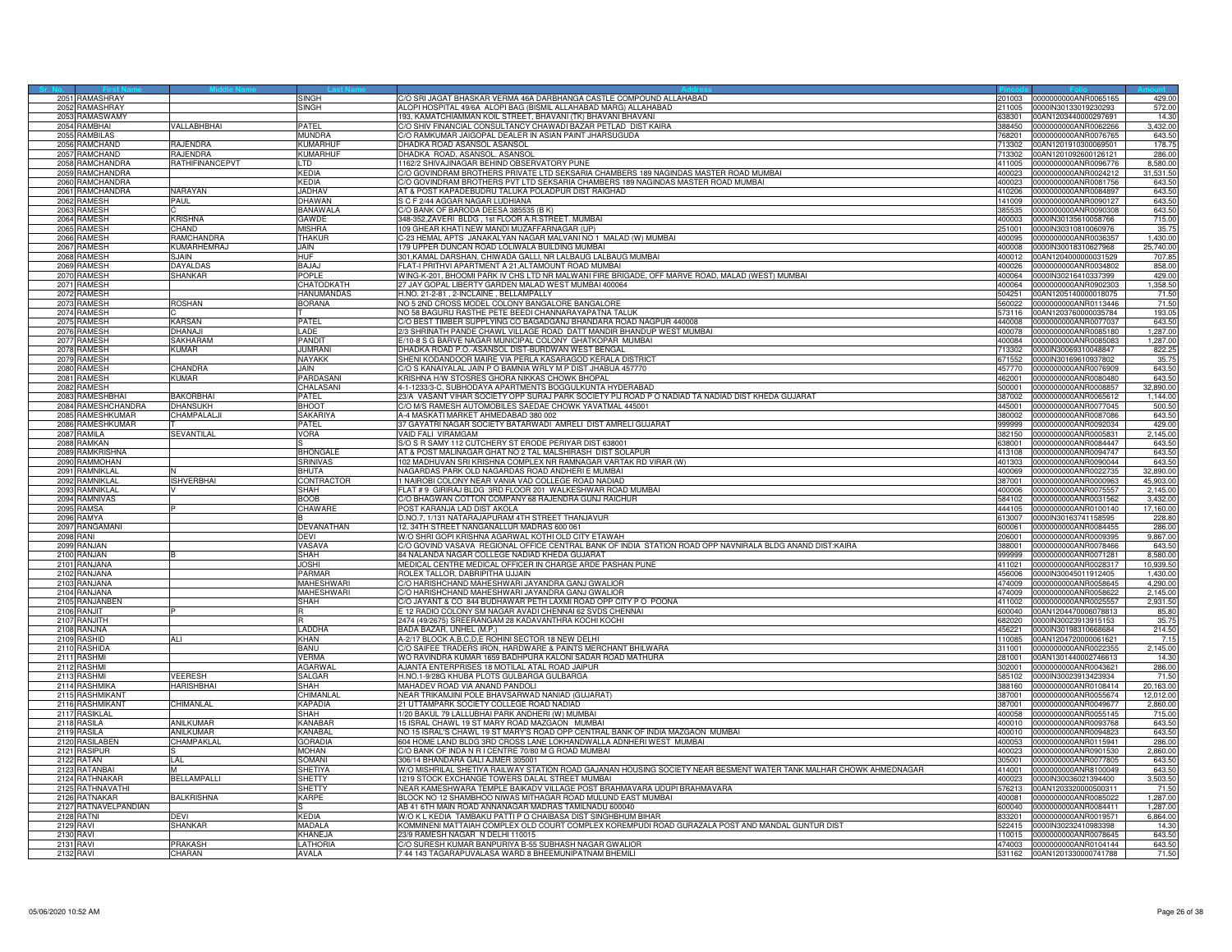|             | 2051 RAMASHRAY                  |                    | SINGH                     | C/O SRI JAGAT BHASKAR VERMA 46A DARBHANGA CASTLE COMPOUND ALLAHABAD                                                                                     | 201003           | 0000000000ANR0065165                         | 429.00               |
|-------------|---------------------------------|--------------------|---------------------------|---------------------------------------------------------------------------------------------------------------------------------------------------------|------------------|----------------------------------------------|----------------------|
|             | 2052 RAMASHRAY                  |                    | SINGH                     | ALOPI HOSPITAL 49/6A ALOPI BAG (BISMIL ALLAHABAD MARG) ALLAHABAD                                                                                        |                  | 211005 0000IN30133019230293                  | 572.00               |
| 2054        | 2053 RAMASWAMY<br>RAMBHAI       | <b>/ALLABHBHAI</b> | PATFI                     | 193, KAMATCHIAMMAN KOIL STREET, BHAVANI (TK) BHAVANI BHAVANI                                                                                            | 338301<br>88450  | 00AN1203440000297691<br>1000000000ANR0062266 | 14.30<br>3,432.00    |
| 205         | <b>AMBILAS</b>                  |                    | <b>MUNDRA</b>             | C/O SHIV FINANCIAL CONSULTANCY CHAWADI BAZAR PETLAD DIST KAIRA<br>O RAMKUMAR JAIGOPAL DEALER IN ASIAN PAINT JHARSUGUDA                                  | 68201            | 000000000ANR0076765                          | 643.50               |
| 2056        | RAMCHAND                        | <b>A.JENDRA</b>    | KUMARHU                   | DHADKA ROAD ASANSOL ASANSOL                                                                                                                             | 713302           | 00AN1201910300069501                         | 178.75               |
| 2057        | <b>RAMCHAND</b>                 | <b>RAJENDRA</b>    | KUMARHU                   | DHADKA ROAD, ASANSOL. ASANSOL                                                                                                                           | 713302           | 00AN1201092600126121                         | 286.00               |
|             | 2058 RAMCHANDRA                 | RATHIFINANCEPVT    | LTD                       | 1162/2 SHIVAJINAGAR BEHIND OBSERVATORY PUNE                                                                                                             | 411005           | 0000000000ANR0096776                         | 8,580.00             |
|             | 2059 RAMCHANDRA                 |                    | <b>KFDIA</b>              | C/O GOVINDRAM BROTHERS PRIVATE LTD SEKSARIA CHAMBERS 189 NAGINDAS MASTER ROAD MUMBAI                                                                    | 400023           | 0000000000ANR0024212                         | 31,531.50            |
| 2060        | RAMCHANDRA                      |                    | KEDIA                     | O GOVINDRAM BROTHERS PVT LTD SEKSARIA CHAMBERS 189 NAGINDAS MASTER ROAD MUMBAI                                                                          | 400023           | 000000000ANR0081756                          | 643.50               |
|             | 2061 RAMCHANDRA                 | <b>NARAYAN</b>     | <b>JADHAV</b>             | AT & POST KAPADEBUDRU TALUKA POLADPUR DIST RAIGHAD                                                                                                      |                  | 410206 0000000000ANR0084897                  | 643.50               |
|             | 2062 RAMESH                     | PAUL               | DHAWAN                    | S C F 2/44 AGGAR NAGAR LUDHIANA                                                                                                                         |                  | 141009 0000000000ANR0090127                  | 643.50               |
|             | 2063 RAMESH                     |                    | <b>BANAWALA</b>           | C/O BANK OF BARODA DEESA 385535 (B K)                                                                                                                   | 385535           | 0000000000ANR0090308                         | 643.50               |
|             | 2064 RAMESH                     | <b>KRISHNA</b>     | GAWDE                     | 348-352, ZAVERI BLDG, 1st FLOOR A.R.STREET. MUMBAI                                                                                                      | 400003           | 0000IN30135610058766                         | 715.00               |
| 2065        | RAMESH                          | <b>HAND</b>        | <b><i>AISHRA</i></b>      | 09 GHEAR KHATI NEW MANDI MUZAFFARNAGAR (UP)                                                                                                             | 51001            | 0000IN30310810060976                         | 35.7                 |
|             | 2066 RAMESH                     | RAMCHANDRA         | THAKUF                    | -23 HEMAL APTS JANAKALYAN NAGAR MALVANI NO 1 MALAD (W) MUMBAI                                                                                           | 400095           | 0000000000ANR003635                          | 1,430.00             |
|             | 2067 RAMESH                     | KUMARHEMRA.        | JAIN                      | 79 UPPER DUNCAN ROAD LOLIWALA BUILDING MUMBAI                                                                                                           | 400008           | 0000IN30018310627968                         | 25,740.00            |
|             | 2068 RAMESH                     | SJAIN              | HUF                       | 301, KAMAL DARSHAN, CHIWADA GALLI, NR LALBAUG LALBAUG MUMBAI                                                                                            | 400012           | 00AN1204000000031529                         | 707.85               |
|             | 2069 RAMESH                     | <b>DAYALDAS</b>    | BAJAJ                     | FLAT-I PRITHVI APARTMENT A 21.ALTAMOUNT ROAD MUMBAI                                                                                                     | 400026           | 0000000000ANR0034802                         | 858.00               |
| 2070<br>207 | <b>RAMESH</b><br><b>RAMESH</b>  | SHANKAR            | POPLE<br>CHATODKATH       | WING-K-201, BHOOMI PARK IV CHS LTD NR MALWANI FIRE BRIGADE, OFF MARVE ROAD, MALAD (WEST) MUMBAI<br>27 JAY GOPAL LIBERTY GARDEN MALAD WEST MUMBAI 400064 | 400064<br>400064 | 0000IN30216410337399<br>0000000000ANR0902303 | 429.00               |
|             | 2072 RAMESH                     |                    | HANUMANDAS                | H.NO. 21-2-81, 2-INCLAINE, BELLAMPALLY                                                                                                                  | 504251           | 00AN1205140000018075                         | 1,358.50<br>71.50    |
|             | 2073 RAMESH                     | ROSHAN             | BORANA                    | NO 5 2ND CROSS MODEL COLONY BANGALORE BANGALORE                                                                                                         | 560022           | 0000000000ANR0113446                         | 71.50                |
|             | 2074 RAMESH                     |                    |                           | NO 58 BAGURU RASTHE PETE BEEDI CHANNARAYAPATNA TALUK                                                                                                    | 573116           | 00AN1203760000035784                         | 193.05               |
| 2075        | <b>RAMESH</b>                   | KARSAN             | PATEI                     | C/O BEST TIMBER SUPPLYING CO BAGADGANJ BHANDARA ROAD NAGPUR 440008                                                                                      | 440008           | 0000000000ANR0077037                         | 643.50               |
|             | 2076 RAMESH                     | DHANA.II           | <b>LADE</b>               | 2/3 SHRINATH PANDE CHAWL VILLAGE ROAD DATT MANDIR BHANDUP WEST MUMBAI                                                                                   | 400078           | 0000000000ANR0085180                         | 1,287.00             |
|             | 2077 RAMESH                     | SAKHARAM           | PANDIT                    | E/10-8 S G BARVE NAGAR MUNICIPAL COLONY GHATKOPAR MUMBAI                                                                                                | 400084           | 0000000000ANR0085083                         | 1,287.00             |
|             | 2078 RAMESH                     | Kumar              | <b>JUMRAN</b>             | DHADKA ROAD P.O.-ASANSOL DIST-BURDWAN WEST BENGAL                                                                                                       | 713302           | 0000IN30069310048847                         | 822.25               |
|             | 2079 RAMESH                     |                    | NAYAKK                    | SHENI KODANDOOR MAIRE VIA PERLA KASARAGOD KERALA DISTRICT                                                                                               | 671552           | 0000IN30169610937802                         | 35.75                |
|             | 2080 RAMESH                     | CHANDRA            | <b>JAIN</b>               | C/O S KANAIYALAL JAIN P O BAMNIA WRLY M P DIST JHABUA 457770                                                                                            | 457770           | 0000000000ANR0076909                         | 643.50               |
|             | 2081 RAMESH                     | KUMAR              | PARDASANI                 | KRISHNA H/W STOSRES GHORA NIKKAS CHOWK BHOPAL                                                                                                           | 462001           | 0000000000ANR0080480                         | 643.50               |
|             | 2082 RAMESH                     |                    | CHALASANI                 | 4-1-1233/3-C, SUBHODAYA APARTMENTS BOGGULKUNTA HYDERABAD                                                                                                | 500001           | 0000000000ANR0008857                         | 32,890.00            |
|             | 2083 RAMESHBHA                  | RAKORRHAI          | PATFI                     | 23/A VASANT VIHAR SOCIETY OPP SURAJ PARK SOCIETY PIJ ROAD P O NADIAD TA NADIAD DIST KHEDA GUJARAT                                                       | 387002           | 0000000000ANR0065612                         | 1,144.00             |
| 2084        | RAMESHCHANDRA                   | <b>DHANSUKH</b>    | BHOOT                     | O M/S RAMESH AUTOMOBILES SAEDAE CHOWK YAVATMAL 445001/                                                                                                  | 45001            | 0000000000ANR0077045                         | 500.50               |
|             | 2085 RAMESHKUMAR                | CHAMPALALJI        | SAKARIYA                  | A-4 MASKATI MARKET AHMEDABAD 380 002                                                                                                                    | 380002           | 0000000000ANR0087086                         | 643.50               |
|             | 2086 RAMESHKUMAR                |                    | PATEL                     | 37 GAYATRI NAGAR SOCIETY BATARWADI AMRELI DIST AMRELI GUJARAT                                                                                           | 999999           | 0000000000ANR0092034                         | 429.00               |
|             | 2087 RAMILA                     | SEVANTILAL         | <b>VORA</b>               | VAID FALI VIRAMGAM                                                                                                                                      | 382150           | 0000000000ANR000583                          | 2,145.00             |
| 2089        | 2088 RAMKAN<br>RAMKRISHNA       |                    | <b>BHONGALE</b>           | S/O S R SAMY 112 CUTCHERY ST ERODE PERIYAR DIST 638001<br>AT & POST MALINAGAR GHAT NO 2 TAL MALSHIRASH DIST SOLAPUR                                     | 638001<br>413108 | 0000000000ANR0084447<br>0000000000ANR0094747 | 643.50<br>643.50     |
| 2090        | <b>RAMMOHAN</b>                 |                    | <b>SRINIVAS</b>           | 102 MADHUVAN SRI KRISHNA COMPLEX NR RAMNAGAR VARTAK RD VIRAR (W)                                                                                        | 401303           | 0000000000ANR0090044                         | 643.50               |
|             | 2091 RAMNIKLAL                  |                    | <b>BHUTA</b>              | NAGARDAS PARK OLD NAGARDAS ROAD ANDHERI E MUMBAI                                                                                                        |                  | 400069 0000000000ANR0022735                  | 32,890.00            |
|             | 2092 RAMNIKLAL                  | <b>ISHVERBHAI</b>  | CONTRACTOR                | 1 NAIROBI COLONY NEAR VANIA VAD COLLEGE ROAD NADIAD                                                                                                     | 387001           | 0000000000ANR0000963                         | 45,903.00            |
|             | 2093 RAMNIKLAL                  |                    | SHAH                      | FLAT #9 GIRIRAJ BLDG 3RD FLOOR 201 WALKESHWAR ROAD MUMBAI                                                                                               | 400006           | 0000000000ANR0075557                         | 2,145.00             |
| 2094        | RAMNIVAS                        |                    | <b>SOOB</b>               | O BHAGWAN COTTON COMPANY 68 RAJENDRA GUNJ RAICHUR                                                                                                       | 84102            | 000000000ANR0031562                          | 3,432.00             |
|             | 2095 RAMSA                      |                    | CHAWARE                   | POST KARANJA LAD DIST AKOLA                                                                                                                             | 444105           | 0000000000ANR0100140                         | 17,160.00            |
|             | 2096 RAMYA                      |                    |                           | D.NO.7. 1/131 NATARAJAPURAM 4TH STREET THANJAVUR                                                                                                        | 613007           | 0000IN30163741158595                         | 228.8                |
|             | 2097 RANGAMANI                  |                    | DEVANATHAN                | 12, 34TH STREET NANGANALLUR MADRAS 600 061                                                                                                              | 600061           | 0000000000ANR0084455                         | 286.00               |
|             | <b>2098 RANI</b>                |                    | DFVI                      | W/O SHRI GOPI KRISHNA AGARWAL KOTHI OLD CITY ETAWAH                                                                                                     | 206001           | 0000000000ANR0009395                         | 9,867.00             |
|             | 2099 RANJAN                     |                    | VASAVA                    | C/O GOVIND VASAVA REGIONAL OFFICE CENTRAL BANK OF INDIA STATION ROAD OPP NAVNIRALA BLDG ANAND DIST:KAIRA                                                | 88001            | 0000000000ANR0078466                         | 643.50               |
|             | 2100 RANJAN                     |                    | <b>SHAH</b>               | 84 NALANDA NAGAR COLLEGE NADIAD KHEDA GUJARAT                                                                                                           | 999999           | 0000000000ANR0071281                         | 8,580.00             |
|             | 2101 RANJANA                    |                    | JOSHI                     | MEDICAL CENTRE MEDICAL OFFICER IN CHARGE ARDE PASHAN PUNE                                                                                               | 411021           | 0000000000ANR0028317                         | 10,939.50            |
|             | 2102 RANJANA                    |                    | PARMAR                    | ROLEX TALLOR, DABRIPITHA UJJAIN                                                                                                                         | 456006           | 0000lN30045011912405                         | 1,430.00             |
| 2104        | 2103 RANJANA                    |                    | <b>MAHESHWARI</b>         | O HARISHCHAND MAHESHWARI JAYANDRA GANJ GWALIOR                                                                                                          | 474009<br>474009 | 0000000000ANR0058645                         | 4,290.00             |
|             | <b>ANJANA</b><br>2105 RANJANBEN |                    | MAHESHWARI<br><b>SHAH</b> | O HARISHCHAND MAHESHWARI JAYANDRA GANJ GWALIOF<br>O JAYANT & CO 844 BUDHAWAR PETH LAXMI ROAD OPP CITY P O POONA                                         | 411002           | 0000000000ANR0058622<br>0000000000ANR0025557 | 2,145.00<br>2,931.50 |
|             | 2106 RANJIT                     |                    |                           | E 12 RADIO COLONY SM NAGAR AVADI CHENNAI 62 SVDS CHENNAI                                                                                                | 600040           | 00AN1204470006078813                         | 85.80                |
|             | 2107 RANJITH                    |                    |                           | 2474 (49/2675) SREERANGAM 28 KADAVANTHRA KOCHI KOCHI                                                                                                    | 682020           | 0000IN30023913915153                         | 35.75                |
|             | 2108 RANJNA                     |                    | <b>LADDHA</b>             | BADA BAZAR, UNHEL (M.P.)                                                                                                                                | 456221           | 0000IN30198310668684                         | 214.50               |
|             | 2109 RASHID                     | ALI                | <b>KHAN</b>               | A-2/17 BLOCK A,B,C,D,E ROHINI SECTOR 18 NEW DELHI                                                                                                       | 110085           | 00AN1204720000061621                         | 7.15                 |
|             | 2110 RASHIDA                    |                    | BANU                      | C/O SAIFEE TRADERS IRON, HARDWARE & PAINTS MERCHANT BHILWARA                                                                                            | 311001           | 0000000000ANR0022355                         | 2,145.00             |
| 2111        | <b>RASHMI</b>                   |                    | VERMA                     | WO RAVINDRA KUMAR 1659 BADHPURA KALONI SADAR ROAD MATHURA                                                                                               | 281001           | 00AN1301440002746613                         | 14.30                |
|             | 2112 RASHMI                     |                    | AGARWAI                   | AJANTA ENTERPRISES 18 MOTILAL ATAL ROAD JAIPUR                                                                                                          | 302001           | 0000000000ANR0043621                         | 286.00               |
| 2113        | RASHMI                          | <b>/EERESH</b>     | SALGAR                    | H.NO.1-9/28G KHUBA PLOTS GULBARGA GULBARGA                                                                                                              | 585102           | 0000IN30023913423934                         | 71.50                |
| 2114        | <b>RASHMIKA</b>                 | <b>IARISHBHAI</b>  | SHAH                      | MAHADEV ROAD VIA ANAND PANDOLI                                                                                                                          | 388160           | 0000000000ANR0108414                         | 20,163.00            |
|             | 2115 RASHMIKAN                  |                    | CHIMANI A                 | NEAR TRIKAMJINI POLE BHAVSARWAD NANIAD (GUJARAT)                                                                                                        | 387001           | 0000000000ANR0055674                         | 12,012.00            |
|             | 2116 RASHMIKAN                  | CHIMANLAL          | KAPADIA                   | 21 UTTAMPARK SOCIETY COLLEGE ROAD NADIAD                                                                                                                | 387001           | 0000000000ANR0049677                         | 2,860.00             |
|             | 2117 RASIKLAL                   |                    | SHAH                      | 1/20 BAKUL 79 LALLUBHAI PARK ANDHERI (W) MUMBA                                                                                                          | 400058           | 0000000000ANR0055145                         | 715.00               |
|             | 2118 RASILA                     | ANILKUMAR          | KANABAR                   | 5 ISRAL CHAWL 19 ST MARY ROAD MAZGAON MUMBAI                                                                                                            | 400010           | 0000000000ANR0093768                         | 643.50               |
|             | 2119 RASILA                     | ANILKUMAR          | <b>KANABAL</b>            | NO 15 ISRAL'S CHAWL 19 ST MARY'S ROAD OPP CENTRAL BANK OF INDIA MAZGAON MUMBAI                                                                          | 400010           | 0000000000ANR0094823                         | 643.50               |
|             | 2120 RASILABEN                  | CHAMPAKLAL         | <b>GORADIA</b>            | 604 HOME LAND BLDG 3RD CROSS LANE LOKHANDWALLA ADNHERI WEST MUMBAI                                                                                      | 400053           | 0000000000ANR0115941                         | 286.00               |
| 2121        | <b>RASIPUR</b>                  | LAL.               | <b>MOHAN</b><br>SOMANI    | /O BANK OF INDA N R I CENTRE 70/80 M G ROAD MUMBAI                                                                                                      | 400023           | 0000000000ANR0901530                         | 2,860.00             |
| 2123        | 2122 RATAN<br>RATANBAI          |                    | SHETIYA                   | 306/14 BHANDARA GALI AJMER 305001<br>W/O MISHRILAL SHETIYA RAILWAY STATION ROAD GAJANAN HOUSING SOCIETY NEAR BESMENT WATER TANK MALHAR CHOWK AHMEDNAGAR | 305001<br>414001 | 0000000000ANR0077805<br>0000000000ANR8100049 | 643.50<br>643.5      |
| 2124        | RATHNAKAF                       | BELLAMPALLI        | SHETTY                    | 1219 STOCK EXCHANGE TOWERS DALAL STREET MUMBAI                                                                                                          | 400023           | 0000IN30036021394400                         | 3,503.50             |
|             | 2125 RATHNAVATHI                |                    | SHETTY                    | NEAR KAMESHWARA TEMPLE BAIKADV VILLAGE POST BRAHMAVARA UDUPI BRAHMAVARA                                                                                 |                  | 576213 00AN1203320000500311                  | 71.50                |
|             | 2126 RATNAKAR                   | <b>BALKRISHNA</b>  | KARPE                     | BLOCK NO 12 SHAMBHOO NIWAS MITHAGAR ROAD MULUND EAST MUMBAI                                                                                             | 400081           | 0000000000ANR0085022                         | 1,287.00             |
|             | 2127 RATNAVELPANDIAN            |                    |                           | AB 41 6TH MAIN ROAD ANNANAGAR MADRAS TAMILNADU 600040                                                                                                   | 600040           | 0000000000ANR0084411                         | 1,287.00             |
|             | 2128 RATNI                      | <b>EVI</b>         | KEDIA                     | N/O K L KEDIA TAMBAKU PATTI P O CHAIBASA DIST SINGHBHUM BIHAR                                                                                           | 33201            | 000000000ANR0019571                          | 6,864.00             |
|             | 2129 RAVI                       | SHANKAR            | MADALA                    | KOMMINENI MATTAIAH COMPLEX OLD COURT COMPLEX KOREMPUDI ROAD GURAZALA POST AND MANDAL GUNTUR DIST                                                        | 522415           | 0000IN30232410983398                         | 14.30                |
|             | 2130 RAVI                       |                    | <b>KHANEJA</b>            | 23/9 RAMESH NAGAR N DELHI 110015                                                                                                                        |                  | 110015 0000000000ANR0078645                  | 643.50               |
|             | 2131 RAVI                       | PRAKASH            | <b>LATHORIA</b>           | C/O SURESH KUMAR BANPURIYA B-55 SUBHASH NAGAR GWALIOR                                                                                                   | 474003           | 0000000000ANR0104144                         | 643.50               |
|             | 2132 RAVI                       | CHARAN             | AVALA                     | 7 44 143 TAGARAPUVALASA WARD 8 BHEEMUNIPATNAM BHEMILI                                                                                                   |                  | 531162 00AN1201330000741788                  | 71.50                |
|             |                                 |                    |                           |                                                                                                                                                         |                  |                                              |                      |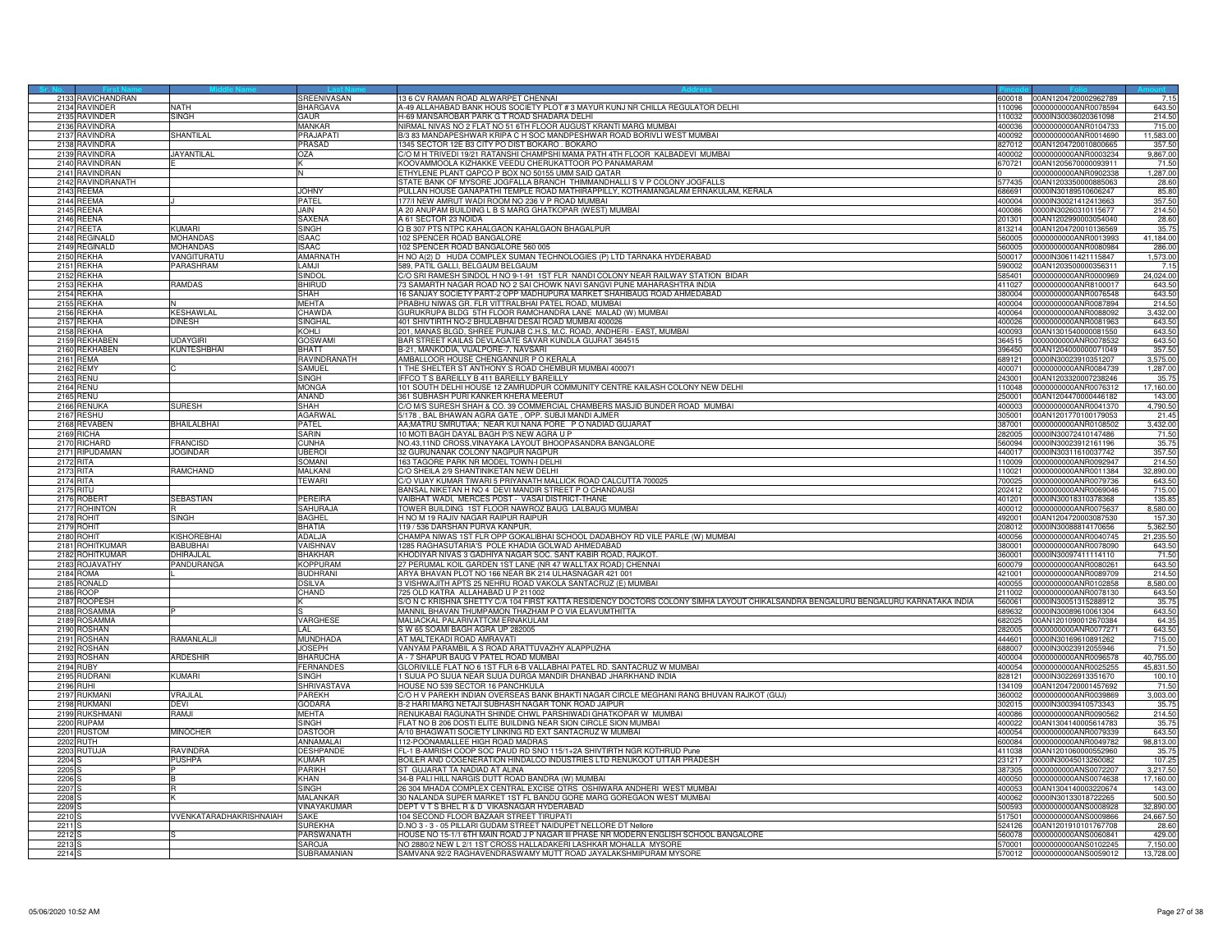| 2133 RAVICHANDRAN<br>2134 RAVINDER<br><b>BHARGAVA</b><br>A-49 ALLAHABAD BANK HOUS SOCIETY PLOT #3 MAYUR KUNJ NR CHILLA REGULATOR DELHI<br>643.50<br>NATH<br>2135 RAVINDER<br><b>SINGH</b><br>GAUR<br>H-69 MANSAROBAR PARK G T ROAD SHADARA DELHI<br>0000IN30036020361098<br>214.50<br>110032<br>NIRMAL NIVAS NO 2 FLAT NO 51 6TH FLOOR AUGUST KRANTI MARG MUMBAI<br><b>AVINDRA</b><br>MANKAR<br>715.00<br>100000000ANR0104733<br>2136<br>400036<br>11,583.00<br><b>AVINDRA</b><br><b>HANTILAL</b><br>PRAJAPA <sup>-</sup><br>3/3 83 MANDAPESHWAR KRIPA C H SOC MANDPESHWAR ROAD BORIVLI WEST MUMBAI<br>.00092<br>000000000ANR0014690<br>213<br>1345 SECTOR 12E B3 CITY PO DIST BOKARO. BOKARO<br>357.50<br>213<br><b>AVINDRA</b><br>PRASAD<br>827012<br>00AN1204720010800665<br>C/O M H TRIVEDI 19/21 RATANSHI CHAMPSHI MAMA PATH 4TH FLOOR KALBADEVI MUMBAI<br>2139<br><b>AVINDRA</b><br>JAYANTILAL<br>OZA<br>400002<br>0000000000ANR0003234<br>9,867.00<br>2140<br>RAVINDRAN<br>KOOVAMMOOLA KIZHAKKE VEEDU CHERUKATTOOR PO PANAMARAM<br>670721<br>00AN1205670000093911<br>71.50<br>1,287.00<br>2141 RAVINDRAN<br>FTHYLENE PLANT OAPCO P BOX NO 50155 UMM SAID OATAR<br>0000000000ANR0902338<br>N<br>TATE BANK OF MYSORE JOGFALLA BRANCH THIMMANDHALLI S V P COLONY JOGFALLS<br>2142<br><b>AVINDRANATH</b><br>577435<br>00AN1203350000885063<br>28.60<br><b>JOHNY</b><br>PULLAN HOUSE GANAPATHI TEMPLE ROAD MATHIRAPPILLY, KOTHAMANGALAM ERNAKULAM, KERALA<br>85.80<br>686691 0000IN30189510606247<br>2143<br>REEMA<br>REEMA<br>177/I NEW AMRUT WADI ROOM NO 236 V P ROAD MUMBAI<br>357.50<br>2144<br><b>PATEL</b><br>400004<br>0000IN30021412413663<br>A 20 ANUPAM BUILDING L B S MARG GHATKOPAR (WEST) MUMBAI<br>2145<br>RFFNA<br>JAIN.<br>400086<br>0000IN30260310115677<br>214.50<br>REENA<br><b>SAXENA</b><br>A 61 SECTOR 23 NOIDA<br>00AN1202990003054040<br>28.60<br>2146<br>201301<br>SINGH<br>Q B 307 PTS NTPC KAHALGAON KAHALGAON BHAGALPUR<br>35.75<br>2147<br><b>REETA</b><br>UMAR<br>13214<br>00AN1204720010136569<br>102 SPENCER ROAD BANGALORE<br><b>EGINALD</b><br>MOHANDAS<br>ISAAC<br>41,184.00<br>2148<br>560005<br>0000000000ANR0013993<br><b>EGINALD</b><br><b>ISAAC</b><br>102 SPENCER ROAD BANGALORE 560 005<br>286.00<br>214<br><b>JOHANDAS</b><br>560005<br>000000000ANR0080984<br>H NO A(2) D HUDA COMPLEX SUMAN TECHNOLOGIES (P) LTD TARNAKA HYDERABAD<br>1,573.00<br>2150<br>REKHA<br>/ANGITURATU<br>AMARNATH<br>500017<br>0000IN30611421115847<br>REKHA<br><b>ARASHRAM</b><br>LAMJI<br>589. PATIL GALLI, BELGAUM BELGAUM<br>7.15<br>2151<br>590002<br>00AN1203500000356311<br><b>EKHA</b><br>SINDOL<br>C/O SRI RAMESH SINDOL H NO 9-1-91 1ST FLR NANDI COLONY NEAR RAILWAY STATION BIDAR<br>0000000000ANR0000969<br>24,024.00<br>2152<br>585401<br>RAMDAS<br>BHIRUD<br>73 SAMARTH NAGAR ROAD NO 2 SAI CHOWK NAVI SANGVI PUNE MAHARASHTRA INDIA<br>215<br>REKHA<br>0000000000ANR8100017<br>643.50<br>411027<br><b>EKHA</b><br>SHAH<br>16 SANJAY SOCIETY PART-2 OPP MADHUPURA MARKET SHAHIBAUG ROAD AHMEDABAD<br>215<br>380004<br>0000000000ANR0076548<br>643.50<br><b>MEHTA</b><br>PRABHU NIWAS GR. FLR VITTRALBHAI PATEL ROAD, MUMBAI<br>214.50<br>2155<br><b>EKHA</b><br>400004<br>0000000000ANR0087894<br><b>EKHA</b><br>KESHAWLAL<br>CHAWDA<br>GURUKRUPA BLDG 5TH FLOOR RAMCHANDRA LANE MALAD (W) MUMBAI<br>0000000000ANR0088092<br>3,432.00<br>215<br>400064<br><b>EKHA</b><br><b>DINESH</b><br><b>SINGHAL</b><br>401 SHIVTIRTH NO-2 BHULABHAI DESAI ROAD MUMBAI 400026<br>400026<br>0000000000ANR0081963<br>643.50<br>215<br>2158<br>REKHA<br>KOHLI<br>201. MANAS BLGD, SHREE PUNJAB C.H.S. M.C. ROAD, ANDHERI - EAST, MUMBAI<br>00AN1301540000081550<br>643.50<br>400093<br>REKHABEN<br>UDAYGIRI<br><b>GOSWAMI</b><br>BAR STREET KAILAS DEVLAGATE SAVAR KUNDLA GUJRAT 364515<br>364515<br>0000000000ANR0078532<br>643.50<br>2150<br>REKHABEN<br><b>KUNTESHBHAI</b><br>B-21. MANKODIA, VIJALPORE-7. NAVSARI<br>357.50<br>2160<br><b>BHATT</b><br>396450<br>00AN1204000000071049<br>EMA:<br>RAVINDRANATH<br>AMBALLOOR HOUSE CHENGANNUR P O KERALA<br>3,575.00<br>689121<br>0000IN30023910351207<br>2161<br>1 THE SHELTER ST ANTHONY S ROAD CHEMBUR MUMBAI 400071<br>2162<br>REMY<br>SAMUEL<br>400071<br>0000000000ANR0084739<br>1,287.00<br>2163 RENU<br><b>SINGH</b><br>IFFCO T S BAREILLY B 411 BAREILLY BAREILLY<br>243001 00AN1203320007238246<br>35.75<br>RENU<br><b>MONGA</b><br>101 SOUTH DELHI HOUSE 12 ZAMRUDPUR COMMUNITY CENTRE KAILASH COLONY NEW DELHI<br>0000000000ANR0076312<br>17,160.00<br>2164<br>110048<br><b>IENU</b><br>ANAND<br>361 SUBHASH PURI KANKER KHERA MEERUT<br>143.00<br>00AN1204470000446182<br>2165<br>250001<br>O M/S SURESH SHAH & CO. 39 COMMERCIAL CHAMBERS MASJID BUNDER ROAD MUMBAI<br>ENUKA<br><b>SURESH</b><br>SHAH<br>00003<br>0000000000ANR0041370<br>4,790.50<br>216<br>5/178, BAL BHAWAN AGRA GATE, OPP. SUBJI MANDI AJMER<br>216<br>lESHU<br><b>AGARWA</b><br>305001<br>00AN1201770100179053<br>21.45<br>AA:MATRU SMRUTIAA: NEAR KUI NANA PORE PO NADIAD GUJARAT<br>2168<br>REVABEN<br><b>BHAILALBHAI</b><br>PATEL<br>387001<br>0000000000ANR0108502<br>3.432.00<br>RICHA<br><b>SARIN</b><br>10 MOTI BAGH DAYAL BAGH P/S NEW AGRA U P<br>0000IN30072410147486<br>71.50<br>2169<br>282005<br>CUNHA<br>NO.43,11ND CROSS, VINAYAKA LAYOUT BHOOPASANDRA BANGALORE<br>35.75<br>RICHARD<br><b>RANCISD</b><br>560094<br>0000IN30023912161196<br>2170<br><b>IOGINDAR</b><br>357.50<br>2171<br><b>IPUDAMAN</b><br><b>UBEROI</b><br>32 GURUNANAK COLONY NAGPUR NAGPUR<br>440017<br>0000IN30311610037742<br>217<br>SOMANI<br>163 TAGORE PARK NR MODEL TOWN-I DELHI<br>214.50<br><b>ITA</b><br>110009<br>0000000000ANR0092947<br>RAMCHAND<br>2173<br>:ITA<br>MALKANI<br>C/O SHEILA 2/9 SHANTINIKETAN NEW DELHI<br>110021<br>0000000000ANR0011384<br>32,890.00<br>2174 RITA<br><b>TEWARI</b><br>C/O VIJAY KUMAR TIWARI 5 PRIYANATH MALLICK ROAD CALCUTTA 700025<br>700025<br>0000000000ANR0079736<br>643.50<br>BANSAL NIKETAN H NO 4 DEVI MANDIR STREET P O CHANDAUSI<br>715.00<br>0000000000ANR0069046<br>2175 RITU<br>202412<br><b>EBASTIAN</b><br>PEREIRA<br>VAIBHAT WADI, MERCES POST - VASAI DISTRICT-THANE<br><b>OBER</b><br>101201<br>0000IN30018310378368<br>135.8<br>TOWER BUILDING 1ST FLOOR NAWROZ BAUG LALBAUG MUMBAI<br>8,580.00<br>217<br><b>ROHINTON</b><br>SAHLIRA.IA<br>400012<br>0000000000ANR0075637<br><b>OHIT</b><br>H NO M 19 RAJIV NAGAR RAIPUR RAIPUR<br>157.30<br>217<br>SINGH<br>BAGHEL<br>492001<br>00AN1204720003087530<br>2179<br>ROHIT<br><b>BHATIA</b><br>119 / 536 DARSHAN PURVA KANPUR<br>208012<br>0000IN30088814170656<br>5,362.50<br><b>KISHOREBHAI</b><br>CHAMPA NIWAS 1ST FLR OPP GOKALIBHAI SCHOOL DADABHOY RD VILE PARLE (W) MUMBAI<br>21,235.50<br>ROHIT<br>ADAL.JA<br>400056<br>0000000000ANR0040745<br>2180<br><b>BABUBHAI</b><br><b>VAISHNA\</b><br>1285 RAGHASUTARIA'S POLE KHADIA GOLWAD AHMEDABAD<br>2181 <sub>F</sub><br><b>OHITKUMAF</b><br>380001<br>0000000000ANR0078090<br>643.50<br>71.50<br>ROHITKUMAR<br>BHAKHAR<br>KHODIYAR NIVAS 3 GADHIYA NAGAR SOC. SANT KABIR ROAD, RAJKOT.<br>DHIRA.II AI<br>2182<br>0000lN30097411114110<br>360001<br><b>OJAVATHY</b><br>'ANDURANGA<br><b>KOPPURAN</b><br>27 PERUMAL KOIL GARDEN 1ST LANE (NR 47 WALLTAX ROAD) CHENNAI<br>2183<br>600079<br>0000000000ANR0080261<br>643.50<br>ARYA BHAVAN PLOT NO 166 NEAR BK 214 ULHASNAGAR 421 001<br>214.50<br>2184<br>ROMA<br>BUDHRANI<br>421001<br>0000000000ANR0089709<br><b>ONALD</b><br>dsilva<br>3 VISHWAJITH APTS 25 NEHRU ROAD VAKOLA SANTACRUZ (E) MUMBAI<br>0000000000ANR0102858<br>8,580.00<br>2185<br>00055<br><b>OOP</b><br>CHAND<br>725 OLD KATRA ALLAHABAD U P 211002<br>0000000000ANR0078130<br>643.50<br>2186<br>211002<br>ROOPESH<br>S/O N C KRISHNA SHETTY C/A 104 FIRST KATTA RESIDENCY DOCTORS COLONY SIMHA LAYOUT CHIKALSANDRA BENGALURU BENGALURU KARNATAKA INDIA<br>35.75<br>2187<br>0000IN30051315288912<br>560061<br><b>ROSAMMA</b><br>MANNIL BHAVAN THUMPAMON THAZHAM P O VIA ELAVUMTHITTA<br>643.50<br>2188<br>689632<br>0000IN30089610061304<br>VARGHESE<br><b>OSAMMA</b><br>MALIACKAL PALARIVATTOM ERNAKULAM<br>2189<br>682025<br>00AN1201090012670384<br>64.35<br>OSHAN<br>S W 65 SOAMI BAGH AGRA UP 282005<br>643.50<br>219<br>282005<br>0000000000ANR0077271<br>LAL<br>2191<br><b>OSHAN</b><br><b>AMANLALJI</b><br>MUNDHADA<br>AT MALTEKADI ROAD AMRAVATI<br>444601<br>0000lN30169610891262<br>715.00<br>71.50<br>2192 ROSHAN<br><b>JOSEPH</b><br>VANYAM PARAMBIL A S ROAD ARATTUVAZHY ALAPPUZHA<br>688007 0000IN30023912055946<br>ROSHAN<br>ARDESHIR<br><b>BHARUCHA</b><br>A - 7 SHAPUR BAUG V PATEL ROAD MUMBAI<br>400004<br>0000000000ANR0096578<br>40,755.00<br>2193<br>FERNANDES<br>GLORIVILLE FLAT NO 6 1ST FLR 6-B VALLABHAI PATEL RD. SANTACRUZ W MUMBAI<br>45,831.50<br>2194 RUBY<br>400054<br>0000000000ANR0025255<br><b>JDRANI</b><br><b>(UMARI</b><br><b>SINGH</b><br>1 SIJUA PO SIJUA NEAR SIJUA DURGA MANDIR DHANBAD JHARKHAND INDIA<br>000IN30226913351670<br>100.10<br>219<br>28121<br>2196<br>IUHI<br>SHRIVASTAVA<br>HOUSE NO 539 SECTOR 16 PANCHKULA<br>134109<br>00AN1204720001457692<br>71.5<br>2197<br>RUKMANI<br>VRAJLAI<br><b>PAREKH</b><br>C/O H V PAREKH INDIAN OVERSEAS BANK BHAKTI NAGAR CIRCLE MEGHANI RANG BHUVAN RAJKOT (GUJ)<br>0000000000ANR0039869<br>3.003.00<br>360002<br>2198 RUKMANI<br><b>GODARA</b><br>B-2 HARI MARG NETAJI SUBHASH NAGAR TONK ROAD JAIPUR<br>35.75<br>DEVI<br>302015<br>0000IN30039410573343<br><b>IUKSHMANI</b><br>214.50<br>RAM.II<br><b>MFHTA</b><br>RENUKABAI RAGUNATH SHINDE CHWL PARSHIWADI GHATKOPAR W MUMBAI<br>2199<br>000000000ANR0090562<br>400086<br>FLAT NO B 206 DOSTI ELITE BUILDING NEAR SION CIRCLE SION MUMBAI<br>2200<br><b>UPAM</b><br>SINGH<br>100022<br>00AN1304140005614783<br>35.75<br><b>INOCHER</b><br><b>DASTOOR</b><br>A/10 BHAGWATI SOCIETY LINKING RD EXT SANTACRUZ W MUMBAI<br>643.50<br>220<br>USTOM<br>400054<br>0000000000ANR0079339<br>ANNAMALA<br>112-POONAMALLEE HIGH ROAD MADRAS<br>98,813.00<br>2202<br>IUTH<br>600084<br>0000000000ANR0049782<br>2203<br>RAVINDRA<br><b>DESHPANDE</b><br>FL-1 B-AMRISH COOP SOC PAUD RD SNO 115/1+2A SHIVTIRTH NGR KOTHRUD Pune<br>411038<br>00AN1201060000552960<br>35.75<br><b>IUTUJA</b><br>107.25<br>2204<br><b>PUSHPA</b><br><b>KUMAR</b><br>BOILER AND COGENERATION HINDALCO INDUSTRIES LTD RENUKOOT UTTAR PRADESH<br>231217<br>0000IN30045013260082<br>Parikh<br>T GUJARAT TA NADIAD AT ALINA<br>3,217.50<br>220<br>87305<br>0000000000ANS0072207<br>34-B PALI HILL NARGIS DUTT ROAD BANDRA (W) MUMBAI<br>220 <sub>F</sub><br>KHAN<br>400050<br>0000000000ANS0074638<br>17,160.00<br>26 304 MHADA COMPLEX CENTRAL EXCISE QTRS OSHIWARA ANDHERI WEST MUMBAI<br>2207<br>SINGH<br>400053<br>00AN1304140003220674<br>143.00<br>30 NALANDA SUPER MARKET 1ST FL BANDU GORE MARG GOREGAON WEST MUMBAI<br>2208<br><b>MALANKAF</b><br>400062<br>0000IN30133018722265<br>500.50<br>VINAYAKUMAR<br>32,890.00<br>DEPT V T S BHEL B & D VIKASNAGAR HYDERABAD<br>2209<br>500593<br>0000000000ANS0008928<br>'VENKATARADHAKRISHNAIAH<br>104 SECOND FLOOR BAZAAR STREET TIRUPATI<br>2210<br>SAKE<br>17501<br>0000000000ANS0009866<br>24,667.50<br>SUREKHA<br>D.NO 3 - 3 - 05 PILLARI GUDAM STREET NAIDUPET NELLORE DT Nellore<br>2211<br>524126<br>00AN1201910101767708<br>28.60<br>PARSWANATI<br>HOUSE NO 15-1/1 6TH MAIN ROAD J P NAGAR III PHASE NR MODERN ENGLISH SCHOOL BANGALORE<br>429.00<br>2212<br>560078<br>0000000000ANS0060841<br>NO 2880/2 NEW L 2/1 1ST CROSS HALLADAKERI LASHKAR MOHALLA MYSORE<br>2213<br><b>SAROJA</b><br>570001<br>0000000000ANS0102245<br>7,150.00<br>SUBRAMANIAN<br>SAMVANA 92/2 RAGHAVENDRASWAMY MUTT ROAD JAYALAKSHMIPURAM MYSORE<br>13,728.00<br>2214<br>570012 0000000000ANS0059012 |  |             |                                     |        |                      |  |
|----------------------------------------------------------------------------------------------------------------------------------------------------------------------------------------------------------------------------------------------------------------------------------------------------------------------------------------------------------------------------------------------------------------------------------------------------------------------------------------------------------------------------------------------------------------------------------------------------------------------------------------------------------------------------------------------------------------------------------------------------------------------------------------------------------------------------------------------------------------------------------------------------------------------------------------------------------------------------------------------------------------------------------------------------------------------------------------------------------------------------------------------------------------------------------------------------------------------------------------------------------------------------------------------------------------------------------------------------------------------------------------------------------------------------------------------------------------------------------------------------------------------------------------------------------------------------------------------------------------------------------------------------------------------------------------------------------------------------------------------------------------------------------------------------------------------------------------------------------------------------------------------------------------------------------------------------------------------------------------------------------------------------------------------------------------------------------------------------------------------------------------------------------------------------------------------------------------------------------------------------------------------------------------------------------------------------------------------------------------------------------------------------------------------------------------------------------------------------------------------------------------------------------------------------------------------------------------------------------------------------------------------------------------------------------------------------------------------------------------------------------------------------------------------------------------------------------------------------------------------------------------------------------------------------------------------------------------------------------------------------------------------------------------------------------------------------------------------------------------------------------------------------------------------------------------------------------------------------------------------------------------------------------------------------------------------------------------------------------------------------------------------------------------------------------------------------------------------------------------------------------------------------------------------------------------------------------------------------------------------------------------------------------------------------------------------------------------------------------------------------------------------------------------------------------------------------------------------------------------------------------------------------------------------------------------------------------------------------------------------------------------------------------------------------------------------------------------------------------------------------------------------------------------------------------------------------------------------------------------------------------------------------------------------------------------------------------------------------------------------------------------------------------------------------------------------------------------------------------------------------------------------------------------------------------------------------------------------------------------------------------------------------------------------------------------------------------------------------------------------------------------------------------------------------------------------------------------------------------------------------------------------------------------------------------------------------------------------------------------------------------------------------------------------------------------------------------------------------------------------------------------------------------------------------------------------------------------------------------------------------------------------------------------------------------------------------------------------------------------------------------------------------------------------------------------------------------------------------------------------------------------------------------------------------------------------------------------------------------------------------------------------------------------------------------------------------------------------------------------------------------------------------------------------------------------------------------------------------------------------------------------------------------------------------------------------------------------------------------------------------------------------------------------------------------------------------------------------------------------------------------------------------------------------------------------------------------------------------------------------------------------------------------------------------------------------------------------------------------------------------------------------------------------------------------------------------------------------------------------------------------------------------------------------------------------------------------------------------------------------------------------------------------------------------------------------------------------------------------------------------------------------------------------------------------------------------------------------------------------------------------------------------------------------------------------------------------------------------------------------------------------------------------------------------------------------------------------------------------------------------------------------------------------------------------------------------------------------------------------------------------------------------------------------------------------------------------------------------------------------------------------------------------------------------------------------------------------------------------------------------------------------------------------------------------------------------------------------------------------------------------------------------------------------------------------------------------------------------------------------------------------------------------------------------------------------------------------------------------------------------------------------------------------------------------------------------------------------------------------------------------------------------------------------------------------------------------------------------------------------------------------------------------------------------------------------------------------------------------------------------------------------------------------------------------------------------------------------------------------------------------------------------------------------------------------------------------------------------------------------------------------------------------------------------------------------------------------------------------------------------------------------------------------------------------------------------------------------------------------------------------------------------------------------------------------------------------------------------------------------------------------------------------------------------------------------------------------------------------------------------------------------------------------------------------------------------------------------------------------------------------------------------------------------------------------------------------------------------------------------------------------------------------------------------------------------------------------------------------------------------------------------------------------------------------------------------------------------------------------------------------------------------------------------------------------------------------------------------------------------------------------------------------------------------------------------------------------------------------------------------------------------------------------------------------------------------------------------------------------------------------------------------------------------------------------------------------------------------------------------------------------------------------------------------------------------------------------------------------------------------------------------------------------------------------------------------------------------------------------------------------------------------------------------------------------------------------------------------------------------------------------------------------------------------------------------------------------------------------------------------------------------------------------------------------------------------------------------------------------------------------------------------------------------------------------------------------------------------------------------------------------------------------------------------------------------------------------------------------------------------------------------------------------------------------------------------------------------------------------------------------------------------------------------------------------------------------------------------------------------------------------------------------------------------------------------------------------------------------------------------------------------------------------------------------------------------------------------------------------------------------------------------------------------------------------------------------------------------------------------------------------------------------------------------------------------------------------------------------------------------------------------------------------------------------------------------------------------------------------------------------------------------------------|--|-------------|-------------------------------------|--------|----------------------|--|
|                                                                                                                                                                                                                                                                                                                                                                                                                                                                                                                                                                                                                                                                                                                                                                                                                                                                                                                                                                                                                                                                                                                                                                                                                                                                                                                                                                                                                                                                                                                                                                                                                                                                                                                                                                                                                                                                                                                                                                                                                                                                                                                                                                                                                                                                                                                                                                                                                                                                                                                                                                                                                                                                                                                                                                                                                                                                                                                                                                                                                                                                                                                                                                                                                                                                                                                                                                                                                                                                                                                                                                                                                                                                                                                                                                                                                                                                                                                                                                                                                                                                                                                                                                                                                                                                                                                                                                                                                                                                                                                                                                                                                                                                                                                                                                                                                                                                                                                                                                                                                                                                                                                                                                                                                                                                                                                                                                                                                                                                                                                                                                                                                                                                                                                                                                                                                                                                                                                                                                                                                                                                                                                                                                                                                                                                                                                                                                                                                                                                                                                                                                                                                                                                                                                                                                                                                                                                                                                                                                                                                                                                                                                                                                                                                                                                                                                                                                                                                                                                                                                                                                                                                                                                                                                                                                                                                                                                                                                                                                                                                                                                                                                                                                                                                                                                                                                                                                                                                                                                                                                                                                                                                                                                                                                                                                                                                                                                                                                                                                                                                                                                                                                                                                                                                                                                                                                                                                                                                                                                                                                                                                                                                                                                                                                                                                                                                                                                                                                                                                                                                                                                                                                                                                                                                                                                                                                                                                                                                                                                                                                                                                                                                                                                                                                                                                                                                                                                                                                                                                                                                                                                                                                                                                                                                                                                                                                                                                                                                                                                                                                                                                                                                                                                                                                                                                                        |  | SREENIVASAN | 13 6 CV RAMAN ROAD ALWARPET CHENNAI | 600018 | 00AN1204720002962789 |  |
|                                                                                                                                                                                                                                                                                                                                                                                                                                                                                                                                                                                                                                                                                                                                                                                                                                                                                                                                                                                                                                                                                                                                                                                                                                                                                                                                                                                                                                                                                                                                                                                                                                                                                                                                                                                                                                                                                                                                                                                                                                                                                                                                                                                                                                                                                                                                                                                                                                                                                                                                                                                                                                                                                                                                                                                                                                                                                                                                                                                                                                                                                                                                                                                                                                                                                                                                                                                                                                                                                                                                                                                                                                                                                                                                                                                                                                                                                                                                                                                                                                                                                                                                                                                                                                                                                                                                                                                                                                                                                                                                                                                                                                                                                                                                                                                                                                                                                                                                                                                                                                                                                                                                                                                                                                                                                                                                                                                                                                                                                                                                                                                                                                                                                                                                                                                                                                                                                                                                                                                                                                                                                                                                                                                                                                                                                                                                                                                                                                                                                                                                                                                                                                                                                                                                                                                                                                                                                                                                                                                                                                                                                                                                                                                                                                                                                                                                                                                                                                                                                                                                                                                                                                                                                                                                                                                                                                                                                                                                                                                                                                                                                                                                                                                                                                                                                                                                                                                                                                                                                                                                                                                                                                                                                                                                                                                                                                                                                                                                                                                                                                                                                                                                                                                                                                                                                                                                                                                                                                                                                                                                                                                                                                                                                                                                                                                                                                                                                                                                                                                                                                                                                                                                                                                                                                                                                                                                                                                                                                                                                                                                                                                                                                                                                                                                                                                                                                                                                                                                                                                                                                                                                                                                                                                                                                                                                                                                                                                                                                                                                                                                                                                                                                                                                                                                                                                        |  |             |                                     |        |                      |  |
|                                                                                                                                                                                                                                                                                                                                                                                                                                                                                                                                                                                                                                                                                                                                                                                                                                                                                                                                                                                                                                                                                                                                                                                                                                                                                                                                                                                                                                                                                                                                                                                                                                                                                                                                                                                                                                                                                                                                                                                                                                                                                                                                                                                                                                                                                                                                                                                                                                                                                                                                                                                                                                                                                                                                                                                                                                                                                                                                                                                                                                                                                                                                                                                                                                                                                                                                                                                                                                                                                                                                                                                                                                                                                                                                                                                                                                                                                                                                                                                                                                                                                                                                                                                                                                                                                                                                                                                                                                                                                                                                                                                                                                                                                                                                                                                                                                                                                                                                                                                                                                                                                                                                                                                                                                                                                                                                                                                                                                                                                                                                                                                                                                                                                                                                                                                                                                                                                                                                                                                                                                                                                                                                                                                                                                                                                                                                                                                                                                                                                                                                                                                                                                                                                                                                                                                                                                                                                                                                                                                                                                                                                                                                                                                                                                                                                                                                                                                                                                                                                                                                                                                                                                                                                                                                                                                                                                                                                                                                                                                                                                                                                                                                                                                                                                                                                                                                                                                                                                                                                                                                                                                                                                                                                                                                                                                                                                                                                                                                                                                                                                                                                                                                                                                                                                                                                                                                                                                                                                                                                                                                                                                                                                                                                                                                                                                                                                                                                                                                                                                                                                                                                                                                                                                                                                                                                                                                                                                                                                                                                                                                                                                                                                                                                                                                                                                                                                                                                                                                                                                                                                                                                                                                                                                                                                                                                                                                                                                                                                                                                                                                                                                                                                                                                                                                                                                        |  |             |                                     |        |                      |  |
|                                                                                                                                                                                                                                                                                                                                                                                                                                                                                                                                                                                                                                                                                                                                                                                                                                                                                                                                                                                                                                                                                                                                                                                                                                                                                                                                                                                                                                                                                                                                                                                                                                                                                                                                                                                                                                                                                                                                                                                                                                                                                                                                                                                                                                                                                                                                                                                                                                                                                                                                                                                                                                                                                                                                                                                                                                                                                                                                                                                                                                                                                                                                                                                                                                                                                                                                                                                                                                                                                                                                                                                                                                                                                                                                                                                                                                                                                                                                                                                                                                                                                                                                                                                                                                                                                                                                                                                                                                                                                                                                                                                                                                                                                                                                                                                                                                                                                                                                                                                                                                                                                                                                                                                                                                                                                                                                                                                                                                                                                                                                                                                                                                                                                                                                                                                                                                                                                                                                                                                                                                                                                                                                                                                                                                                                                                                                                                                                                                                                                                                                                                                                                                                                                                                                                                                                                                                                                                                                                                                                                                                                                                                                                                                                                                                                                                                                                                                                                                                                                                                                                                                                                                                                                                                                                                                                                                                                                                                                                                                                                                                                                                                                                                                                                                                                                                                                                                                                                                                                                                                                                                                                                                                                                                                                                                                                                                                                                                                                                                                                                                                                                                                                                                                                                                                                                                                                                                                                                                                                                                                                                                                                                                                                                                                                                                                                                                                                                                                                                                                                                                                                                                                                                                                                                                                                                                                                                                                                                                                                                                                                                                                                                                                                                                                                                                                                                                                                                                                                                                                                                                                                                                                                                                                                                                                                                                                                                                                                                                                                                                                                                                                                                                                                                                                                                                                        |  |             |                                     |        |                      |  |
|                                                                                                                                                                                                                                                                                                                                                                                                                                                                                                                                                                                                                                                                                                                                                                                                                                                                                                                                                                                                                                                                                                                                                                                                                                                                                                                                                                                                                                                                                                                                                                                                                                                                                                                                                                                                                                                                                                                                                                                                                                                                                                                                                                                                                                                                                                                                                                                                                                                                                                                                                                                                                                                                                                                                                                                                                                                                                                                                                                                                                                                                                                                                                                                                                                                                                                                                                                                                                                                                                                                                                                                                                                                                                                                                                                                                                                                                                                                                                                                                                                                                                                                                                                                                                                                                                                                                                                                                                                                                                                                                                                                                                                                                                                                                                                                                                                                                                                                                                                                                                                                                                                                                                                                                                                                                                                                                                                                                                                                                                                                                                                                                                                                                                                                                                                                                                                                                                                                                                                                                                                                                                                                                                                                                                                                                                                                                                                                                                                                                                                                                                                                                                                                                                                                                                                                                                                                                                                                                                                                                                                                                                                                                                                                                                                                                                                                                                                                                                                                                                                                                                                                                                                                                                                                                                                                                                                                                                                                                                                                                                                                                                                                                                                                                                                                                                                                                                                                                                                                                                                                                                                                                                                                                                                                                                                                                                                                                                                                                                                                                                                                                                                                                                                                                                                                                                                                                                                                                                                                                                                                                                                                                                                                                                                                                                                                                                                                                                                                                                                                                                                                                                                                                                                                                                                                                                                                                                                                                                                                                                                                                                                                                                                                                                                                                                                                                                                                                                                                                                                                                                                                                                                                                                                                                                                                                                                                                                                                                                                                                                                                                                                                                                                                                                                                                                                                        |  |             |                                     |        |                      |  |
|                                                                                                                                                                                                                                                                                                                                                                                                                                                                                                                                                                                                                                                                                                                                                                                                                                                                                                                                                                                                                                                                                                                                                                                                                                                                                                                                                                                                                                                                                                                                                                                                                                                                                                                                                                                                                                                                                                                                                                                                                                                                                                                                                                                                                                                                                                                                                                                                                                                                                                                                                                                                                                                                                                                                                                                                                                                                                                                                                                                                                                                                                                                                                                                                                                                                                                                                                                                                                                                                                                                                                                                                                                                                                                                                                                                                                                                                                                                                                                                                                                                                                                                                                                                                                                                                                                                                                                                                                                                                                                                                                                                                                                                                                                                                                                                                                                                                                                                                                                                                                                                                                                                                                                                                                                                                                                                                                                                                                                                                                                                                                                                                                                                                                                                                                                                                                                                                                                                                                                                                                                                                                                                                                                                                                                                                                                                                                                                                                                                                                                                                                                                                                                                                                                                                                                                                                                                                                                                                                                                                                                                                                                                                                                                                                                                                                                                                                                                                                                                                                                                                                                                                                                                                                                                                                                                                                                                                                                                                                                                                                                                                                                                                                                                                                                                                                                                                                                                                                                                                                                                                                                                                                                                                                                                                                                                                                                                                                                                                                                                                                                                                                                                                                                                                                                                                                                                                                                                                                                                                                                                                                                                                                                                                                                                                                                                                                                                                                                                                                                                                                                                                                                                                                                                                                                                                                                                                                                                                                                                                                                                                                                                                                                                                                                                                                                                                                                                                                                                                                                                                                                                                                                                                                                                                                                                                                                                                                                                                                                                                                                                                                                                                                                                                                                                                                                                        |  |             |                                     |        |                      |  |
|                                                                                                                                                                                                                                                                                                                                                                                                                                                                                                                                                                                                                                                                                                                                                                                                                                                                                                                                                                                                                                                                                                                                                                                                                                                                                                                                                                                                                                                                                                                                                                                                                                                                                                                                                                                                                                                                                                                                                                                                                                                                                                                                                                                                                                                                                                                                                                                                                                                                                                                                                                                                                                                                                                                                                                                                                                                                                                                                                                                                                                                                                                                                                                                                                                                                                                                                                                                                                                                                                                                                                                                                                                                                                                                                                                                                                                                                                                                                                                                                                                                                                                                                                                                                                                                                                                                                                                                                                                                                                                                                                                                                                                                                                                                                                                                                                                                                                                                                                                                                                                                                                                                                                                                                                                                                                                                                                                                                                                                                                                                                                                                                                                                                                                                                                                                                                                                                                                                                                                                                                                                                                                                                                                                                                                                                                                                                                                                                                                                                                                                                                                                                                                                                                                                                                                                                                                                                                                                                                                                                                                                                                                                                                                                                                                                                                                                                                                                                                                                                                                                                                                                                                                                                                                                                                                                                                                                                                                                                                                                                                                                                                                                                                                                                                                                                                                                                                                                                                                                                                                                                                                                                                                                                                                                                                                                                                                                                                                                                                                                                                                                                                                                                                                                                                                                                                                                                                                                                                                                                                                                                                                                                                                                                                                                                                                                                                                                                                                                                                                                                                                                                                                                                                                                                                                                                                                                                                                                                                                                                                                                                                                                                                                                                                                                                                                                                                                                                                                                                                                                                                                                                                                                                                                                                                                                                                                                                                                                                                                                                                                                                                                                                                                                                                                                                                                                        |  |             |                                     |        |                      |  |
|                                                                                                                                                                                                                                                                                                                                                                                                                                                                                                                                                                                                                                                                                                                                                                                                                                                                                                                                                                                                                                                                                                                                                                                                                                                                                                                                                                                                                                                                                                                                                                                                                                                                                                                                                                                                                                                                                                                                                                                                                                                                                                                                                                                                                                                                                                                                                                                                                                                                                                                                                                                                                                                                                                                                                                                                                                                                                                                                                                                                                                                                                                                                                                                                                                                                                                                                                                                                                                                                                                                                                                                                                                                                                                                                                                                                                                                                                                                                                                                                                                                                                                                                                                                                                                                                                                                                                                                                                                                                                                                                                                                                                                                                                                                                                                                                                                                                                                                                                                                                                                                                                                                                                                                                                                                                                                                                                                                                                                                                                                                                                                                                                                                                                                                                                                                                                                                                                                                                                                                                                                                                                                                                                                                                                                                                                                                                                                                                                                                                                                                                                                                                                                                                                                                                                                                                                                                                                                                                                                                                                                                                                                                                                                                                                                                                                                                                                                                                                                                                                                                                                                                                                                                                                                                                                                                                                                                                                                                                                                                                                                                                                                                                                                                                                                                                                                                                                                                                                                                                                                                                                                                                                                                                                                                                                                                                                                                                                                                                                                                                                                                                                                                                                                                                                                                                                                                                                                                                                                                                                                                                                                                                                                                                                                                                                                                                                                                                                                                                                                                                                                                                                                                                                                                                                                                                                                                                                                                                                                                                                                                                                                                                                                                                                                                                                                                                                                                                                                                                                                                                                                                                                                                                                                                                                                                                                                                                                                                                                                                                                                                                                                                                                                                                                                                                                                                        |  |             |                                     |        |                      |  |
|                                                                                                                                                                                                                                                                                                                                                                                                                                                                                                                                                                                                                                                                                                                                                                                                                                                                                                                                                                                                                                                                                                                                                                                                                                                                                                                                                                                                                                                                                                                                                                                                                                                                                                                                                                                                                                                                                                                                                                                                                                                                                                                                                                                                                                                                                                                                                                                                                                                                                                                                                                                                                                                                                                                                                                                                                                                                                                                                                                                                                                                                                                                                                                                                                                                                                                                                                                                                                                                                                                                                                                                                                                                                                                                                                                                                                                                                                                                                                                                                                                                                                                                                                                                                                                                                                                                                                                                                                                                                                                                                                                                                                                                                                                                                                                                                                                                                                                                                                                                                                                                                                                                                                                                                                                                                                                                                                                                                                                                                                                                                                                                                                                                                                                                                                                                                                                                                                                                                                                                                                                                                                                                                                                                                                                                                                                                                                                                                                                                                                                                                                                                                                                                                                                                                                                                                                                                                                                                                                                                                                                                                                                                                                                                                                                                                                                                                                                                                                                                                                                                                                                                                                                                                                                                                                                                                                                                                                                                                                                                                                                                                                                                                                                                                                                                                                                                                                                                                                                                                                                                                                                                                                                                                                                                                                                                                                                                                                                                                                                                                                                                                                                                                                                                                                                                                                                                                                                                                                                                                                                                                                                                                                                                                                                                                                                                                                                                                                                                                                                                                                                                                                                                                                                                                                                                                                                                                                                                                                                                                                                                                                                                                                                                                                                                                                                                                                                                                                                                                                                                                                                                                                                                                                                                                                                                                                                                                                                                                                                                                                                                                                                                                                                                                                                                                                                                        |  |             |                                     |        |                      |  |
|                                                                                                                                                                                                                                                                                                                                                                                                                                                                                                                                                                                                                                                                                                                                                                                                                                                                                                                                                                                                                                                                                                                                                                                                                                                                                                                                                                                                                                                                                                                                                                                                                                                                                                                                                                                                                                                                                                                                                                                                                                                                                                                                                                                                                                                                                                                                                                                                                                                                                                                                                                                                                                                                                                                                                                                                                                                                                                                                                                                                                                                                                                                                                                                                                                                                                                                                                                                                                                                                                                                                                                                                                                                                                                                                                                                                                                                                                                                                                                                                                                                                                                                                                                                                                                                                                                                                                                                                                                                                                                                                                                                                                                                                                                                                                                                                                                                                                                                                                                                                                                                                                                                                                                                                                                                                                                                                                                                                                                                                                                                                                                                                                                                                                                                                                                                                                                                                                                                                                                                                                                                                                                                                                                                                                                                                                                                                                                                                                                                                                                                                                                                                                                                                                                                                                                                                                                                                                                                                                                                                                                                                                                                                                                                                                                                                                                                                                                                                                                                                                                                                                                                                                                                                                                                                                                                                                                                                                                                                                                                                                                                                                                                                                                                                                                                                                                                                                                                                                                                                                                                                                                                                                                                                                                                                                                                                                                                                                                                                                                                                                                                                                                                                                                                                                                                                                                                                                                                                                                                                                                                                                                                                                                                                                                                                                                                                                                                                                                                                                                                                                                                                                                                                                                                                                                                                                                                                                                                                                                                                                                                                                                                                                                                                                                                                                                                                                                                                                                                                                                                                                                                                                                                                                                                                                                                                                                                                                                                                                                                                                                                                                                                                                                                                                                                                                                                        |  |             |                                     |        |                      |  |
|                                                                                                                                                                                                                                                                                                                                                                                                                                                                                                                                                                                                                                                                                                                                                                                                                                                                                                                                                                                                                                                                                                                                                                                                                                                                                                                                                                                                                                                                                                                                                                                                                                                                                                                                                                                                                                                                                                                                                                                                                                                                                                                                                                                                                                                                                                                                                                                                                                                                                                                                                                                                                                                                                                                                                                                                                                                                                                                                                                                                                                                                                                                                                                                                                                                                                                                                                                                                                                                                                                                                                                                                                                                                                                                                                                                                                                                                                                                                                                                                                                                                                                                                                                                                                                                                                                                                                                                                                                                                                                                                                                                                                                                                                                                                                                                                                                                                                                                                                                                                                                                                                                                                                                                                                                                                                                                                                                                                                                                                                                                                                                                                                                                                                                                                                                                                                                                                                                                                                                                                                                                                                                                                                                                                                                                                                                                                                                                                                                                                                                                                                                                                                                                                                                                                                                                                                                                                                                                                                                                                                                                                                                                                                                                                                                                                                                                                                                                                                                                                                                                                                                                                                                                                                                                                                                                                                                                                                                                                                                                                                                                                                                                                                                                                                                                                                                                                                                                                                                                                                                                                                                                                                                                                                                                                                                                                                                                                                                                                                                                                                                                                                                                                                                                                                                                                                                                                                                                                                                                                                                                                                                                                                                                                                                                                                                                                                                                                                                                                                                                                                                                                                                                                                                                                                                                                                                                                                                                                                                                                                                                                                                                                                                                                                                                                                                                                                                                                                                                                                                                                                                                                                                                                                                                                                                                                                                                                                                                                                                                                                                                                                                                                                                                                                                                                                                                        |  |             |                                     |        |                      |  |
|                                                                                                                                                                                                                                                                                                                                                                                                                                                                                                                                                                                                                                                                                                                                                                                                                                                                                                                                                                                                                                                                                                                                                                                                                                                                                                                                                                                                                                                                                                                                                                                                                                                                                                                                                                                                                                                                                                                                                                                                                                                                                                                                                                                                                                                                                                                                                                                                                                                                                                                                                                                                                                                                                                                                                                                                                                                                                                                                                                                                                                                                                                                                                                                                                                                                                                                                                                                                                                                                                                                                                                                                                                                                                                                                                                                                                                                                                                                                                                                                                                                                                                                                                                                                                                                                                                                                                                                                                                                                                                                                                                                                                                                                                                                                                                                                                                                                                                                                                                                                                                                                                                                                                                                                                                                                                                                                                                                                                                                                                                                                                                                                                                                                                                                                                                                                                                                                                                                                                                                                                                                                                                                                                                                                                                                                                                                                                                                                                                                                                                                                                                                                                                                                                                                                                                                                                                                                                                                                                                                                                                                                                                                                                                                                                                                                                                                                                                                                                                                                                                                                                                                                                                                                                                                                                                                                                                                                                                                                                                                                                                                                                                                                                                                                                                                                                                                                                                                                                                                                                                                                                                                                                                                                                                                                                                                                                                                                                                                                                                                                                                                                                                                                                                                                                                                                                                                                                                                                                                                                                                                                                                                                                                                                                                                                                                                                                                                                                                                                                                                                                                                                                                                                                                                                                                                                                                                                                                                                                                                                                                                                                                                                                                                                                                                                                                                                                                                                                                                                                                                                                                                                                                                                                                                                                                                                                                                                                                                                                                                                                                                                                                                                                                                                                                                                                                                        |  |             |                                     |        |                      |  |
|                                                                                                                                                                                                                                                                                                                                                                                                                                                                                                                                                                                                                                                                                                                                                                                                                                                                                                                                                                                                                                                                                                                                                                                                                                                                                                                                                                                                                                                                                                                                                                                                                                                                                                                                                                                                                                                                                                                                                                                                                                                                                                                                                                                                                                                                                                                                                                                                                                                                                                                                                                                                                                                                                                                                                                                                                                                                                                                                                                                                                                                                                                                                                                                                                                                                                                                                                                                                                                                                                                                                                                                                                                                                                                                                                                                                                                                                                                                                                                                                                                                                                                                                                                                                                                                                                                                                                                                                                                                                                                                                                                                                                                                                                                                                                                                                                                                                                                                                                                                                                                                                                                                                                                                                                                                                                                                                                                                                                                                                                                                                                                                                                                                                                                                                                                                                                                                                                                                                                                                                                                                                                                                                                                                                                                                                                                                                                                                                                                                                                                                                                                                                                                                                                                                                                                                                                                                                                                                                                                                                                                                                                                                                                                                                                                                                                                                                                                                                                                                                                                                                                                                                                                                                                                                                                                                                                                                                                                                                                                                                                                                                                                                                                                                                                                                                                                                                                                                                                                                                                                                                                                                                                                                                                                                                                                                                                                                                                                                                                                                                                                                                                                                                                                                                                                                                                                                                                                                                                                                                                                                                                                                                                                                                                                                                                                                                                                                                                                                                                                                                                                                                                                                                                                                                                                                                                                                                                                                                                                                                                                                                                                                                                                                                                                                                                                                                                                                                                                                                                                                                                                                                                                                                                                                                                                                                                                                                                                                                                                                                                                                                                                                                                                                                                                                                                                                        |  |             |                                     |        |                      |  |
|                                                                                                                                                                                                                                                                                                                                                                                                                                                                                                                                                                                                                                                                                                                                                                                                                                                                                                                                                                                                                                                                                                                                                                                                                                                                                                                                                                                                                                                                                                                                                                                                                                                                                                                                                                                                                                                                                                                                                                                                                                                                                                                                                                                                                                                                                                                                                                                                                                                                                                                                                                                                                                                                                                                                                                                                                                                                                                                                                                                                                                                                                                                                                                                                                                                                                                                                                                                                                                                                                                                                                                                                                                                                                                                                                                                                                                                                                                                                                                                                                                                                                                                                                                                                                                                                                                                                                                                                                                                                                                                                                                                                                                                                                                                                                                                                                                                                                                                                                                                                                                                                                                                                                                                                                                                                                                                                                                                                                                                                                                                                                                                                                                                                                                                                                                                                                                                                                                                                                                                                                                                                                                                                                                                                                                                                                                                                                                                                                                                                                                                                                                                                                                                                                                                                                                                                                                                                                                                                                                                                                                                                                                                                                                                                                                                                                                                                                                                                                                                                                                                                                                                                                                                                                                                                                                                                                                                                                                                                                                                                                                                                                                                                                                                                                                                                                                                                                                                                                                                                                                                                                                                                                                                                                                                                                                                                                                                                                                                                                                                                                                                                                                                                                                                                                                                                                                                                                                                                                                                                                                                                                                                                                                                                                                                                                                                                                                                                                                                                                                                                                                                                                                                                                                                                                                                                                                                                                                                                                                                                                                                                                                                                                                                                                                                                                                                                                                                                                                                                                                                                                                                                                                                                                                                                                                                                                                                                                                                                                                                                                                                                                                                                                                                                                                                                                                                        |  |             |                                     |        |                      |  |
|                                                                                                                                                                                                                                                                                                                                                                                                                                                                                                                                                                                                                                                                                                                                                                                                                                                                                                                                                                                                                                                                                                                                                                                                                                                                                                                                                                                                                                                                                                                                                                                                                                                                                                                                                                                                                                                                                                                                                                                                                                                                                                                                                                                                                                                                                                                                                                                                                                                                                                                                                                                                                                                                                                                                                                                                                                                                                                                                                                                                                                                                                                                                                                                                                                                                                                                                                                                                                                                                                                                                                                                                                                                                                                                                                                                                                                                                                                                                                                                                                                                                                                                                                                                                                                                                                                                                                                                                                                                                                                                                                                                                                                                                                                                                                                                                                                                                                                                                                                                                                                                                                                                                                                                                                                                                                                                                                                                                                                                                                                                                                                                                                                                                                                                                                                                                                                                                                                                                                                                                                                                                                                                                                                                                                                                                                                                                                                                                                                                                                                                                                                                                                                                                                                                                                                                                                                                                                                                                                                                                                                                                                                                                                                                                                                                                                                                                                                                                                                                                                                                                                                                                                                                                                                                                                                                                                                                                                                                                                                                                                                                                                                                                                                                                                                                                                                                                                                                                                                                                                                                                                                                                                                                                                                                                                                                                                                                                                                                                                                                                                                                                                                                                                                                                                                                                                                                                                                                                                                                                                                                                                                                                                                                                                                                                                                                                                                                                                                                                                                                                                                                                                                                                                                                                                                                                                                                                                                                                                                                                                                                                                                                                                                                                                                                                                                                                                                                                                                                                                                                                                                                                                                                                                                                                                                                                                                                                                                                                                                                                                                                                                                                                                                                                                                                                                                                        |  |             |                                     |        |                      |  |
|                                                                                                                                                                                                                                                                                                                                                                                                                                                                                                                                                                                                                                                                                                                                                                                                                                                                                                                                                                                                                                                                                                                                                                                                                                                                                                                                                                                                                                                                                                                                                                                                                                                                                                                                                                                                                                                                                                                                                                                                                                                                                                                                                                                                                                                                                                                                                                                                                                                                                                                                                                                                                                                                                                                                                                                                                                                                                                                                                                                                                                                                                                                                                                                                                                                                                                                                                                                                                                                                                                                                                                                                                                                                                                                                                                                                                                                                                                                                                                                                                                                                                                                                                                                                                                                                                                                                                                                                                                                                                                                                                                                                                                                                                                                                                                                                                                                                                                                                                                                                                                                                                                                                                                                                                                                                                                                                                                                                                                                                                                                                                                                                                                                                                                                                                                                                                                                                                                                                                                                                                                                                                                                                                                                                                                                                                                                                                                                                                                                                                                                                                                                                                                                                                                                                                                                                                                                                                                                                                                                                                                                                                                                                                                                                                                                                                                                                                                                                                                                                                                                                                                                                                                                                                                                                                                                                                                                                                                                                                                                                                                                                                                                                                                                                                                                                                                                                                                                                                                                                                                                                                                                                                                                                                                                                                                                                                                                                                                                                                                                                                                                                                                                                                                                                                                                                                                                                                                                                                                                                                                                                                                                                                                                                                                                                                                                                                                                                                                                                                                                                                                                                                                                                                                                                                                                                                                                                                                                                                                                                                                                                                                                                                                                                                                                                                                                                                                                                                                                                                                                                                                                                                                                                                                                                                                                                                                                                                                                                                                                                                                                                                                                                                                                                                                                                                                                        |  |             |                                     |        |                      |  |
|                                                                                                                                                                                                                                                                                                                                                                                                                                                                                                                                                                                                                                                                                                                                                                                                                                                                                                                                                                                                                                                                                                                                                                                                                                                                                                                                                                                                                                                                                                                                                                                                                                                                                                                                                                                                                                                                                                                                                                                                                                                                                                                                                                                                                                                                                                                                                                                                                                                                                                                                                                                                                                                                                                                                                                                                                                                                                                                                                                                                                                                                                                                                                                                                                                                                                                                                                                                                                                                                                                                                                                                                                                                                                                                                                                                                                                                                                                                                                                                                                                                                                                                                                                                                                                                                                                                                                                                                                                                                                                                                                                                                                                                                                                                                                                                                                                                                                                                                                                                                                                                                                                                                                                                                                                                                                                                                                                                                                                                                                                                                                                                                                                                                                                                                                                                                                                                                                                                                                                                                                                                                                                                                                                                                                                                                                                                                                                                                                                                                                                                                                                                                                                                                                                                                                                                                                                                                                                                                                                                                                                                                                                                                                                                                                                                                                                                                                                                                                                                                                                                                                                                                                                                                                                                                                                                                                                                                                                                                                                                                                                                                                                                                                                                                                                                                                                                                                                                                                                                                                                                                                                                                                                                                                                                                                                                                                                                                                                                                                                                                                                                                                                                                                                                                                                                                                                                                                                                                                                                                                                                                                                                                                                                                                                                                                                                                                                                                                                                                                                                                                                                                                                                                                                                                                                                                                                                                                                                                                                                                                                                                                                                                                                                                                                                                                                                                                                                                                                                                                                                                                                                                                                                                                                                                                                                                                                                                                                                                                                                                                                                                                                                                                                                                                                                                                                                        |  |             |                                     |        |                      |  |
|                                                                                                                                                                                                                                                                                                                                                                                                                                                                                                                                                                                                                                                                                                                                                                                                                                                                                                                                                                                                                                                                                                                                                                                                                                                                                                                                                                                                                                                                                                                                                                                                                                                                                                                                                                                                                                                                                                                                                                                                                                                                                                                                                                                                                                                                                                                                                                                                                                                                                                                                                                                                                                                                                                                                                                                                                                                                                                                                                                                                                                                                                                                                                                                                                                                                                                                                                                                                                                                                                                                                                                                                                                                                                                                                                                                                                                                                                                                                                                                                                                                                                                                                                                                                                                                                                                                                                                                                                                                                                                                                                                                                                                                                                                                                                                                                                                                                                                                                                                                                                                                                                                                                                                                                                                                                                                                                                                                                                                                                                                                                                                                                                                                                                                                                                                                                                                                                                                                                                                                                                                                                                                                                                                                                                                                                                                                                                                                                                                                                                                                                                                                                                                                                                                                                                                                                                                                                                                                                                                                                                                                                                                                                                                                                                                                                                                                                                                                                                                                                                                                                                                                                                                                                                                                                                                                                                                                                                                                                                                                                                                                                                                                                                                                                                                                                                                                                                                                                                                                                                                                                                                                                                                                                                                                                                                                                                                                                                                                                                                                                                                                                                                                                                                                                                                                                                                                                                                                                                                                                                                                                                                                                                                                                                                                                                                                                                                                                                                                                                                                                                                                                                                                                                                                                                                                                                                                                                                                                                                                                                                                                                                                                                                                                                                                                                                                                                                                                                                                                                                                                                                                                                                                                                                                                                                                                                                                                                                                                                                                                                                                                                                                                                                                                                                                                                                                        |  |             |                                     |        |                      |  |
|                                                                                                                                                                                                                                                                                                                                                                                                                                                                                                                                                                                                                                                                                                                                                                                                                                                                                                                                                                                                                                                                                                                                                                                                                                                                                                                                                                                                                                                                                                                                                                                                                                                                                                                                                                                                                                                                                                                                                                                                                                                                                                                                                                                                                                                                                                                                                                                                                                                                                                                                                                                                                                                                                                                                                                                                                                                                                                                                                                                                                                                                                                                                                                                                                                                                                                                                                                                                                                                                                                                                                                                                                                                                                                                                                                                                                                                                                                                                                                                                                                                                                                                                                                                                                                                                                                                                                                                                                                                                                                                                                                                                                                                                                                                                                                                                                                                                                                                                                                                                                                                                                                                                                                                                                                                                                                                                                                                                                                                                                                                                                                                                                                                                                                                                                                                                                                                                                                                                                                                                                                                                                                                                                                                                                                                                                                                                                                                                                                                                                                                                                                                                                                                                                                                                                                                                                                                                                                                                                                                                                                                                                                                                                                                                                                                                                                                                                                                                                                                                                                                                                                                                                                                                                                                                                                                                                                                                                                                                                                                                                                                                                                                                                                                                                                                                                                                                                                                                                                                                                                                                                                                                                                                                                                                                                                                                                                                                                                                                                                                                                                                                                                                                                                                                                                                                                                                                                                                                                                                                                                                                                                                                                                                                                                                                                                                                                                                                                                                                                                                                                                                                                                                                                                                                                                                                                                                                                                                                                                                                                                                                                                                                                                                                                                                                                                                                                                                                                                                                                                                                                                                                                                                                                                                                                                                                                                                                                                                                                                                                                                                                                                                                                                                                                                                                                                                        |  |             |                                     |        |                      |  |
|                                                                                                                                                                                                                                                                                                                                                                                                                                                                                                                                                                                                                                                                                                                                                                                                                                                                                                                                                                                                                                                                                                                                                                                                                                                                                                                                                                                                                                                                                                                                                                                                                                                                                                                                                                                                                                                                                                                                                                                                                                                                                                                                                                                                                                                                                                                                                                                                                                                                                                                                                                                                                                                                                                                                                                                                                                                                                                                                                                                                                                                                                                                                                                                                                                                                                                                                                                                                                                                                                                                                                                                                                                                                                                                                                                                                                                                                                                                                                                                                                                                                                                                                                                                                                                                                                                                                                                                                                                                                                                                                                                                                                                                                                                                                                                                                                                                                                                                                                                                                                                                                                                                                                                                                                                                                                                                                                                                                                                                                                                                                                                                                                                                                                                                                                                                                                                                                                                                                                                                                                                                                                                                                                                                                                                                                                                                                                                                                                                                                                                                                                                                                                                                                                                                                                                                                                                                                                                                                                                                                                                                                                                                                                                                                                                                                                                                                                                                                                                                                                                                                                                                                                                                                                                                                                                                                                                                                                                                                                                                                                                                                                                                                                                                                                                                                                                                                                                                                                                                                                                                                                                                                                                                                                                                                                                                                                                                                                                                                                                                                                                                                                                                                                                                                                                                                                                                                                                                                                                                                                                                                                                                                                                                                                                                                                                                                                                                                                                                                                                                                                                                                                                                                                                                                                                                                                                                                                                                                                                                                                                                                                                                                                                                                                                                                                                                                                                                                                                                                                                                                                                                                                                                                                                                                                                                                                                                                                                                                                                                                                                                                                                                                                                                                                                                                                                                        |  |             |                                     |        |                      |  |
|                                                                                                                                                                                                                                                                                                                                                                                                                                                                                                                                                                                                                                                                                                                                                                                                                                                                                                                                                                                                                                                                                                                                                                                                                                                                                                                                                                                                                                                                                                                                                                                                                                                                                                                                                                                                                                                                                                                                                                                                                                                                                                                                                                                                                                                                                                                                                                                                                                                                                                                                                                                                                                                                                                                                                                                                                                                                                                                                                                                                                                                                                                                                                                                                                                                                                                                                                                                                                                                                                                                                                                                                                                                                                                                                                                                                                                                                                                                                                                                                                                                                                                                                                                                                                                                                                                                                                                                                                                                                                                                                                                                                                                                                                                                                                                                                                                                                                                                                                                                                                                                                                                                                                                                                                                                                                                                                                                                                                                                                                                                                                                                                                                                                                                                                                                                                                                                                                                                                                                                                                                                                                                                                                                                                                                                                                                                                                                                                                                                                                                                                                                                                                                                                                                                                                                                                                                                                                                                                                                                                                                                                                                                                                                                                                                                                                                                                                                                                                                                                                                                                                                                                                                                                                                                                                                                                                                                                                                                                                                                                                                                                                                                                                                                                                                                                                                                                                                                                                                                                                                                                                                                                                                                                                                                                                                                                                                                                                                                                                                                                                                                                                                                                                                                                                                                                                                                                                                                                                                                                                                                                                                                                                                                                                                                                                                                                                                                                                                                                                                                                                                                                                                                                                                                                                                                                                                                                                                                                                                                                                                                                                                                                                                                                                                                                                                                                                                                                                                                                                                                                                                                                                                                                                                                                                                                                                                                                                                                                                                                                                                                                                                                                                                                                                                                                                                                        |  |             |                                     |        |                      |  |
|                                                                                                                                                                                                                                                                                                                                                                                                                                                                                                                                                                                                                                                                                                                                                                                                                                                                                                                                                                                                                                                                                                                                                                                                                                                                                                                                                                                                                                                                                                                                                                                                                                                                                                                                                                                                                                                                                                                                                                                                                                                                                                                                                                                                                                                                                                                                                                                                                                                                                                                                                                                                                                                                                                                                                                                                                                                                                                                                                                                                                                                                                                                                                                                                                                                                                                                                                                                                                                                                                                                                                                                                                                                                                                                                                                                                                                                                                                                                                                                                                                                                                                                                                                                                                                                                                                                                                                                                                                                                                                                                                                                                                                                                                                                                                                                                                                                                                                                                                                                                                                                                                                                                                                                                                                                                                                                                                                                                                                                                                                                                                                                                                                                                                                                                                                                                                                                                                                                                                                                                                                                                                                                                                                                                                                                                                                                                                                                                                                                                                                                                                                                                                                                                                                                                                                                                                                                                                                                                                                                                                                                                                                                                                                                                                                                                                                                                                                                                                                                                                                                                                                                                                                                                                                                                                                                                                                                                                                                                                                                                                                                                                                                                                                                                                                                                                                                                                                                                                                                                                                                                                                                                                                                                                                                                                                                                                                                                                                                                                                                                                                                                                                                                                                                                                                                                                                                                                                                                                                                                                                                                                                                                                                                                                                                                                                                                                                                                                                                                                                                                                                                                                                                                                                                                                                                                                                                                                                                                                                                                                                                                                                                                                                                                                                                                                                                                                                                                                                                                                                                                                                                                                                                                                                                                                                                                                                                                                                                                                                                                                                                                                                                                                                                                                                                                                                                        |  |             |                                     |        |                      |  |
|                                                                                                                                                                                                                                                                                                                                                                                                                                                                                                                                                                                                                                                                                                                                                                                                                                                                                                                                                                                                                                                                                                                                                                                                                                                                                                                                                                                                                                                                                                                                                                                                                                                                                                                                                                                                                                                                                                                                                                                                                                                                                                                                                                                                                                                                                                                                                                                                                                                                                                                                                                                                                                                                                                                                                                                                                                                                                                                                                                                                                                                                                                                                                                                                                                                                                                                                                                                                                                                                                                                                                                                                                                                                                                                                                                                                                                                                                                                                                                                                                                                                                                                                                                                                                                                                                                                                                                                                                                                                                                                                                                                                                                                                                                                                                                                                                                                                                                                                                                                                                                                                                                                                                                                                                                                                                                                                                                                                                                                                                                                                                                                                                                                                                                                                                                                                                                                                                                                                                                                                                                                                                                                                                                                                                                                                                                                                                                                                                                                                                                                                                                                                                                                                                                                                                                                                                                                                                                                                                                                                                                                                                                                                                                                                                                                                                                                                                                                                                                                                                                                                                                                                                                                                                                                                                                                                                                                                                                                                                                                                                                                                                                                                                                                                                                                                                                                                                                                                                                                                                                                                                                                                                                                                                                                                                                                                                                                                                                                                                                                                                                                                                                                                                                                                                                                                                                                                                                                                                                                                                                                                                                                                                                                                                                                                                                                                                                                                                                                                                                                                                                                                                                                                                                                                                                                                                                                                                                                                                                                                                                                                                                                                                                                                                                                                                                                                                                                                                                                                                                                                                                                                                                                                                                                                                                                                                                                                                                                                                                                                                                                                                                                                                                                                                                                                                                                        |  |             |                                     |        |                      |  |
|                                                                                                                                                                                                                                                                                                                                                                                                                                                                                                                                                                                                                                                                                                                                                                                                                                                                                                                                                                                                                                                                                                                                                                                                                                                                                                                                                                                                                                                                                                                                                                                                                                                                                                                                                                                                                                                                                                                                                                                                                                                                                                                                                                                                                                                                                                                                                                                                                                                                                                                                                                                                                                                                                                                                                                                                                                                                                                                                                                                                                                                                                                                                                                                                                                                                                                                                                                                                                                                                                                                                                                                                                                                                                                                                                                                                                                                                                                                                                                                                                                                                                                                                                                                                                                                                                                                                                                                                                                                                                                                                                                                                                                                                                                                                                                                                                                                                                                                                                                                                                                                                                                                                                                                                                                                                                                                                                                                                                                                                                                                                                                                                                                                                                                                                                                                                                                                                                                                                                                                                                                                                                                                                                                                                                                                                                                                                                                                                                                                                                                                                                                                                                                                                                                                                                                                                                                                                                                                                                                                                                                                                                                                                                                                                                                                                                                                                                                                                                                                                                                                                                                                                                                                                                                                                                                                                                                                                                                                                                                                                                                                                                                                                                                                                                                                                                                                                                                                                                                                                                                                                                                                                                                                                                                                                                                                                                                                                                                                                                                                                                                                                                                                                                                                                                                                                                                                                                                                                                                                                                                                                                                                                                                                                                                                                                                                                                                                                                                                                                                                                                                                                                                                                                                                                                                                                                                                                                                                                                                                                                                                                                                                                                                                                                                                                                                                                                                                                                                                                                                                                                                                                                                                                                                                                                                                                                                                                                                                                                                                                                                                                                                                                                                                                                                                                                                                        |  |             |                                     |        |                      |  |
|                                                                                                                                                                                                                                                                                                                                                                                                                                                                                                                                                                                                                                                                                                                                                                                                                                                                                                                                                                                                                                                                                                                                                                                                                                                                                                                                                                                                                                                                                                                                                                                                                                                                                                                                                                                                                                                                                                                                                                                                                                                                                                                                                                                                                                                                                                                                                                                                                                                                                                                                                                                                                                                                                                                                                                                                                                                                                                                                                                                                                                                                                                                                                                                                                                                                                                                                                                                                                                                                                                                                                                                                                                                                                                                                                                                                                                                                                                                                                                                                                                                                                                                                                                                                                                                                                                                                                                                                                                                                                                                                                                                                                                                                                                                                                                                                                                                                                                                                                                                                                                                                                                                                                                                                                                                                                                                                                                                                                                                                                                                                                                                                                                                                                                                                                                                                                                                                                                                                                                                                                                                                                                                                                                                                                                                                                                                                                                                                                                                                                                                                                                                                                                                                                                                                                                                                                                                                                                                                                                                                                                                                                                                                                                                                                                                                                                                                                                                                                                                                                                                                                                                                                                                                                                                                                                                                                                                                                                                                                                                                                                                                                                                                                                                                                                                                                                                                                                                                                                                                                                                                                                                                                                                                                                                                                                                                                                                                                                                                                                                                                                                                                                                                                                                                                                                                                                                                                                                                                                                                                                                                                                                                                                                                                                                                                                                                                                                                                                                                                                                                                                                                                                                                                                                                                                                                                                                                                                                                                                                                                                                                                                                                                                                                                                                                                                                                                                                                                                                                                                                                                                                                                                                                                                                                                                                                                                                                                                                                                                                                                                                                                                                                                                                                                                                                                                                        |  |             |                                     |        |                      |  |
|                                                                                                                                                                                                                                                                                                                                                                                                                                                                                                                                                                                                                                                                                                                                                                                                                                                                                                                                                                                                                                                                                                                                                                                                                                                                                                                                                                                                                                                                                                                                                                                                                                                                                                                                                                                                                                                                                                                                                                                                                                                                                                                                                                                                                                                                                                                                                                                                                                                                                                                                                                                                                                                                                                                                                                                                                                                                                                                                                                                                                                                                                                                                                                                                                                                                                                                                                                                                                                                                                                                                                                                                                                                                                                                                                                                                                                                                                                                                                                                                                                                                                                                                                                                                                                                                                                                                                                                                                                                                                                                                                                                                                                                                                                                                                                                                                                                                                                                                                                                                                                                                                                                                                                                                                                                                                                                                                                                                                                                                                                                                                                                                                                                                                                                                                                                                                                                                                                                                                                                                                                                                                                                                                                                                                                                                                                                                                                                                                                                                                                                                                                                                                                                                                                                                                                                                                                                                                                                                                                                                                                                                                                                                                                                                                                                                                                                                                                                                                                                                                                                                                                                                                                                                                                                                                                                                                                                                                                                                                                                                                                                                                                                                                                                                                                                                                                                                                                                                                                                                                                                                                                                                                                                                                                                                                                                                                                                                                                                                                                                                                                                                                                                                                                                                                                                                                                                                                                                                                                                                                                                                                                                                                                                                                                                                                                                                                                                                                                                                                                                                                                                                                                                                                                                                                                                                                                                                                                                                                                                                                                                                                                                                                                                                                                                                                                                                                                                                                                                                                                                                                                                                                                                                                                                                                                                                                                                                                                                                                                                                                                                                                                                                                                                                                                                                                                                        |  |             |                                     |        |                      |  |
|                                                                                                                                                                                                                                                                                                                                                                                                                                                                                                                                                                                                                                                                                                                                                                                                                                                                                                                                                                                                                                                                                                                                                                                                                                                                                                                                                                                                                                                                                                                                                                                                                                                                                                                                                                                                                                                                                                                                                                                                                                                                                                                                                                                                                                                                                                                                                                                                                                                                                                                                                                                                                                                                                                                                                                                                                                                                                                                                                                                                                                                                                                                                                                                                                                                                                                                                                                                                                                                                                                                                                                                                                                                                                                                                                                                                                                                                                                                                                                                                                                                                                                                                                                                                                                                                                                                                                                                                                                                                                                                                                                                                                                                                                                                                                                                                                                                                                                                                                                                                                                                                                                                                                                                                                                                                                                                                                                                                                                                                                                                                                                                                                                                                                                                                                                                                                                                                                                                                                                                                                                                                                                                                                                                                                                                                                                                                                                                                                                                                                                                                                                                                                                                                                                                                                                                                                                                                                                                                                                                                                                                                                                                                                                                                                                                                                                                                                                                                                                                                                                                                                                                                                                                                                                                                                                                                                                                                                                                                                                                                                                                                                                                                                                                                                                                                                                                                                                                                                                                                                                                                                                                                                                                                                                                                                                                                                                                                                                                                                                                                                                                                                                                                                                                                                                                                                                                                                                                                                                                                                                                                                                                                                                                                                                                                                                                                                                                                                                                                                                                                                                                                                                                                                                                                                                                                                                                                                                                                                                                                                                                                                                                                                                                                                                                                                                                                                                                                                                                                                                                                                                                                                                                                                                                                                                                                                                                                                                                                                                                                                                                                                                                                                                                                                                                                                                                        |  |             |                                     |        |                      |  |
|                                                                                                                                                                                                                                                                                                                                                                                                                                                                                                                                                                                                                                                                                                                                                                                                                                                                                                                                                                                                                                                                                                                                                                                                                                                                                                                                                                                                                                                                                                                                                                                                                                                                                                                                                                                                                                                                                                                                                                                                                                                                                                                                                                                                                                                                                                                                                                                                                                                                                                                                                                                                                                                                                                                                                                                                                                                                                                                                                                                                                                                                                                                                                                                                                                                                                                                                                                                                                                                                                                                                                                                                                                                                                                                                                                                                                                                                                                                                                                                                                                                                                                                                                                                                                                                                                                                                                                                                                                                                                                                                                                                                                                                                                                                                                                                                                                                                                                                                                                                                                                                                                                                                                                                                                                                                                                                                                                                                                                                                                                                                                                                                                                                                                                                                                                                                                                                                                                                                                                                                                                                                                                                                                                                                                                                                                                                                                                                                                                                                                                                                                                                                                                                                                                                                                                                                                                                                                                                                                                                                                                                                                                                                                                                                                                                                                                                                                                                                                                                                                                                                                                                                                                                                                                                                                                                                                                                                                                                                                                                                                                                                                                                                                                                                                                                                                                                                                                                                                                                                                                                                                                                                                                                                                                                                                                                                                                                                                                                                                                                                                                                                                                                                                                                                                                                                                                                                                                                                                                                                                                                                                                                                                                                                                                                                                                                                                                                                                                                                                                                                                                                                                                                                                                                                                                                                                                                                                                                                                                                                                                                                                                                                                                                                                                                                                                                                                                                                                                                                                                                                                                                                                                                                                                                                                                                                                                                                                                                                                                                                                                                                                                                                                                                                                                                                                                                        |  |             |                                     |        |                      |  |
|                                                                                                                                                                                                                                                                                                                                                                                                                                                                                                                                                                                                                                                                                                                                                                                                                                                                                                                                                                                                                                                                                                                                                                                                                                                                                                                                                                                                                                                                                                                                                                                                                                                                                                                                                                                                                                                                                                                                                                                                                                                                                                                                                                                                                                                                                                                                                                                                                                                                                                                                                                                                                                                                                                                                                                                                                                                                                                                                                                                                                                                                                                                                                                                                                                                                                                                                                                                                                                                                                                                                                                                                                                                                                                                                                                                                                                                                                                                                                                                                                                                                                                                                                                                                                                                                                                                                                                                                                                                                                                                                                                                                                                                                                                                                                                                                                                                                                                                                                                                                                                                                                                                                                                                                                                                                                                                                                                                                                                                                                                                                                                                                                                                                                                                                                                                                                                                                                                                                                                                                                                                                                                                                                                                                                                                                                                                                                                                                                                                                                                                                                                                                                                                                                                                                                                                                                                                                                                                                                                                                                                                                                                                                                                                                                                                                                                                                                                                                                                                                                                                                                                                                                                                                                                                                                                                                                                                                                                                                                                                                                                                                                                                                                                                                                                                                                                                                                                                                                                                                                                                                                                                                                                                                                                                                                                                                                                                                                                                                                                                                                                                                                                                                                                                                                                                                                                                                                                                                                                                                                                                                                                                                                                                                                                                                                                                                                                                                                                                                                                                                                                                                                                                                                                                                                                                                                                                                                                                                                                                                                                                                                                                                                                                                                                                                                                                                                                                                                                                                                                                                                                                                                                                                                                                                                                                                                                                                                                                                                                                                                                                                                                                                                                                                                                                                                                                        |  |             |                                     |        |                      |  |
|                                                                                                                                                                                                                                                                                                                                                                                                                                                                                                                                                                                                                                                                                                                                                                                                                                                                                                                                                                                                                                                                                                                                                                                                                                                                                                                                                                                                                                                                                                                                                                                                                                                                                                                                                                                                                                                                                                                                                                                                                                                                                                                                                                                                                                                                                                                                                                                                                                                                                                                                                                                                                                                                                                                                                                                                                                                                                                                                                                                                                                                                                                                                                                                                                                                                                                                                                                                                                                                                                                                                                                                                                                                                                                                                                                                                                                                                                                                                                                                                                                                                                                                                                                                                                                                                                                                                                                                                                                                                                                                                                                                                                                                                                                                                                                                                                                                                                                                                                                                                                                                                                                                                                                                                                                                                                                                                                                                                                                                                                                                                                                                                                                                                                                                                                                                                                                                                                                                                                                                                                                                                                                                                                                                                                                                                                                                                                                                                                                                                                                                                                                                                                                                                                                                                                                                                                                                                                                                                                                                                                                                                                                                                                                                                                                                                                                                                                                                                                                                                                                                                                                                                                                                                                                                                                                                                                                                                                                                                                                                                                                                                                                                                                                                                                                                                                                                                                                                                                                                                                                                                                                                                                                                                                                                                                                                                                                                                                                                                                                                                                                                                                                                                                                                                                                                                                                                                                                                                                                                                                                                                                                                                                                                                                                                                                                                                                                                                                                                                                                                                                                                                                                                                                                                                                                                                                                                                                                                                                                                                                                                                                                                                                                                                                                                                                                                                                                                                                                                                                                                                                                                                                                                                                                                                                                                                                                                                                                                                                                                                                                                                                                                                                                                                                                                                                                                        |  |             |                                     |        |                      |  |
|                                                                                                                                                                                                                                                                                                                                                                                                                                                                                                                                                                                                                                                                                                                                                                                                                                                                                                                                                                                                                                                                                                                                                                                                                                                                                                                                                                                                                                                                                                                                                                                                                                                                                                                                                                                                                                                                                                                                                                                                                                                                                                                                                                                                                                                                                                                                                                                                                                                                                                                                                                                                                                                                                                                                                                                                                                                                                                                                                                                                                                                                                                                                                                                                                                                                                                                                                                                                                                                                                                                                                                                                                                                                                                                                                                                                                                                                                                                                                                                                                                                                                                                                                                                                                                                                                                                                                                                                                                                                                                                                                                                                                                                                                                                                                                                                                                                                                                                                                                                                                                                                                                                                                                                                                                                                                                                                                                                                                                                                                                                                                                                                                                                                                                                                                                                                                                                                                                                                                                                                                                                                                                                                                                                                                                                                                                                                                                                                                                                                                                                                                                                                                                                                                                                                                                                                                                                                                                                                                                                                                                                                                                                                                                                                                                                                                                                                                                                                                                                                                                                                                                                                                                                                                                                                                                                                                                                                                                                                                                                                                                                                                                                                                                                                                                                                                                                                                                                                                                                                                                                                                                                                                                                                                                                                                                                                                                                                                                                                                                                                                                                                                                                                                                                                                                                                                                                                                                                                                                                                                                                                                                                                                                                                                                                                                                                                                                                                                                                                                                                                                                                                                                                                                                                                                                                                                                                                                                                                                                                                                                                                                                                                                                                                                                                                                                                                                                                                                                                                                                                                                                                                                                                                                                                                                                                                                                                                                                                                                                                                                                                                                                                                                                                                                                                                                                                        |  |             |                                     |        |                      |  |
|                                                                                                                                                                                                                                                                                                                                                                                                                                                                                                                                                                                                                                                                                                                                                                                                                                                                                                                                                                                                                                                                                                                                                                                                                                                                                                                                                                                                                                                                                                                                                                                                                                                                                                                                                                                                                                                                                                                                                                                                                                                                                                                                                                                                                                                                                                                                                                                                                                                                                                                                                                                                                                                                                                                                                                                                                                                                                                                                                                                                                                                                                                                                                                                                                                                                                                                                                                                                                                                                                                                                                                                                                                                                                                                                                                                                                                                                                                                                                                                                                                                                                                                                                                                                                                                                                                                                                                                                                                                                                                                                                                                                                                                                                                                                                                                                                                                                                                                                                                                                                                                                                                                                                                                                                                                                                                                                                                                                                                                                                                                                                                                                                                                                                                                                                                                                                                                                                                                                                                                                                                                                                                                                                                                                                                                                                                                                                                                                                                                                                                                                                                                                                                                                                                                                                                                                                                                                                                                                                                                                                                                                                                                                                                                                                                                                                                                                                                                                                                                                                                                                                                                                                                                                                                                                                                                                                                                                                                                                                                                                                                                                                                                                                                                                                                                                                                                                                                                                                                                                                                                                                                                                                                                                                                                                                                                                                                                                                                                                                                                                                                                                                                                                                                                                                                                                                                                                                                                                                                                                                                                                                                                                                                                                                                                                                                                                                                                                                                                                                                                                                                                                                                                                                                                                                                                                                                                                                                                                                                                                                                                                                                                                                                                                                                                                                                                                                                                                                                                                                                                                                                                                                                                                                                                                                                                                                                                                                                                                                                                                                                                                                                                                                                                                                                                                                                                        |  |             |                                     |        |                      |  |
|                                                                                                                                                                                                                                                                                                                                                                                                                                                                                                                                                                                                                                                                                                                                                                                                                                                                                                                                                                                                                                                                                                                                                                                                                                                                                                                                                                                                                                                                                                                                                                                                                                                                                                                                                                                                                                                                                                                                                                                                                                                                                                                                                                                                                                                                                                                                                                                                                                                                                                                                                                                                                                                                                                                                                                                                                                                                                                                                                                                                                                                                                                                                                                                                                                                                                                                                                                                                                                                                                                                                                                                                                                                                                                                                                                                                                                                                                                                                                                                                                                                                                                                                                                                                                                                                                                                                                                                                                                                                                                                                                                                                                                                                                                                                                                                                                                                                                                                                                                                                                                                                                                                                                                                                                                                                                                                                                                                                                                                                                                                                                                                                                                                                                                                                                                                                                                                                                                                                                                                                                                                                                                                                                                                                                                                                                                                                                                                                                                                                                                                                                                                                                                                                                                                                                                                                                                                                                                                                                                                                                                                                                                                                                                                                                                                                                                                                                                                                                                                                                                                                                                                                                                                                                                                                                                                                                                                                                                                                                                                                                                                                                                                                                                                                                                                                                                                                                                                                                                                                                                                                                                                                                                                                                                                                                                                                                                                                                                                                                                                                                                                                                                                                                                                                                                                                                                                                                                                                                                                                                                                                                                                                                                                                                                                                                                                                                                                                                                                                                                                                                                                                                                                                                                                                                                                                                                                                                                                                                                                                                                                                                                                                                                                                                                                                                                                                                                                                                                                                                                                                                                                                                                                                                                                                                                                                                                                                                                                                                                                                                                                                                                                                                                                                                                                                                                                        |  |             |                                     |        |                      |  |
|                                                                                                                                                                                                                                                                                                                                                                                                                                                                                                                                                                                                                                                                                                                                                                                                                                                                                                                                                                                                                                                                                                                                                                                                                                                                                                                                                                                                                                                                                                                                                                                                                                                                                                                                                                                                                                                                                                                                                                                                                                                                                                                                                                                                                                                                                                                                                                                                                                                                                                                                                                                                                                                                                                                                                                                                                                                                                                                                                                                                                                                                                                                                                                                                                                                                                                                                                                                                                                                                                                                                                                                                                                                                                                                                                                                                                                                                                                                                                                                                                                                                                                                                                                                                                                                                                                                                                                                                                                                                                                                                                                                                                                                                                                                                                                                                                                                                                                                                                                                                                                                                                                                                                                                                                                                                                                                                                                                                                                                                                                                                                                                                                                                                                                                                                                                                                                                                                                                                                                                                                                                                                                                                                                                                                                                                                                                                                                                                                                                                                                                                                                                                                                                                                                                                                                                                                                                                                                                                                                                                                                                                                                                                                                                                                                                                                                                                                                                                                                                                                                                                                                                                                                                                                                                                                                                                                                                                                                                                                                                                                                                                                                                                                                                                                                                                                                                                                                                                                                                                                                                                                                                                                                                                                                                                                                                                                                                                                                                                                                                                                                                                                                                                                                                                                                                                                                                                                                                                                                                                                                                                                                                                                                                                                                                                                                                                                                                                                                                                                                                                                                                                                                                                                                                                                                                                                                                                                                                                                                                                                                                                                                                                                                                                                                                                                                                                                                                                                                                                                                                                                                                                                                                                                                                                                                                                                                                                                                                                                                                                                                                                                                                                                                                                                                                                                                                        |  |             |                                     |        |                      |  |
|                                                                                                                                                                                                                                                                                                                                                                                                                                                                                                                                                                                                                                                                                                                                                                                                                                                                                                                                                                                                                                                                                                                                                                                                                                                                                                                                                                                                                                                                                                                                                                                                                                                                                                                                                                                                                                                                                                                                                                                                                                                                                                                                                                                                                                                                                                                                                                                                                                                                                                                                                                                                                                                                                                                                                                                                                                                                                                                                                                                                                                                                                                                                                                                                                                                                                                                                                                                                                                                                                                                                                                                                                                                                                                                                                                                                                                                                                                                                                                                                                                                                                                                                                                                                                                                                                                                                                                                                                                                                                                                                                                                                                                                                                                                                                                                                                                                                                                                                                                                                                                                                                                                                                                                                                                                                                                                                                                                                                                                                                                                                                                                                                                                                                                                                                                                                                                                                                                                                                                                                                                                                                                                                                                                                                                                                                                                                                                                                                                                                                                                                                                                                                                                                                                                                                                                                                                                                                                                                                                                                                                                                                                                                                                                                                                                                                                                                                                                                                                                                                                                                                                                                                                                                                                                                                                                                                                                                                                                                                                                                                                                                                                                                                                                                                                                                                                                                                                                                                                                                                                                                                                                                                                                                                                                                                                                                                                                                                                                                                                                                                                                                                                                                                                                                                                                                                                                                                                                                                                                                                                                                                                                                                                                                                                                                                                                                                                                                                                                                                                                                                                                                                                                                                                                                                                                                                                                                                                                                                                                                                                                                                                                                                                                                                                                                                                                                                                                                                                                                                                                                                                                                                                                                                                                                                                                                                                                                                                                                                                                                                                                                                                                                                                                                                                                                                                                        |  |             |                                     |        |                      |  |
|                                                                                                                                                                                                                                                                                                                                                                                                                                                                                                                                                                                                                                                                                                                                                                                                                                                                                                                                                                                                                                                                                                                                                                                                                                                                                                                                                                                                                                                                                                                                                                                                                                                                                                                                                                                                                                                                                                                                                                                                                                                                                                                                                                                                                                                                                                                                                                                                                                                                                                                                                                                                                                                                                                                                                                                                                                                                                                                                                                                                                                                                                                                                                                                                                                                                                                                                                                                                                                                                                                                                                                                                                                                                                                                                                                                                                                                                                                                                                                                                                                                                                                                                                                                                                                                                                                                                                                                                                                                                                                                                                                                                                                                                                                                                                                                                                                                                                                                                                                                                                                                                                                                                                                                                                                                                                                                                                                                                                                                                                                                                                                                                                                                                                                                                                                                                                                                                                                                                                                                                                                                                                                                                                                                                                                                                                                                                                                                                                                                                                                                                                                                                                                                                                                                                                                                                                                                                                                                                                                                                                                                                                                                                                                                                                                                                                                                                                                                                                                                                                                                                                                                                                                                                                                                                                                                                                                                                                                                                                                                                                                                                                                                                                                                                                                                                                                                                                                                                                                                                                                                                                                                                                                                                                                                                                                                                                                                                                                                                                                                                                                                                                                                                                                                                                                                                                                                                                                                                                                                                                                                                                                                                                                                                                                                                                                                                                                                                                                                                                                                                                                                                                                                                                                                                                                                                                                                                                                                                                                                                                                                                                                                                                                                                                                                                                                                                                                                                                                                                                                                                                                                                                                                                                                                                                                                                                                                                                                                                                                                                                                                                                                                                                                                                                                                                                                                        |  |             |                                     |        |                      |  |
|                                                                                                                                                                                                                                                                                                                                                                                                                                                                                                                                                                                                                                                                                                                                                                                                                                                                                                                                                                                                                                                                                                                                                                                                                                                                                                                                                                                                                                                                                                                                                                                                                                                                                                                                                                                                                                                                                                                                                                                                                                                                                                                                                                                                                                                                                                                                                                                                                                                                                                                                                                                                                                                                                                                                                                                                                                                                                                                                                                                                                                                                                                                                                                                                                                                                                                                                                                                                                                                                                                                                                                                                                                                                                                                                                                                                                                                                                                                                                                                                                                                                                                                                                                                                                                                                                                                                                                                                                                                                                                                                                                                                                                                                                                                                                                                                                                                                                                                                                                                                                                                                                                                                                                                                                                                                                                                                                                                                                                                                                                                                                                                                                                                                                                                                                                                                                                                                                                                                                                                                                                                                                                                                                                                                                                                                                                                                                                                                                                                                                                                                                                                                                                                                                                                                                                                                                                                                                                                                                                                                                                                                                                                                                                                                                                                                                                                                                                                                                                                                                                                                                                                                                                                                                                                                                                                                                                                                                                                                                                                                                                                                                                                                                                                                                                                                                                                                                                                                                                                                                                                                                                                                                                                                                                                                                                                                                                                                                                                                                                                                                                                                                                                                                                                                                                                                                                                                                                                                                                                                                                                                                                                                                                                                                                                                                                                                                                                                                                                                                                                                                                                                                                                                                                                                                                                                                                                                                                                                                                                                                                                                                                                                                                                                                                                                                                                                                                                                                                                                                                                                                                                                                                                                                                                                                                                                                                                                                                                                                                                                                                                                                                                                                                                                                                                                                                                        |  |             |                                     |        |                      |  |
|                                                                                                                                                                                                                                                                                                                                                                                                                                                                                                                                                                                                                                                                                                                                                                                                                                                                                                                                                                                                                                                                                                                                                                                                                                                                                                                                                                                                                                                                                                                                                                                                                                                                                                                                                                                                                                                                                                                                                                                                                                                                                                                                                                                                                                                                                                                                                                                                                                                                                                                                                                                                                                                                                                                                                                                                                                                                                                                                                                                                                                                                                                                                                                                                                                                                                                                                                                                                                                                                                                                                                                                                                                                                                                                                                                                                                                                                                                                                                                                                                                                                                                                                                                                                                                                                                                                                                                                                                                                                                                                                                                                                                                                                                                                                                                                                                                                                                                                                                                                                                                                                                                                                                                                                                                                                                                                                                                                                                                                                                                                                                                                                                                                                                                                                                                                                                                                                                                                                                                                                                                                                                                                                                                                                                                                                                                                                                                                                                                                                                                                                                                                                                                                                                                                                                                                                                                                                                                                                                                                                                                                                                                                                                                                                                                                                                                                                                                                                                                                                                                                                                                                                                                                                                                                                                                                                                                                                                                                                                                                                                                                                                                                                                                                                                                                                                                                                                                                                                                                                                                                                                                                                                                                                                                                                                                                                                                                                                                                                                                                                                                                                                                                                                                                                                                                                                                                                                                                                                                                                                                                                                                                                                                                                                                                                                                                                                                                                                                                                                                                                                                                                                                                                                                                                                                                                                                                                                                                                                                                                                                                                                                                                                                                                                                                                                                                                                                                                                                                                                                                                                                                                                                                                                                                                                                                                                                                                                                                                                                                                                                                                                                                                                                                                                                                                                                                        |  |             |                                     |        |                      |  |
|                                                                                                                                                                                                                                                                                                                                                                                                                                                                                                                                                                                                                                                                                                                                                                                                                                                                                                                                                                                                                                                                                                                                                                                                                                                                                                                                                                                                                                                                                                                                                                                                                                                                                                                                                                                                                                                                                                                                                                                                                                                                                                                                                                                                                                                                                                                                                                                                                                                                                                                                                                                                                                                                                                                                                                                                                                                                                                                                                                                                                                                                                                                                                                                                                                                                                                                                                                                                                                                                                                                                                                                                                                                                                                                                                                                                                                                                                                                                                                                                                                                                                                                                                                                                                                                                                                                                                                                                                                                                                                                                                                                                                                                                                                                                                                                                                                                                                                                                                                                                                                                                                                                                                                                                                                                                                                                                                                                                                                                                                                                                                                                                                                                                                                                                                                                                                                                                                                                                                                                                                                                                                                                                                                                                                                                                                                                                                                                                                                                                                                                                                                                                                                                                                                                                                                                                                                                                                                                                                                                                                                                                                                                                                                                                                                                                                                                                                                                                                                                                                                                                                                                                                                                                                                                                                                                                                                                                                                                                                                                                                                                                                                                                                                                                                                                                                                                                                                                                                                                                                                                                                                                                                                                                                                                                                                                                                                                                                                                                                                                                                                                                                                                                                                                                                                                                                                                                                                                                                                                                                                                                                                                                                                                                                                                                                                                                                                                                                                                                                                                                                                                                                                                                                                                                                                                                                                                                                                                                                                                                                                                                                                                                                                                                                                                                                                                                                                                                                                                                                                                                                                                                                                                                                                                                                                                                                                                                                                                                                                                                                                                                                                                                                                                                                                                                                                                        |  |             |                                     |        |                      |  |
|                                                                                                                                                                                                                                                                                                                                                                                                                                                                                                                                                                                                                                                                                                                                                                                                                                                                                                                                                                                                                                                                                                                                                                                                                                                                                                                                                                                                                                                                                                                                                                                                                                                                                                                                                                                                                                                                                                                                                                                                                                                                                                                                                                                                                                                                                                                                                                                                                                                                                                                                                                                                                                                                                                                                                                                                                                                                                                                                                                                                                                                                                                                                                                                                                                                                                                                                                                                                                                                                                                                                                                                                                                                                                                                                                                                                                                                                                                                                                                                                                                                                                                                                                                                                                                                                                                                                                                                                                                                                                                                                                                                                                                                                                                                                                                                                                                                                                                                                                                                                                                                                                                                                                                                                                                                                                                                                                                                                                                                                                                                                                                                                                                                                                                                                                                                                                                                                                                                                                                                                                                                                                                                                                                                                                                                                                                                                                                                                                                                                                                                                                                                                                                                                                                                                                                                                                                                                                                                                                                                                                                                                                                                                                                                                                                                                                                                                                                                                                                                                                                                                                                                                                                                                                                                                                                                                                                                                                                                                                                                                                                                                                                                                                                                                                                                                                                                                                                                                                                                                                                                                                                                                                                                                                                                                                                                                                                                                                                                                                                                                                                                                                                                                                                                                                                                                                                                                                                                                                                                                                                                                                                                                                                                                                                                                                                                                                                                                                                                                                                                                                                                                                                                                                                                                                                                                                                                                                                                                                                                                                                                                                                                                                                                                                                                                                                                                                                                                                                                                                                                                                                                                                                                                                                                                                                                                                                                                                                                                                                                                                                                                                                                                                                                                                                                                                                                        |  |             |                                     |        |                      |  |
|                                                                                                                                                                                                                                                                                                                                                                                                                                                                                                                                                                                                                                                                                                                                                                                                                                                                                                                                                                                                                                                                                                                                                                                                                                                                                                                                                                                                                                                                                                                                                                                                                                                                                                                                                                                                                                                                                                                                                                                                                                                                                                                                                                                                                                                                                                                                                                                                                                                                                                                                                                                                                                                                                                                                                                                                                                                                                                                                                                                                                                                                                                                                                                                                                                                                                                                                                                                                                                                                                                                                                                                                                                                                                                                                                                                                                                                                                                                                                                                                                                                                                                                                                                                                                                                                                                                                                                                                                                                                                                                                                                                                                                                                                                                                                                                                                                                                                                                                                                                                                                                                                                                                                                                                                                                                                                                                                                                                                                                                                                                                                                                                                                                                                                                                                                                                                                                                                                                                                                                                                                                                                                                                                                                                                                                                                                                                                                                                                                                                                                                                                                                                                                                                                                                                                                                                                                                                                                                                                                                                                                                                                                                                                                                                                                                                                                                                                                                                                                                                                                                                                                                                                                                                                                                                                                                                                                                                                                                                                                                                                                                                                                                                                                                                                                                                                                                                                                                                                                                                                                                                                                                                                                                                                                                                                                                                                                                                                                                                                                                                                                                                                                                                                                                                                                                                                                                                                                                                                                                                                                                                                                                                                                                                                                                                                                                                                                                                                                                                                                                                                                                                                                                                                                                                                                                                                                                                                                                                                                                                                                                                                                                                                                                                                                                                                                                                                                                                                                                                                                                                                                                                                                                                                                                                                                                                                                                                                                                                                                                                                                                                                                                                                                                                                                                                                                                        |  |             |                                     |        |                      |  |
|                                                                                                                                                                                                                                                                                                                                                                                                                                                                                                                                                                                                                                                                                                                                                                                                                                                                                                                                                                                                                                                                                                                                                                                                                                                                                                                                                                                                                                                                                                                                                                                                                                                                                                                                                                                                                                                                                                                                                                                                                                                                                                                                                                                                                                                                                                                                                                                                                                                                                                                                                                                                                                                                                                                                                                                                                                                                                                                                                                                                                                                                                                                                                                                                                                                                                                                                                                                                                                                                                                                                                                                                                                                                                                                                                                                                                                                                                                                                                                                                                                                                                                                                                                                                                                                                                                                                                                                                                                                                                                                                                                                                                                                                                                                                                                                                                                                                                                                                                                                                                                                                                                                                                                                                                                                                                                                                                                                                                                                                                                                                                                                                                                                                                                                                                                                                                                                                                                                                                                                                                                                                                                                                                                                                                                                                                                                                                                                                                                                                                                                                                                                                                                                                                                                                                                                                                                                                                                                                                                                                                                                                                                                                                                                                                                                                                                                                                                                                                                                                                                                                                                                                                                                                                                                                                                                                                                                                                                                                                                                                                                                                                                                                                                                                                                                                                                                                                                                                                                                                                                                                                                                                                                                                                                                                                                                                                                                                                                                                                                                                                                                                                                                                                                                                                                                                                                                                                                                                                                                                                                                                                                                                                                                                                                                                                                                                                                                                                                                                                                                                                                                                                                                                                                                                                                                                                                                                                                                                                                                                                                                                                                                                                                                                                                                                                                                                                                                                                                                                                                                                                                                                                                                                                                                                                                                                                                                                                                                                                                                                                                                                                                                                                                                                                                                                                                                        |  |             |                                     |        |                      |  |
|                                                                                                                                                                                                                                                                                                                                                                                                                                                                                                                                                                                                                                                                                                                                                                                                                                                                                                                                                                                                                                                                                                                                                                                                                                                                                                                                                                                                                                                                                                                                                                                                                                                                                                                                                                                                                                                                                                                                                                                                                                                                                                                                                                                                                                                                                                                                                                                                                                                                                                                                                                                                                                                                                                                                                                                                                                                                                                                                                                                                                                                                                                                                                                                                                                                                                                                                                                                                                                                                                                                                                                                                                                                                                                                                                                                                                                                                                                                                                                                                                                                                                                                                                                                                                                                                                                                                                                                                                                                                                                                                                                                                                                                                                                                                                                                                                                                                                                                                                                                                                                                                                                                                                                                                                                                                                                                                                                                                                                                                                                                                                                                                                                                                                                                                                                                                                                                                                                                                                                                                                                                                                                                                                                                                                                                                                                                                                                                                                                                                                                                                                                                                                                                                                                                                                                                                                                                                                                                                                                                                                                                                                                                                                                                                                                                                                                                                                                                                                                                                                                                                                                                                                                                                                                                                                                                                                                                                                                                                                                                                                                                                                                                                                                                                                                                                                                                                                                                                                                                                                                                                                                                                                                                                                                                                                                                                                                                                                                                                                                                                                                                                                                                                                                                                                                                                                                                                                                                                                                                                                                                                                                                                                                                                                                                                                                                                                                                                                                                                                                                                                                                                                                                                                                                                                                                                                                                                                                                                                                                                                                                                                                                                                                                                                                                                                                                                                                                                                                                                                                                                                                                                                                                                                                                                                                                                                                                                                                                                                                                                                                                                                                                                                                                                                                                                                                                        |  |             |                                     |        |                      |  |
|                                                                                                                                                                                                                                                                                                                                                                                                                                                                                                                                                                                                                                                                                                                                                                                                                                                                                                                                                                                                                                                                                                                                                                                                                                                                                                                                                                                                                                                                                                                                                                                                                                                                                                                                                                                                                                                                                                                                                                                                                                                                                                                                                                                                                                                                                                                                                                                                                                                                                                                                                                                                                                                                                                                                                                                                                                                                                                                                                                                                                                                                                                                                                                                                                                                                                                                                                                                                                                                                                                                                                                                                                                                                                                                                                                                                                                                                                                                                                                                                                                                                                                                                                                                                                                                                                                                                                                                                                                                                                                                                                                                                                                                                                                                                                                                                                                                                                                                                                                                                                                                                                                                                                                                                                                                                                                                                                                                                                                                                                                                                                                                                                                                                                                                                                                                                                                                                                                                                                                                                                                                                                                                                                                                                                                                                                                                                                                                                                                                                                                                                                                                                                                                                                                                                                                                                                                                                                                                                                                                                                                                                                                                                                                                                                                                                                                                                                                                                                                                                                                                                                                                                                                                                                                                                                                                                                                                                                                                                                                                                                                                                                                                                                                                                                                                                                                                                                                                                                                                                                                                                                                                                                                                                                                                                                                                                                                                                                                                                                                                                                                                                                                                                                                                                                                                                                                                                                                                                                                                                                                                                                                                                                                                                                                                                                                                                                                                                                                                                                                                                                                                                                                                                                                                                                                                                                                                                                                                                                                                                                                                                                                                                                                                                                                                                                                                                                                                                                                                                                                                                                                                                                                                                                                                                                                                                                                                                                                                                                                                                                                                                                                                                                                                                                                                                                                                        |  |             |                                     |        |                      |  |
|                                                                                                                                                                                                                                                                                                                                                                                                                                                                                                                                                                                                                                                                                                                                                                                                                                                                                                                                                                                                                                                                                                                                                                                                                                                                                                                                                                                                                                                                                                                                                                                                                                                                                                                                                                                                                                                                                                                                                                                                                                                                                                                                                                                                                                                                                                                                                                                                                                                                                                                                                                                                                                                                                                                                                                                                                                                                                                                                                                                                                                                                                                                                                                                                                                                                                                                                                                                                                                                                                                                                                                                                                                                                                                                                                                                                                                                                                                                                                                                                                                                                                                                                                                                                                                                                                                                                                                                                                                                                                                                                                                                                                                                                                                                                                                                                                                                                                                                                                                                                                                                                                                                                                                                                                                                                                                                                                                                                                                                                                                                                                                                                                                                                                                                                                                                                                                                                                                                                                                                                                                                                                                                                                                                                                                                                                                                                                                                                                                                                                                                                                                                                                                                                                                                                                                                                                                                                                                                                                                                                                                                                                                                                                                                                                                                                                                                                                                                                                                                                                                                                                                                                                                                                                                                                                                                                                                                                                                                                                                                                                                                                                                                                                                                                                                                                                                                                                                                                                                                                                                                                                                                                                                                                                                                                                                                                                                                                                                                                                                                                                                                                                                                                                                                                                                                                                                                                                                                                                                                                                                                                                                                                                                                                                                                                                                                                                                                                                                                                                                                                                                                                                                                                                                                                                                                                                                                                                                                                                                                                                                                                                                                                                                                                                                                                                                                                                                                                                                                                                                                                                                                                                                                                                                                                                                                                                                                                                                                                                                                                                                                                                                                                                                                                                                                                                                                        |  |             |                                     |        |                      |  |
|                                                                                                                                                                                                                                                                                                                                                                                                                                                                                                                                                                                                                                                                                                                                                                                                                                                                                                                                                                                                                                                                                                                                                                                                                                                                                                                                                                                                                                                                                                                                                                                                                                                                                                                                                                                                                                                                                                                                                                                                                                                                                                                                                                                                                                                                                                                                                                                                                                                                                                                                                                                                                                                                                                                                                                                                                                                                                                                                                                                                                                                                                                                                                                                                                                                                                                                                                                                                                                                                                                                                                                                                                                                                                                                                                                                                                                                                                                                                                                                                                                                                                                                                                                                                                                                                                                                                                                                                                                                                                                                                                                                                                                                                                                                                                                                                                                                                                                                                                                                                                                                                                                                                                                                                                                                                                                                                                                                                                                                                                                                                                                                                                                                                                                                                                                                                                                                                                                                                                                                                                                                                                                                                                                                                                                                                                                                                                                                                                                                                                                                                                                                                                                                                                                                                                                                                                                                                                                                                                                                                                                                                                                                                                                                                                                                                                                                                                                                                                                                                                                                                                                                                                                                                                                                                                                                                                                                                                                                                                                                                                                                                                                                                                                                                                                                                                                                                                                                                                                                                                                                                                                                                                                                                                                                                                                                                                                                                                                                                                                                                                                                                                                                                                                                                                                                                                                                                                                                                                                                                                                                                                                                                                                                                                                                                                                                                                                                                                                                                                                                                                                                                                                                                                                                                                                                                                                                                                                                                                                                                                                                                                                                                                                                                                                                                                                                                                                                                                                                                                                                                                                                                                                                                                                                                                                                                                                                                                                                                                                                                                                                                                                                                                                                                                                                                                                                        |  |             |                                     |        |                      |  |
|                                                                                                                                                                                                                                                                                                                                                                                                                                                                                                                                                                                                                                                                                                                                                                                                                                                                                                                                                                                                                                                                                                                                                                                                                                                                                                                                                                                                                                                                                                                                                                                                                                                                                                                                                                                                                                                                                                                                                                                                                                                                                                                                                                                                                                                                                                                                                                                                                                                                                                                                                                                                                                                                                                                                                                                                                                                                                                                                                                                                                                                                                                                                                                                                                                                                                                                                                                                                                                                                                                                                                                                                                                                                                                                                                                                                                                                                                                                                                                                                                                                                                                                                                                                                                                                                                                                                                                                                                                                                                                                                                                                                                                                                                                                                                                                                                                                                                                                                                                                                                                                                                                                                                                                                                                                                                                                                                                                                                                                                                                                                                                                                                                                                                                                                                                                                                                                                                                                                                                                                                                                                                                                                                                                                                                                                                                                                                                                                                                                                                                                                                                                                                                                                                                                                                                                                                                                                                                                                                                                                                                                                                                                                                                                                                                                                                                                                                                                                                                                                                                                                                                                                                                                                                                                                                                                                                                                                                                                                                                                                                                                                                                                                                                                                                                                                                                                                                                                                                                                                                                                                                                                                                                                                                                                                                                                                                                                                                                                                                                                                                                                                                                                                                                                                                                                                                                                                                                                                                                                                                                                                                                                                                                                                                                                                                                                                                                                                                                                                                                                                                                                                                                                                                                                                                                                                                                                                                                                                                                                                                                                                                                                                                                                                                                                                                                                                                                                                                                                                                                                                                                                                                                                                                                                                                                                                                                                                                                                                                                                                                                                                                                                                                                                                                                                                                                                        |  |             |                                     |        |                      |  |
|                                                                                                                                                                                                                                                                                                                                                                                                                                                                                                                                                                                                                                                                                                                                                                                                                                                                                                                                                                                                                                                                                                                                                                                                                                                                                                                                                                                                                                                                                                                                                                                                                                                                                                                                                                                                                                                                                                                                                                                                                                                                                                                                                                                                                                                                                                                                                                                                                                                                                                                                                                                                                                                                                                                                                                                                                                                                                                                                                                                                                                                                                                                                                                                                                                                                                                                                                                                                                                                                                                                                                                                                                                                                                                                                                                                                                                                                                                                                                                                                                                                                                                                                                                                                                                                                                                                                                                                                                                                                                                                                                                                                                                                                                                                                                                                                                                                                                                                                                                                                                                                                                                                                                                                                                                                                                                                                                                                                                                                                                                                                                                                                                                                                                                                                                                                                                                                                                                                                                                                                                                                                                                                                                                                                                                                                                                                                                                                                                                                                                                                                                                                                                                                                                                                                                                                                                                                                                                                                                                                                                                                                                                                                                                                                                                                                                                                                                                                                                                                                                                                                                                                                                                                                                                                                                                                                                                                                                                                                                                                                                                                                                                                                                                                                                                                                                                                                                                                                                                                                                                                                                                                                                                                                                                                                                                                                                                                                                                                                                                                                                                                                                                                                                                                                                                                                                                                                                                                                                                                                                                                                                                                                                                                                                                                                                                                                                                                                                                                                                                                                                                                                                                                                                                                                                                                                                                                                                                                                                                                                                                                                                                                                                                                                                                                                                                                                                                                                                                                                                                                                                                                                                                                                                                                                                                                                                                                                                                                                                                                                                                                                                                                                                                                                                                                                                                                        |  |             |                                     |        |                      |  |
|                                                                                                                                                                                                                                                                                                                                                                                                                                                                                                                                                                                                                                                                                                                                                                                                                                                                                                                                                                                                                                                                                                                                                                                                                                                                                                                                                                                                                                                                                                                                                                                                                                                                                                                                                                                                                                                                                                                                                                                                                                                                                                                                                                                                                                                                                                                                                                                                                                                                                                                                                                                                                                                                                                                                                                                                                                                                                                                                                                                                                                                                                                                                                                                                                                                                                                                                                                                                                                                                                                                                                                                                                                                                                                                                                                                                                                                                                                                                                                                                                                                                                                                                                                                                                                                                                                                                                                                                                                                                                                                                                                                                                                                                                                                                                                                                                                                                                                                                                                                                                                                                                                                                                                                                                                                                                                                                                                                                                                                                                                                                                                                                                                                                                                                                                                                                                                                                                                                                                                                                                                                                                                                                                                                                                                                                                                                                                                                                                                                                                                                                                                                                                                                                                                                                                                                                                                                                                                                                                                                                                                                                                                                                                                                                                                                                                                                                                                                                                                                                                                                                                                                                                                                                                                                                                                                                                                                                                                                                                                                                                                                                                                                                                                                                                                                                                                                                                                                                                                                                                                                                                                                                                                                                                                                                                                                                                                                                                                                                                                                                                                                                                                                                                                                                                                                                                                                                                                                                                                                                                                                                                                                                                                                                                                                                                                                                                                                                                                                                                                                                                                                                                                                                                                                                                                                                                                                                                                                                                                                                                                                                                                                                                                                                                                                                                                                                                                                                                                                                                                                                                                                                                                                                                                                                                                                                                                                                                                                                                                                                                                                                                                                                                                                                                                                                                                                        |  |             |                                     |        |                      |  |
|                                                                                                                                                                                                                                                                                                                                                                                                                                                                                                                                                                                                                                                                                                                                                                                                                                                                                                                                                                                                                                                                                                                                                                                                                                                                                                                                                                                                                                                                                                                                                                                                                                                                                                                                                                                                                                                                                                                                                                                                                                                                                                                                                                                                                                                                                                                                                                                                                                                                                                                                                                                                                                                                                                                                                                                                                                                                                                                                                                                                                                                                                                                                                                                                                                                                                                                                                                                                                                                                                                                                                                                                                                                                                                                                                                                                                                                                                                                                                                                                                                                                                                                                                                                                                                                                                                                                                                                                                                                                                                                                                                                                                                                                                                                                                                                                                                                                                                                                                                                                                                                                                                                                                                                                                                                                                                                                                                                                                                                                                                                                                                                                                                                                                                                                                                                                                                                                                                                                                                                                                                                                                                                                                                                                                                                                                                                                                                                                                                                                                                                                                                                                                                                                                                                                                                                                                                                                                                                                                                                                                                                                                                                                                                                                                                                                                                                                                                                                                                                                                                                                                                                                                                                                                                                                                                                                                                                                                                                                                                                                                                                                                                                                                                                                                                                                                                                                                                                                                                                                                                                                                                                                                                                                                                                                                                                                                                                                                                                                                                                                                                                                                                                                                                                                                                                                                                                                                                                                                                                                                                                                                                                                                                                                                                                                                                                                                                                                                                                                                                                                                                                                                                                                                                                                                                                                                                                                                                                                                                                                                                                                                                                                                                                                                                                                                                                                                                                                                                                                                                                                                                                                                                                                                                                                                                                                                                                                                                                                                                                                                                                                                                                                                                                                                                                                                                                        |  |             |                                     |        |                      |  |
|                                                                                                                                                                                                                                                                                                                                                                                                                                                                                                                                                                                                                                                                                                                                                                                                                                                                                                                                                                                                                                                                                                                                                                                                                                                                                                                                                                                                                                                                                                                                                                                                                                                                                                                                                                                                                                                                                                                                                                                                                                                                                                                                                                                                                                                                                                                                                                                                                                                                                                                                                                                                                                                                                                                                                                                                                                                                                                                                                                                                                                                                                                                                                                                                                                                                                                                                                                                                                                                                                                                                                                                                                                                                                                                                                                                                                                                                                                                                                                                                                                                                                                                                                                                                                                                                                                                                                                                                                                                                                                                                                                                                                                                                                                                                                                                                                                                                                                                                                                                                                                                                                                                                                                                                                                                                                                                                                                                                                                                                                                                                                                                                                                                                                                                                                                                                                                                                                                                                                                                                                                                                                                                                                                                                                                                                                                                                                                                                                                                                                                                                                                                                                                                                                                                                                                                                                                                                                                                                                                                                                                                                                                                                                                                                                                                                                                                                                                                                                                                                                                                                                                                                                                                                                                                                                                                                                                                                                                                                                                                                                                                                                                                                                                                                                                                                                                                                                                                                                                                                                                                                                                                                                                                                                                                                                                                                                                                                                                                                                                                                                                                                                                                                                                                                                                                                                                                                                                                                                                                                                                                                                                                                                                                                                                                                                                                                                                                                                                                                                                                                                                                                                                                                                                                                                                                                                                                                                                                                                                                                                                                                                                                                                                                                                                                                                                                                                                                                                                                                                                                                                                                                                                                                                                                                                                                                                                                                                                                                                                                                                                                                                                                                                                                                                                                                                                                        |  |             |                                     |        |                      |  |
|                                                                                                                                                                                                                                                                                                                                                                                                                                                                                                                                                                                                                                                                                                                                                                                                                                                                                                                                                                                                                                                                                                                                                                                                                                                                                                                                                                                                                                                                                                                                                                                                                                                                                                                                                                                                                                                                                                                                                                                                                                                                                                                                                                                                                                                                                                                                                                                                                                                                                                                                                                                                                                                                                                                                                                                                                                                                                                                                                                                                                                                                                                                                                                                                                                                                                                                                                                                                                                                                                                                                                                                                                                                                                                                                                                                                                                                                                                                                                                                                                                                                                                                                                                                                                                                                                                                                                                                                                                                                                                                                                                                                                                                                                                                                                                                                                                                                                                                                                                                                                                                                                                                                                                                                                                                                                                                                                                                                                                                                                                                                                                                                                                                                                                                                                                                                                                                                                                                                                                                                                                                                                                                                                                                                                                                                                                                                                                                                                                                                                                                                                                                                                                                                                                                                                                                                                                                                                                                                                                                                                                                                                                                                                                                                                                                                                                                                                                                                                                                                                                                                                                                                                                                                                                                                                                                                                                                                                                                                                                                                                                                                                                                                                                                                                                                                                                                                                                                                                                                                                                                                                                                                                                                                                                                                                                                                                                                                                                                                                                                                                                                                                                                                                                                                                                                                                                                                                                                                                                                                                                                                                                                                                                                                                                                                                                                                                                                                                                                                                                                                                                                                                                                                                                                                                                                                                                                                                                                                                                                                                                                                                                                                                                                                                                                                                                                                                                                                                                                                                                                                                                                                                                                                                                                                                                                                                                                                                                                                                                                                                                                                                                                                                                                                                                                                                                                        |  |             |                                     |        |                      |  |
|                                                                                                                                                                                                                                                                                                                                                                                                                                                                                                                                                                                                                                                                                                                                                                                                                                                                                                                                                                                                                                                                                                                                                                                                                                                                                                                                                                                                                                                                                                                                                                                                                                                                                                                                                                                                                                                                                                                                                                                                                                                                                                                                                                                                                                                                                                                                                                                                                                                                                                                                                                                                                                                                                                                                                                                                                                                                                                                                                                                                                                                                                                                                                                                                                                                                                                                                                                                                                                                                                                                                                                                                                                                                                                                                                                                                                                                                                                                                                                                                                                                                                                                                                                                                                                                                                                                                                                                                                                                                                                                                                                                                                                                                                                                                                                                                                                                                                                                                                                                                                                                                                                                                                                                                                                                                                                                                                                                                                                                                                                                                                                                                                                                                                                                                                                                                                                                                                                                                                                                                                                                                                                                                                                                                                                                                                                                                                                                                                                                                                                                                                                                                                                                                                                                                                                                                                                                                                                                                                                                                                                                                                                                                                                                                                                                                                                                                                                                                                                                                                                                                                                                                                                                                                                                                                                                                                                                                                                                                                                                                                                                                                                                                                                                                                                                                                                                                                                                                                                                                                                                                                                                                                                                                                                                                                                                                                                                                                                                                                                                                                                                                                                                                                                                                                                                                                                                                                                                                                                                                                                                                                                                                                                                                                                                                                                                                                                                                                                                                                                                                                                                                                                                                                                                                                                                                                                                                                                                                                                                                                                                                                                                                                                                                                                                                                                                                                                                                                                                                                                                                                                                                                                                                                                                                                                                                                                                                                                                                                                                                                                                                                                                                                                                                                                                                                                                        |  |             |                                     |        |                      |  |
|                                                                                                                                                                                                                                                                                                                                                                                                                                                                                                                                                                                                                                                                                                                                                                                                                                                                                                                                                                                                                                                                                                                                                                                                                                                                                                                                                                                                                                                                                                                                                                                                                                                                                                                                                                                                                                                                                                                                                                                                                                                                                                                                                                                                                                                                                                                                                                                                                                                                                                                                                                                                                                                                                                                                                                                                                                                                                                                                                                                                                                                                                                                                                                                                                                                                                                                                                                                                                                                                                                                                                                                                                                                                                                                                                                                                                                                                                                                                                                                                                                                                                                                                                                                                                                                                                                                                                                                                                                                                                                                                                                                                                                                                                                                                                                                                                                                                                                                                                                                                                                                                                                                                                                                                                                                                                                                                                                                                                                                                                                                                                                                                                                                                                                                                                                                                                                                                                                                                                                                                                                                                                                                                                                                                                                                                                                                                                                                                                                                                                                                                                                                                                                                                                                                                                                                                                                                                                                                                                                                                                                                                                                                                                                                                                                                                                                                                                                                                                                                                                                                                                                                                                                                                                                                                                                                                                                                                                                                                                                                                                                                                                                                                                                                                                                                                                                                                                                                                                                                                                                                                                                                                                                                                                                                                                                                                                                                                                                                                                                                                                                                                                                                                                                                                                                                                                                                                                                                                                                                                                                                                                                                                                                                                                                                                                                                                                                                                                                                                                                                                                                                                                                                                                                                                                                                                                                                                                                                                                                                                                                                                                                                                                                                                                                                                                                                                                                                                                                                                                                                                                                                                                                                                                                                                                                                                                                                                                                                                                                                                                                                                                                                                                                                                                                                                                                                        |  |             |                                     |        |                      |  |
|                                                                                                                                                                                                                                                                                                                                                                                                                                                                                                                                                                                                                                                                                                                                                                                                                                                                                                                                                                                                                                                                                                                                                                                                                                                                                                                                                                                                                                                                                                                                                                                                                                                                                                                                                                                                                                                                                                                                                                                                                                                                                                                                                                                                                                                                                                                                                                                                                                                                                                                                                                                                                                                                                                                                                                                                                                                                                                                                                                                                                                                                                                                                                                                                                                                                                                                                                                                                                                                                                                                                                                                                                                                                                                                                                                                                                                                                                                                                                                                                                                                                                                                                                                                                                                                                                                                                                                                                                                                                                                                                                                                                                                                                                                                                                                                                                                                                                                                                                                                                                                                                                                                                                                                                                                                                                                                                                                                                                                                                                                                                                                                                                                                                                                                                                                                                                                                                                                                                                                                                                                                                                                                                                                                                                                                                                                                                                                                                                                                                                                                                                                                                                                                                                                                                                                                                                                                                                                                                                                                                                                                                                                                                                                                                                                                                                                                                                                                                                                                                                                                                                                                                                                                                                                                                                                                                                                                                                                                                                                                                                                                                                                                                                                                                                                                                                                                                                                                                                                                                                                                                                                                                                                                                                                                                                                                                                                                                                                                                                                                                                                                                                                                                                                                                                                                                                                                                                                                                                                                                                                                                                                                                                                                                                                                                                                                                                                                                                                                                                                                                                                                                                                                                                                                                                                                                                                                                                                                                                                                                                                                                                                                                                                                                                                                                                                                                                                                                                                                                                                                                                                                                                                                                                                                                                                                                                                                                                                                                                                                                                                                                                                                                                                                                                                                                                                                        |  |             |                                     |        |                      |  |
|                                                                                                                                                                                                                                                                                                                                                                                                                                                                                                                                                                                                                                                                                                                                                                                                                                                                                                                                                                                                                                                                                                                                                                                                                                                                                                                                                                                                                                                                                                                                                                                                                                                                                                                                                                                                                                                                                                                                                                                                                                                                                                                                                                                                                                                                                                                                                                                                                                                                                                                                                                                                                                                                                                                                                                                                                                                                                                                                                                                                                                                                                                                                                                                                                                                                                                                                                                                                                                                                                                                                                                                                                                                                                                                                                                                                                                                                                                                                                                                                                                                                                                                                                                                                                                                                                                                                                                                                                                                                                                                                                                                                                                                                                                                                                                                                                                                                                                                                                                                                                                                                                                                                                                                                                                                                                                                                                                                                                                                                                                                                                                                                                                                                                                                                                                                                                                                                                                                                                                                                                                                                                                                                                                                                                                                                                                                                                                                                                                                                                                                                                                                                                                                                                                                                                                                                                                                                                                                                                                                                                                                                                                                                                                                                                                                                                                                                                                                                                                                                                                                                                                                                                                                                                                                                                                                                                                                                                                                                                                                                                                                                                                                                                                                                                                                                                                                                                                                                                                                                                                                                                                                                                                                                                                                                                                                                                                                                                                                                                                                                                                                                                                                                                                                                                                                                                                                                                                                                                                                                                                                                                                                                                                                                                                                                                                                                                                                                                                                                                                                                                                                                                                                                                                                                                                                                                                                                                                                                                                                                                                                                                                                                                                                                                                                                                                                                                                                                                                                                                                                                                                                                                                                                                                                                                                                                                                                                                                                                                                                                                                                                                                                                                                                                                                                                                                                        |  |             |                                     |        |                      |  |
|                                                                                                                                                                                                                                                                                                                                                                                                                                                                                                                                                                                                                                                                                                                                                                                                                                                                                                                                                                                                                                                                                                                                                                                                                                                                                                                                                                                                                                                                                                                                                                                                                                                                                                                                                                                                                                                                                                                                                                                                                                                                                                                                                                                                                                                                                                                                                                                                                                                                                                                                                                                                                                                                                                                                                                                                                                                                                                                                                                                                                                                                                                                                                                                                                                                                                                                                                                                                                                                                                                                                                                                                                                                                                                                                                                                                                                                                                                                                                                                                                                                                                                                                                                                                                                                                                                                                                                                                                                                                                                                                                                                                                                                                                                                                                                                                                                                                                                                                                                                                                                                                                                                                                                                                                                                                                                                                                                                                                                                                                                                                                                                                                                                                                                                                                                                                                                                                                                                                                                                                                                                                                                                                                                                                                                                                                                                                                                                                                                                                                                                                                                                                                                                                                                                                                                                                                                                                                                                                                                                                                                                                                                                                                                                                                                                                                                                                                                                                                                                                                                                                                                                                                                                                                                                                                                                                                                                                                                                                                                                                                                                                                                                                                                                                                                                                                                                                                                                                                                                                                                                                                                                                                                                                                                                                                                                                                                                                                                                                                                                                                                                                                                                                                                                                                                                                                                                                                                                                                                                                                                                                                                                                                                                                                                                                                                                                                                                                                                                                                                                                                                                                                                                                                                                                                                                                                                                                                                                                                                                                                                                                                                                                                                                                                                                                                                                                                                                                                                                                                                                                                                                                                                                                                                                                                                                                                                                                                                                                                                                                                                                                                                                                                                                                                                                                                                                        |  |             |                                     |        |                      |  |
|                                                                                                                                                                                                                                                                                                                                                                                                                                                                                                                                                                                                                                                                                                                                                                                                                                                                                                                                                                                                                                                                                                                                                                                                                                                                                                                                                                                                                                                                                                                                                                                                                                                                                                                                                                                                                                                                                                                                                                                                                                                                                                                                                                                                                                                                                                                                                                                                                                                                                                                                                                                                                                                                                                                                                                                                                                                                                                                                                                                                                                                                                                                                                                                                                                                                                                                                                                                                                                                                                                                                                                                                                                                                                                                                                                                                                                                                                                                                                                                                                                                                                                                                                                                                                                                                                                                                                                                                                                                                                                                                                                                                                                                                                                                                                                                                                                                                                                                                                                                                                                                                                                                                                                                                                                                                                                                                                                                                                                                                                                                                                                                                                                                                                                                                                                                                                                                                                                                                                                                                                                                                                                                                                                                                                                                                                                                                                                                                                                                                                                                                                                                                                                                                                                                                                                                                                                                                                                                                                                                                                                                                                                                                                                                                                                                                                                                                                                                                                                                                                                                                                                                                                                                                                                                                                                                                                                                                                                                                                                                                                                                                                                                                                                                                                                                                                                                                                                                                                                                                                                                                                                                                                                                                                                                                                                                                                                                                                                                                                                                                                                                                                                                                                                                                                                                                                                                                                                                                                                                                                                                                                                                                                                                                                                                                                                                                                                                                                                                                                                                                                                                                                                                                                                                                                                                                                                                                                                                                                                                                                                                                                                                                                                                                                                                                                                                                                                                                                                                                                                                                                                                                                                                                                                                                                                                                                                                                                                                                                                                                                                                                                                                                                                                                                                                                                                                        |  |             |                                     |        |                      |  |
|                                                                                                                                                                                                                                                                                                                                                                                                                                                                                                                                                                                                                                                                                                                                                                                                                                                                                                                                                                                                                                                                                                                                                                                                                                                                                                                                                                                                                                                                                                                                                                                                                                                                                                                                                                                                                                                                                                                                                                                                                                                                                                                                                                                                                                                                                                                                                                                                                                                                                                                                                                                                                                                                                                                                                                                                                                                                                                                                                                                                                                                                                                                                                                                                                                                                                                                                                                                                                                                                                                                                                                                                                                                                                                                                                                                                                                                                                                                                                                                                                                                                                                                                                                                                                                                                                                                                                                                                                                                                                                                                                                                                                                                                                                                                                                                                                                                                                                                                                                                                                                                                                                                                                                                                                                                                                                                                                                                                                                                                                                                                                                                                                                                                                                                                                                                                                                                                                                                                                                                                                                                                                                                                                                                                                                                                                                                                                                                                                                                                                                                                                                                                                                                                                                                                                                                                                                                                                                                                                                                                                                                                                                                                                                                                                                                                                                                                                                                                                                                                                                                                                                                                                                                                                                                                                                                                                                                                                                                                                                                                                                                                                                                                                                                                                                                                                                                                                                                                                                                                                                                                                                                                                                                                                                                                                                                                                                                                                                                                                                                                                                                                                                                                                                                                                                                                                                                                                                                                                                                                                                                                                                                                                                                                                                                                                                                                                                                                                                                                                                                                                                                                                                                                                                                                                                                                                                                                                                                                                                                                                                                                                                                                                                                                                                                                                                                                                                                                                                                                                                                                                                                                                                                                                                                                                                                                                                                                                                                                                                                                                                                                                                                                                                                                                                                                                                                        |  |             |                                     |        |                      |  |
|                                                                                                                                                                                                                                                                                                                                                                                                                                                                                                                                                                                                                                                                                                                                                                                                                                                                                                                                                                                                                                                                                                                                                                                                                                                                                                                                                                                                                                                                                                                                                                                                                                                                                                                                                                                                                                                                                                                                                                                                                                                                                                                                                                                                                                                                                                                                                                                                                                                                                                                                                                                                                                                                                                                                                                                                                                                                                                                                                                                                                                                                                                                                                                                                                                                                                                                                                                                                                                                                                                                                                                                                                                                                                                                                                                                                                                                                                                                                                                                                                                                                                                                                                                                                                                                                                                                                                                                                                                                                                                                                                                                                                                                                                                                                                                                                                                                                                                                                                                                                                                                                                                                                                                                                                                                                                                                                                                                                                                                                                                                                                                                                                                                                                                                                                                                                                                                                                                                                                                                                                                                                                                                                                                                                                                                                                                                                                                                                                                                                                                                                                                                                                                                                                                                                                                                                                                                                                                                                                                                                                                                                                                                                                                                                                                                                                                                                                                                                                                                                                                                                                                                                                                                                                                                                                                                                                                                                                                                                                                                                                                                                                                                                                                                                                                                                                                                                                                                                                                                                                                                                                                                                                                                                                                                                                                                                                                                                                                                                                                                                                                                                                                                                                                                                                                                                                                                                                                                                                                                                                                                                                                                                                                                                                                                                                                                                                                                                                                                                                                                                                                                                                                                                                                                                                                                                                                                                                                                                                                                                                                                                                                                                                                                                                                                                                                                                                                                                                                                                                                                                                                                                                                                                                                                                                                                                                                                                                                                                                                                                                                                                                                                                                                                                                                                                                                                        |  |             |                                     |        |                      |  |
|                                                                                                                                                                                                                                                                                                                                                                                                                                                                                                                                                                                                                                                                                                                                                                                                                                                                                                                                                                                                                                                                                                                                                                                                                                                                                                                                                                                                                                                                                                                                                                                                                                                                                                                                                                                                                                                                                                                                                                                                                                                                                                                                                                                                                                                                                                                                                                                                                                                                                                                                                                                                                                                                                                                                                                                                                                                                                                                                                                                                                                                                                                                                                                                                                                                                                                                                                                                                                                                                                                                                                                                                                                                                                                                                                                                                                                                                                                                                                                                                                                                                                                                                                                                                                                                                                                                                                                                                                                                                                                                                                                                                                                                                                                                                                                                                                                                                                                                                                                                                                                                                                                                                                                                                                                                                                                                                                                                                                                                                                                                                                                                                                                                                                                                                                                                                                                                                                                                                                                                                                                                                                                                                                                                                                                                                                                                                                                                                                                                                                                                                                                                                                                                                                                                                                                                                                                                                                                                                                                                                                                                                                                                                                                                                                                                                                                                                                                                                                                                                                                                                                                                                                                                                                                                                                                                                                                                                                                                                                                                                                                                                                                                                                                                                                                                                                                                                                                                                                                                                                                                                                                                                                                                                                                                                                                                                                                                                                                                                                                                                                                                                                                                                                                                                                                                                                                                                                                                                                                                                                                                                                                                                                                                                                                                                                                                                                                                                                                                                                                                                                                                                                                                                                                                                                                                                                                                                                                                                                                                                                                                                                                                                                                                                                                                                                                                                                                                                                                                                                                                                                                                                                                                                                                                                                                                                                                                                                                                                                                                                                                                                                                                                                                                                                                                                                                                        |  |             |                                     |        |                      |  |
|                                                                                                                                                                                                                                                                                                                                                                                                                                                                                                                                                                                                                                                                                                                                                                                                                                                                                                                                                                                                                                                                                                                                                                                                                                                                                                                                                                                                                                                                                                                                                                                                                                                                                                                                                                                                                                                                                                                                                                                                                                                                                                                                                                                                                                                                                                                                                                                                                                                                                                                                                                                                                                                                                                                                                                                                                                                                                                                                                                                                                                                                                                                                                                                                                                                                                                                                                                                                                                                                                                                                                                                                                                                                                                                                                                                                                                                                                                                                                                                                                                                                                                                                                                                                                                                                                                                                                                                                                                                                                                                                                                                                                                                                                                                                                                                                                                                                                                                                                                                                                                                                                                                                                                                                                                                                                                                                                                                                                                                                                                                                                                                                                                                                                                                                                                                                                                                                                                                                                                                                                                                                                                                                                                                                                                                                                                                                                                                                                                                                                                                                                                                                                                                                                                                                                                                                                                                                                                                                                                                                                                                                                                                                                                                                                                                                                                                                                                                                                                                                                                                                                                                                                                                                                                                                                                                                                                                                                                                                                                                                                                                                                                                                                                                                                                                                                                                                                                                                                                                                                                                                                                                                                                                                                                                                                                                                                                                                                                                                                                                                                                                                                                                                                                                                                                                                                                                                                                                                                                                                                                                                                                                                                                                                                                                                                                                                                                                                                                                                                                                                                                                                                                                                                                                                                                                                                                                                                                                                                                                                                                                                                                                                                                                                                                                                                                                                                                                                                                                                                                                                                                                                                                                                                                                                                                                                                                                                                                                                                                                                                                                                                                                                                                                                                                                                                                                        |  |             |                                     |        |                      |  |
|                                                                                                                                                                                                                                                                                                                                                                                                                                                                                                                                                                                                                                                                                                                                                                                                                                                                                                                                                                                                                                                                                                                                                                                                                                                                                                                                                                                                                                                                                                                                                                                                                                                                                                                                                                                                                                                                                                                                                                                                                                                                                                                                                                                                                                                                                                                                                                                                                                                                                                                                                                                                                                                                                                                                                                                                                                                                                                                                                                                                                                                                                                                                                                                                                                                                                                                                                                                                                                                                                                                                                                                                                                                                                                                                                                                                                                                                                                                                                                                                                                                                                                                                                                                                                                                                                                                                                                                                                                                                                                                                                                                                                                                                                                                                                                                                                                                                                                                                                                                                                                                                                                                                                                                                                                                                                                                                                                                                                                                                                                                                                                                                                                                                                                                                                                                                                                                                                                                                                                                                                                                                                                                                                                                                                                                                                                                                                                                                                                                                                                                                                                                                                                                                                                                                                                                                                                                                                                                                                                                                                                                                                                                                                                                                                                                                                                                                                                                                                                                                                                                                                                                                                                                                                                                                                                                                                                                                                                                                                                                                                                                                                                                                                                                                                                                                                                                                                                                                                                                                                                                                                                                                                                                                                                                                                                                                                                                                                                                                                                                                                                                                                                                                                                                                                                                                                                                                                                                                                                                                                                                                                                                                                                                                                                                                                                                                                                                                                                                                                                                                                                                                                                                                                                                                                                                                                                                                                                                                                                                                                                                                                                                                                                                                                                                                                                                                                                                                                                                                                                                                                                                                                                                                                                                                                                                                                                                                                                                                                                                                                                                                                                                                                                                                                                                                                                                        |  |             |                                     |        |                      |  |
|                                                                                                                                                                                                                                                                                                                                                                                                                                                                                                                                                                                                                                                                                                                                                                                                                                                                                                                                                                                                                                                                                                                                                                                                                                                                                                                                                                                                                                                                                                                                                                                                                                                                                                                                                                                                                                                                                                                                                                                                                                                                                                                                                                                                                                                                                                                                                                                                                                                                                                                                                                                                                                                                                                                                                                                                                                                                                                                                                                                                                                                                                                                                                                                                                                                                                                                                                                                                                                                                                                                                                                                                                                                                                                                                                                                                                                                                                                                                                                                                                                                                                                                                                                                                                                                                                                                                                                                                                                                                                                                                                                                                                                                                                                                                                                                                                                                                                                                                                                                                                                                                                                                                                                                                                                                                                                                                                                                                                                                                                                                                                                                                                                                                                                                                                                                                                                                                                                                                                                                                                                                                                                                                                                                                                                                                                                                                                                                                                                                                                                                                                                                                                                                                                                                                                                                                                                                                                                                                                                                                                                                                                                                                                                                                                                                                                                                                                                                                                                                                                                                                                                                                                                                                                                                                                                                                                                                                                                                                                                                                                                                                                                                                                                                                                                                                                                                                                                                                                                                                                                                                                                                                                                                                                                                                                                                                                                                                                                                                                                                                                                                                                                                                                                                                                                                                                                                                                                                                                                                                                                                                                                                                                                                                                                                                                                                                                                                                                                                                                                                                                                                                                                                                                                                                                                                                                                                                                                                                                                                                                                                                                                                                                                                                                                                                                                                                                                                                                                                                                                                                                                                                                                                                                                                                                                                                                                                                                                                                                                                                                                                                                                                                                                                                                                                                                                                        |  |             |                                     |        |                      |  |
|                                                                                                                                                                                                                                                                                                                                                                                                                                                                                                                                                                                                                                                                                                                                                                                                                                                                                                                                                                                                                                                                                                                                                                                                                                                                                                                                                                                                                                                                                                                                                                                                                                                                                                                                                                                                                                                                                                                                                                                                                                                                                                                                                                                                                                                                                                                                                                                                                                                                                                                                                                                                                                                                                                                                                                                                                                                                                                                                                                                                                                                                                                                                                                                                                                                                                                                                                                                                                                                                                                                                                                                                                                                                                                                                                                                                                                                                                                                                                                                                                                                                                                                                                                                                                                                                                                                                                                                                                                                                                                                                                                                                                                                                                                                                                                                                                                                                                                                                                                                                                                                                                                                                                                                                                                                                                                                                                                                                                                                                                                                                                                                                                                                                                                                                                                                                                                                                                                                                                                                                                                                                                                                                                                                                                                                                                                                                                                                                                                                                                                                                                                                                                                                                                                                                                                                                                                                                                                                                                                                                                                                                                                                                                                                                                                                                                                                                                                                                                                                                                                                                                                                                                                                                                                                                                                                                                                                                                                                                                                                                                                                                                                                                                                                                                                                                                                                                                                                                                                                                                                                                                                                                                                                                                                                                                                                                                                                                                                                                                                                                                                                                                                                                                                                                                                                                                                                                                                                                                                                                                                                                                                                                                                                                                                                                                                                                                                                                                                                                                                                                                                                                                                                                                                                                                                                                                                                                                                                                                                                                                                                                                                                                                                                                                                                                                                                                                                                                                                                                                                                                                                                                                                                                                                                                                                                                                                                                                                                                                                                                                                                                                                                                                                                                                                                                                                                        |  |             |                                     |        |                      |  |
|                                                                                                                                                                                                                                                                                                                                                                                                                                                                                                                                                                                                                                                                                                                                                                                                                                                                                                                                                                                                                                                                                                                                                                                                                                                                                                                                                                                                                                                                                                                                                                                                                                                                                                                                                                                                                                                                                                                                                                                                                                                                                                                                                                                                                                                                                                                                                                                                                                                                                                                                                                                                                                                                                                                                                                                                                                                                                                                                                                                                                                                                                                                                                                                                                                                                                                                                                                                                                                                                                                                                                                                                                                                                                                                                                                                                                                                                                                                                                                                                                                                                                                                                                                                                                                                                                                                                                                                                                                                                                                                                                                                                                                                                                                                                                                                                                                                                                                                                                                                                                                                                                                                                                                                                                                                                                                                                                                                                                                                                                                                                                                                                                                                                                                                                                                                                                                                                                                                                                                                                                                                                                                                                                                                                                                                                                                                                                                                                                                                                                                                                                                                                                                                                                                                                                                                                                                                                                                                                                                                                                                                                                                                                                                                                                                                                                                                                                                                                                                                                                                                                                                                                                                                                                                                                                                                                                                                                                                                                                                                                                                                                                                                                                                                                                                                                                                                                                                                                                                                                                                                                                                                                                                                                                                                                                                                                                                                                                                                                                                                                                                                                                                                                                                                                                                                                                                                                                                                                                                                                                                                                                                                                                                                                                                                                                                                                                                                                                                                                                                                                                                                                                                                                                                                                                                                                                                                                                                                                                                                                                                                                                                                                                                                                                                                                                                                                                                                                                                                                                                                                                                                                                                                                                                                                                                                                                                                                                                                                                                                                                                                                                                                                                                                                                                                                                                                        |  |             |                                     |        |                      |  |
|                                                                                                                                                                                                                                                                                                                                                                                                                                                                                                                                                                                                                                                                                                                                                                                                                                                                                                                                                                                                                                                                                                                                                                                                                                                                                                                                                                                                                                                                                                                                                                                                                                                                                                                                                                                                                                                                                                                                                                                                                                                                                                                                                                                                                                                                                                                                                                                                                                                                                                                                                                                                                                                                                                                                                                                                                                                                                                                                                                                                                                                                                                                                                                                                                                                                                                                                                                                                                                                                                                                                                                                                                                                                                                                                                                                                                                                                                                                                                                                                                                                                                                                                                                                                                                                                                                                                                                                                                                                                                                                                                                                                                                                                                                                                                                                                                                                                                                                                                                                                                                                                                                                                                                                                                                                                                                                                                                                                                                                                                                                                                                                                                                                                                                                                                                                                                                                                                                                                                                                                                                                                                                                                                                                                                                                                                                                                                                                                                                                                                                                                                                                                                                                                                                                                                                                                                                                                                                                                                                                                                                                                                                                                                                                                                                                                                                                                                                                                                                                                                                                                                                                                                                                                                                                                                                                                                                                                                                                                                                                                                                                                                                                                                                                                                                                                                                                                                                                                                                                                                                                                                                                                                                                                                                                                                                                                                                                                                                                                                                                                                                                                                                                                                                                                                                                                                                                                                                                                                                                                                                                                                                                                                                                                                                                                                                                                                                                                                                                                                                                                                                                                                                                                                                                                                                                                                                                                                                                                                                                                                                                                                                                                                                                                                                                                                                                                                                                                                                                                                                                                                                                                                                                                                                                                                                                                                                                                                                                                                                                                                                                                                                                                                                                                                                                                                                                        |  |             |                                     |        |                      |  |
|                                                                                                                                                                                                                                                                                                                                                                                                                                                                                                                                                                                                                                                                                                                                                                                                                                                                                                                                                                                                                                                                                                                                                                                                                                                                                                                                                                                                                                                                                                                                                                                                                                                                                                                                                                                                                                                                                                                                                                                                                                                                                                                                                                                                                                                                                                                                                                                                                                                                                                                                                                                                                                                                                                                                                                                                                                                                                                                                                                                                                                                                                                                                                                                                                                                                                                                                                                                                                                                                                                                                                                                                                                                                                                                                                                                                                                                                                                                                                                                                                                                                                                                                                                                                                                                                                                                                                                                                                                                                                                                                                                                                                                                                                                                                                                                                                                                                                                                                                                                                                                                                                                                                                                                                                                                                                                                                                                                                                                                                                                                                                                                                                                                                                                                                                                                                                                                                                                                                                                                                                                                                                                                                                                                                                                                                                                                                                                                                                                                                                                                                                                                                                                                                                                                                                                                                                                                                                                                                                                                                                                                                                                                                                                                                                                                                                                                                                                                                                                                                                                                                                                                                                                                                                                                                                                                                                                                                                                                                                                                                                                                                                                                                                                                                                                                                                                                                                                                                                                                                                                                                                                                                                                                                                                                                                                                                                                                                                                                                                                                                                                                                                                                                                                                                                                                                                                                                                                                                                                                                                                                                                                                                                                                                                                                                                                                                                                                                                                                                                                                                                                                                                                                                                                                                                                                                                                                                                                                                                                                                                                                                                                                                                                                                                                                                                                                                                                                                                                                                                                                                                                                                                                                                                                                                                                                                                                                                                                                                                                                                                                                                                                                                                                                                                                                                                                                        |  |             |                                     |        |                      |  |
|                                                                                                                                                                                                                                                                                                                                                                                                                                                                                                                                                                                                                                                                                                                                                                                                                                                                                                                                                                                                                                                                                                                                                                                                                                                                                                                                                                                                                                                                                                                                                                                                                                                                                                                                                                                                                                                                                                                                                                                                                                                                                                                                                                                                                                                                                                                                                                                                                                                                                                                                                                                                                                                                                                                                                                                                                                                                                                                                                                                                                                                                                                                                                                                                                                                                                                                                                                                                                                                                                                                                                                                                                                                                                                                                                                                                                                                                                                                                                                                                                                                                                                                                                                                                                                                                                                                                                                                                                                                                                                                                                                                                                                                                                                                                                                                                                                                                                                                                                                                                                                                                                                                                                                                                                                                                                                                                                                                                                                                                                                                                                                                                                                                                                                                                                                                                                                                                                                                                                                                                                                                                                                                                                                                                                                                                                                                                                                                                                                                                                                                                                                                                                                                                                                                                                                                                                                                                                                                                                                                                                                                                                                                                                                                                                                                                                                                                                                                                                                                                                                                                                                                                                                                                                                                                                                                                                                                                                                                                                                                                                                                                                                                                                                                                                                                                                                                                                                                                                                                                                                                                                                                                                                                                                                                                                                                                                                                                                                                                                                                                                                                                                                                                                                                                                                                                                                                                                                                                                                                                                                                                                                                                                                                                                                                                                                                                                                                                                                                                                                                                                                                                                                                                                                                                                                                                                                                                                                                                                                                                                                                                                                                                                                                                                                                                                                                                                                                                                                                                                                                                                                                                                                                                                                                                                                                                                                                                                                                                                                                                                                                                                                                                                                                                                                                                                                                        |  |             |                                     |        |                      |  |
|                                                                                                                                                                                                                                                                                                                                                                                                                                                                                                                                                                                                                                                                                                                                                                                                                                                                                                                                                                                                                                                                                                                                                                                                                                                                                                                                                                                                                                                                                                                                                                                                                                                                                                                                                                                                                                                                                                                                                                                                                                                                                                                                                                                                                                                                                                                                                                                                                                                                                                                                                                                                                                                                                                                                                                                                                                                                                                                                                                                                                                                                                                                                                                                                                                                                                                                                                                                                                                                                                                                                                                                                                                                                                                                                                                                                                                                                                                                                                                                                                                                                                                                                                                                                                                                                                                                                                                                                                                                                                                                                                                                                                                                                                                                                                                                                                                                                                                                                                                                                                                                                                                                                                                                                                                                                                                                                                                                                                                                                                                                                                                                                                                                                                                                                                                                                                                                                                                                                                                                                                                                                                                                                                                                                                                                                                                                                                                                                                                                                                                                                                                                                                                                                                                                                                                                                                                                                                                                                                                                                                                                                                                                                                                                                                                                                                                                                                                                                                                                                                                                                                                                                                                                                                                                                                                                                                                                                                                                                                                                                                                                                                                                                                                                                                                                                                                                                                                                                                                                                                                                                                                                                                                                                                                                                                                                                                                                                                                                                                                                                                                                                                                                                                                                                                                                                                                                                                                                                                                                                                                                                                                                                                                                                                                                                                                                                                                                                                                                                                                                                                                                                                                                                                                                                                                                                                                                                                                                                                                                                                                                                                                                                                                                                                                                                                                                                                                                                                                                                                                                                                                                                                                                                                                                                                                                                                                                                                                                                                                                                                                                                                                                                                                                                                                                                                                                        |  |             |                                     |        |                      |  |
|                                                                                                                                                                                                                                                                                                                                                                                                                                                                                                                                                                                                                                                                                                                                                                                                                                                                                                                                                                                                                                                                                                                                                                                                                                                                                                                                                                                                                                                                                                                                                                                                                                                                                                                                                                                                                                                                                                                                                                                                                                                                                                                                                                                                                                                                                                                                                                                                                                                                                                                                                                                                                                                                                                                                                                                                                                                                                                                                                                                                                                                                                                                                                                                                                                                                                                                                                                                                                                                                                                                                                                                                                                                                                                                                                                                                                                                                                                                                                                                                                                                                                                                                                                                                                                                                                                                                                                                                                                                                                                                                                                                                                                                                                                                                                                                                                                                                                                                                                                                                                                                                                                                                                                                                                                                                                                                                                                                                                                                                                                                                                                                                                                                                                                                                                                                                                                                                                                                                                                                                                                                                                                                                                                                                                                                                                                                                                                                                                                                                                                                                                                                                                                                                                                                                                                                                                                                                                                                                                                                                                                                                                                                                                                                                                                                                                                                                                                                                                                                                                                                                                                                                                                                                                                                                                                                                                                                                                                                                                                                                                                                                                                                                                                                                                                                                                                                                                                                                                                                                                                                                                                                                                                                                                                                                                                                                                                                                                                                                                                                                                                                                                                                                                                                                                                                                                                                                                                                                                                                                                                                                                                                                                                                                                                                                                                                                                                                                                                                                                                                                                                                                                                                                                                                                                                                                                                                                                                                                                                                                                                                                                                                                                                                                                                                                                                                                                                                                                                                                                                                                                                                                                                                                                                                                                                                                                                                                                                                                                                                                                                                                                                                                                                                                                                                                                                                        |  |             |                                     |        |                      |  |
|                                                                                                                                                                                                                                                                                                                                                                                                                                                                                                                                                                                                                                                                                                                                                                                                                                                                                                                                                                                                                                                                                                                                                                                                                                                                                                                                                                                                                                                                                                                                                                                                                                                                                                                                                                                                                                                                                                                                                                                                                                                                                                                                                                                                                                                                                                                                                                                                                                                                                                                                                                                                                                                                                                                                                                                                                                                                                                                                                                                                                                                                                                                                                                                                                                                                                                                                                                                                                                                                                                                                                                                                                                                                                                                                                                                                                                                                                                                                                                                                                                                                                                                                                                                                                                                                                                                                                                                                                                                                                                                                                                                                                                                                                                                                                                                                                                                                                                                                                                                                                                                                                                                                                                                                                                                                                                                                                                                                                                                                                                                                                                                                                                                                                                                                                                                                                                                                                                                                                                                                                                                                                                                                                                                                                                                                                                                                                                                                                                                                                                                                                                                                                                                                                                                                                                                                                                                                                                                                                                                                                                                                                                                                                                                                                                                                                                                                                                                                                                                                                                                                                                                                                                                                                                                                                                                                                                                                                                                                                                                                                                                                                                                                                                                                                                                                                                                                                                                                                                                                                                                                                                                                                                                                                                                                                                                                                                                                                                                                                                                                                                                                                                                                                                                                                                                                                                                                                                                                                                                                                                                                                                                                                                                                                                                                                                                                                                                                                                                                                                                                                                                                                                                                                                                                                                                                                                                                                                                                                                                                                                                                                                                                                                                                                                                                                                                                                                                                                                                                                                                                                                                                                                                                                                                                                                                                                                                                                                                                                                                                                                                                                                                                                                                                                                                                                                                        |  |             |                                     |        |                      |  |
|                                                                                                                                                                                                                                                                                                                                                                                                                                                                                                                                                                                                                                                                                                                                                                                                                                                                                                                                                                                                                                                                                                                                                                                                                                                                                                                                                                                                                                                                                                                                                                                                                                                                                                                                                                                                                                                                                                                                                                                                                                                                                                                                                                                                                                                                                                                                                                                                                                                                                                                                                                                                                                                                                                                                                                                                                                                                                                                                                                                                                                                                                                                                                                                                                                                                                                                                                                                                                                                                                                                                                                                                                                                                                                                                                                                                                                                                                                                                                                                                                                                                                                                                                                                                                                                                                                                                                                                                                                                                                                                                                                                                                                                                                                                                                                                                                                                                                                                                                                                                                                                                                                                                                                                                                                                                                                                                                                                                                                                                                                                                                                                                                                                                                                                                                                                                                                                                                                                                                                                                                                                                                                                                                                                                                                                                                                                                                                                                                                                                                                                                                                                                                                                                                                                                                                                                                                                                                                                                                                                                                                                                                                                                                                                                                                                                                                                                                                                                                                                                                                                                                                                                                                                                                                                                                                                                                                                                                                                                                                                                                                                                                                                                                                                                                                                                                                                                                                                                                                                                                                                                                                                                                                                                                                                                                                                                                                                                                                                                                                                                                                                                                                                                                                                                                                                                                                                                                                                                                                                                                                                                                                                                                                                                                                                                                                                                                                                                                                                                                                                                                                                                                                                                                                                                                                                                                                                                                                                                                                                                                                                                                                                                                                                                                                                                                                                                                                                                                                                                                                                                                                                                                                                                                                                                                                                                                                                                                                                                                                                                                                                                                                                                                                                                                                                                                                                        |  |             |                                     |        |                      |  |
|                                                                                                                                                                                                                                                                                                                                                                                                                                                                                                                                                                                                                                                                                                                                                                                                                                                                                                                                                                                                                                                                                                                                                                                                                                                                                                                                                                                                                                                                                                                                                                                                                                                                                                                                                                                                                                                                                                                                                                                                                                                                                                                                                                                                                                                                                                                                                                                                                                                                                                                                                                                                                                                                                                                                                                                                                                                                                                                                                                                                                                                                                                                                                                                                                                                                                                                                                                                                                                                                                                                                                                                                                                                                                                                                                                                                                                                                                                                                                                                                                                                                                                                                                                                                                                                                                                                                                                                                                                                                                                                                                                                                                                                                                                                                                                                                                                                                                                                                                                                                                                                                                                                                                                                                                                                                                                                                                                                                                                                                                                                                                                                                                                                                                                                                                                                                                                                                                                                                                                                                                                                                                                                                                                                                                                                                                                                                                                                                                                                                                                                                                                                                                                                                                                                                                                                                                                                                                                                                                                                                                                                                                                                                                                                                                                                                                                                                                                                                                                                                                                                                                                                                                                                                                                                                                                                                                                                                                                                                                                                                                                                                                                                                                                                                                                                                                                                                                                                                                                                                                                                                                                                                                                                                                                                                                                                                                                                                                                                                                                                                                                                                                                                                                                                                                                                                                                                                                                                                                                                                                                                                                                                                                                                                                                                                                                                                                                                                                                                                                                                                                                                                                                                                                                                                                                                                                                                                                                                                                                                                                                                                                                                                                                                                                                                                                                                                                                                                                                                                                                                                                                                                                                                                                                                                                                                                                                                                                                                                                                                                                                                                                                                                                                                                                                                                                                                        |  |             |                                     |        |                      |  |
|                                                                                                                                                                                                                                                                                                                                                                                                                                                                                                                                                                                                                                                                                                                                                                                                                                                                                                                                                                                                                                                                                                                                                                                                                                                                                                                                                                                                                                                                                                                                                                                                                                                                                                                                                                                                                                                                                                                                                                                                                                                                                                                                                                                                                                                                                                                                                                                                                                                                                                                                                                                                                                                                                                                                                                                                                                                                                                                                                                                                                                                                                                                                                                                                                                                                                                                                                                                                                                                                                                                                                                                                                                                                                                                                                                                                                                                                                                                                                                                                                                                                                                                                                                                                                                                                                                                                                                                                                                                                                                                                                                                                                                                                                                                                                                                                                                                                                                                                                                                                                                                                                                                                                                                                                                                                                                                                                                                                                                                                                                                                                                                                                                                                                                                                                                                                                                                                                                                                                                                                                                                                                                                                                                                                                                                                                                                                                                                                                                                                                                                                                                                                                                                                                                                                                                                                                                                                                                                                                                                                                                                                                                                                                                                                                                                                                                                                                                                                                                                                                                                                                                                                                                                                                                                                                                                                                                                                                                                                                                                                                                                                                                                                                                                                                                                                                                                                                                                                                                                                                                                                                                                                                                                                                                                                                                                                                                                                                                                                                                                                                                                                                                                                                                                                                                                                                                                                                                                                                                                                                                                                                                                                                                                                                                                                                                                                                                                                                                                                                                                                                                                                                                                                                                                                                                                                                                                                                                                                                                                                                                                                                                                                                                                                                                                                                                                                                                                                                                                                                                                                                                                                                                                                                                                                                                                                                                                                                                                                                                                                                                                                                                                                                                                                                                                                                                                        |  |             |                                     |        |                      |  |
|                                                                                                                                                                                                                                                                                                                                                                                                                                                                                                                                                                                                                                                                                                                                                                                                                                                                                                                                                                                                                                                                                                                                                                                                                                                                                                                                                                                                                                                                                                                                                                                                                                                                                                                                                                                                                                                                                                                                                                                                                                                                                                                                                                                                                                                                                                                                                                                                                                                                                                                                                                                                                                                                                                                                                                                                                                                                                                                                                                                                                                                                                                                                                                                                                                                                                                                                                                                                                                                                                                                                                                                                                                                                                                                                                                                                                                                                                                                                                                                                                                                                                                                                                                                                                                                                                                                                                                                                                                                                                                                                                                                                                                                                                                                                                                                                                                                                                                                                                                                                                                                                                                                                                                                                                                                                                                                                                                                                                                                                                                                                                                                                                                                                                                                                                                                                                                                                                                                                                                                                                                                                                                                                                                                                                                                                                                                                                                                                                                                                                                                                                                                                                                                                                                                                                                                                                                                                                                                                                                                                                                                                                                                                                                                                                                                                                                                                                                                                                                                                                                                                                                                                                                                                                                                                                                                                                                                                                                                                                                                                                                                                                                                                                                                                                                                                                                                                                                                                                                                                                                                                                                                                                                                                                                                                                                                                                                                                                                                                                                                                                                                                                                                                                                                                                                                                                                                                                                                                                                                                                                                                                                                                                                                                                                                                                                                                                                                                                                                                                                                                                                                                                                                                                                                                                                                                                                                                                                                                                                                                                                                                                                                                                                                                                                                                                                                                                                                                                                                                                                                                                                                                                                                                                                                                                                                                                                                                                                                                                                                                                                                                                                                                                                                                                                                                                                                        |  |             |                                     |        |                      |  |
|                                                                                                                                                                                                                                                                                                                                                                                                                                                                                                                                                                                                                                                                                                                                                                                                                                                                                                                                                                                                                                                                                                                                                                                                                                                                                                                                                                                                                                                                                                                                                                                                                                                                                                                                                                                                                                                                                                                                                                                                                                                                                                                                                                                                                                                                                                                                                                                                                                                                                                                                                                                                                                                                                                                                                                                                                                                                                                                                                                                                                                                                                                                                                                                                                                                                                                                                                                                                                                                                                                                                                                                                                                                                                                                                                                                                                                                                                                                                                                                                                                                                                                                                                                                                                                                                                                                                                                                                                                                                                                                                                                                                                                                                                                                                                                                                                                                                                                                                                                                                                                                                                                                                                                                                                                                                                                                                                                                                                                                                                                                                                                                                                                                                                                                                                                                                                                                                                                                                                                                                                                                                                                                                                                                                                                                                                                                                                                                                                                                                                                                                                                                                                                                                                                                                                                                                                                                                                                                                                                                                                                                                                                                                                                                                                                                                                                                                                                                                                                                                                                                                                                                                                                                                                                                                                                                                                                                                                                                                                                                                                                                                                                                                                                                                                                                                                                                                                                                                                                                                                                                                                                                                                                                                                                                                                                                                                                                                                                                                                                                                                                                                                                                                                                                                                                                                                                                                                                                                                                                                                                                                                                                                                                                                                                                                                                                                                                                                                                                                                                                                                                                                                                                                                                                                                                                                                                                                                                                                                                                                                                                                                                                                                                                                                                                                                                                                                                                                                                                                                                                                                                                                                                                                                                                                                                                                                                                                                                                                                                                                                                                                                                                                                                                                                                                                                                                        |  |             |                                     |        |                      |  |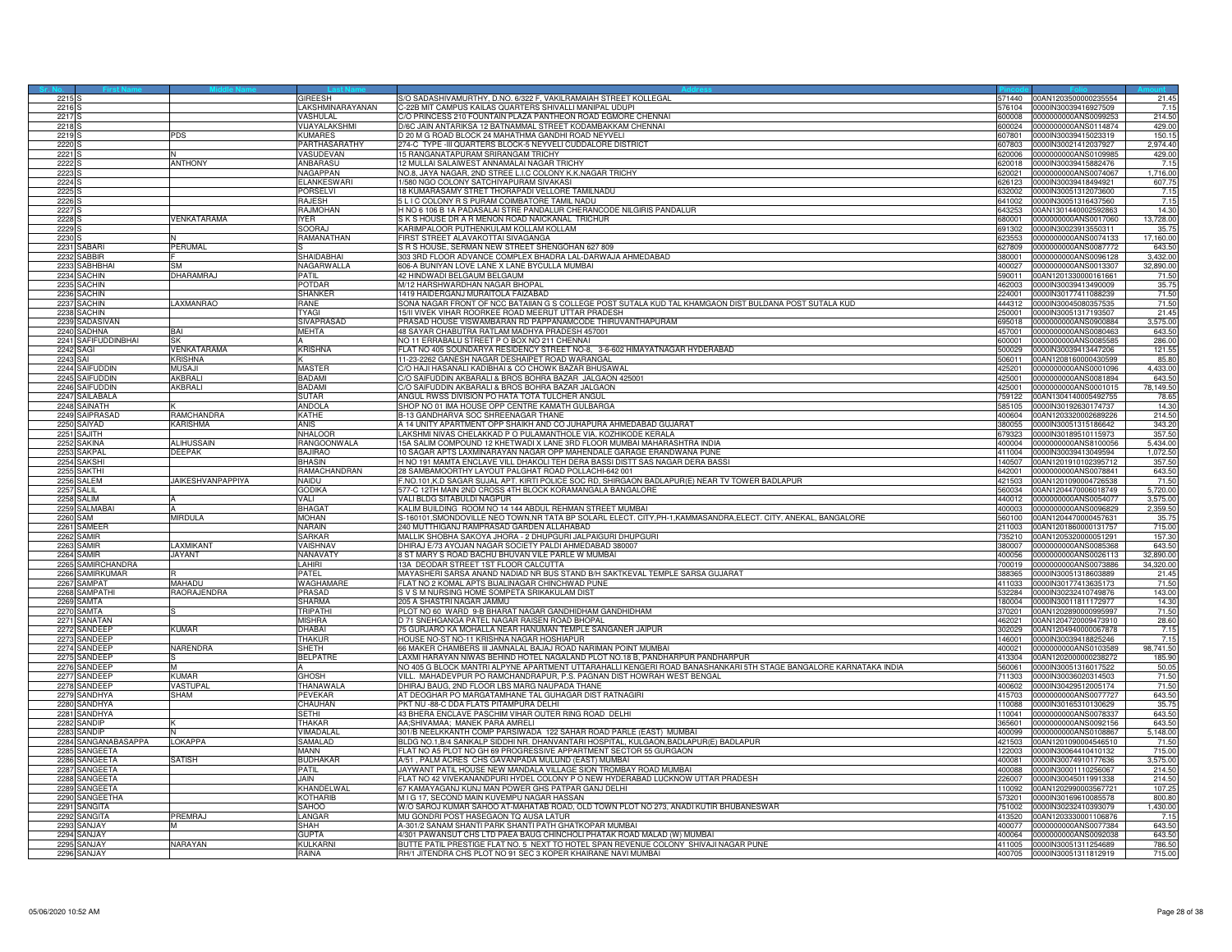| 2215                             |                               | <b>GIREESH</b>                | S/O SADASHIVAMURTHY, D.NO. 6/322 F, VAKILRAMAIAH STREET KOLLEGAL                                                                                              | 71440            | 00AN1203500000235554                         | 21.45              |
|----------------------------------|-------------------------------|-------------------------------|---------------------------------------------------------------------------------------------------------------------------------------------------------------|------------------|----------------------------------------------|--------------------|
| 2216                             |                               | LAKSHMINARAYANAN<br>VASHULAI  | 22B MIT CAMPUS KAILAS QUARTERS SHIVALLI MANIPAL UDUPI                                                                                                         | 576104<br>300008 | 0000IN30039416927509<br>0000000000ANS0099253 | 7.15               |
| 2217                             |                               | VIJAYALAKSHM                  | O PRINCESS 210 FOUNTAIN PLAZA PANTHEON ROAD EGMORE CHENNAI                                                                                                    | 600024           | 0000000000ANS0114874                         | 214.50             |
| 2218 <sub>S</sub><br>2219        | <b>PDS</b>                    | <b>KUMARES</b>                | D/6C JAIN ANTARIKSA 12 BATNAMMAL STREET KODAMBAKKAM CHENNAI<br>20 M G ROAD BLOCK 24 MAHATHMA GANDHI ROAD NEYVELL                                              | 607801           | 0000IN30039415023319                         | 429.00<br>150.15   |
| 2220                             |                               | PARTHASARATHY                 | 274-C TYPE -III QUARTERS BLOCK-5 NEYVELI CUDDALORE DISTRICT                                                                                                   | 07803            | 0000lN30021412037927                         | 2,974.40           |
| 2221                             |                               | VASUDEVAN                     | 15 RANGANATAPURAM SRIRANGAM TRICHY                                                                                                                            | 620006           | 0000000000ANS0109985                         | 429.00             |
| 2222                             | <b>ANTHONY</b>                | ANBARASU                      | 2 MULLAI SALAIWEST ANNAMALAI NAGAR TRICHY                                                                                                                     | 320018           | 0000IN30039415882476                         | 7.15               |
| 2223                             |                               | NAGAPPAN                      | NO.8, JAYA NAGAR, 2ND STREE L.I.C COLONY K.K.NAGAR TRICHY                                                                                                     | 620021           | 0000000000ANS0074067                         | 1,716.00           |
| 2224                             |                               | ELANKESWAR                    | /580 NGO COLONY SATCHIYAPURAM SIVAKASI                                                                                                                        | 626123           | 0000IN30039418494921                         | 607.75             |
| 2225                             |                               | <b>PORSELVI</b>               | 8 KUMARASAMY STRET THORAPADI VELLORE TAMILNADU                                                                                                                | 32002            | 0000IN30051312073600                         | 7.15               |
| 2226 <sub>S</sub>                |                               | <b>RAJESH</b>                 | 5 L I C COLONY R S PURAM COIMBATORE TAMIL NADU                                                                                                                | 641002           | 0000IN30051316437560                         | 7.15               |
| 2227                             |                               | RAJMOHAN                      | H NO 6 106 B 1A PADASALAI STRE PANDALUR CHERANCODE NILGIRIS PANDALUR                                                                                          | 643253           | 00AN1301440002592863                         | 14.30              |
| 2228<br>2229                     | VENKATARAMA                   | YFR<br>SOORAJ                 | S K S HOUSE DR A R MENON ROAD NAICKANAL TRICHUR<br><b>KARIMPALOOR PUTHENKULAM KOLLAM KOLLAM</b>                                                               | 680001<br>91302  | 0000000000ANS0017060<br>0000IN30023913550311 | 13,728.00<br>35.75 |
| 2230                             |                               | RAMANATHAN                    | FIRST STREET ALAVAKOTTAI SIVAGANGA                                                                                                                            | 323553           | 0000000000ANS0074133                         | 17,160.00          |
| 2231 SABARI                      | PERUMAL                       |                               | S R S HOUSE, SERMAN NEW STREET SHENGOHAN 627 809                                                                                                              | 627809           | 0000000000ANS0087772                         | 643.5              |
| 2232 SABBIR                      |                               | <b>SHAIDABHAI</b>             | 303 3RD FLOOR ADVANCE COMPLEX BHADRA LAL-DARWAJA AHMEDABAD                                                                                                    | 380001           | 000000000ANS0096128                          | 3,432.00           |
| 2233 SABHBHAI                    | <b>SM</b>                     | NAGARWALLA                    | 606-A BUNIYAN LOVE LANE X LANE BYCULLA MUMBAI                                                                                                                 | 400027           | 0000000000ANS0013307                         | 32,890.00          |
| 2234 SACHIN                      | DHARAMRAJ                     | PATIL                         | 42 HINDWADI BELGAUM BELGAUM                                                                                                                                   | 590011           | 0AN1201330000161661                          | 71.50              |
| 2235 SACHIN                      |                               | POTDAR                        | M/12 HARSHWARDHAN NAGAR BHOPAL                                                                                                                                | 462003           | 0000IN30039413490009                         | 35.75              |
| 2236 SACHIN                      |                               | <b>SHANKER</b>                | 1419 HAIDERGANJ MURAITOLA FAIZABAD                                                                                                                            |                  | 224001 0000IN30177411088239                  | 71.50              |
| 2237 SACHIN                      | LAXMANRAO                     | RANE<br><b>TYAGI</b>          | SONA NAGAR FRONT OF NCC BATAIIAN G S COLLEGE POST SUTALA KUD TAL KHAMGAON DIST BULDANA POST SUTALA KUD                                                        | 444312           | 0000IN30045080357535                         | 71.50              |
| 2238 SACHIN<br>2239<br>SADASIVAN |                               | <b>SIVAPRASAD</b>             | 5/II VIVEK VIHAR ROORKEE ROAD MEERUT UTTAR PRADESH<br>PRASAD HOUSE VISWAMBARAN RD PAPPANAMCODE THIRUVANTHAPURAM                                               | 250001<br>95018  | 0000IN30051317193507<br>0000000000ANS0900884 | 21.45<br>3,575.00  |
| 2240 SADHNA                      | BAI                           | MEHTA                         | 48 SAYAR CHABUTRA RATLAM MADHYA PRADESH 457001                                                                                                                | 457001           | 0000000000ANS0080463                         | 643.50             |
| 2241 SAFIFUDDINBHAI              | SK                            |                               | NO 11 ERRABALU STREET P O BOX NO 211 CHENNAI                                                                                                                  | 600001           | 0000000000ANS0085585                         | 286.00             |
| 2242 SAGI                        | VENKATARAMA                   | <b>KRISHNA</b>                | FLAT NO 405 SOUNDARYA RESIDENCY STREET NO-8, 3-6-602 HIMAYATNAGAR HYDERABAD                                                                                   | 500029           | 0000IN30039413447206                         | 121.55             |
| 2243 SAI                         | <b>KRISHNA</b>                | K                             | 11-23-2262 GANESH NAGAR DESHAIPET ROAD WARANGAL                                                                                                               | 110601           | 10AN1208160000430599                         | 85.80              |
| 2244 SAIFUDDIN                   | <b>MUSAJI</b>                 | <b>MASTER</b>                 | C/O HAJI HASANALI KADIBHAI & CO CHOWK BAZAR BHUSAWAI                                                                                                          | 25201            | 0000000000ANS0001096                         | 4,433.00           |
| 2245 SAIFUDDIN                   | AKBRALI                       | <b>BADAMI</b>                 | C/O SAIFUDDIN AKBARALI & BROS BOHRA BAZAR JALGAON 425001                                                                                                      | 425001           | 0000000000ANS0081894                         | 643.50             |
| 2246 SAIFUDDIN                   | AKBRALI                       | BADAMI                        | C/O SAIFUDDIN AKBARALI & BROS BOHRA BAZAR JALGAON                                                                                                             | 425001           | 0000000000ANS0001015                         | 78,149.50          |
| 2247 SAILABALA                   |                               | <b>SUTAR</b>                  | ANGUL RWSS DIVISION PO HATA TOTA TULCHER ANGUL                                                                                                                | 759122           | 00AN1304140005492755                         | 78.65              |
| 2248 SAINATH                     |                               | <b>ANDOLA</b><br>KATHF        | SHOP NO 01 IMA HOUSE OPP CENTRE KAMATH GULBARGA                                                                                                               | 585105<br>100604 | 0000IN30192630174737<br>00AN1203320002689226 | 14.30              |
| SAIPRASAD<br>2249<br>2250 SAIYAD | RAMCHANDRA<br><b>KARISHMA</b> | <b>ANIS</b>                   | 3-13 GANDHARVA SOC SHREENAGAR THANE<br>A 14 UNITY APARTMENT OPP SHAIKH AND CO JUHAPURA AHMEDABAD GUJARAT                                                      | 380055           | 0000IN30051315186642                         | 214.50<br>343.20   |
| 2251 SAJITH                      |                               | NHALOOR                       | LAKSHMI NIVAS CHELAKKAD P O PULAMANTHOLE VIA, KOZHIKODE KERALA                                                                                                | 679323           | 0000IN30189510115973                         | 357.50             |
| 2252 SAKINA                      | ALIHUSSAIN                    | RANGOONWALA                   | 15A SALIM COMPOUND 12 KHETWADI X LANE 3RD FLOOR MUMBAI MAHARASHTRA INDIA                                                                                      | 400004           | 0000000000ANS8100056                         | 5,434.00           |
| 2253 SAKPAL                      | <b>DEEPAK</b>                 | BAJIRAO                       | 10 SAGAR APTS LAXMINARAYAN NAGAR OPP MAHENDALE GARAGE ERANDWANA PUNE                                                                                          | 411004           | 0000IN30039413049594                         | 1,072.50           |
| SAKSHI<br>2254                   |                               | BHASIN                        | H NO 191 MAMTA ENCLAVE VILL DHAKOLI TEH DERA BASSI DISTT SAS NAGAR DERA BASSI                                                                                 | 40507            | 00AN1201910102395712                         | 357.50             |
| 2255 SAKTHI                      |                               | RAMACHANDRAN                  | 28 SAMBAMOORTHY LAYOUT PALGHAT ROAD POLLACHI-642 001                                                                                                          | 642001           | 0000000000ANS0078841                         | 643.50             |
| 2256 SALEM                       | <b>JAIKESHVANPAPPIYA</b>      | NAIDU                         | F.NO.101,K.D SAGAR SUJAL APT. KIRTI POLICE SOC RD, SHIRGAON BADLAPUR(E) NEAR TV TOWER BADLAPUR                                                                | 421503           | 00AN1201090004726538                         | 71.50              |
| 2257 SALIL                       |                               | godika                        | 577-C 12TH MAIN 2ND CROSS 4TH BLOCK KORAMANGALA BANGALORE                                                                                                     | 560034           | 00AN1204470006018749                         | 5,720.00           |
| 2258 SALIM                       |                               | <b>VALL</b>                   | VALI BLDG SITABULDI NAGPUR                                                                                                                                    | 440012           | 0000000000ANS0054077                         | 3.575.00           |
| SALMABAI<br>2259                 |                               | <b>BHAGAT</b><br><b>MOHAN</b> | KALIM BUILDING ROOM NO 14 144 ABDUL REHMAN STREET MUMBAI                                                                                                      | 400003<br>560100 | 0000000000ANS0096829<br>00AN1204470000457631 | 2,359.50<br>35.75  |
| 2260 SAM<br>2261 SAMEEF          | MIRDULA                       | NARAIN                        | S-160101, SMONDOVILLE NEO TOWN, NR TATA BP SOLARL ELECT. CITY, PH-1, KAMMASANDRA, ELECT. CITY, ANEKAL, BANGALORE<br>240 MUTTHIGANJ RAMPRASAD GARDEN ALLAHABAD | 211003           | 00AN1201860000131757                         | 715.00             |
| 2262 SAMIR                       |                               | SARKAR                        | MALLIK SHOBHA SAKOYA JHORA - 2 DHUPGURI JALPAIGURI DHUPGURI                                                                                                   | 735210           | 00AN1205320000051291                         | 157.30             |
| 2263 SAMIR                       | LAXMIKANT                     | VAISHNAV                      | DHIRAJ E/73 AYOJAN NAGAR SOCIETY PALDI AHMEDABAD 380007                                                                                                       | 380007           | 0000000000ANS0085368                         | 643.50             |
| 2264 SAMIR                       | <b>JAYANT</b>                 | NANAVATY                      | 8 ST MARY S ROAD BACHU BHUVAN VILE PARLE W MUMBAI                                                                                                             | 400056           | 0000000000ANS0026113                         | 32,890.00          |
| 2265 SAMIRCHANDRA                |                               | LAHIRI                        | 13A DEODAR STREET 1ST FLOOR CALCUTTA                                                                                                                          | 700019           | 0000000000ANS0073886                         | 34,320.00          |
| 2266 SAMIRKUMAR                  |                               | PATEL                         | MAYASHERI SARSA ANAND NADIAD NR BUS STAND B/H SAKTKEVAL TEMPLE SARSA GUJARAT                                                                                  | 388365           | 0000IN30051318603889                         | 21.45              |
| 2267 SAMPAT                      | <b>MAHADU</b>                 | WAGHAMARE                     | FLAT NO 2 KOMAL APTS BIJALINAGAR CHINCHWAD PUNE                                                                                                               | 411033           | 0000IN30177413635173                         | 71.50              |
| 2268<br>SAMPATHI                 | RAORAJENDRA                   | <b>PRASAD</b>                 | S V S M NURSING HOME SOMPETA SRIKAKULAM DIST                                                                                                                  | 32284            | 1000IN30232410749876                         | 143.00             |
| 2269 SAMTA                       |                               | SHARMA                        | 205 A SHASTRI NAGAR JAMMU                                                                                                                                     | 180004           | 0000lN30011811172977                         | 14.30              |
| 2270 SAMTA                       |                               | <b>TRIPATHI</b>               | PLOT NO 60 WARD 9-B BHARAT NAGAR GANDHIDHAM GANDHIDHAM                                                                                                        | 370201           | 00AN1202890000995997                         | 71.50              |
| 2271 SANATAN<br>2272 SANDEEP     | KUMAR                         | MISHRA<br><b>HARAI</b>        | D 71 SNEHGANGA PATEL NAGAR RAISEN ROAD BHOPAL<br>75 GURJARO KA MOHALLA NEAR HANUMAN TEMPLE SANGANER JAIPUR                                                    | 462021<br>302029 | 00AN1204720009473910<br>00AN1204940000067878 | 28.60<br>7.15      |
| 2273 SANDEEP                     |                               | <b>HAKUF</b>                  | HOUSE NO-ST NO-11 KRISHNA NAGAR HOSHIAPUR                                                                                                                     | 146001           | 0000IN30039418825246                         | 7.15               |
| 2274 SANDEEP                     | NARENDRA                      | SHETH                         | 66 MAKER CHAMBERS III JAMNALAL BAJAJ ROAD NARIMAN POINT MUMBAI                                                                                                | 400021           | 0000000000ANS0103589                         | 98,741.50          |
| 2275 SANDEEP                     |                               | <b>BELPATRE</b>               | LAXMI HARAYAN NIWAS BEHIND HOTEL NAGALAND PLOT NO.18 B, PANDHARPUR PANDHARPUR                                                                                 |                  | 413304 00AN1202000000238272                  | 185.90             |
| 2276 SANDEEP                     | M                             |                               | NO 405 G BLOCK MANTRI ALPYNE APARTMENT UTTARAHALLI KENGERI ROAD BANASHANKARI 5TH STAGE BANGALORE KARNATAKA INDIA                                              | 560061           | 0000lN30051316017522                         | 50.05              |
| 2277 SANDEEP                     | KIIMAR                        | <b>GHOSH</b>                  | VILL. MAHADEVPUR PO RAMCHANDRAPUR, P.S. PAGNAN DIST HOWRAH WEST BENGAL                                                                                        | 711303           | 0000IN30036020314503                         | 71.50              |
| 2278<br>SANDEEP                  | <b>/ASTUPAL</b>               | THANAWALA                     | HIRAJ BAUG, 2ND FLOOR LBS MARG NAUPADA THANE                                                                                                                  | 509001           | 000IN30429512005174                          | 71.50              |
| 2279 SANDHYA                     | SHAM                          | PEVEKAR                       | AT DEOGHAR PO MARGATAMHANE TAL GUHAGAR DIST RATNAGIRI                                                                                                         | 415703           | 0000000000ANS0077727                         | 643.50             |
| 2280 SANDHYA                     |                               | CHAUHAN<br><b>SFTHI</b>       | PKT NU -88-C DDA FLATS PITAMPURA DELHI                                                                                                                        |                  | 110088 0000IN30165310130629                  | 35.75              |
| 2281 SANDHYA<br>2282 SANDIP      |                               | THAKAR                        | 43 BHERA ENCLAVE PASCHIM VIHAR OUTER RING ROAD DELHI<br>AA;SHIVAMAA; MANEK PARA AMRELI                                                                        | 110041<br>365601 | 0000000000ANS0078337<br>0000000000ANS0092156 | 643.50<br>643.50   |
| 2283<br>SANDIP                   |                               | /IMADALAI                     | 301/B NEELKKANTH COMP PARSIWADA 122 SAHAR ROAD PARLE (EAST) MUMBAI                                                                                            | 00099            | 000000000ANS0108867                          | 5,148.00           |
| 2284 SANGANABASAPPA              | <b>LOKAPPA</b>                | SAMALAD                       | BLDG NO.1,B/4 SANKALP SIDDHI NR. DHANVANTARI HOSPITAL, KULGAON,BADLAPUR(E) BADLAPUR                                                                           | 421503           | 00AN1201090004546510                         | 71.50              |
| 2285 SANGEETA                    |                               | MANN                          | FLAT NO A5 PLOT NO GH 69 PROGRESSIVE APPARTMENT SECTOR 55 GURGAON                                                                                             | 122003           | 0000lN30064410410132                         | 715.00             |
| 2286 SANGEETA                    | SATISH                        | BUDHAKAR                      | A/51, PALM ACRES CHS GAVANPADA MULUND (EAST) MUMBAI                                                                                                           | 400081           | 0000IN30074910177636                         | 3,575.00           |
| SANGEETA<br>2287                 |                               | PATIL                         | JAYWANT PATIL HOUSE NEW MANDALA VILLAGE SION TROMBAY ROAD MUMBAI                                                                                              | 400088           | 0000IN30001110256067                         | 214.50             |
| SANGEETA<br>2288                 |                               | JAIN.                         | ELAT NO 42 VIVEKANANDPURI HYDEL COLONY P O NEW HYDERABAD LUCKNOW UTTAR PRADESH                                                                                | 26007            | 000IN30045011991338                          | 214.50             |
| 2289 SANGEETA                    |                               | KHANDELWAL                    | 67 KAMAYAGANJ KUNJ MAN POWER GHS PATPAR GANJ DELHI                                                                                                            | 110092           | 00AN1202990003567721                         | 107.25             |
| 2290 SANGEETHA                   |                               | <b>KOTHARIB</b>               | M I G 17, SECOND MAIN KUVEMPU NAGAR HASSAN                                                                                                                    | 73201            | 0000IN30169610085578                         | 800.80             |
| 2291 SANGITA<br>2292 SANGITA     | PREMRAJ                       | <b>SAHOO</b><br>LANGAR        | W/O SAROJ KUMAR SAHOO AT-MAHATAB ROAD, OLD TOWN PLOT NO 273, ANADI KUTIR BHUBANESWAR<br>MU GONDRI POST HASEGAON TO AUSA LATUR                                 | 751002<br>413520 | 0000IN30232410393079<br>00AN1203330001106876 | 1,430.00<br>7.15   |
| 2293<br>SANJAY                   |                               | SHAH                          | A-301/2 SANAM SHANTI PARK SHANTI PATH GHATKOPAR MUMBAI                                                                                                        | 400077           | 0000000000ANS0077384                         | 643.50             |
| 2294 SANJAY                      |                               | <b>GUPTA</b>                  | 4/301 PAWANSUT CHS LTD PAEA BAUG CHINCHOLI PHATAK ROAD MALAD (W) MUMBAI                                                                                       | 400064           | 0000000000ANS0092038                         | 643.50             |
| 2295 SANJA                       | NARAYAN                       | <b>KULKARN</b>                | BUTTE PATIL PRESTIGE FLAT NO. 5 NEXT TO HOTEL SPAN REVENUE COLONY SHIVAJI NAGAR PUNE                                                                          |                  | 411005 0000IN30051311254689                  | 786.50             |
| 2296 SANJAY                      |                               | RAINA                         | RH/1 JITENDRA CHS PLOT NO 91 SEC 3 KOPER KHAIRANE NAVI MUMBAI                                                                                                 |                  | 400705 0000IN30051311812919                  | 715.00             |
|                                  |                               |                               |                                                                                                                                                               |                  |                                              |                    |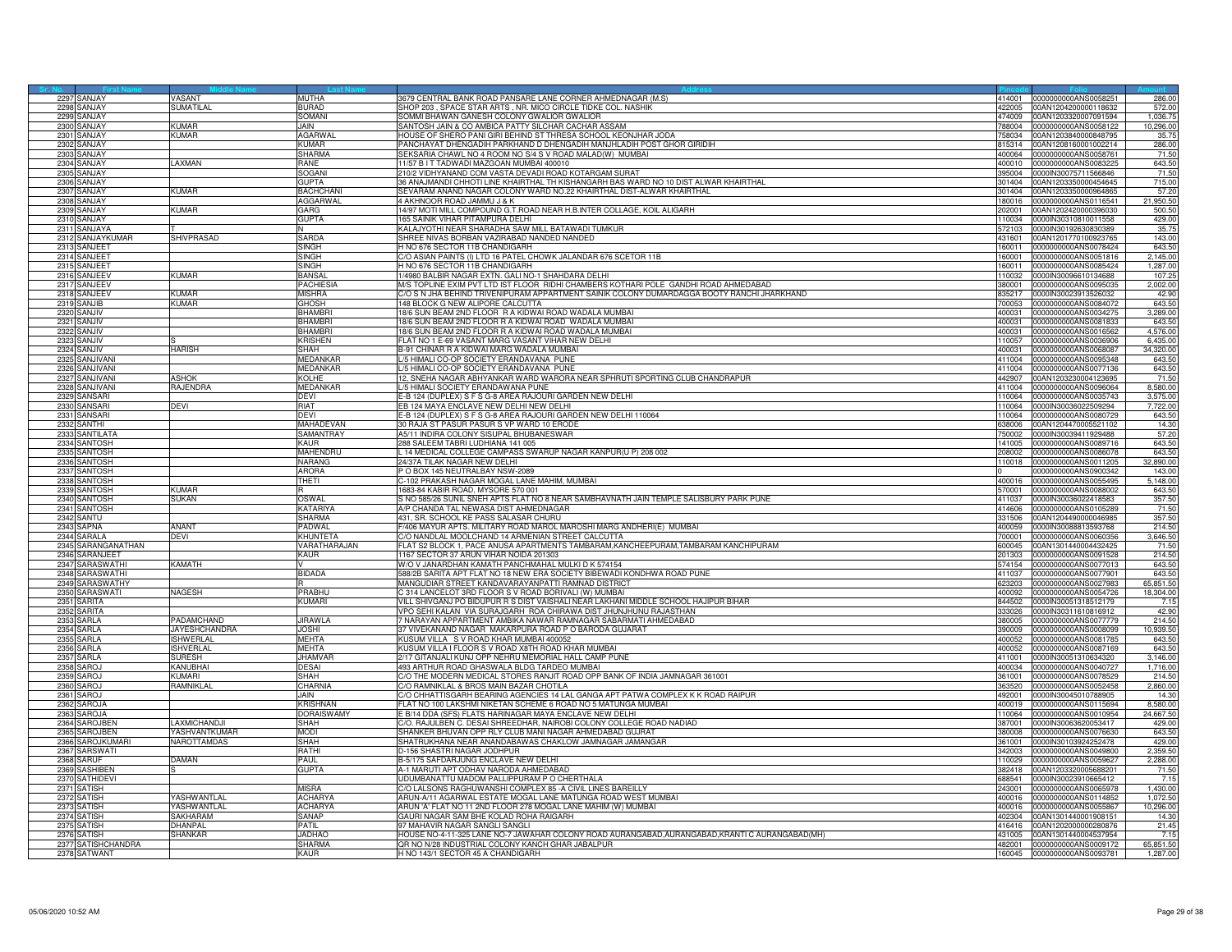|      | 2297 SANJAY        | VASANT               | <b>MITHA</b>      | 3679 CENTRAL BANK ROAD PANSARE LANE CORNER AHMEDNAGAR (M.S)                                   |        | 414001 0000000000ANS0058251 | 286.00        |
|------|--------------------|----------------------|-------------------|-----------------------------------------------------------------------------------------------|--------|-----------------------------|---------------|
|      | 2298 SANJAY        | SUMATILAL            | <b>BURAD</b>      | SHOP 203 . SPACE STAR ARTS . NR. MICO CIRCLE TIDKE COL. NASHIK                                | 22005  | 00AN1204200000118632        | 572.00        |
|      | 2299 SANJAY        |                      | SOMANI            | SOMMI BHAWAN GANESH COLONY GWALIOR GWALIOR                                                    | 474009 | 00AN1203320007091594        | 1,036.75      |
| 2300 | SANJAY             | <b>KUMAR</b>         | JAIN.             | SANTOSH JAIN & CO AMBICA PATTY SILCHAR CACHAR ASSAM                                           | 788004 | 0000000000ANS0058122        | 10,296.00     |
|      |                    |                      |                   |                                                                                               |        |                             |               |
| 230  | SANJAY             | <b>UMAR</b>          | <b>AGARWA</b>     | HOUSE OF SHERO PANI GIRI BEHIND ST THRESA SCHOOL KEONJHAR JODA                                | '58034 | 00AN1203840000848795        | 35.75         |
|      | 2302 SANJAY        |                      | KIIMAR            | PANCHAYAT DHENGADIH PARKHAND D DHENGADIH MANJHLADIH POST GHOR GIRIDIH                         | 815314 | 00AN1208160001002214        | 286.00        |
| 230  | SANJAY             |                      | SHARMA            | SEKSARIA CHAWL NO 4 ROOM NO S/4 S V ROAD MALAD(W) MUMBAI                                      | 400064 | 0000000000ANS0058761        | 71.50         |
|      | 2304 SANJAY        | AXMAN                | RANE              | 11/57 B I T TADWADI MAZGOAN MUMBAI 400010                                                     | 400010 | 0000000000ANS0083225        | 643.50        |
| 2305 | SANJAY             |                      | SOGANI            | 210/2 VIDHYANAND COM VASTA DEVADI ROAD KOTARGAM SURAT                                         | 395004 | 0000IN30075711566846        | 71.50         |
| 2306 | SANJAY             |                      | <b>GUPTA</b>      | 36 ANAJMANDI CHHOTI LINE KHAIRTHAL TH KISHANGARH BAS WARD NO 10 DIST ALWAR KHAIRTHAL          | 301404 | 00AN1203350000454645        | 715.00        |
| 2307 |                    | (UMAR                | <b>BACHCHAN</b>   |                                                                                               |        |                             | 57.20         |
|      | SANJAY             |                      |                   | SEVARAM ANAND NAGAR COLONY WARD NO.22 KHAIRTHAL DIST-ALWAR KHAIRTHAL                          | 301404 | 00AN1203350000964865        |               |
| 2308 | SANJAY             |                      | <b>AGGARWAL</b>   | 4 AKHNOOR ROAD JAMMU J & K                                                                    | 180016 | 0000000000ANS0116541        | 21,950.50     |
| 2309 | SANJAY             | <b>KUMAR</b>         | GARG              | 14/97 MOTI MILL COMPOUND G.T.ROAD NEAR H.B.INTER COLLAGE, KOIL ALIGARH                        | 202001 | 00AN1202420000396030        | 500.50        |
| 2310 | <b>ANJAY</b>       |                      | GUPTA             | 165 SAINIK VIHAR PITAMPURA DELHI                                                              | 10034  | 0000IN30310810011558        | 429.00        |
| 2311 | SANJAYA            |                      |                   | KALAJYOTHI NEAR SHARADHA SAW MILL BATAWADI TUMKUR                                             | 572103 | 0000IN30192630830389        | 35.75         |
| 2312 | SANJAYKUMAR        | SHIVPRASAD           | SARDA             | SHREE NIVAS BORBAN VAZIRABAD NANDED NANDED                                                    | 431601 | 00AN1201770100923765        | 143.00        |
| 231  | <b>SANJEET</b>     |                      | SINGH             | H NO 676 SECTOR 11B CHANDIGARH                                                                | 160011 | 0000000000ANS0078424        | 643.50        |
|      |                    |                      |                   |                                                                                               |        |                             |               |
|      | 2314 SANJEET       |                      | SINGH             | C/O ASIAN PAINTS (I) LTD 16 PATEL CHOWK JALANDAR 676 SCETOR 11B                               | 160001 | 000000000ANS0051816         | 2,145.00      |
| 2315 | SANJEET            |                      | SINGH             | H NO 676 SECTOR 11B CHANDIGARH                                                                | 160011 | 0000000000ANS0085424        | 1,287.00      |
|      | 2316 SANJEEV       | <b>KUMAR</b>         | <b>BANSAL</b>     | 1/4980 BALBIR NAGAR EXTN. GALI NO-1 SHAHDARA DELHI                                            | 110032 | 0000IN30096610134688        | 107.2         |
|      | 2317 SANJEEV       |                      | <b>PACHIESIA</b>  | M/S TOPLINE EXIM PVT LTD IST FLOOR RIDHI CHAMBERS KOTHARI POLE GANDHI ROAD AHMEDABAD          | 380001 | 0000000000ANS0095035        | 2,002.00      |
| 2318 | SANJEEV            | (Umar                | <b>MISHRA</b>     | C/O S N JHA BEHIND TRIVENIPURAM APPARTMENT SAINIK COLONY DUMARDAGGA BOOTY RANCHI JHARKHAND    | 335217 | 0000IN30023913526032        | 42.90         |
| 2319 | SANJIB             | (UMAR                | <b>GHOSH</b>      | 148 BLOCK G NEW ALIPORE CALCUTTA                                                              | 700053 | 0000000000ANS0084072        | 643.50        |
| 232  | ANJIV              |                      | <b>BHAMBR</b>     | 18/6 SUN BEAM 2ND FLOOR R A KIDWAI ROAD WADALA MUMBAI                                         | 400031 | 0000000000ANS0034275        | 3,289.00      |
| 2321 | SANJIV             |                      | <b>BHAMBR</b>     | 18/6 SUN BEAM 2ND FLOOR R A KIDWAI ROAD WADALA MUMBAI                                         | 400031 | 0000000000ANS0081833        | 643.50        |
|      |                    |                      |                   |                                                                                               |        |                             |               |
|      | 2322 SANJIV        |                      | <b>BHAMBRI</b>    | 18/6 SUN BEAM 2ND FLOOR R A KIDWAI ROAD WADALA MUMBAI                                         | 400031 | 0000000000ANS0016562        | 4,576.00      |
| 232  | SANJIV             |                      | Krishen           | FLAT NO 1 E-69 VASANT MARG VASANT VIHAR NEW DELHI                                             | 110057 | 0000000000ANS0036906        | 6,435.00      |
| 2324 | SAN.JIV            | <b>HARISH</b>        | SHAH              | B-91 CHINAR R A KIDWAI MARG WADALA MUMBAI                                                     | 400031 | 0000000000ANS0068087        | 34,320.00     |
| 2325 | ANJIVANI           |                      | MEDANKAR          | /5 HIMALI CO-OP SOCIETY ERANDAVANA PUNE                                                       | 411004 | 000000000ANS0095348         | 643.50        |
| 2326 | SANJIVANI          |                      | <b>MEDANKAR</b>   | L/5 HIMALI CO-OP SOCIETY ERANDAVANA PUNE                                                      | 411004 | 0000000000ANS0077136        | 643.50        |
| 2327 | SANJIVANI          | ASHOK                | <b>KOLHE</b>      | 12, SNEHA NAGAR ABHYANKAR WARD WARORA NEAR SPHRUTI SPORTING CLUB CHANDRAPUF                   |        | 442907 00AN1203230004123695 | 71.50         |
| 232  | SANJIVANI          | RAJENDRA             | <b>MEDANKAR</b>   | ./5 HIMALI SOCIETY ERANDAWANA PUNE                                                            | 411004 | 0000000000ANS0096064        | 8,580.00      |
| 232  | SANSARI            |                      |                   |                                                                                               | 110064 |                             |               |
|      |                    |                      | DEVI              | -B 124 (DUPLEX) S F S G-8 AREA RAJOURI GARDEN NEW DELHI                                       |        | 0000000000ANS0035743        | 3,575.00      |
| 233  | ANSARI             | DEVI                 | RIAT              | <b>EB 124 MAYA ENCLAVE NEW DELHI NEW DELHI</b>                                                | 10064  | 0000IN30036022509294        | 7,722.00      |
| 2331 | SANSARI            |                      | <b>DEAI</b>       | E-B 124 (DUPLEX) S F S G-8 AREA RAJOURI GARDEN NEW DELHI 110064                               | 110064 | 0000000000ANS0080729        | 643.50        |
|      | 2332 SANTHI        |                      | <b>MAHADEVAN</b>  | 30 RAJA ST PASUR PASUR S VP WARD 10 ERODE                                                     | 638006 | 00AN1204470005521102        | 14.30         |
| 2333 | <b>SANTILATA</b>   |                      | SAMANTRAY         | A5/11 INDIRA COLONY SISUPAL BHUBANESWAR                                                       | 750002 | 0000IN30039411929488        | 57.20         |
|      | 2334 SANTOSH       |                      | KAUR              | 288 SALEEM TABRILUDHIANA 141 005                                                              | 141005 | 0000000000ANS0089716        | 643.50        |
| 2335 | ANTOSH             |                      | MAHENDRU          | L 14 MEDICAL COLLEGE CAMPASS SWARUP NAGAR KANPUR(U P) 208 002                                 | 208002 | 000000000ANS0086078         | 643.50        |
|      |                    |                      |                   |                                                                                               |        |                             |               |
| 2336 | SANTOSH            |                      | <b>NARANG</b>     | 24/37A TILAK NAGAR NEW DELHI                                                                  | 110018 | 0000000000ANS0011205        | 32,890.00     |
|      | 2337 SANTOSH       |                      | <b>ARORA</b>      | P O BOX 145 NEUTRALBAY NSW-2089                                                               |        | 0000000000ANS0900342        | 143.00        |
|      | 2338 SANTOSH       |                      | THETI             | C-102 PRAKASH NAGAR MOGAL LANE MAHIM, MUMBAI                                                  | 400016 | 0000000000ANS0055495        | 5,148.00      |
| 233  | <b>SANTOSH</b>     | <b>KIIMAR</b>        | R.                | 1683-84 KABIR ROAD, MYSORE 570 001                                                            | 570001 | 0000000000ANS0088002        | 643.50        |
| 2340 | ANTOSH             | <b>UKAN</b>          | OSWAL             | S NO 585/26 SUNIL SNEH APTS FLAT NO 8 NEAR SAMBHAVNATH JAIN TEMPLE SALISBURY PARK PUNE        | 11037  | 0000IN30036022418583        | 357.50        |
| 2341 | SANTOSH            |                      | KATARIYA          | A/P CHANDA TAL NEWASA DIST AHMEDNAGAR                                                         | 414606 | 0000000000ANS0105289        | 71.50         |
|      | 2342 SANTU         |                      | <b>SHARMA</b>     | 431, SR, SCHOOL KE PASS SALASAR CHURU                                                         | 331506 | 00AN1204490000046985        | 357.50        |
|      |                    |                      |                   |                                                                                               |        |                             |               |
|      | 2343 SAPNA         | ANANT                | <b>PADWAL</b>     | F/406 MAYUR APTS. MILITARY ROAD MAROL MAROSHI MARG ANDHERI(E) MUMBAI                          | 400059 | 0000IN30088813593768        | 214.50        |
|      | 2344 SARALA        | DEVI                 | <b>KHUNTETA</b>   | C/O NANDLAL MOOLCHAND 14 ARMENIAN STREET CALCUTTA                                             | 700001 | 0000000000ANS0060356        | 3,646.50      |
| 2345 | SARANGANATHAN      |                      | VARATHARAJAN      | FLAT S2 BLOCK 1, PACE ANUSA APARTMENTS TAMBARAM, KANCHEEPURAM, TAMBARAM KANCHIPURAM           | 00045  | 00AN1301440004432425        | 71.50         |
|      | 2346 SARANJEET     |                      | KAUR              | 1167 SECTOR 37 ARUN VIHAR NOIDA 201303                                                        | 201303 | 0000000000ANS0091528        | 214.50        |
|      | 2347 SARASWATH     | <b>KAMATH</b>        |                   | W/O V JANARDHAN KAMATH PANCHMAHAL MULKI D K 574154                                            | 574154 | 0000000000ANS0077013        | 643.50        |
|      | 2348 SARASWATHI    |                      | <b>BIDADA</b>     | 588/2B SARITA APT FLAT NO 18 NEW ERA SOCIETY BIBEWADI KONDHWA ROAD PUNE                       | 411037 | 0000000000ANS0077901        | 643.50        |
|      | 2349 SARASWATHY    |                      |                   | MANGUDIAR STREET KANDAVARAYANPATTI RAMNAD DISTRICT                                            | 323203 | 1000000000ANS0027983        | 65,851.50     |
| 235  | ARASWATI           | <b>JAGESH</b>        | PRABHU            | 314 LANCELOT 3RD FLOOR S V ROAD BORIVALI (W) MUMBAI                                           | 100092 | 000000000ANS0054726         | 18,304.00     |
| 235  |                    |                      | KUMARI            |                                                                                               |        |                             |               |
| 2352 | SARITA             |                      |                   | VILL SHIVGANJ PO BIDUPUR R S DIST VAISHALI NEAR LAKHANI MIDDLE SCHOOL HAJIPUR BIHAR           | 844502 | 0000IN30051318512179        | 7.15          |
|      | <b>SARITA</b>      |                      |                   | VPO SEHI KALAN VIA SURAJGARH ROA CHIRAWA DIST JHUNJHUNU RAJASTHAN                             | 333026 | 0000IN30311610816912        | 42.90         |
|      | 2353 SARLA         | PADAMCHAND           | <b>JIRAWLA</b>    | 7 NARAYAN APPARTMENT AMBIKA NAWAR RAMNAGAR SABARMATI AHMEDABAD                                | 380005 | 0000000000ANS0077779        | 214.50        |
|      | 2354 SARLA         | <b>JAYESHCHANDRA</b> | <b>JOSHI</b>      | 37 VIVEKANAND NAGAR MAKARPURA ROAD P O BARODA GUJARAT                                         | 390009 | 0000000000ANS0008099        | 10,939.50     |
| 235  | <b>ARLA</b>        | SHWERLAL             | MFHTA             | KUSUM VILLA S V ROAD KHAR MUMBAI 400052                                                       | 100052 | 0000000000ANS0081785        | 643.50        |
|      | 2356 SARLA         | SHVERLAL             | <b>MEHTA</b>      | KUSUM VILLA I FLOOR S V ROAD X8TH ROAD KHAR MUMBAI                                            | 400052 | 0000000000ANS0087169        | 643.50        |
|      | 2357 SARLA         | SURESH               | <b>JHAMVAF</b>    | 2/17 GITANJALI KUNJ OPP NEHRU MEMORIAL HALL CAMP PUNE                                         | 411001 | 0000IN30051310634320        | 3,146.00      |
|      | 2358 SAROJ         | <b>KANUBHAI</b>      | <b>DESAI</b>      | 493 ARTHUR ROAD GHASWALA BLDG TARDEO MUMBAI                                                   | 400034 | 0000000000ANS0040727        | 1,716.00      |
| 2359 | SAROJ              | <b>KUMARI</b>        | <b>SHAH</b>       | C/O THE MODERN MEDICAL STORES RANJIT ROAD OPP BANK OF INDIA JAMNAGAR 361001                   | 361001 | 0000000000ANS0078529        | 214.50        |
| 236  |                    |                      | CHARNIA           |                                                                                               | 33520  |                             |               |
|      | AROJ               | <b>AMNIKLAL</b>      |                   | O RAMNIKLAL & BROS MAIN BAZAR CHOTILA                                                         |        | 000000000ANS0052458         | 2,860.00      |
| 236  | SAROJ              |                      | MIAI.             | C/O CHHATTISGARH BEARING AGENCIES 14 LAL GANGA APT PATWA COMPLEX K K ROAD RAIPUR              | 492001 | 0000IN30045010788905        | 14.30         |
| 2362 | SAROJA             |                      | <b>KRISHNAN</b>   | FLAT NO 100 LAKSHMI NIKETAN SCHEME 6 ROAD NO 5 MATUNGA MUMBAI                                 | 400019 | 0000000000ANS0115694        | 8,580.00      |
|      | 2363 SAROJA        |                      | <b>DORAISWAMY</b> | E B/14 DDA (SFS) FLATS HARINAGAR MAYA ENCLAVE NEW DELHI                                       | 110064 | 0000000000ANS0010954        | 24,667.50     |
|      | 2364 SAROJBEN      | AXMICHANDJI          | <b>SHAH</b>       | C/O, RAJULBEN C, DESAI SHREEDHAR, NAIROBI COLONY COLLEGE ROAD NADIAD                          | 387001 | 0000IN30063620053417        | 429.00        |
| 236  | AROJBEN            | <b>ASHVANTKUMAR</b>  | MODI              | SHANKER BHUVAN OPP RLY CLUB MANI NAGAR AHMEDABAD GUJRAT                                       | 80008  | 0000000000ANS0076630        | 643.50        |
| 2366 | SAROJKUMA          | <b>VAROTTAMDAS</b>   | SHAH              | SHATRUKHANA NEAR ANANDABAWAS CHAKLOW JAMNAGAR JAMANGAF                                        | 361001 | 0000IN30103924252478        | 429.00        |
|      | 2367 SARSWAT       |                      | RATHI             | D-156 SHASTRI NAGAR JODHPUR                                                                   | 342003 | 0000000000ANS0049800        | 2,359.50      |
|      |                    |                      |                   |                                                                                               |        |                             |               |
|      | 2368 SARUF         | DAMAN                | PAUL              | B-5/175 SAFDARJUNG ENCLAVE NEW DELHI                                                          | 110029 | 0000000000ANS0059627        | 2,288.00      |
| 2369 | SASHIBEN           |                      | <b>GUPTA</b>      | A-1 MARUTI APT ODHAV NARODA AHMEDABAD                                                         | 382418 | 00AN1203320005688201        | 71.50         |
| 237  | ATHIDEVI           |                      |                   | <b>JDUMBANATTU MADOM PALLIPPURAM P O CHERTHALA</b>                                            | 88541  | 0000IN30023910665412        | 7.15          |
| 2371 | <b>ISATISH</b>     |                      | <b>MISRA</b>      | C/O LALSONS RAGHUWANSHI COMPLEX 85 -A CIVIL LINES BAREILLY                                    | 243001 | 0000000000ANS0065978        | 1,430.00      |
| 2372 | <b>SATISH</b>      | YASHWANTLAL          | <b>ACHARY</b>     | ARUN-A/11 AGARWAL ESTATE MOGAL LANE MATUNGA ROAD WEST MUMBAI                                  | 400016 | 0000000000ANS0114852        | 1,072.50      |
|      | 2373 SATISH        | YASHWANTLAL          | <b>ACHARYA</b>    | ARUN 'A' FLAT NO 11 2ND FLOOR 278 MOGAL LANE MAHIM (W) MUMBAI                                 | 400016 | 0000000000ANS0055867        | 10,296.00     |
|      | 2374 SATISH        | SAKHARAM             | SANAP             | GAURI NAGAR SAM BHE KOLAD ROHA RAIGARH                                                        | 402304 | 00AN1301440001908151        | 14.30         |
| 237  | ATISH              | <b>HANPAL</b>        | PATIL             | 97 MAHAVIR NAGAR SANGLI SANGLI                                                                | 416416 |                             |               |
|      | SATISH             |                      | <b>IADHAC</b>     |                                                                                               |        | 00AN1202000000280876        | 21.45<br>7.15 |
| 237  |                    | SHANKAR              |                   | HOUSE NO-4-11-325 LANE NO-7 JAWAHAR COLONY ROAD AURANGABAD,AURANGABAD,KRANTI C AURANGABAD(MH) | 431005 | 00AN1301440004537954        |               |
|      | 2377 SATISHCHANDRA |                      | <b>SHARMA</b>     | QR NO N/28 INDUSTRIAL COLONY KANCH GHAR JABALPUR                                              | 482001 | 0000000000ANS0009172        | 65,851.50     |
|      | 2378 SATWANT       |                      | KAUR              | H NO 143/1 SECTOR 45 A CHANDIGARH                                                             |        | 160045 0000000000ANS0093781 | 1,287.00      |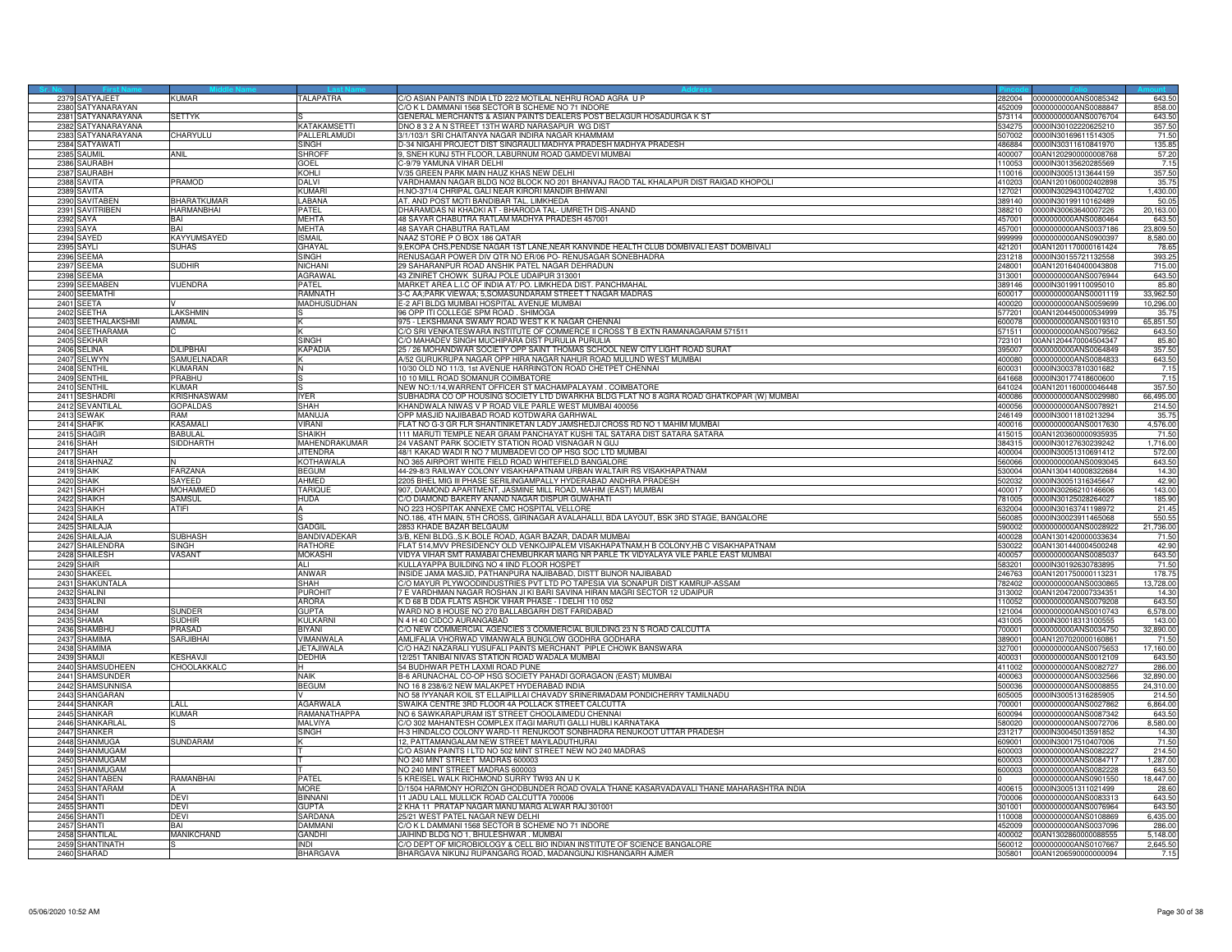| 2379 SATYAJEET            | KIIMAR             | <b>TALAPATRA</b>    | C/O ASIAN PAINTS INDIA LTD 22/2 MOTILAL NEHRU ROAD AGRA U P                              |        | 282004 0000000000ANS0085342 | 643.50    |
|---------------------------|--------------------|---------------------|------------------------------------------------------------------------------------------|--------|-----------------------------|-----------|
| 2380 SATYANARAYAN         |                    |                     | /O K L DAMMANI 1568 SECTOR B SCHEME NO 71 INDORE                                         | 52009  | 0000000000ANS0088847        | 858.00    |
| 2381 SATYANARAYANA        | SETTYK             |                     | GENERAL MERCHANTS & ASIAN PAINTS DEALERS POST BELAGUR HOSADURGA K ST                     |        | 73114 0000000000ANS0076704  | 643.50    |
| 2382 SATYANARAYANA        |                    | <b>KATAKAMSETTI</b> | DNO 8 3 2 A N STREET 13TH WARD NARASAPUR WG DIST                                         | 34275  | 0000IN30102220625210        | 357.50    |
|                           |                    |                     |                                                                                          |        |                             |           |
| 2383<br>SATYANARAYANA     | <b>HARYULU</b>     | PALLERLAMUDI        | 3/1/103/1 SRI CHAITANYA NAGAR INDIRA NAGAR KHAMMAM                                       | 507002 | 0000lN30169611514305        | 71.50     |
| 2384 SATYAWATI            |                    | SINGH               | D-34 NIGAHI PROJECT DIST SINGRAULI MADHYA PRADESH MADHYA PRADESH                         | 486884 | 0000IN30311610841970        | 135.85    |
| 2385 SAUMIL               | ANIL               | SHROFF              | 9, SNEH KUNJ 5TH FLOOR, LABURNUM ROAD GAMDEVI MUMBAI                                     | 400007 | 00AN1202900000008768        | 57.20     |
| 2386 SAURABH              |                    | GOEL                | C-9/79 YAMUNA VIHAR DELHI                                                                | 110053 | 0000IN30135620285569        | 7.15      |
| 2387 SAURABH              |                    | KOHLI               | //35 GREEN PARK MAIN HAUZ KHAS NEW DELHI                                                 | 110016 | 0000IN30051313644159        | 357.50    |
| 2388 SAVITA               | PRAMOD             | DALVI               | VARDHAMAN NAGAR BLDG NO2 BLOCK NO 201 BHANVAJ RAOD TAL KHALAPUR DIST RAIGAD KHOPOLI      | 410203 | 00AN1201060002402898        | 35.75     |
| 2389 SAVITA               |                    | KUMARI              | H.NO-371/4 CHRIPAL GALI NEAR KIRORI MANDIR BHIWANI                                       | 127021 | 0000IN30294310042702        | 1,430.00  |
| 2390 SAVITABEN            | BHARATKUMAF        | ABANA               |                                                                                          | 389140 |                             |           |
|                           |                    |                     | AT. AND POST MOTI BANDIBAR TAL. LIMKHEDA                                                 |        | 0000IN30199110162489        | 50.05     |
| 2391 SAVITRIBEN           | HARMANBHAI         | PATFI               | DHARAMDAS NI KHADKI AT - BHARODA TAL- UMRETH DIS-ANAND                                   | 388210 | 0000IN30063640007226        | 20,163.00 |
| 2392<br>SAYA              | BAI                | <b>MFHTA</b>        | 18 SAYAR CHABUTRA RATLAM MADHYA PRADESH 457001                                           | 157001 | 0000000000ANS0080464        | 643.50    |
| 2393<br>SAYA              | BAI                | <b>MEHTA</b>        | 48 SAYAR CHABUTRA RATLAM                                                                 | 457001 | 0000000000ANS0037186        | 23,809.50 |
| 2394 SAYED                | <b>KAYYUMSAYED</b> | <b>ISMAIL</b>       | NAAZ STORE P O BOX 186 QATAR                                                             | 999999 | 0000000000ANS0900397        | 8,580.00  |
| 2395 SAYLI                | <b>SUHAS</b>       | GHAYAL              | 9, EKOPA CHS, PENDSE NAGAR 1ST LANE, NEAR KANVINDE HEALTH CLUB DOMBIVALI EAST DOMBIVALI  | 421201 | 00AN1201170000161424        | 78.65     |
| 2396 SEEMA                |                    | SINGH               | RENUSAGAR POWER DIV QTR NO ER/06 PO- RENUSAGAR SONEBHADRA                                | 231218 | 0000IN30155721132558        | 393.25    |
| <b>SEEMA</b><br>2397      | Sudhir             | NICHANI             | 29 SAHARANPUR ROAD ANSHIK PATEL NAGAR DEHRADUN                                           | 248001 | 00AN1201640400043808        | 715.00    |
| 2398 SEEMA                |                    | <b>AGRAWAL</b>      |                                                                                          | 313001 | 0000000000ANS0076944        | 643.50    |
| 2399 SEEMABEN             | VIJENDRA           | <b>PATEL</b>        | 43 ZINIRET CHOWK SURAJ POLE UDAIPUR 313001                                               |        |                             |           |
|                           |                    |                     | MARKET AREA L.I.C OF INDIA AT/ PO. LIMKHEDA DIST. PANCHMAHAL                             |        | 389146 0000IN30199110095010 | 85.80     |
| 2400 SEEMATHI             |                    | RAMNATH             | 3-C AA;PARK VIEWAA; 5,SOMASUNDARAM STREET T NAGAR MADRAS                                 | 600017 | 0000000000ANS0001119        | 33,962.50 |
| 2401 SEETA                |                    | MADHUSUDHAN         | E-2 AFI BLDG MUMBAI HOSPITAL AVENUE MUMBAI                                               | 400020 | 0000000000ANS0059699        | 10,296.00 |
| 2402<br>SEETHA            | LAKSHMIN           |                     | 6 OPP ITI COLLEGE SPM ROAD. SHIMOGA                                                      | 77201  | 00AN1204450000534999        | 35.75     |
| 2403<br>SEETHALAKSHMI     | <b>AMMAI</b>       |                     | 975 - LEKSHMANA SWAMY ROAD WEST K K NAGAR CHENNAI                                        | 600078 | 0000000000ANS0019310        | 65,851.50 |
| 2404 SEETHARAMA           |                    |                     | C/O SRI VENKATESWARA INSTITUTE OF COMMERCE II CROSS T B EXTN RAMANAGARAM 571511          | 571511 | 0000000000ANS0079562        | 643.50    |
| 2405 SEKHAR               |                    | <b>SINGH</b>        | C/O MAHADEV SINGH MUCHIPARA DIST PURULIA PURULIA                                         | 723101 | 00AN1204470004504347        | 85.80     |
| 2406 SELINA               | DILIPBHAI          | KAPADIA             | 25 / 26 MOHANDWAR SOCIETY OPP SAINT THOMAS SCHOOL NEW CITY LIGHT ROAD SURAT              | 395007 | 1000000000ANS0064849        | 357.50    |
| 2407<br>SELWYN            | SAMUELNADAR        |                     | V52 GURUKRUPA NAGAR OPP HIRA NAGAR NAHUR ROAD MULUND WEST MUMBAI                         | 100080 | 000000000ANS0084833         | 643.50    |
|                           |                    |                     |                                                                                          |        |                             |           |
| 2408 SENTHIL              | KUMARAN            |                     | 10/30 OLD NO 11/3, 1st AVENUE HARRINGTON ROAD CHETPET CHENNAI                            | 600031 | 0000IN30037810301682        | 7.15      |
| 2409 SENTHIL              | PRABHU             |                     | 10 10 MILL ROAD SOMANUR COIMBATORE                                                       | 641668 | 0000lN30177418600600        | 7.15      |
| 2410 SENTHIL              | KUMAR              |                     | NEW NO:1/14, WARRENT OFFICER ST MACHAMPALAYAM. COIMBATORE                                | 641024 | 00AN1201160000046448        | 357.50    |
| 2411 SESHADRI             | <b>KRISHNASWAM</b> | <b>IYFR</b>         | SUBHADRA CO OP HOUSING SOCIETY LTD DWARKHA BLDG FLAT NO 8 AGRA ROAD GHATKOPAR (W) MUMBAI | 400086 | 1000000000ANS0029980        | 66,495.00 |
| 2412<br><b>SEVANTILAI</b> | <b>GOPALDAS</b>    | SHAH                | HANDWALA NIWAS V P ROAD VILE PARLE WEST MUMBAI 400056                                    | 100056 | 000000000ANS0078921         | 214.50    |
| 2413 SEWAK                | RAM                | MANUJA              | OPP MASJID NAJIBABAD ROAD KOTDWARA GARHWAL                                               | 246149 | 0000IN30011810213294        | 35.75     |
| 2414 SHAFIK               | <b>KASAMALI</b>    | VIRANI              | FLAT NO G-3 GR FLR SHANTINIKETAN LADY JAMSHEDJI CROSS RD NO 1 MAHIM MUMBAI               | 400016 | 0000000000ANS0017630        | 4,576.00  |
| 2415 SHAGIR               | <b>BABULAL</b>     | <b>SHAIKH</b>       | 111 MARUTI TEMPLE NEAR GRAM PANCHAYAT KUSHI TAL SATARA DIST SATARA SATARA                | 415015 | 00AN1203600000935935        | 71.50     |
| 2416 SHAH                 | <b>SIDDHARTH</b>   | MAHENDRAKUMAR       | 24 VASANT PARK SOCIETY STATION ROAD VISNAGAR N GUJ                                       | 384315 | 0000IN30127630239242        | 1,716.00  |
| SHAH                      |                    |                     | 48/1 KAKAD WADI R NO 7 MUMBADEVI CO OP HSG SOC LTD MUMBAI                                |        |                             |           |
| 2417                      |                    | <b>JITENDRA</b>     |                                                                                          | 100004 | 0000IN30051310691412        | 572.00    |
| 2418 SHAHNAZ              |                    | <b>KOTHAWALA</b>    | NO 365 AIRPORT WHITE FIELD ROAD WHITEFIELD BANGALORE                                     | 560066 | 0000000000ANS0093045        | 643.50    |
| 2419 SHAIK                | <b>FARZANA</b>     | <b>BEGUM</b>        | 44-29-8/3 RAILWAY COLONY VISAKHAPATNAM URBAN WALTAIR RS VISAKHAPATNAM                    |        | 530004 00AN1304140008322684 | 14.30     |
| 2420 SHAIK                | SAYEED             | AHMED               | 2205 BHEL MIG III PHASE SERILINGAMPALLY HYDERABAD ANDHRA PRADESH                         | 502032 | 0000IN30051316345647        | 42.90     |
| 2421 SHAIKH               | MOHAMMED           | <b>TARIQUE</b>      | 907. DIAMOND APARTMENT, JASMINE MILL ROAD, MAHIM (EAST) MUMBAI                           | 400017 | 0000IN30266210146606        | 143.00    |
| HAIKH<br>2422             | SAMSUI             | <b>HUDA</b>         | O DIAMOND BAKERY ANAND NAGAR DISPUR GUWAHATI                                             | 81005  | 0000IN30125028264027        | 185.90    |
| 2423 SHAIKH               | <b>ATIFI</b>       |                     | NO 223 HOSPITAK ANNEXE CMC HOSPITAL VELLORE                                              | 632004 | 0000IN30163741198972        | 21.45     |
| 2424 SHAILA               |                    |                     | NO.186, 4TH MAIN, 5TH CROSS, GIRINAGAR AVALAHALLI, BDA LAYOUT, BSK 3RD STAGE, BANGALORE  | 560085 | 0000IN30023911465068        | 550.55    |
| 2425 SHAILAJA             |                    | <b>GADGIL</b>       | 2853 KHADE BAZAR BELGAUM                                                                 | 590002 | 0000000000ANS0028922        | 21,736.00 |
| 2426 SHAILAJA             | SUBHASH            | <b>BANDIVADEKAR</b> | 3/B. KENI BLDGS.K.BOLE ROAD. AGAR BAZAR. DADAR MUMBAI                                    | 400028 | 00AN1301420000033634        | 71.50     |
| SHAILENDRA<br>2427        | <b>SINGH</b>       | <b>RATHORE</b>      | FLAT 514, MVV PRESIDENCY OLD VENKOJIPALEM VISAKHAPATNAM, H B COLONY, HB C VISAKHAPATNAM  | 530022 | 00AN1301440004500248        | 42.90     |
| 2428 SHAILESH             | VASANT             | <b>MOKASHI</b>      | VIDYA VIHAR SMT RAMABAI CHEMBURKAR MARG NR PARLE TK VIDYALAYA VILE PARLE EAST MUMBAI     | 400057 | 0000000000ANS0085037        | 643.50    |
| 2429 SHAIR                |                    | ALI                 | KULLAYAPPA BUILDING NO 4 IIND FLOOR HOSPET                                               | 583201 | 0000IN30192630783895        | 71.50     |
|                           |                    |                     |                                                                                          |        |                             |           |
| 2430 SHAKEEL              |                    | ANWAR               | INSIDE JAMA MASJID, PATHANPURA NAJIBABAD, DISTT BIJNOR NAJIBABAD                         | 246763 | 00AN1201750000113231        | 178.75    |
| 2431 SHAKUNTALA           |                    | <b>SHAH</b>         | C/O MAYUR PLYWOODINDUSTRIES PVT LTD PO TAPESIA VIA SONAPUR DIST KAMRUP-ASSAM             | 782402 | 0000000000ANS0030865        | 13,728.00 |
| SHALINI<br>2432           |                    | PUROHIT             | E VARDHMAN NAGAR ROSHAN JI KI BARI SAVINA HIRAN MAGRI SECTOR 12 UDAIPUR                  | 313002 | 00AN1204720007334351        | 14.30     |
| 2433 SHALINI              |                    | <b>ARORA</b>        | K D 68 B DDA FLATS ASHOK VIHAR PHASE - I DELHI 110 052                                   | 110052 | 0000000000ANS0079208        | 643.50    |
| 2434 SHAM                 | SUNDER             | <b>GUPTA</b>        | WARD NO 8 HOUSE NO 270 BALLABGARH DIST FARIDABAD                                         | 121004 | 0000000000ANS0010743        | 6,578.00  |
| 2435 SHAMA                | SUDHIR             | <b>KULKARN</b>      | N 4 H 40 CIDCO AURANGABAD                                                                | 431005 | 0000IN30018313100555        | 143.00    |
| 2436 SHAMBHU              | <b>RASAD</b>       | <b>BIYANI</b>       | C/O NEW COMMERCIAL AGENCIES 3 COMMERCIAL BUILDING 23 N S ROAD CALCUTTA                   | 700001 | 0000000000ANS0034750        | 32,890.00 |
| SHAMIMA<br>2437           | <b>ARJIBHA</b>     | VIMANWALA           | AMLIFALIA VHORWAD VIMANWALA BUNGLOW GODHRA GODHARA                                       | 389001 | 00AN1207020000160861        | 71.50     |
| 2438 SHAMIMA              |                    | <b>JETAJIWALA</b>   | C/O HAZI NAZARALI YUSUFALI PAINTS MERCHANT PIPLE CHOWK BANSWARA                          | 327001 | 0000000000ANS0075653        | 17,160.00 |
| 2439 SHAMJI               | KESHAVJI           | DEDHIA              | 2/251 TANIBAI NIVAS STATION ROAD WADALA MUMBAI                                           | 400031 | 0000000000ANS0012109        | 643.50    |
|                           |                    |                     |                                                                                          |        |                             |           |
| 2440 SHAMSUDHEEN          | <b>CHOOLAKKALC</b> |                     | 54 BUDHWAR PETH LAXMI ROAD PUNE                                                          | 411002 | 0000000000ANS0082727        | 286.00    |
| 2441<br>SHAMSUNDER        |                    | VAIK                | 3-6 ARUNACHAL CO-OP HSG SOCIETY PAHADI GORAGAON (EAST) MUMBAI                            | 100063 | 0000000000ANS0032566        | 32,890.00 |
| 2442<br>SHAMSUNNISA       |                    | BEGUM               | NO 16 8 238/6/2 NEW MALAKPET HYDERABAD INDIA                                             | 500036 | 0000000000ANS0008855        | 24,310.00 |
| 2443 SHANGARAN            |                    |                     | NO 58 IYYANAR KOIL ST ELLAIPILLAI CHAVADY SRINERIMADAM PONDICHERRY TAMILNADU             | 605005 | 0000IN30051316285905        | 214.50    |
| 2444 SHANKAR              | LALL               | <b>AGARWALA</b>     | SWAIKA CENTRE 3RD FLOOR 4A POLLACK STREET CALCUTTA                                       | 700001 | 0000000000ANS0027862        | 6,864.00  |
| 2445 SHANKAR              | KUMAR              | RAMANATHAPPA        | NO 6 SAWKARAPURAM IST STREET CHOOLAIMEDU CHENNAI                                         | 600094 | 0000000000ANS0087342        | 643.50    |
| 2446 SHANKARLAI           |                    | MALVIYA             | %O 302 MAHANTESH COMPLEX ITAGI MARUTI GALLI HUBLI KARNATAKA                              | 580020 | 0000000000ANS0072706        | 8,580.00  |
| 2447 SHANKER              |                    | SINGH               | H-3 HINDALCO COLONY WARD-11 RENUKOOT SONBHADRA RENUKOOT UTTAR PRADESH                    | 231217 | 0000IN30045013591852        | 14.30     |
| 2448 SHANMUGA             | SUNDARAM           |                     | 12, PATTAMANGALAM NEW STREET MAYILADUTHURAI                                              | 609001 | 0000IN30017510407006        | 71.50     |
| 2449 SHANMUGAM            |                    |                     | C/O ASIAN PAINTS I LTD NO 502 MINT STREET NEW NO 240 MADRAS                              | 600003 | 0000000000ANS0082227        | 214.50    |
| 2450 SHANMUGAM            |                    |                     | NO 240 MINT STREET MADRAS 600003                                                         | 600003 | 0000000000ANS0084717        | 1,287.00  |
| 2451<br>SHANMUGAM         |                    |                     | VO 240 MINT STREET MADRAS 600003                                                         | 600003 | 0000000000ANS0082228        | 643.50    |
| 2452 SHANTABEN            | RAMANBHAI          | <b>PATFI</b>        | 5 KREISEL WALK RICHMOND SURRY TW93 AN UK                                                 |        | 0000000000ANS0901550        | 18,447.00 |
| 2453 SHANTARAM            |                    | <b>MORE</b>         | D/1504 HARMONY HORIZON GHODBUNDER ROAD OVALA THANE KASARVADAVALI THANE MAHARASHTRA INDIA |        | 400615 0000IN30051311021499 | 28.60     |
|                           |                    |                     |                                                                                          |        |                             |           |
| 2454 SHANTI               | DEVI               | binnani             | 11 JADU LALL MULLICK ROAD CALCUTTA 700006                                                | 700006 | 0000000000ANS0083313        | 643.50    |
| 2455 SHANTI               | DFVI               | <b>GUPTA</b>        | 2 KHA 11 PRATAP NAGAR MANU MARG ALWAR RAJ 301001                                         | 301001 | 0000000000ANS0076964        | 643.50    |
| 2456 SHANTI               | DEVI               | ARDANA              | 5/21 WEST PATEL NAGAR NEW DELHI                                                          | 10008  | 000000000ANS0108869         | 6,435.00  |
| 2457 SHANTI               | RAI                | DAMMANI             | C/O K L DAMMANI 1568 SECTOR B SCHEME NO 71 INDORE                                        | 452009 | 0000000000ANS0037096        | 286.00    |
| 2458 SHANTILAI            | MANIKCHAND         | <b>GANDHI</b>       | JAIHIND BLDG NO 1. BHULESHWAR, MUMBAI                                                    | 400002 | 00AN1302860000088555        | 5.148.00  |
| 2459 SHANTINATH           |                    | INDI                | C/O DEPT OF MICROBIOLOGY & CELL BIO INDIAN INSTITUTE OF SCIENCE BANGALORE                | 560012 | 0000000000ANS0107667        | 2,645.50  |
| 2460 SHARAD               |                    | <b>BHARGAVA</b>     | BHARGAVA NIKUNJ RUPANGARG ROAD, MADANGUNJ KISHANGARH AJMER                               |        | 305801 00AN1206590000000094 | 7.15      |
|                           |                    |                     |                                                                                          |        |                             |           |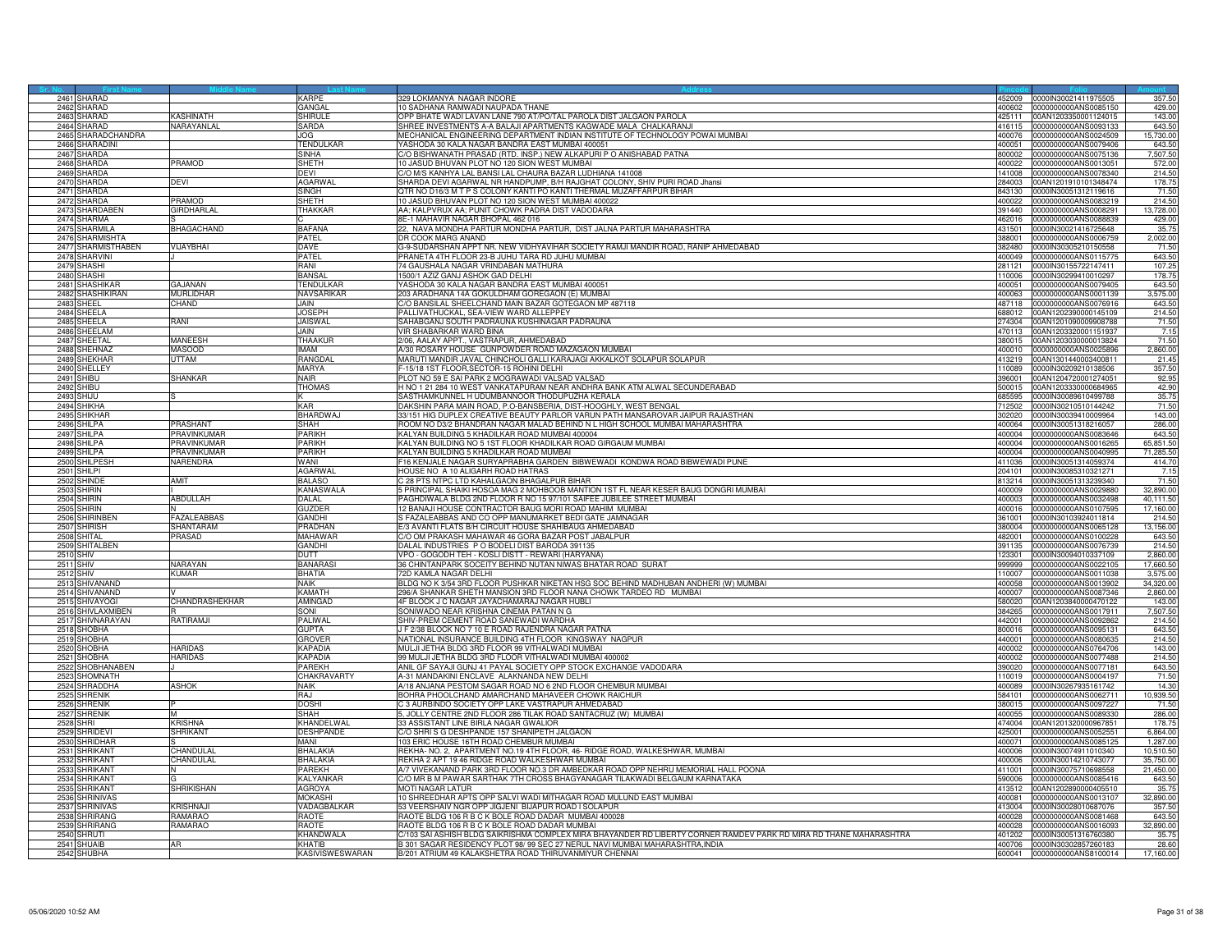| 2461 SHARAD                     |                    | KARPF                       | 329 LOKMANYA NAGAR INDORE                                                                                                                                           |                  | 452009 0000IN30021411975505 | 357.50          |
|---------------------------------|--------------------|-----------------------------|---------------------------------------------------------------------------------------------------------------------------------------------------------------------|------------------|-----------------------------|-----------------|
| 2462 SHARAD                     |                    | GANGAL                      | 0 SADHANA RAMWADI NAUPADA THANE                                                                                                                                     | 400602           | 0000000000ANS0085150        | 429.00          |
| 2463 SHARAD                     | KASHINATH          | SHIRUI F                    | OPP BHATE WADI LAVAN LANE 790 AT/PO/TAL PAROLA DIST JALGAON PAROLA                                                                                                  | 425111           | 00AN1203350001124015        | 143.00          |
| 2464 SHARAD                     | NARAYANLAL         | SARDA                       | SHREE INVESTMENTS A-A BALAJI APARTMENTS KAGWADE MALA CHALKARANJI                                                                                                    | 416115           | 0000000000ANS0093133        | 643.50          |
| SHARADCHANDRA<br>2465           |                    | JOG                         | MECHANICAL ENGINEERING DEPARTMENT INDIAN INSTITUTE OF TECHNOLOGY POWAI MUMBAI                                                                                       | 400076           | 0000000000ANS0024509        | 15,730.00       |
| 2466 SHARADINI                  |                    | TENDULKAR                   | YASHODA 30 KALA NAGAR BANDRA EAST MUMBAI 400051                                                                                                                     | 400051           | 0000000000ANS0079406        | 643.50          |
| 2467 SHARDA                     |                    | SINHA                       | C/O BISHWANATH PRASAD (RTD. INSP.) NEW ALKAPURI P O ANISHABAD PATNA                                                                                                 | 800002           | 0000000000ANS0075136        | 7,507.50        |
| 2468 SHARDA                     | PRAMOD             | SHETH                       | 10 JASUD BHUVAN PLOT NO 120 SION WEST MUMBAI                                                                                                                        | 400022           | 0000000000ANS0013051        | 572.00          |
| 2469 SHARDA                     |                    | DEVI                        | C/O M/S KANHYA LAL BANSI LAL CHAURA BAZAR LUDHIANA 141008                                                                                                           | 141008           | 0000000000ANS0078340        | 214.50          |
| 2470 SHARDA                     | DEVI               | <b>AGARWAL</b>              | SHARDA DEVI AGARWAL NR HANDPUMP, B/H RAJGHAT COLONY, SHIV PURI ROAD Jhansi                                                                                          | 284003           | 00AN1201910101348474        | 178.75          |
| 2471 SHARDA                     |                    | SINGH                       | QTR NO D16/3 M T P S COLONY KANTI PO KANTI THERMAL MUZAFFARPUR BIHAR                                                                                                | 843130           | 0000IN30051312119616        | 71.56           |
| 2472 SHARDA                     | PRAMOD             | SHFTH                       | 0 JASUD BHUVAN PLOT NO 120 SION WEST MUMBAI 400022                                                                                                                  | 400022           | 0000000000ANS0083219        | 214.50          |
| 2473 SHARDABEN                  | <b>GIRDHARLAI</b>  | THAKKAR                     | AA; KALPVRUX AA; PUNIT CHOWK PADRA DIST VADODARA                                                                                                                    | 391440           | 0000000000ANS0008291        | 13,728.00       |
| 2474 SHARMA                     |                    |                             | 8E-1 MAHAVIR NAGAR BHOPAL 462 016                                                                                                                                   | 62016            | 0000000000ANS0088839        | 429.00          |
| 2475 SHARMILA                   | BHAGACHAND         | BAFANA                      | 22, NAVA MONDHA PARTUR MONDHA PARTUR, DIST JALNA PARTUR MAHARASHTRA                                                                                                 | 431501           | 0000IN30021416725648        | 35.75           |
| 2476 SHARMISHTA                 |                    | PATFI                       | DR COOK MARG ANAND                                                                                                                                                  | 388001           | 0000000000ANS0006759        | 2,002.00        |
| 2477 SHARMISTHABEN              | <b>VIJAYBHAI</b>   | DAVE                        | 3-9-SUDARSHAN APPT NR. NEW VIDHYAVIHAR SOCIETY RAMJI MANDIR ROAD, RANIP AHMEDABAD                                                                                   | 382480           | 0000IN30305210150558        | 71.50           |
| 2478 SHARVINI                   |                    | PATEL                       | PRANETA 4TH FLOOR 23-B JUHU TARA RD JUHU MUMBAI                                                                                                                     | 400049           | 0000000000ANS0115775        | 643.50          |
| 2479 SHASHI                     |                    | rani                        | <sup>74</sup> GAUSHALA NAGAR VRINDABAN MATHURA                                                                                                                      | 281121           | 0000lN30155722147411        | 107.25          |
| 2480 SHASHI                     |                    | BANSAL                      | 1500/1 AZIZ GANJ ASHOK GAD DELHI                                                                                                                                    | 110006           | 0000IN30299410010297        | 178.75          |
| 2481 SHASHIKAF                  | GAJANAN            | <b>TENDULKAF</b>            | YASHODA 30 KALA NAGAR BANDRA EAST MUMBAI 400051                                                                                                                     | 400051           | 0000000000ANS0079405        | 643.50          |
| 2482 SHASHIKIRAN                | MURLIDHAF          | NAVSARIKAR                  | 203 ARADHANA 14A GOKULDHAM GOREGAON (E) MUMBAI                                                                                                                      | 400063           | 0000000000ANS0001139        | 3,575.00        |
| 2483 SHEEL                      | CHAND              | JAIN                        | C/O BANSILAL SHEELCHAND MAIN BAZAR GOTEGAON MP 487118                                                                                                               | 487118           | 0000000000ANS0076916        | 643.50          |
| 2484<br>SHEELA                  |                    | <b>JOSEPH</b>               | ALLIVATHUCKAL, SEA-VIEW WARD ALLEPPEY                                                                                                                               | 688012           | 00AN1202390000145109        | 214.50          |
| 2485 SHEELA                     | IAAF               | <b>JAISWAL</b>              | SAHABGANJ SOUTH PADRAUNA KUSHINAGAR PADRAUNA                                                                                                                        | 274304           | 00AN1201090009908788        | 71.50           |
| 2486 SHEFLAM                    |                    | JAIN                        | VIR SHABARKAR WARD BINA                                                                                                                                             |                  | 470113 00AN1203320001151937 | 7.15            |
| 2487 SHEETAL                    | <b>MANEESH</b>     | THAAKUF                     | 2/06, AALAY APPT., VASTRAPUR, AHMEDABAD                                                                                                                             | 380015           | 00AN1203030000013824        | 71.50           |
| 2488 SHEHNAZ                    | <b>MASOOD</b>      | MAM                         | A/30 ROSARY HOUSE GUNPOWDER ROAD MAZAGAON MUMBAI                                                                                                                    | 400010           | 0000000000ANS0025896        | 2,860.00        |
|                                 |                    |                             |                                                                                                                                                                     |                  |                             |                 |
| 2489 SHEKHAR                    | <b>JTTAM</b>       | RANGDAL                     | MARUTI MANDIR JAVAL CHINCHOLI GALLI KARAJAGI AKKALKOT SOLAPUR SOLAPUR                                                                                               | 413219<br>110089 | 00AN1301440003400811        | 21.45           |
| 2490 SHELLEY<br>2491 SHIBU      | SHANKAR            | <b>MARYA</b><br><b>NAIR</b> | -15/18 1ST FLOOR, SECTOR-15 ROHINI DELHI                                                                                                                            | 396001           | 0000IN30209210138506        | 357.50<br>92.95 |
|                                 |                    |                             | PLOT NO 59 E SAI PARK 2 MOGRAWADI VALSAD VALSAD                                                                                                                     |                  | 00AN1204720001274051        |                 |
| 2492 SHIBU                      |                    | THOMAS                      | H NO 1 21 284 10 WEST VANKATAPURAM NEAR ANDHRA BANK ATM ALWAL SECUNDERABAD                                                                                          | 500015           | 00AN1203330000684965        | 42.90           |
| 2493 SHIJU                      |                    |                             | SASTHAMKUNNEL H UDUMBANNOOR THODUPUZHA KERALA                                                                                                                       | 685595           | 0000IN30089610499788        | 35.75           |
| 2494<br>SHIKHA                  |                    | KAR                         | AKSHIN PARA MAIN ROAD, P.O-BANSBERIA, DIST-HOOGHLY, WEST BENGAL                                                                                                     | 12502            | 0000lN30210510144242        | 71.50           |
| 2495 SHIKHAR                    |                    | BHARDWAJ                    | 33/151 HIG DUPLEX CREATIVE BEAUTY PARLOR VARUN PATH MANSAROVAR JAIPUR RAJASTHAN                                                                                     | 302020           | 0000IN30039410009964        | 143.00          |
| 2496 SHILPA                     | PRASHANT           | <b>SHAH</b>                 | ROOM NO D3/2 BHANDRAN NAGAR MALAD BEHIND N L HIGH SCHOOL MUMBAI MAHARASHTRA                                                                                         | 400064           | 0000IN30051318216057        | 286.00          |
| 2497 SHILPA                     | PRAVINKUMAF        | PARIKH                      | KALYAN BUILDING 5 KHADILKAR ROAD MUMBAI 400004                                                                                                                      | 400004           | 0000000000ANS0083646        | 643.50          |
| 2498 SHILPA                     | <b>PRAVINKUMAR</b> | PARIKH                      | KALYAN BUILDING NO 5 1ST FLOOR KHADILKAR ROAD GIRGAUM MUMBAI                                                                                                        | 400004           | 000000000ANS0016265         | 65,851.50       |
| 2499<br><b>SHILPA</b>           | <b>PRAVINKUMAF</b> | PARIKH                      | KALYAN BUILDING 5 KHADILKAR ROAD MUMBAI                                                                                                                             | 400004           | 0000000000ANS0040995        | 71,285.50       |
| 2500 SHILPESI                   | NARENDRA           | WANI                        | F16 KENJALE NAGAR SURYAPRABHA GARDEN BIBWEWADI KONDWA ROAD BIBWEWADI PUNE                                                                                           | 411036           | 0000IN30051314059374        | 414.70          |
| 2501 SHILPI                     |                    | <b>AGARWAL</b>              | HOUSE NO A 10 ALIGARH ROAD HATRAS                                                                                                                                   |                  | 204101 0000IN30085310321271 | 7.15            |
| 2502 SHINDE                     | <b>AMIT</b>        | <b>BALASO</b>               | C 28 PTS NTPC LTD KAHALGAON BHAGALPUR BIHAR                                                                                                                         |                  | 813214 0000IN30051313239340 | 71.50           |
| 2503 SHIRIN                     |                    | <b>KANASWALA</b>            | 5 PRINCIPAL SHAIKI HOSOA MAG 2 MOHBOOB MANTION 1ST FL NEAR KESER BAUG DONGRI MUMBAI                                                                                 | 400009           | 0000000000ANS0029880        | 32,890.00       |
| 2504<br>HIRIN                   | ABDULLAH           | <b>ALAL</b>                 | AGHDIWALA BLDG 2ND FLOOR R NO 15 97/101 SAIFEE JUBILEE STREET MUMBAI                                                                                                | 00003            | 000000000ANS0032498         | 40,111.50       |
| 2505 SHIRIN                     |                    | GUZDEF                      | 2 BANAJI HOUSE CONTRACTOR BAUG MORI ROAD MAHIM MUMBAI                                                                                                               | 400016           | 0000000000ANS0107595        | 17,160.00       |
| 2506 SHIRINBEN                  | FAZALEABBAS        | <b>GANDHI</b>               | S FAZALEABBAS AND CO OPP MANUMARKET BEDI GATE JAMNAGAR                                                                                                              | 361001           | 0000IN30103924011814        | 214.50          |
| 2507 SHIRISH                    | SHANTARAM          | PRADHAN                     | E/3 AVANTI FLATS B/H CIRCUIT HOUSE SHAHIBAUG AHMEDABAD                                                                                                              | 380004           | 0000000000ANS0065128        | 13,156.00       |
| 2508 SHITAL                     | PRASAD             | MAHAWAF                     | C/O OM PRAKASH MAHAWAR 46 GORA BAZAR POST JABALPUR                                                                                                                  | 482001           | 0000000000ANS0100228        | 643.50          |
| 2509<br>SHITALBEN               |                    | <b>GANDHI</b>               | DALAL INDUSTRIES P O BODELI DIST BARODA 391135                                                                                                                      | 91135            | 0000000000ANS0076739        | 214.50          |
| 2510 SHIV                       |                    | DUTT                        | VPO - GOGODH TEH - KOSLI DISTT - REWARI (HARYANA                                                                                                                    | 123301           | 0000IN30094010337109        | 2,860.00        |
| <b>2511 SHIV</b>                | NARAYAN            | BANARAS                     | 36 CHINTANPARK SOCEITY BEHIND NUTAN NIWAS BHATAR ROAD SURAT                                                                                                         | 999999           | 0000000000ANS0022105        | 17,660.50       |
| <b>2512 SHIV</b>                | KUMAR              | BHATIA                      | 72D KAMLA NAGAR DELHI                                                                                                                                               | 110007           | 0000000000ANS0011038        | 3,575.00        |
| 2513 SHIVANAND                  |                    | NAIK                        | BLDG NO K 3/54 3RD FLOOR PUSHKAR NIKETAN HSG SOC BEHIND MADHUBAN ANDHERI (W) MUMBAI                                                                                 | 400058           | 000000000ANS0013902         | 34,320.00       |
| 2514<br><b>SHIVANAND</b>        |                    | <b>KAMATH</b>               | 96/A SHANKAR SHETH MANSION 3RD FLOOR NANA CHOWK TARDEO RD MUMBAI                                                                                                    | 100007           | 000000000ANS0087346         | 2,860.00        |
| 2515 SHIVAYOGI                  | CHANDRASHEKHAR     | <b>AMINGAC</b>              | 4F BLOCK J C NAGAR JAYACHAMARAJ NAGAR HUBLI                                                                                                                         | 580020           | 00AN1203840000470122        | 143.00          |
| 2516 SHIVLAXMIBEI               |                    | SONI                        | SONIWADO NEAR KRISHNA CINEMA PATAN N G                                                                                                                              | 384265           | 0000000000ANS0017911        | 7,507.50        |
| 2517 SHIVNARAYAN                | RATIRAMJI          | PALIWAL                     | SHIV-PREM CEMENT ROAD SANEWADI WARDHA                                                                                                                               | 442001           | 0000000000ANS0092862        | 214.50          |
| 2518 SHOBHA                     |                    | <b>GUPTA</b>                | J F 2/38 BLOCK NO 7 10 E ROAD RAJENDRA NAGAR PATNA                                                                                                                  | 800016           | 000000000ANS0095131         | 643.50          |
| 2519<br>SHOBHA                  |                    | <b>ROVER</b>                | NATIONAL INSURANCE BUILDING 4TH FLOOR KINGSWAY NAGPUR                                                                                                               | 440001           | 0000000000ANS0080635        | 214.50          |
| 2520 SHOBHA                     | HARIDAS            | <b>KAPADIA</b>              | MULJI JETHA BLDG 3RD FLOOR 99 VITHALWADI MUMBAI                                                                                                                     | 400002           | 0000000000ANS0764706        | 143.00          |
| 2521 SHOBHA                     | <b>HARIDAS</b>     | <b>KAPADIA</b>              | 99 MULJI JETHA BLDG 3RD FLOOR VITHALWADI MUMBAI 400002                                                                                                              | 400002           | 0000000000ANS0077488        | 214.50          |
| 2522 SHOBHANABEN                |                    | PARFKH                      | ANIL GF SAYAJI GUNJ 41 PAYAL SOCIETY OPP STOCK EXCHANGE VADODARA                                                                                                    | 390020           | 0000000000ANS0077181        | 643.50          |
| 2523 SHOMNATH                   |                    | <b>CHAKRAVARTY</b>          | A-31 MANDAKINI ENCLAVE ALAKNANDA NEW DELHI                                                                                                                          | 110019           | 0000000000ANS0004197        | 71.50           |
| 2524<br>SHRADDHA                | ASHOK              | <b>JAIK</b>                 | V18 ANJANA PESTOM SAGAR ROAD NO 6 2ND FLOOR CHEMBUR MUMBAI                                                                                                          | 00089            | 000IN30267935161742         | 14.30           |
| 2525 SHRENIK                    |                    | 3A.I                        | BOHRA PHOOLCHAND AMARCHAND MAHAVEER CHOWK RAICHUR                                                                                                                   | 584101           | 0000000000ANS0062711        | 10,939.50       |
| 2526 SHRENIK                    |                    | Doshi                       | C 3 AURBINDO SOCIETY OPP LAKE VASTRAPUR AHMEDABAD                                                                                                                   | 380015           | 0000000000ANS0097227        | 71.50           |
| 2527 SHRENIK                    | M                  | <b>SHAH</b>                 | 5, JOLLY CENTRE 2ND FLOOR 286 TILAK ROAD SANTACRUZ (W) MUMBAI                                                                                                       | 400055           | 0000000000ANS0089330        | 286.00          |
| 2528 SHRI                       | KRISHNA            | KHANDELWAL                  | 33 ASSISTANT LINE BIRLA NAGAR GWALIOR                                                                                                                               | 474004           | 00AN1201320000967851        | 178.75          |
| 2529<br><b>SHRIDEVI</b>         | SHRIKANT           | DESHPANDE                   | /O SHRI S G DESHPANDE 157 SHANIPETH JALGAON                                                                                                                         | 25001            | 0000000000ANS0052551        | 6,864.00        |
| 2530 SHRIDHAR                   |                    | <b>MANI</b>                 | 103 ERIC HOUSE 16TH ROAD CHEMBUR MUMBAI                                                                                                                             | 400071           | 0000000000ANS0085125        | 1,287.00        |
| 2531 SHRIKANT                   | CHANDULAL          | BHALAKIA                    | REKHA- NO. 2, APARTMENT NO.19 4TH FLOOR, 46- RIDGE ROAD, WALKESHWAR, MUMBAI                                                                                         | 400006           | 0000IN30074911010340        | 10,510.50       |
| 2532 SHRIKANT                   | CHANDULAL          | BHALAKIA                    | REKHA 2 APT 19 46 RIDGE ROAD WALKESHWAR MUMBAI                                                                                                                      | 400006           | 0000lN30014210743077        | 35,750.00       |
| 2533 SHRIKANT                   |                    | PAREKH                      | A/7 VIVEKANAND PARK 3RD FLOOR NO.3 DR AMBEDKAR ROAD OPP NEHRU MEMORIAL HALL POONA                                                                                   | 411001           | 0000IN30075710698558        | 21,450.00       |
| SHRIKANT<br>2534                |                    | KALYANKAF                   | O MR B M PAWAR SARTHAK 7TH CROSS BHAGYANAGAR TILAKWADI BELGAUM KARNATAKA                                                                                            | 90006            | 000000000ANS0085416         | 643.5           |
| 2535 SHRIKANT                   | <b>SHRIKISHAN</b>  | <b>AGROYA</b>               | <b>MOTI NAGAR LATUR</b>                                                                                                                                             | 413512           | 00AN1202890000405510        | 35.7            |
| 2536 SHRINIVAS                  |                    | <b>MOKASHI</b>              | 0 SHREEDHAR APTS OPP SALVI WADI MITHAGAR ROAD MULUND EAST MUMBAI                                                                                                    | 400081           | 0000000000ANS0013107        | 32,890.00       |
| 2537 SHRINIVAS                  | <b>KRISHNAJI</b>   | VADAGBALKAR                 | 53 VEERSHAIV NGR OPP JIGJENI BIJAPUR ROAD I SOLAPUR                                                                                                                 | 413004           | 0000IN30028010687076        | 357.50          |
| 2538 SHRIRANG                   | RAMARAO            | <b>RAOTE</b>                | RAOTE BLDG 106 R B C K BOLE ROAD DADAR MUMBAI 400028                                                                                                                | 400028           | 0000000000ANS0081468        | 643.50          |
|                                 |                    |                             |                                                                                                                                                                     |                  |                             |                 |
| SHRIRANG<br>2539<br>2540 SHRUTI | RAMARAO            | RAOTE                       | RAOTE BLDG 106 R B C K BOLE ROAD DADAR MUMBAI<br>C/103 SAI ASHISH BLDG SAIKRISHMA COMPLEX MIRA BHAYANDER RD LIBERTY CORNER RAMDEV PARK RD MIRA RD THANE MAHARASHTRA | 400028           | 0000000000ANS0016093        | 32,890.00       |
|                                 |                    | KHANDWALA                   |                                                                                                                                                                     |                  | 401202 0000IN30051316760380 | 35.75           |
| 2541 SHUAIB                     | A <sub>R</sub>     | KHATIB                      | B 301 SAGAR RESIDENCY PLOT 98/ 99 SEC 27 NERUL NAVI MUMBAI MAHARASHTRA, INDIA                                                                                       |                  | 400706 0000IN30302857260183 | 28.60           |
| 2542 SHUBHA                     |                    | <b>KASIVISWESWARAN</b>      | B/201 ATRIUM 49 KALAKSHETRA ROAD THIRUVANMIYUR CHENNAI                                                                                                              |                  | 600041 0000000000ANS8100014 | 17,160.00       |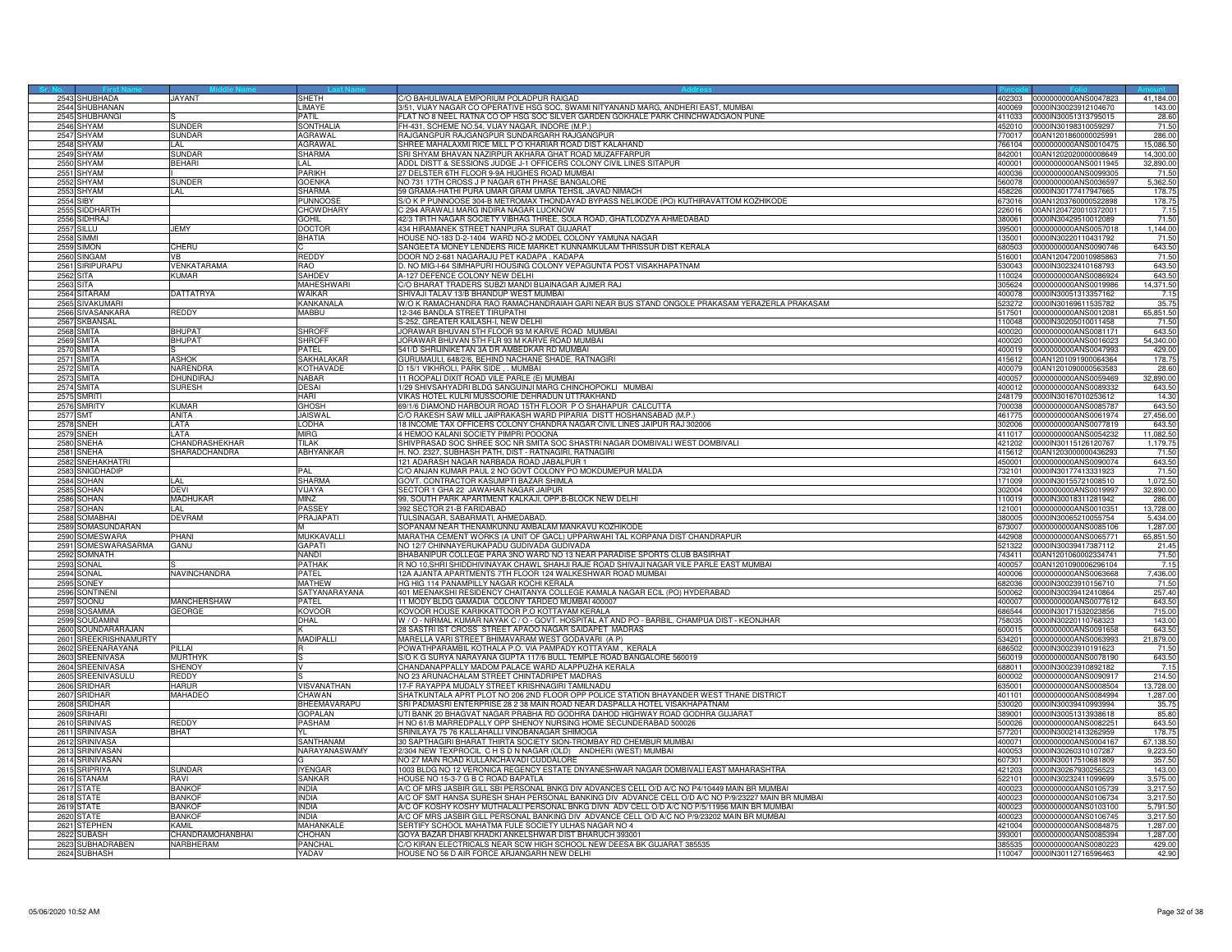| 2543 SHUBHADA                  | <b>JAYANT</b>         | SHETH                     | C/O BAHULIWALA EMPORIUM POLADPUR RAIGAD                                                                                                          | 402303           | 0000000000ANS0047823                         | 41,184.00         |
|--------------------------------|-----------------------|---------------------------|--------------------------------------------------------------------------------------------------------------------------------------------------|------------------|----------------------------------------------|-------------------|
| 2544 SHUBHANAN                 |                       | LIMAYE                    | 3/51, VIJAY NAGAR CO OPERATIVE HSG SOC, SWAMI NITYANAND MARG, ANDHERI EAST, MUMBAI                                                               |                  | 400069 0000IN30023912104670                  | 143.00            |
| 2545 SHUBHANGI                 |                       | PATIL                     | FLAT NO 8 NEEL RATNA CO OP HSG SOC SILVER GARDEN GOKHALE PARK CHINCHWADGAON PUNE                                                                 | 411033           | 0000IN30051313795015                         | 28.60             |
| 2546 SHYAM                     | <b>SUNDER</b>         | SONTHALIA                 | FH-431, SCHEME NO.54, VIJAY NAGAR, INDORE (M.P.)                                                                                                 | 452010           | 0000IN30198310059297                         | 71.50             |
| 2547<br><b>SHYAM</b>           | <b>SUNDAR</b>         | AGRAWAL                   | RAJGANGPUR RAJGANGPUR SUNDARGARH RAJGANGPUR                                                                                                      | 70017            | 0AN1201860000025991                          | 286.00            |
| 2548 SHYAM                     | LAI.                  | <b>AGRAWAL</b>            | SHREE MAHALAXMI RICE MILL P O KHARIAR ROAD DIST KALAHAND                                                                                         | 766104           | 0000000000ANS0010475                         | 15,086.50         |
| 2549 SHYAM                     | SUNDAF                | <b>SHARMA</b>             | SRI SHYAM BHAVAN NAZIRPUR AKHARA GHAT ROAD MUZAFFARPUF                                                                                           | 842001           | 00AN1202020000008649                         | 14,300.00         |
| 2550 SHYAM                     | <b>BEHARI</b>         | LAL                       | ADDL DISTT & SESSIONS JUDGE J-1 OFFICERS COLONY CIVIL LINES SITAPUR                                                                              | 400001           | 0000000000ANS0011945                         | 32,890.00         |
| 2551 SHYAM                     |                       | PARIKH                    | 27 DELSTER 6TH FLOOR 9-9A HUGHES ROAD MUMBAI                                                                                                     | 400036           | 1000000000ANS0099305                         | 71.50             |
| 2552<br>SHYAM                  | SUNDER                | <b>GOENKA</b>             | NO 731 17TH CROSS J P NAGAR 6TH PHASE BANGALORE                                                                                                  | 560078           | 0000000000ANS0036597                         | 5,362.50          |
| 2553 SHYAM                     | LAL.                  | SHARMA                    |                                                                                                                                                  |                  |                                              |                   |
|                                |                       |                           | 59 GRAMA-HATHI PURA UMAR GRAM UMRA TEHSIL JAVAD NIMACH<br>S/O K P PUNNOOSE 304-B METROMAX THONDAYAD BYPASS NELIKODE (PO) KUTHIRAVATTOM KOZHIKODE | 458226           | 0000IN30177417947665                         | 178.75<br>178.75  |
| <b>2554 SIBY</b>               |                       | <b>PUNNOOS</b>            |                                                                                                                                                  |                  | 673016 00AN1203760000522898                  |                   |
| 2555 SIDDHARTI                 |                       | <b>CHOWDHARY</b>          | C 294 ARAWALI MARG INDIRA NAGAR LUCKNOW                                                                                                          |                  | 226016 00AN1204720010372001                  | 7.15              |
| 2556 SIDHRAJ                   |                       | <b>GOHIL</b>              | 42/3 TIRTH NAGAR SOCIETY VIBHAG THREE, SOLA ROAD, GHATLODZYA AHMEDABAD                                                                           | 380061           | 0000IN30429510012089                         | 71.50             |
| 2557<br>311 I U                | <b>JFMY</b>           | <b>DOCTOR</b>             | 434 HIRAMANEK STREET NANPURA SURAT GUJARAT                                                                                                       | 95001            | 000000000ANS0057018                          | 1,144.00          |
| <b>2558 SIMMI</b>              |                       | BHATIA                    | HOUSE NO-183 D-2-1404 WARD NO-2 MODEL COLONY YAMUNA NAGAR                                                                                        | 135001           | 0000IN30220110431792                         | 71.50             |
| 2559 SIMON                     | CHERU                 |                           | SANGEETA MONEY LENDERS RICE MARKET KUNNAMKULAM THRISSUR DIST KERALA                                                                              | 680503           | 0000000000ANS0090746                         | 643.50            |
| 2560 SINGAM                    | VB                    | REDDY                     | DOOR NO 2-681 NAGARAJU PET KADAPA . KADAPA                                                                                                       | 516001           | 00AN1204720010985863                         | 71.50             |
| 2561 SIRIPURAPU                | VENKATARAMA           | RAO                       | D. NO MIG-I-64 SIMHAPURI HOUSING COLONY VEPAGUNTA POST VISAKHAPATNAM                                                                             |                  | 530043 0000IN30232410168793                  | 643.50            |
| 2562<br><b>SITA</b>            | Kumar                 | SAHDEV                    | A-127 DEFENCE COLONY NEW DELHI                                                                                                                   | 110024           | 0000000000ANS0086924                         | 643.50            |
| 2563 SITA                      |                       | <b>MAHESHWAF</b>          | C/O BHARAT TRADERS SUBZI MANDI BIJAINAGAR AJMER RAJ                                                                                              | 305624           | 0000000000ANS0019986                         | 14,371.50         |
| 2564 SITARAM                   | DATTATRYA             | Waikar                    | SHIVAJI TALAV 13/B BHANDUP WEST MUMBAI                                                                                                           | 400078           | 0000IN30051313357162                         | 7.15              |
| 2565 SIVAKUMAR                 |                       | <b>KANKANALA</b>          | W/O K RAMACHANDRA RAO RAMACHANDRAIAH GARI NEAR BUS STAND ONGOLE PRAKASAM YERAZERLA PRAKASAM                                                      | 523272           | 0000IN30169611535782                         | 35.75             |
| 2566 SIVASANKARA               | REDDY                 | MABBU                     | 12-346 BANDLA STREET TIRUPATHI                                                                                                                   | 517501           | 0000000000ANS0012081                         | 65,851.50         |
| SKBANSAL<br>2567               |                       |                           | 3-252, GREATER KAILASH-I, NEW DELHI                                                                                                              | 110048           | 0000IN30205010011458                         | 71.50             |
| <b>2568 SMITA</b>              | <b>RHI IPAT</b>       | <b>SHROFF</b>             | JORAWAR BHUVAN 5TH FLOOR 93 M KARVE ROAD MUMBAL                                                                                                  | 400020           | 0000000000ANS0081171                         | 643.50            |
| 2569 SMITA                     | <b>BHUPAT</b>         | <b>SHROFF</b>             | JORAWAR BHUVAN 5TH FLR 93 M KARVE ROAD MUMBAI                                                                                                    | 400020           | 0000000000ANS0016023                         | 54,340.00         |
|                                |                       | PATEL                     |                                                                                                                                                  | 400019           |                                              |                   |
| 2570 SMITA                     | <b>ASHOK</b>          | SAKHALAKAR                | 541/D SHRIJINIKETAN 3A DR AMBEDKAR RD MUMBAI<br>GURUMAULI, 648/2/6, BEHIND NACHANE SHADE, RATNAGIRI                                              |                  | 0000000000ANS0047993<br>00AN1201091900064364 | 429.00<br>178.75  |
| 2571 SMITA                     |                       |                           |                                                                                                                                                  | 415612           |                                              |                   |
| 2572 SMITA                     | NARENDRA<br>DHUNDIRAJ | KOTHAVADE<br><b>NABAR</b> | D 15/1 VIKHROLI, PARK SIDE , . MUMBAI                                                                                                            | 400079<br>400057 | 00AN1201090000563583                         | 28.60             |
| 2573 SMITA                     |                       |                           | 11 ROOPALI DIXIT ROAD VILE PARLE (E) MUMBAI                                                                                                      |                  | 0000000000ANS0059469                         | 32,890.00         |
| 2574 SMITA                     | <b>SURESH</b>         | DESAI                     | 1/29 SHIVSAHYADRI BLDG SANGUINJI MARG CHINCHOPOKLI MUMBAI                                                                                        | 400012           | 0000000000ANS0089332                         | 643.50            |
| 2575 SMRITI                    |                       | HARI                      | VIKAS HOTEL KULRI MUSSOORIE DEHRADUN UTTRAKHAND                                                                                                  | 248179           | 0000IN30167010253612                         | 14.30             |
| 2576 SMRITY                    | KUMAR                 | GHOSH                     | 69/1/6 DIAMOND HARBOUR ROAD 15TH FLOOR P O SHAHAPUR CALCUTTA                                                                                     | 700038           | 0000000000ANS0085787                         | 643.50            |
| <b>2577 SMT</b>                | <b>ANITA</b>          | <b>JAISWAL</b>            | /O RAKESH SAW MILL JAIPRAKASH WARD PIPARIA DISTT HOSHANSABAD (M.P.)                                                                              | 461775           | 0000000000ANS0061974                         | 27,456.00         |
| <b>2578 SNEH</b>               | <b>I ATA</b>          | <b>LODHA</b>              | 18 INCOME TAX OFFICERS COLONY CHANDRA NAGAR CIVIL LINES JAIPUR RAJ 302006                                                                        | 302006           | 0000000000ANS0077819                         | 643.50            |
| <b>2579 SNEH</b>               | <b>LATA</b>           | MIRG                      | 4 HEMOO KALANI SOCIETY PIMPRI POOONA                                                                                                             | 411017           | 0000000000ANS0054232                         | 11,082.50         |
| 2580 SNEHA                     | CHANDRASHEKHAR        | <b>TILAK</b>              | SHIVPRASAD SOC SHREE SOC NR SMITA SOC SHASTRI NAGAR DOMBIVALI WEST DOMBIVALI                                                                     | 421202           | 0000IN30115126120767                         | 1,179.75          |
| 2581 SNEHA                     | SHARADCHANDRA         | ABHYANKAR                 | H. NO. 2327, SUBHASH PATH, DIST - RATNAGIRI, RATNAGIRI                                                                                           | 415612           | 00AN1203000000436293                         | 71.50             |
| 2582 SNEHAKHATRI               |                       |                           | 121 ADARASH NAGAR NARBADA ROAD JABALPUR 1                                                                                                        | 450001           | 0000000000ANS0090074                         | 643.50            |
| 2583 SNIGDHADIP                |                       | PAI                       | C/O ANJAN KUMAR PAUL 2 NO GOVT COLONY PO MOKDUMEPUR MALDA                                                                                        | 732101           | 0000IN30177413331923                         | 71.50             |
| 2584 SOHAN                     | l Al                  | <b>SHARMA</b>             | <b>GOVT, CONTRACTOR KASUMPTI BAZAR SHIMLA</b>                                                                                                    | 171009           | 0000IN30155721008510                         | 1,072.50          |
| <b>2585 SOHAN</b>              | <b>DEVI</b>           | VIJAYA                    | SECTOR 1 GHA 22 JAWAHAR NAGAR JAIPUR                                                                                                             | 302004           | 0000000000ANS0019997                         | 32,890.00         |
| 2586<br>SOHAN                  | MADHUKAR              | MIN7                      | 99, SOUTH PARK APARTMENT KALKAJI, OPP.B-BLOCK NEW DELHI                                                                                          | 10019            | 0000IN30018311281942                         | 286.00            |
|                                | LAL                   |                           |                                                                                                                                                  |                  |                                              |                   |
| 2587<br>SOHAN                  |                       | PASSEY                    | 392 SECTOR 21-B FARIDABAD                                                                                                                        | 121001           | 0000000000ANS0010351                         | 13,728.00         |
| 2588 SOMABHAI                  | <b>DEVRAM</b>         | PRAJAPATI                 | TULSINAGAR, SABARMATI, AHMEDABAD,                                                                                                                | 380005           | 0000IN30065210055754                         | 5,434.00          |
| SOMASUNDARAN<br>2589           |                       |                           | SOPANAM NEAR THENAMKUNNU AMBALAM MANKAVU KOZHIKODE                                                                                               | 673007           | 0000000000ANS0085106                         | 1,287.00          |
| 2590 SOMESWARA                 | PHANI                 | MUKKAVALLI                | MARATHA CEMENT WORKS (A UNIT OF GACL) UPPARWAHI TAL KORPANA DIST CHANDRAPUR                                                                      | 442908           | 0000000000ANS0065771                         | 65,851.50         |
| 2591<br>SOMESWARASARMA         | <b>GANU</b>           | GAPATI                    | NO 12/7 CHINNAYERUKAPADU GUDIVADA GUDIVADA                                                                                                       | 21322            | 0000IN30039417387112                         | 21.45             |
| 2592 SOMNATH                   |                       | <b>NANDI</b>              | BHABANIPUR COLLEGE PARA 3NO WARD NO 13 NEAR PARADISE SPORTS CLUB BASIRHAT                                                                        | 743411           | 00AN1201060002334741                         | 71.50             |
| 2593 SONAL                     |                       | <b>PATHAK</b>             | R NO 10, SHRI SHIDDHIVINAYAK CHAWL SHAHJI RAJE ROAD SHIVAJI NAGAR VILE PARLE EAST MUMBAI                                                         |                  | 400057 00AN1201090006296104                  | 7.15              |
| 2594 SONAL                     | NAVINCHANDRA          | PATEL                     | 2A AJANTA APARTMENTS 7TH FLOOR 124 WALKESHWAR ROAD MUMBAI                                                                                        | 400006           | 0000000000ANS0063668                         | 7,436.00          |
| 2595 SONEY                     |                       | <b>MATHEW</b>             | HG HIG 114 PANAMPILLY NAGAR KOCHI KERALA                                                                                                         | 682036           | 0000IN30023910156710                         | 71.50             |
| 2596<br>SONTINENI              |                       | SATYANARAYANA             | 101 MEENAKSHI RESIDENCY CHAITANYA COLLEGE KAMALA NAGAR ECIL (PO) HYDERABAD                                                                       | 00062            | 0000IN30039412410864                         | 257.40            |
| 2597<br>SOONU                  | MANCHERSHAW           | PATEL                     | 11 MODY BLDG GAMADIA COLONY TARDEO MUMBAI 400007                                                                                                 | 400007           | 0000000000ANS0077612                         | 643.50            |
| 2598 SOSAMMA                   | GEORGE                | <b>KOVOOF</b>             | KOVOOR HOUSE KARIKKATTOOR P.O KOTTAYAM KERALA                                                                                                    | 686544           | 0000IN30171532023856                         | 715.00            |
| 2599 SOUDAMINI                 |                       | DHAL                      | W / O - NIRMAL KUMAR NAYAK C / O - GOVT. HOSPITAL AT AND PO - BARBIL, CHAMPUA DIST - KEONJHAR                                                    | 758035           | 0000IN30220110768323                         | 143.00            |
| 2600 SOUNDARARAJAN             |                       |                           | 28 SASTRI IST CROSS STREET APAOO NAGAR SAIDAPET MADRAS                                                                                           | 600015           | 0000000000ANS0091658                         | 643.50            |
| 2601<br>SREEKRISHNAMURTY       |                       | MADIPALLI                 | MARELLA VARI STREET BHIMAVARAM WEST GODAVARI (A P)                                                                                               | 34201            | 000000000ANS0063993                          | 21,879.00         |
| 2602 SREENARAYANA              | PILLAI                |                           | POWATHPARAMBIL KOTHALA P.O. VIA PAMPADY KOTTAYAM, KERALA                                                                                         | 686502           | 0000IN30023910191623                         | 71.50             |
| 2603 SREENIVASA                | MURTHYK               |                           | S/O K G SURYA NARAYANA GUPTA 117/6 BULL TEMPLE ROAD BANGALORE 560019                                                                             |                  |                                              | 643.50            |
| 2604 SREENIVASA                | <b>SHENOY</b>         |                           | CHANDANAPPALLY MADOM PALACE WARD ALAPPUZHA KERALA                                                                                                | 688011           | 0000IN30023910892182                         | 7.15              |
| 2605 SREENIVASULU              | REDDY                 |                           | NO 23 ARUNACHALAM STREET CHINTADRIPET MADRAS                                                                                                     | 600002           | 0000000000ANS0090917                         | 214.50            |
| 2606<br><b>RIDHAR</b>          | <b>HARUR</b>          | <b>/ISVANATHAN</b>        | 7-F RAYAPPA MUDALY STREET KRISHNAGIRI TAMILNADU                                                                                                  | 35001            | 0000000000ANS0008504                         | 13,728.00         |
| 2607                           | MAHADEO               | CHAWAN                    | SHATKUNTALA APRT PLOT NO 206 2ND FLOOR OPP POLICE STATION BHAYANDER WEST THANE DISTRICT                                                          | 401101           | 0000000000ANS0084994                         |                   |
| <b>SRIDHAR</b><br>2608 SRIDHAR |                       | BHEEMAVARAPU              | SRI PADMASRI ENTERPRISE 28 2 38 MAIN ROAD NEAR DASPALLA HOTEL VISAKHAPATNAM                                                                      | 530020           | 0000IN30039410993994                         | 1,287.00<br>35.75 |
|                                |                       |                           |                                                                                                                                                  |                  |                                              |                   |
| 2609 SRIHARI                   |                       | <b>GOPALAN</b>            | UTI BANK 20 BHAGVAT NAGAR PRABHA RD GODHRA DAHOD HIGHWAY ROAD GODHRA GUJARAT                                                                     | 389001           | 0000IN30051313938618                         | 85.80             |
| 2610 SRINIVAS                  | REDDY                 | PASHAM                    | H NO 61/B MARREDPALLY OPP SHENOY NURSING HOME SECUNDERABAD 500026                                                                                | 500026           | 0000000000ANS0082251                         | 643.50            |
| 2611<br><b>SRINIVASA</b>       | <b>BHAT</b>           |                           | SRINILAYA 75 76 KALLAHALLI VINOBANAGAR SHIMOGA                                                                                                   | 77201            | 0000IN30021413262959                         | 178.7             |
| 2612 SRINIVASA                 |                       | SANTHANAM                 | 30 SAPTHAGIRI BHARAT THIRTA SOCIETY SION-TROMBAY RD CHEMBUR MUMBAI                                                                               | 400071           | 0000000000ANS0004167                         | 67,138.50         |
| 2613 SRINIVASAM                |                       | NARAYANASWAMY             | 2/304 NEW TEXPROCIL C H S D N NAGAR (OLD) ANDHERI (WEST) MUMBAI                                                                                  | 400053           | 0000IN30260310107287                         | 9,223.50          |
| 2614 SRINIVASAN                |                       |                           | NO 27 MAIN ROAD KULLANCHAVADI CUDDALORE                                                                                                          | 607301           | 0000IN30017510681809                         | 357.50            |
| 2615 SRIPRIYA                  | SUNDAR                | <b>IYENGAR</b>            | 1003 BLDG NO 12 VERONICA REGENCY ESTATE DNYANESHWAR NAGAR DOMBIVALI EAST MAHARASHTRA                                                             | 421203           | 0000IN30267930256523                         | 143.00            |
| 2616<br>TANAM                  | <b>RAVI</b>           | SANKAR                    | HOUSE NO 15-3-7 G B C ROAD BAPATLA                                                                                                               | 22101            | 0000IN30232411099699                         | 3,575.00          |
| 2617<br>STATE                  | RANKOR                | <b>INDIA</b>              | A/C OF MRS JASBIR GILL SBI PERSONAL BNKG DIV ADVANCES CELL O/D A/C NO P4/10449 MAIN BR MUMBAI                                                    | 400023           | 0000000000ANS0105739                         | 3,217.50          |
| 2618 STATE                     | BANKOF                | <b>INDIA</b>              | A/C OF SMT HANSA SURESH SHAH PERSONAL BANKING DIV ADVANCE CELL O/D A/C NO P/9/23227 MAIN BR MUMBAI                                               | 400023           | 000000000ANS0106734                          | 3,217.50          |
| 2619 STATE                     | <b>BANKOF</b>         | <b>INDIA</b>              | A/C OF KOSHY KOSHY MUTHALALI PERSONAL BNKG DIVN ADV CELL O/D A/C NO P/5/11956 MAIN BR MUMBAI                                                     | 400023           | 0000000000ANS0103100                         | 5,791.50          |
| 2620 STATE                     | BANKOF                | <b>INDIA</b>              | A/C OF MRS JASBIR GILL PERSONAL BANKING DIV ADVANCE CELL O/D A/C NO P/9/23202 MAIN BR MUMBAI                                                     | 400023           | 0000000000ANS0106745                         | 3,217.50          |
| 2621<br>STEPHEN                | KAMIL                 | MAHANKALE                 | SERTIFY SCHOOL MAHATMA FULE SOCIETY ULHAS NAGAR NO 4                                                                                             | 421004           | 0000000000ANS0084875                         | 1,287.00          |
| 2622 SUBASH                    | CHANDRAMOHANBHAI      | CHOHAN                    | GOYA BAZAR DHABI KHADKI ANKELSHWAR DIST BHARUCH 393001                                                                                           |                  | 393001 0000000000ANS0085394                  | 1,287.00          |
| 2623 SUBHADRABEN               | NARBHERAM             | PANCHAL                   | C/O KIRAN ELECTRICALS NEAR SCW HIGH SCHOOL NEW DEESA BK GUJARAT 385535                                                                           | 385535           | 0000000000ANS0080223                         | 429.00            |
| 2624 SUBHASH                   |                       | YADAV                     | HOUSE NO 56 D AIR FORCE ARJANGARH NEW DELHI                                                                                                      |                  | 110047 0000IN30112716596463                  | 42.90             |
|                                |                       |                           |                                                                                                                                                  |                  |                                              |                   |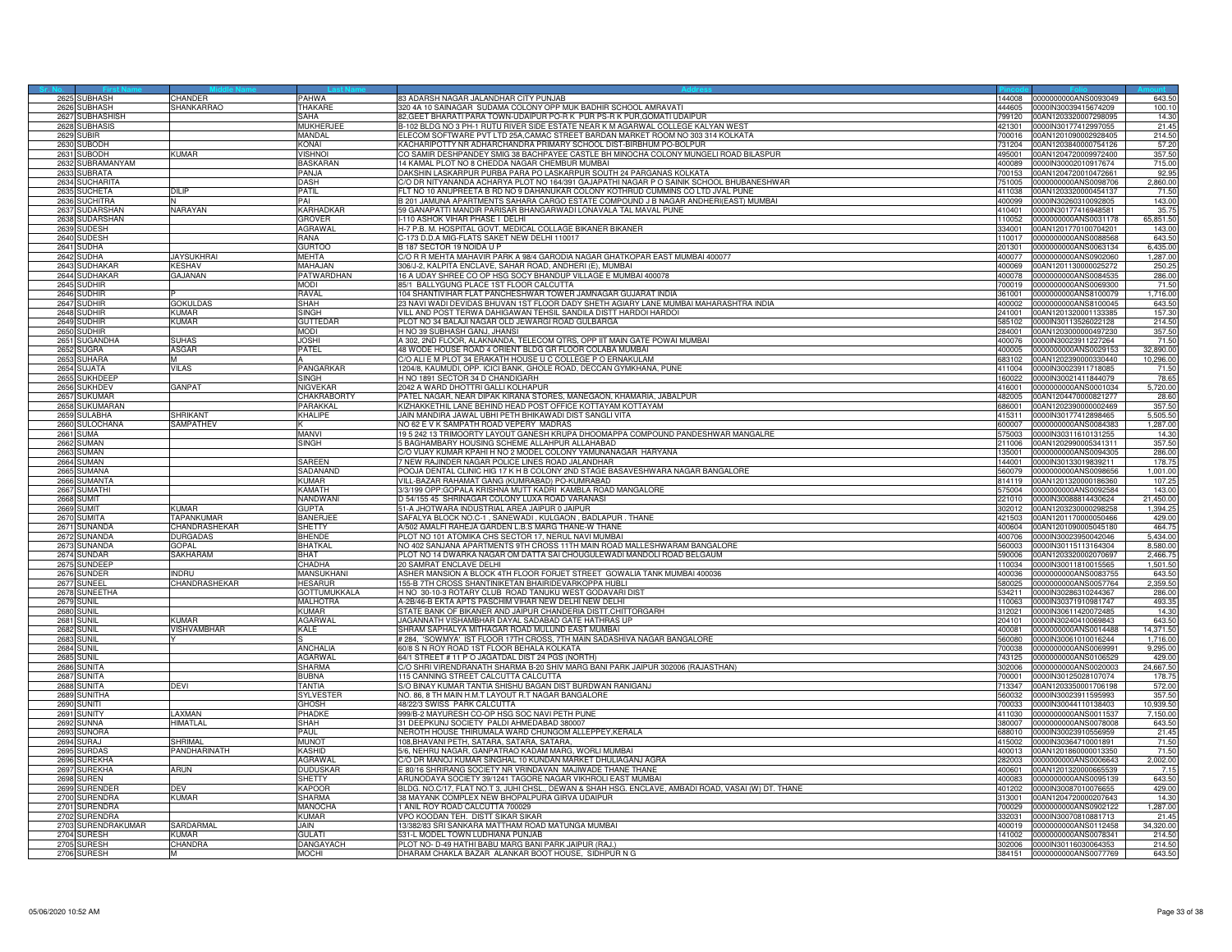|             | 2625 SUBHASH                     | CHANDER                     | PAHWA                            | 83 ADARSH NAGAR JALANDHAR CITY PUNJAB                                                                                                                                  | 144008           | 0000000000ANS0093049                                | 643.50               |
|-------------|----------------------------------|-----------------------------|----------------------------------|------------------------------------------------------------------------------------------------------------------------------------------------------------------------|------------------|-----------------------------------------------------|----------------------|
|             | 2626 SUBHASH                     | SHANKARRAO                  | THAKARE                          | 320 4A 10 SAINAGAR SUDAMA COLONY OPP MUK BADHIR SCHOOL AMRAVATI                                                                                                        |                  | 444605 0000IN30039415674209                         | 100.10               |
|             | 2627 SUBHASHISH                  |                             | SAHA                             | 82, GEET BHARATI PARA TOWN-UDAIPUR PO-R K PUR PS-R K PUR, GOMATI UDAIPUF                                                                                               |                  | 799120 00AN1203320007298095                         | 14.3                 |
| 2628        | SUBHASIS                         |                             | <b>MUKHERJEE</b>                 | 3-102 BLDG NO 3 PH-1 RUTU RIVER SIDE ESTATE NEAR K M AGARWAL COLLEGE KALYAN WES                                                                                        | 421301           | 0000IN30177412997055                                | 21.45                |
| 262         | UBIR                             |                             | MANDAL                           | ELECOM SOFTWARE PVT LTD 25A,CAMAC STREET BARDAN MARKET ROOM NO 303 314 KOLKATA                                                                                         | 700016           | 00AN1201090002928405                                | 214.5                |
| 2630        | SUBODH                           |                             | KONAI                            | KACHARIPOTTY NR ADHARCHANDRA PRIMARY SCHOOL DIST-BIRBHUM PO-BOLPUR<br>CO SAMIR DESHPANDEY SMIG 38 BACHPAYEE CASTLE BH MINOCHA COLONY MUNGELI ROAD BILASPUR             | 731204<br>495001 | 00AN1203840000754126                                | 57.2                 |
|             | 2631 SUBODH                      | (UMAR                       | <b>VISHNOI</b>                   |                                                                                                                                                                        |                  | 00AN1204720009972400                                | 357.50               |
|             | 2632 SUBRAMANYAM<br>2633 SUBRATA |                             | <b>BASKARAN</b><br>PANJA         | 14 KAMAL PLOT NO 8 CHEDDA NAGAR CHEMBUR MUMBAI<br>DAKSHIN LASKARPUR PURBA PARA PO LASKARPUR SOUTH 24 PARGANAS KOLKATA                                                  | 400089<br>700153 | 0000IN30002010917674<br>00AN1204720010472661        | 715.00<br>92.95      |
| 2634        | UCHARITA                         |                             | DASH                             | % DR NITYANANDA ACHARYA PLOT NO 164/391 GAJAPATHI NAGAR P O SAINIK SCHOOL BHUBANESHWAR                                                                                 | 751005           | 0000000000ANS0098706                                | 2,860.00             |
|             |                                  | III IP                      | PATIL                            |                                                                                                                                                                        | 411038           |                                                     |                      |
| 2635        | SUCHETA<br>2636 SUCHITRA         |                             | PAI                              | FLT NO 10 ANUPREETA B RD NO 9 DAHANUKAR COLONY KOTHRUD CUMMINS CO LTD JVAL PUNE<br>B 201 JAMUNA APARTMENTS SAHARA CARGO ESTATE COMPOUND J B NAGAR ANDHERI(EAST) MUMBAL |                  | 00AN1203320000454137<br>400099 0000IN30260310092805 | 71.5<br>143.00       |
|             | 2637 SUDARSHAN                   | NARAYAN                     | <b>KARHADKAF</b>                 | 59 GANAPATTI MANDIR PARISAR BHANGARWADI LONAVALA TAL MAVAL PUNE                                                                                                        | 410401           | 0000IN30177416948581                                | 35.75                |
|             | 2638 SUDARSHAN                   |                             | <b>GROVER</b>                    | I-110 ASHOK VIHAR PHASE I DELHI                                                                                                                                        | 110052           | 0000000000ANS0031178                                | 65,851.50            |
| 263         | UDESH                            |                             | AGRAWAL                          | H-7 P.B. M. HOSPITAL GOVT. MEDICAL COLLAGE BIKANER BIKANER                                                                                                             | 334001           | 00AN1201770100704201                                | 143.0                |
| 2640        | <b>SUDESH</b>                    |                             | RANA                             | C-173 D.D.A MIG-FLATS SAKET NEW DELHI 110017                                                                                                                           | 110017           | 0000000000ANS0088568                                | 643.5                |
|             | 2641 SUDHA                       |                             | <b>GURTOO</b>                    | B 187 SECTOR 19 NOIDA U P                                                                                                                                              | 201301           | 0000000000ANS0063134                                | 6,435.00             |
|             | 2642 SUDHA                       | <b>JAYSUKHRAI</b>           | <b>MEHTA</b>                     | C/O R R MEHTA MAHAVIR PARK A 98/4 GARODIA NAGAR GHATKOPAR EAST MUMBAI 400077                                                                                           | 400077           | 0000000000ANS0902060                                | 1,287.00             |
|             | 2643 SUDHAKAR                    | <b>KESHAV</b>               | MAHAJAN                          | 306/J-2, KALPITA ENCLAVE, SAHAR ROAD, ANDHERI (E), MUMBAI                                                                                                              | 400069           | 00AN1201130000025272                                | 250.2                |
| 2644        | UDHAKAR                          | <b>AJANAN</b>               | <b>PATWARDHAN</b>                | 16 A UDAY SHREE CO OP HSG SOCY BHANDUP VILLAGE E MUMBAI 400078                                                                                                         | 400078           | 0000000000ANS0084535                                | 286.0                |
|             | 2645 SUDHIR                      |                             | <b>MODI</b>                      | 85/1 BALLYGUNG PLACE 1ST FLOOR CALCUTTA                                                                                                                                | 700019           | 0000000000ANS0069300                                | 71.5(                |
|             | 2646 SUDHIR                      |                             | RAVAL                            | 104 SHANTIVIHAR FLAT PANCHESHWAR TOWER JAMNAGAR GUJARAT INDIA                                                                                                          | 361001           | 0000000000ANS8100079                                | 1,716.0              |
|             | 2647 SUDHIR                      | <b>GOKULDAS</b>             | <b>SHAH</b>                      | 23 NAVI WADI DEVIDAS BHUVAN 1ST FLOOR DADY SHETH AGIARY LANE MUMBAI MAHARASHTRA INDIA                                                                                  | 400002           | 0000000000ANS8100045                                | 643.50               |
|             | 2648 SUDHIR                      | <b><i>CUMAR</i></b>         | SINGH                            | VILL AND POST TERWA DAHIGAWAN TEHSIL SANDILA DISTT HARDOI HARDOI                                                                                                       | 241001           | 00AN1201320001133385                                | 157.30               |
| 264         | UDHIR                            | <b>UMAR</b>                 | <b>GUTTEDAR</b>                  | PLOT NO 34 BALAJI NAGAR OLD JEWARGI ROAD GULBARGA                                                                                                                      | 85102            | 0000IN30113526022128                                | 214.5                |
| 265         | <b>SUDHIR</b>                    |                             | <b>MODI</b>                      | H NO 39 SUBHASH GANJ, JHANSI                                                                                                                                           | 284001           | 00AN1203000000497230                                | 357.5                |
|             | 2651 SUGANDHA                    | SUHAS                       | JOSHI                            | A 302, 2ND FLOOR, ALAKNANDA, TELECOM QTRS, OPP IIT MAIN GATE POWAI MUMBAI                                                                                              | 400076           | 0000IN30023911227264                                | 71.5                 |
|             | 2652 SUGRA                       | ASGAR                       | PATEL                            | 48 WODE HOUSE ROAD 4 ORIENT BLDG GR FLOOR COLABA MUMBAI                                                                                                                | 400005           | 0000000000ANS0029153                                | 32,890.0             |
|             | 2653 SUHARA                      |                             | A                                | C/O ALLE M PLOT 34 ERAKATH HOUSE U C COLLEGE P O ERNAKULAM                                                                                                             | 683102           | 00AN1202390000330440                                | 10,296.00            |
| 265         | <b>UJATA</b>                     | VILAS                       | PANGARKAR                        | 1204/8, KAUMUDI, OPP. ICICI BANK, GHOLE ROAD, DECCAN GYMKHANA, PUNE                                                                                                    | 411004           | 0000IN30023911718085                                | 71.5                 |
|             | 2655 SUKHDEE                     |                             | <b>SINGH</b>                     | H NO 1891 SECTOR 34 D CHANDIGARH                                                                                                                                       |                  | 160022 0000IN30021411844079                         | 78.6                 |
|             | 2656 SUKHDEV                     | GANPAT                      | NIGVEKAF                         | 2042 A WARD DHOTTRI GALLI KOLHAPUR                                                                                                                                     | 416001           | 0000000000ANS0001034                                | 5,720.0              |
|             | 2657 SUKUMAR                     |                             | <b>CHAKRABORTY</b>               | PATEL NAGAR, NEAR DIPAK KIRANA STORES, MANEGAON, KHAMARIA, JABALPUR                                                                                                    | 482005           | 00AN1204470000821277                                | 28.60                |
|             | 2658 SUKUMARAN                   |                             | PARAKKAL                         | KIZHAKKETHIL LANE BEHIND HEAD POST OFFICE KOTTAYAM KOTTAYAM                                                                                                            | 686001           | 00AN1202390000002469                                | 357.50               |
| 265<br>2660 | ULABHA<br>SULOCHANA              | hrikant<br><b>SAMPATHEV</b> | KHALIPE                          | JAIN MANDIRA JAWAL UBHI PETH BHIKAWADI DIST SANGLI VITA                                                                                                                | 415311<br>600007 | 0000IN30177412898465<br>0000000000ANS0084383        | 5,505.5              |
|             | SUMA                             |                             | MANVI                            | NO 62 E V K SAMPATH ROAD VEPERY MADRAS<br>19 5 242 13 TRIMOORTY LAYOUT GANESH KRUPA DHOOMAPPA COMPOUND PANDESHWAR MANGALRE                                             | 575003           |                                                     | 1,287.00             |
| 2661        | 2662 SUMAN                       |                             |                                  |                                                                                                                                                                        | 211006           | 0000IN30311610131255                                | 14.3<br>357.50       |
| 2663        | <b>ISUMAN</b>                    |                             | SINGH                            | 5 BAGHAMBARY HOUSING SCHEME ALLAHPUR ALLAHABAD<br>C/O VIJAY KUMAR KPAHI H NO 2 MODEL COLONY YAMUNANAGAR HARYANA                                                        | 135001           | 00AN1202990005341311<br>0000000000ANS0094305        | 286.00               |
| 266         | <b>SUMAN</b>                     |                             | SAREEN                           | NEW RAJINDER NAGAR POLICE LINES ROAD JALANDHAR                                                                                                                         | 144001           | 0000IN30133019839211                                | 178.7                |
| 266         | <b>SUMANA</b>                    |                             | SADANAND                         | POOJA DENTAL CLINIC HIG 17 K H B COLONY 2ND STAGE BASAVESHWARA NAGAR BANGALORE                                                                                         | 560079           | 0000000000ANS0098656                                | 1,001.0              |
| 2666        | <b>SUMANTA</b>                   |                             | KUMAR                            | VILL-BAZAR RAHAMAT GANG (KUMRABAD) PO-KUMRABAD                                                                                                                         | 814119           | 00AN1201320000186360                                | 107.2                |
| 2667        | <b>SUMATHI</b>                   |                             | KAMATH                           | 3/3/199 OPP:GOPALA KRISHNA MUTT KADRI KAMBLA ROAD MANGALORE                                                                                                            | 575004           | 0000000000ANS0092584                                | 143.0                |
| 2668        | <b>UMIT</b>                      |                             | NANDWAN                          | D 54/155 45 SHRINAGAR COLONY LUXA ROAD VARANASI                                                                                                                        | 221010           | 0000IN30088814430624                                | 21.450.00            |
| 266         | UMIT                             | (UMAR                       | <b>GUPTA</b>                     | 51-A JHOTWARA INDUSTRIAL AREA JAIPUR 0 JAIPUR                                                                                                                          | 302012           | 00AN1203230000298258                                | 1,394.2              |
| 267         | <b>SUMITA</b>                    | <b>APANKI IMAR</b>          | <b>BANERJE</b>                   | SAFALYA BLOCK NO.C-1, SANEWADI, KULGAON, BADLAPUR. THANE                                                                                                               | 421503           | 00AN1201170000050466                                | 429.0                |
| 2671        | SUNANDA                          | CHANDRASHEKAR               | SHETTY                           | A/502 AMALFI RAHEJA GARDEN L.B.S MARG THANE-W THANE                                                                                                                    | 400604           | 00AN1201090005045180                                | 464.7                |
| 2672        | <b>SUNANDA</b>                   | DURGADAS                    | BHENDE                           | PLOT NO 101 ATOMIKA CHS SECTOR 17, NERUL NAVI MUMBAI                                                                                                                   | 400706           | 0000IN30023950042046                                | 5,434.0              |
|             | 2673 SUNANDA                     | <b>GOPAL</b>                | BHATKAL                          | NO 402 SANJANA APARTMENTS 9TH CROSS 11TH MAIN ROAD MALLESHWARAM BANGALORE                                                                                              | 560003           | 0000IN30115113164304                                | 8.580.00             |
|             | 2674 SUNDAR                      | SAKHARAM                    | BHAT                             | PLOT NO 14 DWARKA NAGAR OM DATTA SAI CHOUGULEWADI MANDOLI ROAD BELGAUM                                                                                                 | 590006           | 00AN1203320002070697                                | 2,466.7              |
| 267         | SUNDEEP                          |                             | <b>CHADHA</b>                    | 20 SAMRAT FNCLAVE DELHI                                                                                                                                                |                  | 110034 0000000011810015565                          | 1,501.5              |
|             | 2676 SUNDER                      | <b>NDRU</b>                 | MANSUKHA                         | ASHER MANSION A BLOCK 4TH FLOOR FORJET STREET GOWALIA TANK MUMBAI 400036                                                                                               | 400036           | 0000000000ANS0083755                                | 643.5                |
|             | 2677 SUNEEL                      | <b>CHANDRASHEKAR</b>        | HESARUR                          | 155-B 7TH CROSS SHANTINIKETAN BHAIRIDEVARKOPPA HUBLI                                                                                                                   |                  | 580025 0000000000ANS0057764                         | 2,359.5              |
|             | 2678 SUNEETHA                    |                             | <b>GOTTUMUKKALA</b>              | H NO 30-10-3 ROTARY CLUB ROAD TANUKU WEST GODAVARI DIST                                                                                                                | 534211           | 0000IN30286310244367                                | 286.0                |
| 267         | <b>UNIL</b>                      |                             | <b>MALHOTRA</b>                  | A-2B/46-B EKTA APTS PASCHIM VIHAR NEW DELHI NEW DELHI                                                                                                                  | 10063            | 0000lN30371910981747                                | 493.3                |
|             | <b>2680 SUNIL</b>                |                             | KIIMAR                           | STATE BANK OF BIKANER AND JAIPUR CHANDERIA DISTT.CHITTORGARH                                                                                                           | 312021           | 0000IN30611420072485                                | 14.3                 |
|             | 2681 SUNIL                       | <b><i><u>IJMAR</u></i></b>  | <b>AGARWA</b>                    | JAGANNATH VISHAMBHAR DAYAL SADABAD GATE HATHRAS UP                                                                                                                     | 204101           | 0000lN30240410069843                                | 643.5                |
| 2683        | 2682 SUNIL<br>sunil              | /ISHVAMBHAR                 | KALE                             | SHRAM SAPHALYA MITHAGAR ROAD MULUND EAST MUMBAI                                                                                                                        | 400081<br>560080 | 0000000000ANS0014488<br>0000IN30061010016244        | 14,371.50<br>1.716.0 |
|             | 2684 SUNIL                       |                             | <b>ANCHALIA</b>                  | #284, 'SOWMYA' IST FLOOR 17TH CROSS, 7TH MAIN SADASHIVA NAGAR BANGALORE<br>60/8 S N ROY ROAD 1ST FLOOR BEHALA KOLKATA                                                  | 700038           | 0000000000ANS0069991                                | 9,295.0              |
| 2685        | <b>SUNIL</b>                     |                             | <b>AGARWAL</b>                   | 64/1 STREET # 11 P O JAGATDAL DIST 24 PGS (NORTH                                                                                                                       | 743125           | 0000000000ANS0106529                                | 429.0                |
| 2686        | SUNITA                           |                             | SHARMA                           | C/O SHRI VIRENDRANATH SHARMA B-20 SHIV MARG BANI PARK JAIPUR 302006 (RAJASTHAN)                                                                                        | 302006           | 0000000000ANS0020003                                | 24,667.5             |
| 2687        | <b>SUNITA</b>                    |                             | BUBNA                            | 115 CANNING STREET CALCUTTA CALCUTTA                                                                                                                                   | 700001           | 0000IN30125028107074                                | 178.7                |
| 2688        | UNITA                            | <b>DEVI</b>                 | TANTIA                           | 3/O BINAY KUMAR TANTIA SHISHU BAGAN DIST BURDWAN RANIGANJ                                                                                                              | 13347            | 00AN1203350001706198                                | 572.0                |
| 2689        | <b>UNITHA</b>                    |                             | <b>SYLVESTEF</b>                 | NO. 86, 8 TH MAIN H.M.T LAYOUT R.T NAGAR BANGALORE                                                                                                                     | 560032           | 0000IN30023911595993                                | 357.5                |
| 2690        | SUNITI                           |                             | <b>GHOSH</b>                     | 48/22/3 SWISS PARK CALCUTTA                                                                                                                                            | 700033           | 0000IN30044110138403                                | 10.939.5             |
| 2691        | <b>SUNITY</b>                    | <b>AXMAN</b>                | PHADKE                           | 999/B-2 MAYURESH CO-OP HSG SOC NAVI PETH PUNE                                                                                                                          | 411030           | 0000000000ANS0011537                                | 7,150.0              |
|             | 2692 SUNNA                       | <b>IIMATLAL</b>             | SHAH                             | 31 DEEPKUNJ SOCIETY PALDI AHMEDABAD 380007                                                                                                                             | 380007           | 0000000000ANS0078008                                | 643.5                |
| 2693        | <b>UNORA</b>                     |                             | PAUL                             | NEROTH HOUSE THIRUMALA WARD CHUNGOM ALLEPPEY, KERALA                                                                                                                   | 688010           | 0000IN30023910556959                                | 21.45                |
| 2694        | SURAJ                            | <b>SHRIMAL</b>              | <b>MUNOT</b>                     | 108, BHAVANI PETH, SATARA, SATARA, SATARA,                                                                                                                             | 415002           | 0000IN30364710001891                                | 71.5                 |
|             | 2695 SURDAS                      | PANDHARINATH                | <b>KASHID</b>                    | 5/6, NEHRU NAGAR, GANPATRAO KADAM MARG, WORLI MUMBAI                                                                                                                   |                  | 400013 00AN1201860000013350                         | 71.5                 |
| 2696        | <b>SUREKHA</b>                   |                             | <b>AGRAWA</b>                    | C/O DR MANOJ KUMAR SINGHAL 10 KUNDAN MARKET DHULIAGANJ AGRA                                                                                                            | 282003           | 0000000000ANS0006643                                | 2,002.0              |
|             | 2697 SUREKHA                     | ARUN                        | <b>DUDUSKAF</b>                  | E 80/16 SHRIRANG SOCIETY NR VRINDAVAN MAJIWADE THANE THANE                                                                                                             | 400601           | 00AN1201320000665539                                | 7.1                  |
| 2698        | UREN                             |                             | SHETTY                           | ARUNODAYA SOCIETY 39/1241 TAGORE NAGAR VIKHROLI EAST MUMBAI                                                                                                            | 400083           | 0000000000ANS0095139                                | 643.5                |
| 2699        | SURENDEF                         | ЭEV                         | <b>KAPOOR</b>                    | BLDG. NO.C/17, FLAT NO.T 3, JUHI CHSL., DEWAN & SHAH HSG. ENCLAVE, AMBADI ROAD, VASAI (W) DT. THANE                                                                    | 401202           | 0000IN30087010076655                                | 429.00               |
|             | 2700 SURENDRA                    | KUMAR                       | <b>SHARMA</b>                    | 38 MAYANK COMPLEX NEW BHOPALPURA GIRVA UDAIPUR                                                                                                                         | 313001           | 00AN1204720000207643                                | 14.3                 |
| 2701        | SURENDRA                         |                             | <b>MANOCHA</b><br><b>KUMAR</b>   | 1 ANIL ROY ROAD CALCUTTA 700029                                                                                                                                        | 700029           | 0000000000ANS0902122                                | 1,287.0              |
| 2702        | <b>SURENDRA</b>                  |                             |                                  | VPO KOODAN TEH. DISTT SIKAR SIKAR                                                                                                                                      | 332031<br>400019 | 0000IN30070810881713                                | 21.45                |
| 2703        | URENDRAKUMAR                     | SARDARMAL<br><b>KUMAR</b>   | JAIN                             | 13/382/83 SRI SANKARA MATTHAM ROAD MATUNGA MUMBAI                                                                                                                      | 141002           | 000000000ANS0112458                                 | 34,320.00            |
| 2704        | SURESH<br>2705 SURESH            | CHANDRA                     | <b>GULAT</b><br><b>DANGAYACH</b> | 531-L MODEL TOWN LUDHIANA PUNJAB<br>PLOT NO- D-49 HATHI BABU MARG BANI PARK JAIPUR (RAJ.)                                                                              | 302006           | 0000000000ANS0078341<br>0000IN30116030064353        | 214.5<br>214.5       |
|             | 2706 SURESH                      |                             | <b>MOCHI</b>                     | DHARAM CHAKLA BAZAR ALANKAR BOOT HOUSE, SIDHPUR N G                                                                                                                    |                  | 384151 0000000000ANS0077769                         | 643.50               |
|             |                                  |                             |                                  |                                                                                                                                                                        |                  |                                                     |                      |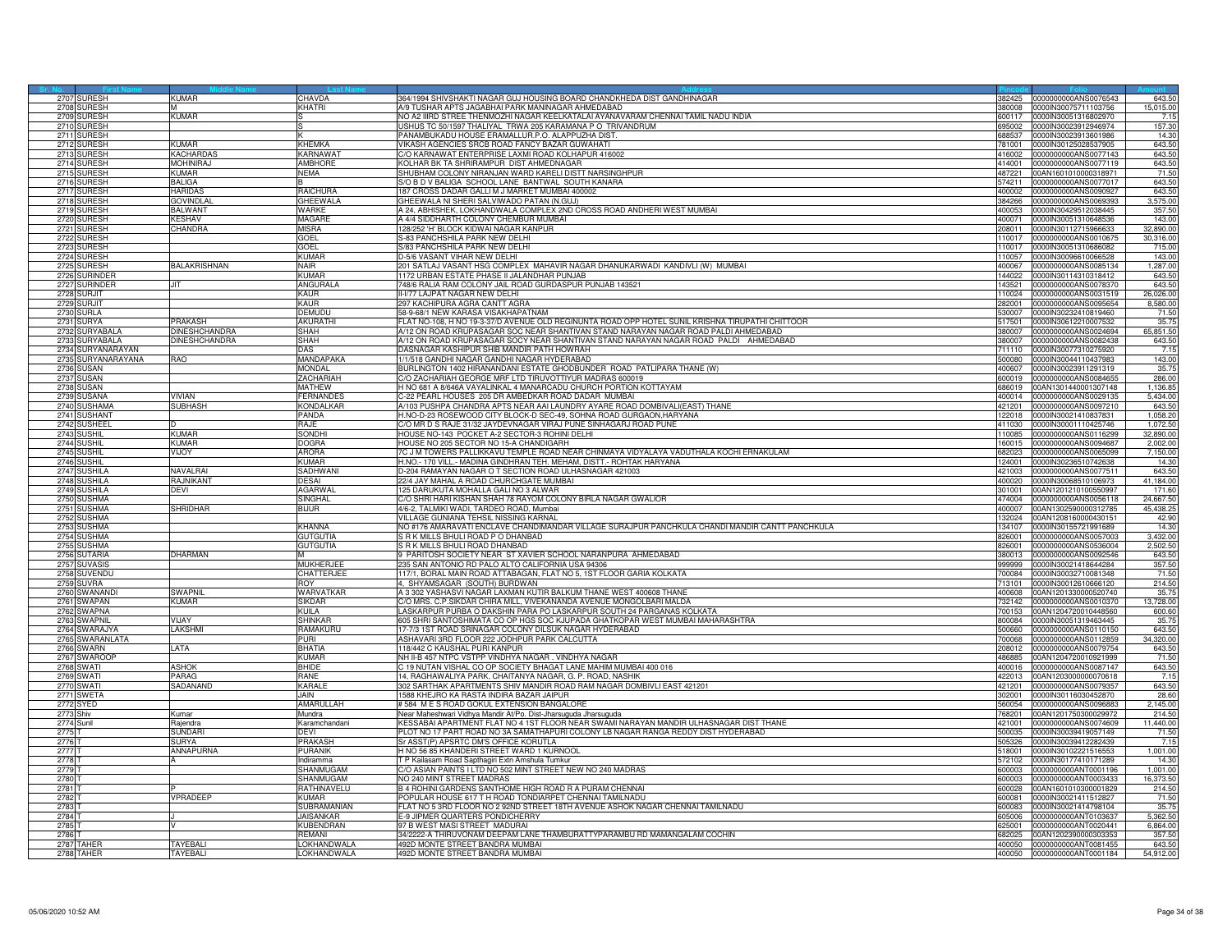|                   | 2707 SURESH       | <b>KUMAR</b>         | CHAVDA           | 364/1994 SHIVSHAKTI NAGAR GUJ HOUSING BOARD CHANDKHEDA DIST GANDHINAGAR                          |        | 382425 0000000000ANS0076543  | 643.50    |
|-------------------|-------------------|----------------------|------------------|--------------------------------------------------------------------------------------------------|--------|------------------------------|-----------|
|                   | 2708 SURESH       |                      | KHATRI           | A/9 TUSHAR APTS JAGABHAI PARK MANINAGAR AHMEDABAD                                                |        | 380008 0000IN30075711103756  | 15,015.00 |
|                   | 2709 SURESH       | <b>KUMAR</b>         |                  | NO A2 IIIRD STREE THENMOZHI NAGAR KEELKATALAI AYANAVARAM CHENNAI TAMIL NADU INDIA                |        | 600117  0000IN30051316802970 | 7.15      |
| 2710              | SURESH            |                      |                  | USHUS TC 50/1597 THALIYAL TRWA 205 KARAMANA P O TRIVANDRUM                                       | 695002 | 1000IN30023912946974         | 157.30    |
| 2711              | SURESH            |                      |                  | PANAMBUKADU HOUSE ERAMALLUR.P.O. ALAPPUZHA DIST                                                  | 88537  | 000IN30023913601986          | 14.30     |
| 2712              | SURESH            | KIIMAR               | <b>KHFMKA</b>    | VIKASH AGENCIES SRCB ROAD FANCY BAZAR GUWAHATI                                                   | 781001 | 0000IN30125028537905         | 643.50    |
|                   | 2713 SURESH       | <b>KACHARDAS</b>     | <b>KARNAWA</b>   | C/O KARNAWAT ENTERPRISE LAXMI ROAD KOLHAPUR 416002                                               | 416002 | 0000000000ANS0077143         | 643.50    |
|                   | 2714 SURESH       | <b>MOHINIRAJ</b>     | <b>AMBHORE</b>   | KOLHAR BK TA SHRIRAMPUR DIST AHMEDNAGAR                                                          | 414001 | 0000000000ANS0077119         | 643.50    |
|                   | 2715 SURESH       | KUMAR                | NEMA             | SHUBHAM COLONY NIRANJAN WARD KARELI DISTT NARSINGHPUR                                            | 487221 | 00AN1601010000318971         | 71.50     |
|                   | SURESH            |                      |                  |                                                                                                  | 74211  | 0000000000ANS0077017         |           |
| 2716              |                   | ALIGA                |                  | S/O B D V BALIGA SCHOOL LANE BANTWAL SOUTH KANARA                                                |        |                              | 643.50    |
|                   | 2717 SURESH       | <b>HARIDAS</b>       | RAICHURA         | 187 CROSS DADAR GALLI M J MARKET MUMBAI 400002                                                   |        | 400002 0000000000ANS0090927  | 643.50    |
|                   | 2718 SURESH       | <b>GOVINDLA</b>      | <b>GHEEWALA</b>  | GHEEWALA NI SHERI SALVIWADO PATAN (N.GUJ)                                                        |        | 384266 0000000000ANS0069393  | 3,575.00  |
| 2719              | <b>SURESH</b>     | <b>BALWANT</b>       | <b>WARKF</b>     | A 24, ABHISHEK, LOKHANDWALA COMPLEX 2ND CROSS ROAD ANDHERI WEST MUMBAI                           |        | 400053 0000IN30429512038445  | 357.50    |
| 2720              | <b>SURESH</b>     | <b>KESHAV</b>        | <b>MAGARE</b>    | A 4/4 SIDDHARTH COLONY CHEMBUR MUMBAI                                                            | 400071 | 0000IN30051310648536         | 143.00    |
| 272               | <b>URESH</b>      | <b>HANDRA</b>        | <b>MISRA</b>     | 128/252 'H' BLOCK KIDWAI NAGAR KANPUR                                                            | 08011  | 0000IN30112715966633         | 32,890.00 |
| 272               | SURESH            |                      | GOEL             | S-83 PANCHSHILA PARK NEW DELHI                                                                   | 110017 | 0000000000ANS0010675         | 30,316.00 |
| 2723              | SURESH            |                      | GOEL             | S/83 PANCHSHILA PARK NEW DELHI                                                                   | 110017 | 0000IN30051310686082         | 715.00    |
| 2724              | <b>SURESH</b>     |                      | KUMAR            | D-5/6 VASANT VIHAR NEW DELHI                                                                     | 110057 | 0000IN30096610066528         | 143.00    |
| 2725              | <b>SURESH</b>     | <b>BALAKRISHNAN</b>  | Nair             | 201 SATLAJ VASANT HSG COMPLEX MAHAVIR NAGAR DHANUKARWADI KANDIVLI (W) MUMBAI                     | 400067 | 0000000000ANS0085134         | 1.287.00  |
| 2726              | SURINDER          |                      | <b>KUMAR</b>     | 1172 URBAN ESTATE PHASE II JALANDHAR PUNJAB                                                      | 144022 | 0000lN30114310318412         | 643.50    |
| 2727              | <b>SURINDER</b>   | <b>JIT</b>           | ANGURALA         | 748/6 RALIA RAM COLONY JAIL ROAD GURDASPUR PUNJAB 143521                                         | 143521 | 0000000000ANS0078370         | 643.50    |
| 2728              | SURJIT            |                      | <b>KAUR</b>      | II-V77 LAJPAT NAGAR NEW DELHI                                                                    | 110024 | 0000000000ANS0031519         | 26,026.00 |
|                   | 2729 SURJIT       |                      | KAUR             | 297 KACHIPURA AGRA CANTT AGRA                                                                    | 282001 | 0000000000ANS0095654         | 8,580.00  |
|                   | <b>SURLA</b>      |                      | DEMUDU           | 58-9-68/1 NEW KARASA VISAKHAPATNAM                                                               |        |                              | 71.50     |
| 2730              |                   |                      |                  |                                                                                                  | 530007 | 0000IN30232410819460         |           |
| 2731              | <b>SURYA</b>      | RAKASH               | <b>AKURATH</b>   | FLAT NO-108, H NO 19-3-37/D AVENUE OLD REGINUNTA ROAD OPP HOTEL SUNIL KRISHNA TIRUPATHI CHITTOOR | 517501 | 0000IN30612210007532         | 35.75     |
|                   | 2732 SURYABALA    | DINESHCHANDRA        | <b>SHAH</b>      | A/12 ON ROAD KRUPASAGAR SOC NEAR SHANTIVAN STAND NARAYAN NAGAR ROAD PALDI AHMEDABAD              |        | 380007 0000000000ANS0024694  | 65,851.50 |
|                   | 2733 SURYABALA    | <b>DINESHCHANDRA</b> | <b>SHAH</b>      | A/12 ON ROAD KRUPASAGAR SOCY NEAR SHANTIVAN STAND NARAYAN NAGAR ROAD PALDI AHMEDABAD             | 380007 | 0000000000ANS0082438         | 643.50    |
|                   | 2734 SURYANARAYAN |                      | DAS              | DASNAGAR KASHIPUR SHIB MANDIR PATH HOWRAH                                                        | 711110 | 0000IN30077310275920         | 7.15      |
| 2735              | SURYANARAYANA     | <b>AO</b>            | MANDAPAKA        | 1/1/518 GANDHI NAGAR GANDHI NAGAR HYDERABAD                                                      | 500080 | 0000IN30044110437983         | 143.00    |
|                   | 2736 SUSAN        |                      | <b>MONDAL</b>    | BURLINGTON 1402 HIRANANDANI ESTATE GHODBUNDER ROAD PATLIPARA THANE (W)                           | 400607 | 0000IN30023911291319         | 35.75     |
|                   | 2737 SUSAN        |                      | <b>ZACHARIAH</b> | C/O ZACHARIAH GEORGE MRF LTD TIRUVOTTIYUR MADRAS 600019                                          | 600019 | 0000000000ANS0084655         | 286.00    |
|                   | 2738 SUSAN        |                      | <b>MATHEW</b>    | H NO 681 A 8/646A VAYALINKAL 4 MANARCADU CHURCH PORTION KOTTAYAM                                 | 686019 | 00AN1301440001307148         | 1,136.85  |
| 2739              | SUSANA            | <b>VIVIAN</b>        | <b>FERNANDES</b> | 2-22 PEARL HOUSES 205 DR AMBEDKAR ROAD DADAR MUMBAI                                              | 400014 | 1000000000ANS0029135         | 5,434.00  |
| 2740              | <b>SUSHAMA</b>    | <b>SUBHASH</b>       | KONDALKAF        | V103 PUSHPA CHANDRA APTS NEAR AAI LAUNDRY AYARE ROAD DOMBIVALI(EAST) THANE                       | 21201  | 0000000000ANS0097210         | 643.50    |
| 2741              | <b>SUSHANT</b>    |                      | PANDA            | H.NO-D-23 ROSEWOOD CITY BLOCK-D SEC-49, SOHNA ROAD GURGAON, HARYANA                              | 122018 | 0000IN30021410837831         | 1,058.20  |
|                   | 2742 SUSHEEL      |                      | RAJE             | C/O MR D S RAJE 31/32 JAYDEVNAGAR VIRAJ PUNE SINHAGARJ ROAD PUNE                                 |        | 411030 0000IN30001110425746  | 1.072.50  |
|                   | 2743 SUSHIL       | KUMAR                | <b>SONDHI</b>    | HOUSE NO-143 POCKET A-2 SECTOR-3 ROHINI DELHI                                                    | 110085 | 0000000000ANS0116299         | 32,890.00 |
|                   | 2744 SUSHIL       | <b>KUMAR</b>         | <b>DOGRA</b>     | HOUSE NO 205 SECTOR NO 15-A CHANDIGARH                                                           | 160015 | 0000000000ANS0094687         | 2,002.00  |
|                   |                   |                      |                  |                                                                                                  |        |                              |           |
| 2745              | SUSHIL            | <b>INOA</b>          | <b>ARORA</b>     | 7C J M TOWERS PALLIKKAVU TEMPLE ROAD NEAR CHINMAYA VIDYALAYA VADUTHALA KOCHI ERNAKULAM           | 82023  | 0000000000ANS0065099         | 7,150.00  |
|                   | 2746 SUSHIL       |                      | <b>KUMAR</b>     | H.NO.- 170 VILL.- MADINA GINDHRAN TEH. MEHAM, DISTT.- ROHTAK HARYANA                             |        | 124001 0000IN30236510742638  | 14.3      |
| 2747              | <b>SUSHILA</b>    | VAVALRAI             | SADHWAI          | D-204 RAMAYAN NAGAR O T SECTION ROAD ULHASNAGAR 421003                                           |        | 421003 0000000000ANS0077511  | 643.50    |
|                   | 2748 SUSHILA      | <b>AJNIKANT</b>      | <b>DESAI</b>     | 22/4 JAY MAHAL A ROAD CHURCHGATE MUMBAI                                                          |        | 400020 0000IN30068510106973  | 41,184.00 |
|                   | 2749 SUSHILA      | )EVI                 | <b>AGARWAL</b>   | 125 DARUKUTA MOHALLA GALI NO 3 ALWAR                                                             | 301001 | 00AN1201210100550997         | 171.60    |
| 2750              | <b>IUSHMA</b>     |                      | SINGHAL          | C/O SHRI HARI KISHAN SHAH 78 RAYOM COLONY BIRLA NAGAR GWALIOR                                    | 474004 | 000000000ANS0056118          | 24,667.50 |
| 275               | <b>SUSHMA</b>     | SHRIDHAR             | BIJUR            | 4/6-2. TALMIKI WADI, TARDEO ROAD, Mumbai                                                         | 400007 | 00AN1302590000312785         | 45,438.25 |
| 2752              | <b>SUSHMA</b>     |                      |                  | VILLAGE GUNIANA TEHSIL NISSING KARNAL                                                            | 32024  | 00AN1208160000430151         | 42.90     |
| 2753              | <b>SUSHMA</b>     |                      | <b>KHANNA</b>    | NO #176 AMARAVATI ENCLAVE CHANDIMANDAR VILLAGE SURAJPUR PANCHKULA CHANDI MANDIR CANTT PANCHKULA  | 134107 | 0000IN30155721991689         | 14.30     |
|                   | 2754 SUSHMA       |                      | <b>GUTGUTIA</b>  | S R K MILLS BHULLBOAD P O DHANBAD                                                                | 826001 | 0000000000ANS0057003         | 3.432.00  |
| 2755              | <b>SUSHMA</b>     |                      | <b>GUTGUTIA</b>  | S R K MILLS BHULI ROAD DHANBAD                                                                   | 826001 | 0000000000ANS0536004         | 2,502.50  |
|                   | 2756 SUTARIA      | <b>HARMAN</b>        | M                | 9 PARITOSH SOCIETY NEAR ST XAVIER SCHOOL NARANPURA AHMEDABAD                                     |        | 380013 0000000000ANS0092546  | 643.50    |
| 2757              | <b>SUVASIS</b>    |                      | <b>MUKHERJEE</b> | 235 SAN ANTONIO RD PALO ALTO CALIFORNIA USA 94306                                                | 999999 | 0000lN30021418644284         | 357.50    |
|                   | 2758 SUVENDU      |                      | CHATTERJEE       | 117/1, BORAL MAIN ROAD ATTABAGAN, FLAT NO 5, 1ST FLOOR GARIA KOLKATA                             |        | 00084 0000IN30032710081348   | 71.50     |
| 2759              | SUVRA             |                      | <b>ROY</b>       | 4, SHYAMSAGAR (SOUTH) BURDWAN                                                                    | 713101 | 0000IN30012610666120         | 214.50    |
| 2760              | SWANAND           | SWAPNIL              | WARVATKAR        | A 3 302 YASHASVI NAGAR LAXMAN KUTIR BALKUM THANE WEST 400608 THANE                               | 400608 | 00AN1201330000520740         | 35.75     |
|                   | 2761 SWAPAN       | <b>KUMAR</b>         | <b>SIKDAR</b>    | C/O MRS. C.P.SIKDAR CHIRA MILL, VIVEKANANDA AVENUE MONGOLBARI MALDA                              | 732142 | 0000000000ANS0010370         | 13,728.00 |
|                   | 2762 SWAPNA       |                      |                  |                                                                                                  | '00153 | 00AN1204720010448560         |           |
|                   |                   |                      | KUILA            | LASKARPUR PURBA O DAKSHIN PARA PO LASKARPUR SOUTH 24 PARGANAS KOLKATA                            |        |                              | 600.60    |
|                   | 2763 SWAPNIL      | VIJAY                | <b>SHINKAR</b>   | 605 SHRI SANTOSHIMATA CO OP HGS SOC KJUPADA GHATKOPAR WEST MUMBAI MAHARASHTRA                    | 800084 | 0000IN30051319463445         | 35.75     |
| 2764              | SWARAJYA          | <b>AKSHMI</b>        | RAMAKURU         | 17-7/3 1ST ROAD SRINAGAR COLONY DILSUK NAGAR HYDERABAD                                           | 500660 | 0000000000ANS0110150         | 643.50    |
| 2765              | <b>SWARANLATA</b> |                      | <b>PURI</b>      | ASHAVARI 3RD FLOOR 222 JODHPUR PARK CALCUTTA                                                     | 700068 | 0000000000ANS0112859         | 34,320.00 |
|                   | 2766 SWARN        | LATA                 | <b>BHATIA</b>    | 118/442 C KAUSHAL PURI KANPUR                                                                    |        | 208012 0000000000ANS0079754  | 643.50    |
| 2767              | <b>SWAROOR</b>    |                      | <b>KUMAR</b>     | NH II-B 457 NTPC VSTPP VINDHYA NAGAR. VINDHYA NAGAR                                              | 486885 | 00AN1204720010921999         | 71.50     |
|                   | 2768 SWATI        | <b>ASHOK</b>         | RHIDE            | C 19 NUTAN VISHAL CO OP SOCIETY BHAGAT LANE MAHIM MUMBAI 400 016                                 | 400016 | 0000000000ANS0087147         | 643.50    |
| 2769              | SWATI             | <b>ARAG</b>          | RANE             | 14, RAGHAWALIYA PARK, CHAITANYA NAGAR, G. P. ROAD, NASHIK                                        | 22013  | 00AN1203000000070618         | 7.15      |
| 277               | SWATI             | SADANAND             | KARALE           | 302 SARTHAK APARTMENTS SHIV MANDIR ROAD RAM NAGAR DOMBIVLI EAST 421201                           | 421201 | 0000000000ANS0079357         | 643.50    |
|                   | <b>2771 SWETA</b> |                      | JAIN             | 1588 KHEJRO KA RASTA INDIRA BAZAR JAIPUR                                                         |        | 302001 00000N30116030452870  | 28.60     |
|                   | 2772 SYED         |                      | AMARULLAH        | #584 M E S ROAD GOKUL EXTENSION BANGALORE                                                        |        | 560054 0000000000ANS0096883  | 2,145.00  |
| 2773 Shiv         |                   | Kumar                | Mundra           | Near Maheshwari Vidhya Mandir At/Po. Dist-Jharsuguda Jharsuguda                                  | 768201 | 00AN1201750300029972         | 214.50    |
| 2774 Sunil        |                   | lajendra             | Karamchandani    | KESSABAI APARTMENT FLAT NO 4 1ST FLOOR NEAR SWAMI NARAYAN MANDIR ULHASNAGAR DIST THANE           | 21001  | 0000000000ANS0074609         | 11,440.00 |
| 2775              |                   | <b>SUNDAR</b>        | DEVI             | PLOT NO 17 PART ROAD NO 3A SAMATHAPURI COLONY LB NAGAR RANGA REDDY DIST HYDERABAD                | 500035 | 0000IN30039419057149         | 71.50     |
| 2776 T            |                   | SURYA                | PRAKASH          | Sr ASST(P) APSRTC DM'S OFFICE KORUTLA                                                            |        | 505326 0000IN30039412282439  | 7.15      |
| 2777 T            |                   | ANNAPURNA            | <b>PURANIK</b>   | H NO 56 85 KHANDERI STREET WARD 1 KURNOOL                                                        |        | 518001 0000IN30102221516553  | 1,001.00  |
| 2778.7            |                   |                      | Indiramma        | T P Kailasam Road Sapthagiri Extn Amshula Tumkur                                                 | 572102 | 0000IN30177410171289         | 14.30     |
| 2779              |                   |                      | SHANMUGAM        |                                                                                                  | 600003 | 0000000000ANT0001196         |           |
|                   |                   |                      |                  | C/O ASIAN PAINTS I LTD NO 502 MINT STREET NEW NO 240 MADRAS                                      |        |                              | 1,001.00  |
| 2780              |                   |                      | SHANMUGAM        | NO 240 MINT STREET MADRAS                                                                        | 600003 | 0000000000ANT0003433         | 16,373.50 |
| 2781              |                   |                      | RATHINAVELU      | B 4 ROHINI GARDENS SANTHOME HIGH ROAD R A PURAM CHENNAI                                          | 600028 | 00AN1601010300001829         | 214.50    |
| 2782 <sub>T</sub> |                   | VPRADEEP             | <b>KUMAR</b>     | POPULAR HOUSE 617 T H ROAD TONDIARPET CHENNAI TAMILNADU                                          | 600081 | 0000lN30021411512827         | 71.50     |
| 2783.7            |                   |                      | SUBRAMANIAN      | FLAT NO 5 3RD FLOOR NO 2 92ND STREET 18TH AVENUE ASHOK NAGAR CHENNAI TAMILNADU                   | 600083 | 0000IN30021414798104         | 35.75     |
| 2784              |                   |                      | JAISANKAR        | E-9 JIPMER QUARTERS PONDICHERRY                                                                  | 05006  | 0000000000ANT0103637         | 5,362.50  |
| 2785              |                   |                      | <b>KUBENDRAN</b> | 97 B WEST MASI STREET MADURAL                                                                    | 625001 | 0000000000ANT0020441         | 6,864.00  |
| 2786              |                   |                      | REMANI           | 34/2222-A THIRUVONAM DEEPAM LANE THAMBURATTYPARAMBU RD MAMANGALAM COCHIN                         | 682025 | 00AN1202390000303353         | 357.50    |
|                   | 2787 TAHER        | <b>TAYFBALL</b>      | LOKHANDWALA      | 492D MONTE STREET BANDRA MUMBAI                                                                  |        | 400050 0000000000ANT0081455  | 643.50    |
|                   | 2788 TAHER        | <b>TAYEBALI</b>      | LOKHANDWALA      | 492D MONTE STREET BANDRA MUMBAI                                                                  |        | 400050 0000000000ANT0001184  | 54,912.00 |
|                   |                   |                      |                  |                                                                                                  |        |                              |           |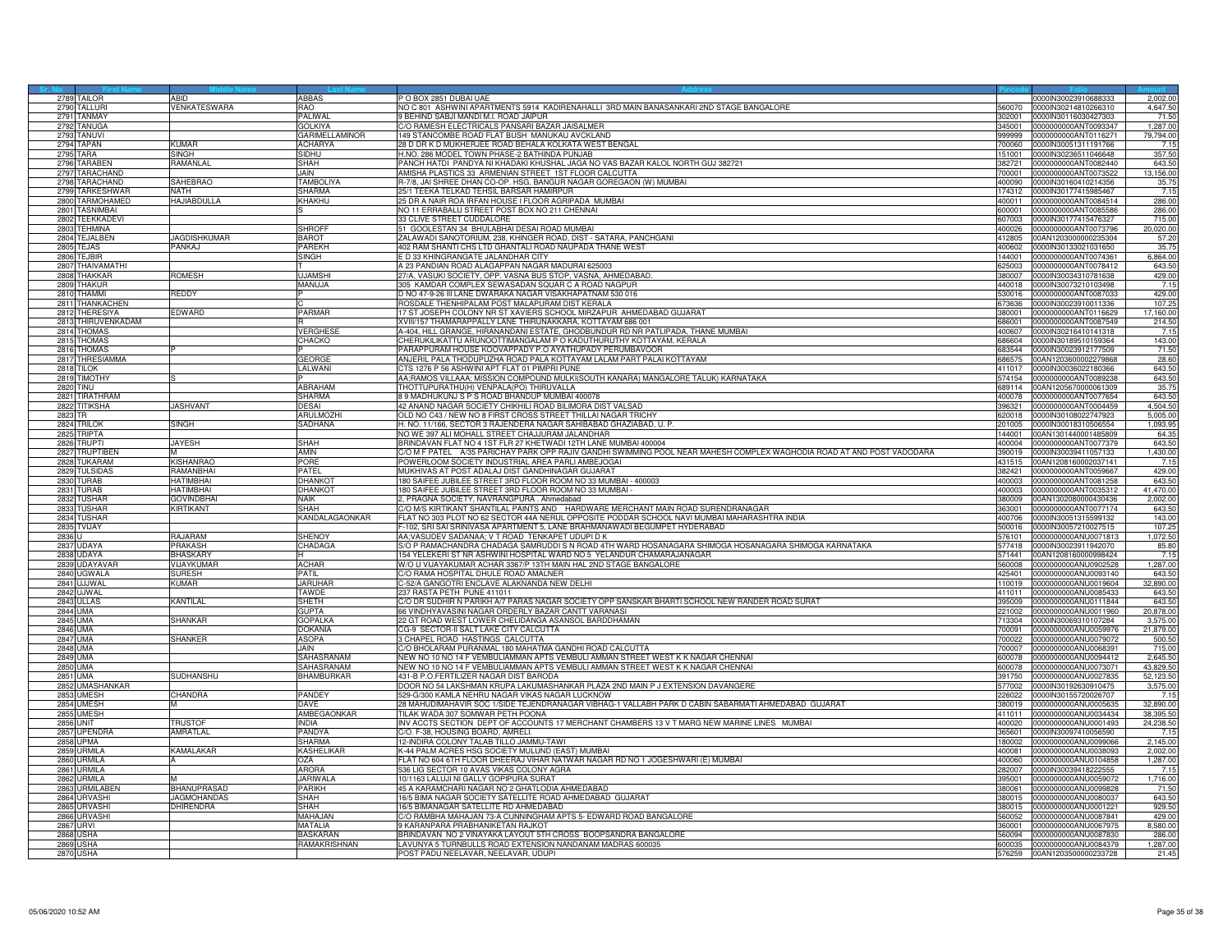|         | 2789 TAILOR                          | ARID                    | ABBAS                 | P O BOX 2851 DUBAI UAE                                                                                                             |                  | 0000IN30023910688333                         | 2,002.00         |
|---------|--------------------------------------|-------------------------|-----------------------|------------------------------------------------------------------------------------------------------------------------------------|------------------|----------------------------------------------|------------------|
|         | 2790 TALLURI                         | <b>VENKATESWARA</b>     | RAO                   | NO C 801 ASHWINI APARTMENTS 5914 KADIRENAHALLI 3RD MAIN BANASANKARI 2ND STAGE BANGALORE                                            | 560070           | 0000IN30214810266310                         | 4,647.50         |
|         | 2791 TANMAY                          |                         | PALIWAL               | 9 BEHIND SABJI MANDI M.I. ROAD JAIPUR                                                                                              |                  | 302001 0000IN30116030427303                  | 71.50            |
|         | 2792 TANUGA                          |                         | <b>GOLKIYA</b>        | C/O RAMESH ELECTRICALS PANSARI BAZAR JAISALMER                                                                                     | 345001           | 1000000000ANT009334                          | 1,287.00         |
| 2793    | TANUVI                               |                         | <b>GARIMELLAMINOR</b> | 149 STANCOMBE ROAD FLAT BUSH MANUKAU AVCKLAND                                                                                      | 999999           | 0000000000ANT0116271                         | 79,794.00        |
|         | 2794 TAPAN                           | <b>KUMAR</b>            | <b>ACHARYA</b>        | 28 D DR K D MUKHERJEE ROAD BEHALA KOLKATA WEST BENGAL                                                                              |                  | 700060 0000IN30051311191766                  | 7.15             |
|         | <b>2795 TARA</b>                     | SINGH                   | <b>SIDHU</b>          | H.NO. 286 MODEL TOWN PHASE-2 BATHINDA PUNJAB                                                                                       | 151001           | 0000IN30236511046648                         | 357.50           |
|         | 2796 TARABEN                         | <b>AMANLAL</b>          | <b>SHAH</b>           | PANCH HATDI PANDYA NI KHADAKI KHUSHAL JAGA NO VAS BAZAR KALOL NORTH GUJ 382721                                                     | 382721           | 0000000000ANT0082440                         | 643.50           |
|         | 2797 TARACHAND                       |                         | JAIN                  | AMISHA PLASTICS 33 ARMENIAN STREET 1ST FLOOR CALCUTTA                                                                              | 00001            | 000000000ANT0073522                          | 13,156.00        |
|         | 2798 TARACHAND                       | SAHEBRAO                | <b>TAMBOLIYA</b>      | R-7/8, JAI SHREE DHAN CO-OP. HSG. BANGUR NAGAR GOREGAON (W) MUMBAI                                                                 | 400090           | 0000IN30160410214356                         | 35.75            |
|         | 2799 TARKESHWAF                      | NATH                    | <b>SHARMA</b>         | 25/1 TEEKA TELKAD TEHSIL BARSAR HAMIRPUR                                                                                           |                  | 174312 0000IN30177415985467                  | 7.15             |
|         | 2800 TARMOHAMED                      | <b>HAJIABDULLA</b>      | KHAKHU                | 25 DR A NAIR ROA IRFAN HOUSE I FLOOR AGRIPADA MUMBAI                                                                               |                  | 400011 0000000000ANT0084514                  | 286.00           |
|         | 2801 TASNIMBAI                       |                         |                       | NO 11 ERRABALU STREET POST BOX NO 211 CHENNAI                                                                                      | 600001           | 000000000ANT0085586                          | 286.00           |
|         | 2802 TEEKKADEVI                      |                         |                       | 33 CLIVE STREET CUDDALORE                                                                                                          | 07003            | 000IN30177415476327                          | 715.00           |
|         | 2803 TEHMINA                         |                         | <b>SHROFF</b>         | 51 GOOLESTAN 34 BHULABHAI DESAI ROAD MUMBAI                                                                                        | 400026           | 0000000000ANT0073796                         | 20,020.00        |
|         | 2804 TEJALBEN                        | <b>JAGDISHKUMAR</b>     | <b>BAROT</b>          | ZALAWADI SANOTORIUM, 238, KHINGER ROAD, DIST - SATARA, PANCHGANI                                                                   | 412805           | 00AN1203000000235304                         | 57.20            |
|         | 2805 TEJAS                           | PANKAJ                  | PARFKH                | 402 RAM SHANTI CHS LTD GHANTALI ROAD NAUPADA THANE WEST                                                                            | 400602           | 0000IN30133021031650                         | 35.75            |
|         | 2806 TEJBIR                          |                         | SINGH                 | E D 33 KHINGRANGATE JALANDHAR CITY                                                                                                 | 144001           | 0000000000ANT0074361                         | 6,864.00         |
|         | 2807 THAIVAMATHI                     |                         |                       | A 23 PANDIAN ROAD ALAGAPPAN NAGAR MADURAI 625003                                                                                   | 25003            | 0000000000ANT0078412                         | 643.50           |
|         | 2808 THAKKAR                         | ROMESH                  | <b>UJAMSHI</b>        | 27/A, VASUKI SOCIETY, OPP. VASNA BUS STOP, VASNA, AHMEDABAD.                                                                       | 380007           |                                              | 429.00           |
|         | 2809 THAKUR                          |                         | MANUJA                | 305 KAMDAR COMPLEX SEWASADAN SQUAR C A ROAD NAGPUR                                                                                 | 440018           | 0000IN30034310781638<br>0000IN30073210103498 | 7.15             |
|         | 2810 THAMMI                          |                         |                       |                                                                                                                                    | 530016           | 0000000000ANT0087033                         |                  |
|         | 2811 THANKACHEN                      | REDDY                   |                       | D NO 47-9-26 III LANE DWARAKA NAGAR VISAKHAPATNAM 530 016<br>ROSDALE THENHIPALAM POST MALAPURAM DIST KERALA                        | 673636           | 0000IN30023910011336                         | 429.00<br>107.25 |
|         |                                      |                         |                       |                                                                                                                                    |                  |                                              |                  |
|         | 2812 THERESIYA<br>2813 THIRUVENKADAM | EDWARD                  | <b>PARMAR</b>         | 17 ST JOSEPH COLONY NR ST XAVIERS SCHOOL MIRZAPUR AHMEDABAD GUJARAT<br>XVIII/157 THAMARAPPALLY LANE THIRUNAKKARA, KOTTAYAM 686 001 | 380001<br>686001 | 0000000000ANT0116629<br>0000000000ANT0087549 | 17,160.00        |
|         | 2814 THOMAS                          |                         | VERGHES               | A-404. HILL GRANGE, HIRANANDANI ESTATE, GHODBUNDUR RD NR PATLIPADA, THANE MUMBAI                                                   | 400607           | 0000IN30216410141318                         | 214.50<br>7.15   |
|         |                                      |                         |                       |                                                                                                                                    |                  |                                              |                  |
|         | 2815 THOMAS                          |                         | CHACKO                | CHERUKILIKATTU ARUNOOTTIMANGALAM P O KADUTHURUTHY KOTTAYAM, KERALA                                                                 | 686604           | 0000IN30189510159364                         | 143.00           |
|         | 2816 THOMAS                          |                         |                       | PARAPPURAM HOUSE KOOVAPPADY P.O AYATHUPADY PERUMBAVOOR                                                                             | 683544           | 0000IN30023912177509                         | 71.50            |
|         | 2817 THRESIAMMA                      |                         | GEORGE                | ANJERIL PALA THODUPUZHA ROAD PALA KOTTAYAM LALAM PART PALAI KOTTAYAM                                                               | 686575           | 00AN1203600002279868                         | 28.60            |
|         | 2818 TILOK                           |                         | LALWANI               | CTS 1276 P 56 ASHWINI APT FLAT 01 PIMPRI PUNE                                                                                      |                  | 411017 0000IN30036022180366                  | 643.50           |
|         | 2819 TIMOTHY                         |                         | ARRAHAM               | AA;RAMOS VILLAAA; MISSION COMPOUND MULKI(SOUTH KANARA) MANGALORE TALUK) KARNATAKA                                                  | 574154           | 0000000000ANT0089238                         | 643.50           |
| 2820    | tinu                                 |                         |                       | THOTTUPURATHU(H) VENPALA(PO) THIRUVALLA                                                                                            | 689114           | 00AN1205670000061309                         | 35.75            |
| 2821    | TIRATHRAM                            |                         | SHARMA                | 39 MADHUKUNJ S P S ROAD BHANDUP MUMBAI 400078                                                                                      | 00078            | 000000000ANT0077654                          | 643.50           |
|         | 2822 TITIKSHA                        | JASHVANT                | DESAI                 | 42 ANAND NAGAR SOCIETY CHIKHILI ROAD BILIMORA DIST VALSAD                                                                          | 396321           | 0000000000ANT0004459                         | 4,504.50         |
| 2823 TR |                                      |                         | <b>ARULMOZH</b>       | OLD NO C43 / NEW NO 8 FIRST CROSS STREET THILLAI NAGAR TRICHY                                                                      | 620018           | 0000IN30108022747923                         | 5.005.00         |
|         | 2824 TRILOK                          | <b>SINGH</b>            | SADHANA               | H. NO. 11/166, SECTOR 3 RAJENDERA NAGAR SAHIBABAD GHAZIABAD, U. P.                                                                 | 201005           | 0000IN30018310506554                         | 1,093.95         |
|         | 2825 TRIPTA                          |                         |                       | NO WE 397 ALLMOHALL STREET CHA LIURAM JALANDHAR                                                                                    | 144001           | 00AN1301440001485809                         | 64.35            |
|         | 2826 TRUPTI                          | JAYESH                  | SHAH                  | BRINDAVAN FLAT NO 4 1ST FLR 27 KHETWADI 12TH LANE MUMBAI 400004                                                                    | 100004           | 0000000000ANT0077379                         | 643.50           |
|         | 2827 TRUPTIBEN                       |                         | AMIN                  | C/O M F PATEL A/35 PARICHAY PARK OPP RAJIV GANDHI SWIMMING POOL NEAR MAHESH COMPLEX WAGHODIA ROAD AT AND POST VADODARA             |                  | 390019 0000IN30039411057133                  | 1,430.00         |
|         | 2828 TUKARAM                         | KISHANRAO               | PORE                  | POWERLOOM SOCIETY INDUSTRIAL AREA PARLI AMBEJOGAI                                                                                  | 431515           | 00AN1208160002037141                         | 7.15             |
|         | 2829 TULSIDAS                        | <b>AMANBHAI</b>         | <b>PATFI</b>          | MUKHIVAS AT POST ADALAJ DIST GANDHINAGAR GUJARAT                                                                                   | 382421           | 0000000000ANT0059667                         | 429.00           |
|         | 2830 TURAB                           | HATIMBHAI               | <b>DHANKOT</b>        | 180 SAIFEE JUBILEE STREET 3RD FLOOR ROOM NO 33 MUMBAI - 400003                                                                     | 400003           | 0000000000ANT0081258                         | 643.50           |
| 2831    | TURAB                                | <b>ATIMBHAI</b>         | DHANKO <sup>-</sup>   | 180 SAIFEE JUBILEE STREET 3RD FLOOR ROOM NO 33 MUMBAI -                                                                            | 400003           | 0000000000ANT0035312                         | 41,470.00        |
|         | 2832 TUSHAR                          | <b>GOVINDBHAI</b>       | <b>NAIK</b>           | 2, PRAGNA SOCIETY, NAVRANGPURA . Ahmedabad                                                                                         | 380009           | 00AN1302080000430436                         | 2,002.00         |
|         | 2833 TUSHAR                          | KIRTIKANT               | SHAH                  | C/O M/S KIRTIKANT SHANTILAL PAINTS AND HARDWARE MERCHANT MAIN ROAD SURENDRANAGAR                                                   | 363001           | 0000000000ANT0077174                         | 643.50           |
|         | 2834 TUSHAR                          |                         | KANDALAGAONKAR        | FLAT NO 303 PLOT NO 62 SECTOR 44A NERUL OPPOSITE PODDAR SCHOOL NAVI MUMBAI MAHARASHTRA INDIA                                       | 400706           | 0000IN30051315599132                         | 143.00           |
|         | 2835 TVIJAY                          |                         |                       | -102, SRI SAI SRINIVASA APARTMENT 5, LANE BRAHMANAWADI BEGUMPET HYDERABAD                                                          | 500016           | 0000IN30057210027515                         | 107.25           |
| 2836 U  |                                      | <b>AJARAM</b>           | <b>SHENOY</b>         | AA;VASUDEV SADANAA; V T ROAD TENKAPET UDUPI D K                                                                                    | 576101           | 0000000000ANU0071813                         | 1,072.50         |
|         | 2837 UDAYA                           | <b>PRAKASH</b>          | CHADAGA               | S/O P RAMACHANDRA CHADAGA SAMRUDDI S N ROAD 4TH WARD HOSANAGARA SHIMOGA HOSANAGARA SHIMOGA KARNATAKA                               | 577418           | 0000IN30023911942070                         | 85.80            |
|         | 2838 UDAYA                           | BHASKARY                |                       | 154 YELEKERI ST NR ASHWINI HOSPITAL WARD NO 5 YELANDUR CHAMARAJANAGAR                                                              | 571441           | 00AN1208160000998424                         | 7.15             |
|         | 2839 UDAYAVAR                        | VIJAYKUMAR              | <b>ACHAR</b>          | W/O U VIJAYAKUMAR ACHAR 3367/P 13TH MAIN HAL 2ND STAGE BANGALORE                                                                   | 560008           | 0000000000ANU0902528                         | 1,287.00         |
|         | 2840 UGWALA                          | <b>URESH</b>            | PATIL                 | C/O RAMA HOSPITAL DHULE ROAD AMALNER                                                                                               | 125401           | 0000000000ANU0093140                         | 643.50           |
| 2841    | <b>UJJWAL</b>                        | KUMAR                   | <b>JARUHAF</b>        | C-52/A GANGOTRI ENCLAVE ALAKNANDA NEW DELHI                                                                                        | 110019           | 0000000000ANU0019604                         | 32,890.00        |
|         | 2842 UJWAL                           |                         | <b>TAWDE</b>          | 237 RASTA PETH PUNE 411011                                                                                                         |                  | 411011 0000000000ANU0085433                  | 643.50           |
|         | 2843 ULLAS                           | <b>KANTILAL</b>         | SHETH                 | C/O DR SUDHIR N PARIKH A/7 PARAS NAGAR SOCIETY OPP SANSKAR BHARTI SCHOOL NEW RANDER ROAD SURAT                                     |                  | 395009 0000000000ANU0111844                  | 643.50           |
|         | 2844 UMA                             |                         | <b>GUPTA</b>          | 66 VINDHYAVASINI NAGAR ORDERLY BAZAR CANTT VARANASI                                                                                | 221002           | 0000000000ANU0011960                         | 20,878.00        |
|         | 2845 UMA                             | SHANKAR                 | <b>GOPALKA</b>        | 22 GT ROAD WEST LOWER CHELIDANGA ASANSOL BARDDHAMAN                                                                                | 13304            | 0000IN30069310107284                         | 3,575.00         |
|         | 2846 UMA                             |                         | <b>DOKANIA</b>        | CG-9 SECTOR-II SALT LAKE CITY CALCUTTA                                                                                             | 700091           | 0000000000ANU0059976                         | 21,879.00        |
|         | 2847 UMA                             | SHANKER                 | <b>ASOPA</b>          | 3 CHAPEL ROAD HASTINGS CALCUTTA                                                                                                    |                  | 700022 0000000000ANU0079072                  | 500.50           |
|         | 2848 UMA                             |                         | JAIN                  | C/O BHOLARAM PURANMAL 180 MAHATMA GANDHI ROAD CALCUTTA                                                                             |                  | 700007   0000000000ANU0068391                | 715.00           |
|         | 2849 UMA                             |                         | SAHASRANAM            | NEW NO 10 NO 14 F VEMBULIAMMAN APTS VEMBULI AMMAN STREET WEST K K NAGAR CHENNAI                                                    | 600078           | 0000000000ANU0094412                         | 2.645.50         |
| 2850    | UMA                                  |                         | SAHASRANAM            | NEW NO 10 NO 14 F VEMBULIAMMAN APTS VEMBULI AMMAN STREET WEST K K NAGAR CHENNAI                                                    | 600078           | 0000000000ANU0073071                         | 43,829.50        |
|         | 2851 IIMA                            | <b>SUDHANSHU</b>        | <b>BHAMBURKAR</b>     | 431-B P.O.FERTILIZER NAGAR DIST BARODA                                                                                             | 391750           | 0000000000ANU0027835                         | 52,123.50        |
|         | 2852 UMASHANKAR                      |                         |                       | DOOR NO 54 LAKSHMAN KRUPA LAKUMASHANKAR PLAZA 2ND MAIN P J EXTENSION DAVANGERE                                                     | 577002           | 0000IN30192630910475                         | 3,575.00         |
|         | 2853 UMESH                           | CHANDRA                 | <b>PANDEY</b>         | 529-G/300 KAMLA NEHRU NAGAR VIKAS NAGAR LUCKNOW                                                                                    | 226022           | 0000lN30155720026707                         | 7.15             |
|         | 2854 UMESH                           |                         | <b>DAVE</b>           | 28 MAHUDIMAHAVIR SOC 1/SIDE TEJENDRANAGAR VIBHAG-1 VALLABH PARK D CABIN SABARMATI AHMEDABAD GUJARAT                                | 380019           | 0000000000ANU0005635                         | 32,890.00        |
|         | 2855 UMESH                           |                         | AMBEGAONKAR           | TILAK WADA 307 SOMWAR PETH POONA                                                                                                   | 411011           | 0000000000ANU0034434                         | 38,395.50        |
|         | <b>2856 UNIT</b>                     | <b>TRUSTOF</b>          | <b>INDIA</b>          | INV ACCTS SECTION DEPT OF ACCOUNTS 17 MERCHANT CHAMBERS 13 V T MARG NEW MARINE LINES MUMBAI                                        | 400020           | 0000000000ANU0001493                         | 24,238.50        |
|         | 2857 UPENDRA                         | AMRATLAL                | PANDYA                | C/O. F-38, HOUSING BOARD, AMRELI.                                                                                                  | 365601           | 0000IN30097410056590                         | 7.1              |
|         | 2858 UPMA                            |                         | <b>SHARMA</b>         | 12-INDIRA COLONY TALAB TILLO JAMMU-TAWI                                                                                            | 180002           | 0000000000ANU0099066                         | 2,145.00         |
| 2859    | URMILA                               | <b><i>KAMALAKAR</i></b> | KASHELIKAR            | K-44 PALM ACRES HSG SOCIETY MULUND (EAST) MUMBAI                                                                                   | 100081           | 0000000000ANU0038093                         | 2,002.00         |
| 2860    | <b>URMILA</b>                        |                         | <b>OZA</b>            | FLAT NO 604 6TH FLOOR DHEERAJ VIHAR NATWAR NAGAR RD NO 1 JOGESHWARI (E) MUMBAI                                                     | 400060           | 0000000000ANU0104858                         | 1,287.00         |
|         | 2861 URMILA                          |                         | <b>ARORA</b>          | 536 LIG SECTOR 10 AVAS VIKAS COLONY AGRA                                                                                           | 282007           | 0000IN30039418222555                         | 7.15             |
|         | 2862 URMILA                          |                         | <b>JARIWAL/</b>       | 10/1163 LALUJI NI GALLY GOPIPURA SURAT                                                                                             | 395001           | 0000000000ANU0059072                         | 1,716.00         |
|         | 2863 URMILABEN                       | <b>BHANUPRASAD</b>      | <b>PARIKH</b>         | 45 A KARAMCHARI NAGAR NO 2 GHATLODIA AHMEDABAD                                                                                     | 380061           | 0000000000ANU0099828                         | 71.50            |
|         | 2864 URVASHI                         | AGMOHANDAS              | SHAH                  | 16/5 BIMA NAGAR SOCIETY SATELLITE ROAD AHMEDABAD GUJARAT                                                                           | 80015            | 0000000000ANU0080037                         | 643.50           |
|         | 2865 URVASHI                         | <b>DHIRENDRA</b>        | <b>SHAH</b>           | 16/5 BIMANAGAR SATELLITE RD AHMEDABAD                                                                                              | 380015           | 0000000000ANU0001221                         | 929.50           |
|         | 2866 URVASHI                         |                         | MAHAJAN               | C/O RAMBHA MAHAJAN 73-A CUNNINGHAM APTS 5- EDWARD ROAD BANGALORE                                                                   |                  | 560052 0000000000ANU0087841                  | 429.00           |
|         | <b>2867 URVI</b>                     |                         | MATALIA               | 9 KARANPARA PRABHANIKETAN RAJKOT                                                                                                   | 360001           | 0000000000ANU0067975                         | 8,580.00         |
|         | <b>2868 ILSHA</b>                    |                         | <b>BASKARAN</b>       | BRINDAVAN NO 2 VINAYAKA LAYOUT 5TH CROSS BOOPSANDRA BANGALORE                                                                      | 560094           | 000000000ANU0087830                          | 286.00           |
| 2869    | <b>USHA</b>                          |                         | RAMAKRISHNAN          | LAVUNYA 5 TURNBULLS ROAD EXTENSION NANDANAM MADRAS 600035                                                                          | 00035            | 000000000ANU0084379                          | 1,287.00         |
|         | <b>2870 USHA</b>                     |                         |                       | POST PADU NEELAVAR, NEELAVAR, UDUPI                                                                                                |                  | 576259 00AN1203500000233728                  | 21.45            |
|         |                                      |                         |                       |                                                                                                                                    |                  |                                              |                  |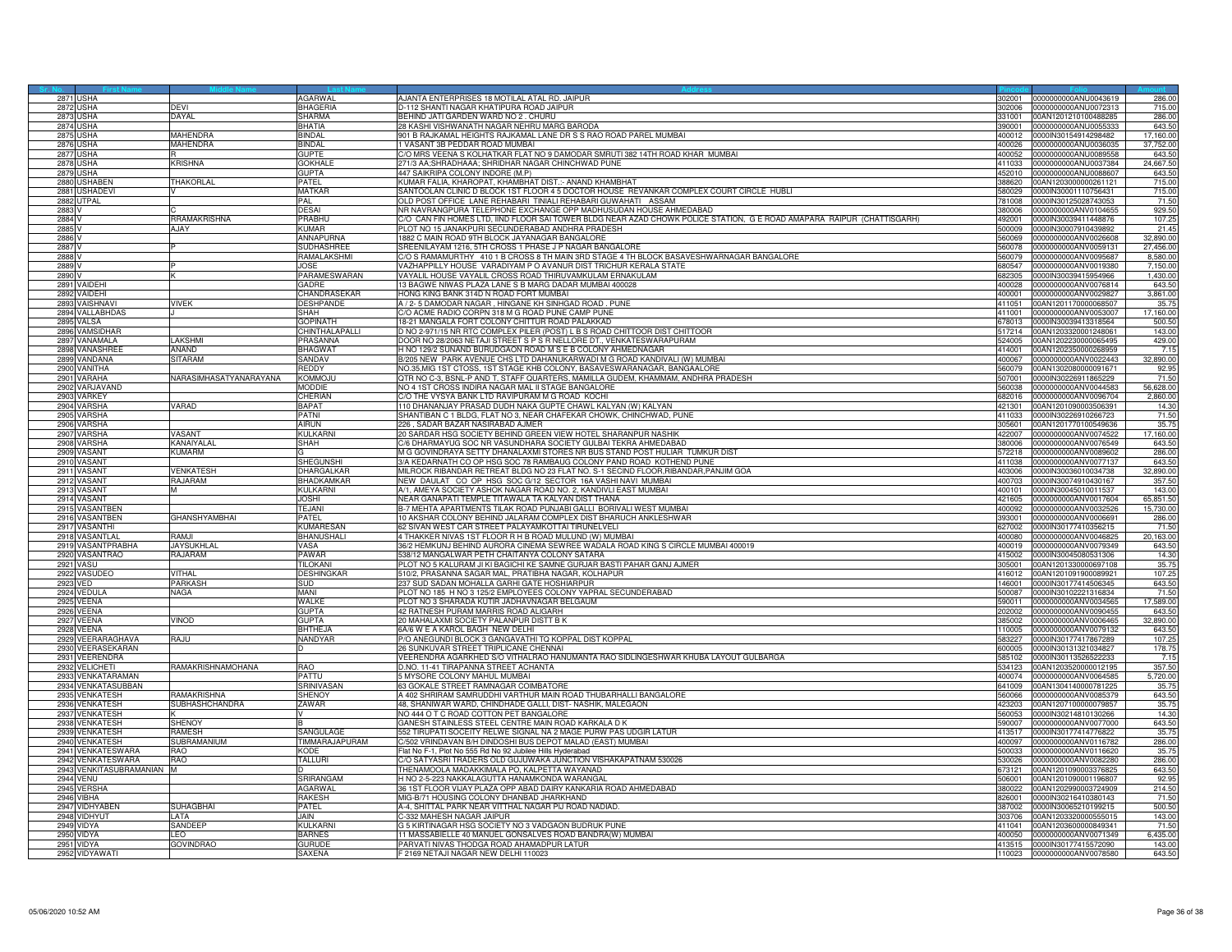| 2871 USHA<br>302001 0000000000ANU0043619<br>2872<br>USHA<br>BHAGERIA<br>0-112 SHANTI NAGAR KHATIPURA ROAD JAIPUR<br>0000000000ANU0072313<br>715.00<br>DFVI<br>02006<br><b>2873 USHA</b><br>DAYAL<br>SHARMA<br>BEHIND JATI GARDEN WARD NO 2 . CHURU<br>331001<br>00AN1201210100488285<br>286.00<br>BHATIA<br>28 KASHI VISHWANATH NAGAR NEHRU MARG BARODA<br>643.50<br>2874<br><b>JSHA</b><br>0000000000ANU0055333<br>390001<br>287<br><b>AAHENDRA</b><br><b>BINDAL</b><br>901 B RAJKAMAL HEIGHTS RAJKAMAL LANE DR S S RAO ROAD PAREL MUMBAI<br>0000lN30154914298482<br>17,160.00<br><b>JSHA</b><br>400012<br>2876 USHA<br>MAHENDRA<br><b>BINDAL</b><br>1 VASANT 3B PEDDAR ROAD MUMBAI<br>0000000000ANU0036035<br>37,752.00<br>400026<br>JSHA<br><b>GUPTE</b><br>C/O MRS VEENA S KOLHATKAR FLAT NO 9 DAMODAR SMRUTI 382 14TH ROAD KHAR MUMBAI<br>643.50<br>287<br>400052<br>0000000000ANU0089558<br><b>KRISHNA</b><br><b>GOKHALE</b><br>271/3 AA;SHRADHAAA; SHRIDHAR NAGAR CHINCHWAD PUNE<br>24,667.50<br>2878<br>USHA<br>411033<br>0000000000ANU0037384<br>GUPTA<br>447 SAIKRIPA COLONY INDORE (M.P)<br>643.50<br>2879<br><b>ISHA</b><br>452010<br>0000000000ANU0088607<br>KUMAR FALIA, KHAROPAT, KHAMBHAT DIST.: ANAND KHAMBHAT<br>2880<br><b>JSHABEN</b><br>THAKORLAL<br>PATEL<br>00AN1203000000261121<br>715.00<br>388620<br>2881 USHADEVI<br><b>MATKAR</b><br>SANTOOLAN CLINIC D BLOCK 1ST FLOOR 4 5 DOCTOR HOUSE REVANKAR COMPLEX COURT CIRCLE HUBLI<br>715.00<br>580029 0000IN30001110756431<br><b>JTPAL</b><br>PAL<br>OLD POST OFFICE LANE REHABARI TINIALI REHABARI GUWAHATI ASSAM<br>71.50<br>2882<br>81008<br>0000IN30125028743053<br>VR NAVRANGPURA TELEPHONE EXCHANGE OPP MADHUSUDAN HOUSE AHMEDABAD<br>929.50<br>2883<br>DESAI<br>380006<br>0000000000ANV0104655<br>RRAMAKRISHNA<br>O CAN FIN HOMES LTD, IIND FLOOR SAI TOWER BLDG NEAR AZAD CHOWK POLICE STATION, G E ROAD AMAPARA RAIPUR (CHATTISGARH)<br>2884<br>PRABHL<br>92001<br>0000IN30039411448876<br>107.25<br>2885<br>AJAY<br>KUMAR<br>PLOT NO 15 JANAKPURI SECUNDERABAD ANDHRA PRADESH<br>500009<br>0000IN30007910439892<br>21.45<br>2886<br>ANNAPURNA<br>1882 C MAIN ROAD 9TH BLOCK JAYANAGAR BANGALORE<br>0000000000ANV0026608<br>32,890.00<br>560069<br>2887V<br><b>SUDHASHREE</b><br>SREENILAYAM 1216, 5TH CROSS 1 PHASE J P NAGAR BANGALORE<br>560078<br>0000000000ANV0059131<br>27,456.00<br>RAMALAKSHMI<br>C/O S RAMAMURTHY 410 1 B CROSS 8 TH MAIN 3RD STAGE 4 TH BLOCK BASAVESHWARNAGAR BANGALORE<br>8,580.00<br>2888 \<br>560079<br>0000000000ANV0095687<br>2889<br><b>JOSE</b><br>VAZHAPPILLY HOUSE VARADIYAM P O AVANUR DIST TRICHUR KERALA STATE<br>80547<br>0000000000ANV0019380<br>7,150.00<br>2890<br>PARAMESWARAN<br>VAYALIL HOUSE VAYALIL CROSS ROAD THIRUVAMKULAM ERNAKULAM<br>682305<br>0000IN30039415954966<br>1,430.00<br>2891 VAIDEHI<br><b>GADRE</b><br>13 BAGWE NIWAS PLAZA LANE S B MARG DADAR MUMBAI 400028<br>400028 0000000000ANV0076814<br>643.50<br>2892 VAIDEHI<br>CHANDRASEKAR<br>HONG KING BANK 314D N ROAD FORT MUMBAI<br>400001<br>0000000000ANV0029827<br>3,861.00<br><b>VAISHNAVI</b><br><b>DESHPANDE</b><br>A / 2- 5 DAMODAR NAGAR, HINGANE KH SINHGAD ROAD. PUNE<br>2893<br>VIVEK<br>411051<br>00AN1201170000068507<br>35.75<br>/O ACME RADIO CORPN 318 M G ROAD PUNE CAMP PUNE<br>17,160.00<br>2894<br><b>ALLABHDAS</b><br>SHAH<br>.11001<br>0000000000ANV0053007<br><b>GOPINATH</b><br>18-21 MANGALA FORT COLONY CHITTUR ROAD PALAKKAD<br>2895<br>VALSA<br>678013<br>0000IN30039413318564<br>500.50<br>2896<br>VAMSIDHAF<br>CHINTHALAPALL<br>D NO 2-971/15 NR RTC COMPLEX PILER (POST) L B S ROAD CHITTOOR DIST CHITTOOR<br>517214<br>00AN1203320001248061<br>143.00<br>2897 VANAMALA<br><b>AKSHMI</b><br>PRASANNA<br>DOOR NO 28/2063 NETAJI STREET S P S R NELLORE DT., VENKATESWARAPURAM<br>00AN1202230000065495<br>429.00<br>524005<br>2898 VANASHREE<br>BHAGWAT<br>H NO 129/2 SUNAND BURUDGAON ROAD M S E B COLONY AHMEDNAGAR<br>7.15<br>ANAND<br>414001<br>00AN1202350000268959<br>3/205 NEW PARK AVENUE CHS LTD DAHANUKARWADI M G ROAD KANDIVALI (W) MUMBAI<br>289<br><b>/ANDANA</b><br><b>ITARAM</b><br>SANDAV<br>400067<br>0000000000ANV0022443<br>32,890.00<br>290<br>REDDY<br>NO.35,MIG 1ST CTOSS, 1ST STAGE KHB COLONY, BASAVESWARANAGAR, BANGAALORE<br>92.95<br>VANITHA<br>560079<br>00AN1302080000091671<br>VARASIMHASATYANARAYANA<br>QTR NO C-3, BSNL-P AND T, STAFF QUARTERS, MAMILLA GUDEM, KHAMMAM, ANDHRA PRADESH<br>71.50<br>2901<br>VARAHA<br>KOMMOJI<br>507001<br>0000IN30226911865229<br>2902 VARJAVAND<br>MODDIE<br>NO 4 1ST CROSS INDIRA NAGAR MAL II STAGE BANGALORE<br>560038<br>000000000ANV0044583<br>56,628.00<br>2903<br>VARKEY<br>CHERIAN<br>C/O THE VYSYA BANK LTD RAVIPURAM M G ROAD KOCHI<br>2,860.00<br>0000000000ANV0096704<br>682016<br>VARSHA<br>VARAD<br>BAPAT<br>110 DHANANJAY PRASAD DUDH NAKA GUPTE CHAWL KALYAN (W) KALYAN<br>290<br>421301<br>00AN1201090003506391<br>14.30<br><b>VARSHA</b><br><b>PATNI</b><br>SHANTIBAN C 1 BLDG, FLAT NO 3, NEAR CHAFEKAR CHOWK, CHINCHWAD, PUNE<br>2905<br>71.50<br>411033<br>0000IN30226910266723<br>/ARSHA<br>226, SADAR BAZAR NASIRABAD AJMER<br>35.75<br>290 <sub>f</sub><br>AIRUN<br>305601<br>00AN1201770100549636<br>20 SARDAR HSG SOCIETY BEHIND GREEN VIEW HOTEL SHARANPUR NASHIK<br>2907<br><b>VARSHA</b><br>VASANT<br>KULKARN<br>422007<br>0000000000ANV0074522<br>17,160.00<br>2908 VARSHA<br><b><i>KANAIYALAL</i></b><br><b>SHAH</b><br>C/6 DHARMAYUG SOC NR VASUNDHARA SOCIETY GUI BAI TEKRA AHMEDABAD<br>380006<br>0000000000ANV0076549<br>643.50<br>VASANT<br><b>KUMARM</b><br>M G GOVINDRAYA SETTY DHANALAXMI STORES NR BUS STAND POST HULIAR TUMKUR DIST<br>290<br>72218<br>0000000000ANV0089602<br>286.00<br>VASANT<br><b>SHEGUNSHI</b><br>3/A KEDARNATH CO OP HSG SOC 78 RAMBAUG COLONY PAND ROAD KOTHEND PUNE<br>0000000000ANV0077137<br>2910<br>643.50<br>411038<br>VASANT<br>VENKATESH<br>DHARGALKAF<br>MILROCK RIBANDAR RETREAT BLDG NO 23 FLAT NO. S-1 SECIND FLOOR, RIBANDAR, PANJIM GOA<br>32,890.00<br>2911<br>403006<br>0000IN30036010034738<br>NEW DAULAT CO OP HSG SOC G/12 SECTOR 16A VASHINAVI MUMBAI<br>357.50<br>2912 VASANT<br>RAJARAM<br>BHADKAMKAF<br>400703<br>0000IN30074910430167<br>VASANT<br><b>KULKARNI</b><br>A/1, AMEYA SOCIETY ASHOK NAGAR ROAD NO, 2, KANDIVLI EAST MUMBAI<br>0000IN30045010011537<br>143.00<br>2913<br>400101<br>VASANT<br>NEAR GANAPATI TEMPLE TITAWALA TA KALYAN DIST THANA<br>0000000000ANV0017604<br>65,851.50<br>291<br>JOSHI<br>421605<br>VASANTBEN<br>B-7 MEHTA APARTMENTS TILAK ROAD PUNJABI GALLI BORIVALI WEST MUMBAI<br>15,730.00<br>2915<br><b>TF.JANI</b><br>400092<br>0000000000ANV0032526<br>VASANTBEN<br><b>GHANSHYAMBHAI</b><br>10 AKSHAR COLONY BEHIND JALARAM COMPLEX DIST BHARUCH ANKLESHWAR<br>2916<br><b>PATEL</b><br>393001<br>0000000000ANV0006691<br>286.00<br>62 SIVAN WEST CAR STREET PALAYAMKOTTAI TIRUNELVELI<br>KUMARESAN<br>71.50<br>2917 VASANTHI<br>627002<br>0000IN30177410356215<br>2918<br>'ASANTLAL<br>H.MAR<br>BHANUSHALI<br>4 THAKKER NIVAS 1ST FLOOR R H B ROAD MULUND (W) MUMBAI<br>400080<br>0000000000ANV0046825<br>20,163.00<br>2919 VASANTPRABHA<br><b>JAYSUKHLAL</b><br>VASA<br>36/2 HEMKUNJ BEHIND AURORA CINEMA SEWREE WADALA ROAD KING S CIRCLE MUMBAI 400019<br>400019<br>0000000000ANV0079349<br>643.50<br>2920 VASANTRAO<br>RAJARAM<br>PAWAR<br>538/12 MANGALWAR PETH CHAITANYA COLONY SATARA<br>14.30<br>415002<br>0000IN30045080531306<br><b>2921 VASU</b><br><b>TILOKANI</b><br>PLOT NO 5 KALURAM JI KI BAGICHI KE SAMNE GURJAR BASTI PAHAR GANJ AJMER<br>305001<br>35.75<br>00AN1201330000697108<br>510/2, PRASANNA SAGAR MAL, PRATIBHA NAGAR, KOLHAPUR<br>107.25<br>VITHAL<br><b>DESHINGKAR</b><br>2922 VASUDEO<br>416012<br>00AN1201091900089921<br>2923<br><b>ARKASH</b><br>37 SUD SADAN MOHALLA GARHI GATE HOSHIARPUR<br>46001<br>0000IN30177414506345<br>643.50<br>/ED<br>SUD<br>2924 VEDULA<br><b>JAGA</b><br>MANI<br>PLOT NO 185 H NO 3 125/2 EMPLOYEES COLONY YAPRAL SECUNDERABAD<br>500087<br>0000lN30102221316834<br>71.50<br>2925 VEENA<br>WALKE<br>PLOT NO 3 SHARADA KUTIR JADHAVNAGAR BELGAUM<br>0000000000ANV0034565<br>17,589.00<br>590011<br>2926 VEENA<br><b>GUPTA</b><br>42 RATNESH PURAM MARRIS ROAD ALIGARH<br>0000000000ANV0090455<br>643.50<br>202002<br>2927 VEENA<br>20 MAHALAXMI SOCIETY PALANPUR DISTT B K<br>32,890.00<br>VINOD<br>GUPTA<br>385002<br>0000000000ANV0006465<br>EENA<br><b>BHTHEJA</b><br>6A/6 W E A KAROL BAGH NEW DELHI<br>10005<br>0000000000ANV0079132<br>643.50<br>2928<br>P/O ANEGUNDI BLOCK 3 GANGAVATHI TQ KOPPAL DIST KOPPAL<br>2929 VEERARAGHAVA<br>ULAR<br>NANDYAR<br>583227<br>0000IN30177417867289<br>107.25<br>2930 VEERASEKARAN<br>26 SUNKUVAR STREET TRIPLICANE CHENNAI<br>178.75<br>c<br>600005 0000IN30131321034827<br>2931 VEERENDRA<br>VEERENDRA AGARKHED S/O VITHALRAO HANUMANTA RAO SIDLINGESHWAR KHUBA LAYOUT GULBARGA<br>585102 0000IN30113526522233<br>7.15<br>RAMAKRISHNAMOHANA<br>D.NO. 11-41 TIRAPANNA STREET ACHANTA<br>357.50<br>2932 VELICHETI<br><b>RAO</b><br>534123<br>00AN1203520000012195<br>2933<br><b>ENKATARAMAN</b><br>PATTU<br>MYSORE COLONY MAHUL MUMBAI<br>00074<br>000000000ANV0064585<br>5,720.00<br>63 GOKALE STREET RAMNAGAR COIMBATORE<br>2934 VENKATASUBBAN<br>35.75<br>SRINIVASAN<br>641009<br>00AN1304140000781225<br>2935 VENKATESH<br>RAMAKRISHNA<br>SHENOY<br>A 402 SHRIRAM SAMRUDDHI VARTHUR MAIN ROAD THUBARHALLI BANGALORE<br>560066<br>0000000000ANV0085379<br>643.50<br>2936 VENKATESH<br>SUBHASHCHANDRA<br>ZAWAR<br>48, SHANIWAR WARD, CHINDHADE GALLI, DIST-NASHIK, MALEGAON<br>423203<br>00AN1207100000079857<br>35.75<br>14.30<br>2937 VENKATESH<br>NO 444 O T C ROAD COTTON PET BANGALORE<br>560053<br>0000IN30214810130266<br>GANESH STAINLESS STEEL CENTRE MAIN ROAD KARKALA D K<br>643.50<br>2938<br><b>/ENKATESH</b><br><b>HENOY</b><br>90007<br>0000000000ANV0077000<br>SANGULAGE<br>35.75<br>2939 VENKATESH<br>RAMESH<br>552 TIRUPATI SOCEITY RELWE SIGNAL NA 2 MAGE PURW PAS UDGIR LATUR<br>413517<br>0000IN30177414776822<br>2940 VENKATESH<br>SUBRAMANIUM<br>TIMMARAJAPURAM<br>C/502 VRINDAVAN B/H DINDOSHI BUS DEPOT MALAD (EAST) MUMBAI<br>286.00<br>400097<br>0000000000ANV0116782<br>2941 VENKATESWARA<br>OAF<br>KODE<br>Flat No F-1, Plot No 555 Rd No 92 Jubilee Hills Hyderabad<br>500033<br>0000000000ANV0116620<br>35.75<br>C/O SATYASRI TRADERS OLD GUJUWAKA JUNCTION VISHAKAPATNAM 530026<br>286.00<br>2942 VENKATESWARA<br><b>RAO</b><br><b>TALLURI</b><br>0000000000ANV0082280<br>530026<br>VENKITASUBRAMANIAN<br>HENAMOOLA MADAKKIMALA PO, KALPETTA WAYANAD<br>643.50<br>2943<br>TM.<br>73121<br>0AN1201090003376825<br><b>2944 VENU</b><br>SRIRANGAM<br>H NO 2-5-223 NAKKALAGUTTA HANAMKONDA WARANGAL<br>92.95<br>506001<br>00AN1201090001196807<br>2945 VERSHA<br><b>AGARWAL</b><br>36 1ST FLOOR VIJAY PLAZA OPP ABAD DAIRY KANKARIA ROAD AHMEDABAD<br>214.50<br>380022<br>00AN1202990003724909<br>2946 VIBHA<br><b>RAKESH</b><br>MIG-B/71 HOUSING COLONY DHANBAD JHARKHAND<br>826001<br>0000IN30216410380143<br>71.50<br>A-4. SHITTAL PARK NEAR VITTHAL NAGAR PIJ ROAD NADIAD.<br>500.50<br>2947 VIDHYABEN<br>SUHAGBHAI<br><b>PATFL</b><br>0000IN30065210199215<br>387002<br>C-332 MAHESH NAGAR JAIPUR<br>2948 VIDHYUT<br>ATA<br>JAIN<br>03706<br>00AN1203320000555015<br>143.00<br>71.50<br>2949 VIDYA<br>G 5 KIRTINAGAR HSG SOCIETY NO 3 VADGAON BUDRUK PUNE<br>SANDEEP<br><b>KIII KARN</b><br>00AN1203600000849341<br>411041<br>11 MASSABIELLE 40 MANUEL GONSALVES ROAD BANDRA(W) MUMBAI<br>2950<br><b>IDYA</b><br>FO.<br><b>BARNES</b><br>400050<br>0000000000ANV0071349<br>6,435.00<br>2951 VIDYA<br><b>GOVINDRAO</b><br>GURUDE<br>PARVATI NIVAS THODGA ROAD AHAMADPUR LATUR<br>413515 0000IN30177415572090<br>143.00<br><b>SAXENA</b><br>F 2169 NETAJI NAGAR NEW DELHI 110023<br>643.50<br>2952 VIDYAWATI<br>110023 0000000000ANV0078580 |  |                |                                               |  |        |
|--------------------------------------------------------------------------------------------------------------------------------------------------------------------------------------------------------------------------------------------------------------------------------------------------------------------------------------------------------------------------------------------------------------------------------------------------------------------------------------------------------------------------------------------------------------------------------------------------------------------------------------------------------------------------------------------------------------------------------------------------------------------------------------------------------------------------------------------------------------------------------------------------------------------------------------------------------------------------------------------------------------------------------------------------------------------------------------------------------------------------------------------------------------------------------------------------------------------------------------------------------------------------------------------------------------------------------------------------------------------------------------------------------------------------------------------------------------------------------------------------------------------------------------------------------------------------------------------------------------------------------------------------------------------------------------------------------------------------------------------------------------------------------------------------------------------------------------------------------------------------------------------------------------------------------------------------------------------------------------------------------------------------------------------------------------------------------------------------------------------------------------------------------------------------------------------------------------------------------------------------------------------------------------------------------------------------------------------------------------------------------------------------------------------------------------------------------------------------------------------------------------------------------------------------------------------------------------------------------------------------------------------------------------------------------------------------------------------------------------------------------------------------------------------------------------------------------------------------------------------------------------------------------------------------------------------------------------------------------------------------------------------------------------------------------------------------------------------------------------------------------------------------------------------------------------------------------------------------------------------------------------------------------------------------------------------------------------------------------------------------------------------------------------------------------------------------------------------------------------------------------------------------------------------------------------------------------------------------------------------------------------------------------------------------------------------------------------------------------------------------------------------------------------------------------------------------------------------------------------------------------------------------------------------------------------------------------------------------------------------------------------------------------------------------------------------------------------------------------------------------------------------------------------------------------------------------------------------------------------------------------------------------------------------------------------------------------------------------------------------------------------------------------------------------------------------------------------------------------------------------------------------------------------------------------------------------------------------------------------------------------------------------------------------------------------------------------------------------------------------------------------------------------------------------------------------------------------------------------------------------------------------------------------------------------------------------------------------------------------------------------------------------------------------------------------------------------------------------------------------------------------------------------------------------------------------------------------------------------------------------------------------------------------------------------------------------------------------------------------------------------------------------------------------------------------------------------------------------------------------------------------------------------------------------------------------------------------------------------------------------------------------------------------------------------------------------------------------------------------------------------------------------------------------------------------------------------------------------------------------------------------------------------------------------------------------------------------------------------------------------------------------------------------------------------------------------------------------------------------------------------------------------------------------------------------------------------------------------------------------------------------------------------------------------------------------------------------------------------------------------------------------------------------------------------------------------------------------------------------------------------------------------------------------------------------------------------------------------------------------------------------------------------------------------------------------------------------------------------------------------------------------------------------------------------------------------------------------------------------------------------------------------------------------------------------------------------------------------------------------------------------------------------------------------------------------------------------------------------------------------------------------------------------------------------------------------------------------------------------------------------------------------------------------------------------------------------------------------------------------------------------------------------------------------------------------------------------------------------------------------------------------------------------------------------------------------------------------------------------------------------------------------------------------------------------------------------------------------------------------------------------------------------------------------------------------------------------------------------------------------------------------------------------------------------------------------------------------------------------------------------------------------------------------------------------------------------------------------------------------------------------------------------------------------------------------------------------------------------------------------------------------------------------------------------------------------------------------------------------------------------------------------------------------------------------------------------------------------------------------------------------------------------------------------------------------------------------------------------------------------------------------------------------------------------------------------------------------------------------------------------------------------------------------------------------------------------------------------------------------------------------------------------------------------------------------------------------------------------------------------------------------------------------------------------------------------------------------------------------------------------------------------------------------------------------------------------------------------------------------------------------------------------------------------------------------------------------------------------------------------------------------------------------------------------------------------------------------------------------------------------------------------------------------------------------------------------------------------------------------------------------------------------------------------------------------------------------------------------------------------------------------------------------------------------------------------------------------------------------------------------------------------------------------------------------------------------------------------------------------------------------------------------------------------------------------------------------------------------------------------------------------------------------------------------------------------------------------------------------------------------------------------------------------------------------------------------------------------------------------------------------------------------------------------------------------------------------------------------------------------------------------------------------------------------------------------------------------------------------------------------------------------------------------------------------------------------------------------------------------------------------------------------------------------------------------------------------------------------------------------------------------------------------------------------------------------------------------------------------------------------------------------------------------------------------------------------------------------------------------------------------------------------------------------------------------------------------------------------------------------------------------------------------------------------------------------------------------------------------------------------------------------------------------------------------------------------------------------------------------------------------------------------------------------------------------------------------------------------------------------------------------------------------------------------------------------------------------------------------------------------------------------------------------------------------------------------------------------------------------------------------------------------------|--|----------------|-----------------------------------------------|--|--------|
|                                                                                                                                                                                                                                                                                                                                                                                                                                                                                                                                                                                                                                                                                                                                                                                                                                                                                                                                                                                                                                                                                                                                                                                                                                                                                                                                                                                                                                                                                                                                                                                                                                                                                                                                                                                                                                                                                                                                                                                                                                                                                                                                                                                                                                                                                                                                                                                                                                                                                                                                                                                                                                                                                                                                                                                                                                                                                                                                                                                                                                                                                                                                                                                                                                                                                                                                                                                                                                                                                                                                                                                                                                                                                                                                                                                                                                                                                                                                                                                                                                                                                                                                                                                                                                                                                                                                                                                                                                                                                                                                                                                                                                                                                                                                                                                                                                                                                                                                                                                                                                                                                                                                                                                                                                                                                                                                                                                                                                                                                                                                                                                                                                                                                                                                                                                                                                                                                                                                                                                                                                                                                                                                                                                                                                                                                                                                                                                                                                                                                                                                                                                                                                                                                                                                                                                                                                                                                                                                                                                                                                                                                                                                                                                                                                                                                                                                                                                                                                                                                                                                                                                                                                                                                                                                                                                                                                                                                                                                                                                                                                                                                                                                                                                                                                                                                                                                                                                                                                                                                                                                                                                                                                                                                                                                                                                                                                                                                                                                                                                                                                                                                                                                                                                                                                                                                                                                                                                                                                                                                                                                                                                                                                                                                                                                                                                                                                                                                                                                                                                                                                                                                                                                                                                                                                                                                                                                                                                                                                                                                                                                                                                                                                                                                                                                                                                                                                                                                                                                                                                                                                                                                                                                                                                                                                                                                                                                                                                                                                                                                                                                                                                                                                                                                                                                                                                                                                                                                                              |  | <b>AGARWAL</b> | AJANTA ENTERPRISES 18 MOTILAL ATAL RD. JAIPUR |  | 286.00 |
|                                                                                                                                                                                                                                                                                                                                                                                                                                                                                                                                                                                                                                                                                                                                                                                                                                                                                                                                                                                                                                                                                                                                                                                                                                                                                                                                                                                                                                                                                                                                                                                                                                                                                                                                                                                                                                                                                                                                                                                                                                                                                                                                                                                                                                                                                                                                                                                                                                                                                                                                                                                                                                                                                                                                                                                                                                                                                                                                                                                                                                                                                                                                                                                                                                                                                                                                                                                                                                                                                                                                                                                                                                                                                                                                                                                                                                                                                                                                                                                                                                                                                                                                                                                                                                                                                                                                                                                                                                                                                                                                                                                                                                                                                                                                                                                                                                                                                                                                                                                                                                                                                                                                                                                                                                                                                                                                                                                                                                                                                                                                                                                                                                                                                                                                                                                                                                                                                                                                                                                                                                                                                                                                                                                                                                                                                                                                                                                                                                                                                                                                                                                                                                                                                                                                                                                                                                                                                                                                                                                                                                                                                                                                                                                                                                                                                                                                                                                                                                                                                                                                                                                                                                                                                                                                                                                                                                                                                                                                                                                                                                                                                                                                                                                                                                                                                                                                                                                                                                                                                                                                                                                                                                                                                                                                                                                                                                                                                                                                                                                                                                                                                                                                                                                                                                                                                                                                                                                                                                                                                                                                                                                                                                                                                                                                                                                                                                                                                                                                                                                                                                                                                                                                                                                                                                                                                                                                                                                                                                                                                                                                                                                                                                                                                                                                                                                                                                                                                                                                                                                                                                                                                                                                                                                                                                                                                                                                                                                                                                                                                                                                                                                                                                                                                                                                                                                                                                                                                                              |  |                |                                               |  |        |
|                                                                                                                                                                                                                                                                                                                                                                                                                                                                                                                                                                                                                                                                                                                                                                                                                                                                                                                                                                                                                                                                                                                                                                                                                                                                                                                                                                                                                                                                                                                                                                                                                                                                                                                                                                                                                                                                                                                                                                                                                                                                                                                                                                                                                                                                                                                                                                                                                                                                                                                                                                                                                                                                                                                                                                                                                                                                                                                                                                                                                                                                                                                                                                                                                                                                                                                                                                                                                                                                                                                                                                                                                                                                                                                                                                                                                                                                                                                                                                                                                                                                                                                                                                                                                                                                                                                                                                                                                                                                                                                                                                                                                                                                                                                                                                                                                                                                                                                                                                                                                                                                                                                                                                                                                                                                                                                                                                                                                                                                                                                                                                                                                                                                                                                                                                                                                                                                                                                                                                                                                                                                                                                                                                                                                                                                                                                                                                                                                                                                                                                                                                                                                                                                                                                                                                                                                                                                                                                                                                                                                                                                                                                                                                                                                                                                                                                                                                                                                                                                                                                                                                                                                                                                                                                                                                                                                                                                                                                                                                                                                                                                                                                                                                                                                                                                                                                                                                                                                                                                                                                                                                                                                                                                                                                                                                                                                                                                                                                                                                                                                                                                                                                                                                                                                                                                                                                                                                                                                                                                                                                                                                                                                                                                                                                                                                                                                                                                                                                                                                                                                                                                                                                                                                                                                                                                                                                                                                                                                                                                                                                                                                                                                                                                                                                                                                                                                                                                                                                                                                                                                                                                                                                                                                                                                                                                                                                                                                                                                                                                                                                                                                                                                                                                                                                                                                                                                                                                                                              |  |                |                                               |  |        |
|                                                                                                                                                                                                                                                                                                                                                                                                                                                                                                                                                                                                                                                                                                                                                                                                                                                                                                                                                                                                                                                                                                                                                                                                                                                                                                                                                                                                                                                                                                                                                                                                                                                                                                                                                                                                                                                                                                                                                                                                                                                                                                                                                                                                                                                                                                                                                                                                                                                                                                                                                                                                                                                                                                                                                                                                                                                                                                                                                                                                                                                                                                                                                                                                                                                                                                                                                                                                                                                                                                                                                                                                                                                                                                                                                                                                                                                                                                                                                                                                                                                                                                                                                                                                                                                                                                                                                                                                                                                                                                                                                                                                                                                                                                                                                                                                                                                                                                                                                                                                                                                                                                                                                                                                                                                                                                                                                                                                                                                                                                                                                                                                                                                                                                                                                                                                                                                                                                                                                                                                                                                                                                                                                                                                                                                                                                                                                                                                                                                                                                                                                                                                                                                                                                                                                                                                                                                                                                                                                                                                                                                                                                                                                                                                                                                                                                                                                                                                                                                                                                                                                                                                                                                                                                                                                                                                                                                                                                                                                                                                                                                                                                                                                                                                                                                                                                                                                                                                                                                                                                                                                                                                                                                                                                                                                                                                                                                                                                                                                                                                                                                                                                                                                                                                                                                                                                                                                                                                                                                                                                                                                                                                                                                                                                                                                                                                                                                                                                                                                                                                                                                                                                                                                                                                                                                                                                                                                                                                                                                                                                                                                                                                                                                                                                                                                                                                                                                                                                                                                                                                                                                                                                                                                                                                                                                                                                                                                                                                                                                                                                                                                                                                                                                                                                                                                                                                                                                                                                              |  |                |                                               |  |        |
|                                                                                                                                                                                                                                                                                                                                                                                                                                                                                                                                                                                                                                                                                                                                                                                                                                                                                                                                                                                                                                                                                                                                                                                                                                                                                                                                                                                                                                                                                                                                                                                                                                                                                                                                                                                                                                                                                                                                                                                                                                                                                                                                                                                                                                                                                                                                                                                                                                                                                                                                                                                                                                                                                                                                                                                                                                                                                                                                                                                                                                                                                                                                                                                                                                                                                                                                                                                                                                                                                                                                                                                                                                                                                                                                                                                                                                                                                                                                                                                                                                                                                                                                                                                                                                                                                                                                                                                                                                                                                                                                                                                                                                                                                                                                                                                                                                                                                                                                                                                                                                                                                                                                                                                                                                                                                                                                                                                                                                                                                                                                                                                                                                                                                                                                                                                                                                                                                                                                                                                                                                                                                                                                                                                                                                                                                                                                                                                                                                                                                                                                                                                                                                                                                                                                                                                                                                                                                                                                                                                                                                                                                                                                                                                                                                                                                                                                                                                                                                                                                                                                                                                                                                                                                                                                                                                                                                                                                                                                                                                                                                                                                                                                                                                                                                                                                                                                                                                                                                                                                                                                                                                                                                                                                                                                                                                                                                                                                                                                                                                                                                                                                                                                                                                                                                                                                                                                                                                                                                                                                                                                                                                                                                                                                                                                                                                                                                                                                                                                                                                                                                                                                                                                                                                                                                                                                                                                                                                                                                                                                                                                                                                                                                                                                                                                                                                                                                                                                                                                                                                                                                                                                                                                                                                                                                                                                                                                                                                                                                                                                                                                                                                                                                                                                                                                                                                                                                                                                                              |  |                |                                               |  |        |
|                                                                                                                                                                                                                                                                                                                                                                                                                                                                                                                                                                                                                                                                                                                                                                                                                                                                                                                                                                                                                                                                                                                                                                                                                                                                                                                                                                                                                                                                                                                                                                                                                                                                                                                                                                                                                                                                                                                                                                                                                                                                                                                                                                                                                                                                                                                                                                                                                                                                                                                                                                                                                                                                                                                                                                                                                                                                                                                                                                                                                                                                                                                                                                                                                                                                                                                                                                                                                                                                                                                                                                                                                                                                                                                                                                                                                                                                                                                                                                                                                                                                                                                                                                                                                                                                                                                                                                                                                                                                                                                                                                                                                                                                                                                                                                                                                                                                                                                                                                                                                                                                                                                                                                                                                                                                                                                                                                                                                                                                                                                                                                                                                                                                                                                                                                                                                                                                                                                                                                                                                                                                                                                                                                                                                                                                                                                                                                                                                                                                                                                                                                                                                                                                                                                                                                                                                                                                                                                                                                                                                                                                                                                                                                                                                                                                                                                                                                                                                                                                                                                                                                                                                                                                                                                                                                                                                                                                                                                                                                                                                                                                                                                                                                                                                                                                                                                                                                                                                                                                                                                                                                                                                                                                                                                                                                                                                                                                                                                                                                                                                                                                                                                                                                                                                                                                                                                                                                                                                                                                                                                                                                                                                                                                                                                                                                                                                                                                                                                                                                                                                                                                                                                                                                                                                                                                                                                                                                                                                                                                                                                                                                                                                                                                                                                                                                                                                                                                                                                                                                                                                                                                                                                                                                                                                                                                                                                                                                                                                                                                                                                                                                                                                                                                                                                                                                                                                                                                                                              |  |                |                                               |  |        |
|                                                                                                                                                                                                                                                                                                                                                                                                                                                                                                                                                                                                                                                                                                                                                                                                                                                                                                                                                                                                                                                                                                                                                                                                                                                                                                                                                                                                                                                                                                                                                                                                                                                                                                                                                                                                                                                                                                                                                                                                                                                                                                                                                                                                                                                                                                                                                                                                                                                                                                                                                                                                                                                                                                                                                                                                                                                                                                                                                                                                                                                                                                                                                                                                                                                                                                                                                                                                                                                                                                                                                                                                                                                                                                                                                                                                                                                                                                                                                                                                                                                                                                                                                                                                                                                                                                                                                                                                                                                                                                                                                                                                                                                                                                                                                                                                                                                                                                                                                                                                                                                                                                                                                                                                                                                                                                                                                                                                                                                                                                                                                                                                                                                                                                                                                                                                                                                                                                                                                                                                                                                                                                                                                                                                                                                                                                                                                                                                                                                                                                                                                                                                                                                                                                                                                                                                                                                                                                                                                                                                                                                                                                                                                                                                                                                                                                                                                                                                                                                                                                                                                                                                                                                                                                                                                                                                                                                                                                                                                                                                                                                                                                                                                                                                                                                                                                                                                                                                                                                                                                                                                                                                                                                                                                                                                                                                                                                                                                                                                                                                                                                                                                                                                                                                                                                                                                                                                                                                                                                                                                                                                                                                                                                                                                                                                                                                                                                                                                                                                                                                                                                                                                                                                                                                                                                                                                                                                                                                                                                                                                                                                                                                                                                                                                                                                                                                                                                                                                                                                                                                                                                                                                                                                                                                                                                                                                                                                                                                                                                                                                                                                                                                                                                                                                                                                                                                                                                                                                              |  |                |                                               |  |        |
|                                                                                                                                                                                                                                                                                                                                                                                                                                                                                                                                                                                                                                                                                                                                                                                                                                                                                                                                                                                                                                                                                                                                                                                                                                                                                                                                                                                                                                                                                                                                                                                                                                                                                                                                                                                                                                                                                                                                                                                                                                                                                                                                                                                                                                                                                                                                                                                                                                                                                                                                                                                                                                                                                                                                                                                                                                                                                                                                                                                                                                                                                                                                                                                                                                                                                                                                                                                                                                                                                                                                                                                                                                                                                                                                                                                                                                                                                                                                                                                                                                                                                                                                                                                                                                                                                                                                                                                                                                                                                                                                                                                                                                                                                                                                                                                                                                                                                                                                                                                                                                                                                                                                                                                                                                                                                                                                                                                                                                                                                                                                                                                                                                                                                                                                                                                                                                                                                                                                                                                                                                                                                                                                                                                                                                                                                                                                                                                                                                                                                                                                                                                                                                                                                                                                                                                                                                                                                                                                                                                                                                                                                                                                                                                                                                                                                                                                                                                                                                                                                                                                                                                                                                                                                                                                                                                                                                                                                                                                                                                                                                                                                                                                                                                                                                                                                                                                                                                                                                                                                                                                                                                                                                                                                                                                                                                                                                                                                                                                                                                                                                                                                                                                                                                                                                                                                                                                                                                                                                                                                                                                                                                                                                                                                                                                                                                                                                                                                                                                                                                                                                                                                                                                                                                                                                                                                                                                                                                                                                                                                                                                                                                                                                                                                                                                                                                                                                                                                                                                                                                                                                                                                                                                                                                                                                                                                                                                                                                                                                                                                                                                                                                                                                                                                                                                                                                                                                                                                                              |  |                |                                               |  |        |
|                                                                                                                                                                                                                                                                                                                                                                                                                                                                                                                                                                                                                                                                                                                                                                                                                                                                                                                                                                                                                                                                                                                                                                                                                                                                                                                                                                                                                                                                                                                                                                                                                                                                                                                                                                                                                                                                                                                                                                                                                                                                                                                                                                                                                                                                                                                                                                                                                                                                                                                                                                                                                                                                                                                                                                                                                                                                                                                                                                                                                                                                                                                                                                                                                                                                                                                                                                                                                                                                                                                                                                                                                                                                                                                                                                                                                                                                                                                                                                                                                                                                                                                                                                                                                                                                                                                                                                                                                                                                                                                                                                                                                                                                                                                                                                                                                                                                                                                                                                                                                                                                                                                                                                                                                                                                                                                                                                                                                                                                                                                                                                                                                                                                                                                                                                                                                                                                                                                                                                                                                                                                                                                                                                                                                                                                                                                                                                                                                                                                                                                                                                                                                                                                                                                                                                                                                                                                                                                                                                                                                                                                                                                                                                                                                                                                                                                                                                                                                                                                                                                                                                                                                                                                                                                                                                                                                                                                                                                                                                                                                                                                                                                                                                                                                                                                                                                                                                                                                                                                                                                                                                                                                                                                                                                                                                                                                                                                                                                                                                                                                                                                                                                                                                                                                                                                                                                                                                                                                                                                                                                                                                                                                                                                                                                                                                                                                                                                                                                                                                                                                                                                                                                                                                                                                                                                                                                                                                                                                                                                                                                                                                                                                                                                                                                                                                                                                                                                                                                                                                                                                                                                                                                                                                                                                                                                                                                                                                                                                                                                                                                                                                                                                                                                                                                                                                                                                                                                                                              |  |                |                                               |  |        |
|                                                                                                                                                                                                                                                                                                                                                                                                                                                                                                                                                                                                                                                                                                                                                                                                                                                                                                                                                                                                                                                                                                                                                                                                                                                                                                                                                                                                                                                                                                                                                                                                                                                                                                                                                                                                                                                                                                                                                                                                                                                                                                                                                                                                                                                                                                                                                                                                                                                                                                                                                                                                                                                                                                                                                                                                                                                                                                                                                                                                                                                                                                                                                                                                                                                                                                                                                                                                                                                                                                                                                                                                                                                                                                                                                                                                                                                                                                                                                                                                                                                                                                                                                                                                                                                                                                                                                                                                                                                                                                                                                                                                                                                                                                                                                                                                                                                                                                                                                                                                                                                                                                                                                                                                                                                                                                                                                                                                                                                                                                                                                                                                                                                                                                                                                                                                                                                                                                                                                                                                                                                                                                                                                                                                                                                                                                                                                                                                                                                                                                                                                                                                                                                                                                                                                                                                                                                                                                                                                                                                                                                                                                                                                                                                                                                                                                                                                                                                                                                                                                                                                                                                                                                                                                                                                                                                                                                                                                                                                                                                                                                                                                                                                                                                                                                                                                                                                                                                                                                                                                                                                                                                                                                                                                                                                                                                                                                                                                                                                                                                                                                                                                                                                                                                                                                                                                                                                                                                                                                                                                                                                                                                                                                                                                                                                                                                                                                                                                                                                                                                                                                                                                                                                                                                                                                                                                                                                                                                                                                                                                                                                                                                                                                                                                                                                                                                                                                                                                                                                                                                                                                                                                                                                                                                                                                                                                                                                                                                                                                                                                                                                                                                                                                                                                                                                                                                                                                                                                              |  |                |                                               |  |        |
|                                                                                                                                                                                                                                                                                                                                                                                                                                                                                                                                                                                                                                                                                                                                                                                                                                                                                                                                                                                                                                                                                                                                                                                                                                                                                                                                                                                                                                                                                                                                                                                                                                                                                                                                                                                                                                                                                                                                                                                                                                                                                                                                                                                                                                                                                                                                                                                                                                                                                                                                                                                                                                                                                                                                                                                                                                                                                                                                                                                                                                                                                                                                                                                                                                                                                                                                                                                                                                                                                                                                                                                                                                                                                                                                                                                                                                                                                                                                                                                                                                                                                                                                                                                                                                                                                                                                                                                                                                                                                                                                                                                                                                                                                                                                                                                                                                                                                                                                                                                                                                                                                                                                                                                                                                                                                                                                                                                                                                                                                                                                                                                                                                                                                                                                                                                                                                                                                                                                                                                                                                                                                                                                                                                                                                                                                                                                                                                                                                                                                                                                                                                                                                                                                                                                                                                                                                                                                                                                                                                                                                                                                                                                                                                                                                                                                                                                                                                                                                                                                                                                                                                                                                                                                                                                                                                                                                                                                                                                                                                                                                                                                                                                                                                                                                                                                                                                                                                                                                                                                                                                                                                                                                                                                                                                                                                                                                                                                                                                                                                                                                                                                                                                                                                                                                                                                                                                                                                                                                                                                                                                                                                                                                                                                                                                                                                                                                                                                                                                                                                                                                                                                                                                                                                                                                                                                                                                                                                                                                                                                                                                                                                                                                                                                                                                                                                                                                                                                                                                                                                                                                                                                                                                                                                                                                                                                                                                                                                                                                                                                                                                                                                                                                                                                                                                                                                                                                                                                                              |  |                |                                               |  |        |
|                                                                                                                                                                                                                                                                                                                                                                                                                                                                                                                                                                                                                                                                                                                                                                                                                                                                                                                                                                                                                                                                                                                                                                                                                                                                                                                                                                                                                                                                                                                                                                                                                                                                                                                                                                                                                                                                                                                                                                                                                                                                                                                                                                                                                                                                                                                                                                                                                                                                                                                                                                                                                                                                                                                                                                                                                                                                                                                                                                                                                                                                                                                                                                                                                                                                                                                                                                                                                                                                                                                                                                                                                                                                                                                                                                                                                                                                                                                                                                                                                                                                                                                                                                                                                                                                                                                                                                                                                                                                                                                                                                                                                                                                                                                                                                                                                                                                                                                                                                                                                                                                                                                                                                                                                                                                                                                                                                                                                                                                                                                                                                                                                                                                                                                                                                                                                                                                                                                                                                                                                                                                                                                                                                                                                                                                                                                                                                                                                                                                                                                                                                                                                                                                                                                                                                                                                                                                                                                                                                                                                                                                                                                                                                                                                                                                                                                                                                                                                                                                                                                                                                                                                                                                                                                                                                                                                                                                                                                                                                                                                                                                                                                                                                                                                                                                                                                                                                                                                                                                                                                                                                                                                                                                                                                                                                                                                                                                                                                                                                                                                                                                                                                                                                                                                                                                                                                                                                                                                                                                                                                                                                                                                                                                                                                                                                                                                                                                                                                                                                                                                                                                                                                                                                                                                                                                                                                                                                                                                                                                                                                                                                                                                                                                                                                                                                                                                                                                                                                                                                                                                                                                                                                                                                                                                                                                                                                                                                                                                                                                                                                                                                                                                                                                                                                                                                                                                                                                                                              |  |                |                                               |  |        |
|                                                                                                                                                                                                                                                                                                                                                                                                                                                                                                                                                                                                                                                                                                                                                                                                                                                                                                                                                                                                                                                                                                                                                                                                                                                                                                                                                                                                                                                                                                                                                                                                                                                                                                                                                                                                                                                                                                                                                                                                                                                                                                                                                                                                                                                                                                                                                                                                                                                                                                                                                                                                                                                                                                                                                                                                                                                                                                                                                                                                                                                                                                                                                                                                                                                                                                                                                                                                                                                                                                                                                                                                                                                                                                                                                                                                                                                                                                                                                                                                                                                                                                                                                                                                                                                                                                                                                                                                                                                                                                                                                                                                                                                                                                                                                                                                                                                                                                                                                                                                                                                                                                                                                                                                                                                                                                                                                                                                                                                                                                                                                                                                                                                                                                                                                                                                                                                                                                                                                                                                                                                                                                                                                                                                                                                                                                                                                                                                                                                                                                                                                                                                                                                                                                                                                                                                                                                                                                                                                                                                                                                                                                                                                                                                                                                                                                                                                                                                                                                                                                                                                                                                                                                                                                                                                                                                                                                                                                                                                                                                                                                                                                                                                                                                                                                                                                                                                                                                                                                                                                                                                                                                                                                                                                                                                                                                                                                                                                                                                                                                                                                                                                                                                                                                                                                                                                                                                                                                                                                                                                                                                                                                                                                                                                                                                                                                                                                                                                                                                                                                                                                                                                                                                                                                                                                                                                                                                                                                                                                                                                                                                                                                                                                                                                                                                                                                                                                                                                                                                                                                                                                                                                                                                                                                                                                                                                                                                                                                                                                                                                                                                                                                                                                                                                                                                                                                                                                                                                              |  |                |                                               |  |        |
|                                                                                                                                                                                                                                                                                                                                                                                                                                                                                                                                                                                                                                                                                                                                                                                                                                                                                                                                                                                                                                                                                                                                                                                                                                                                                                                                                                                                                                                                                                                                                                                                                                                                                                                                                                                                                                                                                                                                                                                                                                                                                                                                                                                                                                                                                                                                                                                                                                                                                                                                                                                                                                                                                                                                                                                                                                                                                                                                                                                                                                                                                                                                                                                                                                                                                                                                                                                                                                                                                                                                                                                                                                                                                                                                                                                                                                                                                                                                                                                                                                                                                                                                                                                                                                                                                                                                                                                                                                                                                                                                                                                                                                                                                                                                                                                                                                                                                                                                                                                                                                                                                                                                                                                                                                                                                                                                                                                                                                                                                                                                                                                                                                                                                                                                                                                                                                                                                                                                                                                                                                                                                                                                                                                                                                                                                                                                                                                                                                                                                                                                                                                                                                                                                                                                                                                                                                                                                                                                                                                                                                                                                                                                                                                                                                                                                                                                                                                                                                                                                                                                                                                                                                                                                                                                                                                                                                                                                                                                                                                                                                                                                                                                                                                                                                                                                                                                                                                                                                                                                                                                                                                                                                                                                                                                                                                                                                                                                                                                                                                                                                                                                                                                                                                                                                                                                                                                                                                                                                                                                                                                                                                                                                                                                                                                                                                                                                                                                                                                                                                                                                                                                                                                                                                                                                                                                                                                                                                                                                                                                                                                                                                                                                                                                                                                                                                                                                                                                                                                                                                                                                                                                                                                                                                                                                                                                                                                                                                                                                                                                                                                                                                                                                                                                                                                                                                                                                                                                                              |  |                |                                               |  |        |
|                                                                                                                                                                                                                                                                                                                                                                                                                                                                                                                                                                                                                                                                                                                                                                                                                                                                                                                                                                                                                                                                                                                                                                                                                                                                                                                                                                                                                                                                                                                                                                                                                                                                                                                                                                                                                                                                                                                                                                                                                                                                                                                                                                                                                                                                                                                                                                                                                                                                                                                                                                                                                                                                                                                                                                                                                                                                                                                                                                                                                                                                                                                                                                                                                                                                                                                                                                                                                                                                                                                                                                                                                                                                                                                                                                                                                                                                                                                                                                                                                                                                                                                                                                                                                                                                                                                                                                                                                                                                                                                                                                                                                                                                                                                                                                                                                                                                                                                                                                                                                                                                                                                                                                                                                                                                                                                                                                                                                                                                                                                                                                                                                                                                                                                                                                                                                                                                                                                                                                                                                                                                                                                                                                                                                                                                                                                                                                                                                                                                                                                                                                                                                                                                                                                                                                                                                                                                                                                                                                                                                                                                                                                                                                                                                                                                                                                                                                                                                                                                                                                                                                                                                                                                                                                                                                                                                                                                                                                                                                                                                                                                                                                                                                                                                                                                                                                                                                                                                                                                                                                                                                                                                                                                                                                                                                                                                                                                                                                                                                                                                                                                                                                                                                                                                                                                                                                                                                                                                                                                                                                                                                                                                                                                                                                                                                                                                                                                                                                                                                                                                                                                                                                                                                                                                                                                                                                                                                                                                                                                                                                                                                                                                                                                                                                                                                                                                                                                                                                                                                                                                                                                                                                                                                                                                                                                                                                                                                                                                                                                                                                                                                                                                                                                                                                                                                                                                                                                                                              |  |                |                                               |  |        |
|                                                                                                                                                                                                                                                                                                                                                                                                                                                                                                                                                                                                                                                                                                                                                                                                                                                                                                                                                                                                                                                                                                                                                                                                                                                                                                                                                                                                                                                                                                                                                                                                                                                                                                                                                                                                                                                                                                                                                                                                                                                                                                                                                                                                                                                                                                                                                                                                                                                                                                                                                                                                                                                                                                                                                                                                                                                                                                                                                                                                                                                                                                                                                                                                                                                                                                                                                                                                                                                                                                                                                                                                                                                                                                                                                                                                                                                                                                                                                                                                                                                                                                                                                                                                                                                                                                                                                                                                                                                                                                                                                                                                                                                                                                                                                                                                                                                                                                                                                                                                                                                                                                                                                                                                                                                                                                                                                                                                                                                                                                                                                                                                                                                                                                                                                                                                                                                                                                                                                                                                                                                                                                                                                                                                                                                                                                                                                                                                                                                                                                                                                                                                                                                                                                                                                                                                                                                                                                                                                                                                                                                                                                                                                                                                                                                                                                                                                                                                                                                                                                                                                                                                                                                                                                                                                                                                                                                                                                                                                                                                                                                                                                                                                                                                                                                                                                                                                                                                                                                                                                                                                                                                                                                                                                                                                                                                                                                                                                                                                                                                                                                                                                                                                                                                                                                                                                                                                                                                                                                                                                                                                                                                                                                                                                                                                                                                                                                                                                                                                                                                                                                                                                                                                                                                                                                                                                                                                                                                                                                                                                                                                                                                                                                                                                                                                                                                                                                                                                                                                                                                                                                                                                                                                                                                                                                                                                                                                                                                                                                                                                                                                                                                                                                                                                                                                                                                                                                                                                              |  |                |                                               |  |        |
|                                                                                                                                                                                                                                                                                                                                                                                                                                                                                                                                                                                                                                                                                                                                                                                                                                                                                                                                                                                                                                                                                                                                                                                                                                                                                                                                                                                                                                                                                                                                                                                                                                                                                                                                                                                                                                                                                                                                                                                                                                                                                                                                                                                                                                                                                                                                                                                                                                                                                                                                                                                                                                                                                                                                                                                                                                                                                                                                                                                                                                                                                                                                                                                                                                                                                                                                                                                                                                                                                                                                                                                                                                                                                                                                                                                                                                                                                                                                                                                                                                                                                                                                                                                                                                                                                                                                                                                                                                                                                                                                                                                                                                                                                                                                                                                                                                                                                                                                                                                                                                                                                                                                                                                                                                                                                                                                                                                                                                                                                                                                                                                                                                                                                                                                                                                                                                                                                                                                                                                                                                                                                                                                                                                                                                                                                                                                                                                                                                                                                                                                                                                                                                                                                                                                                                                                                                                                                                                                                                                                                                                                                                                                                                                                                                                                                                                                                                                                                                                                                                                                                                                                                                                                                                                                                                                                                                                                                                                                                                                                                                                                                                                                                                                                                                                                                                                                                                                                                                                                                                                                                                                                                                                                                                                                                                                                                                                                                                                                                                                                                                                                                                                                                                                                                                                                                                                                                                                                                                                                                                                                                                                                                                                                                                                                                                                                                                                                                                                                                                                                                                                                                                                                                                                                                                                                                                                                                                                                                                                                                                                                                                                                                                                                                                                                                                                                                                                                                                                                                                                                                                                                                                                                                                                                                                                                                                                                                                                                                                                                                                                                                                                                                                                                                                                                                                                                                                                                                                              |  |                |                                               |  |        |
|                                                                                                                                                                                                                                                                                                                                                                                                                                                                                                                                                                                                                                                                                                                                                                                                                                                                                                                                                                                                                                                                                                                                                                                                                                                                                                                                                                                                                                                                                                                                                                                                                                                                                                                                                                                                                                                                                                                                                                                                                                                                                                                                                                                                                                                                                                                                                                                                                                                                                                                                                                                                                                                                                                                                                                                                                                                                                                                                                                                                                                                                                                                                                                                                                                                                                                                                                                                                                                                                                                                                                                                                                                                                                                                                                                                                                                                                                                                                                                                                                                                                                                                                                                                                                                                                                                                                                                                                                                                                                                                                                                                                                                                                                                                                                                                                                                                                                                                                                                                                                                                                                                                                                                                                                                                                                                                                                                                                                                                                                                                                                                                                                                                                                                                                                                                                                                                                                                                                                                                                                                                                                                                                                                                                                                                                                                                                                                                                                                                                                                                                                                                                                                                                                                                                                                                                                                                                                                                                                                                                                                                                                                                                                                                                                                                                                                                                                                                                                                                                                                                                                                                                                                                                                                                                                                                                                                                                                                                                                                                                                                                                                                                                                                                                                                                                                                                                                                                                                                                                                                                                                                                                                                                                                                                                                                                                                                                                                                                                                                                                                                                                                                                                                                                                                                                                                                                                                                                                                                                                                                                                                                                                                                                                                                                                                                                                                                                                                                                                                                                                                                                                                                                                                                                                                                                                                                                                                                                                                                                                                                                                                                                                                                                                                                                                                                                                                                                                                                                                                                                                                                                                                                                                                                                                                                                                                                                                                                                                                                                                                                                                                                                                                                                                                                                                                                                                                                                                                                              |  |                |                                               |  |        |
|                                                                                                                                                                                                                                                                                                                                                                                                                                                                                                                                                                                                                                                                                                                                                                                                                                                                                                                                                                                                                                                                                                                                                                                                                                                                                                                                                                                                                                                                                                                                                                                                                                                                                                                                                                                                                                                                                                                                                                                                                                                                                                                                                                                                                                                                                                                                                                                                                                                                                                                                                                                                                                                                                                                                                                                                                                                                                                                                                                                                                                                                                                                                                                                                                                                                                                                                                                                                                                                                                                                                                                                                                                                                                                                                                                                                                                                                                                                                                                                                                                                                                                                                                                                                                                                                                                                                                                                                                                                                                                                                                                                                                                                                                                                                                                                                                                                                                                                                                                                                                                                                                                                                                                                                                                                                                                                                                                                                                                                                                                                                                                                                                                                                                                                                                                                                                                                                                                                                                                                                                                                                                                                                                                                                                                                                                                                                                                                                                                                                                                                                                                                                                                                                                                                                                                                                                                                                                                                                                                                                                                                                                                                                                                                                                                                                                                                                                                                                                                                                                                                                                                                                                                                                                                                                                                                                                                                                                                                                                                                                                                                                                                                                                                                                                                                                                                                                                                                                                                                                                                                                                                                                                                                                                                                                                                                                                                                                                                                                                                                                                                                                                                                                                                                                                                                                                                                                                                                                                                                                                                                                                                                                                                                                                                                                                                                                                                                                                                                                                                                                                                                                                                                                                                                                                                                                                                                                                                                                                                                                                                                                                                                                                                                                                                                                                                                                                                                                                                                                                                                                                                                                                                                                                                                                                                                                                                                                                                                                                                                                                                                                                                                                                                                                                                                                                                                                                                                                                                              |  |                |                                               |  |        |
|                                                                                                                                                                                                                                                                                                                                                                                                                                                                                                                                                                                                                                                                                                                                                                                                                                                                                                                                                                                                                                                                                                                                                                                                                                                                                                                                                                                                                                                                                                                                                                                                                                                                                                                                                                                                                                                                                                                                                                                                                                                                                                                                                                                                                                                                                                                                                                                                                                                                                                                                                                                                                                                                                                                                                                                                                                                                                                                                                                                                                                                                                                                                                                                                                                                                                                                                                                                                                                                                                                                                                                                                                                                                                                                                                                                                                                                                                                                                                                                                                                                                                                                                                                                                                                                                                                                                                                                                                                                                                                                                                                                                                                                                                                                                                                                                                                                                                                                                                                                                                                                                                                                                                                                                                                                                                                                                                                                                                                                                                                                                                                                                                                                                                                                                                                                                                                                                                                                                                                                                                                                                                                                                                                                                                                                                                                                                                                                                                                                                                                                                                                                                                                                                                                                                                                                                                                                                                                                                                                                                                                                                                                                                                                                                                                                                                                                                                                                                                                                                                                                                                                                                                                                                                                                                                                                                                                                                                                                                                                                                                                                                                                                                                                                                                                                                                                                                                                                                                                                                                                                                                                                                                                                                                                                                                                                                                                                                                                                                                                                                                                                                                                                                                                                                                                                                                                                                                                                                                                                                                                                                                                                                                                                                                                                                                                                                                                                                                                                                                                                                                                                                                                                                                                                                                                                                                                                                                                                                                                                                                                                                                                                                                                                                                                                                                                                                                                                                                                                                                                                                                                                                                                                                                                                                                                                                                                                                                                                                                                                                                                                                                                                                                                                                                                                                                                                                                                                                                                              |  |                |                                               |  |        |
|                                                                                                                                                                                                                                                                                                                                                                                                                                                                                                                                                                                                                                                                                                                                                                                                                                                                                                                                                                                                                                                                                                                                                                                                                                                                                                                                                                                                                                                                                                                                                                                                                                                                                                                                                                                                                                                                                                                                                                                                                                                                                                                                                                                                                                                                                                                                                                                                                                                                                                                                                                                                                                                                                                                                                                                                                                                                                                                                                                                                                                                                                                                                                                                                                                                                                                                                                                                                                                                                                                                                                                                                                                                                                                                                                                                                                                                                                                                                                                                                                                                                                                                                                                                                                                                                                                                                                                                                                                                                                                                                                                                                                                                                                                                                                                                                                                                                                                                                                                                                                                                                                                                                                                                                                                                                                                                                                                                                                                                                                                                                                                                                                                                                                                                                                                                                                                                                                                                                                                                                                                                                                                                                                                                                                                                                                                                                                                                                                                                                                                                                                                                                                                                                                                                                                                                                                                                                                                                                                                                                                                                                                                                                                                                                                                                                                                                                                                                                                                                                                                                                                                                                                                                                                                                                                                                                                                                                                                                                                                                                                                                                                                                                                                                                                                                                                                                                                                                                                                                                                                                                                                                                                                                                                                                                                                                                                                                                                                                                                                                                                                                                                                                                                                                                                                                                                                                                                                                                                                                                                                                                                                                                                                                                                                                                                                                                                                                                                                                                                                                                                                                                                                                                                                                                                                                                                                                                                                                                                                                                                                                                                                                                                                                                                                                                                                                                                                                                                                                                                                                                                                                                                                                                                                                                                                                                                                                                                                                                                                                                                                                                                                                                                                                                                                                                                                                                                                                                                                              |  |                |                                               |  |        |
|                                                                                                                                                                                                                                                                                                                                                                                                                                                                                                                                                                                                                                                                                                                                                                                                                                                                                                                                                                                                                                                                                                                                                                                                                                                                                                                                                                                                                                                                                                                                                                                                                                                                                                                                                                                                                                                                                                                                                                                                                                                                                                                                                                                                                                                                                                                                                                                                                                                                                                                                                                                                                                                                                                                                                                                                                                                                                                                                                                                                                                                                                                                                                                                                                                                                                                                                                                                                                                                                                                                                                                                                                                                                                                                                                                                                                                                                                                                                                                                                                                                                                                                                                                                                                                                                                                                                                                                                                                                                                                                                                                                                                                                                                                                                                                                                                                                                                                                                                                                                                                                                                                                                                                                                                                                                                                                                                                                                                                                                                                                                                                                                                                                                                                                                                                                                                                                                                                                                                                                                                                                                                                                                                                                                                                                                                                                                                                                                                                                                                                                                                                                                                                                                                                                                                                                                                                                                                                                                                                                                                                                                                                                                                                                                                                                                                                                                                                                                                                                                                                                                                                                                                                                                                                                                                                                                                                                                                                                                                                                                                                                                                                                                                                                                                                                                                                                                                                                                                                                                                                                                                                                                                                                                                                                                                                                                                                                                                                                                                                                                                                                                                                                                                                                                                                                                                                                                                                                                                                                                                                                                                                                                                                                                                                                                                                                                                                                                                                                                                                                                                                                                                                                                                                                                                                                                                                                                                                                                                                                                                                                                                                                                                                                                                                                                                                                                                                                                                                                                                                                                                                                                                                                                                                                                                                                                                                                                                                                                                                                                                                                                                                                                                                                                                                                                                                                                                                                                                                              |  |                |                                               |  |        |
|                                                                                                                                                                                                                                                                                                                                                                                                                                                                                                                                                                                                                                                                                                                                                                                                                                                                                                                                                                                                                                                                                                                                                                                                                                                                                                                                                                                                                                                                                                                                                                                                                                                                                                                                                                                                                                                                                                                                                                                                                                                                                                                                                                                                                                                                                                                                                                                                                                                                                                                                                                                                                                                                                                                                                                                                                                                                                                                                                                                                                                                                                                                                                                                                                                                                                                                                                                                                                                                                                                                                                                                                                                                                                                                                                                                                                                                                                                                                                                                                                                                                                                                                                                                                                                                                                                                                                                                                                                                                                                                                                                                                                                                                                                                                                                                                                                                                                                                                                                                                                                                                                                                                                                                                                                                                                                                                                                                                                                                                                                                                                                                                                                                                                                                                                                                                                                                                                                                                                                                                                                                                                                                                                                                                                                                                                                                                                                                                                                                                                                                                                                                                                                                                                                                                                                                                                                                                                                                                                                                                                                                                                                                                                                                                                                                                                                                                                                                                                                                                                                                                                                                                                                                                                                                                                                                                                                                                                                                                                                                                                                                                                                                                                                                                                                                                                                                                                                                                                                                                                                                                                                                                                                                                                                                                                                                                                                                                                                                                                                                                                                                                                                                                                                                                                                                                                                                                                                                                                                                                                                                                                                                                                                                                                                                                                                                                                                                                                                                                                                                                                                                                                                                                                                                                                                                                                                                                                                                                                                                                                                                                                                                                                                                                                                                                                                                                                                                                                                                                                                                                                                                                                                                                                                                                                                                                                                                                                                                                                                                                                                                                                                                                                                                                                                                                                                                                                                                                                                              |  |                |                                               |  |        |
|                                                                                                                                                                                                                                                                                                                                                                                                                                                                                                                                                                                                                                                                                                                                                                                                                                                                                                                                                                                                                                                                                                                                                                                                                                                                                                                                                                                                                                                                                                                                                                                                                                                                                                                                                                                                                                                                                                                                                                                                                                                                                                                                                                                                                                                                                                                                                                                                                                                                                                                                                                                                                                                                                                                                                                                                                                                                                                                                                                                                                                                                                                                                                                                                                                                                                                                                                                                                                                                                                                                                                                                                                                                                                                                                                                                                                                                                                                                                                                                                                                                                                                                                                                                                                                                                                                                                                                                                                                                                                                                                                                                                                                                                                                                                                                                                                                                                                                                                                                                                                                                                                                                                                                                                                                                                                                                                                                                                                                                                                                                                                                                                                                                                                                                                                                                                                                                                                                                                                                                                                                                                                                                                                                                                                                                                                                                                                                                                                                                                                                                                                                                                                                                                                                                                                                                                                                                                                                                                                                                                                                                                                                                                                                                                                                                                                                                                                                                                                                                                                                                                                                                                                                                                                                                                                                                                                                                                                                                                                                                                                                                                                                                                                                                                                                                                                                                                                                                                                                                                                                                                                                                                                                                                                                                                                                                                                                                                                                                                                                                                                                                                                                                                                                                                                                                                                                                                                                                                                                                                                                                                                                                                                                                                                                                                                                                                                                                                                                                                                                                                                                                                                                                                                                                                                                                                                                                                                                                                                                                                                                                                                                                                                                                                                                                                                                                                                                                                                                                                                                                                                                                                                                                                                                                                                                                                                                                                                                                                                                                                                                                                                                                                                                                                                                                                                                                                                                                                                                              |  |                |                                               |  |        |
|                                                                                                                                                                                                                                                                                                                                                                                                                                                                                                                                                                                                                                                                                                                                                                                                                                                                                                                                                                                                                                                                                                                                                                                                                                                                                                                                                                                                                                                                                                                                                                                                                                                                                                                                                                                                                                                                                                                                                                                                                                                                                                                                                                                                                                                                                                                                                                                                                                                                                                                                                                                                                                                                                                                                                                                                                                                                                                                                                                                                                                                                                                                                                                                                                                                                                                                                                                                                                                                                                                                                                                                                                                                                                                                                                                                                                                                                                                                                                                                                                                                                                                                                                                                                                                                                                                                                                                                                                                                                                                                                                                                                                                                                                                                                                                                                                                                                                                                                                                                                                                                                                                                                                                                                                                                                                                                                                                                                                                                                                                                                                                                                                                                                                                                                                                                                                                                                                                                                                                                                                                                                                                                                                                                                                                                                                                                                                                                                                                                                                                                                                                                                                                                                                                                                                                                                                                                                                                                                                                                                                                                                                                                                                                                                                                                                                                                                                                                                                                                                                                                                                                                                                                                                                                                                                                                                                                                                                                                                                                                                                                                                                                                                                                                                                                                                                                                                                                                                                                                                                                                                                                                                                                                                                                                                                                                                                                                                                                                                                                                                                                                                                                                                                                                                                                                                                                                                                                                                                                                                                                                                                                                                                                                                                                                                                                                                                                                                                                                                                                                                                                                                                                                                                                                                                                                                                                                                                                                                                                                                                                                                                                                                                                                                                                                                                                                                                                                                                                                                                                                                                                                                                                                                                                                                                                                                                                                                                                                                                                                                                                                                                                                                                                                                                                                                                                                                                                                                                                              |  |                |                                               |  |        |
|                                                                                                                                                                                                                                                                                                                                                                                                                                                                                                                                                                                                                                                                                                                                                                                                                                                                                                                                                                                                                                                                                                                                                                                                                                                                                                                                                                                                                                                                                                                                                                                                                                                                                                                                                                                                                                                                                                                                                                                                                                                                                                                                                                                                                                                                                                                                                                                                                                                                                                                                                                                                                                                                                                                                                                                                                                                                                                                                                                                                                                                                                                                                                                                                                                                                                                                                                                                                                                                                                                                                                                                                                                                                                                                                                                                                                                                                                                                                                                                                                                                                                                                                                                                                                                                                                                                                                                                                                                                                                                                                                                                                                                                                                                                                                                                                                                                                                                                                                                                                                                                                                                                                                                                                                                                                                                                                                                                                                                                                                                                                                                                                                                                                                                                                                                                                                                                                                                                                                                                                                                                                                                                                                                                                                                                                                                                                                                                                                                                                                                                                                                                                                                                                                                                                                                                                                                                                                                                                                                                                                                                                                                                                                                                                                                                                                                                                                                                                                                                                                                                                                                                                                                                                                                                                                                                                                                                                                                                                                                                                                                                                                                                                                                                                                                                                                                                                                                                                                                                                                                                                                                                                                                                                                                                                                                                                                                                                                                                                                                                                                                                                                                                                                                                                                                                                                                                                                                                                                                                                                                                                                                                                                                                                                                                                                                                                                                                                                                                                                                                                                                                                                                                                                                                                                                                                                                                                                                                                                                                                                                                                                                                                                                                                                                                                                                                                                                                                                                                                                                                                                                                                                                                                                                                                                                                                                                                                                                                                                                                                                                                                                                                                                                                                                                                                                                                                                                                                                                              |  |                |                                               |  |        |
|                                                                                                                                                                                                                                                                                                                                                                                                                                                                                                                                                                                                                                                                                                                                                                                                                                                                                                                                                                                                                                                                                                                                                                                                                                                                                                                                                                                                                                                                                                                                                                                                                                                                                                                                                                                                                                                                                                                                                                                                                                                                                                                                                                                                                                                                                                                                                                                                                                                                                                                                                                                                                                                                                                                                                                                                                                                                                                                                                                                                                                                                                                                                                                                                                                                                                                                                                                                                                                                                                                                                                                                                                                                                                                                                                                                                                                                                                                                                                                                                                                                                                                                                                                                                                                                                                                                                                                                                                                                                                                                                                                                                                                                                                                                                                                                                                                                                                                                                                                                                                                                                                                                                                                                                                                                                                                                                                                                                                                                                                                                                                                                                                                                                                                                                                                                                                                                                                                                                                                                                                                                                                                                                                                                                                                                                                                                                                                                                                                                                                                                                                                                                                                                                                                                                                                                                                                                                                                                                                                                                                                                                                                                                                                                                                                                                                                                                                                                                                                                                                                                                                                                                                                                                                                                                                                                                                                                                                                                                                                                                                                                                                                                                                                                                                                                                                                                                                                                                                                                                                                                                                                                                                                                                                                                                                                                                                                                                                                                                                                                                                                                                                                                                                                                                                                                                                                                                                                                                                                                                                                                                                                                                                                                                                                                                                                                                                                                                                                                                                                                                                                                                                                                                                                                                                                                                                                                                                                                                                                                                                                                                                                                                                                                                                                                                                                                                                                                                                                                                                                                                                                                                                                                                                                                                                                                                                                                                                                                                                                                                                                                                                                                                                                                                                                                                                                                                                                                                                                              |  |                |                                               |  |        |
|                                                                                                                                                                                                                                                                                                                                                                                                                                                                                                                                                                                                                                                                                                                                                                                                                                                                                                                                                                                                                                                                                                                                                                                                                                                                                                                                                                                                                                                                                                                                                                                                                                                                                                                                                                                                                                                                                                                                                                                                                                                                                                                                                                                                                                                                                                                                                                                                                                                                                                                                                                                                                                                                                                                                                                                                                                                                                                                                                                                                                                                                                                                                                                                                                                                                                                                                                                                                                                                                                                                                                                                                                                                                                                                                                                                                                                                                                                                                                                                                                                                                                                                                                                                                                                                                                                                                                                                                                                                                                                                                                                                                                                                                                                                                                                                                                                                                                                                                                                                                                                                                                                                                                                                                                                                                                                                                                                                                                                                                                                                                                                                                                                                                                                                                                                                                                                                                                                                                                                                                                                                                                                                                                                                                                                                                                                                                                                                                                                                                                                                                                                                                                                                                                                                                                                                                                                                                                                                                                                                                                                                                                                                                                                                                                                                                                                                                                                                                                                                                                                                                                                                                                                                                                                                                                                                                                                                                                                                                                                                                                                                                                                                                                                                                                                                                                                                                                                                                                                                                                                                                                                                                                                                                                                                                                                                                                                                                                                                                                                                                                                                                                                                                                                                                                                                                                                                                                                                                                                                                                                                                                                                                                                                                                                                                                                                                                                                                                                                                                                                                                                                                                                                                                                                                                                                                                                                                                                                                                                                                                                                                                                                                                                                                                                                                                                                                                                                                                                                                                                                                                                                                                                                                                                                                                                                                                                                                                                                                                                                                                                                                                                                                                                                                                                                                                                                                                                                                                                              |  |                |                                               |  |        |
|                                                                                                                                                                                                                                                                                                                                                                                                                                                                                                                                                                                                                                                                                                                                                                                                                                                                                                                                                                                                                                                                                                                                                                                                                                                                                                                                                                                                                                                                                                                                                                                                                                                                                                                                                                                                                                                                                                                                                                                                                                                                                                                                                                                                                                                                                                                                                                                                                                                                                                                                                                                                                                                                                                                                                                                                                                                                                                                                                                                                                                                                                                                                                                                                                                                                                                                                                                                                                                                                                                                                                                                                                                                                                                                                                                                                                                                                                                                                                                                                                                                                                                                                                                                                                                                                                                                                                                                                                                                                                                                                                                                                                                                                                                                                                                                                                                                                                                                                                                                                                                                                                                                                                                                                                                                                                                                                                                                                                                                                                                                                                                                                                                                                                                                                                                                                                                                                                                                                                                                                                                                                                                                                                                                                                                                                                                                                                                                                                                                                                                                                                                                                                                                                                                                                                                                                                                                                                                                                                                                                                                                                                                                                                                                                                                                                                                                                                                                                                                                                                                                                                                                                                                                                                                                                                                                                                                                                                                                                                                                                                                                                                                                                                                                                                                                                                                                                                                                                                                                                                                                                                                                                                                                                                                                                                                                                                                                                                                                                                                                                                                                                                                                                                                                                                                                                                                                                                                                                                                                                                                                                                                                                                                                                                                                                                                                                                                                                                                                                                                                                                                                                                                                                                                                                                                                                                                                                                                                                                                                                                                                                                                                                                                                                                                                                                                                                                                                                                                                                                                                                                                                                                                                                                                                                                                                                                                                                                                                                                                                                                                                                                                                                                                                                                                                                                                                                                                                                                                              |  |                |                                               |  |        |
|                                                                                                                                                                                                                                                                                                                                                                                                                                                                                                                                                                                                                                                                                                                                                                                                                                                                                                                                                                                                                                                                                                                                                                                                                                                                                                                                                                                                                                                                                                                                                                                                                                                                                                                                                                                                                                                                                                                                                                                                                                                                                                                                                                                                                                                                                                                                                                                                                                                                                                                                                                                                                                                                                                                                                                                                                                                                                                                                                                                                                                                                                                                                                                                                                                                                                                                                                                                                                                                                                                                                                                                                                                                                                                                                                                                                                                                                                                                                                                                                                                                                                                                                                                                                                                                                                                                                                                                                                                                                                                                                                                                                                                                                                                                                                                                                                                                                                                                                                                                                                                                                                                                                                                                                                                                                                                                                                                                                                                                                                                                                                                                                                                                                                                                                                                                                                                                                                                                                                                                                                                                                                                                                                                                                                                                                                                                                                                                                                                                                                                                                                                                                                                                                                                                                                                                                                                                                                                                                                                                                                                                                                                                                                                                                                                                                                                                                                                                                                                                                                                                                                                                                                                                                                                                                                                                                                                                                                                                                                                                                                                                                                                                                                                                                                                                                                                                                                                                                                                                                                                                                                                                                                                                                                                                                                                                                                                                                                                                                                                                                                                                                                                                                                                                                                                                                                                                                                                                                                                                                                                                                                                                                                                                                                                                                                                                                                                                                                                                                                                                                                                                                                                                                                                                                                                                                                                                                                                                                                                                                                                                                                                                                                                                                                                                                                                                                                                                                                                                                                                                                                                                                                                                                                                                                                                                                                                                                                                                                                                                                                                                                                                                                                                                                                                                                                                                                                                                                                                              |  |                |                                               |  |        |
|                                                                                                                                                                                                                                                                                                                                                                                                                                                                                                                                                                                                                                                                                                                                                                                                                                                                                                                                                                                                                                                                                                                                                                                                                                                                                                                                                                                                                                                                                                                                                                                                                                                                                                                                                                                                                                                                                                                                                                                                                                                                                                                                                                                                                                                                                                                                                                                                                                                                                                                                                                                                                                                                                                                                                                                                                                                                                                                                                                                                                                                                                                                                                                                                                                                                                                                                                                                                                                                                                                                                                                                                                                                                                                                                                                                                                                                                                                                                                                                                                                                                                                                                                                                                                                                                                                                                                                                                                                                                                                                                                                                                                                                                                                                                                                                                                                                                                                                                                                                                                                                                                                                                                                                                                                                                                                                                                                                                                                                                                                                                                                                                                                                                                                                                                                                                                                                                                                                                                                                                                                                                                                                                                                                                                                                                                                                                                                                                                                                                                                                                                                                                                                                                                                                                                                                                                                                                                                                                                                                                                                                                                                                                                                                                                                                                                                                                                                                                                                                                                                                                                                                                                                                                                                                                                                                                                                                                                                                                                                                                                                                                                                                                                                                                                                                                                                                                                                                                                                                                                                                                                                                                                                                                                                                                                                                                                                                                                                                                                                                                                                                                                                                                                                                                                                                                                                                                                                                                                                                                                                                                                                                                                                                                                                                                                                                                                                                                                                                                                                                                                                                                                                                                                                                                                                                                                                                                                                                                                                                                                                                                                                                                                                                                                                                                                                                                                                                                                                                                                                                                                                                                                                                                                                                                                                                                                                                                                                                                                                                                                                                                                                                                                                                                                                                                                                                                                                                                                                              |  |                |                                               |  |        |
|                                                                                                                                                                                                                                                                                                                                                                                                                                                                                                                                                                                                                                                                                                                                                                                                                                                                                                                                                                                                                                                                                                                                                                                                                                                                                                                                                                                                                                                                                                                                                                                                                                                                                                                                                                                                                                                                                                                                                                                                                                                                                                                                                                                                                                                                                                                                                                                                                                                                                                                                                                                                                                                                                                                                                                                                                                                                                                                                                                                                                                                                                                                                                                                                                                                                                                                                                                                                                                                                                                                                                                                                                                                                                                                                                                                                                                                                                                                                                                                                                                                                                                                                                                                                                                                                                                                                                                                                                                                                                                                                                                                                                                                                                                                                                                                                                                                                                                                                                                                                                                                                                                                                                                                                                                                                                                                                                                                                                                                                                                                                                                                                                                                                                                                                                                                                                                                                                                                                                                                                                                                                                                                                                                                                                                                                                                                                                                                                                                                                                                                                                                                                                                                                                                                                                                                                                                                                                                                                                                                                                                                                                                                                                                                                                                                                                                                                                                                                                                                                                                                                                                                                                                                                                                                                                                                                                                                                                                                                                                                                                                                                                                                                                                                                                                                                                                                                                                                                                                                                                                                                                                                                                                                                                                                                                                                                                                                                                                                                                                                                                                                                                                                                                                                                                                                                                                                                                                                                                                                                                                                                                                                                                                                                                                                                                                                                                                                                                                                                                                                                                                                                                                                                                                                                                                                                                                                                                                                                                                                                                                                                                                                                                                                                                                                                                                                                                                                                                                                                                                                                                                                                                                                                                                                                                                                                                                                                                                                                                                                                                                                                                                                                                                                                                                                                                                                                                                                                                                              |  |                |                                               |  |        |
|                                                                                                                                                                                                                                                                                                                                                                                                                                                                                                                                                                                                                                                                                                                                                                                                                                                                                                                                                                                                                                                                                                                                                                                                                                                                                                                                                                                                                                                                                                                                                                                                                                                                                                                                                                                                                                                                                                                                                                                                                                                                                                                                                                                                                                                                                                                                                                                                                                                                                                                                                                                                                                                                                                                                                                                                                                                                                                                                                                                                                                                                                                                                                                                                                                                                                                                                                                                                                                                                                                                                                                                                                                                                                                                                                                                                                                                                                                                                                                                                                                                                                                                                                                                                                                                                                                                                                                                                                                                                                                                                                                                                                                                                                                                                                                                                                                                                                                                                                                                                                                                                                                                                                                                                                                                                                                                                                                                                                                                                                                                                                                                                                                                                                                                                                                                                                                                                                                                                                                                                                                                                                                                                                                                                                                                                                                                                                                                                                                                                                                                                                                                                                                                                                                                                                                                                                                                                                                                                                                                                                                                                                                                                                                                                                                                                                                                                                                                                                                                                                                                                                                                                                                                                                                                                                                                                                                                                                                                                                                                                                                                                                                                                                                                                                                                                                                                                                                                                                                                                                                                                                                                                                                                                                                                                                                                                                                                                                                                                                                                                                                                                                                                                                                                                                                                                                                                                                                                                                                                                                                                                                                                                                                                                                                                                                                                                                                                                                                                                                                                                                                                                                                                                                                                                                                                                                                                                                                                                                                                                                                                                                                                                                                                                                                                                                                                                                                                                                                                                                                                                                                                                                                                                                                                                                                                                                                                                                                                                                                                                                                                                                                                                                                                                                                                                                                                                                                                                                                              |  |                |                                               |  |        |
|                                                                                                                                                                                                                                                                                                                                                                                                                                                                                                                                                                                                                                                                                                                                                                                                                                                                                                                                                                                                                                                                                                                                                                                                                                                                                                                                                                                                                                                                                                                                                                                                                                                                                                                                                                                                                                                                                                                                                                                                                                                                                                                                                                                                                                                                                                                                                                                                                                                                                                                                                                                                                                                                                                                                                                                                                                                                                                                                                                                                                                                                                                                                                                                                                                                                                                                                                                                                                                                                                                                                                                                                                                                                                                                                                                                                                                                                                                                                                                                                                                                                                                                                                                                                                                                                                                                                                                                                                                                                                                                                                                                                                                                                                                                                                                                                                                                                                                                                                                                                                                                                                                                                                                                                                                                                                                                                                                                                                                                                                                                                                                                                                                                                                                                                                                                                                                                                                                                                                                                                                                                                                                                                                                                                                                                                                                                                                                                                                                                                                                                                                                                                                                                                                                                                                                                                                                                                                                                                                                                                                                                                                                                                                                                                                                                                                                                                                                                                                                                                                                                                                                                                                                                                                                                                                                                                                                                                                                                                                                                                                                                                                                                                                                                                                                                                                                                                                                                                                                                                                                                                                                                                                                                                                                                                                                                                                                                                                                                                                                                                                                                                                                                                                                                                                                                                                                                                                                                                                                                                                                                                                                                                                                                                                                                                                                                                                                                                                                                                                                                                                                                                                                                                                                                                                                                                                                                                                                                                                                                                                                                                                                                                                                                                                                                                                                                                                                                                                                                                                                                                                                                                                                                                                                                                                                                                                                                                                                                                                                                                                                                                                                                                                                                                                                                                                                                                                                                                                                              |  |                |                                               |  |        |
|                                                                                                                                                                                                                                                                                                                                                                                                                                                                                                                                                                                                                                                                                                                                                                                                                                                                                                                                                                                                                                                                                                                                                                                                                                                                                                                                                                                                                                                                                                                                                                                                                                                                                                                                                                                                                                                                                                                                                                                                                                                                                                                                                                                                                                                                                                                                                                                                                                                                                                                                                                                                                                                                                                                                                                                                                                                                                                                                                                                                                                                                                                                                                                                                                                                                                                                                                                                                                                                                                                                                                                                                                                                                                                                                                                                                                                                                                                                                                                                                                                                                                                                                                                                                                                                                                                                                                                                                                                                                                                                                                                                                                                                                                                                                                                                                                                                                                                                                                                                                                                                                                                                                                                                                                                                                                                                                                                                                                                                                                                                                                                                                                                                                                                                                                                                                                                                                                                                                                                                                                                                                                                                                                                                                                                                                                                                                                                                                                                                                                                                                                                                                                                                                                                                                                                                                                                                                                                                                                                                                                                                                                                                                                                                                                                                                                                                                                                                                                                                                                                                                                                                                                                                                                                                                                                                                                                                                                                                                                                                                                                                                                                                                                                                                                                                                                                                                                                                                                                                                                                                                                                                                                                                                                                                                                                                                                                                                                                                                                                                                                                                                                                                                                                                                                                                                                                                                                                                                                                                                                                                                                                                                                                                                                                                                                                                                                                                                                                                                                                                                                                                                                                                                                                                                                                                                                                                                                                                                                                                                                                                                                                                                                                                                                                                                                                                                                                                                                                                                                                                                                                                                                                                                                                                                                                                                                                                                                                                                                                                                                                                                                                                                                                                                                                                                                                                                                                                                                                              |  |                |                                               |  |        |
|                                                                                                                                                                                                                                                                                                                                                                                                                                                                                                                                                                                                                                                                                                                                                                                                                                                                                                                                                                                                                                                                                                                                                                                                                                                                                                                                                                                                                                                                                                                                                                                                                                                                                                                                                                                                                                                                                                                                                                                                                                                                                                                                                                                                                                                                                                                                                                                                                                                                                                                                                                                                                                                                                                                                                                                                                                                                                                                                                                                                                                                                                                                                                                                                                                                                                                                                                                                                                                                                                                                                                                                                                                                                                                                                                                                                                                                                                                                                                                                                                                                                                                                                                                                                                                                                                                                                                                                                                                                                                                                                                                                                                                                                                                                                                                                                                                                                                                                                                                                                                                                                                                                                                                                                                                                                                                                                                                                                                                                                                                                                                                                                                                                                                                                                                                                                                                                                                                                                                                                                                                                                                                                                                                                                                                                                                                                                                                                                                                                                                                                                                                                                                                                                                                                                                                                                                                                                                                                                                                                                                                                                                                                                                                                                                                                                                                                                                                                                                                                                                                                                                                                                                                                                                                                                                                                                                                                                                                                                                                                                                                                                                                                                                                                                                                                                                                                                                                                                                                                                                                                                                                                                                                                                                                                                                                                                                                                                                                                                                                                                                                                                                                                                                                                                                                                                                                                                                                                                                                                                                                                                                                                                                                                                                                                                                                                                                                                                                                                                                                                                                                                                                                                                                                                                                                                                                                                                                                                                                                                                                                                                                                                                                                                                                                                                                                                                                                                                                                                                                                                                                                                                                                                                                                                                                                                                                                                                                                                                                                                                                                                                                                                                                                                                                                                                                                                                                                                                                                              |  |                |                                               |  |        |
|                                                                                                                                                                                                                                                                                                                                                                                                                                                                                                                                                                                                                                                                                                                                                                                                                                                                                                                                                                                                                                                                                                                                                                                                                                                                                                                                                                                                                                                                                                                                                                                                                                                                                                                                                                                                                                                                                                                                                                                                                                                                                                                                                                                                                                                                                                                                                                                                                                                                                                                                                                                                                                                                                                                                                                                                                                                                                                                                                                                                                                                                                                                                                                                                                                                                                                                                                                                                                                                                                                                                                                                                                                                                                                                                                                                                                                                                                                                                                                                                                                                                                                                                                                                                                                                                                                                                                                                                                                                                                                                                                                                                                                                                                                                                                                                                                                                                                                                                                                                                                                                                                                                                                                                                                                                                                                                                                                                                                                                                                                                                                                                                                                                                                                                                                                                                                                                                                                                                                                                                                                                                                                                                                                                                                                                                                                                                                                                                                                                                                                                                                                                                                                                                                                                                                                                                                                                                                                                                                                                                                                                                                                                                                                                                                                                                                                                                                                                                                                                                                                                                                                                                                                                                                                                                                                                                                                                                                                                                                                                                                                                                                                                                                                                                                                                                                                                                                                                                                                                                                                                                                                                                                                                                                                                                                                                                                                                                                                                                                                                                                                                                                                                                                                                                                                                                                                                                                                                                                                                                                                                                                                                                                                                                                                                                                                                                                                                                                                                                                                                                                                                                                                                                                                                                                                                                                                                                                                                                                                                                                                                                                                                                                                                                                                                                                                                                                                                                                                                                                                                                                                                                                                                                                                                                                                                                                                                                                                                                                                                                                                                                                                                                                                                                                                                                                                                                                                                                                                              |  |                |                                               |  |        |
|                                                                                                                                                                                                                                                                                                                                                                                                                                                                                                                                                                                                                                                                                                                                                                                                                                                                                                                                                                                                                                                                                                                                                                                                                                                                                                                                                                                                                                                                                                                                                                                                                                                                                                                                                                                                                                                                                                                                                                                                                                                                                                                                                                                                                                                                                                                                                                                                                                                                                                                                                                                                                                                                                                                                                                                                                                                                                                                                                                                                                                                                                                                                                                                                                                                                                                                                                                                                                                                                                                                                                                                                                                                                                                                                                                                                                                                                                                                                                                                                                                                                                                                                                                                                                                                                                                                                                                                                                                                                                                                                                                                                                                                                                                                                                                                                                                                                                                                                                                                                                                                                                                                                                                                                                                                                                                                                                                                                                                                                                                                                                                                                                                                                                                                                                                                                                                                                                                                                                                                                                                                                                                                                                                                                                                                                                                                                                                                                                                                                                                                                                                                                                                                                                                                                                                                                                                                                                                                                                                                                                                                                                                                                                                                                                                                                                                                                                                                                                                                                                                                                                                                                                                                                                                                                                                                                                                                                                                                                                                                                                                                                                                                                                                                                                                                                                                                                                                                                                                                                                                                                                                                                                                                                                                                                                                                                                                                                                                                                                                                                                                                                                                                                                                                                                                                                                                                                                                                                                                                                                                                                                                                                                                                                                                                                                                                                                                                                                                                                                                                                                                                                                                                                                                                                                                                                                                                                                                                                                                                                                                                                                                                                                                                                                                                                                                                                                                                                                                                                                                                                                                                                                                                                                                                                                                                                                                                                                                                                                                                                                                                                                                                                                                                                                                                                                                                                                                                                                                              |  |                |                                               |  |        |
|                                                                                                                                                                                                                                                                                                                                                                                                                                                                                                                                                                                                                                                                                                                                                                                                                                                                                                                                                                                                                                                                                                                                                                                                                                                                                                                                                                                                                                                                                                                                                                                                                                                                                                                                                                                                                                                                                                                                                                                                                                                                                                                                                                                                                                                                                                                                                                                                                                                                                                                                                                                                                                                                                                                                                                                                                                                                                                                                                                                                                                                                                                                                                                                                                                                                                                                                                                                                                                                                                                                                                                                                                                                                                                                                                                                                                                                                                                                                                                                                                                                                                                                                                                                                                                                                                                                                                                                                                                                                                                                                                                                                                                                                                                                                                                                                                                                                                                                                                                                                                                                                                                                                                                                                                                                                                                                                                                                                                                                                                                                                                                                                                                                                                                                                                                                                                                                                                                                                                                                                                                                                                                                                                                                                                                                                                                                                                                                                                                                                                                                                                                                                                                                                                                                                                                                                                                                                                                                                                                                                                                                                                                                                                                                                                                                                                                                                                                                                                                                                                                                                                                                                                                                                                                                                                                                                                                                                                                                                                                                                                                                                                                                                                                                                                                                                                                                                                                                                                                                                                                                                                                                                                                                                                                                                                                                                                                                                                                                                                                                                                                                                                                                                                                                                                                                                                                                                                                                                                                                                                                                                                                                                                                                                                                                                                                                                                                                                                                                                                                                                                                                                                                                                                                                                                                                                                                                                                                                                                                                                                                                                                                                                                                                                                                                                                                                                                                                                                                                                                                                                                                                                                                                                                                                                                                                                                                                                                                                                                                                                                                                                                                                                                                                                                                                                                                                                                                                                                                              |  |                |                                               |  |        |
|                                                                                                                                                                                                                                                                                                                                                                                                                                                                                                                                                                                                                                                                                                                                                                                                                                                                                                                                                                                                                                                                                                                                                                                                                                                                                                                                                                                                                                                                                                                                                                                                                                                                                                                                                                                                                                                                                                                                                                                                                                                                                                                                                                                                                                                                                                                                                                                                                                                                                                                                                                                                                                                                                                                                                                                                                                                                                                                                                                                                                                                                                                                                                                                                                                                                                                                                                                                                                                                                                                                                                                                                                                                                                                                                                                                                                                                                                                                                                                                                                                                                                                                                                                                                                                                                                                                                                                                                                                                                                                                                                                                                                                                                                                                                                                                                                                                                                                                                                                                                                                                                                                                                                                                                                                                                                                                                                                                                                                                                                                                                                                                                                                                                                                                                                                                                                                                                                                                                                                                                                                                                                                                                                                                                                                                                                                                                                                                                                                                                                                                                                                                                                                                                                                                                                                                                                                                                                                                                                                                                                                                                                                                                                                                                                                                                                                                                                                                                                                                                                                                                                                                                                                                                                                                                                                                                                                                                                                                                                                                                                                                                                                                                                                                                                                                                                                                                                                                                                                                                                                                                                                                                                                                                                                                                                                                                                                                                                                                                                                                                                                                                                                                                                                                                                                                                                                                                                                                                                                                                                                                                                                                                                                                                                                                                                                                                                                                                                                                                                                                                                                                                                                                                                                                                                                                                                                                                                                                                                                                                                                                                                                                                                                                                                                                                                                                                                                                                                                                                                                                                                                                                                                                                                                                                                                                                                                                                                                                                                                                                                                                                                                                                                                                                                                                                                                                                                                                                                                              |  |                |                                               |  |        |
|                                                                                                                                                                                                                                                                                                                                                                                                                                                                                                                                                                                                                                                                                                                                                                                                                                                                                                                                                                                                                                                                                                                                                                                                                                                                                                                                                                                                                                                                                                                                                                                                                                                                                                                                                                                                                                                                                                                                                                                                                                                                                                                                                                                                                                                                                                                                                                                                                                                                                                                                                                                                                                                                                                                                                                                                                                                                                                                                                                                                                                                                                                                                                                                                                                                                                                                                                                                                                                                                                                                                                                                                                                                                                                                                                                                                                                                                                                                                                                                                                                                                                                                                                                                                                                                                                                                                                                                                                                                                                                                                                                                                                                                                                                                                                                                                                                                                                                                                                                                                                                                                                                                                                                                                                                                                                                                                                                                                                                                                                                                                                                                                                                                                                                                                                                                                                                                                                                                                                                                                                                                                                                                                                                                                                                                                                                                                                                                                                                                                                                                                                                                                                                                                                                                                                                                                                                                                                                                                                                                                                                                                                                                                                                                                                                                                                                                                                                                                                                                                                                                                                                                                                                                                                                                                                                                                                                                                                                                                                                                                                                                                                                                                                                                                                                                                                                                                                                                                                                                                                                                                                                                                                                                                                                                                                                                                                                                                                                                                                                                                                                                                                                                                                                                                                                                                                                                                                                                                                                                                                                                                                                                                                                                                                                                                                                                                                                                                                                                                                                                                                                                                                                                                                                                                                                                                                                                                                                                                                                                                                                                                                                                                                                                                                                                                                                                                                                                                                                                                                                                                                                                                                                                                                                                                                                                                                                                                                                                                                                                                                                                                                                                                                                                                                                                                                                                                                                                                                                              |  |                |                                               |  |        |
|                                                                                                                                                                                                                                                                                                                                                                                                                                                                                                                                                                                                                                                                                                                                                                                                                                                                                                                                                                                                                                                                                                                                                                                                                                                                                                                                                                                                                                                                                                                                                                                                                                                                                                                                                                                                                                                                                                                                                                                                                                                                                                                                                                                                                                                                                                                                                                                                                                                                                                                                                                                                                                                                                                                                                                                                                                                                                                                                                                                                                                                                                                                                                                                                                                                                                                                                                                                                                                                                                                                                                                                                                                                                                                                                                                                                                                                                                                                                                                                                                                                                                                                                                                                                                                                                                                                                                                                                                                                                                                                                                                                                                                                                                                                                                                                                                                                                                                                                                                                                                                                                                                                                                                                                                                                                                                                                                                                                                                                                                                                                                                                                                                                                                                                                                                                                                                                                                                                                                                                                                                                                                                                                                                                                                                                                                                                                                                                                                                                                                                                                                                                                                                                                                                                                                                                                                                                                                                                                                                                                                                                                                                                                                                                                                                                                                                                                                                                                                                                                                                                                                                                                                                                                                                                                                                                                                                                                                                                                                                                                                                                                                                                                                                                                                                                                                                                                                                                                                                                                                                                                                                                                                                                                                                                                                                                                                                                                                                                                                                                                                                                                                                                                                                                                                                                                                                                                                                                                                                                                                                                                                                                                                                                                                                                                                                                                                                                                                                                                                                                                                                                                                                                                                                                                                                                                                                                                                                                                                                                                                                                                                                                                                                                                                                                                                                                                                                                                                                                                                                                                                                                                                                                                                                                                                                                                                                                                                                                                                                                                                                                                                                                                                                                                                                                                                                                                                                                                                                              |  |                |                                               |  |        |
|                                                                                                                                                                                                                                                                                                                                                                                                                                                                                                                                                                                                                                                                                                                                                                                                                                                                                                                                                                                                                                                                                                                                                                                                                                                                                                                                                                                                                                                                                                                                                                                                                                                                                                                                                                                                                                                                                                                                                                                                                                                                                                                                                                                                                                                                                                                                                                                                                                                                                                                                                                                                                                                                                                                                                                                                                                                                                                                                                                                                                                                                                                                                                                                                                                                                                                                                                                                                                                                                                                                                                                                                                                                                                                                                                                                                                                                                                                                                                                                                                                                                                                                                                                                                                                                                                                                                                                                                                                                                                                                                                                                                                                                                                                                                                                                                                                                                                                                                                                                                                                                                                                                                                                                                                                                                                                                                                                                                                                                                                                                                                                                                                                                                                                                                                                                                                                                                                                                                                                                                                                                                                                                                                                                                                                                                                                                                                                                                                                                                                                                                                                                                                                                                                                                                                                                                                                                                                                                                                                                                                                                                                                                                                                                                                                                                                                                                                                                                                                                                                                                                                                                                                                                                                                                                                                                                                                                                                                                                                                                                                                                                                                                                                                                                                                                                                                                                                                                                                                                                                                                                                                                                                                                                                                                                                                                                                                                                                                                                                                                                                                                                                                                                                                                                                                                                                                                                                                                                                                                                                                                                                                                                                                                                                                                                                                                                                                                                                                                                                                                                                                                                                                                                                                                                                                                                                                                                                                                                                                                                                                                                                                                                                                                                                                                                                                                                                                                                                                                                                                                                                                                                                                                                                                                                                                                                                                                                                                                                                                                                                                                                                                                                                                                                                                                                                                                                                                                                                                              |  |                |                                               |  |        |
|                                                                                                                                                                                                                                                                                                                                                                                                                                                                                                                                                                                                                                                                                                                                                                                                                                                                                                                                                                                                                                                                                                                                                                                                                                                                                                                                                                                                                                                                                                                                                                                                                                                                                                                                                                                                                                                                                                                                                                                                                                                                                                                                                                                                                                                                                                                                                                                                                                                                                                                                                                                                                                                                                                                                                                                                                                                                                                                                                                                                                                                                                                                                                                                                                                                                                                                                                                                                                                                                                                                                                                                                                                                                                                                                                                                                                                                                                                                                                                                                                                                                                                                                                                                                                                                                                                                                                                                                                                                                                                                                                                                                                                                                                                                                                                                                                                                                                                                                                                                                                                                                                                                                                                                                                                                                                                                                                                                                                                                                                                                                                                                                                                                                                                                                                                                                                                                                                                                                                                                                                                                                                                                                                                                                                                                                                                                                                                                                                                                                                                                                                                                                                                                                                                                                                                                                                                                                                                                                                                                                                                                                                                                                                                                                                                                                                                                                                                                                                                                                                                                                                                                                                                                                                                                                                                                                                                                                                                                                                                                                                                                                                                                                                                                                                                                                                                                                                                                                                                                                                                                                                                                                                                                                                                                                                                                                                                                                                                                                                                                                                                                                                                                                                                                                                                                                                                                                                                                                                                                                                                                                                                                                                                                                                                                                                                                                                                                                                                                                                                                                                                                                                                                                                                                                                                                                                                                                                                                                                                                                                                                                                                                                                                                                                                                                                                                                                                                                                                                                                                                                                                                                                                                                                                                                                                                                                                                                                                                                                                                                                                                                                                                                                                                                                                                                                                                                                                                                                                              |  |                |                                               |  |        |
|                                                                                                                                                                                                                                                                                                                                                                                                                                                                                                                                                                                                                                                                                                                                                                                                                                                                                                                                                                                                                                                                                                                                                                                                                                                                                                                                                                                                                                                                                                                                                                                                                                                                                                                                                                                                                                                                                                                                                                                                                                                                                                                                                                                                                                                                                                                                                                                                                                                                                                                                                                                                                                                                                                                                                                                                                                                                                                                                                                                                                                                                                                                                                                                                                                                                                                                                                                                                                                                                                                                                                                                                                                                                                                                                                                                                                                                                                                                                                                                                                                                                                                                                                                                                                                                                                                                                                                                                                                                                                                                                                                                                                                                                                                                                                                                                                                                                                                                                                                                                                                                                                                                                                                                                                                                                                                                                                                                                                                                                                                                                                                                                                                                                                                                                                                                                                                                                                                                                                                                                                                                                                                                                                                                                                                                                                                                                                                                                                                                                                                                                                                                                                                                                                                                                                                                                                                                                                                                                                                                                                                                                                                                                                                                                                                                                                                                                                                                                                                                                                                                                                                                                                                                                                                                                                                                                                                                                                                                                                                                                                                                                                                                                                                                                                                                                                                                                                                                                                                                                                                                                                                                                                                                                                                                                                                                                                                                                                                                                                                                                                                                                                                                                                                                                                                                                                                                                                                                                                                                                                                                                                                                                                                                                                                                                                                                                                                                                                                                                                                                                                                                                                                                                                                                                                                                                                                                                                                                                                                                                                                                                                                                                                                                                                                                                                                                                                                                                                                                                                                                                                                                                                                                                                                                                                                                                                                                                                                                                                                                                                                                                                                                                                                                                                                                                                                                                                                                                                                              |  |                |                                               |  |        |
|                                                                                                                                                                                                                                                                                                                                                                                                                                                                                                                                                                                                                                                                                                                                                                                                                                                                                                                                                                                                                                                                                                                                                                                                                                                                                                                                                                                                                                                                                                                                                                                                                                                                                                                                                                                                                                                                                                                                                                                                                                                                                                                                                                                                                                                                                                                                                                                                                                                                                                                                                                                                                                                                                                                                                                                                                                                                                                                                                                                                                                                                                                                                                                                                                                                                                                                                                                                                                                                                                                                                                                                                                                                                                                                                                                                                                                                                                                                                                                                                                                                                                                                                                                                                                                                                                                                                                                                                                                                                                                                                                                                                                                                                                                                                                                                                                                                                                                                                                                                                                                                                                                                                                                                                                                                                                                                                                                                                                                                                                                                                                                                                                                                                                                                                                                                                                                                                                                                                                                                                                                                                                                                                                                                                                                                                                                                                                                                                                                                                                                                                                                                                                                                                                                                                                                                                                                                                                                                                                                                                                                                                                                                                                                                                                                                                                                                                                                                                                                                                                                                                                                                                                                                                                                                                                                                                                                                                                                                                                                                                                                                                                                                                                                                                                                                                                                                                                                                                                                                                                                                                                                                                                                                                                                                                                                                                                                                                                                                                                                                                                                                                                                                                                                                                                                                                                                                                                                                                                                                                                                                                                                                                                                                                                                                                                                                                                                                                                                                                                                                                                                                                                                                                                                                                                                                                                                                                                                                                                                                                                                                                                                                                                                                                                                                                                                                                                                                                                                                                                                                                                                                                                                                                                                                                                                                                                                                                                                                                                                                                                                                                                                                                                                                                                                                                                                                                                                                                                                              |  |                |                                               |  |        |
|                                                                                                                                                                                                                                                                                                                                                                                                                                                                                                                                                                                                                                                                                                                                                                                                                                                                                                                                                                                                                                                                                                                                                                                                                                                                                                                                                                                                                                                                                                                                                                                                                                                                                                                                                                                                                                                                                                                                                                                                                                                                                                                                                                                                                                                                                                                                                                                                                                                                                                                                                                                                                                                                                                                                                                                                                                                                                                                                                                                                                                                                                                                                                                                                                                                                                                                                                                                                                                                                                                                                                                                                                                                                                                                                                                                                                                                                                                                                                                                                                                                                                                                                                                                                                                                                                                                                                                                                                                                                                                                                                                                                                                                                                                                                                                                                                                                                                                                                                                                                                                                                                                                                                                                                                                                                                                                                                                                                                                                                                                                                                                                                                                                                                                                                                                                                                                                                                                                                                                                                                                                                                                                                                                                                                                                                                                                                                                                                                                                                                                                                                                                                                                                                                                                                                                                                                                                                                                                                                                                                                                                                                                                                                                                                                                                                                                                                                                                                                                                                                                                                                                                                                                                                                                                                                                                                                                                                                                                                                                                                                                                                                                                                                                                                                                                                                                                                                                                                                                                                                                                                                                                                                                                                                                                                                                                                                                                                                                                                                                                                                                                                                                                                                                                                                                                                                                                                                                                                                                                                                                                                                                                                                                                                                                                                                                                                                                                                                                                                                                                                                                                                                                                                                                                                                                                                                                                                                                                                                                                                                                                                                                                                                                                                                                                                                                                                                                                                                                                                                                                                                                                                                                                                                                                                                                                                                                                                                                                                                                                                                                                                                                                                                                                                                                                                                                                                                                                                                                              |  |                |                                               |  |        |
|                                                                                                                                                                                                                                                                                                                                                                                                                                                                                                                                                                                                                                                                                                                                                                                                                                                                                                                                                                                                                                                                                                                                                                                                                                                                                                                                                                                                                                                                                                                                                                                                                                                                                                                                                                                                                                                                                                                                                                                                                                                                                                                                                                                                                                                                                                                                                                                                                                                                                                                                                                                                                                                                                                                                                                                                                                                                                                                                                                                                                                                                                                                                                                                                                                                                                                                                                                                                                                                                                                                                                                                                                                                                                                                                                                                                                                                                                                                                                                                                                                                                                                                                                                                                                                                                                                                                                                                                                                                                                                                                                                                                                                                                                                                                                                                                                                                                                                                                                                                                                                                                                                                                                                                                                                                                                                                                                                                                                                                                                                                                                                                                                                                                                                                                                                                                                                                                                                                                                                                                                                                                                                                                                                                                                                                                                                                                                                                                                                                                                                                                                                                                                                                                                                                                                                                                                                                                                                                                                                                                                                                                                                                                                                                                                                                                                                                                                                                                                                                                                                                                                                                                                                                                                                                                                                                                                                                                                                                                                                                                                                                                                                                                                                                                                                                                                                                                                                                                                                                                                                                                                                                                                                                                                                                                                                                                                                                                                                                                                                                                                                                                                                                                                                                                                                                                                                                                                                                                                                                                                                                                                                                                                                                                                                                                                                                                                                                                                                                                                                                                                                                                                                                                                                                                                                                                                                                                                                                                                                                                                                                                                                                                                                                                                                                                                                                                                                                                                                                                                                                                                                                                                                                                                                                                                                                                                                                                                                                                                                                                                                                                                                                                                                                                                                                                                                                                                                                                                                              |  |                |                                               |  |        |
|                                                                                                                                                                                                                                                                                                                                                                                                                                                                                                                                                                                                                                                                                                                                                                                                                                                                                                                                                                                                                                                                                                                                                                                                                                                                                                                                                                                                                                                                                                                                                                                                                                                                                                                                                                                                                                                                                                                                                                                                                                                                                                                                                                                                                                                                                                                                                                                                                                                                                                                                                                                                                                                                                                                                                                                                                                                                                                                                                                                                                                                                                                                                                                                                                                                                                                                                                                                                                                                                                                                                                                                                                                                                                                                                                                                                                                                                                                                                                                                                                                                                                                                                                                                                                                                                                                                                                                                                                                                                                                                                                                                                                                                                                                                                                                                                                                                                                                                                                                                                                                                                                                                                                                                                                                                                                                                                                                                                                                                                                                                                                                                                                                                                                                                                                                                                                                                                                                                                                                                                                                                                                                                                                                                                                                                                                                                                                                                                                                                                                                                                                                                                                                                                                                                                                                                                                                                                                                                                                                                                                                                                                                                                                                                                                                                                                                                                                                                                                                                                                                                                                                                                                                                                                                                                                                                                                                                                                                                                                                                                                                                                                                                                                                                                                                                                                                                                                                                                                                                                                                                                                                                                                                                                                                                                                                                                                                                                                                                                                                                                                                                                                                                                                                                                                                                                                                                                                                                                                                                                                                                                                                                                                                                                                                                                                                                                                                                                                                                                                                                                                                                                                                                                                                                                                                                                                                                                                                                                                                                                                                                                                                                                                                                                                                                                                                                                                                                                                                                                                                                                                                                                                                                                                                                                                                                                                                                                                                                                                                                                                                                                                                                                                                                                                                                                                                                                                                                                                                              |  |                |                                               |  |        |
|                                                                                                                                                                                                                                                                                                                                                                                                                                                                                                                                                                                                                                                                                                                                                                                                                                                                                                                                                                                                                                                                                                                                                                                                                                                                                                                                                                                                                                                                                                                                                                                                                                                                                                                                                                                                                                                                                                                                                                                                                                                                                                                                                                                                                                                                                                                                                                                                                                                                                                                                                                                                                                                                                                                                                                                                                                                                                                                                                                                                                                                                                                                                                                                                                                                                                                                                                                                                                                                                                                                                                                                                                                                                                                                                                                                                                                                                                                                                                                                                                                                                                                                                                                                                                                                                                                                                                                                                                                                                                                                                                                                                                                                                                                                                                                                                                                                                                                                                                                                                                                                                                                                                                                                                                                                                                                                                                                                                                                                                                                                                                                                                                                                                                                                                                                                                                                                                                                                                                                                                                                                                                                                                                                                                                                                                                                                                                                                                                                                                                                                                                                                                                                                                                                                                                                                                                                                                                                                                                                                                                                                                                                                                                                                                                                                                                                                                                                                                                                                                                                                                                                                                                                                                                                                                                                                                                                                                                                                                                                                                                                                                                                                                                                                                                                                                                                                                                                                                                                                                                                                                                                                                                                                                                                                                                                                                                                                                                                                                                                                                                                                                                                                                                                                                                                                                                                                                                                                                                                                                                                                                                                                                                                                                                                                                                                                                                                                                                                                                                                                                                                                                                                                                                                                                                                                                                                                                                                                                                                                                                                                                                                                                                                                                                                                                                                                                                                                                                                                                                                                                                                                                                                                                                                                                                                                                                                                                                                                                                                                                                                                                                                                                                                                                                                                                                                                                                                                                                                              |  |                |                                               |  |        |
|                                                                                                                                                                                                                                                                                                                                                                                                                                                                                                                                                                                                                                                                                                                                                                                                                                                                                                                                                                                                                                                                                                                                                                                                                                                                                                                                                                                                                                                                                                                                                                                                                                                                                                                                                                                                                                                                                                                                                                                                                                                                                                                                                                                                                                                                                                                                                                                                                                                                                                                                                                                                                                                                                                                                                                                                                                                                                                                                                                                                                                                                                                                                                                                                                                                                                                                                                                                                                                                                                                                                                                                                                                                                                                                                                                                                                                                                                                                                                                                                                                                                                                                                                                                                                                                                                                                                                                                                                                                                                                                                                                                                                                                                                                                                                                                                                                                                                                                                                                                                                                                                                                                                                                                                                                                                                                                                                                                                                                                                                                                                                                                                                                                                                                                                                                                                                                                                                                                                                                                                                                                                                                                                                                                                                                                                                                                                                                                                                                                                                                                                                                                                                                                                                                                                                                                                                                                                                                                                                                                                                                                                                                                                                                                                                                                                                                                                                                                                                                                                                                                                                                                                                                                                                                                                                                                                                                                                                                                                                                                                                                                                                                                                                                                                                                                                                                                                                                                                                                                                                                                                                                                                                                                                                                                                                                                                                                                                                                                                                                                                                                                                                                                                                                                                                                                                                                                                                                                                                                                                                                                                                                                                                                                                                                                                                                                                                                                                                                                                                                                                                                                                                                                                                                                                                                                                                                                                                                                                                                                                                                                                                                                                                                                                                                                                                                                                                                                                                                                                                                                                                                                                                                                                                                                                                                                                                                                                                                                                                                                                                                                                                                                                                                                                                                                                                                                                                                                                                                              |  |                |                                               |  |        |
|                                                                                                                                                                                                                                                                                                                                                                                                                                                                                                                                                                                                                                                                                                                                                                                                                                                                                                                                                                                                                                                                                                                                                                                                                                                                                                                                                                                                                                                                                                                                                                                                                                                                                                                                                                                                                                                                                                                                                                                                                                                                                                                                                                                                                                                                                                                                                                                                                                                                                                                                                                                                                                                                                                                                                                                                                                                                                                                                                                                                                                                                                                                                                                                                                                                                                                                                                                                                                                                                                                                                                                                                                                                                                                                                                                                                                                                                                                                                                                                                                                                                                                                                                                                                                                                                                                                                                                                                                                                                                                                                                                                                                                                                                                                                                                                                                                                                                                                                                                                                                                                                                                                                                                                                                                                                                                                                                                                                                                                                                                                                                                                                                                                                                                                                                                                                                                                                                                                                                                                                                                                                                                                                                                                                                                                                                                                                                                                                                                                                                                                                                                                                                                                                                                                                                                                                                                                                                                                                                                                                                                                                                                                                                                                                                                                                                                                                                                                                                                                                                                                                                                                                                                                                                                                                                                                                                                                                                                                                                                                                                                                                                                                                                                                                                                                                                                                                                                                                                                                                                                                                                                                                                                                                                                                                                                                                                                                                                                                                                                                                                                                                                                                                                                                                                                                                                                                                                                                                                                                                                                                                                                                                                                                                                                                                                                                                                                                                                                                                                                                                                                                                                                                                                                                                                                                                                                                                                                                                                                                                                                                                                                                                                                                                                                                                                                                                                                                                                                                                                                                                                                                                                                                                                                                                                                                                                                                                                                                                                                                                                                                                                                                                                                                                                                                                                                                                                                                                                                              |  |                |                                               |  |        |
|                                                                                                                                                                                                                                                                                                                                                                                                                                                                                                                                                                                                                                                                                                                                                                                                                                                                                                                                                                                                                                                                                                                                                                                                                                                                                                                                                                                                                                                                                                                                                                                                                                                                                                                                                                                                                                                                                                                                                                                                                                                                                                                                                                                                                                                                                                                                                                                                                                                                                                                                                                                                                                                                                                                                                                                                                                                                                                                                                                                                                                                                                                                                                                                                                                                                                                                                                                                                                                                                                                                                                                                                                                                                                                                                                                                                                                                                                                                                                                                                                                                                                                                                                                                                                                                                                                                                                                                                                                                                                                                                                                                                                                                                                                                                                                                                                                                                                                                                                                                                                                                                                                                                                                                                                                                                                                                                                                                                                                                                                                                                                                                                                                                                                                                                                                                                                                                                                                                                                                                                                                                                                                                                                                                                                                                                                                                                                                                                                                                                                                                                                                                                                                                                                                                                                                                                                                                                                                                                                                                                                                                                                                                                                                                                                                                                                                                                                                                                                                                                                                                                                                                                                                                                                                                                                                                                                                                                                                                                                                                                                                                                                                                                                                                                                                                                                                                                                                                                                                                                                                                                                                                                                                                                                                                                                                                                                                                                                                                                                                                                                                                                                                                                                                                                                                                                                                                                                                                                                                                                                                                                                                                                                                                                                                                                                                                                                                                                                                                                                                                                                                                                                                                                                                                                                                                                                                                                                                                                                                                                                                                                                                                                                                                                                                                                                                                                                                                                                                                                                                                                                                                                                                                                                                                                                                                                                                                                                                                                                                                                                                                                                                                                                                                                                                                                                                                                                                                                                                              |  |                |                                               |  |        |
|                                                                                                                                                                                                                                                                                                                                                                                                                                                                                                                                                                                                                                                                                                                                                                                                                                                                                                                                                                                                                                                                                                                                                                                                                                                                                                                                                                                                                                                                                                                                                                                                                                                                                                                                                                                                                                                                                                                                                                                                                                                                                                                                                                                                                                                                                                                                                                                                                                                                                                                                                                                                                                                                                                                                                                                                                                                                                                                                                                                                                                                                                                                                                                                                                                                                                                                                                                                                                                                                                                                                                                                                                                                                                                                                                                                                                                                                                                                                                                                                                                                                                                                                                                                                                                                                                                                                                                                                                                                                                                                                                                                                                                                                                                                                                                                                                                                                                                                                                                                                                                                                                                                                                                                                                                                                                                                                                                                                                                                                                                                                                                                                                                                                                                                                                                                                                                                                                                                                                                                                                                                                                                                                                                                                                                                                                                                                                                                                                                                                                                                                                                                                                                                                                                                                                                                                                                                                                                                                                                                                                                                                                                                                                                                                                                                                                                                                                                                                                                                                                                                                                                                                                                                                                                                                                                                                                                                                                                                                                                                                                                                                                                                                                                                                                                                                                                                                                                                                                                                                                                                                                                                                                                                                                                                                                                                                                                                                                                                                                                                                                                                                                                                                                                                                                                                                                                                                                                                                                                                                                                                                                                                                                                                                                                                                                                                                                                                                                                                                                                                                                                                                                                                                                                                                                                                                                                                                                                                                                                                                                                                                                                                                                                                                                                                                                                                                                                                                                                                                                                                                                                                                                                                                                                                                                                                                                                                                                                                                                                                                                                                                                                                                                                                                                                                                                                                                                                                                                                              |  |                |                                               |  |        |
|                                                                                                                                                                                                                                                                                                                                                                                                                                                                                                                                                                                                                                                                                                                                                                                                                                                                                                                                                                                                                                                                                                                                                                                                                                                                                                                                                                                                                                                                                                                                                                                                                                                                                                                                                                                                                                                                                                                                                                                                                                                                                                                                                                                                                                                                                                                                                                                                                                                                                                                                                                                                                                                                                                                                                                                                                                                                                                                                                                                                                                                                                                                                                                                                                                                                                                                                                                                                                                                                                                                                                                                                                                                                                                                                                                                                                                                                                                                                                                                                                                                                                                                                                                                                                                                                                                                                                                                                                                                                                                                                                                                                                                                                                                                                                                                                                                                                                                                                                                                                                                                                                                                                                                                                                                                                                                                                                                                                                                                                                                                                                                                                                                                                                                                                                                                                                                                                                                                                                                                                                                                                                                                                                                                                                                                                                                                                                                                                                                                                                                                                                                                                                                                                                                                                                                                                                                                                                                                                                                                                                                                                                                                                                                                                                                                                                                                                                                                                                                                                                                                                                                                                                                                                                                                                                                                                                                                                                                                                                                                                                                                                                                                                                                                                                                                                                                                                                                                                                                                                                                                                                                                                                                                                                                                                                                                                                                                                                                                                                                                                                                                                                                                                                                                                                                                                                                                                                                                                                                                                                                                                                                                                                                                                                                                                                                                                                                                                                                                                                                                                                                                                                                                                                                                                                                                                                                                                                                                                                                                                                                                                                                                                                                                                                                                                                                                                                                                                                                                                                                                                                                                                                                                                                                                                                                                                                                                                                                                                                                                                                                                                                                                                                                                                                                                                                                                                                                                                                                              |  |                |                                               |  |        |
|                                                                                                                                                                                                                                                                                                                                                                                                                                                                                                                                                                                                                                                                                                                                                                                                                                                                                                                                                                                                                                                                                                                                                                                                                                                                                                                                                                                                                                                                                                                                                                                                                                                                                                                                                                                                                                                                                                                                                                                                                                                                                                                                                                                                                                                                                                                                                                                                                                                                                                                                                                                                                                                                                                                                                                                                                                                                                                                                                                                                                                                                                                                                                                                                                                                                                                                                                                                                                                                                                                                                                                                                                                                                                                                                                                                                                                                                                                                                                                                                                                                                                                                                                                                                                                                                                                                                                                                                                                                                                                                                                                                                                                                                                                                                                                                                                                                                                                                                                                                                                                                                                                                                                                                                                                                                                                                                                                                                                                                                                                                                                                                                                                                                                                                                                                                                                                                                                                                                                                                                                                                                                                                                                                                                                                                                                                                                                                                                                                                                                                                                                                                                                                                                                                                                                                                                                                                                                                                                                                                                                                                                                                                                                                                                                                                                                                                                                                                                                                                                                                                                                                                                                                                                                                                                                                                                                                                                                                                                                                                                                                                                                                                                                                                                                                                                                                                                                                                                                                                                                                                                                                                                                                                                                                                                                                                                                                                                                                                                                                                                                                                                                                                                                                                                                                                                                                                                                                                                                                                                                                                                                                                                                                                                                                                                                                                                                                                                                                                                                                                                                                                                                                                                                                                                                                                                                                                                                                                                                                                                                                                                                                                                                                                                                                                                                                                                                                                                                                                                                                                                                                                                                                                                                                                                                                                                                                                                                                                                                                                                                                                                                                                                                                                                                                                                                                                                                                                                                                              |  |                |                                               |  |        |
|                                                                                                                                                                                                                                                                                                                                                                                                                                                                                                                                                                                                                                                                                                                                                                                                                                                                                                                                                                                                                                                                                                                                                                                                                                                                                                                                                                                                                                                                                                                                                                                                                                                                                                                                                                                                                                                                                                                                                                                                                                                                                                                                                                                                                                                                                                                                                                                                                                                                                                                                                                                                                                                                                                                                                                                                                                                                                                                                                                                                                                                                                                                                                                                                                                                                                                                                                                                                                                                                                                                                                                                                                                                                                                                                                                                                                                                                                                                                                                                                                                                                                                                                                                                                                                                                                                                                                                                                                                                                                                                                                                                                                                                                                                                                                                                                                                                                                                                                                                                                                                                                                                                                                                                                                                                                                                                                                                                                                                                                                                                                                                                                                                                                                                                                                                                                                                                                                                                                                                                                                                                                                                                                                                                                                                                                                                                                                                                                                                                                                                                                                                                                                                                                                                                                                                                                                                                                                                                                                                                                                                                                                                                                                                                                                                                                                                                                                                                                                                                                                                                                                                                                                                                                                                                                                                                                                                                                                                                                                                                                                                                                                                                                                                                                                                                                                                                                                                                                                                                                                                                                                                                                                                                                                                                                                                                                                                                                                                                                                                                                                                                                                                                                                                                                                                                                                                                                                                                                                                                                                                                                                                                                                                                                                                                                                                                                                                                                                                                                                                                                                                                                                                                                                                                                                                                                                                                                                                                                                                                                                                                                                                                                                                                                                                                                                                                                                                                                                                                                                                                                                                                                                                                                                                                                                                                                                                                                                                                                                                                                                                                                                                                                                                                                                                                                                                                                                                                                                                              |  |                |                                               |  |        |
|                                                                                                                                                                                                                                                                                                                                                                                                                                                                                                                                                                                                                                                                                                                                                                                                                                                                                                                                                                                                                                                                                                                                                                                                                                                                                                                                                                                                                                                                                                                                                                                                                                                                                                                                                                                                                                                                                                                                                                                                                                                                                                                                                                                                                                                                                                                                                                                                                                                                                                                                                                                                                                                                                                                                                                                                                                                                                                                                                                                                                                                                                                                                                                                                                                                                                                                                                                                                                                                                                                                                                                                                                                                                                                                                                                                                                                                                                                                                                                                                                                                                                                                                                                                                                                                                                                                                                                                                                                                                                                                                                                                                                                                                                                                                                                                                                                                                                                                                                                                                                                                                                                                                                                                                                                                                                                                                                                                                                                                                                                                                                                                                                                                                                                                                                                                                                                                                                                                                                                                                                                                                                                                                                                                                                                                                                                                                                                                                                                                                                                                                                                                                                                                                                                                                                                                                                                                                                                                                                                                                                                                                                                                                                                                                                                                                                                                                                                                                                                                                                                                                                                                                                                                                                                                                                                                                                                                                                                                                                                                                                                                                                                                                                                                                                                                                                                                                                                                                                                                                                                                                                                                                                                                                                                                                                                                                                                                                                                                                                                                                                                                                                                                                                                                                                                                                                                                                                                                                                                                                                                                                                                                                                                                                                                                                                                                                                                                                                                                                                                                                                                                                                                                                                                                                                                                                                                                                                                                                                                                                                                                                                                                                                                                                                                                                                                                                                                                                                                                                                                                                                                                                                                                                                                                                                                                                                                                                                                                                                                                                                                                                                                                                                                                                                                                                                                                                                                                                                                              |  |                |                                               |  |        |
|                                                                                                                                                                                                                                                                                                                                                                                                                                                                                                                                                                                                                                                                                                                                                                                                                                                                                                                                                                                                                                                                                                                                                                                                                                                                                                                                                                                                                                                                                                                                                                                                                                                                                                                                                                                                                                                                                                                                                                                                                                                                                                                                                                                                                                                                                                                                                                                                                                                                                                                                                                                                                                                                                                                                                                                                                                                                                                                                                                                                                                                                                                                                                                                                                                                                                                                                                                                                                                                                                                                                                                                                                                                                                                                                                                                                                                                                                                                                                                                                                                                                                                                                                                                                                                                                                                                                                                                                                                                                                                                                                                                                                                                                                                                                                                                                                                                                                                                                                                                                                                                                                                                                                                                                                                                                                                                                                                                                                                                                                                                                                                                                                                                                                                                                                                                                                                                                                                                                                                                                                                                                                                                                                                                                                                                                                                                                                                                                                                                                                                                                                                                                                                                                                                                                                                                                                                                                                                                                                                                                                                                                                                                                                                                                                                                                                                                                                                                                                                                                                                                                                                                                                                                                                                                                                                                                                                                                                                                                                                                                                                                                                                                                                                                                                                                                                                                                                                                                                                                                                                                                                                                                                                                                                                                                                                                                                                                                                                                                                                                                                                                                                                                                                                                                                                                                                                                                                                                                                                                                                                                                                                                                                                                                                                                                                                                                                                                                                                                                                                                                                                                                                                                                                                                                                                                                                                                                                                                                                                                                                                                                                                                                                                                                                                                                                                                                                                                                                                                                                                                                                                                                                                                                                                                                                                                                                                                                                                                                                                                                                                                                                                                                                                                                                                                                                                                                                                                                                                              |  |                |                                               |  |        |
|                                                                                                                                                                                                                                                                                                                                                                                                                                                                                                                                                                                                                                                                                                                                                                                                                                                                                                                                                                                                                                                                                                                                                                                                                                                                                                                                                                                                                                                                                                                                                                                                                                                                                                                                                                                                                                                                                                                                                                                                                                                                                                                                                                                                                                                                                                                                                                                                                                                                                                                                                                                                                                                                                                                                                                                                                                                                                                                                                                                                                                                                                                                                                                                                                                                                                                                                                                                                                                                                                                                                                                                                                                                                                                                                                                                                                                                                                                                                                                                                                                                                                                                                                                                                                                                                                                                                                                                                                                                                                                                                                                                                                                                                                                                                                                                                                                                                                                                                                                                                                                                                                                                                                                                                                                                                                                                                                                                                                                                                                                                                                                                                                                                                                                                                                                                                                                                                                                                                                                                                                                                                                                                                                                                                                                                                                                                                                                                                                                                                                                                                                                                                                                                                                                                                                                                                                                                                                                                                                                                                                                                                                                                                                                                                                                                                                                                                                                                                                                                                                                                                                                                                                                                                                                                                                                                                                                                                                                                                                                                                                                                                                                                                                                                                                                                                                                                                                                                                                                                                                                                                                                                                                                                                                                                                                                                                                                                                                                                                                                                                                                                                                                                                                                                                                                                                                                                                                                                                                                                                                                                                                                                                                                                                                                                                                                                                                                                                                                                                                                                                                                                                                                                                                                                                                                                                                                                                                                                                                                                                                                                                                                                                                                                                                                                                                                                                                                                                                                                                                                                                                                                                                                                                                                                                                                                                                                                                                                                                                                                                                                                                                                                                                                                                                                                                                                                                                                                                                                              |  |                |                                               |  |        |
|                                                                                                                                                                                                                                                                                                                                                                                                                                                                                                                                                                                                                                                                                                                                                                                                                                                                                                                                                                                                                                                                                                                                                                                                                                                                                                                                                                                                                                                                                                                                                                                                                                                                                                                                                                                                                                                                                                                                                                                                                                                                                                                                                                                                                                                                                                                                                                                                                                                                                                                                                                                                                                                                                                                                                                                                                                                                                                                                                                                                                                                                                                                                                                                                                                                                                                                                                                                                                                                                                                                                                                                                                                                                                                                                                                                                                                                                                                                                                                                                                                                                                                                                                                                                                                                                                                                                                                                                                                                                                                                                                                                                                                                                                                                                                                                                                                                                                                                                                                                                                                                                                                                                                                                                                                                                                                                                                                                                                                                                                                                                                                                                                                                                                                                                                                                                                                                                                                                                                                                                                                                                                                                                                                                                                                                                                                                                                                                                                                                                                                                                                                                                                                                                                                                                                                                                                                                                                                                                                                                                                                                                                                                                                                                                                                                                                                                                                                                                                                                                                                                                                                                                                                                                                                                                                                                                                                                                                                                                                                                                                                                                                                                                                                                                                                                                                                                                                                                                                                                                                                                                                                                                                                                                                                                                                                                                                                                                                                                                                                                                                                                                                                                                                                                                                                                                                                                                                                                                                                                                                                                                                                                                                                                                                                                                                                                                                                                                                                                                                                                                                                                                                                                                                                                                                                                                                                                                                                                                                                                                                                                                                                                                                                                                                                                                                                                                                                                                                                                                                                                                                                                                                                                                                                                                                                                                                                                                                                                                                                                                                                                                                                                                                                                                                                                                                                                                                                                                                                              |  |                |                                               |  |        |
|                                                                                                                                                                                                                                                                                                                                                                                                                                                                                                                                                                                                                                                                                                                                                                                                                                                                                                                                                                                                                                                                                                                                                                                                                                                                                                                                                                                                                                                                                                                                                                                                                                                                                                                                                                                                                                                                                                                                                                                                                                                                                                                                                                                                                                                                                                                                                                                                                                                                                                                                                                                                                                                                                                                                                                                                                                                                                                                                                                                                                                                                                                                                                                                                                                                                                                                                                                                                                                                                                                                                                                                                                                                                                                                                                                                                                                                                                                                                                                                                                                                                                                                                                                                                                                                                                                                                                                                                                                                                                                                                                                                                                                                                                                                                                                                                                                                                                                                                                                                                                                                                                                                                                                                                                                                                                                                                                                                                                                                                                                                                                                                                                                                                                                                                                                                                                                                                                                                                                                                                                                                                                                                                                                                                                                                                                                                                                                                                                                                                                                                                                                                                                                                                                                                                                                                                                                                                                                                                                                                                                                                                                                                                                                                                                                                                                                                                                                                                                                                                                                                                                                                                                                                                                                                                                                                                                                                                                                                                                                                                                                                                                                                                                                                                                                                                                                                                                                                                                                                                                                                                                                                                                                                                                                                                                                                                                                                                                                                                                                                                                                                                                                                                                                                                                                                                                                                                                                                                                                                                                                                                                                                                                                                                                                                                                                                                                                                                                                                                                                                                                                                                                                                                                                                                                                                                                                                                                                                                                                                                                                                                                                                                                                                                                                                                                                                                                                                                                                                                                                                                                                                                                                                                                                                                                                                                                                                                                                                                                                                                                                                                                                                                                                                                                                                                                                                                                                                                                                              |  |                |                                               |  |        |
|                                                                                                                                                                                                                                                                                                                                                                                                                                                                                                                                                                                                                                                                                                                                                                                                                                                                                                                                                                                                                                                                                                                                                                                                                                                                                                                                                                                                                                                                                                                                                                                                                                                                                                                                                                                                                                                                                                                                                                                                                                                                                                                                                                                                                                                                                                                                                                                                                                                                                                                                                                                                                                                                                                                                                                                                                                                                                                                                                                                                                                                                                                                                                                                                                                                                                                                                                                                                                                                                                                                                                                                                                                                                                                                                                                                                                                                                                                                                                                                                                                                                                                                                                                                                                                                                                                                                                                                                                                                                                                                                                                                                                                                                                                                                                                                                                                                                                                                                                                                                                                                                                                                                                                                                                                                                                                                                                                                                                                                                                                                                                                                                                                                                                                                                                                                                                                                                                                                                                                                                                                                                                                                                                                                                                                                                                                                                                                                                                                                                                                                                                                                                                                                                                                                                                                                                                                                                                                                                                                                                                                                                                                                                                                                                                                                                                                                                                                                                                                                                                                                                                                                                                                                                                                                                                                                                                                                                                                                                                                                                                                                                                                                                                                                                                                                                                                                                                                                                                                                                                                                                                                                                                                                                                                                                                                                                                                                                                                                                                                                                                                                                                                                                                                                                                                                                                                                                                                                                                                                                                                                                                                                                                                                                                                                                                                                                                                                                                                                                                                                                                                                                                                                                                                                                                                                                                                                                                                                                                                                                                                                                                                                                                                                                                                                                                                                                                                                                                                                                                                                                                                                                                                                                                                                                                                                                                                                                                                                                                                                                                                                                                                                                                                                                                                                                                                                                                                                                                                              |  |                |                                               |  |        |
|                                                                                                                                                                                                                                                                                                                                                                                                                                                                                                                                                                                                                                                                                                                                                                                                                                                                                                                                                                                                                                                                                                                                                                                                                                                                                                                                                                                                                                                                                                                                                                                                                                                                                                                                                                                                                                                                                                                                                                                                                                                                                                                                                                                                                                                                                                                                                                                                                                                                                                                                                                                                                                                                                                                                                                                                                                                                                                                                                                                                                                                                                                                                                                                                                                                                                                                                                                                                                                                                                                                                                                                                                                                                                                                                                                                                                                                                                                                                                                                                                                                                                                                                                                                                                                                                                                                                                                                                                                                                                                                                                                                                                                                                                                                                                                                                                                                                                                                                                                                                                                                                                                                                                                                                                                                                                                                                                                                                                                                                                                                                                                                                                                                                                                                                                                                                                                                                                                                                                                                                                                                                                                                                                                                                                                                                                                                                                                                                                                                                                                                                                                                                                                                                                                                                                                                                                                                                                                                                                                                                                                                                                                                                                                                                                                                                                                                                                                                                                                                                                                                                                                                                                                                                                                                                                                                                                                                                                                                                                                                                                                                                                                                                                                                                                                                                                                                                                                                                                                                                                                                                                                                                                                                                                                                                                                                                                                                                                                                                                                                                                                                                                                                                                                                                                                                                                                                                                                                                                                                                                                                                                                                                                                                                                                                                                                                                                                                                                                                                                                                                                                                                                                                                                                                                                                                                                                                                                                                                                                                                                                                                                                                                                                                                                                                                                                                                                                                                                                                                                                                                                                                                                                                                                                                                                                                                                                                                                                                                                                                                                                                                                                                                                                                                                                                                                                                                                                                                                                              |  |                |                                               |  |        |
|                                                                                                                                                                                                                                                                                                                                                                                                                                                                                                                                                                                                                                                                                                                                                                                                                                                                                                                                                                                                                                                                                                                                                                                                                                                                                                                                                                                                                                                                                                                                                                                                                                                                                                                                                                                                                                                                                                                                                                                                                                                                                                                                                                                                                                                                                                                                                                                                                                                                                                                                                                                                                                                                                                                                                                                                                                                                                                                                                                                                                                                                                                                                                                                                                                                                                                                                                                                                                                                                                                                                                                                                                                                                                                                                                                                                                                                                                                                                                                                                                                                                                                                                                                                                                                                                                                                                                                                                                                                                                                                                                                                                                                                                                                                                                                                                                                                                                                                                                                                                                                                                                                                                                                                                                                                                                                                                                                                                                                                                                                                                                                                                                                                                                                                                                                                                                                                                                                                                                                                                                                                                                                                                                                                                                                                                                                                                                                                                                                                                                                                                                                                                                                                                                                                                                                                                                                                                                                                                                                                                                                                                                                                                                                                                                                                                                                                                                                                                                                                                                                                                                                                                                                                                                                                                                                                                                                                                                                                                                                                                                                                                                                                                                                                                                                                                                                                                                                                                                                                                                                                                                                                                                                                                                                                                                                                                                                                                                                                                                                                                                                                                                                                                                                                                                                                                                                                                                                                                                                                                                                                                                                                                                                                                                                                                                                                                                                                                                                                                                                                                                                                                                                                                                                                                                                                                                                                                                                                                                                                                                                                                                                                                                                                                                                                                                                                                                                                                                                                                                                                                                                                                                                                                                                                                                                                                                                                                                                                                                                                                                                                                                                                                                                                                                                                                                                                                                                                                                                              |  |                |                                               |  |        |
|                                                                                                                                                                                                                                                                                                                                                                                                                                                                                                                                                                                                                                                                                                                                                                                                                                                                                                                                                                                                                                                                                                                                                                                                                                                                                                                                                                                                                                                                                                                                                                                                                                                                                                                                                                                                                                                                                                                                                                                                                                                                                                                                                                                                                                                                                                                                                                                                                                                                                                                                                                                                                                                                                                                                                                                                                                                                                                                                                                                                                                                                                                                                                                                                                                                                                                                                                                                                                                                                                                                                                                                                                                                                                                                                                                                                                                                                                                                                                                                                                                                                                                                                                                                                                                                                                                                                                                                                                                                                                                                                                                                                                                                                                                                                                                                                                                                                                                                                                                                                                                                                                                                                                                                                                                                                                                                                                                                                                                                                                                                                                                                                                                                                                                                                                                                                                                                                                                                                                                                                                                                                                                                                                                                                                                                                                                                                                                                                                                                                                                                                                                                                                                                                                                                                                                                                                                                                                                                                                                                                                                                                                                                                                                                                                                                                                                                                                                                                                                                                                                                                                                                                                                                                                                                                                                                                                                                                                                                                                                                                                                                                                                                                                                                                                                                                                                                                                                                                                                                                                                                                                                                                                                                                                                                                                                                                                                                                                                                                                                                                                                                                                                                                                                                                                                                                                                                                                                                                                                                                                                                                                                                                                                                                                                                                                                                                                                                                                                                                                                                                                                                                                                                                                                                                                                                                                                                                                                                                                                                                                                                                                                                                                                                                                                                                                                                                                                                                                                                                                                                                                                                                                                                                                                                                                                                                                                                                                                                                                                                                                                                                                                                                                                                                                                                                                                                                                                                                                                              |  |                |                                               |  |        |
|                                                                                                                                                                                                                                                                                                                                                                                                                                                                                                                                                                                                                                                                                                                                                                                                                                                                                                                                                                                                                                                                                                                                                                                                                                                                                                                                                                                                                                                                                                                                                                                                                                                                                                                                                                                                                                                                                                                                                                                                                                                                                                                                                                                                                                                                                                                                                                                                                                                                                                                                                                                                                                                                                                                                                                                                                                                                                                                                                                                                                                                                                                                                                                                                                                                                                                                                                                                                                                                                                                                                                                                                                                                                                                                                                                                                                                                                                                                                                                                                                                                                                                                                                                                                                                                                                                                                                                                                                                                                                                                                                                                                                                                                                                                                                                                                                                                                                                                                                                                                                                                                                                                                                                                                                                                                                                                                                                                                                                                                                                                                                                                                                                                                                                                                                                                                                                                                                                                                                                                                                                                                                                                                                                                                                                                                                                                                                                                                                                                                                                                                                                                                                                                                                                                                                                                                                                                                                                                                                                                                                                                                                                                                                                                                                                                                                                                                                                                                                                                                                                                                                                                                                                                                                                                                                                                                                                                                                                                                                                                                                                                                                                                                                                                                                                                                                                                                                                                                                                                                                                                                                                                                                                                                                                                                                                                                                                                                                                                                                                                                                                                                                                                                                                                                                                                                                                                                                                                                                                                                                                                                                                                                                                                                                                                                                                                                                                                                                                                                                                                                                                                                                                                                                                                                                                                                                                                                                                                                                                                                                                                                                                                                                                                                                                                                                                                                                                                                                                                                                                                                                                                                                                                                                                                                                                                                                                                                                                                                                                                                                                                                                                                                                                                                                                                                                                                                                                                                                                              |  |                |                                               |  |        |
|                                                                                                                                                                                                                                                                                                                                                                                                                                                                                                                                                                                                                                                                                                                                                                                                                                                                                                                                                                                                                                                                                                                                                                                                                                                                                                                                                                                                                                                                                                                                                                                                                                                                                                                                                                                                                                                                                                                                                                                                                                                                                                                                                                                                                                                                                                                                                                                                                                                                                                                                                                                                                                                                                                                                                                                                                                                                                                                                                                                                                                                                                                                                                                                                                                                                                                                                                                                                                                                                                                                                                                                                                                                                                                                                                                                                                                                                                                                                                                                                                                                                                                                                                                                                                                                                                                                                                                                                                                                                                                                                                                                                                                                                                                                                                                                                                                                                                                                                                                                                                                                                                                                                                                                                                                                                                                                                                                                                                                                                                                                                                                                                                                                                                                                                                                                                                                                                                                                                                                                                                                                                                                                                                                                                                                                                                                                                                                                                                                                                                                                                                                                                                                                                                                                                                                                                                                                                                                                                                                                                                                                                                                                                                                                                                                                                                                                                                                                                                                                                                                                                                                                                                                                                                                                                                                                                                                                                                                                                                                                                                                                                                                                                                                                                                                                                                                                                                                                                                                                                                                                                                                                                                                                                                                                                                                                                                                                                                                                                                                                                                                                                                                                                                                                                                                                                                                                                                                                                                                                                                                                                                                                                                                                                                                                                                                                                                                                                                                                                                                                                                                                                                                                                                                                                                                                                                                                                                                                                                                                                                                                                                                                                                                                                                                                                                                                                                                                                                                                                                                                                                                                                                                                                                                                                                                                                                                                                                                                                                                                                                                                                                                                                                                                                                                                                                                                                                                                                                                              |  |                |                                               |  |        |
|                                                                                                                                                                                                                                                                                                                                                                                                                                                                                                                                                                                                                                                                                                                                                                                                                                                                                                                                                                                                                                                                                                                                                                                                                                                                                                                                                                                                                                                                                                                                                                                                                                                                                                                                                                                                                                                                                                                                                                                                                                                                                                                                                                                                                                                                                                                                                                                                                                                                                                                                                                                                                                                                                                                                                                                                                                                                                                                                                                                                                                                                                                                                                                                                                                                                                                                                                                                                                                                                                                                                                                                                                                                                                                                                                                                                                                                                                                                                                                                                                                                                                                                                                                                                                                                                                                                                                                                                                                                                                                                                                                                                                                                                                                                                                                                                                                                                                                                                                                                                                                                                                                                                                                                                                                                                                                                                                                                                                                                                                                                                                                                                                                                                                                                                                                                                                                                                                                                                                                                                                                                                                                                                                                                                                                                                                                                                                                                                                                                                                                                                                                                                                                                                                                                                                                                                                                                                                                                                                                                                                                                                                                                                                                                                                                                                                                                                                                                                                                                                                                                                                                                                                                                                                                                                                                                                                                                                                                                                                                                                                                                                                                                                                                                                                                                                                                                                                                                                                                                                                                                                                                                                                                                                                                                                                                                                                                                                                                                                                                                                                                                                                                                                                                                                                                                                                                                                                                                                                                                                                                                                                                                                                                                                                                                                                                                                                                                                                                                                                                                                                                                                                                                                                                                                                                                                                                                                                                                                                                                                                                                                                                                                                                                                                                                                                                                                                                                                                                                                                                                                                                                                                                                                                                                                                                                                                                                                                                                                                                                                                                                                                                                                                                                                                                                                                                                                                                                                                                              |  |                |                                               |  |        |
|                                                                                                                                                                                                                                                                                                                                                                                                                                                                                                                                                                                                                                                                                                                                                                                                                                                                                                                                                                                                                                                                                                                                                                                                                                                                                                                                                                                                                                                                                                                                                                                                                                                                                                                                                                                                                                                                                                                                                                                                                                                                                                                                                                                                                                                                                                                                                                                                                                                                                                                                                                                                                                                                                                                                                                                                                                                                                                                                                                                                                                                                                                                                                                                                                                                                                                                                                                                                                                                                                                                                                                                                                                                                                                                                                                                                                                                                                                                                                                                                                                                                                                                                                                                                                                                                                                                                                                                                                                                                                                                                                                                                                                                                                                                                                                                                                                                                                                                                                                                                                                                                                                                                                                                                                                                                                                                                                                                                                                                                                                                                                                                                                                                                                                                                                                                                                                                                                                                                                                                                                                                                                                                                                                                                                                                                                                                                                                                                                                                                                                                                                                                                                                                                                                                                                                                                                                                                                                                                                                                                                                                                                                                                                                                                                                                                                                                                                                                                                                                                                                                                                                                                                                                                                                                                                                                                                                                                                                                                                                                                                                                                                                                                                                                                                                                                                                                                                                                                                                                                                                                                                                                                                                                                                                                                                                                                                                                                                                                                                                                                                                                                                                                                                                                                                                                                                                                                                                                                                                                                                                                                                                                                                                                                                                                                                                                                                                                                                                                                                                                                                                                                                                                                                                                                                                                                                                                                                                                                                                                                                                                                                                                                                                                                                                                                                                                                                                                                                                                                                                                                                                                                                                                                                                                                                                                                                                                                                                                                                                                                                                                                                                                                                                                                                                                                                                                                                                                                                                              |  |                |                                               |  |        |
|                                                                                                                                                                                                                                                                                                                                                                                                                                                                                                                                                                                                                                                                                                                                                                                                                                                                                                                                                                                                                                                                                                                                                                                                                                                                                                                                                                                                                                                                                                                                                                                                                                                                                                                                                                                                                                                                                                                                                                                                                                                                                                                                                                                                                                                                                                                                                                                                                                                                                                                                                                                                                                                                                                                                                                                                                                                                                                                                                                                                                                                                                                                                                                                                                                                                                                                                                                                                                                                                                                                                                                                                                                                                                                                                                                                                                                                                                                                                                                                                                                                                                                                                                                                                                                                                                                                                                                                                                                                                                                                                                                                                                                                                                                                                                                                                                                                                                                                                                                                                                                                                                                                                                                                                                                                                                                                                                                                                                                                                                                                                                                                                                                                                                                                                                                                                                                                                                                                                                                                                                                                                                                                                                                                                                                                                                                                                                                                                                                                                                                                                                                                                                                                                                                                                                                                                                                                                                                                                                                                                                                                                                                                                                                                                                                                                                                                                                                                                                                                                                                                                                                                                                                                                                                                                                                                                                                                                                                                                                                                                                                                                                                                                                                                                                                                                                                                                                                                                                                                                                                                                                                                                                                                                                                                                                                                                                                                                                                                                                                                                                                                                                                                                                                                                                                                                                                                                                                                                                                                                                                                                                                                                                                                                                                                                                                                                                                                                                                                                                                                                                                                                                                                                                                                                                                                                                                                                                                                                                                                                                                                                                                                                                                                                                                                                                                                                                                                                                                                                                                                                                                                                                                                                                                                                                                                                                                                                                                                                                                                                                                                                                                                                                                                                                                                                                                                                                                                                                                              |  |                |                                               |  |        |
|                                                                                                                                                                                                                                                                                                                                                                                                                                                                                                                                                                                                                                                                                                                                                                                                                                                                                                                                                                                                                                                                                                                                                                                                                                                                                                                                                                                                                                                                                                                                                                                                                                                                                                                                                                                                                                                                                                                                                                                                                                                                                                                                                                                                                                                                                                                                                                                                                                                                                                                                                                                                                                                                                                                                                                                                                                                                                                                                                                                                                                                                                                                                                                                                                                                                                                                                                                                                                                                                                                                                                                                                                                                                                                                                                                                                                                                                                                                                                                                                                                                                                                                                                                                                                                                                                                                                                                                                                                                                                                                                                                                                                                                                                                                                                                                                                                                                                                                                                                                                                                                                                                                                                                                                                                                                                                                                                                                                                                                                                                                                                                                                                                                                                                                                                                                                                                                                                                                                                                                                                                                                                                                                                                                                                                                                                                                                                                                                                                                                                                                                                                                                                                                                                                                                                                                                                                                                                                                                                                                                                                                                                                                                                                                                                                                                                                                                                                                                                                                                                                                                                                                                                                                                                                                                                                                                                                                                                                                                                                                                                                                                                                                                                                                                                                                                                                                                                                                                                                                                                                                                                                                                                                                                                                                                                                                                                                                                                                                                                                                                                                                                                                                                                                                                                                                                                                                                                                                                                                                                                                                                                                                                                                                                                                                                                                                                                                                                                                                                                                                                                                                                                                                                                                                                                                                                                                                                                                                                                                                                                                                                                                                                                                                                                                                                                                                                                                                                                                                                                                                                                                                                                                                                                                                                                                                                                                                                                                                                                                                                                                                                                                                                                                                                                                                                                                                                                                                                                                              |  |                |                                               |  |        |
|                                                                                                                                                                                                                                                                                                                                                                                                                                                                                                                                                                                                                                                                                                                                                                                                                                                                                                                                                                                                                                                                                                                                                                                                                                                                                                                                                                                                                                                                                                                                                                                                                                                                                                                                                                                                                                                                                                                                                                                                                                                                                                                                                                                                                                                                                                                                                                                                                                                                                                                                                                                                                                                                                                                                                                                                                                                                                                                                                                                                                                                                                                                                                                                                                                                                                                                                                                                                                                                                                                                                                                                                                                                                                                                                                                                                                                                                                                                                                                                                                                                                                                                                                                                                                                                                                                                                                                                                                                                                                                                                                                                                                                                                                                                                                                                                                                                                                                                                                                                                                                                                                                                                                                                                                                                                                                                                                                                                                                                                                                                                                                                                                                                                                                                                                                                                                                                                                                                                                                                                                                                                                                                                                                                                                                                                                                                                                                                                                                                                                                                                                                                                                                                                                                                                                                                                                                                                                                                                                                                                                                                                                                                                                                                                                                                                                                                                                                                                                                                                                                                                                                                                                                                                                                                                                                                                                                                                                                                                                                                                                                                                                                                                                                                                                                                                                                                                                                                                                                                                                                                                                                                                                                                                                                                                                                                                                                                                                                                                                                                                                                                                                                                                                                                                                                                                                                                                                                                                                                                                                                                                                                                                                                                                                                                                                                                                                                                                                                                                                                                                                                                                                                                                                                                                                                                                                                                                                                                                                                                                                                                                                                                                                                                                                                                                                                                                                                                                                                                                                                                                                                                                                                                                                                                                                                                                                                                                                                                                                                                                                                                                                                                                                                                                                                                                                                                                                                                                                                              |  |                |                                               |  |        |
|                                                                                                                                                                                                                                                                                                                                                                                                                                                                                                                                                                                                                                                                                                                                                                                                                                                                                                                                                                                                                                                                                                                                                                                                                                                                                                                                                                                                                                                                                                                                                                                                                                                                                                                                                                                                                                                                                                                                                                                                                                                                                                                                                                                                                                                                                                                                                                                                                                                                                                                                                                                                                                                                                                                                                                                                                                                                                                                                                                                                                                                                                                                                                                                                                                                                                                                                                                                                                                                                                                                                                                                                                                                                                                                                                                                                                                                                                                                                                                                                                                                                                                                                                                                                                                                                                                                                                                                                                                                                                                                                                                                                                                                                                                                                                                                                                                                                                                                                                                                                                                                                                                                                                                                                                                                                                                                                                                                                                                                                                                                                                                                                                                                                                                                                                                                                                                                                                                                                                                                                                                                                                                                                                                                                                                                                                                                                                                                                                                                                                                                                                                                                                                                                                                                                                                                                                                                                                                                                                                                                                                                                                                                                                                                                                                                                                                                                                                                                                                                                                                                                                                                                                                                                                                                                                                                                                                                                                                                                                                                                                                                                                                                                                                                                                                                                                                                                                                                                                                                                                                                                                                                                                                                                                                                                                                                                                                                                                                                                                                                                                                                                                                                                                                                                                                                                                                                                                                                                                                                                                                                                                                                                                                                                                                                                                                                                                                                                                                                                                                                                                                                                                                                                                                                                                                                                                                                                                                                                                                                                                                                                                                                                                                                                                                                                                                                                                                                                                                                                                                                                                                                                                                                                                                                                                                                                                                                                                                                                                                                                                                                                                                                                                                                                                                                                                                                                                                                                                                              |  |                |                                               |  |        |
|                                                                                                                                                                                                                                                                                                                                                                                                                                                                                                                                                                                                                                                                                                                                                                                                                                                                                                                                                                                                                                                                                                                                                                                                                                                                                                                                                                                                                                                                                                                                                                                                                                                                                                                                                                                                                                                                                                                                                                                                                                                                                                                                                                                                                                                                                                                                                                                                                                                                                                                                                                                                                                                                                                                                                                                                                                                                                                                                                                                                                                                                                                                                                                                                                                                                                                                                                                                                                                                                                                                                                                                                                                                                                                                                                                                                                                                                                                                                                                                                                                                                                                                                                                                                                                                                                                                                                                                                                                                                                                                                                                                                                                                                                                                                                                                                                                                                                                                                                                                                                                                                                                                                                                                                                                                                                                                                                                                                                                                                                                                                                                                                                                                                                                                                                                                                                                                                                                                                                                                                                                                                                                                                                                                                                                                                                                                                                                                                                                                                                                                                                                                                                                                                                                                                                                                                                                                                                                                                                                                                                                                                                                                                                                                                                                                                                                                                                                                                                                                                                                                                                                                                                                                                                                                                                                                                                                                                                                                                                                                                                                                                                                                                                                                                                                                                                                                                                                                                                                                                                                                                                                                                                                                                                                                                                                                                                                                                                                                                                                                                                                                                                                                                                                                                                                                                                                                                                                                                                                                                                                                                                                                                                                                                                                                                                                                                                                                                                                                                                                                                                                                                                                                                                                                                                                                                                                                                                                                                                                                                                                                                                                                                                                                                                                                                                                                                                                                                                                                                                                                                                                                                                                                                                                                                                                                                                                                                                                                                                                                                                                                                                                                                                                                                                                                                                                                                                                                                                                              |  |                |                                               |  |        |
|                                                                                                                                                                                                                                                                                                                                                                                                                                                                                                                                                                                                                                                                                                                                                                                                                                                                                                                                                                                                                                                                                                                                                                                                                                                                                                                                                                                                                                                                                                                                                                                                                                                                                                                                                                                                                                                                                                                                                                                                                                                                                                                                                                                                                                                                                                                                                                                                                                                                                                                                                                                                                                                                                                                                                                                                                                                                                                                                                                                                                                                                                                                                                                                                                                                                                                                                                                                                                                                                                                                                                                                                                                                                                                                                                                                                                                                                                                                                                                                                                                                                                                                                                                                                                                                                                                                                                                                                                                                                                                                                                                                                                                                                                                                                                                                                                                                                                                                                                                                                                                                                                                                                                                                                                                                                                                                                                                                                                                                                                                                                                                                                                                                                                                                                                                                                                                                                                                                                                                                                                                                                                                                                                                                                                                                                                                                                                                                                                                                                                                                                                                                                                                                                                                                                                                                                                                                                                                                                                                                                                                                                                                                                                                                                                                                                                                                                                                                                                                                                                                                                                                                                                                                                                                                                                                                                                                                                                                                                                                                                                                                                                                                                                                                                                                                                                                                                                                                                                                                                                                                                                                                                                                                                                                                                                                                                                                                                                                                                                                                                                                                                                                                                                                                                                                                                                                                                                                                                                                                                                                                                                                                                                                                                                                                                                                                                                                                                                                                                                                                                                                                                                                                                                                                                                                                                                                                                                                                                                                                                                                                                                                                                                                                                                                                                                                                                                                                                                                                                                                                                                                                                                                                                                                                                                                                                                                                                                                                                                                                                                                                                                                                                                                                                                                                                                                                                                                                                                                              |  |                |                                               |  |        |
|                                                                                                                                                                                                                                                                                                                                                                                                                                                                                                                                                                                                                                                                                                                                                                                                                                                                                                                                                                                                                                                                                                                                                                                                                                                                                                                                                                                                                                                                                                                                                                                                                                                                                                                                                                                                                                                                                                                                                                                                                                                                                                                                                                                                                                                                                                                                                                                                                                                                                                                                                                                                                                                                                                                                                                                                                                                                                                                                                                                                                                                                                                                                                                                                                                                                                                                                                                                                                                                                                                                                                                                                                                                                                                                                                                                                                                                                                                                                                                                                                                                                                                                                                                                                                                                                                                                                                                                                                                                                                                                                                                                                                                                                                                                                                                                                                                                                                                                                                                                                                                                                                                                                                                                                                                                                                                                                                                                                                                                                                                                                                                                                                                                                                                                                                                                                                                                                                                                                                                                                                                                                                                                                                                                                                                                                                                                                                                                                                                                                                                                                                                                                                                                                                                                                                                                                                                                                                                                                                                                                                                                                                                                                                                                                                                                                                                                                                                                                                                                                                                                                                                                                                                                                                                                                                                                                                                                                                                                                                                                                                                                                                                                                                                                                                                                                                                                                                                                                                                                                                                                                                                                                                                                                                                                                                                                                                                                                                                                                                                                                                                                                                                                                                                                                                                                                                                                                                                                                                                                                                                                                                                                                                                                                                                                                                                                                                                                                                                                                                                                                                                                                                                                                                                                                                                                                                                                                                                                                                                                                                                                                                                                                                                                                                                                                                                                                                                                                                                                                                                                                                                                                                                                                                                                                                                                                                                                                                                                                                                                                                                                                                                                                                                                                                                                                                                                                                                                                                                              |  |                |                                               |  |        |
|                                                                                                                                                                                                                                                                                                                                                                                                                                                                                                                                                                                                                                                                                                                                                                                                                                                                                                                                                                                                                                                                                                                                                                                                                                                                                                                                                                                                                                                                                                                                                                                                                                                                                                                                                                                                                                                                                                                                                                                                                                                                                                                                                                                                                                                                                                                                                                                                                                                                                                                                                                                                                                                                                                                                                                                                                                                                                                                                                                                                                                                                                                                                                                                                                                                                                                                                                                                                                                                                                                                                                                                                                                                                                                                                                                                                                                                                                                                                                                                                                                                                                                                                                                                                                                                                                                                                                                                                                                                                                                                                                                                                                                                                                                                                                                                                                                                                                                                                                                                                                                                                                                                                                                                                                                                                                                                                                                                                                                                                                                                                                                                                                                                                                                                                                                                                                                                                                                                                                                                                                                                                                                                                                                                                                                                                                                                                                                                                                                                                                                                                                                                                                                                                                                                                                                                                                                                                                                                                                                                                                                                                                                                                                                                                                                                                                                                                                                                                                                                                                                                                                                                                                                                                                                                                                                                                                                                                                                                                                                                                                                                                                                                                                                                                                                                                                                                                                                                                                                                                                                                                                                                                                                                                                                                                                                                                                                                                                                                                                                                                                                                                                                                                                                                                                                                                                                                                                                                                                                                                                                                                                                                                                                                                                                                                                                                                                                                                                                                                                                                                                                                                                                                                                                                                                                                                                                                                                                                                                                                                                                                                                                                                                                                                                                                                                                                                                                                                                                                                                                                                                                                                                                                                                                                                                                                                                                                                                                                                                                                                                                                                                                                                                                                                                                                                                                                                                                                                                                              |  |                |                                               |  |        |
|                                                                                                                                                                                                                                                                                                                                                                                                                                                                                                                                                                                                                                                                                                                                                                                                                                                                                                                                                                                                                                                                                                                                                                                                                                                                                                                                                                                                                                                                                                                                                                                                                                                                                                                                                                                                                                                                                                                                                                                                                                                                                                                                                                                                                                                                                                                                                                                                                                                                                                                                                                                                                                                                                                                                                                                                                                                                                                                                                                                                                                                                                                                                                                                                                                                                                                                                                                                                                                                                                                                                                                                                                                                                                                                                                                                                                                                                                                                                                                                                                                                                                                                                                                                                                                                                                                                                                                                                                                                                                                                                                                                                                                                                                                                                                                                                                                                                                                                                                                                                                                                                                                                                                                                                                                                                                                                                                                                                                                                                                                                                                                                                                                                                                                                                                                                                                                                                                                                                                                                                                                                                                                                                                                                                                                                                                                                                                                                                                                                                                                                                                                                                                                                                                                                                                                                                                                                                                                                                                                                                                                                                                                                                                                                                                                                                                                                                                                                                                                                                                                                                                                                                                                                                                                                                                                                                                                                                                                                                                                                                                                                                                                                                                                                                                                                                                                                                                                                                                                                                                                                                                                                                                                                                                                                                                                                                                                                                                                                                                                                                                                                                                                                                                                                                                                                                                                                                                                                                                                                                                                                                                                                                                                                                                                                                                                                                                                                                                                                                                                                                                                                                                                                                                                                                                                                                                                                                                                                                                                                                                                                                                                                                                                                                                                                                                                                                                                                                                                                                                                                                                                                                                                                                                                                                                                                                                                                                                                                                                                                                                                                                                                                                                                                                                                                                                                                                                                                                                                              |  |                |                                               |  |        |
|                                                                                                                                                                                                                                                                                                                                                                                                                                                                                                                                                                                                                                                                                                                                                                                                                                                                                                                                                                                                                                                                                                                                                                                                                                                                                                                                                                                                                                                                                                                                                                                                                                                                                                                                                                                                                                                                                                                                                                                                                                                                                                                                                                                                                                                                                                                                                                                                                                                                                                                                                                                                                                                                                                                                                                                                                                                                                                                                                                                                                                                                                                                                                                                                                                                                                                                                                                                                                                                                                                                                                                                                                                                                                                                                                                                                                                                                                                                                                                                                                                                                                                                                                                                                                                                                                                                                                                                                                                                                                                                                                                                                                                                                                                                                                                                                                                                                                                                                                                                                                                                                                                                                                                                                                                                                                                                                                                                                                                                                                                                                                                                                                                                                                                                                                                                                                                                                                                                                                                                                                                                                                                                                                                                                                                                                                                                                                                                                                                                                                                                                                                                                                                                                                                                                                                                                                                                                                                                                                                                                                                                                                                                                                                                                                                                                                                                                                                                                                                                                                                                                                                                                                                                                                                                                                                                                                                                                                                                                                                                                                                                                                                                                                                                                                                                                                                                                                                                                                                                                                                                                                                                                                                                                                                                                                                                                                                                                                                                                                                                                                                                                                                                                                                                                                                                                                                                                                                                                                                                                                                                                                                                                                                                                                                                                                                                                                                                                                                                                                                                                                                                                                                                                                                                                                                                                                                                                                                                                                                                                                                                                                                                                                                                                                                                                                                                                                                                                                                                                                                                                                                                                                                                                                                                                                                                                                                                                                                                                                                                                                                                                                                                                                                                                                                                                                                                                                                                                                                              |  |                |                                               |  |        |
|                                                                                                                                                                                                                                                                                                                                                                                                                                                                                                                                                                                                                                                                                                                                                                                                                                                                                                                                                                                                                                                                                                                                                                                                                                                                                                                                                                                                                                                                                                                                                                                                                                                                                                                                                                                                                                                                                                                                                                                                                                                                                                                                                                                                                                                                                                                                                                                                                                                                                                                                                                                                                                                                                                                                                                                                                                                                                                                                                                                                                                                                                                                                                                                                                                                                                                                                                                                                                                                                                                                                                                                                                                                                                                                                                                                                                                                                                                                                                                                                                                                                                                                                                                                                                                                                                                                                                                                                                                                                                                                                                                                                                                                                                                                                                                                                                                                                                                                                                                                                                                                                                                                                                                                                                                                                                                                                                                                                                                                                                                                                                                                                                                                                                                                                                                                                                                                                                                                                                                                                                                                                                                                                                                                                                                                                                                                                                                                                                                                                                                                                                                                                                                                                                                                                                                                                                                                                                                                                                                                                                                                                                                                                                                                                                                                                                                                                                                                                                                                                                                                                                                                                                                                                                                                                                                                                                                                                                                                                                                                                                                                                                                                                                                                                                                                                                                                                                                                                                                                                                                                                                                                                                                                                                                                                                                                                                                                                                                                                                                                                                                                                                                                                                                                                                                                                                                                                                                                                                                                                                                                                                                                                                                                                                                                                                                                                                                                                                                                                                                                                                                                                                                                                                                                                                                                                                                                                                                                                                                                                                                                                                                                                                                                                                                                                                                                                                                                                                                                                                                                                                                                                                                                                                                                                                                                                                                                                                                                                                                                                                                                                                                                                                                                                                                                                                                                                                                                                                                              |  |                |                                               |  |        |
|                                                                                                                                                                                                                                                                                                                                                                                                                                                                                                                                                                                                                                                                                                                                                                                                                                                                                                                                                                                                                                                                                                                                                                                                                                                                                                                                                                                                                                                                                                                                                                                                                                                                                                                                                                                                                                                                                                                                                                                                                                                                                                                                                                                                                                                                                                                                                                                                                                                                                                                                                                                                                                                                                                                                                                                                                                                                                                                                                                                                                                                                                                                                                                                                                                                                                                                                                                                                                                                                                                                                                                                                                                                                                                                                                                                                                                                                                                                                                                                                                                                                                                                                                                                                                                                                                                                                                                                                                                                                                                                                                                                                                                                                                                                                                                                                                                                                                                                                                                                                                                                                                                                                                                                                                                                                                                                                                                                                                                                                                                                                                                                                                                                                                                                                                                                                                                                                                                                                                                                                                                                                                                                                                                                                                                                                                                                                                                                                                                                                                                                                                                                                                                                                                                                                                                                                                                                                                                                                                                                                                                                                                                                                                                                                                                                                                                                                                                                                                                                                                                                                                                                                                                                                                                                                                                                                                                                                                                                                                                                                                                                                                                                                                                                                                                                                                                                                                                                                                                                                                                                                                                                                                                                                                                                                                                                                                                                                                                                                                                                                                                                                                                                                                                                                                                                                                                                                                                                                                                                                                                                                                                                                                                                                                                                                                                                                                                                                                                                                                                                                                                                                                                                                                                                                                                                                                                                                                                                                                                                                                                                                                                                                                                                                                                                                                                                                                                                                                                                                                                                                                                                                                                                                                                                                                                                                                                                                                                                                                                                                                                                                                                                                                                                                                                                                                                                                                                                                                                              |  |                |                                               |  |        |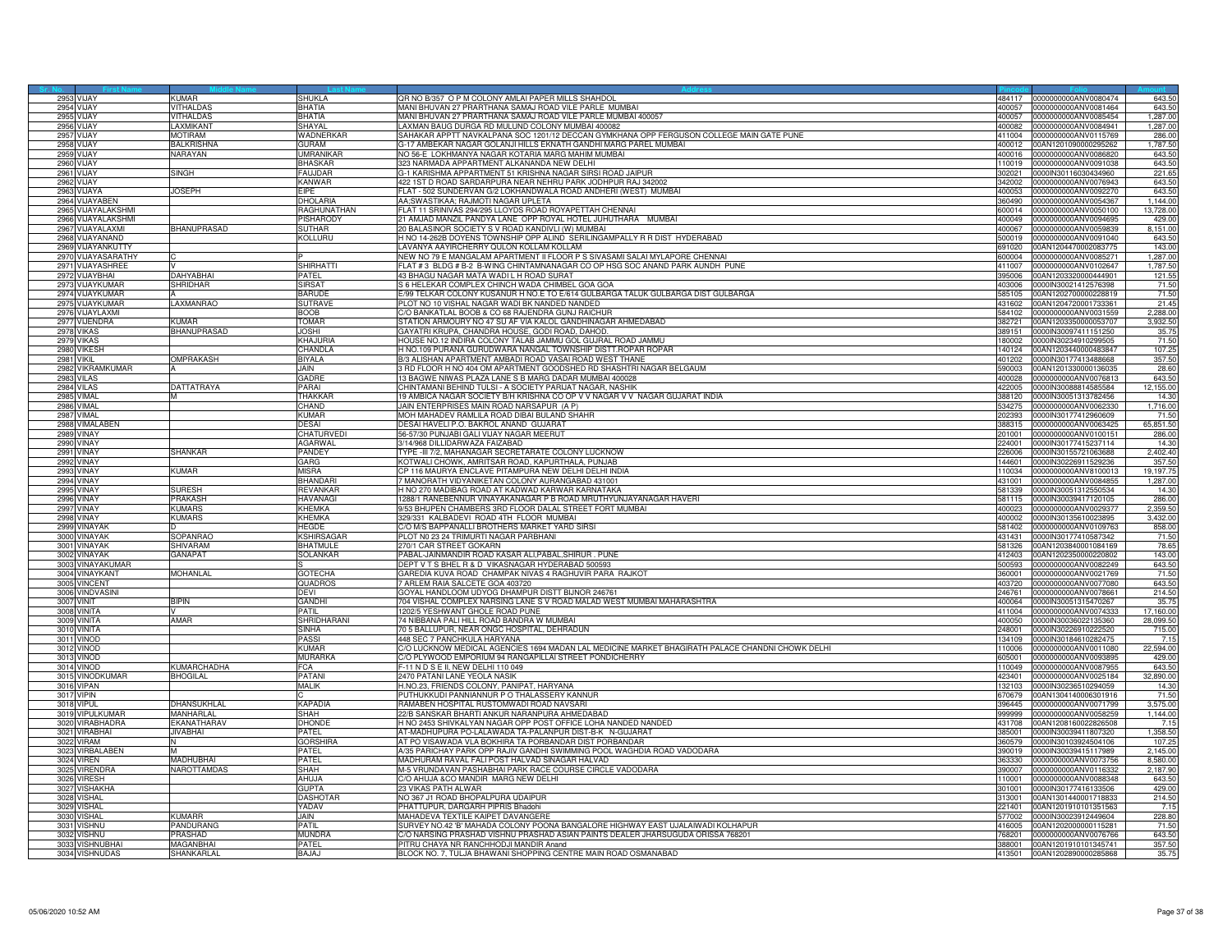|      | 2953 VIJAY                         | <b>KUMAR</b>       | SHUKLA                        | QR NO B/357 O P M COLONY AMLAI PAPER MILLS SHAHDOL                                                                            |                  | 484117 0000000000ANV0080474                                | 643.50            |
|------|------------------------------------|--------------------|-------------------------------|-------------------------------------------------------------------------------------------------------------------------------|------------------|------------------------------------------------------------|-------------------|
|      | <b>2954 VIJAY</b>                  | <b>VITHALDAS</b>   | <b>BHATIA</b>                 | MANI BHUVAN 27 PRARTHANA SAMAJ ROAD VILE PARLE MUMBAI                                                                         | 400057           | 0000000000ANV0081464                                       | 643.50            |
|      | 2955 VIJAY                         | VITHALDAS          | <b>BHATIA</b>                 | MANI BHUVAN 27 PRARTHANA SAMAJ ROAD VILE PARLE MUMBAI 400057                                                                  |                  | 400057 0000000000ANV0085454                                | 1,287.00          |
| 2956 | VIJAY                              | LAXMIKANT          | SHAYAL                        | AXMAN BAUG DURGA RD MULUND COLONY MUMBAI 400082                                                                               | 400082           | 0000000000ANV0084941                                       | 1,287.00          |
| 2957 | VIJAY                              | <b>IOTIRAM</b>     | WADNERKAR                     | SAHAKAR APPTT NAVKALPANA SOC 1201/12 DECCAN GYMKHANA OPP FERGUSON COLLEGE MAIN GATE PUNE                                      | 411004           | 0000000000ANV0115769                                       | 286.00            |
|      | 2958 VIJAY                         | <b>BALKRISHNA</b>  | GURAM                         | 3-17 AMBEKAR NAGAR GOLANJI HILLS EKNATH GANDHI MARG PAREL MUMBAI                                                              | 400012           | 00AN1201090000295262                                       | 1,787.50          |
|      | <b>2959 VIJAY</b>                  | NARAYAN            | <b>UMRANIKAI</b>              | NO 56-E LOKHMANYA NAGAR KOTARIA MARG MAHIM MUMBAI                                                                             | 400016           | 0000000000ANV0086820                                       | 643.50            |
|      | 2960 VIJAY                         |                    | <b>BHASKAR</b>                | 323 NARMADA APPARTMENT ALKANANDA NEW DELHI                                                                                    |                  | 110019 0000000000ANV0091038                                | 643.50            |
|      | 2961 VIJAY                         | SINGH              | <b>FAILIDAR</b>               | G-1 KARISHMA APPARTMENT 51 KRISHNA NAGAR SIRSI ROAD JAIPUR                                                                    | 302021           | 00001N30116030434960                                       | 221.65            |
|      | 2962 VIJAY                         |                    | KANWAR                        | 122 1ST D ROAD SARDARPURA NEAR NEHRU PARK JODHPUR RAJ 342002                                                                  | 342002           | 0000000000ANV0076943                                       | 643.50            |
|      | 2963 VIJAYA                        | <b>JOSEPH</b>      | <b>FIPF</b>                   | FLAT - 502 SUNDERVAN G/2 LOKHANDWALA ROAD ANDHERI (WEST) MUMBAI                                                               |                  | 400053 0000000000ANV0092270                                | 643.50            |
|      | 2964 VIJAYABEN                     |                    | <b>DHOLARIA</b>               | AA;SWASTIKAA; RAJMOTI NAGAR UPLETA                                                                                            |                  | 360490 0000000000ANV0054367                                | 1,144.00          |
|      | 2965 VIJAYALAKSHMI                 |                    | RAGHUNATHAN                   | FLAT 11 SRINIVAS 294/295 LLOYDS ROAD ROYAPETTAH CHENNAI                                                                       | 600014           | 0000000000ANV0050100                                       | 13,728.00         |
|      | 2966 VIJAYALAKSHMI                 |                    | PISHARODY                     | 21 AMJAD MANZIL PANDYA LANE OPP ROYAL HOTEL JUHUTHARA MUMBAI                                                                  | 400049           | 0000000000ANV0094695                                       | 429.00            |
| 2967 | VIJAYALAXMI                        | <b>BHANUPRASAD</b> | SUTHAR                        | 20 BALASINOR SOCIETY S V ROAD KANDIVLI (W) MUMBAI                                                                             | 400067           | 000000000ANV0059839                                        | 8,151.00          |
|      | 2968 VIJAYANAND                    |                    | KOLLURU                       | H NO 14-262B DOYENS TOWNSHIP OPP ALIND SERILINGAMPALLY R R DIST HYDERABAD                                                     | 500019           | 0000000000ANV0091040                                       | 643.5             |
|      | 2969 VIJAYANKUTTY                  |                    |                               | LAVANYA AAYIRCHERRY QULON KOLLAM KOLLAM                                                                                       | 691020           | 00AN1204470002083775                                       | 143.00            |
|      | 2970 VIJAYASARATHY                 |                    |                               | NEW NO 79 E MANGALAM APARTMENT II FLOOR P S SIVASAMI SALAI MYLAPORE CHENNAI                                                   |                  | 600004 0000000000ANV0085271                                | 1,287.00          |
|      | 2971 VIJAYASHREE                   |                    | <b>SHIRHATTI</b>              | FLAT #3 BLDG # B-2 B-WING CHINTAMNANAGAR CO OP HSG SOC ANAND PARK AUNDH PUNE                                                  | 411007           | 0000000000ANV0102647                                       | 1,787.50          |
|      | 2972 VIJAYBHAI                     | <b>AHYABHAI</b>    | PATEL                         | 43 BHAGU NAGAR MATA WADI L H ROAD SURAT                                                                                       | 395006           | 00AN1203320000444901                                       | 121.55            |
|      | 2973 VIJAYKUMAF                    | <b>SHRIDHAR</b>    | <b>SIRSAT</b>                 | S 6 HELEKAR COMPLEX CHINCH WADA CHIMBEL GOA GOA                                                                               | 403006           |                                                            | 71.50             |
|      | 2974 VIJAYKUMAF                    |                    | <b>BARUDE</b>                 | E/99 TELKAR COLONY KUSANUR H NO.E TO E/614 GULBARGA TALUK GULBARGA DIST GULBARGA                                              | 585105           | 0000IN30021412576398<br>00AN1202700000228819               | 71.50             |
|      |                                    |                    |                               |                                                                                                                               |                  |                                                            |                   |
|      | 2975 VIJAYKUMAR<br>2976 VIJAYLAXMI | LAXMANRAO          | <b>SUTRAVE</b><br><b>BOOB</b> | PLOT NO 10 VISHAL NAGAR WADI BK NANDED NANDED<br>C/O BANKATLAL BOOB & CO 68 RAJENDRA GUNJ RAICHUR                             | 584102           | 431602 00AN1204720001733361<br>0000000000ANV0031559        | 21.45<br>2.288.00 |
| 2977 |                                    | KUMAR              | <b>TOMAR</b>                  |                                                                                                                               | 382721           | 00AN1203350000053707                                       |                   |
|      | VIJENDRA<br>2978 VIKAS             | <b>BHANUPRASAD</b> | <b>JOSHI</b>                  | STATION ARMOURY NO 47 SU AF VIA KALOL GANDHINAGAR AHMEDABAD<br>GAYATRI KRUPA, CHANDRA HOUSE, GODI ROAD, DAHOD,                | 389151           | 00000N30097411151250                                       | 3,932.50<br>35.7  |
| 2979 | <b>VIKAS</b>                       |                    | <b>KHAJURIA</b>               | HOUSE NO.12 INDIRA COLONY TALAB JAMMU GOL GUJRAL ROAD JAMMU                                                                   | 180002           | 0000IN30234910299505                                       | 71.50             |
|      |                                    |                    |                               |                                                                                                                               |                  |                                                            |                   |
|      | 2980 VIKESH<br>2981 VIKIL          | OMPRAKASH          | CHANDLA<br><b>BIYALA</b>      | H NO.109 PURANA GURUDWARA NANGAL TOWNSHIP DISTT.ROPAR ROPAR<br>B/3 ALISHAN APARTMENT AMBADI ROAD VASAI ROAD WEST THANE        | 140124           | 00AN1203440000483847<br>401202 0000IN30177413488668        | 107.25<br>357.50  |
|      |                                    |                    |                               |                                                                                                                               |                  |                                                            |                   |
|      | 2982 VIKRAMKUMAR<br>2983 VILAS     |                    | JAIN<br>GADRE                 | 3 RD FLOOR H NO 404 OM APARTMENT GOODSHED RD SHASHTRI NAGAR BELGAUM<br>13 BAGWE NIWAS PLAZA LANE S B MARG DADAR MUMBAI 400028 | 590003           | 00AN1201330000136035<br>400028 0000000000ANV0076813        | 28.60<br>643.50   |
|      |                                    | <b>DATTATRAYA</b>  | PARAI                         | CHINTAMANI BEHIND TULSI - A SOCIETY PARIJAT NAGAR, NASHIK                                                                     |                  |                                                            | 12,155.00         |
|      | 2984 VILAS<br><b>2985 VIMAL</b>    |                    | <b>THAKKAF</b>                | 19 AMBICA NAGAR SOCIETY B/H KRISHNA CO OP V V NAGAR V V NAGAR GUJARAT INDIA                                                   |                  | 422005 0000IN30088814585584<br>388120 0000IN30051313782456 | 14.30             |
| 2986 | VIMAL                              |                    | CHAND                         | JAIN ENTERPRISES MAIN ROAD NARSAPUR (A P)                                                                                     | 534275           | 0000000000ANV0062330                                       |                   |
|      |                                    |                    |                               |                                                                                                                               |                  |                                                            | 1,716.00          |
| 2987 | VIMAL<br>2988 VIMALABEN            |                    | <b>KUMAR</b><br><b>DESAI</b>  | MOH MAHADEV RAMLILA ROAD DIBAI BULAND SHAHR<br>DESAI HAVELI P.O. BAKROL ANAND GUJARAT                                         | 202393<br>388315 | 0000lN30177412960609<br>0000000000ANV0063425               | 71.5<br>65,851.50 |
|      | <b>2989 VINAY</b>                  |                    | CHATURVED                     |                                                                                                                               | 201001           |                                                            |                   |
|      |                                    |                    |                               | 56-57/30 PUNJABI GALI VIJAY NAGAR MEERUT                                                                                      |                  | 0000000000ANV0100151                                       | 286.00            |
|      | 2990 VINAY                         |                    | <b>AGARWAI</b>                | 3/14/968 DILLIDARWAZA FAIZABAD                                                                                                |                  | 224001 0000IN30177415237114                                | 14.30             |
|      | 2991 VINAY                         | SHANKAR            | PANDEY                        | TYPE -III 7/2, MAHANAGAR SECRETARATE COLONY LUCKNOW                                                                           | 226006           | 0000IN30155721063688                                       | 2,402.40          |
|      | 2992 VINAY                         |                    | GARG                          | KOTWALI CHOWK, AMRITSAR ROAD, KAPURTHALA, PUNJAB                                                                              | 144601           | 0000IN30226911529236                                       | 357.5<br>19.197.7 |
|      | <b>2993 VINAY</b>                  | <b>KUMAR</b>       | <b>MISRA</b>                  | CP 116 MAURYA ENCLAVE PITAMPURA NEW DELHI DELHI INDIA                                                                         | 110034           | 0000000000ANV8100013                                       |                   |
|      | <b>2994 VINAY</b>                  |                    | <b>BHANDAR</b>                | 7 MANORATH VIDYANIKETAN COLONY AURANGABAD 431001                                                                              | 431001           | 0000000000ANV0084855                                       | 1,287.0           |
|      | <b>2995 VINAY</b>                  | <b>SURESH</b>      | <b>REVANKAR</b>               | H NO 270 MADIBAG ROAD AT KADWAD KARWAR KARNATAKA                                                                              |                  | 581339 0000IN30051312550534                                | 14.30             |
| 2996 | <b>VINAY</b>                       | RAKASH             | HAVANAGI                      | 288/1 RANEBENNUR VINAYAKANAGAR P B ROAD MRUTHYUNJAYANAGAR HAVERI                                                              | 581115           | 0000IN30039417120105                                       | 286.00            |
| 2997 | VINAY                              | <b>KUMARS</b>      | <b>KHEMKA</b>                 | 9/53 BHUPEN CHAMBERS 3RD FLOOR DALAL STREET FORT MUMBAI                                                                       | 400023           | 0000000000ANV0029377                                       | 2,359.50          |
|      | <b>2998 VINAY</b>                  | <b>KUMARS</b>      | <b>KHEMKA</b>                 | 329/331 KALBADEVI ROAD 4TH FLOOR MUMBAI                                                                                       |                  | 400002 0000IN30135610023895                                | 3.432.00          |
|      | 2999 VINAYAK                       |                    | <b>HEGDE</b>                  | C/O M/S BAPPANALLI BROTHERS MARKET YARD SIRSI                                                                                 | 581402           | 0000000000ANV0109763                                       | 858.00            |
|      | 3000 VINAYAK                       | <b>SOPANRAO</b>    | <b>KSHIRSAGAR</b>             | PLOT N0 23 24 TRIMURTI NAGAR PARBHANI                                                                                         |                  | 431431 0000IN30177410587342                                | 71.50             |
|      | 3001 VINAYAK                       | <b>HIVARAM</b>     | <b>BHATMULE</b>               | 270/1 CAR STREET GOKARN                                                                                                       | 581326           | 00AN1203840001084169                                       | 78.65             |
| 3002 | <b>VINAYAK</b>                     | GANAPAT            | SOLANKAR                      | PABAL-JAINMANDIR ROAD KASAR ALI, PABAL, SHIRUR. PUNE                                                                          |                  | 412403 00AN1202350000220802                                | 143.00            |
|      | 3003 VINAYAKUMAR                   |                    |                               | DEPT V T S BHEL R & D VIKASNAGAR HYDERABAD 500593                                                                             |                  | 500593 0000000000ANV0082249                                | 643.50            |
|      | 3004 VINAYKANT                     | MOHANLAL           | <b>GOTECHA</b>                | GAREDIA KUVA ROAD CHAMPAK NIVAS 4 RAGHUVIR PARA RAJKOT                                                                        |                  | 360001 0000000000ANV0021769                                | 71.50             |
| 3005 | <b>VINCENT</b>                     |                    | QUADROS                       | 7 ARLEM RAIA SALCETE GOA 403720                                                                                               | 403720           | 0000000000ANV0077080                                       | 643.50            |
| 3006 | <b>/INDVASINI</b>                  |                    | DEVI                          | GOYAL HANDLOOM UDYOG DHAMPUR DISTT BIJNOR 246761                                                                              | 246761           | 000000000ANV0078661                                        | 214.50            |
| 3007 | VINIT                              | <b>SIPIN</b>       | <b>GANDHI</b>                 | 704 VISHAL COMPLEX NARSING LANE S V ROAD MALAD WEST MUMBAI MAHARASHTRA                                                        | 400064           | 0000lN30051315470267                                       | 35.7              |
|      | 3008 VINITA                        |                    | PATIL                         | 1202/5 YESHWANT GHOLE ROAD PUNE                                                                                               | 411004           | 0000000000ANV0074333                                       | 17,160.00         |
|      | 3009 VINITA                        | AMAR               | SHRIDHARANI                   | 74 NIBBANA PALI HILL ROAD BANDRA W MUMBAI                                                                                     | 400050           | 0000IN30036022135360                                       | 28,099.50         |
|      | 3010 VINITA                        |                    | SINHA                         | 70 5 BALLUPUR, NEAR ONGC HOSPITAL, DEHRADUN                                                                                   | 248001           | 0000IN30226910222520                                       | 715.00            |
|      | 3011 VINOD                         |                    | PASSI                         | <b>448 SEC 7 PANCHKULA HARYANA</b>                                                                                            | 34109            | 0000lN30184610282475                                       | 7.1               |
|      | 3012 VINOD                         |                    | KUMAR                         | C/O LUCKNOW MEDICAL AGENCIES 1694 MADAN LAL MEDICINE MARKET BHAGIRATH PALACE CHANDNI CHOWK DELHI                              | 110006           | 0000000000ANV0011080                                       | 22,594.00         |
|      | 3013 VINOD                         |                    | <b>MURARKA</b>                | C/O PLYWOOD EMPORIUM 94 RANGAPILLAI STREET PONDICHERRY                                                                        | 605001           | 0000000000ANV0093895                                       | 429.00            |
|      | <b>3014 VINOD</b>                  | <b>KUMARCHADHA</b> | <b>FCA</b>                    | F-11 N D S E II, NEW DELHI 110 049                                                                                            | 110049           | 0000000000ANV0087955                                       | 643.50            |
|      | 3015 VINODKUMAR                    | <b>BHOGILAL</b>    | <b>PATANI</b>                 | 2470 PATANI LANE YEOLA NASIK                                                                                                  | 423401           | 0000000000ANV0025184                                       | 32,890.00         |
| 3016 | VIPAN                              |                    | <b>MALIK</b>                  | I.NO.23, FRIENDS COLONY, PANIPAT, HARYANA                                                                                     | 32103            | 0000IN30236510294059                                       | 14.30             |
|      | 3017 VIPIN                         |                    |                               | PUTHUKKUDI PANNIANNUR P O THALASSERY KANNUR                                                                                   | 670679           | 00AN1304140006301916                                       | 71.50             |
|      | 3018 VIPUL                         | DHANSUKHLAL        | <b>KAPADIA</b>                | RAMABEN HOSPITAL RUSTOMWADI ROAD NAVSARI                                                                                      | 396445           | 0000000000ANV0071799                                       | 3,575.00          |
|      | 3019 VIPULKUMAR                    | MANHARLAL          | <b>SHAH</b>                   | 22/B SANSKAR BHARTI ANKUR NARANPURA AHMEDABAD                                                                                 | 999999           | 0000000000ANV0058259                                       | 1,144.00          |
|      | 3020 VIRABHADRA                    | <b>EKANATHARAV</b> | DHONDE                        | H NO 2453 SHIVKALYAN NAGAR OPP POST OFFICE LOHA NANDED NANDED                                                                 |                  | 431708 00AN1208160022826508                                | 7.15              |
|      | 3021 VIRABHAI                      | <b>VABHAI</b>      | PATEL                         | AT-MADHUPURA PO-LALAWADA TA-PALANPUR DIST-B-K N-GUJARAT                                                                       | 385001           | 0000IN30039411807320                                       | 1,358.50          |
|      | 3022 VIRAM                         |                    | <b>GORSHIRA</b>               | AT PO VISAWADA VLA BOKHIRA TA PORBANDAR DIST PORBANDAR                                                                        | 360579           | 0000IN30103924504106                                       | 107.2             |
|      | 3023 VIRBALABEN                    |                    | PATEL                         | A/35 PARICHAY PARK OPP RAJIV GANDHI SWIMMING POOL WAGHDIA ROAD VADODARA                                                       |                  | 390019 0000IN30039415117989                                | 2,145.00          |
|      | <b>3024 VIREN</b>                  | MADHUBHAI          | <b>PATEL</b>                  | MADHURAM RAVAL FALI POST HALVAD SINAGAR HALVAD                                                                                |                  | 363330 0000000000ANV0073756                                | 8,580.00          |
| 3025 | <b>VIRENDRA</b>                    | NAROTTAMDAS        | <b>SHAH</b>                   | M-5 VRUNDAVAN PASHABHAI PARK RACE COURSE CIRCLE VADODARA                                                                      | 390007           | 0000000000ANV0116332                                       | 2,187.90          |
| 3026 | <b>VIRESH</b>                      |                    | AHUJA                         | C/O AHUJA & CO MANDIR MARG NEW DELHI                                                                                          | 10001            | 0000000000ANV0088348                                       | 643.50            |
| 3027 | <b>VISHAKHA</b>                    |                    | <b>GLIPTA</b>                 | 23 VIKAS PATH AI WAR                                                                                                          | 301001           | 0000IN30177416133506                                       | 429.00            |
| 3028 | <b>VISHAL</b>                      |                    | <b>DASHOTA</b>                | NO 367 J1 ROAD BHOPALPURA UDAIPUR                                                                                             | 313001           | 00AN1301440001718833                                       | 214.50            |
|      | 3029 VISHAL                        |                    | YADAV                         | PHATTUPUR, DARGARH PIPRIS Bhadohi                                                                                             | 221401           | 00AN1201910101351563                                       | 7.15              |
|      | 3030 VISHAL                        | <b>KUMARR</b>      | JAIN.                         | MAHADEVA TEXTILE KAIPET DAVANGERE                                                                                             |                  | 577002 0000IN30023912449604                                | 228.80            |
| 3031 | <b>VISHNU</b>                      | <b>ANDURANG</b>    | PATIL                         | SURVEY NO.42 'B' MAHADA COLONY POONA BANGALORE HIGHWAY EAST UJALAIWADI KOLHAPUR                                               | 116005           | 00AN1202000000115281                                       | 71.50             |
|      | 3032 VISHNU                        | PRASHAD            | <b>MUNDBA</b>                 | C/O NARSING PRASHAD VISHNU PRASHAD ASIAN PAINTS DEALER JHARSUGUDA ORISSA 768201                                               |                  | 768201 0000000000ANV0076766                                | 643.50            |
|      | 3033 VISHNUBH/                     | <b>MAGANBHA</b>    | <b>PATFI</b>                  | PITRU CHAYA NR RANCHHODJI MANDIR Anand                                                                                        |                  | 388001 00AN1201910101345741                                | 357.50            |
|      | 3034 VISHNUDAS                     | SHANKARLAL         | <b>BAJAJ</b>                  | BLOCK NO. 7, TULJA BHAWANI SHOPPING CENTRE MAIN ROAD OSMANABAD                                                                |                  | 413501 00AN1202890000285868                                | 35.75             |